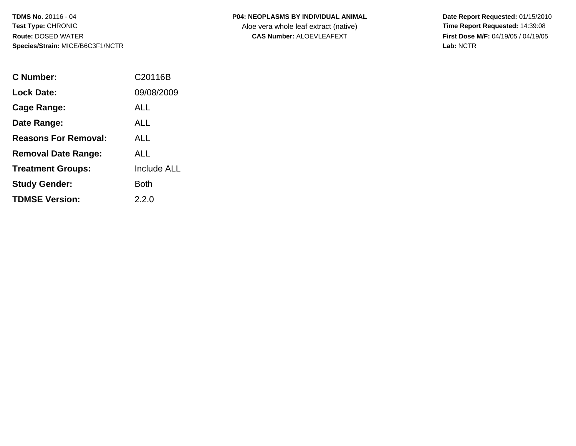## **P04: NEOPLASMS BY INDIVIDUAL ANIMAL**

Aloe vera whole leaf extract (native)<br>**CAS Number:** ALOEVLEAFEXT

| C Number:                   | C20116B            |
|-----------------------------|--------------------|
| <b>Lock Date:</b>           | 09/08/2009         |
| Cage Range:                 | ALL                |
| Date Range:                 | ALL                |
| <b>Reasons For Removal:</b> | ALL.               |
| <b>Removal Date Range:</b>  | ALL                |
| <b>Treatment Groups:</b>    | <b>Include ALL</b> |
| <b>Study Gender:</b>        | Both               |
| <b>TDMSE Version:</b>       | 2.2.0              |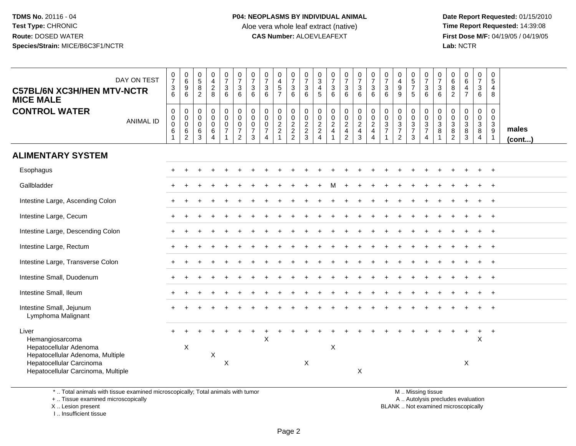**Date Report Requested:** 01/15/2010 **First Dose M/F:** 04/19/05 / 04/19/05<br>Lab: NCTR **Lab:** NCTR

| DAY ON TEST<br><b>C57BL/6N XC3H/HEN MTV-NCTR</b><br><b>MICE MALE</b>                                                                                     | $\frac{0}{7}$<br>$\frac{3}{6}$                 | $\begin{array}{c} 0 \\ 6 \end{array}$<br>$\boldsymbol{9}$<br>6        | $\begin{array}{c} 0 \\ 5 \end{array}$<br>$\bf8$<br>$\overline{2}$ | $_4^{\rm 0}$<br>$\frac{2}{8}$             | $\begin{smallmatrix}0\\7\end{smallmatrix}$<br>$\mathbf{3}$<br>6                    | $\begin{smallmatrix}0\\7\end{smallmatrix}$<br>$\ensuremath{\mathsf{3}}$<br>6 | $\begin{array}{c} 0 \\ 7 \end{array}$<br>3<br>6        | $\frac{0}{7}$<br>$\mathbf{3}$<br>$6\overline{6}$                                     | 0<br>$\overline{4}$<br>$\overline{5}$<br>$\overline{7}$    | $\frac{0}{7}$<br>$\frac{3}{6}$                          | $\frac{0}{7}$<br>$\mathbf{3}$<br>6        | 0<br>$\sqrt{3}$<br>$\overline{4}$<br>5      | $\begin{smallmatrix}0\\7\end{smallmatrix}$<br>$\frac{3}{6}$ | $\begin{smallmatrix}0\\7\end{smallmatrix}$<br>$\mathbf{3}$<br>6                | $\frac{0}{7}$<br>3<br>6                                   | $\frac{0}{7}$<br>$\mathbf{3}$<br>6                                 | $\frac{0}{7}$<br>$\sqrt{3}$<br>6                             | $\begin{smallmatrix}0\\4\end{smallmatrix}$<br>$\boldsymbol{9}$<br>$\overline{9}$ | $\begin{array}{c} 0 \\ 5 \\ 7 \end{array}$<br>5 | $\frac{0}{7}$<br>$\mathbf{3}$<br>6                                             | $\frac{0}{7}$<br>$\mathbf{3}$<br>6            | $_{6}^{\rm 0}$<br>$\frac{8}{2}$                  | $\begin{array}{c} 0 \\ 6 \end{array}$<br>$\overline{4}$<br>$\overline{7}$ | $\frac{0}{7}$<br>$\mathbf{3}$<br>6                     | $\mathbf 0$<br>$\sqrt{5}$<br>4<br>8                           |                 |
|----------------------------------------------------------------------------------------------------------------------------------------------------------|------------------------------------------------|-----------------------------------------------------------------------|-------------------------------------------------------------------|-------------------------------------------|------------------------------------------------------------------------------------|------------------------------------------------------------------------------|--------------------------------------------------------|--------------------------------------------------------------------------------------|------------------------------------------------------------|---------------------------------------------------------|-------------------------------------------|---------------------------------------------|-------------------------------------------------------------|--------------------------------------------------------------------------------|-----------------------------------------------------------|--------------------------------------------------------------------|--------------------------------------------------------------|----------------------------------------------------------------------------------|-------------------------------------------------|--------------------------------------------------------------------------------|-----------------------------------------------|--------------------------------------------------|---------------------------------------------------------------------------|--------------------------------------------------------|---------------------------------------------------------------|-----------------|
| <b>CONTROL WATER</b><br><b>ANIMAL ID</b>                                                                                                                 | $\mathbf 0$<br>$\mathbf 0$<br>$\mathbf 0$<br>6 | $\mathbf 0$<br>$\boldsymbol{0}$<br>$\mathbf 0$<br>6<br>$\overline{c}$ | 0<br>$\mathsf 0$<br>$\mathbf 0$<br>$\,6$<br>3                     | 0<br>$\mathbf 0$<br>$\mathbf 0$<br>6<br>4 | $\boldsymbol{0}$<br>$\mathbf 0$<br>$\mathbf 0$<br>$\overline{7}$<br>$\overline{1}$ | 0<br>$\pmb{0}$<br>$\pmb{0}$<br>$\boldsymbol{7}$<br>$\overline{c}$            | $\mathbf 0$<br>$\mathbf 0$<br>0<br>$\overline{7}$<br>3 | $\mathbf 0$<br>$\mathbf 0$<br>$\mathbf 0$<br>$\overline{7}$<br>$\boldsymbol{\Delta}$ | $\mathbf 0$<br>$\mathbf 0$<br>$\sqrt{2}$<br>$\overline{c}$ | $\pmb{0}$<br>$\begin{array}{c} 0 \\ 2 \\ 2 \end{array}$ | $\pmb{0}$<br>$\mathbf 0$<br>$\frac{2}{3}$ | $\mathbf 0$<br>$\mathbf 0$<br>$\frac{2}{2}$ | $\mathbf 0$<br>$\pmb{0}$<br>$\frac{2}{4}$                   | 0<br>$\mathsf{O}\xspace$<br>$\overline{c}$<br>$\overline{4}$<br>$\overline{2}$ | $\mathbf 0$<br>$\pmb{0}$<br>$\frac{2}{4}$<br>$\mathbf{3}$ | $\pmb{0}$<br>$\pmb{0}$<br>$\frac{2}{4}$<br>$\overline{\mathbf{4}}$ | $\mathbf 0$<br>$\mathbf 0$<br>$\mathbf{3}$<br>$\overline{7}$ | 0<br>$\pmb{0}$<br>$\frac{3}{7}$<br>$\overline{2}$                                | 0<br>$\mathsf{O}\xspace$<br>$\frac{3}{7}$<br>3  | $\mathbf 0$<br>$\mathbf 0$<br>$\mathbf{3}$<br>$\overline{7}$<br>$\overline{4}$ | $\mathbf 0$<br>$\pmb{0}$<br>$\mathbf{3}$<br>8 | 0<br>$\mathbf 0$<br>$\mathsf 3$<br>$\frac{8}{2}$ | 0<br>$\mathsf{O}\xspace$<br>3<br>$\bf 8$<br>3                             | 0<br>$\overline{0}$<br>$\frac{3}{8}$<br>$\overline{4}$ | $\mathbf 0$<br>$\mathbf 0$<br>$\frac{3}{9}$<br>$\overline{1}$ | males<br>(cont) |
| <b>ALIMENTARY SYSTEM</b>                                                                                                                                 |                                                |                                                                       |                                                                   |                                           |                                                                                    |                                                                              |                                                        |                                                                                      |                                                            |                                                         |                                           |                                             |                                                             |                                                                                |                                                           |                                                                    |                                                              |                                                                                  |                                                 |                                                                                |                                               |                                                  |                                                                           |                                                        |                                                               |                 |
| Esophagus                                                                                                                                                |                                                |                                                                       |                                                                   |                                           |                                                                                    |                                                                              |                                                        |                                                                                      |                                                            |                                                         |                                           |                                             |                                                             |                                                                                |                                                           |                                                                    |                                                              |                                                                                  |                                                 |                                                                                |                                               |                                                  |                                                                           |                                                        |                                                               |                 |
| Gallbladder                                                                                                                                              |                                                |                                                                       |                                                                   |                                           |                                                                                    |                                                                              |                                                        |                                                                                      |                                                            |                                                         |                                           |                                             |                                                             |                                                                                |                                                           |                                                                    |                                                              |                                                                                  |                                                 |                                                                                |                                               |                                                  |                                                                           |                                                        | $\overline{+}$                                                |                 |
| Intestine Large, Ascending Colon                                                                                                                         |                                                |                                                                       |                                                                   |                                           |                                                                                    |                                                                              |                                                        |                                                                                      |                                                            |                                                         |                                           |                                             |                                                             |                                                                                |                                                           |                                                                    |                                                              |                                                                                  |                                                 |                                                                                |                                               |                                                  |                                                                           |                                                        |                                                               |                 |
| Intestine Large, Cecum                                                                                                                                   |                                                |                                                                       |                                                                   |                                           |                                                                                    |                                                                              |                                                        |                                                                                      |                                                            |                                                         |                                           |                                             |                                                             |                                                                                |                                                           |                                                                    |                                                              |                                                                                  |                                                 |                                                                                |                                               |                                                  |                                                                           |                                                        | $\overline{+}$                                                |                 |
| Intestine Large, Descending Colon                                                                                                                        |                                                |                                                                       |                                                                   |                                           |                                                                                    |                                                                              |                                                        |                                                                                      |                                                            |                                                         |                                           |                                             |                                                             |                                                                                |                                                           |                                                                    |                                                              |                                                                                  |                                                 |                                                                                |                                               |                                                  |                                                                           |                                                        | $+$                                                           |                 |
| Intestine Large, Rectum                                                                                                                                  |                                                |                                                                       |                                                                   |                                           |                                                                                    |                                                                              |                                                        |                                                                                      |                                                            |                                                         |                                           |                                             |                                                             |                                                                                |                                                           |                                                                    |                                                              |                                                                                  |                                                 |                                                                                |                                               |                                                  |                                                                           |                                                        | $\overline{1}$                                                |                 |
| Intestine Large, Transverse Colon                                                                                                                        |                                                |                                                                       |                                                                   |                                           |                                                                                    |                                                                              |                                                        |                                                                                      |                                                            |                                                         |                                           |                                             |                                                             |                                                                                |                                                           |                                                                    |                                                              |                                                                                  |                                                 |                                                                                |                                               |                                                  |                                                                           |                                                        |                                                               |                 |
| Intestine Small, Duodenum                                                                                                                                |                                                |                                                                       |                                                                   |                                           |                                                                                    |                                                                              |                                                        |                                                                                      |                                                            |                                                         |                                           |                                             |                                                             |                                                                                |                                                           |                                                                    |                                                              |                                                                                  |                                                 |                                                                                |                                               |                                                  |                                                                           |                                                        |                                                               |                 |
| Intestine Small, Ileum                                                                                                                                   |                                                |                                                                       |                                                                   |                                           |                                                                                    |                                                                              |                                                        |                                                                                      |                                                            |                                                         |                                           |                                             |                                                             |                                                                                |                                                           |                                                                    |                                                              |                                                                                  |                                                 |                                                                                |                                               |                                                  |                                                                           |                                                        | $+$                                                           |                 |
| Intestine Small, Jejunum<br>Lymphoma Malignant                                                                                                           |                                                |                                                                       |                                                                   |                                           |                                                                                    |                                                                              |                                                        |                                                                                      |                                                            |                                                         |                                           |                                             |                                                             |                                                                                |                                                           |                                                                    |                                                              |                                                                                  |                                                 |                                                                                |                                               |                                                  |                                                                           |                                                        |                                                               |                 |
| Liver<br>Hemangiosarcoma<br>Hepatocellular Adenoma<br>Hepatocellular Adenoma, Multiple<br>Hepatocellular Carcinoma<br>Hepatocellular Carcinoma, Multiple |                                                | $\boldsymbol{\mathsf{X}}$                                             |                                                                   | X                                         | $\boldsymbol{\mathsf{X}}$                                                          |                                                                              |                                                        | X                                                                                    |                                                            |                                                         | X                                         |                                             | X                                                           |                                                                                | $\sf X$                                                   |                                                                    |                                                              |                                                                                  |                                                 |                                                                                |                                               |                                                  | $\div$<br>X                                                               | $\ddot{}$<br>$\mathsf X$                               | $+$                                                           |                 |

\* .. Total animals with tissue examined microscopically; Total animals with tumor

+ .. Tissue examined microscopically

 Lesion present BLANK .. Not examined microscopicallyX .. Lesion present

I .. Insufficient tissue

M .. Missing tissue

y the contract of the contract of the contract of the contract of the contract of the contract of the contract of  $A$ . Autolysis precludes evaluation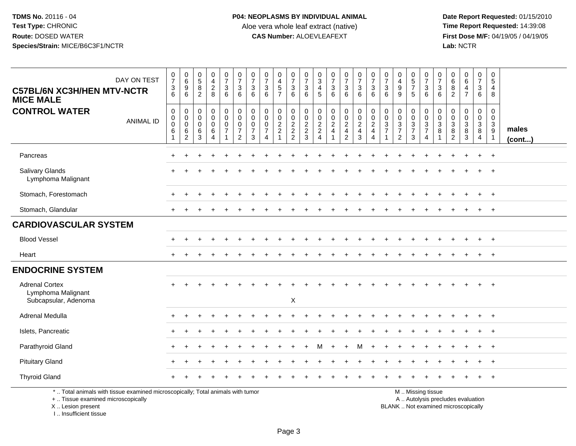**Date Report Requested:** 01/15/2010 **First Dose M/F:** 04/19/05 / 04/19/05<br>Lab: NCTR **Lab:** NCTR

| DAY ON TEST<br><b>C57BL/6N XC3H/HEN MTV-NCTR</b><br><b>MICE MALE</b>                                                                       | $\frac{0}{7}$<br>$\ensuremath{\mathsf{3}}$<br>6                  | $\begin{array}{c} 0 \\ 6 \end{array}$<br>9<br>6        | $\begin{array}{c} 0 \\ 5 \\ 8 \end{array}$<br>$\overline{2}$ | $\begin{smallmatrix}0\0\4\end{smallmatrix}$<br>$\frac{2}{8}$ | $\frac{0}{7}$<br>$\frac{3}{6}$                                         | $\frac{0}{7}$<br>$\sqrt{3}$<br>$6\phantom{1}6$                        | $\pmb{0}$<br>$\overline{7}$<br>$\ensuremath{\mathsf{3}}$<br>6    | $\begin{array}{c} 0 \\ 7 \end{array}$<br>$\ensuremath{\mathsf{3}}$<br>6       | $\begin{array}{c} 0 \\ 4 \end{array}$<br>$\frac{5}{7}$ | $\begin{smallmatrix}0\\7\end{smallmatrix}$<br>$\ensuremath{\mathsf{3}}$<br>$6\phantom{1}$ | $\frac{0}{7}$<br>$\ensuremath{\mathsf{3}}$<br>6 | $_{3}^{\rm 0}$<br>$\overline{4}$<br>5  | $\frac{0}{7}$<br>$\ensuremath{\mathsf{3}}$<br>6     | $\frac{0}{7}$<br>$\sqrt{3}$<br>6     | $\frac{0}{7}$<br>$\ensuremath{\mathsf{3}}$<br>$6\phantom{1}$    | $\begin{array}{c} 0 \\ 7 \end{array}$<br>$\mathbf{3}$<br>$6\phantom{1}6$ | $\frac{0}{7}$<br>$\ensuremath{\mathsf{3}}$<br>6           | $\mathbf 0$<br>$\overline{\mathbf{4}}$<br>$\boldsymbol{9}$<br>9 | $\begin{array}{c} 0 \\ 5 \end{array}$<br>$\overline{7}$<br>$\sqrt{5}$ | $\frac{0}{7}$<br>$\sqrt{3}$<br>6                                                              | 0<br>$\overline{7}$<br>3<br>6       | 0<br>$\,6\,$<br>$\bf 8$<br>$\overline{2}$             | $\begin{array}{c} 0 \\ 6 \end{array}$<br>$\overline{\mathbf{4}}$<br>$\overline{7}$ | $\mathsf 0$<br>$\overline{7}$<br>$\ensuremath{\mathsf{3}}$<br>6 | $\mathbf 0$<br>$\sqrt{5}$<br>$\overline{4}$<br>8                                 |                 |
|--------------------------------------------------------------------------------------------------------------------------------------------|------------------------------------------------------------------|--------------------------------------------------------|--------------------------------------------------------------|--------------------------------------------------------------|------------------------------------------------------------------------|-----------------------------------------------------------------------|------------------------------------------------------------------|-------------------------------------------------------------------------------|--------------------------------------------------------|-------------------------------------------------------------------------------------------|-------------------------------------------------|----------------------------------------|-----------------------------------------------------|--------------------------------------|-----------------------------------------------------------------|--------------------------------------------------------------------------|-----------------------------------------------------------|-----------------------------------------------------------------|-----------------------------------------------------------------------|-----------------------------------------------------------------------------------------------|-------------------------------------|-------------------------------------------------------|------------------------------------------------------------------------------------|-----------------------------------------------------------------|----------------------------------------------------------------------------------|-----------------|
| <b>CONTROL WATER</b><br><b>ANIMAL ID</b>                                                                                                   | $\pmb{0}$<br>$\pmb{0}$<br>$\mathbf 0$<br>$\,6\,$<br>$\mathbf{1}$ | 0<br>$\mathbf 0$<br>$\mathbf 0$<br>6<br>$\overline{c}$ | 0<br>$\pmb{0}$<br>$\mathbf 0$<br>6<br>3                      | $\pmb{0}$<br>$\mathbf 0$<br>$\pmb{0}$<br>6<br>$\overline{4}$ | $\mathbf 0$<br>$\overline{0}$<br>$\mathsf{O}\xspace$<br>$\overline{7}$ | $_{\rm 0}^{\rm 0}$<br>$\pmb{0}$<br>$\boldsymbol{7}$<br>$\overline{2}$ | $\mathbf 0$<br>$\mathbf 0$<br>$\mathbf 0$<br>$\overline{7}$<br>3 | $\mathbf 0$<br>$\mathbf 0$<br>$\mathbf 0$<br>$\overline{7}$<br>$\overline{4}$ | 0<br>$\mathbf 0$<br>$\frac{2}{2}$<br>$\overline{1}$    | 0<br>$\begin{array}{c} 0 \\ 2 \\ 2 \\ 2 \end{array}$                                      | $\pmb{0}$<br>$\frac{0}{2}$<br>3                 | $\boldsymbol{0}$<br>$\frac{0}{2}$<br>4 | $\mathsf{O}\xspace$<br>$\mathbf 0$<br>$\frac{2}{4}$ | 0<br>$\frac{0}{2}$<br>$\overline{c}$ | $\begin{array}{c} 0 \\ 0 \\ 2 \\ 4 \end{array}$<br>$\mathbf{3}$ | $\mathbf 0$<br>$\ddot{\mathbf{0}}$<br>$\frac{2}{4}$<br>4                 | $\mathbf 0$<br>$\mathsf{O}\xspace$<br>3<br>$\overline{7}$ | $\mathbf 0$<br>$\pmb{0}$<br>$\frac{3}{7}$<br>$\overline{2}$     | 0<br>$\mathbf 0$<br>$\frac{3}{7}$<br>3                                | $\pmb{0}$<br>$\mathbf 0$<br>$\sqrt{3}$<br>$\overline{7}$<br>$\overline{4}$                    | 0<br>$\mathbf 0$<br>$\sqrt{3}$<br>8 | 0<br>$\mathbf 0$<br>$\sqrt{3}$<br>8<br>$\overline{c}$ | 0<br>$\mathbf 0$<br>$\frac{3}{8}$<br>3                                             | 0<br>$\frac{0}{3}$<br>$\overline{4}$                            | $\mathbf 0$<br>$\mathbf 0$<br>$\mathbf{3}$<br>$\boldsymbol{9}$<br>$\overline{1}$ | males<br>(cont) |
| Pancreas                                                                                                                                   |                                                                  |                                                        |                                                              |                                                              |                                                                        |                                                                       |                                                                  |                                                                               |                                                        |                                                                                           |                                                 |                                        |                                                     |                                      |                                                                 |                                                                          |                                                           |                                                                 |                                                                       |                                                                                               |                                     |                                                       |                                                                                    |                                                                 | $^{+}$                                                                           |                 |
| <b>Salivary Glands</b><br>Lymphoma Malignant                                                                                               |                                                                  |                                                        |                                                              |                                                              |                                                                        |                                                                       |                                                                  |                                                                               |                                                        |                                                                                           |                                                 |                                        |                                                     |                                      |                                                                 |                                                                          |                                                           |                                                                 |                                                                       |                                                                                               |                                     |                                                       |                                                                                    |                                                                 | $^{+}$                                                                           |                 |
| Stomach, Forestomach                                                                                                                       |                                                                  | ÷                                                      |                                                              |                                                              |                                                                        |                                                                       |                                                                  |                                                                               |                                                        |                                                                                           |                                                 |                                        |                                                     |                                      |                                                                 |                                                                          |                                                           |                                                                 |                                                                       |                                                                                               |                                     |                                                       |                                                                                    | $\pm$                                                           | $+$                                                                              |                 |
| Stomach, Glandular                                                                                                                         |                                                                  |                                                        |                                                              |                                                              |                                                                        |                                                                       |                                                                  |                                                                               |                                                        |                                                                                           |                                                 |                                        |                                                     |                                      |                                                                 |                                                                          |                                                           |                                                                 |                                                                       |                                                                                               |                                     |                                                       |                                                                                    |                                                                 | $^{+}$                                                                           |                 |
| <b>CARDIOVASCULAR SYSTEM</b>                                                                                                               |                                                                  |                                                        |                                                              |                                                              |                                                                        |                                                                       |                                                                  |                                                                               |                                                        |                                                                                           |                                                 |                                        |                                                     |                                      |                                                                 |                                                                          |                                                           |                                                                 |                                                                       |                                                                                               |                                     |                                                       |                                                                                    |                                                                 |                                                                                  |                 |
| <b>Blood Vessel</b>                                                                                                                        |                                                                  |                                                        |                                                              |                                                              |                                                                        |                                                                       |                                                                  |                                                                               |                                                        |                                                                                           |                                                 |                                        |                                                     |                                      |                                                                 |                                                                          |                                                           |                                                                 |                                                                       |                                                                                               |                                     |                                                       |                                                                                    |                                                                 | $+$                                                                              |                 |
| Heart                                                                                                                                      |                                                                  |                                                        |                                                              |                                                              |                                                                        |                                                                       |                                                                  |                                                                               |                                                        |                                                                                           |                                                 |                                        |                                                     |                                      |                                                                 |                                                                          |                                                           |                                                                 |                                                                       |                                                                                               |                                     |                                                       |                                                                                    |                                                                 | $+$                                                                              |                 |
| <b>ENDOCRINE SYSTEM</b>                                                                                                                    |                                                                  |                                                        |                                                              |                                                              |                                                                        |                                                                       |                                                                  |                                                                               |                                                        |                                                                                           |                                                 |                                        |                                                     |                                      |                                                                 |                                                                          |                                                           |                                                                 |                                                                       |                                                                                               |                                     |                                                       |                                                                                    |                                                                 |                                                                                  |                 |
| <b>Adrenal Cortex</b><br>Lymphoma Malignant<br>Subcapsular, Adenoma                                                                        |                                                                  |                                                        |                                                              |                                                              |                                                                        |                                                                       |                                                                  |                                                                               |                                                        | X                                                                                         |                                                 |                                        |                                                     |                                      |                                                                 |                                                                          |                                                           |                                                                 |                                                                       |                                                                                               |                                     |                                                       |                                                                                    |                                                                 |                                                                                  |                 |
| <b>Adrenal Medulla</b>                                                                                                                     |                                                                  |                                                        |                                                              |                                                              |                                                                        |                                                                       |                                                                  |                                                                               |                                                        |                                                                                           |                                                 |                                        |                                                     |                                      |                                                                 |                                                                          |                                                           |                                                                 |                                                                       |                                                                                               |                                     |                                                       |                                                                                    |                                                                 |                                                                                  |                 |
| Islets, Pancreatic                                                                                                                         |                                                                  |                                                        |                                                              |                                                              |                                                                        |                                                                       |                                                                  |                                                                               |                                                        |                                                                                           |                                                 |                                        |                                                     |                                      |                                                                 |                                                                          |                                                           |                                                                 |                                                                       |                                                                                               |                                     |                                                       |                                                                                    |                                                                 | $^{+}$                                                                           |                 |
| Parathyroid Gland                                                                                                                          |                                                                  |                                                        |                                                              |                                                              |                                                                        |                                                                       |                                                                  |                                                                               |                                                        |                                                                                           |                                                 |                                        |                                                     | $+$                                  | м                                                               | $\ddot{}$                                                                |                                                           |                                                                 |                                                                       |                                                                                               |                                     |                                                       |                                                                                    |                                                                 | $+$                                                                              |                 |
| <b>Pituitary Gland</b>                                                                                                                     |                                                                  |                                                        |                                                              |                                                              |                                                                        |                                                                       |                                                                  |                                                                               |                                                        |                                                                                           |                                                 |                                        |                                                     |                                      |                                                                 |                                                                          |                                                           |                                                                 |                                                                       |                                                                                               |                                     |                                                       |                                                                                    |                                                                 | $\ddot{}$                                                                        |                 |
| <b>Thyroid Gland</b>                                                                                                                       |                                                                  |                                                        |                                                              |                                                              |                                                                        |                                                                       |                                                                  |                                                                               |                                                        |                                                                                           |                                                 |                                        |                                                     |                                      |                                                                 |                                                                          |                                                           |                                                                 |                                                                       |                                                                                               |                                     |                                                       |                                                                                    | $\ddot{}$                                                       | $+$                                                                              |                 |
| *  Total animals with tissue examined microscopically; Total animals with tumor<br>+  Tissue examined microscopically<br>X  Lesion present |                                                                  |                                                        |                                                              |                                                              |                                                                        |                                                                       |                                                                  |                                                                               |                                                        |                                                                                           |                                                 |                                        |                                                     |                                      |                                                                 |                                                                          |                                                           |                                                                 |                                                                       | M  Missing tissue<br>A  Autolysis precludes evaluation<br>BLANK  Not examined microscopically |                                     |                                                       |                                                                                    |                                                                 |                                                                                  |                 |

I .. Insufficient tissue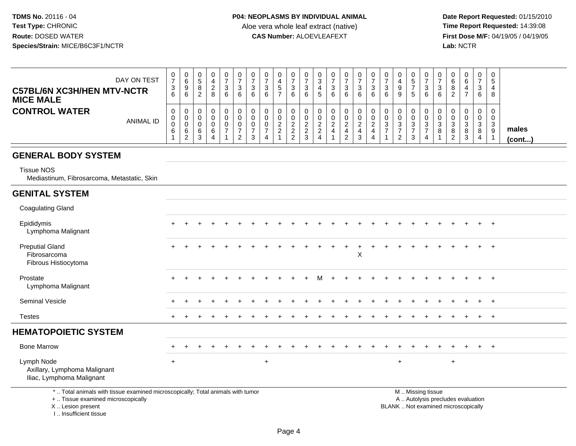**Date Report Requested:** 01/15/2010 **First Dose M/F:** 04/19/05 / 04/19/05<br>Lab: NCTR **Lab:** NCTR

| <b>C57BL/6N XC3H/HEN MTV-NCTR</b><br><b>MICE MALE</b><br><b>CONTROL WATER</b> | DAY ON TEST<br><b>ANIMAL ID</b> | 0<br>$\overline{7}$<br>3<br>6<br>0<br>0<br>$\mathbf 0$ | 0<br>$\overline{6}$<br>$\boldsymbol{9}$<br>6<br>0<br>$\boldsymbol{0}$<br>$\ddot{\mathbf{0}}$ | 0<br>$\sqrt{5}$<br>8<br>$\overline{2}$<br>0<br>$\mathbf 0$<br>$\mathbf 0$ | 0<br>4<br>$\sqrt{2}$<br>8<br>0<br>$\mathbf 0$<br>$\mathbf 0$ | $\begin{array}{c} 0 \\ 7 \end{array}$<br>$\sqrt{3}$<br>6<br>$\mathbf 0$<br>$\pmb{0}$<br>$\pmb{0}$ | $\frac{0}{7}$<br>$\sqrt{3}$<br>6<br>$\pmb{0}$<br>$\mathbf 0$<br>$\pmb{0}$ | 0<br>$\overline{7}$<br>$\mathbf{3}$<br>6<br>0<br>$\mathbf 0$<br>$\mathbf 0$ | 0<br>$\overline{7}$<br>3<br>6<br>0<br>$\mathbf 0$<br>0 | 0<br>$\overline{\mathbf{4}}$<br>5<br>$\overline{7}$<br>$\mathbf 0$<br>$\mathbf 0$<br>$\sqrt{2}$ | 0<br>$\overline{7}$<br>$\sqrt{3}$<br>6<br>0<br>0 | 0<br>$\boldsymbol{7}$<br>3<br>6<br>$\pmb{0}$<br>$\mathbf 0$ | $\boldsymbol{0}$<br>$\ensuremath{\mathsf{3}}$<br>$\overline{4}$<br>5<br>0<br>$\pmb{0}$<br>$\overline{2}$ | 0<br>$\overline{7}$<br>$\mathbf{3}$<br>6<br>0<br>$\mathbf 0$<br>$\sqrt{2}$ | $\frac{0}{7}$<br>$\sqrt{3}$<br>6<br>$\mathbf 0$<br>$\mathbf 0$<br>$\overline{2}$ | $\frac{0}{7}$<br>$\mathbf{3}$<br>6<br>0<br>$\mathbf 0$ | 0<br>$\overline{7}$<br>$\sqrt{3}$<br>6<br>$\pmb{0}$<br>$\mathbf 0$<br>$\overline{c}$ | $\pmb{0}$<br>$\overline{7}$<br>$\mathbf{3}$<br>6<br>$\mathbf 0$<br>$\mathbf 0$<br>$\sqrt{3}$ | 0<br>4<br>$\boldsymbol{9}$<br>9<br>0<br>0<br>$\sqrt{3}$ | $\pmb{0}$<br>$\overline{5}$<br>$\overline{7}$<br>5<br>0<br>0<br>$\sqrt{3}$ | 0<br>$\overline{7}$<br>$\mathbf{3}$<br>6<br>$\overline{0}$<br>$\mathbf 0$<br>$\mathbf{3}$ | $\frac{0}{7}$<br>$\sqrt{3}$<br>6<br>0<br>$\ddot{\mathbf{0}}$<br>$\overline{3}$ | 0<br>6<br>8<br>2<br>0<br>$\Omega$<br>$\mathbf{3}$ | 0<br>$\,6\,$<br>4<br>$\overline{7}$<br>0<br>$\mathbf 0$<br>$\sqrt{3}$ | 0<br>$\overline{7}$<br>3<br>6<br>0<br>$\mathbf{0}$<br>3 | 0<br>5<br>4<br>8<br>0<br>$\mathbf 0$<br>$\mathbf{3}$ |                       |
|-------------------------------------------------------------------------------|---------------------------------|--------------------------------------------------------|----------------------------------------------------------------------------------------------|---------------------------------------------------------------------------|--------------------------------------------------------------|---------------------------------------------------------------------------------------------------|---------------------------------------------------------------------------|-----------------------------------------------------------------------------|--------------------------------------------------------|-------------------------------------------------------------------------------------------------|--------------------------------------------------|-------------------------------------------------------------|----------------------------------------------------------------------------------------------------------|----------------------------------------------------------------------------|----------------------------------------------------------------------------------|--------------------------------------------------------|--------------------------------------------------------------------------------------|----------------------------------------------------------------------------------------------|---------------------------------------------------------|----------------------------------------------------------------------------|-------------------------------------------------------------------------------------------|--------------------------------------------------------------------------------|---------------------------------------------------|-----------------------------------------------------------------------|---------------------------------------------------------|------------------------------------------------------|-----------------------|
|                                                                               |                                 | $\,6$                                                  | $\,6\,$<br>$\overline{2}$                                                                    | 6<br>3                                                                    | 6<br>$\overline{4}$                                          | $\overline{7}$                                                                                    | $\overline{7}$<br>$\overline{2}$                                          | $\overline{7}$<br>3                                                         | $\overline{7}$<br>4                                    | $\overline{c}$                                                                                  | $\frac{2}{2}$                                    | $\frac{2}{2}$<br>3                                          | $\boldsymbol{2}$<br>$\overline{4}$                                                                       | $\overline{4}$                                                             | $\overline{\mathbf{4}}$<br>$\overline{2}$                                        | $\frac{2}{4}$<br>$\mathbf{3}$                          | $\overline{4}$<br>4                                                                  | $\overline{7}$                                                                               | $\overline{7}$<br>$\overline{2}$                        | $\overline{7}$<br>3                                                        | $\overline{7}$<br>$\overline{4}$                                                          | 8                                                                              | 8<br>2                                            | 8<br>3                                                                | 8<br>4                                                  | $\boldsymbol{9}$<br>$\overline{1}$                   | males<br>$($ cont $)$ |
| <b>GENERAL BODY SYSTEM</b>                                                    |                                 |                                                        |                                                                                              |                                                                           |                                                              |                                                                                                   |                                                                           |                                                                             |                                                        |                                                                                                 |                                                  |                                                             |                                                                                                          |                                                                            |                                                                                  |                                                        |                                                                                      |                                                                                              |                                                         |                                                                            |                                                                                           |                                                                                |                                                   |                                                                       |                                                         |                                                      |                       |
| <b>Tissue NOS</b><br>Mediastinum, Fibrosarcoma, Metastatic, Skin              |                                 |                                                        |                                                                                              |                                                                           |                                                              |                                                                                                   |                                                                           |                                                                             |                                                        |                                                                                                 |                                                  |                                                             |                                                                                                          |                                                                            |                                                                                  |                                                        |                                                                                      |                                                                                              |                                                         |                                                                            |                                                                                           |                                                                                |                                                   |                                                                       |                                                         |                                                      |                       |
| <b>GENITAL SYSTEM</b>                                                         |                                 |                                                        |                                                                                              |                                                                           |                                                              |                                                                                                   |                                                                           |                                                                             |                                                        |                                                                                                 |                                                  |                                                             |                                                                                                          |                                                                            |                                                                                  |                                                        |                                                                                      |                                                                                              |                                                         |                                                                            |                                                                                           |                                                                                |                                                   |                                                                       |                                                         |                                                      |                       |
| <b>Coagulating Gland</b>                                                      |                                 |                                                        |                                                                                              |                                                                           |                                                              |                                                                                                   |                                                                           |                                                                             |                                                        |                                                                                                 |                                                  |                                                             |                                                                                                          |                                                                            |                                                                                  |                                                        |                                                                                      |                                                                                              |                                                         |                                                                            |                                                                                           |                                                                                |                                                   |                                                                       |                                                         |                                                      |                       |
| Epididymis<br>Lymphoma Malignant                                              |                                 |                                                        |                                                                                              |                                                                           |                                                              |                                                                                                   |                                                                           |                                                                             |                                                        |                                                                                                 |                                                  |                                                             |                                                                                                          |                                                                            |                                                                                  |                                                        |                                                                                      |                                                                                              |                                                         |                                                                            |                                                                                           |                                                                                |                                                   |                                                                       | $\ddot{}$                                               | $+$                                                  |                       |
| <b>Preputial Gland</b><br>Fibrosarcoma<br>Fibrous Histiocytoma                |                                 | $+$                                                    |                                                                                              |                                                                           |                                                              |                                                                                                   |                                                                           |                                                                             |                                                        |                                                                                                 |                                                  |                                                             |                                                                                                          |                                                                            |                                                                                  | $\pmb{\times}$                                         |                                                                                      |                                                                                              |                                                         |                                                                            |                                                                                           |                                                                                |                                                   |                                                                       |                                                         | $+$                                                  |                       |
| Prostate<br>Lymphoma Malignant                                                |                                 |                                                        |                                                                                              |                                                                           |                                                              |                                                                                                   |                                                                           |                                                                             |                                                        |                                                                                                 |                                                  |                                                             |                                                                                                          |                                                                            |                                                                                  |                                                        |                                                                                      |                                                                                              |                                                         |                                                                            |                                                                                           |                                                                                |                                                   |                                                                       | $\ddot{}$                                               | $+$                                                  |                       |
| <b>Seminal Vesicle</b>                                                        |                                 |                                                        |                                                                                              |                                                                           |                                                              |                                                                                                   |                                                                           |                                                                             |                                                        |                                                                                                 |                                                  |                                                             |                                                                                                          |                                                                            |                                                                                  |                                                        |                                                                                      |                                                                                              |                                                         |                                                                            |                                                                                           |                                                                                |                                                   |                                                                       | $\ddot{}$                                               | $+$                                                  |                       |
| <b>Testes</b>                                                                 |                                 |                                                        |                                                                                              |                                                                           |                                                              |                                                                                                   |                                                                           |                                                                             |                                                        |                                                                                                 |                                                  |                                                             |                                                                                                          |                                                                            |                                                                                  |                                                        |                                                                                      |                                                                                              |                                                         |                                                                            |                                                                                           |                                                                                |                                                   |                                                                       |                                                         | $+$                                                  |                       |
| <b>HEMATOPOIETIC SYSTEM</b>                                                   |                                 |                                                        |                                                                                              |                                                                           |                                                              |                                                                                                   |                                                                           |                                                                             |                                                        |                                                                                                 |                                                  |                                                             |                                                                                                          |                                                                            |                                                                                  |                                                        |                                                                                      |                                                                                              |                                                         |                                                                            |                                                                                           |                                                                                |                                                   |                                                                       |                                                         |                                                      |                       |
| <b>Bone Marrow</b>                                                            |                                 |                                                        |                                                                                              |                                                                           |                                                              |                                                                                                   |                                                                           |                                                                             |                                                        |                                                                                                 |                                                  |                                                             |                                                                                                          |                                                                            |                                                                                  |                                                        |                                                                                      |                                                                                              |                                                         |                                                                            |                                                                                           |                                                                                |                                                   |                                                                       |                                                         | $\ddot{}$                                            |                       |

mpn Node<br>Axillary, Lymphoma Malignant Iliac, Lymphoma Malignant

Lymph Node

\* .. Total animals with tissue examined microscopically; Total animals with tumor

+ .. Tissue examined microscopically

X .. Lesion present

I .. Insufficient tissue

 M .. Missing tissuey the contract of the contract of the contract of the contract of the contract of the contract of the contract of  $A$ . Autolysis precludes evaluation Lesion present BLANK .. Not examined microscopically

<sup>+</sup> <sup>+</sup> <sup>+</sup>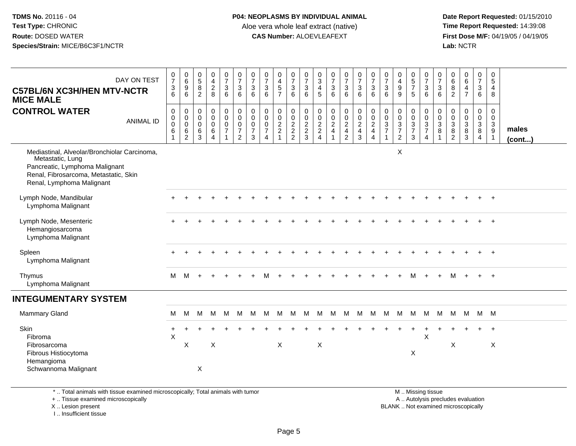**Date Report Requested:** 01/15/2010 **First Dose M/F:** 04/19/05 / 04/19/05<br>Lab: NCTR **Lab:** NCTR

| DAY ON TEST<br><b>C57BL/6N XC3H/HEN MTV-NCTR</b><br><b>MICE MALE</b>                                                                                                     | $\frac{0}{7}$<br>$\frac{3}{6}$               | $\begin{array}{c} 0 \\ 6 \end{array}$<br>$\overline{9}$<br>$6\phantom{a}$ | $\begin{array}{c} 0 \\ 5 \\ 8 \end{array}$<br>$\sqrt{2}$ | $\begin{array}{c} 0 \\ 4 \\ 2 \\ 8 \end{array}$                      | $\frac{0}{7}$<br>3<br>$\,6\,$                             | $\frac{0}{7}$<br>6                                                            | $\frac{0}{7}$<br>3<br>6                                        | $\frac{0}{7}$<br>$\mathbf{3}$<br>6              | $0$<br>4<br>5<br>7                                       | $\frac{0}{7}$<br>$\sqrt{3}$<br>$\,6\,$    | $\begin{matrix} 0 \\ 7 \\ 3 \end{matrix}$<br>$6\phantom{1}6$   | $\frac{0}{3}$<br>4<br>5              | $\frac{0}{7}$<br>$\frac{3}{6}$                 | $\frac{0}{7}$<br>$\mathbf{3}$<br>$\overline{6}$                           | $\frac{0}{7}$<br>$\frac{3}{6}$ | $\frac{0}{7}$<br>$\frac{3}{6}$                                   | $\frac{0}{7}$<br>$\mathbf{3}$<br>6                 | 0<br>$\begin{array}{c} 4 \\ 9 \end{array}$<br>9                            | $\begin{array}{c} 0 \\ 5 \\ 7 \end{array}$<br>5                    | 0736                                                        | $\frac{0}{7}$<br>$\mathbf{3}$<br>$6\phantom{a}$                                     | $\begin{matrix} 0 \\ 6 \end{matrix}$<br>8<br>$\sqrt{2}$                            | $\begin{array}{c} 0 \\ 6 \end{array}$<br>$\overline{4}$<br>$\overline{7}$ | 0<br>$\overline{7}$<br>$\mathbf{3}$<br>6                | 0<br>5<br>4<br>8                                                  |                       |
|--------------------------------------------------------------------------------------------------------------------------------------------------------------------------|----------------------------------------------|---------------------------------------------------------------------------|----------------------------------------------------------|----------------------------------------------------------------------|-----------------------------------------------------------|-------------------------------------------------------------------------------|----------------------------------------------------------------|-------------------------------------------------|----------------------------------------------------------|-------------------------------------------|----------------------------------------------------------------|--------------------------------------|------------------------------------------------|---------------------------------------------------------------------------|--------------------------------|------------------------------------------------------------------|----------------------------------------------------|----------------------------------------------------------------------------|--------------------------------------------------------------------|-------------------------------------------------------------|-------------------------------------------------------------------------------------|------------------------------------------------------------------------------------|---------------------------------------------------------------------------|---------------------------------------------------------|-------------------------------------------------------------------|-----------------------|
| <b>CONTROL WATER</b><br><b>ANIMAL ID</b>                                                                                                                                 | $\mathbf 0$<br>$_{\rm 0}^{\rm 0}$<br>$\,6\,$ | 0<br>$\pmb{0}$<br>$\mathsf 0$<br>$\,6$<br>$\overline{2}$                  | 0<br>$\mathbf 0$<br>0<br>6<br>$\mathbf{3}$               | $\mathbf 0$<br>$\mathbf 0$<br>$\mathbf 0$<br>$\,6$<br>$\overline{4}$ | 0<br>$\mathsf{O}\xspace$<br>$\mathbf 0$<br>$\overline{7}$ | $\mathbf 0$<br>$\tilde{0}$<br>$\mathbf 0$<br>$\overline{7}$<br>$\overline{2}$ | 0<br>$\ddot{\mathbf{0}}$<br>$\mathbf 0$<br>$\overline{7}$<br>3 | 0<br>0<br>0<br>$\overline{7}$<br>$\overline{4}$ | $\mathbf 0$<br>$\ddot{\mathbf{0}}$<br>$\frac{2}{2}$<br>1 | 0<br>$\mathsf{O}\xspace$<br>$\frac{2}{2}$ | $\mathbf 0$<br>$\begin{array}{c} 0 \\ 2 \\ 2 \\ 3 \end{array}$ | 0<br>$\pmb{0}$<br>$\frac{2}{2}$<br>4 | $\mathbf 0$<br>$\frac{0}{2}$<br>$\overline{1}$ | $\pmb{0}$<br>$\begin{array}{c} 0 \\ 2 \\ 4 \end{array}$<br>$\overline{2}$ | 0<br>$\frac{0}{2}$<br>3        | $\mathbf 0$<br>$\overline{0}$<br>$\frac{2}{4}$<br>$\overline{4}$ | 0<br>$\mathbf 0$<br>$\mathbf{3}$<br>$\overline{7}$ | $\mathbf 0$<br>$\pmb{0}$<br>$\sqrt{3}$<br>$\overline{7}$<br>$\overline{2}$ | 0<br>$\pmb{0}$<br>$\ensuremath{\mathsf{3}}$<br>$\overline{7}$<br>3 | 0<br>$\ddot{\mathbf{0}}$<br>$\frac{3}{7}$<br>$\overline{4}$ | $\mathbf 0$<br>$\overline{0}$<br>$\overline{3}$<br>$\overline{8}$<br>$\overline{1}$ | 0<br>$\mathbf 0$<br>$\mathbf{3}$<br>$\begin{smallmatrix} 8 \\ 2 \end{smallmatrix}$ | $\mathbf 0$<br>$\pmb{0}$<br>$\sqrt{3}$<br>8<br>$\mathbf{3}$               | 0<br>$\mathbf 0$<br>$\mathbf{3}$<br>8<br>$\overline{4}$ | $\mathbf 0$<br>$\mathbf 0$<br>$\mathbf{3}$<br>9<br>$\overline{1}$ | males<br>$($ cont $)$ |
| Mediastinal, Alveolar/Bronchiolar Carcinoma,<br>Metastatic, Lung<br>Pancreatic, Lymphoma Malignant<br>Renal, Fibrosarcoma, Metastatic, Skin<br>Renal, Lymphoma Malignant |                                              |                                                                           |                                                          |                                                                      |                                                           |                                                                               |                                                                |                                                 |                                                          |                                           |                                                                |                                      |                                                |                                                                           |                                |                                                                  |                                                    | X                                                                          |                                                                    |                                                             |                                                                                     |                                                                                    |                                                                           |                                                         |                                                                   |                       |
| Lymph Node, Mandibular<br>Lymphoma Malignant                                                                                                                             |                                              |                                                                           |                                                          |                                                                      |                                                           |                                                                               |                                                                |                                                 |                                                          |                                           |                                                                |                                      |                                                |                                                                           |                                |                                                                  |                                                    |                                                                            |                                                                    |                                                             |                                                                                     |                                                                                    |                                                                           |                                                         |                                                                   |                       |
| Lymph Node, Mesenteric<br>Hemangiosarcoma<br>Lymphoma Malignant                                                                                                          |                                              |                                                                           |                                                          |                                                                      |                                                           |                                                                               |                                                                |                                                 |                                                          |                                           |                                                                |                                      |                                                |                                                                           |                                |                                                                  |                                                    |                                                                            |                                                                    |                                                             |                                                                                     |                                                                                    |                                                                           |                                                         |                                                                   |                       |
| Spleen<br>Lymphoma Malignant                                                                                                                                             | $\ddot{}$                                    |                                                                           |                                                          |                                                                      |                                                           |                                                                               |                                                                |                                                 |                                                          |                                           |                                                                |                                      |                                                |                                                                           |                                |                                                                  |                                                    |                                                                            |                                                                    |                                                             |                                                                                     |                                                                                    |                                                                           |                                                         | $+$                                                               |                       |
| Thymus<br>Lymphoma Malignant                                                                                                                                             | M                                            | M                                                                         |                                                          |                                                                      |                                                           |                                                                               |                                                                |                                                 |                                                          |                                           |                                                                |                                      |                                                |                                                                           |                                |                                                                  |                                                    |                                                                            | м                                                                  |                                                             | $+$                                                                                 | м                                                                                  |                                                                           | $+$                                                     | $+$                                                               |                       |
| <b>INTEGUMENTARY SYSTEM</b>                                                                                                                                              |                                              |                                                                           |                                                          |                                                                      |                                                           |                                                                               |                                                                |                                                 |                                                          |                                           |                                                                |                                      |                                                |                                                                           |                                |                                                                  |                                                    |                                                                            |                                                                    |                                                             |                                                                                     |                                                                                    |                                                                           |                                                         |                                                                   |                       |
| <b>Mammary Gland</b>                                                                                                                                                     | M                                            | м                                                                         | M                                                        | М                                                                    | M                                                         | M                                                                             | M                                                              | M                                               | M                                                        | M                                         | M                                                              | M                                    |                                                | M M                                                                       | M                              | M                                                                | M                                                  |                                                                            | M M                                                                | M                                                           | M                                                                                   |                                                                                    | M M M M                                                                   |                                                         |                                                                   |                       |
| Skin<br>Fibroma<br>Fibrosarcoma                                                                                                                                          | $\pm$<br>X                                   | Χ                                                                         |                                                          | $\boldsymbol{\mathsf{X}}$                                            |                                                           |                                                                               |                                                                |                                                 | X                                                        |                                           |                                                                | $\boldsymbol{\mathsf{X}}$            |                                                |                                                                           |                                |                                                                  |                                                    |                                                                            |                                                                    | $\times$                                                    |                                                                                     | X                                                                                  |                                                                           |                                                         | $\ddot{}$<br>X                                                    |                       |
| Fibrous Histiocytoma<br>Hemangioma<br>Schwannoma Malignant                                                                                                               |                                              |                                                                           | $\mathsf X$                                              |                                                                      |                                                           |                                                                               |                                                                |                                                 |                                                          |                                           |                                                                |                                      |                                                |                                                                           |                                |                                                                  |                                                    |                                                                            | X                                                                  |                                                             |                                                                                     |                                                                                    |                                                                           |                                                         |                                                                   |                       |
| *  Total animals with tissue examined microscopically; Total animals with tumor                                                                                          |                                              |                                                                           |                                                          |                                                                      |                                                           |                                                                               |                                                                |                                                 |                                                          |                                           |                                                                |                                      |                                                |                                                                           |                                |                                                                  |                                                    |                                                                            |                                                                    | M  Missing tissue                                           |                                                                                     |                                                                                    |                                                                           |                                                         |                                                                   |                       |

+ .. Tissue examined microscopically

X .. Lesion present

I .. Insufficient tissue

y the contract of the contract of the contract of the contract of the contract of the contract of the contract of  $A$ . Autolysis precludes evaluation Lesion present BLANK .. Not examined microscopically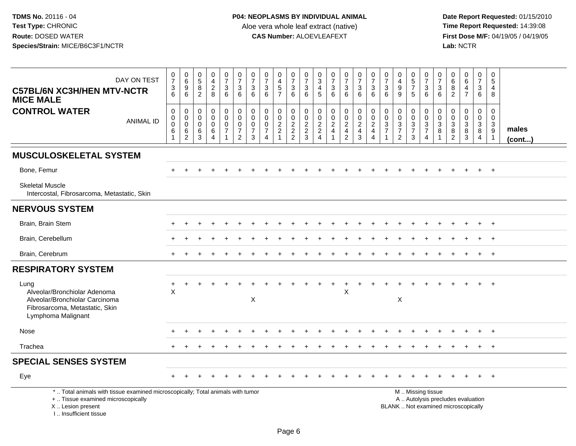| DAY ON TEST<br><b>C57BL/6N XC3H/HEN MTV-NCTR</b><br><b>MICE MALE</b>                                                                                                 | $\frac{0}{7}$<br>$\frac{3}{6}$  | 0<br>0<br>0<br>0<br>0                                                  | $\begin{smallmatrix} 0\\5 \end{smallmatrix}$<br>$\frac{8}{2}$ | $_4^{\rm 0}$<br>$\overline{c}$<br>8                                | $\frac{0}{7}$<br>$\mathbf{3}$<br>6                                               | $\frac{0}{7}$<br>$\sqrt{3}$<br>6                                                   | $\frac{0}{7}$<br>3<br>6                                          | 0<br>$\overline{7}$<br>$\ensuremath{\mathsf{3}}$<br>6                         | $\pmb{0}$<br>$\overline{4}$<br>$\frac{1}{7}$                 | $\mathbf 0$<br>$\overline{7}$<br>$\frac{3}{6}$ | $\frac{0}{7}$<br>$\frac{3}{6}$                                   | $\mathbf 0$<br>3<br>$\overline{4}$<br>5                                      | 0<br>$\overline{7}$<br>3<br>6                                                           | $\frac{0}{7}$<br>3<br>$6\phantom{1}$ | $\frac{0}{7}$<br>$\frac{3}{6}$  | $\frac{0}{7}$<br>$\ensuremath{\mathsf{3}}$<br>$6\phantom{1}$                     | $\frac{0}{7}$<br>$\ensuremath{\mathsf{3}}$<br>6                              | 0<br>$\overline{4}$<br>$\boldsymbol{9}$<br>9                | $\begin{array}{c} 0 \\ 5 \end{array}$<br>$\overline{7}$<br>5 | $\frac{0}{7}$<br>$\frac{3}{6}$                                            | $\pmb{0}$<br>$\overline{7}$<br>$\ensuremath{\mathsf{3}}$<br>$6\phantom{1}6$ | 0<br>6<br>8<br>$\overline{2}$                     | $\begin{array}{c} 0 \\ 6 \end{array}$<br>4<br>$\overline{7}$                               | 0<br>$\overline{7}$<br>$\ensuremath{\mathsf{3}}$<br>$6\phantom{1}$ | 0<br>5<br>4<br>8                                                |                       |
|----------------------------------------------------------------------------------------------------------------------------------------------------------------------|---------------------------------|------------------------------------------------------------------------|---------------------------------------------------------------|--------------------------------------------------------------------|----------------------------------------------------------------------------------|------------------------------------------------------------------------------------|------------------------------------------------------------------|-------------------------------------------------------------------------------|--------------------------------------------------------------|------------------------------------------------|------------------------------------------------------------------|------------------------------------------------------------------------------|-----------------------------------------------------------------------------------------|--------------------------------------|---------------------------------|----------------------------------------------------------------------------------|------------------------------------------------------------------------------|-------------------------------------------------------------|--------------------------------------------------------------|---------------------------------------------------------------------------|-----------------------------------------------------------------------------|---------------------------------------------------|--------------------------------------------------------------------------------------------|--------------------------------------------------------------------|-----------------------------------------------------------------|-----------------------|
| <b>CONTROL WATER</b><br><b>ANIMAL ID</b>                                                                                                                             | $\mathbf 0$<br>0<br>0<br>6<br>1 | $\mathbf 0$<br>$\mathbf 0$<br>$\mathbf 0$<br>$\,6\,$<br>$\overline{c}$ | $\mathsf{O}\xspace$<br>0<br>$\mathbf 0$<br>$\,6\,$<br>3       | $\mathbf 0$<br>$\mathbf 0$<br>$\pmb{0}$<br>$\,6$<br>$\overline{4}$ | $\overline{0}$<br>$\mathbf 0$<br>$\mathbf 0$<br>$\overline{7}$<br>$\overline{1}$ | $\mathbf 0$<br>$\boldsymbol{0}$<br>$\mathbf 0$<br>$\overline{7}$<br>$\overline{2}$ | $\mathbf 0$<br>$\mathbf 0$<br>$\mathbf 0$<br>$\overline{7}$<br>3 | $\mathbf 0$<br>$\mathbf 0$<br>$\mathbf 0$<br>$\overline{7}$<br>$\overline{4}$ | 0<br>0<br>$\overline{2}$<br>$\overline{c}$<br>$\overline{ }$ | 0<br>$\mathbf 0$<br>$\frac{2}{2}$              | $\mathbf 0$<br>$\begin{array}{c}\n0 \\ 2 \\ 2 \\ 3\n\end{array}$ | $\mathbf 0$<br>$\mathbf 0$<br>$\overline{2}$<br>$\sqrt{2}$<br>$\overline{4}$ | $\mathbf 0$<br>$\mathbf 0$<br>$\overline{2}$<br>$\overline{\mathbf{4}}$<br>$\mathbf{1}$ | 0<br>$\frac{0}{2}$<br>$\frac{4}{2}$  | $\pmb{0}$<br>$\frac{0}{2}$<br>3 | $\mathbf 0$<br>$\mathsf 0$<br>$\overline{2}$<br>$\overline{4}$<br>$\overline{4}$ | $\mathbf 0$<br>$\mathbf 0$<br>$\sqrt{3}$<br>$\overline{7}$<br>$\overline{1}$ | $\pmb{0}$<br>$\mathbf 0$<br>$\frac{3}{7}$<br>$\overline{2}$ | 0<br>$\mathbf 0$<br>$\mathbf{3}$<br>$\overline{7}$<br>3      | $\pmb{0}$<br>$\begin{array}{c} 0 \\ 3 \\ 7 \end{array}$<br>$\overline{4}$ | 0<br>$\boldsymbol{0}$<br>$\overline{3}$<br>8<br>$\mathbf{1}$                | 0<br>0<br>$\sqrt{3}$<br>$\bf 8$<br>$\overline{2}$ | $\mathbf 0$<br>$\mathsf{O}\xspace$<br>$\ensuremath{\mathsf{3}}$<br>$\bf 8$<br>$\mathbf{3}$ | 0<br>$\mathbf 0$<br>$\mathbf{3}$<br>$\bf{8}$<br>$\overline{4}$     | $\mathbf 0$<br>$\mathbf 0$<br>$\mathbf{3}$<br>9<br>$\mathbf{1}$ | males<br>$($ cont $)$ |
| <b>MUSCULOSKELETAL SYSTEM</b>                                                                                                                                        |                                 |                                                                        |                                                               |                                                                    |                                                                                  |                                                                                    |                                                                  |                                                                               |                                                              |                                                |                                                                  |                                                                              |                                                                                         |                                      |                                 |                                                                                  |                                                                              |                                                             |                                                              |                                                                           |                                                                             |                                                   |                                                                                            |                                                                    |                                                                 |                       |
| Bone, Femur                                                                                                                                                          |                                 |                                                                        |                                                               |                                                                    |                                                                                  |                                                                                    |                                                                  |                                                                               |                                                              |                                                |                                                                  |                                                                              |                                                                                         |                                      |                                 |                                                                                  |                                                                              |                                                             |                                                              |                                                                           |                                                                             |                                                   |                                                                                            |                                                                    | $+$                                                             |                       |
| <b>Skeletal Muscle</b><br>Intercostal, Fibrosarcoma, Metastatic, Skin                                                                                                |                                 |                                                                        |                                                               |                                                                    |                                                                                  |                                                                                    |                                                                  |                                                                               |                                                              |                                                |                                                                  |                                                                              |                                                                                         |                                      |                                 |                                                                                  |                                                                              |                                                             |                                                              |                                                                           |                                                                             |                                                   |                                                                                            |                                                                    |                                                                 |                       |
| <b>NERVOUS SYSTEM</b>                                                                                                                                                |                                 |                                                                        |                                                               |                                                                    |                                                                                  |                                                                                    |                                                                  |                                                                               |                                                              |                                                |                                                                  |                                                                              |                                                                                         |                                      |                                 |                                                                                  |                                                                              |                                                             |                                                              |                                                                           |                                                                             |                                                   |                                                                                            |                                                                    |                                                                 |                       |
| Brain, Brain Stem                                                                                                                                                    |                                 |                                                                        |                                                               |                                                                    |                                                                                  |                                                                                    |                                                                  |                                                                               |                                                              |                                                |                                                                  |                                                                              |                                                                                         |                                      |                                 |                                                                                  |                                                                              |                                                             |                                                              |                                                                           |                                                                             |                                                   |                                                                                            |                                                                    |                                                                 |                       |
| Brain, Cerebellum                                                                                                                                                    |                                 |                                                                        |                                                               |                                                                    |                                                                                  |                                                                                    |                                                                  |                                                                               |                                                              |                                                |                                                                  |                                                                              |                                                                                         |                                      |                                 |                                                                                  |                                                                              |                                                             |                                                              |                                                                           |                                                                             |                                                   |                                                                                            |                                                                    | $\overline{1}$                                                  |                       |
| Brain, Cerebrum                                                                                                                                                      |                                 |                                                                        |                                                               |                                                                    |                                                                                  |                                                                                    |                                                                  |                                                                               |                                                              |                                                |                                                                  |                                                                              |                                                                                         |                                      |                                 |                                                                                  |                                                                              |                                                             |                                                              |                                                                           |                                                                             |                                                   |                                                                                            |                                                                    | $^{+}$                                                          |                       |
| <b>RESPIRATORY SYSTEM</b>                                                                                                                                            |                                 |                                                                        |                                                               |                                                                    |                                                                                  |                                                                                    |                                                                  |                                                                               |                                                              |                                                |                                                                  |                                                                              |                                                                                         |                                      |                                 |                                                                                  |                                                                              |                                                             |                                                              |                                                                           |                                                                             |                                                   |                                                                                            |                                                                    |                                                                 |                       |
| Lung<br>Alveolar/Bronchiolar Adenoma<br>Alveolar/Bronchiolar Carcinoma<br>Fibrosarcoma, Metastatic, Skin<br>Lymphoma Malignant                                       | +<br>$\boldsymbol{\mathsf{X}}$  |                                                                        |                                                               |                                                                    |                                                                                  |                                                                                    | $\mathsf X$                                                      |                                                                               |                                                              |                                                |                                                                  |                                                                              |                                                                                         | $\sf X$                              |                                 |                                                                                  |                                                                              | $\boldsymbol{\mathsf{X}}$                                   |                                                              |                                                                           |                                                                             |                                                   |                                                                                            |                                                                    | $\overline{ }$                                                  |                       |
| Nose                                                                                                                                                                 |                                 |                                                                        |                                                               |                                                                    |                                                                                  |                                                                                    |                                                                  |                                                                               |                                                              |                                                |                                                                  |                                                                              |                                                                                         |                                      |                                 |                                                                                  |                                                                              |                                                             |                                                              |                                                                           |                                                                             |                                                   |                                                                                            |                                                                    | $^{+}$                                                          |                       |
| Trachea                                                                                                                                                              |                                 |                                                                        |                                                               |                                                                    |                                                                                  |                                                                                    |                                                                  |                                                                               |                                                              |                                                |                                                                  |                                                                              |                                                                                         |                                      |                                 |                                                                                  |                                                                              |                                                             |                                                              |                                                                           |                                                                             |                                                   |                                                                                            |                                                                    | $+$                                                             |                       |
| <b>SPECIAL SENSES SYSTEM</b>                                                                                                                                         |                                 |                                                                        |                                                               |                                                                    |                                                                                  |                                                                                    |                                                                  |                                                                               |                                                              |                                                |                                                                  |                                                                              |                                                                                         |                                      |                                 |                                                                                  |                                                                              |                                                             |                                                              |                                                                           |                                                                             |                                                   |                                                                                            |                                                                    |                                                                 |                       |
| Eye                                                                                                                                                                  |                                 |                                                                        |                                                               |                                                                    |                                                                                  |                                                                                    |                                                                  |                                                                               |                                                              |                                                |                                                                  |                                                                              |                                                                                         |                                      |                                 |                                                                                  |                                                                              |                                                             |                                                              |                                                                           |                                                                             |                                                   |                                                                                            |                                                                    |                                                                 |                       |
| *  Total animals with tissue examined microscopically; Total animals with tumor<br>+  Tissue examined microscopically<br>X  Lesion present<br>L. Insufficient tissue |                                 |                                                                        |                                                               |                                                                    |                                                                                  |                                                                                    |                                                                  |                                                                               |                                                              |                                                |                                                                  |                                                                              |                                                                                         |                                      |                                 |                                                                                  |                                                                              | M  Missing tissue                                           |                                                              |                                                                           |                                                                             |                                                   | A  Autolysis precludes evaluation<br>BLANK  Not examined microscopically                   |                                                                    |                                                                 |                       |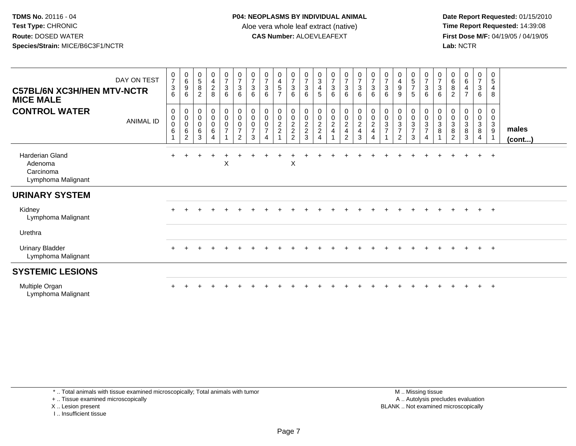**Date Report Requested:** 01/15/2010 **First Dose M/F:** 04/19/05 / 04/19/05<br>Lab: NCTR **Lab:** NCTR

| <b>C57BL/6N XC3H/HEN MTV-NCTR</b><br><b>MICE MALE</b>                | DAY ON TEST      | $\frac{0}{7}$<br>$\sqrt{3}$<br>6 | $\boldsymbol{0}$<br>6<br>9<br>6             | 0<br>$\,$ 5 $\,$<br>$\overline{8}$<br>2       | 0<br>$\overline{4}$<br>$\overline{c}$<br>8                 | $\frac{0}{7}$<br>$\mathfrak{S}$<br>6    | $\frac{0}{7}$<br>$\mathbf{3}$<br>6                                      | $\boldsymbol{0}$<br>$\overline{7}$<br>$\mathbf{3}$<br>6 | $\mathbf 0$<br>$\overline{7}$<br>$\ensuremath{\mathsf{3}}$<br>6 | 0<br>$\overline{4}$<br>5<br>$\overline{7}$ | $\frac{0}{7}$<br>$\mathbf{3}$<br>6                        | $\frac{0}{7}$<br>$\sqrt{3}$<br>6     | $\boldsymbol{0}$<br>$\sqrt{3}$<br>$\overline{4}$<br>5 | $\frac{0}{7}$<br>$\sqrt{3}$<br>6                                                      | 0<br>$\overline{7}$<br>3<br>6                                        | $\frac{0}{7}$<br>$\mathfrak{S}$<br>6                                          | 0<br>$\overline{7}$<br>$\sqrt{3}$<br>6 | $\boldsymbol{0}$<br>$\overline{7}$<br>$\sqrt{3}$<br>6 | 0<br>$\begin{array}{c} 4 \\ 9 \end{array}$<br>9           | $\begin{array}{c} 0 \\ 5 \end{array}$<br>$\overline{7}$<br>5 | $\frac{0}{7}$<br>$\mathbf{3}$<br>$6\phantom{.}6$                          | 0<br>$\overline{7}$<br>3<br>6 | 0<br>$\,6\,$<br>8<br>2                              | $\begin{array}{c} 0 \\ 6 \end{array}$<br>$\overline{\mathbf{4}}$<br>$\overline{7}$ | $\frac{0}{7}$<br>$\mathbf{3}$<br>6              | $\mathbf 0$<br>5<br>4<br>8 |                       |
|----------------------------------------------------------------------|------------------|----------------------------------|---------------------------------------------|-----------------------------------------------|------------------------------------------------------------|-----------------------------------------|-------------------------------------------------------------------------|---------------------------------------------------------|-----------------------------------------------------------------|--------------------------------------------|-----------------------------------------------------------|--------------------------------------|-------------------------------------------------------|---------------------------------------------------------------------------------------|----------------------------------------------------------------------|-------------------------------------------------------------------------------|----------------------------------------|-------------------------------------------------------|-----------------------------------------------------------|--------------------------------------------------------------|---------------------------------------------------------------------------|-------------------------------|-----------------------------------------------------|------------------------------------------------------------------------------------|-------------------------------------------------|----------------------------|-----------------------|
| <b>CONTROL WATER</b>                                                 | <b>ANIMAL ID</b> | 0<br>$\pmb{0}$<br>0<br>6<br>1    | 0<br>$\pmb{0}$<br>$\mathbf 0$<br>$\,6$<br>2 | $\,0\,$<br>$\pmb{0}$<br>$\mathbf 0$<br>6<br>3 | $\pmb{0}$<br>$\pmb{0}$<br>$\pmb{0}$<br>6<br>$\overline{4}$ | 0<br>$\mathsf 0$<br>0<br>$\overline{7}$ | $_{\rm 0}^{\rm 0}$<br>$\mathbf 0$<br>$\boldsymbol{7}$<br>$\overline{2}$ | $\pmb{0}$<br>$\mathbf 0$<br>0<br>$\overline{7}$<br>3    | $\pmb{0}$<br>$\pmb{0}$<br>$\mathbf 0$<br>$\overline{7}$<br>4    | 0<br>0<br>$\overline{c}$<br>$\overline{c}$ | $\pmb{0}$<br>$\pmb{0}$<br>$\frac{2}{2}$<br>$\overline{2}$ | 0<br>$\pmb{0}$<br>$\frac{2}{2}$<br>3 | 0<br>$\pmb{0}$<br>$\frac{2}{2}$<br>$\overline{4}$     | $\pmb{0}$<br>$\pmb{0}$<br>$\overline{c}$<br>$\overline{\mathbf{4}}$<br>$\overline{1}$ | 0<br>$\pmb{0}$<br>$\overline{2}$<br>$\overline{4}$<br>$\overline{2}$ | 0<br>$\mathsf 0$<br>$\overline{2}$<br>$\overline{\mathbf{4}}$<br>$\mathbf{3}$ | 0<br>$\pmb{0}$<br>$\sqrt{2}$<br>4<br>4 | $_{\rm 0}^{\rm 0}$<br>$\sqrt{3}$<br>$\overline{7}$    | $\pmb{0}$<br>$\pmb{0}$<br>$\frac{3}{7}$<br>$\overline{2}$ | 0<br>$\pmb{0}$<br>3<br>$\overline{7}$<br>3                   | $\pmb{0}$<br>$\pmb{0}$<br>$\mathsf 3$<br>$\overline{7}$<br>$\overline{4}$ | 0<br>0<br>3<br>8              | 0<br>0<br>$\mathbf{3}$<br>$\bf 8$<br>$\overline{2}$ | $\boldsymbol{0}$<br>$\pmb{0}$<br>$\sqrt{3}$<br>$\bf 8$<br>$\mathbf{3}$             | 0<br>$\boldsymbol{0}$<br>$\mathbf{3}$<br>8<br>4 | 0<br>$\mathbf 0$<br>3<br>9 | males<br>$($ cont $)$ |
| <b>Harderian Gland</b><br>Adenoma<br>Carcinoma<br>Lymphoma Malignant |                  | $+$                              |                                             |                                               |                                                            | X                                       |                                                                         |                                                         |                                                                 |                                            | X                                                         |                                      |                                                       |                                                                                       |                                                                      |                                                                               |                                        |                                                       |                                                           |                                                              |                                                                           |                               |                                                     |                                                                                    | $\ddot{}$                                       | $+$                        |                       |
| <b>URINARY SYSTEM</b>                                                |                  |                                  |                                             |                                               |                                                            |                                         |                                                                         |                                                         |                                                                 |                                            |                                                           |                                      |                                                       |                                                                                       |                                                                      |                                                                               |                                        |                                                       |                                                           |                                                              |                                                                           |                               |                                                     |                                                                                    |                                                 |                            |                       |
| Kidney<br>Lymphoma Malignant                                         |                  |                                  |                                             |                                               |                                                            |                                         |                                                                         |                                                         |                                                                 |                                            |                                                           |                                      |                                                       |                                                                                       |                                                                      |                                                                               |                                        |                                                       |                                                           |                                                              |                                                                           |                               |                                                     |                                                                                    | $+$ $+$                                         |                            |                       |
| Urethra                                                              |                  |                                  |                                             |                                               |                                                            |                                         |                                                                         |                                                         |                                                                 |                                            |                                                           |                                      |                                                       |                                                                                       |                                                                      |                                                                               |                                        |                                                       |                                                           |                                                              |                                                                           |                               |                                                     |                                                                                    |                                                 |                            |                       |
| <b>Urinary Bladder</b><br>Lymphoma Malignant                         |                  | $+$                              | $\ddot{}$                                   |                                               | $\overline{+}$                                             | $\pm$                                   |                                                                         |                                                         |                                                                 |                                            |                                                           |                                      |                                                       |                                                                                       |                                                                      |                                                                               |                                        |                                                       |                                                           |                                                              |                                                                           | $\pm$                         | $\pm$                                               | $\pm$                                                                              | $+$                                             | $+$                        |                       |
| <b>SYSTEMIC LESIONS</b>                                              |                  |                                  |                                             |                                               |                                                            |                                         |                                                                         |                                                         |                                                                 |                                            |                                                           |                                      |                                                       |                                                                                       |                                                                      |                                                                               |                                        |                                                       |                                                           |                                                              |                                                                           |                               |                                                     |                                                                                    |                                                 |                            |                       |
| Multiple Organ<br>Lymphoma Malignant                                 |                  |                                  |                                             |                                               |                                                            |                                         |                                                                         |                                                         |                                                                 |                                            |                                                           |                                      |                                                       |                                                                                       |                                                                      |                                                                               |                                        |                                                       |                                                           |                                                              |                                                                           |                               |                                                     |                                                                                    |                                                 | $\pm$                      |                       |

\* .. Total animals with tissue examined microscopically; Total animals with tumor

+ .. Tissue examined microscopically

X .. Lesion present

I .. Insufficient tissue

 M .. Missing tissuey the contract of the contract of the contract of the contract of the contract of the contract of the contract of  $A$ . Autolysis precludes evaluation Lesion present BLANK .. Not examined microscopically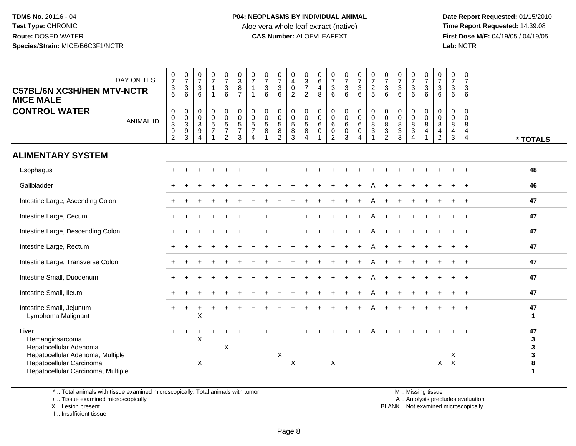**Date Report Requested:** 01/15/2010 **First Dose M/F:** 04/19/05 / 04/19/05<br>Lab: NCTR **Lab:** NCTR

| DAY ON TEST<br><b>C57BL/6N XC3H/HEN MTV-NCTR</b><br><b>MICE MALE</b>                                               | $\frac{0}{7}$<br>$\mathbf{3}$<br>6                                                        | $\begin{array}{c} 0 \\ 7 \end{array}$<br>3<br>6                      | $\frac{0}{7}$<br>$\mathbf{3}$<br>6                                    | $\begin{array}{c} 0 \\ 7 \end{array}$<br>$\mathbf{1}$<br>$\overline{1}$ | $\frac{0}{7}$<br>$\mathbf{3}$<br>6                                 | 0<br>$\sqrt{3}$<br>8<br>$\overline{7}$                  | $\frac{0}{7}$<br>$\mathbf{1}$<br>$\mathbf{1}$ | $\begin{smallmatrix}0\\7\end{smallmatrix}$<br>$\sqrt{3}$<br>$\,6\,$ | $\frac{0}{7}$<br>$\ensuremath{\mathsf{3}}$<br>6                                       | 0<br>$\overline{4}$<br>$\pmb{0}$<br>$\sqrt{2}$  | $\pmb{0}$<br>$\frac{3}{7}$<br>$\overline{2}$                          | 0<br>6<br>$\overline{4}$<br>8        | $\begin{smallmatrix}0\\7\end{smallmatrix}$<br>$\mathfrak{S}$<br>6 | $\frac{0}{7}$<br>$\sqrt{3}$<br>6                                   | $\frac{0}{7}$<br>$\mathbf{3}$<br>6                                     | $\frac{0}{7}$<br>$\overline{c}$<br>$\sqrt{5}$                          | $\frac{0}{7}$<br>3<br>6                                 | $\frac{0}{7}$<br>$\sqrt{3}$<br>6          | $\frac{0}{7}$<br>$\ensuremath{\mathsf{3}}$<br>6                  | $\boldsymbol{0}$<br>$\boldsymbol{7}$<br>$\mathsf 3$<br>6 | $\frac{0}{7}$<br>$\mathbf{3}$<br>6           | $\pmb{0}$<br>$\overline{7}$<br>3<br>6 | $\pmb{0}$<br>$\overline{7}$<br>$\mathbf{3}$<br>6       |                        |
|--------------------------------------------------------------------------------------------------------------------|-------------------------------------------------------------------------------------------|----------------------------------------------------------------------|-----------------------------------------------------------------------|-------------------------------------------------------------------------|--------------------------------------------------------------------|---------------------------------------------------------|-----------------------------------------------|---------------------------------------------------------------------|---------------------------------------------------------------------------------------|-------------------------------------------------|-----------------------------------------------------------------------|--------------------------------------|-------------------------------------------------------------------|--------------------------------------------------------------------|------------------------------------------------------------------------|------------------------------------------------------------------------|---------------------------------------------------------|-------------------------------------------|------------------------------------------------------------------|----------------------------------------------------------|----------------------------------------------|---------------------------------------|--------------------------------------------------------|------------------------|
| <b>CONTROL WATER</b><br><b>ANIMAL ID</b>                                                                           | $\pmb{0}$<br>$\pmb{0}$<br>$\ensuremath{\mathsf{3}}$<br>$\boldsymbol{9}$<br>$\overline{2}$ | 0<br>$\mathbf 0$<br>$\ensuremath{\mathsf{3}}$<br>9<br>$\overline{3}$ | $\mathbf 0$<br>$\mathbf 0$<br>3<br>$\boldsymbol{9}$<br>$\overline{4}$ | $\mathbf 0$<br>$\overline{0}$<br>$\frac{5}{7}$<br>1                     | 0<br>$\mathbf 0$<br>$\sqrt{5}$<br>$\overline{7}$<br>$\overline{2}$ | $\mathbf 0$<br>0<br>5<br>$\overline{7}$<br>$\mathbf{3}$ | $\mathbf 0$<br>0<br>5<br>$\overline{7}$<br>4  | 0<br>0<br>$\sqrt{5}$<br>$\bf 8$                                     | $\mathbf 0$<br>$\mathbf 0$<br>$\begin{array}{c} 5 \\ 8 \end{array}$<br>$\overline{2}$ | 0<br>0<br>$\sqrt{5}$<br>$\bf 8$<br>$\mathbf{3}$ | $\mathbf 0$<br>$\mathbf 0$<br>$\sqrt{5}$<br>$\bf 8$<br>$\overline{4}$ | 0<br>$\mathbf 0$<br>6<br>$\mathbf 0$ | 0<br>0<br>$\,6$<br>$\mathsf 0$<br>$\overline{2}$                  | $\mathbf 0$<br>$\mathbf 0$<br>$\,6\,$<br>$\pmb{0}$<br>$\mathbf{3}$ | $\mathbf 0$<br>$\mathbf 0$<br>$\,6\,$<br>$\mathbf 0$<br>$\overline{4}$ | $\pmb{0}$<br>$\boldsymbol{0}$<br>$\,8\,$<br>$\sqrt{3}$<br>$\mathbf{1}$ | 0<br>$\mathbf 0$<br>8<br>$\mathbf{3}$<br>$\overline{c}$ | 0<br>0<br>8<br>$\sqrt{3}$<br>$\mathbf{3}$ | 0<br>0<br>$\bf 8$<br>$\ensuremath{\mathsf{3}}$<br>$\overline{4}$ | $\mathbf 0$<br>0<br>8<br>$\overline{4}$                  | 0<br>$\mathbf 0$<br>8<br>4<br>$\overline{c}$ | 0<br>$\mathbf 0$<br>8<br>4<br>3       | $\mathsf 0$<br>$\mathbf 0$<br>8<br>4<br>$\overline{4}$ | * TOTALS               |
| <b>ALIMENTARY SYSTEM</b>                                                                                           |                                                                                           |                                                                      |                                                                       |                                                                         |                                                                    |                                                         |                                               |                                                                     |                                                                                       |                                                 |                                                                       |                                      |                                                                   |                                                                    |                                                                        |                                                                        |                                                         |                                           |                                                                  |                                                          |                                              |                                       |                                                        |                        |
| Esophagus                                                                                                          |                                                                                           |                                                                      |                                                                       |                                                                         |                                                                    |                                                         |                                               |                                                                     |                                                                                       |                                                 |                                                                       |                                      |                                                                   |                                                                    |                                                                        |                                                                        |                                                         |                                           |                                                                  |                                                          |                                              |                                       |                                                        | 48                     |
| Gallbladder                                                                                                        |                                                                                           |                                                                      |                                                                       |                                                                         |                                                                    |                                                         |                                               |                                                                     |                                                                                       |                                                 |                                                                       |                                      |                                                                   |                                                                    |                                                                        |                                                                        |                                                         |                                           |                                                                  |                                                          |                                              |                                       |                                                        | 46                     |
| Intestine Large, Ascending Colon                                                                                   |                                                                                           |                                                                      |                                                                       |                                                                         |                                                                    |                                                         |                                               |                                                                     |                                                                                       |                                                 |                                                                       |                                      |                                                                   |                                                                    |                                                                        |                                                                        |                                                         |                                           |                                                                  |                                                          |                                              |                                       |                                                        | 47                     |
| Intestine Large, Cecum                                                                                             |                                                                                           |                                                                      |                                                                       |                                                                         |                                                                    |                                                         |                                               |                                                                     |                                                                                       |                                                 |                                                                       |                                      |                                                                   |                                                                    |                                                                        |                                                                        |                                                         |                                           |                                                                  |                                                          |                                              |                                       |                                                        | 47                     |
| Intestine Large, Descending Colon                                                                                  |                                                                                           |                                                                      |                                                                       |                                                                         |                                                                    |                                                         |                                               |                                                                     |                                                                                       |                                                 |                                                                       |                                      |                                                                   |                                                                    |                                                                        |                                                                        |                                                         |                                           |                                                                  |                                                          |                                              |                                       |                                                        | 47                     |
| Intestine Large, Rectum                                                                                            |                                                                                           |                                                                      |                                                                       |                                                                         |                                                                    |                                                         |                                               |                                                                     |                                                                                       |                                                 |                                                                       |                                      |                                                                   |                                                                    |                                                                        |                                                                        |                                                         |                                           |                                                                  |                                                          |                                              |                                       |                                                        | 47                     |
| Intestine Large, Transverse Colon                                                                                  |                                                                                           |                                                                      |                                                                       |                                                                         |                                                                    |                                                         |                                               |                                                                     |                                                                                       |                                                 |                                                                       |                                      |                                                                   |                                                                    |                                                                        |                                                                        |                                                         |                                           |                                                                  |                                                          |                                              |                                       |                                                        | 47                     |
| Intestine Small, Duodenum                                                                                          |                                                                                           |                                                                      |                                                                       |                                                                         |                                                                    |                                                         |                                               |                                                                     |                                                                                       |                                                 |                                                                       |                                      |                                                                   |                                                                    |                                                                        |                                                                        |                                                         |                                           |                                                                  |                                                          |                                              |                                       |                                                        | 47                     |
| Intestine Small, Ileum                                                                                             |                                                                                           |                                                                      |                                                                       |                                                                         |                                                                    |                                                         |                                               |                                                                     |                                                                                       |                                                 |                                                                       |                                      |                                                                   |                                                                    |                                                                        |                                                                        |                                                         |                                           |                                                                  |                                                          |                                              |                                       |                                                        | 47                     |
| Intestine Small, Jejunum<br>Lymphoma Malignant                                                                     |                                                                                           |                                                                      | X                                                                     |                                                                         |                                                                    |                                                         |                                               |                                                                     |                                                                                       |                                                 |                                                                       |                                      |                                                                   |                                                                    |                                                                        |                                                                        |                                                         |                                           |                                                                  |                                                          |                                              |                                       |                                                        | 47<br>$\mathbf 1$      |
| Liver<br>Hemangiosarcoma<br>Hepatocellular Adenoma<br>Hepatocellular Adenoma, Multiple<br>Hepatocellular Carcinoma |                                                                                           | $\ddot{}$                                                            | $\mathsf X$<br>X                                                      |                                                                         | X                                                                  |                                                         |                                               |                                                                     | X                                                                                     | $\boldsymbol{\mathsf{X}}$                       |                                                                       |                                      | X                                                                 |                                                                    |                                                                        |                                                                        |                                                         |                                           |                                                                  |                                                          | X                                            | X<br>$\times$                         |                                                        | 47<br>3<br>3<br>3<br>8 |
| Hepatocellular Carcinoma, Multiple                                                                                 |                                                                                           |                                                                      |                                                                       |                                                                         |                                                                    |                                                         |                                               |                                                                     |                                                                                       |                                                 |                                                                       |                                      |                                                                   |                                                                    |                                                                        |                                                                        |                                                         |                                           |                                                                  |                                                          |                                              |                                       |                                                        | 1                      |

\* .. Total animals with tissue examined microscopically; Total animals with tumor

+ .. Tissue examined microscopically

 Lesion present BLANK .. Not examined microscopicallyX .. Lesion present

I .. Insufficient tissue

M .. Missing tissue

y the contract of the contract of the contract of the contract of the contract of the contract of the contract of  $A$ . Autolysis precludes evaluation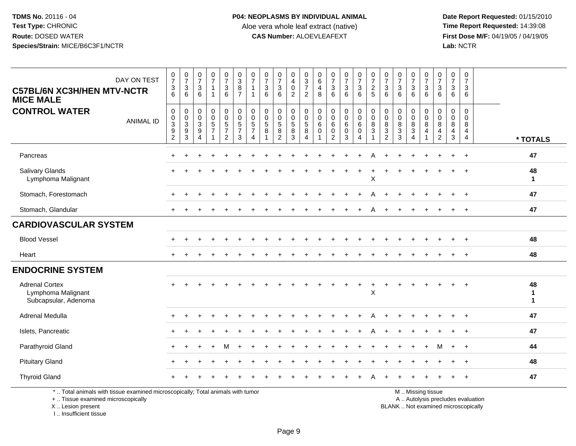**Date Report Requested:** 01/15/2010 **First Dose M/F:** 04/19/05 / 04/19/05<br>Lab: NCTR **Lab:** NCTR

| DAY ON TEST<br><b>C57BL/6N XC3H/HEN MTV-NCTR</b><br><b>MICE MALE</b>                                                                       | $\frac{0}{7}$<br>$\ensuremath{\mathsf{3}}$<br>$6\phantom{1}6$            | $\frac{0}{7}$<br>3<br>6                               | $\frac{0}{7}$<br>$\sqrt{3}$<br>$6\phantom{1}$              | $\frac{0}{7}$<br>$\mathbf{1}$<br>$\mathbf 1$ | $\begin{smallmatrix}0\\7\end{smallmatrix}$<br>$\begin{array}{c} 3 \\ 6 \end{array}$ | $_{3}^{\rm 0}$<br>$\bf 8$<br>$\overline{7}$                 | $\frac{0}{7}$<br>$\mathbf{1}$<br>$\mathbf{1}$               | $\frac{0}{7}$<br>$\frac{3}{6}$                      | $\frac{0}{7}$<br>$\sqrt{3}$<br>$6\phantom{1}$ | 0<br>$\overline{\mathbf{4}}$<br>$\pmb{0}$<br>$\overline{2}$ | $\begin{array}{c} 0 \\ 3 \\ 7 \end{array}$<br>$\overline{2}$ | 0<br>6<br>4<br>8                      | $\frac{0}{7}$<br>3<br>6                                          | $\frac{0}{7}$<br>$\frac{3}{6}$                | $\begin{smallmatrix}0\\7\end{smallmatrix}$<br>$\frac{3}{6}$                        | $\frac{0}{7}$<br>$\frac{2}{5}$                         | $\frac{0}{7}$<br>$\ensuremath{\mathsf{3}}$<br>6                                      | $\frac{0}{7}$<br>$\ensuremath{\mathsf{3}}$<br>6          | $\frac{0}{7}$<br>$\sqrt{3}$<br>6             | $\frac{0}{7}$<br>$\frac{3}{6}$              | $\frac{0}{7}$<br>$\ensuremath{\mathsf{3}}$<br>$6\phantom{1}$             | 0<br>$\overline{7}$<br>$\mathbf{3}$<br>$6\phantom{1}$   | $\mathbf 0$<br>$\overline{7}$<br>3<br>6           |                                    |
|--------------------------------------------------------------------------------------------------------------------------------------------|--------------------------------------------------------------------------|-------------------------------------------------------|------------------------------------------------------------|----------------------------------------------|-------------------------------------------------------------------------------------|-------------------------------------------------------------|-------------------------------------------------------------|-----------------------------------------------------|-----------------------------------------------|-------------------------------------------------------------|--------------------------------------------------------------|---------------------------------------|------------------------------------------------------------------|-----------------------------------------------|------------------------------------------------------------------------------------|--------------------------------------------------------|--------------------------------------------------------------------------------------|----------------------------------------------------------|----------------------------------------------|---------------------------------------------|--------------------------------------------------------------------------|---------------------------------------------------------|---------------------------------------------------|------------------------------------|
| <b>CONTROL WATER</b><br><b>ANIMAL ID</b>                                                                                                   | $\boldsymbol{0}$<br>$_{3}^{\rm 0}$<br>$\boldsymbol{9}$<br>$\overline{2}$ | 0<br>$\pmb{0}$<br>$\ensuremath{\mathsf{3}}$<br>9<br>3 | 0<br>0<br>$\sqrt{3}$<br>$\boldsymbol{9}$<br>$\overline{4}$ | $\pmb{0}$<br>$\pmb{0}$<br>$\frac{5}{7}$      | 0<br>$\pmb{0}$<br>$\frac{5}{7}$<br>$\overline{2}$                                   | $\pmb{0}$<br>$\pmb{0}$<br>$\sqrt{5}$<br>$\overline{7}$<br>3 | $\mathbf 0$<br>$\boldsymbol{0}$<br>5<br>$\overline{7}$<br>4 | $\mathbf 0$<br>$\mathbf 0$<br>$\,$ 5 $\,$<br>$\bf8$ | 0<br>$\pmb{0}$<br>5<br>$\bf8$<br>2            | 0<br>$\pmb{0}$<br>$\,$ 5 $\,$<br>$\bf 8$<br>3               | 0<br>$\,0\,$<br>$\overline{5}$ 8<br>$\overline{4}$           | 0<br>$\mathbf{0}$<br>6<br>$\mathbf 0$ | $\mathbf 0$<br>$\mathbf 0$<br>6<br>$\mathbf 0$<br>$\overline{2}$ | 0<br>$\mathbf 0$<br>$\,6\,$<br>$\pmb{0}$<br>3 | $\begin{smallmatrix} 0\\0 \end{smallmatrix}$<br>6<br>$\mathbf 0$<br>$\overline{4}$ | $\mathbf 0$<br>$\overline{0}$<br>$\,8\,$<br>$\sqrt{3}$ | $\mathbf 0$<br>$\mathbf 0$<br>$\bf 8$<br>$\ensuremath{\mathsf{3}}$<br>$\overline{2}$ | $\mathbf 0$<br>$\mathbf 0$<br>$\bf 8$<br>$\sqrt{3}$<br>3 | 0<br>$\mathbf 0$<br>8<br>3<br>$\overline{4}$ | 0<br>$\pmb{0}$<br>$\,8\,$<br>$\overline{4}$ | 0<br>$\mathbf 0$<br>$\bf 8$<br>$\overline{\mathbf{4}}$<br>$\overline{2}$ | $\mathbf 0$<br>0<br>8<br>$\overline{a}$<br>$\mathbf{3}$ | $\pmb{0}$<br>$\Omega$<br>8<br>4<br>$\overline{4}$ | * TOTALS                           |
| Pancreas                                                                                                                                   |                                                                          |                                                       |                                                            |                                              |                                                                                     |                                                             |                                                             |                                                     |                                               |                                                             |                                                              |                                       |                                                                  |                                               |                                                                                    |                                                        |                                                                                      |                                                          |                                              |                                             |                                                                          |                                                         | $+$                                               | 47                                 |
| <b>Salivary Glands</b><br>Lymphoma Malignant                                                                                               |                                                                          |                                                       |                                                            |                                              |                                                                                     |                                                             |                                                             |                                                     |                                               |                                                             |                                                              |                                       |                                                                  |                                               |                                                                                    | Χ                                                      |                                                                                      |                                                          |                                              |                                             |                                                                          |                                                         |                                                   | 48<br>$\mathbf{1}$                 |
| Stomach, Forestomach                                                                                                                       |                                                                          |                                                       |                                                            |                                              |                                                                                     |                                                             |                                                             |                                                     |                                               |                                                             |                                                              |                                       |                                                                  |                                               |                                                                                    |                                                        |                                                                                      |                                                          |                                              |                                             |                                                                          |                                                         | $\pm$                                             | 47                                 |
| Stomach, Glandular                                                                                                                         |                                                                          |                                                       |                                                            |                                              |                                                                                     |                                                             |                                                             |                                                     |                                               |                                                             |                                                              |                                       |                                                                  |                                               |                                                                                    |                                                        |                                                                                      |                                                          |                                              |                                             |                                                                          |                                                         | $\ddot{}$                                         | 47                                 |
| <b>CARDIOVASCULAR SYSTEM</b>                                                                                                               |                                                                          |                                                       |                                                            |                                              |                                                                                     |                                                             |                                                             |                                                     |                                               |                                                             |                                                              |                                       |                                                                  |                                               |                                                                                    |                                                        |                                                                                      |                                                          |                                              |                                             |                                                                          |                                                         |                                                   |                                    |
| <b>Blood Vessel</b>                                                                                                                        |                                                                          |                                                       |                                                            |                                              |                                                                                     |                                                             |                                                             |                                                     |                                               |                                                             |                                                              |                                       |                                                                  |                                               |                                                                                    |                                                        |                                                                                      |                                                          |                                              |                                             |                                                                          |                                                         | $\ddot{}$                                         | 48                                 |
| Heart                                                                                                                                      |                                                                          |                                                       |                                                            |                                              |                                                                                     |                                                             |                                                             |                                                     |                                               |                                                             |                                                              |                                       |                                                                  |                                               |                                                                                    |                                                        |                                                                                      |                                                          |                                              |                                             |                                                                          |                                                         |                                                   | 48                                 |
| <b>ENDOCRINE SYSTEM</b>                                                                                                                    |                                                                          |                                                       |                                                            |                                              |                                                                                     |                                                             |                                                             |                                                     |                                               |                                                             |                                                              |                                       |                                                                  |                                               |                                                                                    |                                                        |                                                                                      |                                                          |                                              |                                             |                                                                          |                                                         |                                                   |                                    |
| <b>Adrenal Cortex</b><br>Lymphoma Malignant<br>Subcapsular, Adenoma                                                                        |                                                                          |                                                       |                                                            |                                              |                                                                                     |                                                             |                                                             |                                                     |                                               |                                                             |                                                              |                                       |                                                                  |                                               | $\ddot{}$                                                                          | $\ddot{}$<br>X                                         |                                                                                      |                                                          |                                              |                                             |                                                                          |                                                         |                                                   | 48<br>$\mathbf{1}$<br>$\mathbf{1}$ |
| Adrenal Medulla                                                                                                                            |                                                                          |                                                       |                                                            |                                              |                                                                                     |                                                             |                                                             |                                                     |                                               |                                                             |                                                              |                                       |                                                                  |                                               |                                                                                    |                                                        |                                                                                      |                                                          |                                              |                                             |                                                                          |                                                         | $\pm$                                             | 47                                 |
| Islets, Pancreatic                                                                                                                         |                                                                          |                                                       |                                                            |                                              |                                                                                     |                                                             |                                                             |                                                     |                                               |                                                             |                                                              |                                       |                                                                  |                                               |                                                                                    |                                                        |                                                                                      |                                                          |                                              |                                             |                                                                          |                                                         |                                                   | 47                                 |
| Parathyroid Gland                                                                                                                          |                                                                          |                                                       |                                                            |                                              |                                                                                     |                                                             |                                                             |                                                     |                                               |                                                             |                                                              |                                       |                                                                  |                                               |                                                                                    |                                                        |                                                                                      |                                                          |                                              |                                             |                                                                          |                                                         |                                                   | 44                                 |
| <b>Pituitary Gland</b>                                                                                                                     |                                                                          |                                                       |                                                            |                                              |                                                                                     |                                                             |                                                             |                                                     |                                               |                                                             |                                                              |                                       |                                                                  |                                               |                                                                                    |                                                        |                                                                                      |                                                          |                                              |                                             |                                                                          |                                                         | $\div$                                            | 48                                 |
| <b>Thyroid Gland</b>                                                                                                                       |                                                                          |                                                       |                                                            |                                              |                                                                                     |                                                             |                                                             |                                                     |                                               |                                                             |                                                              |                                       |                                                                  |                                               |                                                                                    |                                                        |                                                                                      |                                                          |                                              |                                             |                                                                          |                                                         | $\ddot{}$                                         | 47                                 |
| *  Total animals with tissue examined microscopically; Total animals with tumor<br>+  Tissue examined microscopically<br>X  Lesion present |                                                                          |                                                       |                                                            |                                              |                                                                                     |                                                             |                                                             |                                                     |                                               |                                                             |                                                              |                                       |                                                                  |                                               |                                                                                    |                                                        |                                                                                      | BLANK  Not examined microscopically                      |                                              | M  Missing tissue                           |                                                                          |                                                         | A  Autolysis precludes evaluation                 |                                    |

I .. Insufficient tissue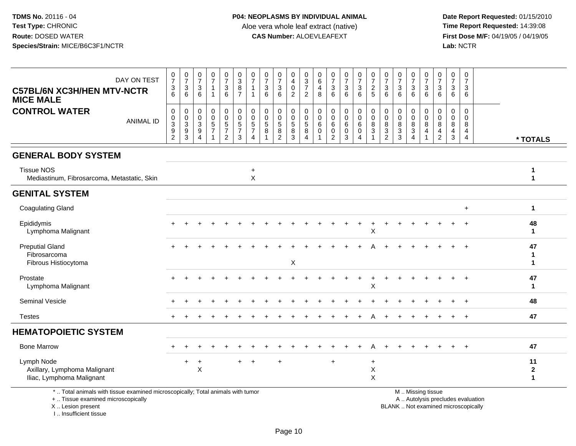**Date Report Requested:** 01/15/2010 **First Dose M/F:** 04/19/05 / 04/19/05<br>Lab: NCTR **Lab:** NCTR

| DAY ON TEST<br><b>C57BL/6N XC3H/HEN MTV-NCTR</b><br><b>MICE MALE</b>                                                  | $\frac{0}{7}$<br>$\ensuremath{\mathsf{3}}$<br>6                                           | $\frac{0}{7}$<br>$\sqrt{3}$<br>6                                     | $\frac{0}{7}$<br>$\sqrt{3}$<br>6                                                        | $\begin{array}{c} 0 \\ 7 \end{array}$<br>$\mathbf{1}$             | $\begin{array}{c} 0 \\ 7 \end{array}$<br>$\ensuremath{\mathsf{3}}$<br>6 | $_{3}^{\rm 0}$<br>$\bf 8$<br>$\overline{7}$            | 0<br>$\overline{7}$<br>1                               | $\frac{0}{7}$<br>$\mathbf{3}$<br>6                | $\frac{0}{7}$<br>$\sqrt{3}$<br>6                         | $\mathbf 0$<br>$\overline{4}$<br>$\pmb{0}$<br>2 | 0<br>$\ensuremath{\mathsf{3}}$<br>$\overline{7}$<br>2        | 0<br>$\,6$<br>4<br>8                 | $\frac{0}{7}$<br>$\ensuremath{\mathsf{3}}$<br>6                | $\frac{0}{7}$<br>$\frac{3}{6}$                      | $\begin{array}{c} 0 \\ 7 \end{array}$<br>$\frac{3}{6}$      | $\frac{0}{7}$<br>$rac{2}{5}$                                          | $\frac{0}{7}$<br>3<br>6                                                      | $\begin{array}{c} 0 \\ 7 \end{array}$<br>$\sqrt{3}$<br>6                | $\frac{0}{7}$<br>3<br>6                                                                        | $\frac{0}{7}$<br>$\ensuremath{\mathsf{3}}$<br>6 | $\begin{array}{c} 0 \\ 7 \end{array}$<br>$\sqrt{3}$<br>6         | 0<br>$\overline{7}$<br>3<br>6                     | $\mathbf 0$<br>$\overline{7}$<br>3<br>6 |                                   |                                   |
|-----------------------------------------------------------------------------------------------------------------------|-------------------------------------------------------------------------------------------|----------------------------------------------------------------------|-----------------------------------------------------------------------------------------|-------------------------------------------------------------------|-------------------------------------------------------------------------|--------------------------------------------------------|--------------------------------------------------------|---------------------------------------------------|----------------------------------------------------------|-------------------------------------------------|--------------------------------------------------------------|--------------------------------------|----------------------------------------------------------------|-----------------------------------------------------|-------------------------------------------------------------|-----------------------------------------------------------------------|------------------------------------------------------------------------------|-------------------------------------------------------------------------|------------------------------------------------------------------------------------------------|-------------------------------------------------|------------------------------------------------------------------|---------------------------------------------------|-----------------------------------------|-----------------------------------|-----------------------------------|
| <b>CONTROL WATER</b><br><b>ANIMAL ID</b>                                                                              | $\mathbf 0$<br>$\,0\,$<br>$\ensuremath{\mathsf{3}}$<br>$\boldsymbol{9}$<br>$\overline{c}$ | 0<br>$\pmb{0}$<br>$\ensuremath{\mathsf{3}}$<br>$\boldsymbol{9}$<br>3 | $\pmb{0}$<br>$\,0\,$<br>$\ensuremath{\mathsf{3}}$<br>$\boldsymbol{9}$<br>$\overline{4}$ | $\pmb{0}$<br>$\ddot{\mathbf{0}}$<br>$\mathbf 5$<br>$\overline{7}$ | $\mathbf 0$<br>$\pmb{0}$<br>$\frac{5}{7}$<br>$\overline{2}$             | $\pmb{0}$<br>$\ddot{\mathbf{0}}$<br>$\frac{5}{7}$<br>3 | $\mathbf 0$<br>$\mathbf 0$<br>5<br>$\overline{7}$<br>4 | $\pmb{0}$<br>$\mathbf 0$<br>$\sqrt{5}$<br>$\,8\,$ | 0<br>$\pmb{0}$<br>$\sqrt{5}$<br>$\, 8$<br>$\overline{2}$ | 0<br>$\pmb{0}$<br>$\mathbf 5$<br>$\bf 8$<br>3   | 0<br>$\mathsf 0$<br>$\,$ 5 $\,$<br>$\bf 8$<br>$\overline{4}$ | 0<br>$\mathbf 0$<br>6<br>$\mathbf 0$ | $\pmb{0}$<br>$\pmb{0}$<br>$\,6$<br>$\pmb{0}$<br>$\overline{2}$ | $\pmb{0}$<br>$\pmb{0}$<br>$\,6\,$<br>$\pmb{0}$<br>3 | $\mathbf 0$<br>$\ddot{\mathbf{0}}$<br>6<br>$\mathsf 0$<br>4 | $\pmb{0}$<br>$\overline{0}$<br>$\, 8$<br>$\sqrt{3}$<br>$\overline{1}$ | $\mathbf 0$<br>$\pmb{0}$<br>8<br>$\ensuremath{\mathsf{3}}$<br>$\overline{2}$ | $\mathbf 0$<br>$\mathbf 0$<br>$\,8\,$<br>$\ensuremath{\mathsf{3}}$<br>3 | $\mathbf 0$<br>$\ddot{\mathbf{0}}$<br>$\overline{8}$<br>$\mathbf{3}$<br>$\boldsymbol{\Lambda}$ | 0<br>$\pmb{0}$<br>8<br>$\overline{4}$           | $\mathbf 0$<br>$\Omega$<br>8<br>$\overline{4}$<br>$\overline{2}$ | $\mathbf 0$<br>$\Omega$<br>8<br>4<br>$\mathbf{3}$ | $\mathbf 0$<br>$\Omega$<br>8<br>4<br>4  |                                   | * TOTALS                          |
| <b>GENERAL BODY SYSTEM</b>                                                                                            |                                                                                           |                                                                      |                                                                                         |                                                                   |                                                                         |                                                        |                                                        |                                                   |                                                          |                                                 |                                                              |                                      |                                                                |                                                     |                                                             |                                                                       |                                                                              |                                                                         |                                                                                                |                                                 |                                                                  |                                                   |                                         |                                   |                                   |
| <b>Tissue NOS</b><br>Mediastinum, Fibrosarcoma, Metastatic, Skin                                                      |                                                                                           |                                                                      |                                                                                         |                                                                   |                                                                         |                                                        | $\ddot{}$<br>X                                         |                                                   |                                                          |                                                 |                                                              |                                      |                                                                |                                                     |                                                             |                                                                       |                                                                              |                                                                         |                                                                                                |                                                 |                                                                  |                                                   |                                         |                                   | 1<br>1                            |
| <b>GENITAL SYSTEM</b>                                                                                                 |                                                                                           |                                                                      |                                                                                         |                                                                   |                                                                         |                                                        |                                                        |                                                   |                                                          |                                                 |                                                              |                                      |                                                                |                                                     |                                                             |                                                                       |                                                                              |                                                                         |                                                                                                |                                                 |                                                                  |                                                   |                                         |                                   |                                   |
| <b>Coagulating Gland</b>                                                                                              |                                                                                           |                                                                      |                                                                                         |                                                                   |                                                                         |                                                        |                                                        |                                                   |                                                          |                                                 |                                                              |                                      |                                                                |                                                     |                                                             |                                                                       |                                                                              |                                                                         |                                                                                                |                                                 |                                                                  |                                                   | $\ddot{}$                               |                                   | $\mathbf{1}$                      |
| Epididymis<br>Lymphoma Malignant                                                                                      |                                                                                           |                                                                      |                                                                                         |                                                                   |                                                                         |                                                        |                                                        |                                                   |                                                          |                                                 |                                                              |                                      |                                                                |                                                     |                                                             | X                                                                     |                                                                              |                                                                         |                                                                                                |                                                 |                                                                  |                                                   |                                         |                                   | 48<br>$\mathbf{1}$                |
| <b>Preputial Gland</b><br>Fibrosarcoma<br>Fibrous Histiocytoma                                                        |                                                                                           |                                                                      |                                                                                         |                                                                   |                                                                         |                                                        |                                                        |                                                   |                                                          | X                                               |                                                              |                                      |                                                                |                                                     |                                                             |                                                                       |                                                                              |                                                                         |                                                                                                |                                                 |                                                                  |                                                   |                                         |                                   | 47<br>$\mathbf{1}$<br>1           |
| Prostate<br>Lymphoma Malignant                                                                                        |                                                                                           |                                                                      |                                                                                         |                                                                   |                                                                         |                                                        |                                                        |                                                   |                                                          |                                                 |                                                              |                                      |                                                                |                                                     |                                                             | X                                                                     |                                                                              |                                                                         |                                                                                                |                                                 |                                                                  |                                                   |                                         |                                   | 47<br>1                           |
| Seminal Vesicle                                                                                                       |                                                                                           |                                                                      |                                                                                         |                                                                   |                                                                         |                                                        |                                                        |                                                   |                                                          |                                                 |                                                              |                                      |                                                                |                                                     |                                                             |                                                                       |                                                                              |                                                                         |                                                                                                |                                                 |                                                                  |                                                   |                                         |                                   | 48                                |
| <b>Testes</b>                                                                                                         |                                                                                           |                                                                      |                                                                                         |                                                                   |                                                                         |                                                        |                                                        |                                                   |                                                          |                                                 |                                                              |                                      |                                                                |                                                     |                                                             |                                                                       |                                                                              |                                                                         |                                                                                                |                                                 |                                                                  |                                                   | $\ddot{}$                               |                                   | 47                                |
| <b>HEMATOPOIETIC SYSTEM</b>                                                                                           |                                                                                           |                                                                      |                                                                                         |                                                                   |                                                                         |                                                        |                                                        |                                                   |                                                          |                                                 |                                                              |                                      |                                                                |                                                     |                                                             |                                                                       |                                                                              |                                                                         |                                                                                                |                                                 |                                                                  |                                                   |                                         |                                   |                                   |
| <b>Bone Marrow</b>                                                                                                    |                                                                                           |                                                                      |                                                                                         |                                                                   |                                                                         |                                                        |                                                        |                                                   |                                                          |                                                 |                                                              |                                      |                                                                |                                                     |                                                             |                                                                       |                                                                              |                                                                         |                                                                                                |                                                 |                                                                  |                                                   |                                         |                                   | 47                                |
| Lymph Node<br>Axillary, Lymphoma Malignant<br>Iliac, Lymphoma Malignant                                               |                                                                                           | $\ddot{}$                                                            | $\ddot{}$<br>X                                                                          |                                                                   |                                                                         |                                                        |                                                        |                                                   | $\ddot{}$                                                |                                                 |                                                              |                                      | $\ddot{}$                                                      |                                                     |                                                             | $\ddot{}$<br>$\mathsf X$<br>$\times$                                  |                                                                              |                                                                         |                                                                                                |                                                 |                                                                  |                                                   |                                         |                                   | 11<br>$\mathbf 2$<br>$\mathbf{1}$ |
| *  Total animals with tissue examined microscopically; Total animals with tumor<br>+  Tissue examined microscopically |                                                                                           |                                                                      |                                                                                         |                                                                   |                                                                         |                                                        |                                                        |                                                   |                                                          |                                                 |                                                              |                                      |                                                                |                                                     |                                                             |                                                                       |                                                                              |                                                                         |                                                                                                | M  Missing tissue                               |                                                                  |                                                   |                                         | A  Autolysis precludes evaluation |                                   |

X .. Lesion present

I .. Insufficient tissue

Lesion present BLANK .. Not examined microscopically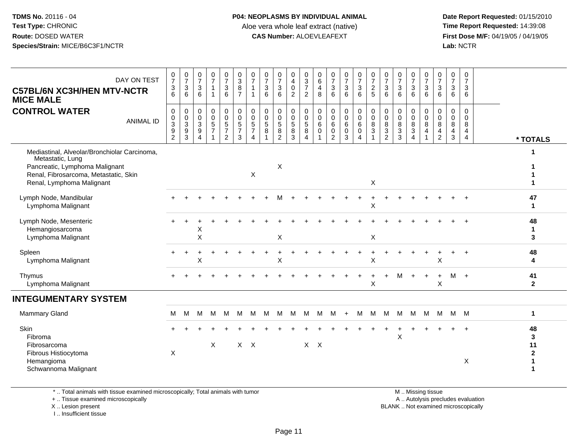**Date Report Requested:** 01/15/2010 **First Dose M/F:** 04/19/05 / 04/19/05<br>Lab: NCTR **Lab:** NCTR

| DAY ON TEST<br><b>C57BL/6N XC3H/HEN MTV-NCTR</b><br><b>MICE MALE</b><br><b>CONTROL WATER</b><br><b>ANIMAL ID</b>                                                         | $\begin{array}{c} 0 \\ 7 \end{array}$<br>$\ensuremath{\mathsf{3}}$<br>6<br>$\mathbf 0$<br>$\pmb{0}$<br>$\mathbf{3}$<br>$\boldsymbol{9}$<br>$\overline{c}$ | $\frac{0}{7}$<br>$\mathbf{3}$<br>6<br>0<br>$\pmb{0}$<br>$\mathbf{3}$<br>$\boldsymbol{9}$<br>3 | $\begin{array}{c} 0 \\ 7 \end{array}$<br>$\mathbf{3}$<br>6<br>0<br>$\mathbf 0$<br>$\sqrt{3}$<br>$\boldsymbol{9}$<br>$\overline{4}$ | $\begin{array}{c} 0 \\ 7 \end{array}$<br>$\mathbf{1}$<br>$\mathbf 0$<br>$\pmb{0}$<br>$\frac{5}{7}$ | $\begin{array}{c} 0 \\ 7 \end{array}$<br>$\sqrt{3}$<br>6<br>$\pmb{0}$<br>$\pmb{0}$<br>$\frac{5}{7}$<br>$\overline{2}$ | $\begin{array}{c} 0 \\ 3 \\ 8 \end{array}$<br>$\overline{7}$<br>$\pmb{0}$<br>$\mathbf 0$<br>$\sqrt{5}$<br>$\overline{7}$<br>$\mathbf{3}$ | 0<br>$\overline{7}$<br>0<br>$\mathbf 0$<br>5<br>$\overline{7}$<br>4 | 0<br>$\overline{7}$<br>$\sqrt{3}$<br>6<br>$\mathbf 0$<br>0<br>$\sqrt{5}$<br>8 | $\begin{array}{c} 0 \\ 7 \end{array}$<br>$\sqrt{3}$<br>6<br>$\mathbf 0$<br>0<br>$\sqrt{5}$<br>$\overline{8}$<br>$\overline{2}$ | 0<br>$\overline{4}$<br>$\mathbf 0$<br>2<br>0<br>$\mathsf{O}\xspace$<br>$\sqrt{5}$<br>$\overline{8}$<br>3 | 0<br>$\frac{3}{7}$<br>2<br>$\mathbf 0$<br>$\mathsf 0$<br>$\,$ 5 $\,$<br>$\,8\,$<br>4 | 0<br>6<br>4<br>8<br>0<br>0<br>6<br>$\mathbf 0$ | $\frac{0}{7}$<br>$\sqrt{3}$<br>6<br>$\mathbf 0$<br>$\pmb{0}$<br>6<br>$\pmb{0}$<br>$\overline{2}$ | $\frac{0}{7}$<br>$\mathbf{3}$<br>6<br>$\pmb{0}$<br>$\mathsf 0$<br>$\,6$<br>$\pmb{0}$<br>3 | $\begin{smallmatrix}0\\7\end{smallmatrix}$<br>$\mathsf 3$<br>6<br>0<br>$\mathbf 0$<br>6<br>$\mathbf 0$<br>4 | $\frac{0}{7}$<br>$\sqrt{2}$<br>5<br>0<br>$\pmb{0}$<br>8<br>$\mathfrak{Z}$<br>$\overline{1}$ | $\frac{0}{7}$<br>3<br>6<br>0<br>$\mathbf 0$<br>8<br>3<br>$\overline{2}$ | $\frac{0}{7}$<br>$\mathbf{3}$<br>6<br>$\mathbf 0$<br>$\pmb{0}$<br>$\bf 8$<br>$\frac{3}{3}$ | $\begin{array}{c} 0 \\ 7 \end{array}$<br>$\mathbf{3}$<br>6<br>0<br>$\pmb{0}$<br>8<br>$\overline{3}$<br>$\overline{4}$ | 0<br>$\overline{7}$<br>$\mathbf{3}$<br>6<br>0<br>$\mathbf 0$<br>8<br>$\overline{4}$ | 0<br>$\overline{7}$<br>$\mathbf 3$<br>6<br>$\mathbf 0$<br>$\mathsf{O}\xspace$<br>$\,8\,$<br>$\overline{4}$<br>$\overline{2}$ | 0<br>$\overline{7}$<br>3<br>6<br>$\mathbf 0$<br>0<br>8<br>$\overline{4}$<br>$\mathbf{3}$ | $\mathbf 0$<br>$\overline{7}$<br>3<br>6<br>$\mathbf 0$<br>$\Omega$<br>8<br>$\overline{4}$<br>$\overline{4}$ | * TOTALS                                    |
|--------------------------------------------------------------------------------------------------------------------------------------------------------------------------|-----------------------------------------------------------------------------------------------------------------------------------------------------------|-----------------------------------------------------------------------------------------------|------------------------------------------------------------------------------------------------------------------------------------|----------------------------------------------------------------------------------------------------|-----------------------------------------------------------------------------------------------------------------------|------------------------------------------------------------------------------------------------------------------------------------------|---------------------------------------------------------------------|-------------------------------------------------------------------------------|--------------------------------------------------------------------------------------------------------------------------------|----------------------------------------------------------------------------------------------------------|--------------------------------------------------------------------------------------|------------------------------------------------|--------------------------------------------------------------------------------------------------|-------------------------------------------------------------------------------------------|-------------------------------------------------------------------------------------------------------------|---------------------------------------------------------------------------------------------|-------------------------------------------------------------------------|--------------------------------------------------------------------------------------------|-----------------------------------------------------------------------------------------------------------------------|-------------------------------------------------------------------------------------|------------------------------------------------------------------------------------------------------------------------------|------------------------------------------------------------------------------------------|-------------------------------------------------------------------------------------------------------------|---------------------------------------------|
| Mediastinal, Alveolar/Bronchiolar Carcinoma,<br>Metastatic, Lung<br>Pancreatic, Lymphoma Malignant<br>Renal, Fibrosarcoma, Metastatic, Skin<br>Renal, Lymphoma Malignant |                                                                                                                                                           |                                                                                               |                                                                                                                                    |                                                                                                    |                                                                                                                       |                                                                                                                                          | X                                                                   |                                                                               | X                                                                                                                              |                                                                                                          |                                                                                      |                                                |                                                                                                  |                                                                                           |                                                                                                             | X                                                                                           |                                                                         |                                                                                            |                                                                                                                       |                                                                                     |                                                                                                                              |                                                                                          |                                                                                                             | 1                                           |
| Lymph Node, Mandibular<br>Lymphoma Malignant                                                                                                                             |                                                                                                                                                           |                                                                                               |                                                                                                                                    |                                                                                                    |                                                                                                                       |                                                                                                                                          |                                                                     |                                                                               |                                                                                                                                |                                                                                                          |                                                                                      |                                                |                                                                                                  |                                                                                           |                                                                                                             | $\times$                                                                                    |                                                                         |                                                                                            |                                                                                                                       |                                                                                     |                                                                                                                              |                                                                                          |                                                                                                             | 47<br>$\mathbf 1$                           |
| Lymph Node, Mesenteric<br>Hemangiosarcoma<br>Lymphoma Malignant                                                                                                          |                                                                                                                                                           |                                                                                               | Χ<br>X                                                                                                                             |                                                                                                    |                                                                                                                       |                                                                                                                                          |                                                                     |                                                                               | X                                                                                                                              |                                                                                                          |                                                                                      |                                                |                                                                                                  |                                                                                           |                                                                                                             | X                                                                                           |                                                                         |                                                                                            |                                                                                                                       |                                                                                     |                                                                                                                              |                                                                                          |                                                                                                             | 48<br>1<br>3                                |
| Spleen<br>Lymphoma Malignant                                                                                                                                             |                                                                                                                                                           |                                                                                               | Χ                                                                                                                                  |                                                                                                    |                                                                                                                       |                                                                                                                                          |                                                                     |                                                                               | X                                                                                                                              |                                                                                                          |                                                                                      |                                                |                                                                                                  |                                                                                           |                                                                                                             | $\boldsymbol{\mathsf{X}}$                                                                   |                                                                         |                                                                                            |                                                                                                                       |                                                                                     | $\mathsf X$                                                                                                                  |                                                                                          |                                                                                                             | 48<br>4                                     |
| Thymus<br>Lymphoma Malignant                                                                                                                                             |                                                                                                                                                           |                                                                                               |                                                                                                                                    |                                                                                                    |                                                                                                                       |                                                                                                                                          |                                                                     |                                                                               |                                                                                                                                |                                                                                                          |                                                                                      |                                                |                                                                                                  |                                                                                           |                                                                                                             | $\ddot{}$<br>X                                                                              | $\ddot{}$                                                               | M                                                                                          | $\ddot{}$                                                                                                             | $\ddot{}$                                                                           | $\ddot{}$<br>$\sf X$                                                                                                         | $M +$                                                                                    |                                                                                                             | 41<br>$\mathbf{2}$                          |
| <b>INTEGUMENTARY SYSTEM</b>                                                                                                                                              |                                                                                                                                                           |                                                                                               |                                                                                                                                    |                                                                                                    |                                                                                                                       |                                                                                                                                          |                                                                     |                                                                               |                                                                                                                                |                                                                                                          |                                                                                      |                                                |                                                                                                  |                                                                                           |                                                                                                             |                                                                                             |                                                                         |                                                                                            |                                                                                                                       |                                                                                     |                                                                                                                              |                                                                                          |                                                                                                             |                                             |
| <b>Mammary Gland</b>                                                                                                                                                     | M                                                                                                                                                         | M                                                                                             | M                                                                                                                                  | M                                                                                                  | M                                                                                                                     | M                                                                                                                                        | M                                                                   | M                                                                             | M                                                                                                                              | M                                                                                                        | м                                                                                    | M                                              | M                                                                                                | $+$                                                                                       | M                                                                                                           | M                                                                                           | M                                                                       | M                                                                                          | M                                                                                                                     | M                                                                                   | M                                                                                                                            |                                                                                          | M M                                                                                                         | 1                                           |
| Skin<br>Fibroma<br>Fibrosarcoma<br>Fibrous Histiocytoma<br>Hemangioma<br>Schwannoma Malignant                                                                            | X                                                                                                                                                         |                                                                                               |                                                                                                                                    | X                                                                                                  |                                                                                                                       |                                                                                                                                          | $X$ $X$                                                             |                                                                               |                                                                                                                                |                                                                                                          | $\mathsf{X}$                                                                         | $\mathsf{X}$                                   |                                                                                                  |                                                                                           |                                                                                                             |                                                                                             |                                                                         | $\mathsf X$                                                                                |                                                                                                                       |                                                                                     |                                                                                                                              |                                                                                          | X                                                                                                           | 48<br>3<br>11<br>$\boldsymbol{2}$<br>1<br>1 |

\* .. Total animals with tissue examined microscopically; Total animals with tumor

+ .. Tissue examined microscopically

X .. Lesion present

I .. Insufficient tissue

 M .. Missing tissuey the contract of the contract of the contract of the contract of the contract of the contract of the contract of  $A$ . Autolysis precludes evaluation

Lesion present BLANK .. Not examined microscopically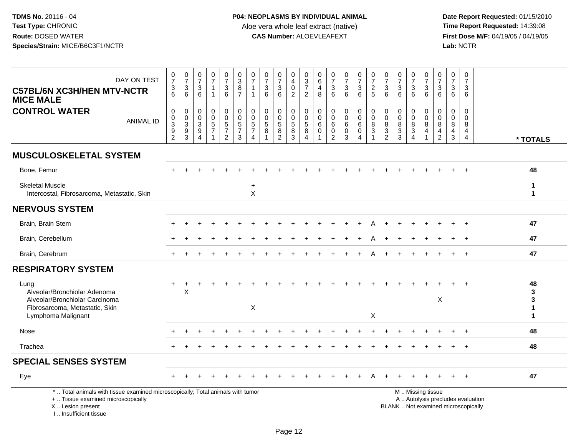| DAY ON TEST<br><b>C57BL/6N XC3H/HEN MTV-NCTR</b><br><b>MICE MALE</b>                                                                                                | $\frac{0}{7}$<br>3<br>6                                                                 | $\frac{0}{7}$<br>3<br>6                       | $\frac{0}{7}$<br>3<br>6                                           | $\frac{0}{7}$                                     | $\frac{0}{7}$<br>$\mathbf{3}$<br>6                            | $_3^0$<br>$\overline{8}$<br>$\overline{7}$                      | $\frac{0}{7}$<br>$\mathbf{1}$<br>$\mathbf{1}$                       | $\frac{0}{7}$<br>$\ensuremath{\mathsf{3}}$<br>$6\phantom{1}$ | $\frac{0}{7}$<br>$\ensuremath{\mathsf{3}}$<br>6                                  | 0<br>$\overline{4}$<br>$\mathbf 0$<br>$\overline{2}$     | 0<br>$\mathsf 3$<br>$\overline{7}$<br>$\overline{2}$ | 0<br>$\,6\,$<br>4<br>8                               | $\frac{0}{7}$<br>3<br>6                   | $\frac{0}{7}$<br>$\mathbf{3}$<br>$6\phantom{1}$                    | $\frac{0}{7}$<br>$\mathbf{3}$<br>6 | $\frac{0}{7}$<br>$\frac{2}{5}$        | $\begin{array}{c} 0 \\ 7 \end{array}$<br>$\ensuremath{\mathsf{3}}$<br>6 | $\frac{0}{7}$<br>$\ensuremath{\mathsf{3}}$<br>$6\phantom{1}$ | $\frac{0}{7}$<br>$\mathbf{3}$<br>6                                                            | 0<br>$\overline{7}$<br>3<br>6                  | $\begin{array}{c} 0 \\ 7 \end{array}$<br>3<br>6  | $\frac{0}{7}$<br>3<br>6                                           | $\begin{array}{c} 0 \\ 7 \end{array}$<br>3<br>$6\phantom{1}$              |                              |
|---------------------------------------------------------------------------------------------------------------------------------------------------------------------|-----------------------------------------------------------------------------------------|-----------------------------------------------|-------------------------------------------------------------------|---------------------------------------------------|---------------------------------------------------------------|-----------------------------------------------------------------|---------------------------------------------------------------------|--------------------------------------------------------------|----------------------------------------------------------------------------------|----------------------------------------------------------|------------------------------------------------------|------------------------------------------------------|-------------------------------------------|--------------------------------------------------------------------|------------------------------------|---------------------------------------|-------------------------------------------------------------------------|--------------------------------------------------------------|-----------------------------------------------------------------------------------------------|------------------------------------------------|--------------------------------------------------|-------------------------------------------------------------------|---------------------------------------------------------------------------|------------------------------|
| <b>CONTROL WATER</b><br><b>ANIMAL ID</b>                                                                                                                            | $\mathbf 0$<br>$\boldsymbol{0}$<br>$\overline{3}$<br>$\boldsymbol{9}$<br>$\overline{c}$ | 0<br>0<br>$\ensuremath{\mathsf{3}}$<br>9<br>3 | $\mathbf 0$<br>$\mathbf 0$<br>$\ensuremath{\mathsf{3}}$<br>9<br>4 | 0<br>$\mathbf 0$<br>$\,$ 5 $\,$<br>$\overline{7}$ | $\mathbf 0$<br>$\mathsf 0$<br>$\frac{5}{7}$<br>$\overline{2}$ | $\mathbf 0$<br>$\mathbf 0$<br>$\sqrt{5}$<br>$\overline{7}$<br>3 | $\mathbf 0$<br>0<br>$\,$ 5 $\,$<br>$\overline{7}$<br>$\overline{4}$ | $\mathbf 0$<br>$\mathsf{O}\xspace$<br>$\sqrt{5}$<br>8        | 0<br>$\mathbf 0$<br>$\sqrt{5}$<br>$\begin{smallmatrix} 8 \\ 2 \end{smallmatrix}$ | $\mathbf 0$<br>$\mathbf 0$<br>$\sqrt{5}$<br>$\bf 8$<br>3 | $\mathbf 0$<br>$\Omega$<br>$\sqrt{5}$<br>8<br>4      | $\mathbf 0$<br>$\mathbf 0$<br>6<br>$\mathbf 0$<br>-1 | 0<br>$\mathbf 0$<br>6<br>$\mathbf 0$<br>2 | 0<br>$\mathsf{O}\xspace$<br>$\,6\,$<br>$\pmb{0}$<br>$\overline{3}$ | 0<br>$\mathbf 0$<br>6<br>0<br>4    | $\mathbf 0$<br>0<br>8<br>$\mathbf{3}$ | $\mathbf 0$<br>$\mathbf 0$<br>$\bf 8$<br>$\frac{3}{2}$                  | 0<br>$\mathbf 0$<br>$\bf 8$<br>$\frac{3}{3}$                 | $\mathbf 0$<br>$\mathbf{0}$<br>8<br>$\sqrt{3}$<br>$\overline{4}$                              | $\mathbf 0$<br>$\Omega$<br>8<br>$\overline{4}$ | $\Omega$<br>$\Omega$<br>8<br>4<br>$\overline{2}$ | $\mathbf 0$<br>$\mathbf 0$<br>8<br>$\overline{4}$<br>$\mathbf{3}$ | $\mathbf 0$<br>$\mathbf 0$<br>$\bf 8$<br>$\overline{4}$<br>$\overline{4}$ | * TOTALS                     |
| <b>MUSCULOSKELETAL SYSTEM</b>                                                                                                                                       |                                                                                         |                                               |                                                                   |                                                   |                                                               |                                                                 |                                                                     |                                                              |                                                                                  |                                                          |                                                      |                                                      |                                           |                                                                    |                                    |                                       |                                                                         |                                                              |                                                                                               |                                                |                                                  |                                                                   |                                                                           |                              |
| Bone, Femur                                                                                                                                                         |                                                                                         |                                               |                                                                   |                                                   |                                                               |                                                                 |                                                                     |                                                              |                                                                                  |                                                          |                                                      |                                                      |                                           |                                                                    |                                    |                                       |                                                                         |                                                              |                                                                                               |                                                |                                                  |                                                                   |                                                                           | 48                           |
| <b>Skeletal Muscle</b><br>Intercostal, Fibrosarcoma, Metastatic, Skin                                                                                               |                                                                                         |                                               |                                                                   |                                                   |                                                               |                                                                 | $\ddot{}$<br>X                                                      |                                                              |                                                                                  |                                                          |                                                      |                                                      |                                           |                                                                    |                                    |                                       |                                                                         |                                                              |                                                                                               |                                                |                                                  |                                                                   |                                                                           | $\mathbf{1}$<br>$\mathbf{1}$ |
| <b>NERVOUS SYSTEM</b>                                                                                                                                               |                                                                                         |                                               |                                                                   |                                                   |                                                               |                                                                 |                                                                     |                                                              |                                                                                  |                                                          |                                                      |                                                      |                                           |                                                                    |                                    |                                       |                                                                         |                                                              |                                                                                               |                                                |                                                  |                                                                   |                                                                           |                              |
| Brain, Brain Stem                                                                                                                                                   |                                                                                         |                                               |                                                                   |                                                   |                                                               |                                                                 |                                                                     |                                                              |                                                                                  |                                                          |                                                      |                                                      |                                           |                                                                    |                                    |                                       |                                                                         |                                                              |                                                                                               |                                                |                                                  |                                                                   |                                                                           | 47                           |
| Brain, Cerebellum                                                                                                                                                   |                                                                                         |                                               |                                                                   |                                                   |                                                               |                                                                 |                                                                     |                                                              |                                                                                  |                                                          |                                                      |                                                      |                                           |                                                                    |                                    |                                       |                                                                         |                                                              |                                                                                               |                                                |                                                  |                                                                   |                                                                           | 47                           |
| Brain, Cerebrum                                                                                                                                                     |                                                                                         |                                               |                                                                   |                                                   |                                                               |                                                                 |                                                                     |                                                              |                                                                                  |                                                          |                                                      |                                                      |                                           |                                                                    |                                    |                                       |                                                                         |                                                              |                                                                                               |                                                |                                                  |                                                                   |                                                                           | 47                           |
| <b>RESPIRATORY SYSTEM</b>                                                                                                                                           |                                                                                         |                                               |                                                                   |                                                   |                                                               |                                                                 |                                                                     |                                                              |                                                                                  |                                                          |                                                      |                                                      |                                           |                                                                    |                                    |                                       |                                                                         |                                                              |                                                                                               |                                                |                                                  |                                                                   |                                                                           |                              |
| Lung<br>Alveolar/Bronchiolar Adenoma<br>Alveolar/Bronchiolar Carcinoma<br>Fibrosarcoma, Metastatic, Skin<br>Lymphoma Malignant                                      |                                                                                         | $\mathsf X$                                   |                                                                   |                                                   |                                                               |                                                                 | $\mathsf X$                                                         |                                                              |                                                                                  |                                                          |                                                      |                                                      |                                           |                                                                    |                                    | X                                     |                                                                         |                                                              |                                                                                               |                                                | X                                                |                                                                   |                                                                           | 48<br>3<br>3<br>1<br>1       |
| Nose                                                                                                                                                                |                                                                                         |                                               |                                                                   |                                                   |                                                               |                                                                 |                                                                     |                                                              |                                                                                  |                                                          |                                                      |                                                      |                                           |                                                                    |                                    |                                       |                                                                         |                                                              |                                                                                               |                                                |                                                  |                                                                   | $\ddot{}$                                                                 | 48                           |
| Trachea                                                                                                                                                             |                                                                                         |                                               |                                                                   |                                                   |                                                               |                                                                 |                                                                     |                                                              |                                                                                  |                                                          |                                                      |                                                      |                                           |                                                                    |                                    |                                       |                                                                         |                                                              |                                                                                               |                                                |                                                  |                                                                   | $\ddot{}$                                                                 | 48                           |
| <b>SPECIAL SENSES SYSTEM</b>                                                                                                                                        |                                                                                         |                                               |                                                                   |                                                   |                                                               |                                                                 |                                                                     |                                                              |                                                                                  |                                                          |                                                      |                                                      |                                           |                                                                    |                                    |                                       |                                                                         |                                                              |                                                                                               |                                                |                                                  |                                                                   |                                                                           |                              |
| Eye                                                                                                                                                                 |                                                                                         |                                               |                                                                   |                                                   |                                                               |                                                                 |                                                                     |                                                              |                                                                                  |                                                          |                                                      |                                                      |                                           |                                                                    |                                    |                                       |                                                                         |                                                              |                                                                                               |                                                |                                                  |                                                                   |                                                                           | 47                           |
| *  Total animals with tissue examined microscopically; Total animals with tumor<br>+  Tissue examined microscopically<br>X  Lesion present<br>I Insufficient tissue |                                                                                         |                                               |                                                                   |                                                   |                                                               |                                                                 |                                                                     |                                                              |                                                                                  |                                                          |                                                      |                                                      |                                           |                                                                    |                                    |                                       |                                                                         |                                                              | M  Missing tissue<br>A  Autolysis precludes evaluation<br>BLANK  Not examined microscopically |                                                |                                                  |                                                                   |                                                                           |                              |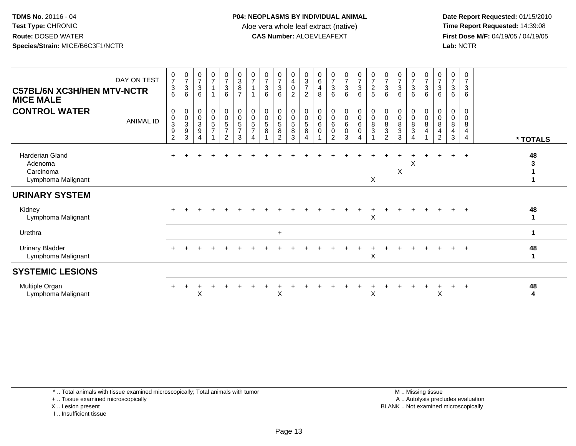**Date Report Requested:** 01/15/2010 **First Dose M/F:** 04/19/05 / 04/19/05<br>Lab: NCTR **Lab:** NCTR

| <b>C57BL/6N XC3H/HEN MTV-NCTR</b><br><b>MICE MALE</b>                | DAY ON TEST      | $\frac{0}{7}$<br>$\frac{3}{6}$                                                    | $\frac{0}{7}$<br>3<br>6 | 0<br>$\overline{7}$<br>$\sqrt{3}$<br>6                                    | $\frac{0}{7}$                                                   | $\frac{0}{7}$<br>$\ensuremath{\mathsf{3}}$<br>$\,6\,$                            | $\begin{array}{c} 0 \\ 3 \\ 8 \end{array}$<br>$\overline{7}$                  | $\frac{0}{7}$                      | $\frac{0}{7}$<br>$\sqrt{3}$<br>6 | $\frac{0}{7}$<br>$\mathbf{3}$<br>6 | $\begin{smallmatrix}0\0\4\end{smallmatrix}$<br>$\mathsf 0$<br>$\overline{2}$ | $\begin{array}{c} 0 \\ 3 \\ 7 \end{array}$<br>$\overline{c}$ | $\begin{array}{c} 0 \\ 6 \end{array}$<br>4<br>8 | $\frac{0}{7}$<br>$\sqrt{3}$<br>6           | $\begin{array}{c} 0 \\ 7 \\ 3 \end{array}$<br>6 | $\begin{array}{c} 0 \\ 7 \\ 3 \end{array}$<br>6 | $\frac{0}{7}$<br>$rac{2}{5}$                                     | 0<br>$\overline{7}$<br>$\sqrt{3}$<br>6        | $\begin{array}{c} 0 \\ 7 \end{array}$<br>$\mathbf{3}$<br>6 | $\frac{0}{7}$<br>$\sqrt{3}$<br>6 | $\frac{0}{7}$<br>$\mathbf{3}$<br>6 | $\pmb{0}$<br>$\overline{7}$<br>$\sqrt{3}$<br>6 | $\frac{0}{7}$<br>3<br>6 | 0<br>$\overline{ }$<br>$\mathbf{3}$<br>6 |                   |
|----------------------------------------------------------------------|------------------|-----------------------------------------------------------------------------------|-------------------------|---------------------------------------------------------------------------|-----------------------------------------------------------------|----------------------------------------------------------------------------------|-------------------------------------------------------------------------------|------------------------------------|----------------------------------|------------------------------------|------------------------------------------------------------------------------|--------------------------------------------------------------|-------------------------------------------------|--------------------------------------------|-------------------------------------------------|-------------------------------------------------|------------------------------------------------------------------|-----------------------------------------------|------------------------------------------------------------|----------------------------------|------------------------------------|------------------------------------------------|-------------------------|------------------------------------------|-------------------|
| <b>CONTROL WATER</b>                                                 | <b>ANIMAL ID</b> | 0<br>$\pmb{0}$<br>$\ensuremath{\mathsf{3}}$<br>$\boldsymbol{9}$<br>$\overline{2}$ | 0<br>0<br>3<br>9<br>3   | 0<br>0<br>$\ensuremath{\mathsf{3}}$<br>$\boldsymbol{9}$<br>$\overline{4}$ | $\begin{smallmatrix}0\0\0\5\end{smallmatrix}$<br>$\overline{7}$ | 0<br>$\begin{array}{c} 0 \\ 5 \end{array}$<br>$\boldsymbol{7}$<br>$\overline{2}$ | $\pmb{0}$<br>$\boldsymbol{0}$<br>$\sqrt{5}$<br>$\overline{7}$<br>$\mathbf{3}$ | 0<br>0<br>5<br>$\overline{7}$<br>4 | 0<br>$\mathbf 0$<br>5<br>8       | 0<br>0<br>5<br>8<br>$\overline{2}$ | 0<br>0<br>$\,$ 5 $\,$<br>8<br>3                                              | 0<br>$\,0\,$<br>$\sqrt{5}$<br>$\, 8$<br>$\overline{4}$       | 0<br>0<br>6<br>0                                | 0<br>0<br>6<br>$\pmb{0}$<br>$\overline{2}$ | 0<br>0<br>6<br>$\boldsymbol{0}$<br>3            | 0<br>$\pmb{0}$<br>$\,6\,$<br>0<br>4             | $\mathbf 0$<br>$\pmb{0}$<br>$\,8\,$<br>$\ensuremath{\mathsf{3}}$ | 0<br>0<br>8<br>$\mathbf{3}$<br>$\overline{2}$ | 0<br>$\pmb{0}$<br>8<br>$\sqrt{3}$<br>3                     | 0<br>0<br>8<br>3<br>4            | 0<br>$\mathbf 0$<br>8<br>4<br>1    | 0<br>0<br>8<br>4<br>2                          | 0<br>0<br>8<br>4<br>3   | 0<br>0<br>8<br>4<br>4                    | * TOTALS          |
| <b>Harderian Gland</b><br>Adenoma<br>Carcinoma<br>Lymphoma Malignant |                  |                                                                                   |                         |                                                                           |                                                                 |                                                                                  |                                                                               |                                    |                                  |                                    |                                                                              |                                                              |                                                 |                                            |                                                 |                                                 | X                                                                |                                               | X                                                          | Χ                                |                                    |                                                | $+$                     | $+$                                      | 48<br>3           |
| <b>URINARY SYSTEM</b>                                                |                  |                                                                                   |                         |                                                                           |                                                                 |                                                                                  |                                                                               |                                    |                                  |                                    |                                                                              |                                                              |                                                 |                                            |                                                 |                                                 |                                                                  |                                               |                                                            |                                  |                                    |                                                |                         |                                          |                   |
| Kidney<br>Lymphoma Malignant                                         |                  |                                                                                   |                         |                                                                           |                                                                 |                                                                                  |                                                                               |                                    |                                  |                                    |                                                                              |                                                              |                                                 |                                            |                                                 |                                                 | X                                                                |                                               |                                                            |                                  |                                    |                                                | $+$                     | $+$                                      | 48<br>1           |
| Urethra                                                              |                  |                                                                                   |                         |                                                                           |                                                                 |                                                                                  |                                                                               |                                    |                                  | $\ddot{}$                          |                                                                              |                                                              |                                                 |                                            |                                                 |                                                 |                                                                  |                                               |                                                            |                                  |                                    |                                                |                         |                                          | $\mathbf 1$       |
| <b>Urinary Bladder</b><br>Lymphoma Malignant                         |                  |                                                                                   |                         |                                                                           |                                                                 |                                                                                  |                                                                               |                                    |                                  |                                    |                                                                              |                                                              |                                                 |                                            |                                                 |                                                 | X                                                                |                                               |                                                            |                                  |                                    |                                                | $+$                     | $+$                                      | 48<br>$\mathbf 1$ |
| <b>SYSTEMIC LESIONS</b>                                              |                  |                                                                                   |                         |                                                                           |                                                                 |                                                                                  |                                                                               |                                    |                                  |                                    |                                                                              |                                                              |                                                 |                                            |                                                 |                                                 |                                                                  |                                               |                                                            |                                  |                                    |                                                |                         |                                          |                   |
| Multiple Organ<br>Lymphoma Malignant                                 |                  |                                                                                   |                         | X                                                                         |                                                                 |                                                                                  |                                                                               |                                    |                                  | X                                  |                                                                              |                                                              |                                                 |                                            |                                                 |                                                 | X                                                                |                                               |                                                            |                                  |                                    | X                                              |                         | $\overline{1}$                           | 48<br>4           |

\* .. Total animals with tissue examined microscopically; Total animals with tumor

+ .. Tissue examined microscopically

X .. Lesion present

I .. Insufficient tissue

 M .. Missing tissuey the contract of the contract of the contract of the contract of the contract of the contract of the contract of  $A$ . Autolysis precludes evaluation Lesion present BLANK .. Not examined microscopically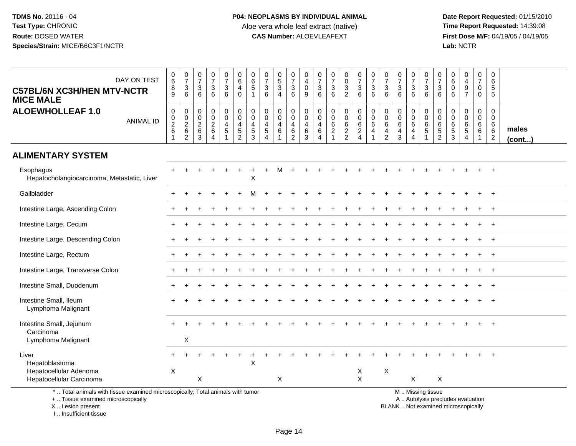**Date Report Requested:** 01/15/2010 **First Dose M/F:** 04/19/05 / 04/19/05<br>Lab: NCTR **Lab:** NCTR

| DAY ON TEST<br><b>C57BL/6N XC3H/HEN MTV-NCTR</b><br><b>MICE MALE</b>                                                                       | $_6^0$<br>$^8_9$             | $\begin{array}{c} 0 \\ 7 \end{array}$<br>$\ensuremath{\mathsf{3}}$<br>$\,6$ | $\mathbf 0$<br>$\overline{7}$<br>3<br>6 | $\frac{0}{7}$<br>$\sqrt{3}$<br>6                                                  | $\begin{array}{c} 0 \\ 7 \end{array}$<br>$\sqrt{3}$<br>6         | 0<br>6<br>4<br>$\mathbf 0$                   | 0<br>6<br>5<br>$\mathbf 1$               | 0<br>$\overline{7}$<br>$\ensuremath{\mathsf{3}}$<br>$6\phantom{1}$ | $\begin{array}{c} 0 \\ 5 \end{array}$<br>$\overline{3}$<br>$\overline{4}$ | $\pmb{0}$<br>$\overline{7}$<br>3<br>$6\phantom{1}$ | 0<br>$\overline{4}$<br>$\mathbf 0$<br>9 | 0<br>$\frac{5}{7}$<br>3<br>$\,6\,$ | $\frac{0}{7}$<br>$\frac{3}{6}$                          | $_0^0$<br>$\sqrt{3}$<br>$\overline{2}$             | $\begin{array}{c} 0 \\ 7 \end{array}$<br>$\mathbf{3}$<br>6      | $\begin{array}{c} 0 \\ 7 \end{array}$<br>$\sqrt{3}$<br>$6\phantom{1}6$ | $\frac{0}{7}$<br>3<br>6                                       | $\mathbf 0$<br>$\overline{7}$<br>3<br>6                | $\frac{0}{7}$<br>$\ensuremath{\mathsf{3}}$<br>6  | $\begin{array}{c} 0 \\ 7 \end{array}$<br>$\ensuremath{\mathsf{3}}$<br>6 | $\,0\,$<br>$\overline{7}$<br>$\ensuremath{\mathsf{3}}$<br>$6\phantom{1}$ | $\pmb{0}$<br>6<br>0<br>6                      | $\mathbf 0$<br>$\overline{4}$<br>$\boldsymbol{9}$<br>$\overline{7}$            | $\begin{array}{c} 0 \\ 7 \end{array}$<br>$\pmb{0}$<br>$\mathsf{O}\xspace$ | 0<br>6<br>5<br>$\overline{5}$                                                       |                       |
|--------------------------------------------------------------------------------------------------------------------------------------------|------------------------------|-----------------------------------------------------------------------------|-----------------------------------------|-----------------------------------------------------------------------------------|------------------------------------------------------------------|----------------------------------------------|------------------------------------------|--------------------------------------------------------------------|---------------------------------------------------------------------------|----------------------------------------------------|-----------------------------------------|------------------------------------|---------------------------------------------------------|----------------------------------------------------|-----------------------------------------------------------------|------------------------------------------------------------------------|---------------------------------------------------------------|--------------------------------------------------------|--------------------------------------------------|-------------------------------------------------------------------------|--------------------------------------------------------------------------|-----------------------------------------------|--------------------------------------------------------------------------------|---------------------------------------------------------------------------|-------------------------------------------------------------------------------------|-----------------------|
| <b>ALOEWHOLLEAF 1.0</b><br><b>ANIMAL ID</b>                                                                                                | 0<br>$^{\rm 0}_{\rm 2}$<br>6 | 0<br>$\frac{0}{2}$<br>6<br>$\overline{2}$                                   | 0<br>0<br>$\sqrt{2}$<br>6<br>3          | $\mathbf 0$<br>$\mathbf 0$<br>$\overline{c}$<br>$6\phantom{1}6$<br>$\overline{4}$ | 0<br>$\mathbf 0$<br>$\overline{4}$<br>$\sqrt{5}$<br>$\mathbf{1}$ | 0<br>$\mathbf 0$<br>4<br>5<br>$\overline{2}$ | 0<br>$\mathbf 0$<br>4<br>$\sqrt{5}$<br>3 | 0<br>0<br>4<br>5<br>$\overline{4}$                                 | $\mathbf 0$<br>$\mathbf 0$<br>$\overline{4}$<br>$\,6\,$                   | 0<br>$\mathbf 0$<br>$\overline{4}$<br>6<br>2       | 0<br>$\mathbf 0$<br>4<br>6<br>3         | 0<br>$\mathbf 0$<br>4<br>6<br>4    | 0<br>$\mathbf 0$<br>$\,6$<br>$\sqrt{2}$<br>$\mathbf{1}$ | 0<br>$\mathsf{O}\xspace$<br>$\,6$<br>$\frac{2}{2}$ | 0<br>$\mathbf 0$<br>$\,6\,$<br>$\overline{c}$<br>$\overline{4}$ | 0<br>$\overline{0}$<br>$\,6\,$<br>$\overline{4}$<br>$\mathbf 1$        | 0<br>$\mathbf 0$<br>$\,6$<br>$\overline{4}$<br>$\overline{2}$ | $\mathbf 0$<br>$\mathbf 0$<br>6<br>$\overline{4}$<br>3 | 0<br>$\mathbf 0$<br>$\,6$<br>$\overline{4}$<br>4 | 0<br>$\mathbf 0$<br>$\,6\,$<br>$\sqrt{5}$                               | 0<br>$\pmb{0}$<br>$\,6\,$<br>$\frac{5}{2}$                               | $\mathbf 0$<br>0<br>$\,6$<br>$\,$ 5 $\,$<br>3 | $\mathbf 0$<br>$\mathbf 0$<br>$6\phantom{1}6$<br>$\,$ 5 $\,$<br>$\overline{4}$ | 0<br>$\mathbf 0$<br>$\,6\,$<br>6<br>$\mathbf{1}$                          | $\mathbf{0}$<br>$\mathbf 0$<br>$6\phantom{1}6$<br>$6\phantom{1}6$<br>$\overline{2}$ | males<br>$($ cont $)$ |
| <b>ALIMENTARY SYSTEM</b>                                                                                                                   |                              |                                                                             |                                         |                                                                                   |                                                                  |                                              |                                          |                                                                    |                                                                           |                                                    |                                         |                                    |                                                         |                                                    |                                                                 |                                                                        |                                                               |                                                        |                                                  |                                                                         |                                                                          |                                               |                                                                                |                                                                           |                                                                                     |                       |
| Esophagus<br>Hepatocholangiocarcinoma, Metastatic, Liver                                                                                   |                              |                                                                             |                                         |                                                                                   |                                                                  |                                              | Χ                                        |                                                                    |                                                                           |                                                    |                                         |                                    |                                                         |                                                    |                                                                 |                                                                        |                                                               |                                                        |                                                  |                                                                         |                                                                          |                                               |                                                                                |                                                                           |                                                                                     |                       |
| Gallbladder                                                                                                                                |                              |                                                                             |                                         |                                                                                   |                                                                  |                                              |                                          |                                                                    |                                                                           |                                                    |                                         |                                    |                                                         |                                                    |                                                                 |                                                                        |                                                               |                                                        |                                                  |                                                                         |                                                                          |                                               |                                                                                |                                                                           | $\overline{1}$                                                                      |                       |
| Intestine Large, Ascending Colon                                                                                                           |                              |                                                                             |                                         |                                                                                   |                                                                  |                                              |                                          |                                                                    |                                                                           |                                                    |                                         |                                    |                                                         |                                                    |                                                                 |                                                                        |                                                               |                                                        |                                                  |                                                                         |                                                                          |                                               |                                                                                |                                                                           |                                                                                     |                       |
| Intestine Large, Cecum                                                                                                                     |                              |                                                                             |                                         |                                                                                   |                                                                  |                                              |                                          |                                                                    |                                                                           |                                                    |                                         |                                    |                                                         |                                                    |                                                                 |                                                                        |                                                               |                                                        |                                                  |                                                                         |                                                                          |                                               |                                                                                |                                                                           |                                                                                     |                       |
| Intestine Large, Descending Colon                                                                                                          |                              |                                                                             |                                         |                                                                                   |                                                                  |                                              |                                          |                                                                    |                                                                           |                                                    |                                         |                                    |                                                         |                                                    |                                                                 |                                                                        |                                                               |                                                        |                                                  |                                                                         |                                                                          |                                               |                                                                                |                                                                           | $\overline{1}$                                                                      |                       |
| Intestine Large, Rectum                                                                                                                    |                              |                                                                             |                                         |                                                                                   |                                                                  |                                              |                                          |                                                                    |                                                                           |                                                    |                                         |                                    |                                                         |                                                    |                                                                 |                                                                        |                                                               |                                                        |                                                  |                                                                         |                                                                          |                                               |                                                                                |                                                                           |                                                                                     |                       |
| Intestine Large, Transverse Colon                                                                                                          |                              |                                                                             |                                         |                                                                                   |                                                                  |                                              |                                          |                                                                    |                                                                           |                                                    |                                         |                                    |                                                         |                                                    |                                                                 |                                                                        |                                                               |                                                        |                                                  |                                                                         |                                                                          |                                               |                                                                                |                                                                           |                                                                                     |                       |
| Intestine Small, Duodenum                                                                                                                  |                              |                                                                             |                                         |                                                                                   |                                                                  |                                              |                                          |                                                                    |                                                                           |                                                    |                                         |                                    |                                                         |                                                    |                                                                 |                                                                        |                                                               |                                                        |                                                  |                                                                         |                                                                          |                                               |                                                                                |                                                                           |                                                                                     |                       |
| Intestine Small, Ileum<br>Lymphoma Malignant                                                                                               |                              |                                                                             |                                         |                                                                                   |                                                                  |                                              |                                          |                                                                    |                                                                           |                                                    |                                         |                                    |                                                         |                                                    |                                                                 |                                                                        |                                                               |                                                        |                                                  |                                                                         |                                                                          |                                               |                                                                                |                                                                           |                                                                                     |                       |
| Intestine Small, Jejunum<br>Carcinoma<br>Lymphoma Malignant                                                                                |                              | X                                                                           |                                         |                                                                                   |                                                                  |                                              |                                          |                                                                    |                                                                           |                                                    |                                         |                                    |                                                         |                                                    |                                                                 |                                                                        |                                                               |                                                        |                                                  |                                                                         |                                                                          |                                               |                                                                                |                                                                           |                                                                                     |                       |
| Liver<br>Hepatoblastoma<br>Hepatocellular Adenoma<br>Hepatocellular Carcinoma                                                              | X                            |                                                                             | X                                       |                                                                                   |                                                                  |                                              | X                                        |                                                                    | X                                                                         |                                                    |                                         |                                    |                                                         |                                                    | X<br>$\mathsf{X}$                                               |                                                                        | $\mathsf{X}$                                                  |                                                        | X                                                |                                                                         | X                                                                        |                                               |                                                                                |                                                                           |                                                                                     |                       |
| *  Total animals with tissue examined microscopically; Total animals with tumor<br>+  Tissue examined microscopically<br>X  Lesion present |                              |                                                                             |                                         |                                                                                   |                                                                  |                                              |                                          |                                                                    |                                                                           |                                                    |                                         |                                    |                                                         |                                                    |                                                                 |                                                                        |                                                               |                                                        |                                                  | M  Missing tissue                                                       |                                                                          |                                               | A  Autolysis precludes evaluation<br>BLANK  Not examined microscopically       |                                                                           |                                                                                     |                       |

X .. Lesion present I .. Insufficient tissue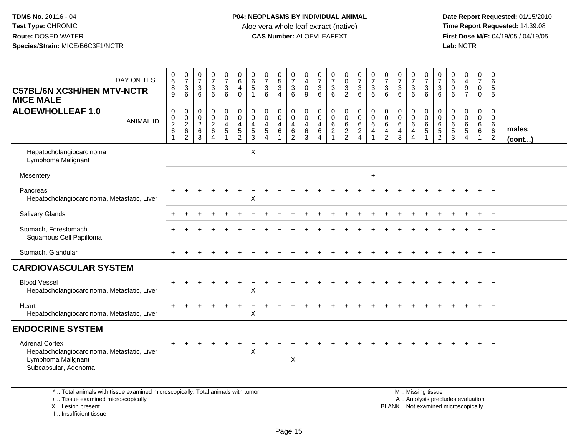I .. Insufficient tissue

| DAY ON TEST<br><b>C57BL/6N XC3H/HEN MTV-NCTR</b><br><b>MICE MALE</b>                                                                       | $\begin{array}{c} 0 \\ 6 \end{array}$<br>$\, 8$<br>9 | $\frac{0}{7}$<br>$\sqrt{3}$<br>6                    | $\frac{0}{7}$<br>3<br>6                                  | $\frac{0}{7}$<br>3<br>6                                           | $\begin{smallmatrix}0\\7\end{smallmatrix}$<br>$\ensuremath{\mathsf{3}}$<br>$6\phantom{1}$ | $\pmb{0}$<br>$\overline{6}$<br>4<br>$\mathbf 0$                       | $\begin{array}{c} 0 \\ 6 \end{array}$<br>$\overline{5}$<br>$\overline{1}$ | $\begin{array}{c} 0 \\ 7 \end{array}$<br>$\ensuremath{\mathsf{3}}$<br>6                             | $\begin{array}{c} 0 \\ 5 \end{array}$<br>$\overline{3}$<br>$\overline{4}$ | $\frac{0}{7}$<br>$\frac{3}{6}$                                             | $\pmb{0}$<br>$\overline{4}$<br>$\pmb{0}$<br>$9\,$             | 0<br>$\overline{7}$<br>$\ensuremath{\mathsf{3}}$<br>6 | $\begin{array}{c} 0 \\ 7 \end{array}$<br>$\frac{3}{6}$           | $\pmb{0}$<br>$\overline{0}$<br>$\overline{3}$<br>$\overline{2}$        | $\frac{0}{7}$<br>$\mathbf 3$<br>6                              | $\frac{0}{7}$<br>3<br>$\,6\,$              | $\begin{array}{c} 0 \\ 7 \end{array}$<br>$\ensuremath{\mathsf{3}}$<br>6 | $\begin{array}{c} 0 \\ 7 \end{array}$<br>$\ensuremath{\mathsf{3}}$<br>6         | $\frac{0}{7}$<br>$\frac{3}{6}$                                          | $\begin{matrix} 0 \\ 7 \end{matrix}$<br>$\ensuremath{\mathsf{3}}$<br>6                        | 0<br>$\overline{7}$<br>3<br>6                          | $\begin{array}{c} 0 \\ 6 \end{array}$<br>$\mathbf 0$<br>6 | $_4^{\rm 0}$<br>$\frac{9}{7}$              | 0<br>$\overline{7}$<br>0<br>$\Omega$ | $\mathbf 0$<br>$6\phantom{1}6$<br>5<br>$\sqrt{5}$      |                       |
|--------------------------------------------------------------------------------------------------------------------------------------------|------------------------------------------------------|-----------------------------------------------------|----------------------------------------------------------|-------------------------------------------------------------------|-------------------------------------------------------------------------------------------|-----------------------------------------------------------------------|---------------------------------------------------------------------------|-----------------------------------------------------------------------------------------------------|---------------------------------------------------------------------------|----------------------------------------------------------------------------|---------------------------------------------------------------|-------------------------------------------------------|------------------------------------------------------------------|------------------------------------------------------------------------|----------------------------------------------------------------|--------------------------------------------|-------------------------------------------------------------------------|---------------------------------------------------------------------------------|-------------------------------------------------------------------------|-----------------------------------------------------------------------------------------------|--------------------------------------------------------|-----------------------------------------------------------|--------------------------------------------|--------------------------------------|--------------------------------------------------------|-----------------------|
| <b>ALOEWHOLLEAF 1.0</b><br><b>ANIMAL ID</b>                                                                                                | $\pmb{0}$<br>$\frac{0}{2}$ 6                         | $\mathbf 0$<br>$\mathbf 0$<br>$^2\phantom{1}6$<br>2 | $\mathsf 0$<br>$\mathbf 0$<br>$\boldsymbol{2}$<br>6<br>3 | 0<br>$\boldsymbol{0}$<br>$\frac{2}{6}$<br>$\overline{\mathbf{4}}$ | $\pmb{0}$<br>$\overline{0}$<br>$\overline{4}$<br>$\overline{5}$<br>$\mathbf{1}$           | $\mathsf 0$<br>$\ddot{\mathbf{0}}$<br>$\overline{4}$<br>$\frac{5}{2}$ | $\mathbf 0$<br>$\pmb{0}$<br>$\overline{4}$<br>$\frac{5}{3}$               | $\mathbf 0$<br>$\mathbf 0$<br>$\overline{\mathbf{4}}$<br>$\overline{5}$<br>$\boldsymbol{\varDelta}$ | 0<br>$\overline{0}$<br>$\overline{4}$<br>$\,6\,$                          | $\pmb{0}$<br>$\overline{0}$<br>$\overline{4}$<br>$\,6\,$<br>$\overline{2}$ | 0<br>$\ddot{\mathbf{0}}$<br>$\overline{\mathbf{4}}$<br>6<br>3 | 0<br>$\mathbf 0$<br>$\overline{4}$<br>6<br>4          | $_{\rm 0}^{\rm 0}$<br>$\begin{array}{c} 6 \\ 2 \\ 1 \end{array}$ | 0<br>$\ddot{\mathbf{0}}$<br>$\begin{array}{c} 6 \\ 2 \\ 2 \end{array}$ | $\mathsf 0$<br>$\ddot{\mathbf{0}}$<br>$\,6\,$<br>$\frac{2}{4}$ | $\mathbf 0$<br>$\mathbf 0$<br>$\,6\,$<br>4 | $\pmb{0}$<br>$\mathbf 0$<br>6<br>$\overline{4}$<br>$\overline{2}$       | $\mathbf 0$<br>$\ddot{\mathbf{0}}$<br>$\,6\,$<br>$\overline{4}$<br>$\mathbf{3}$ | 0<br>$\ddot{\mathbf{0}}$<br>$\,6\,$<br>$\overline{4}$<br>$\overline{4}$ | $\mathbf 0$<br>$\overline{0}$<br>$\,6\,$<br>$\sqrt{5}$<br>$\mathbf{1}$                        | 0<br>$\mathbf 0$<br>6<br>$\,$ 5 $\,$<br>$\overline{2}$ | 0<br>$\mathbf 0$<br>$\,6\,$<br>$\frac{5}{3}$              | 0<br>$\pmb{0}$<br>$^6$ 5<br>$\overline{4}$ | 0<br>$\overline{0}$<br>$^6_6$        | $\mathbf 0$<br>$\mathbf 0$<br>6<br>6<br>$\overline{2}$ | males<br>$($ cont $)$ |
| Hepatocholangiocarcinoma<br>Lymphoma Malignant                                                                                             |                                                      |                                                     |                                                          |                                                                   |                                                                                           |                                                                       | X                                                                         |                                                                                                     |                                                                           |                                                                            |                                                               |                                                       |                                                                  |                                                                        |                                                                |                                            |                                                                         |                                                                                 |                                                                         |                                                                                               |                                                        |                                                           |                                            |                                      |                                                        |                       |
| Mesentery                                                                                                                                  |                                                      |                                                     |                                                          |                                                                   |                                                                                           |                                                                       |                                                                           |                                                                                                     |                                                                           |                                                                            |                                                               |                                                       |                                                                  |                                                                        |                                                                | $\ddot{}$                                  |                                                                         |                                                                                 |                                                                         |                                                                                               |                                                        |                                                           |                                            |                                      |                                                        |                       |
| Pancreas<br>Hepatocholangiocarcinoma, Metastatic, Liver                                                                                    |                                                      |                                                     |                                                          |                                                                   |                                                                                           |                                                                       | X                                                                         |                                                                                                     |                                                                           |                                                                            |                                                               |                                                       |                                                                  |                                                                        |                                                                |                                            |                                                                         |                                                                                 |                                                                         |                                                                                               |                                                        |                                                           |                                            |                                      |                                                        |                       |
| <b>Salivary Glands</b>                                                                                                                     |                                                      |                                                     |                                                          |                                                                   |                                                                                           |                                                                       |                                                                           |                                                                                                     |                                                                           |                                                                            |                                                               |                                                       |                                                                  |                                                                        |                                                                |                                            |                                                                         |                                                                                 |                                                                         |                                                                                               |                                                        |                                                           |                                            |                                      |                                                        |                       |
| Stomach, Forestomach<br>Squamous Cell Papilloma                                                                                            |                                                      |                                                     |                                                          |                                                                   |                                                                                           |                                                                       |                                                                           |                                                                                                     |                                                                           |                                                                            |                                                               |                                                       |                                                                  |                                                                        |                                                                |                                            |                                                                         |                                                                                 |                                                                         |                                                                                               |                                                        |                                                           |                                            |                                      |                                                        |                       |
| Stomach, Glandular                                                                                                                         |                                                      |                                                     |                                                          |                                                                   |                                                                                           |                                                                       |                                                                           |                                                                                                     |                                                                           |                                                                            |                                                               |                                                       |                                                                  |                                                                        |                                                                |                                            |                                                                         |                                                                                 |                                                                         |                                                                                               |                                                        |                                                           |                                            |                                      | $+$                                                    |                       |
| <b>CARDIOVASCULAR SYSTEM</b>                                                                                                               |                                                      |                                                     |                                                          |                                                                   |                                                                                           |                                                                       |                                                                           |                                                                                                     |                                                                           |                                                                            |                                                               |                                                       |                                                                  |                                                                        |                                                                |                                            |                                                                         |                                                                                 |                                                                         |                                                                                               |                                                        |                                                           |                                            |                                      |                                                        |                       |
| <b>Blood Vessel</b><br>Hepatocholangiocarcinoma, Metastatic, Liver                                                                         |                                                      |                                                     |                                                          |                                                                   |                                                                                           |                                                                       | X                                                                         |                                                                                                     |                                                                           |                                                                            |                                                               |                                                       |                                                                  |                                                                        |                                                                |                                            |                                                                         |                                                                                 |                                                                         |                                                                                               |                                                        |                                                           |                                            |                                      |                                                        |                       |
| Heart<br>Hepatocholangiocarcinoma, Metastatic, Liver                                                                                       |                                                      |                                                     |                                                          |                                                                   |                                                                                           |                                                                       | $\mathsf X$                                                               |                                                                                                     |                                                                           |                                                                            |                                                               |                                                       |                                                                  |                                                                        |                                                                |                                            |                                                                         |                                                                                 |                                                                         |                                                                                               |                                                        |                                                           |                                            |                                      |                                                        |                       |
| <b>ENDOCRINE SYSTEM</b>                                                                                                                    |                                                      |                                                     |                                                          |                                                                   |                                                                                           |                                                                       |                                                                           |                                                                                                     |                                                                           |                                                                            |                                                               |                                                       |                                                                  |                                                                        |                                                                |                                            |                                                                         |                                                                                 |                                                                         |                                                                                               |                                                        |                                                           |                                            |                                      |                                                        |                       |
| <b>Adrenal Cortex</b><br>Hepatocholangiocarcinoma, Metastatic, Liver<br>Lymphoma Malignant<br>Subcapsular, Adenoma                         |                                                      |                                                     |                                                          |                                                                   |                                                                                           |                                                                       | X                                                                         |                                                                                                     |                                                                           | Χ                                                                          |                                                               |                                                       |                                                                  |                                                                        |                                                                |                                            |                                                                         |                                                                                 |                                                                         |                                                                                               |                                                        |                                                           |                                            |                                      |                                                        |                       |
| *  Total animals with tissue examined microscopically; Total animals with tumor<br>+  Tissue examined microscopically<br>X  Lesion present |                                                      |                                                     |                                                          |                                                                   |                                                                                           |                                                                       |                                                                           |                                                                                                     |                                                                           |                                                                            |                                                               |                                                       |                                                                  |                                                                        |                                                                |                                            |                                                                         |                                                                                 |                                                                         | M  Missing tissue<br>A  Autolysis precludes evaluation<br>BLANK  Not examined microscopically |                                                        |                                                           |                                            |                                      |                                                        |                       |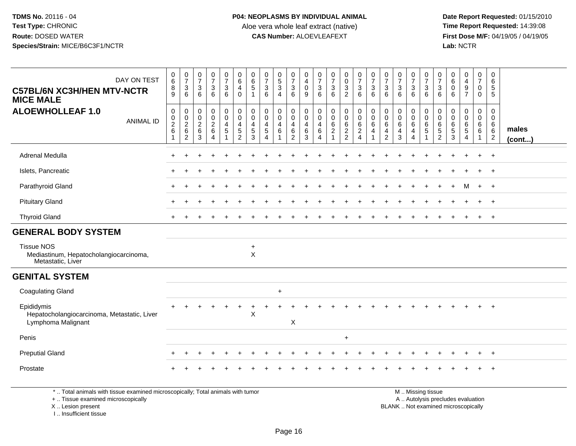**Date Report Requested:** 01/15/2010 **First Dose M/F:** 04/19/05 / 04/19/05<br>Lab: NCTR **Lab:** NCTR

| DAY ON TEST<br><b>C57BL/6N XC3H/HEN MTV-NCTR</b><br><b>MICE MALE</b>             | $\pmb{0}$<br>$\,6\,$<br>8<br>9                                                                    | $\frac{0}{7}$<br>$\mathbf{3}$<br>6                             | $\frac{0}{7}$<br>$\mathbf{3}$<br>6                         | $\frac{0}{7}$<br>3<br>6                         | $\frac{0}{7}$<br>$\mathbf{3}$<br>6               | $\begin{array}{c} 0 \\ 6 \end{array}$<br>$\overline{4}$<br>$\mathbf 0$     | $\boldsymbol{0}$<br>$\,6\,$<br>$\sqrt{5}$<br>$\overline{1}$ | $\frac{0}{7}$<br>$\mathbf{3}$<br>6                           | $\begin{array}{c} 0 \\ 5 \\ 3 \end{array}$<br>$\boldsymbol{\Lambda}$ | $\begin{array}{c} 0 \\ 7 \end{array}$<br>$\ensuremath{\mathsf{3}}$<br>6 | $\mathbf 0$<br>$\overline{4}$<br>$\pmb{0}$<br>9               | $\frac{0}{7}$<br>$\mathbf{3}$<br>6                              | $\frac{0}{7}$<br>$\mathbf{3}$<br>6                                    | 0<br>$\mathbf 0$<br>$\mathbf{3}$<br>$\overline{2}$ | $\frac{0}{7}$<br>$\mathbf{3}$<br>6                          | $\begin{array}{c} 0 \\ 7 \end{array}$<br>$\sqrt{3}$<br>6 | $\pmb{0}$<br>$\overline{7}$<br>$\mathbf{3}$<br>6                | $\frac{0}{7}$<br>$\mathbf{3}$<br>6                         | $\frac{0}{7}$<br>$\mathbf 3$<br>6                        | $\pmb{0}$<br>$\boldsymbol{7}$<br>3<br>6                   | 0<br>$\overline{7}$<br>3<br>6                | 0<br>$\,6$<br>$\mathbf 0$<br>6                       | $\begin{smallmatrix}0\0\4\end{smallmatrix}$<br>$\boldsymbol{9}$<br>$\overline{7}$ | 0<br>$\overline{7}$<br>$\mathbf 0$<br>$\mathbf 0$ | 0<br>6<br>$\sqrt{5}$<br>5                              |                 |
|----------------------------------------------------------------------------------|---------------------------------------------------------------------------------------------------|----------------------------------------------------------------|------------------------------------------------------------|-------------------------------------------------|--------------------------------------------------|----------------------------------------------------------------------------|-------------------------------------------------------------|--------------------------------------------------------------|----------------------------------------------------------------------|-------------------------------------------------------------------------|---------------------------------------------------------------|-----------------------------------------------------------------|-----------------------------------------------------------------------|----------------------------------------------------|-------------------------------------------------------------|----------------------------------------------------------|-----------------------------------------------------------------|------------------------------------------------------------|----------------------------------------------------------|-----------------------------------------------------------|----------------------------------------------|------------------------------------------------------|-----------------------------------------------------------------------------------|---------------------------------------------------|--------------------------------------------------------|-----------------|
| <b>ALOEWHOLLEAF 1.0</b><br><b>ANIMAL ID</b>                                      | $\mathbf 0$<br>$\begin{smallmatrix} 0\\2 \end{smallmatrix}$<br>$\,6\,$<br>$\overline{\mathbf{1}}$ | 0<br>$\overline{0}$<br>$\overline{c}$<br>$\,6\,$<br>$\sqrt{2}$ | $\pmb{0}$<br>$\mathbf 0$<br>$\overline{c}$<br>$\,6\,$<br>3 | 0<br>0<br>$\overline{a}$<br>6<br>$\overline{4}$ | 0<br>$\mathbf 0$<br>$\overline{4}$<br>$\sqrt{5}$ | $\pmb{0}$<br>$\mathbf 0$<br>$\overline{4}$<br>$\sqrt{5}$<br>$\overline{2}$ | 0<br>$\mathbf 0$<br>$\overline{4}$<br>$\sqrt{5}$<br>3       | 0<br>$\mathbf 0$<br>$\overline{4}$<br>$\sqrt{5}$<br>$\Delta$ | 0<br>$\mathbf 0$<br>$\overline{4}$<br>$\,6\,$                        | 0<br>$\pmb{0}$<br>4<br>$\,6\,$<br>$\overline{2}$                        | 0<br>$\mathbf 0$<br>$\overline{4}$<br>$\,6\,$<br>$\mathbf{3}$ | 0<br>$\mathbf 0$<br>$\overline{a}$<br>$\,6\,$<br>$\overline{4}$ | $\mathbf 0$<br>$\mathbf 0$<br>$\,6\,$<br>$\sqrt{2}$<br>$\overline{1}$ | 0<br>$\mathbf 0$<br>6<br>$\frac{2}{2}$             | 0<br>$\mathbf 0$<br>$\,6\,$<br>$\sqrt{2}$<br>$\overline{4}$ | $\pmb{0}$<br>$\pmb{0}$<br>6<br>$\overline{4}$            | 0<br>$\mathbf 0$<br>$\,6\,$<br>$\overline{4}$<br>$\overline{2}$ | 0<br>$\mathbf 0$<br>$6\phantom{1}6$<br>$\overline{4}$<br>3 | 0<br>$\pmb{0}$<br>$6\phantom{1}6$<br>4<br>$\overline{4}$ | 0<br>$\mathbf 0$<br>$\,6\,$<br>$\sqrt{5}$<br>$\mathbf{1}$ | 0<br>$\mathbf 0$<br>6<br>5<br>$\overline{2}$ | 0<br>$\mathbf 0$<br>6<br>$\,$ 5 $\,$<br>$\mathbf{3}$ | $\mathbf 0$<br>$\mathbf 0$<br>$\,6\,$<br>$\,$ 5 $\,$<br>$\overline{4}$            | 0<br>0<br>6<br>6<br>$\mathbf 1$                   | $\mathbf 0$<br>$\mathbf 0$<br>6<br>6<br>$\overline{2}$ | males<br>(cont) |
| Adrenal Medulla                                                                  | $\ddot{}$                                                                                         | $\ddot{}$                                                      |                                                            | $\ddot{}$                                       | $\ddot{}$                                        | $\ddot{}$                                                                  | $\pm$                                                       |                                                              | $\div$                                                               | $\ddot{}$                                                               | $\ddot{}$                                                     |                                                                 |                                                                       | $\ddot{}$                                          | $\ddot{}$                                                   | $\ddot{}$                                                | +                                                               | ÷.                                                         | $\ddot{}$                                                | $\div$                                                    | $\ddot{}$                                    | +                                                    | $\ddot{}$                                                                         | $+$                                               | $^{+}$                                                 |                 |
| Islets, Pancreatic                                                               |                                                                                                   |                                                                |                                                            |                                                 |                                                  |                                                                            |                                                             |                                                              |                                                                      |                                                                         |                                                               |                                                                 |                                                                       |                                                    |                                                             |                                                          |                                                                 |                                                            |                                                          |                                                           |                                              |                                                      |                                                                                   | $\ddot{}$                                         | $+$                                                    |                 |
| Parathyroid Gland                                                                |                                                                                                   |                                                                |                                                            |                                                 |                                                  |                                                                            |                                                             |                                                              |                                                                      |                                                                         |                                                               |                                                                 |                                                                       |                                                    |                                                             |                                                          |                                                                 |                                                            |                                                          |                                                           |                                              |                                                      | м                                                                                 | $+$                                               | $+$                                                    |                 |
| <b>Pituitary Gland</b>                                                           |                                                                                                   |                                                                |                                                            |                                                 |                                                  |                                                                            |                                                             |                                                              |                                                                      |                                                                         |                                                               |                                                                 |                                                                       |                                                    |                                                             |                                                          |                                                                 |                                                            |                                                          |                                                           |                                              |                                                      |                                                                                   | $\div$                                            | $+$                                                    |                 |
| <b>Thyroid Gland</b>                                                             |                                                                                                   |                                                                |                                                            |                                                 |                                                  |                                                                            |                                                             |                                                              |                                                                      |                                                                         |                                                               |                                                                 |                                                                       |                                                    |                                                             |                                                          |                                                                 |                                                            |                                                          |                                                           |                                              |                                                      |                                                                                   | $\ddot{}$                                         | $+$                                                    |                 |
| <b>GENERAL BODY SYSTEM</b>                                                       |                                                                                                   |                                                                |                                                            |                                                 |                                                  |                                                                            |                                                             |                                                              |                                                                      |                                                                         |                                                               |                                                                 |                                                                       |                                                    |                                                             |                                                          |                                                                 |                                                            |                                                          |                                                           |                                              |                                                      |                                                                                   |                                                   |                                                        |                 |
| <b>Tissue NOS</b><br>Mediastinum, Hepatocholangiocarcinoma,<br>Metastatic, Liver |                                                                                                   |                                                                |                                                            |                                                 |                                                  |                                                                            | $\ddot{}$<br>$\boldsymbol{\mathsf{X}}$                      |                                                              |                                                                      |                                                                         |                                                               |                                                                 |                                                                       |                                                    |                                                             |                                                          |                                                                 |                                                            |                                                          |                                                           |                                              |                                                      |                                                                                   |                                                   |                                                        |                 |
| <b>GENITAL SYSTEM</b>                                                            |                                                                                                   |                                                                |                                                            |                                                 |                                                  |                                                                            |                                                             |                                                              |                                                                      |                                                                         |                                                               |                                                                 |                                                                       |                                                    |                                                             |                                                          |                                                                 |                                                            |                                                          |                                                           |                                              |                                                      |                                                                                   |                                                   |                                                        |                 |
| <b>Coagulating Gland</b>                                                         |                                                                                                   |                                                                |                                                            |                                                 |                                                  |                                                                            |                                                             |                                                              | $\ddot{}$                                                            |                                                                         |                                                               |                                                                 |                                                                       |                                                    |                                                             |                                                          |                                                                 |                                                            |                                                          |                                                           |                                              |                                                      |                                                                                   |                                                   |                                                        |                 |
| Epididymis<br>Hepatocholangiocarcinoma, Metastatic, Liver<br>Lymphoma Malignant  | $+$                                                                                               |                                                                |                                                            | $\div$                                          |                                                  |                                                                            | ÷<br>$\mathsf X$                                            |                                                              |                                                                      | $\mathsf X$                                                             |                                                               |                                                                 |                                                                       |                                                    |                                                             |                                                          |                                                                 |                                                            |                                                          |                                                           | $\div$                                       |                                                      | $\div$                                                                            | $+$                                               | $+$                                                    |                 |
| Penis                                                                            |                                                                                                   |                                                                |                                                            |                                                 |                                                  |                                                                            |                                                             |                                                              |                                                                      |                                                                         |                                                               |                                                                 |                                                                       | $\ddot{}$                                          |                                                             |                                                          |                                                                 |                                                            |                                                          |                                                           |                                              |                                                      |                                                                                   |                                                   |                                                        |                 |
| <b>Preputial Gland</b>                                                           |                                                                                                   |                                                                |                                                            |                                                 |                                                  |                                                                            |                                                             |                                                              |                                                                      |                                                                         |                                                               |                                                                 |                                                                       |                                                    |                                                             |                                                          |                                                                 |                                                            |                                                          |                                                           |                                              |                                                      |                                                                                   |                                                   | $^{+}$                                                 |                 |
| Prostate                                                                         |                                                                                                   |                                                                |                                                            |                                                 |                                                  |                                                                            |                                                             |                                                              |                                                                      |                                                                         |                                                               |                                                                 |                                                                       |                                                    |                                                             |                                                          |                                                                 |                                                            |                                                          |                                                           |                                              |                                                      |                                                                                   | $\ddot{}$                                         | $^{+}$                                                 |                 |
| *  Total animals with tissue examined microscopically; Total animals with tumor  |                                                                                                   |                                                                |                                                            |                                                 |                                                  |                                                                            |                                                             |                                                              |                                                                      |                                                                         |                                                               |                                                                 |                                                                       |                                                    |                                                             |                                                          |                                                                 |                                                            |                                                          | M  Missing tissue                                         |                                              |                                                      |                                                                                   |                                                   |                                                        |                 |

+ .. Tissue examined microscopically

X .. Lesion present

I .. Insufficient tissue

y the contract of the contract of the contract of the contract of the contract of the contract of the contract of  $A$ . Autolysis precludes evaluation

Lesion present BLANK .. Not examined microscopically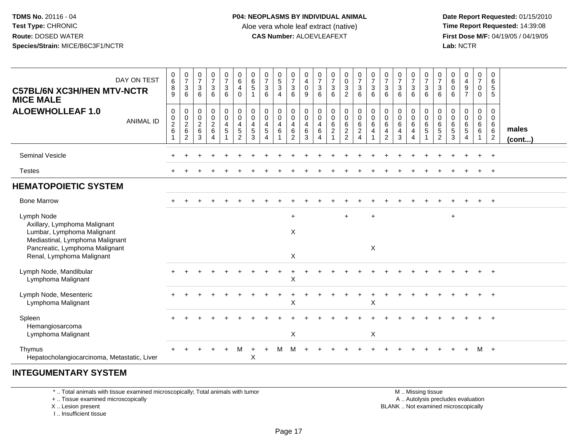**Date Report Requested:** 01/15/2010 **First Dose M/F:** 04/19/05 / 04/19/05<br>Lab: NCTR **Lab:** NCTR

| DAY ON TEST<br><b>C57BL/6N XC3H/HEN MTV-NCTR</b><br><b>MICE MALE</b>                                                                          | $\begin{array}{c} 0 \\ 6 \end{array}$<br>8<br>9 | $\begin{array}{c} 0 \\ 7 \\ 3 \end{array}$<br>6 | $\frac{0}{7}$<br>$\mathbf{3}$<br>6                       | $\frac{0}{7}$<br>$\mathbf{3}$<br>6             | $\frac{0}{7}$<br>$\overline{3}$<br>6                         | $\begin{array}{c} 0 \\ 6 \\ 4 \end{array}$<br>$\pmb{0}$                            | $\begin{matrix} 0 \\ 6 \\ 5 \end{matrix}$<br>$\overline{1}$                                   | $\frac{0}{7}$<br>$\overline{3}$<br>6                                                         | $\begin{array}{c} 0 \\ 5 \\ 3 \end{array}$<br>$\overline{4}$ | $\begin{matrix} 0 \\ 7 \\ 3 \end{matrix}$<br>6                                                     | $\pmb{0}$<br>$\frac{4}{0}$<br>$\boldsymbol{9}$                            | $\frac{0}{7}$<br>$\mathsf 3$<br>6                    | $\begin{array}{c} 0 \\ 7 \end{array}$<br>$\overline{3}$<br>6      | $\begin{smallmatrix}0\\0\\3\end{smallmatrix}$<br>$\sqrt{2}$             | $\begin{array}{c} 0 \\ 7 \\ 3 \end{array}$<br>6                                        | $\frac{0}{7}$<br>3<br>6                         | $\frac{0}{7}$<br>$\mathbf{3}$<br>6                               | $\frac{0}{7}$<br>$\overline{3}$<br>6                                                                      | $\frac{0}{7}$<br>$\mathbf{3}$<br>6                               | $\frac{0}{7}$<br>$\mathbf{3}$<br>6                           | $\frac{0}{7}$<br>$\overline{3}$<br>6             | $_{6}^{\rm 0}$<br>$\pmb{0}$<br>6                     | $\begin{array}{c} 0 \\ 4 \\ 9 \end{array}$<br>$\overline{7}$                      | $\frac{0}{7}$<br>0<br>$\mathbf 0$                                  | $\pmb{0}$<br>$\,6\,$<br>5<br>5                                       |                       |
|-----------------------------------------------------------------------------------------------------------------------------------------------|-------------------------------------------------|-------------------------------------------------|----------------------------------------------------------|------------------------------------------------|--------------------------------------------------------------|------------------------------------------------------------------------------------|-----------------------------------------------------------------------------------------------|----------------------------------------------------------------------------------------------|--------------------------------------------------------------|----------------------------------------------------------------------------------------------------|---------------------------------------------------------------------------|------------------------------------------------------|-------------------------------------------------------------------|-------------------------------------------------------------------------|----------------------------------------------------------------------------------------|-------------------------------------------------|------------------------------------------------------------------|-----------------------------------------------------------------------------------------------------------|------------------------------------------------------------------|--------------------------------------------------------------|--------------------------------------------------|------------------------------------------------------|-----------------------------------------------------------------------------------|--------------------------------------------------------------------|----------------------------------------------------------------------|-----------------------|
| <b>ALOEWHOLLEAF 1.0</b><br><b>ANIMAL ID</b>                                                                                                   | $\pmb{0}$<br>$\frac{0}{2}$ 6                    | $\pmb{0}$<br>$\frac{0}{2}$ 6<br>$\overline{2}$  | $\pmb{0}$<br>$\pmb{0}$<br>$\overline{c}$<br>$\,6\,$<br>3 | $\mathbf 0$<br>$\pmb{0}$<br>$\frac{2}{6}$<br>4 | 0<br>$\mathsf{O}\xspace$<br>$\overline{4}$<br>$\overline{5}$ | $\pmb{0}$<br>$\ddot{\mathbf{0}}$<br>$\overline{4}$<br>$\sqrt{5}$<br>$\overline{2}$ | $\begin{smallmatrix} 0\\0 \end{smallmatrix}$<br>$\overline{4}$<br>$\,$ 5 $\,$<br>$\mathbf{3}$ | $\mathbf 0$<br>$\mathsf{O}\xspace$<br>$\overline{4}$<br>$\sqrt{5}$<br>$\boldsymbol{\Lambda}$ | $\mathbf 0$<br>$\mathbf 0$<br>$\overline{4}$<br>6            | $\begin{smallmatrix} 0\\0 \end{smallmatrix}$<br>$\overline{\mathbf{4}}$<br>$\,6$<br>$\overline{c}$ | $\,0\,$<br>$\ddot{\mathbf{0}}$<br>$\overline{4}$<br>$\,6\,$<br>$\sqrt{3}$ | $\mathbf 0$<br>$\pmb{0}$<br>$\overline{4}$<br>6<br>4 | $_{\rm 0}^{\rm 0}$<br>$\,6\,$<br>$\overline{2}$<br>$\overline{ }$ | $\pmb{0}$<br>$\mathbf 0$<br>$\,6\,$<br>$\overline{2}$<br>$\overline{2}$ | $\pmb{0}$<br>$\ddot{\mathbf{0}}$<br>$6\phantom{1}$<br>$\overline{2}$<br>$\overline{4}$ | $\pmb{0}$<br>$\ddot{\mathbf{0}}$<br>6<br>4<br>1 | $\pmb{0}$<br>0<br>6<br>$\overline{\mathbf{4}}$<br>$\overline{2}$ | $\begin{smallmatrix} 0\\0 \end{smallmatrix}$<br>$6\phantom{1}$<br>$\overline{\mathbf{4}}$<br>$\mathbf{3}$ | 0<br>$\pmb{0}$<br>$6\phantom{a}$<br>$\overline{\mathbf{4}}$<br>4 | $\pmb{0}$<br>$\mathsf{O}\xspace$<br>$6\phantom{a}$<br>5<br>1 | 0<br>$\pmb{0}$<br>$\,6\,$<br>5<br>$\overline{c}$ | $\,0\,$<br>$\pmb{0}$<br>$\frac{6}{5}$<br>$\mathsf 3$ | $\begin{smallmatrix}0\0\0\6\end{smallmatrix}$<br>$\overline{5}$<br>$\overline{4}$ | 0<br>$\overline{0}$<br>$\,6\,$<br>$\overline{6}$<br>$\overline{1}$ | $\mathbf 0$<br>$\mathbf 0$<br>6<br>$6\phantom{1}6$<br>$\overline{2}$ | males<br>$($ cont $)$ |
| <b>Seminal Vesicle</b>                                                                                                                        |                                                 |                                                 |                                                          |                                                |                                                              |                                                                                    |                                                                                               |                                                                                              |                                                              |                                                                                                    |                                                                           |                                                      |                                                                   |                                                                         |                                                                                        |                                                 |                                                                  |                                                                                                           |                                                                  |                                                              |                                                  |                                                      |                                                                                   |                                                                    | $\overline{+}$                                                       |                       |
| Testes                                                                                                                                        |                                                 |                                                 |                                                          |                                                |                                                              |                                                                                    |                                                                                               |                                                                                              |                                                              |                                                                                                    |                                                                           |                                                      |                                                                   |                                                                         |                                                                                        |                                                 |                                                                  |                                                                                                           |                                                                  |                                                              |                                                  |                                                      |                                                                                   |                                                                    | $\ddot{}$                                                            |                       |
| <b>HEMATOPOIETIC SYSTEM</b>                                                                                                                   |                                                 |                                                 |                                                          |                                                |                                                              |                                                                                    |                                                                                               |                                                                                              |                                                              |                                                                                                    |                                                                           |                                                      |                                                                   |                                                                         |                                                                                        |                                                 |                                                                  |                                                                                                           |                                                                  |                                                              |                                                  |                                                      |                                                                                   |                                                                    |                                                                      |                       |
| <b>Bone Marrow</b>                                                                                                                            |                                                 |                                                 |                                                          |                                                |                                                              |                                                                                    |                                                                                               |                                                                                              |                                                              |                                                                                                    |                                                                           |                                                      |                                                                   |                                                                         |                                                                                        |                                                 |                                                                  |                                                                                                           |                                                                  |                                                              |                                                  |                                                      |                                                                                   |                                                                    | $+$                                                                  |                       |
| Lymph Node<br>Axillary, Lymphoma Malignant<br>Lumbar, Lymphoma Malignant<br>Mediastinal, Lymphoma Malignant<br>Pancreatic, Lymphoma Malignant |                                                 |                                                 |                                                          |                                                |                                                              |                                                                                    |                                                                                               |                                                                                              |                                                              | $\ddot{}$<br>X                                                                                     |                                                                           |                                                      |                                                                   | $\div$                                                                  |                                                                                        | $\ddot{}$<br>Χ                                  |                                                                  |                                                                                                           |                                                                  |                                                              |                                                  | $\ddot{}$                                            |                                                                                   |                                                                    |                                                                      |                       |
| Renal, Lymphoma Malignant                                                                                                                     |                                                 |                                                 |                                                          |                                                |                                                              |                                                                                    |                                                                                               |                                                                                              |                                                              | X                                                                                                  |                                                                           |                                                      |                                                                   |                                                                         |                                                                                        |                                                 |                                                                  |                                                                                                           |                                                                  |                                                              |                                                  |                                                      |                                                                                   |                                                                    |                                                                      |                       |
| Lymph Node, Mandibular<br>Lymphoma Malignant                                                                                                  |                                                 |                                                 |                                                          |                                                |                                                              |                                                                                    |                                                                                               |                                                                                              |                                                              | X                                                                                                  |                                                                           |                                                      |                                                                   |                                                                         |                                                                                        |                                                 |                                                                  |                                                                                                           |                                                                  |                                                              |                                                  |                                                      |                                                                                   |                                                                    |                                                                      |                       |
| Lymph Node, Mesenteric<br>Lymphoma Malignant                                                                                                  |                                                 |                                                 |                                                          |                                                |                                                              |                                                                                    |                                                                                               |                                                                                              |                                                              | X                                                                                                  |                                                                           |                                                      |                                                                   |                                                                         |                                                                                        | X                                               |                                                                  |                                                                                                           |                                                                  |                                                              |                                                  |                                                      |                                                                                   |                                                                    |                                                                      |                       |
| Spleen<br>Hemangiosarcoma<br>Lymphoma Malignant                                                                                               |                                                 |                                                 |                                                          |                                                |                                                              |                                                                                    |                                                                                               |                                                                                              |                                                              | X                                                                                                  |                                                                           |                                                      |                                                                   |                                                                         |                                                                                        | Χ                                               |                                                                  |                                                                                                           |                                                                  |                                                              |                                                  |                                                      |                                                                                   |                                                                    |                                                                      |                       |
| Thymus<br>Hepatocholangiocarcinoma, Metastatic, Liver                                                                                         |                                                 |                                                 |                                                          |                                                |                                                              | М                                                                                  | $\ddot{}$<br>X                                                                                | ÷                                                                                            | м                                                            | м                                                                                                  |                                                                           |                                                      |                                                                   |                                                                         |                                                                                        |                                                 |                                                                  |                                                                                                           |                                                                  |                                                              |                                                  |                                                      |                                                                                   | м                                                                  | $+$                                                                  |                       |

## **INTEGUMENTARY SYSTEM**

\* .. Total animals with tissue examined microscopically; Total animals with tumor

+ .. Tissue examined microscopically

X .. Lesion present

I .. Insufficient tissue

 M .. Missing tissuey the contract of the contract of the contract of the contract of the contract of the contract of the contract of  $A$ . Autolysis precludes evaluation Lesion present BLANK .. Not examined microscopically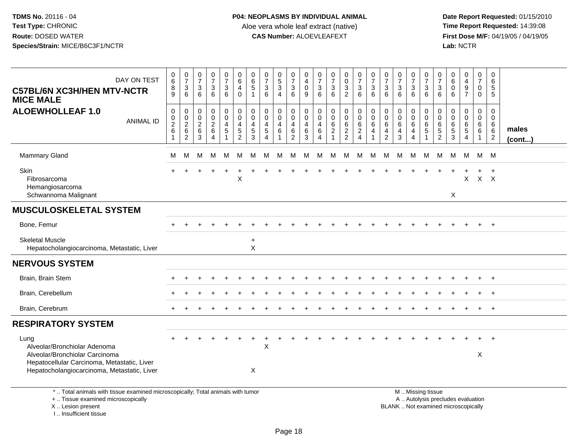| DAY ON TEST<br><b>C57BL/6N XC3H/HEN MTV-NCTR</b><br><b>MICE MALE</b>                                                                                                 | $_{6}^{\rm 0}$<br>8<br>$\overline{9}$ | $\begin{array}{c} 0 \\ 7 \end{array}$<br>3<br>6                     | $\begin{array}{c} 0 \\ 7 \end{array}$<br>$\mathbf{3}$<br>6   | $\frac{0}{7}$<br>3<br>6                               | $\pmb{0}$<br>$\overline{7}$<br>3<br>$6\overline{6}$                               | $\pmb{0}$<br>$6\phantom{a}$<br>4<br>$\mathbf 0$                              | 0<br>$\,6\,$<br>5<br>-1                  | $\frac{0}{7}$<br>3<br>6                                                                 | 0<br>$\frac{5}{3}$<br>$\overline{4}$                          | 0<br>$\overline{7}$<br>3<br>6         | 0<br>$\overline{4}$<br>0<br>9       | $\pmb{0}$<br>$\overline{7}$<br>$\ensuremath{\mathsf{3}}$<br>$6\overline{6}$ | $\begin{array}{c} 0 \\ 7 \end{array}$<br>$\frac{3}{6}$ | $\mathbf 0$<br>$\pmb{0}$<br>3<br>$\overline{2}$ | $\frac{0}{7}$<br>$\sqrt{3}$<br>6                                      | $\frac{0}{7}$<br>3<br>6         | $\begin{array}{c} 0 \\ 7 \end{array}$<br>3<br>$6\phantom{a}$                 | $\begin{array}{c} 0 \\ 7 \end{array}$<br>$\mathbf{3}$<br>$6\phantom{1}$ | 0<br>$\overline{7}$<br>3<br>$6\overline{6}$  | 0<br>$\overline{7}$<br>$\mathbf{3}$<br>6                      | $\pmb{0}$<br>$\overline{7}$<br>3<br>6                             | $\pmb{0}$<br>6<br>$\mathbf 0$<br>$6\phantom{1}6$                         | $_4^{\rm 0}$<br>$\frac{9}{7}$                          | 0<br>$\overline{7}$<br>$\mathbf 0$<br>$\mathbf 0$ | 0<br>6<br>$\sqrt{5}$<br>$\overline{5}$                       |                       |
|----------------------------------------------------------------------------------------------------------------------------------------------------------------------|---------------------------------------|---------------------------------------------------------------------|--------------------------------------------------------------|-------------------------------------------------------|-----------------------------------------------------------------------------------|------------------------------------------------------------------------------|------------------------------------------|-----------------------------------------------------------------------------------------|---------------------------------------------------------------|---------------------------------------|-------------------------------------|-----------------------------------------------------------------------------|--------------------------------------------------------|-------------------------------------------------|-----------------------------------------------------------------------|---------------------------------|------------------------------------------------------------------------------|-------------------------------------------------------------------------|----------------------------------------------|---------------------------------------------------------------|-------------------------------------------------------------------|--------------------------------------------------------------------------|--------------------------------------------------------|---------------------------------------------------|--------------------------------------------------------------|-----------------------|
| <b>ALOEWHOLLEAF 1.0</b><br><b>ANIMAL ID</b>                                                                                                                          | $\mathbf 0$<br>$_2^0$<br>$\,6$        | $\boldsymbol{0}$<br>$\begin{array}{c} 0 \\ 2 \\ 6 \end{array}$<br>2 | $\mathsf 0$<br>$\mathbf 0$<br>$\overline{2}$<br>$\,6\,$<br>3 | 0<br>0<br>$\overline{2}$<br>$\,6\,$<br>$\overline{4}$ | $\pmb{0}$<br>$\mathbf 0$<br>$\overline{\mathbf{4}}$<br>$\sqrt{5}$<br>$\mathbf{1}$ | $\mathsf 0$<br>$\mathbf 0$<br>$\overline{4}$<br>$\sqrt{5}$<br>$\overline{2}$ | 0<br>$\mathbf 0$<br>4<br>$\sqrt{5}$<br>3 | $\mathbf 0$<br>$\mathbf 0$<br>$\overline{4}$<br>$\overline{5}$<br>$\boldsymbol{\Delta}$ | 0<br>$\mathbf 0$<br>$\overline{4}$<br>$\,6\,$<br>$\mathbf{1}$ | $\mathbf 0$<br>0<br>4<br>$\,6\,$<br>2 | $\mathbf 0$<br>0<br>4<br>$\,6$<br>3 | 0<br>0<br>4<br>$\,6\,$<br>$\overline{4}$                                    | $\mathbf 0$<br>$\mathbf 0$<br>$\,6\,$<br>$\sqrt{2}$    | 0<br>$\mathbf 0$<br>$\,6\,$<br>$\frac{2}{2}$    | $\mathbf 0$<br>$\mathbf 0$<br>$\,6\,$<br>$\sqrt{2}$<br>$\overline{4}$ | 0<br>$\mathbf 0$<br>6<br>4<br>1 | $\mathbf 0$<br>$\mathbf 0$<br>6<br>$\overline{\mathbf{4}}$<br>$\overline{2}$ | $\mathbf 0$<br>$\mathbf 0$<br>6<br>4<br>3                               | 0<br>$\mathbf 0$<br>6<br>4<br>$\overline{4}$ | $\mathbf 0$<br>$\mathbf 0$<br>6<br>$\sqrt{5}$<br>$\mathbf{1}$ | $\mathbf 0$<br>$\mathbf 0$<br>$6\phantom{1}6$<br>$\mathbf 5$<br>2 | $\mathbf 0$<br>$\mathbf 0$<br>6<br>$\,$ 5 $\,$<br>3                      | 0<br>$\mathsf{O}$<br>6<br>$\sqrt{5}$<br>$\overline{4}$ | 0<br>0<br>6<br>6                                  | $\mathbf 0$<br>$\mathbf 0$<br>6<br>$\,6\,$<br>$\overline{2}$ | males<br>$($ cont $)$ |
| <b>Mammary Gland</b>                                                                                                                                                 | м                                     | м                                                                   | м                                                            | M                                                     | M                                                                                 | М                                                                            | м                                        | M                                                                                       | M                                                             | М                                     | М                                   | М                                                                           | м                                                      | M                                               | М                                                                     | М                               | M                                                                            | м                                                                       | M                                            | M                                                             | М                                                                 | М                                                                        | M                                                      | M                                                 | M                                                            |                       |
| <b>Skin</b><br>Fibrosarcoma<br>Hemangiosarcoma<br>Schwannoma Malignant                                                                                               |                                       |                                                                     |                                                              |                                                       |                                                                                   | $\sf X$                                                                      |                                          |                                                                                         |                                                               |                                       |                                     |                                                                             |                                                        |                                                 |                                                                       |                                 |                                                                              |                                                                         |                                              |                                                               |                                                                   | $\pmb{\times}$                                                           | X                                                      | X X                                               |                                                              |                       |
| <b>MUSCULOSKELETAL SYSTEM</b>                                                                                                                                        |                                       |                                                                     |                                                              |                                                       |                                                                                   |                                                                              |                                          |                                                                                         |                                                               |                                       |                                     |                                                                             |                                                        |                                                 |                                                                       |                                 |                                                                              |                                                                         |                                              |                                                               |                                                                   |                                                                          |                                                        |                                                   |                                                              |                       |
| Bone, Femur                                                                                                                                                          |                                       |                                                                     |                                                              |                                                       |                                                                                   |                                                                              |                                          |                                                                                         |                                                               |                                       |                                     |                                                                             |                                                        |                                                 |                                                                       |                                 |                                                                              |                                                                         |                                              |                                                               |                                                                   |                                                                          |                                                        |                                                   | $+$                                                          |                       |
| <b>Skeletal Muscle</b><br>Hepatocholangiocarcinoma, Metastatic, Liver                                                                                                |                                       |                                                                     |                                                              |                                                       |                                                                                   |                                                                              | $\ddot{}$<br>X                           |                                                                                         |                                                               |                                       |                                     |                                                                             |                                                        |                                                 |                                                                       |                                 |                                                                              |                                                                         |                                              |                                                               |                                                                   |                                                                          |                                                        |                                                   |                                                              |                       |
| <b>NERVOUS SYSTEM</b>                                                                                                                                                |                                       |                                                                     |                                                              |                                                       |                                                                                   |                                                                              |                                          |                                                                                         |                                                               |                                       |                                     |                                                                             |                                                        |                                                 |                                                                       |                                 |                                                                              |                                                                         |                                              |                                                               |                                                                   |                                                                          |                                                        |                                                   |                                                              |                       |
| Brain, Brain Stem                                                                                                                                                    |                                       |                                                                     |                                                              |                                                       |                                                                                   |                                                                              |                                          |                                                                                         |                                                               |                                       |                                     |                                                                             |                                                        |                                                 |                                                                       |                                 |                                                                              |                                                                         |                                              |                                                               |                                                                   |                                                                          |                                                        |                                                   |                                                              |                       |
| Brain, Cerebellum                                                                                                                                                    |                                       |                                                                     |                                                              |                                                       |                                                                                   |                                                                              |                                          |                                                                                         |                                                               |                                       |                                     |                                                                             |                                                        |                                                 |                                                                       |                                 |                                                                              |                                                                         |                                              |                                                               |                                                                   |                                                                          |                                                        |                                                   | $\overline{ }$                                               |                       |
| Brain, Cerebrum                                                                                                                                                      |                                       |                                                                     |                                                              |                                                       |                                                                                   |                                                                              |                                          |                                                                                         |                                                               |                                       |                                     |                                                                             |                                                        |                                                 |                                                                       |                                 |                                                                              |                                                                         |                                              |                                                               |                                                                   |                                                                          |                                                        | $\ddot{}$                                         | $+$                                                          |                       |
| <b>RESPIRATORY SYSTEM</b>                                                                                                                                            |                                       |                                                                     |                                                              |                                                       |                                                                                   |                                                                              |                                          |                                                                                         |                                                               |                                       |                                     |                                                                             |                                                        |                                                 |                                                                       |                                 |                                                                              |                                                                         |                                              |                                                               |                                                                   |                                                                          |                                                        |                                                   |                                                              |                       |
| Lung<br>Alveolar/Bronchiolar Adenoma<br>Alveolar/Bronchiolar Carcinoma<br>Hepatocellular Carcinoma, Metastatic, Liver<br>Hepatocholangiocarcinoma, Metastatic, Liver |                                       |                                                                     |                                                              |                                                       |                                                                                   |                                                                              | Χ                                        | X                                                                                       |                                                               |                                       |                                     |                                                                             |                                                        |                                                 |                                                                       |                                 |                                                                              |                                                                         |                                              |                                                               |                                                                   |                                                                          |                                                        | X                                                 |                                                              |                       |
| *  Total animals with tissue examined microscopically; Total animals with tumor<br>+  Tissue examined microscopically<br>X  Lesion present<br>I Insufficient tissue  |                                       |                                                                     |                                                              |                                                       |                                                                                   |                                                                              |                                          |                                                                                         |                                                               |                                       |                                     |                                                                             |                                                        |                                                 |                                                                       |                                 |                                                                              | M  Missing tissue                                                       |                                              |                                                               |                                                                   | A  Autolysis precludes evaluation<br>BLANK  Not examined microscopically |                                                        |                                                   |                                                              |                       |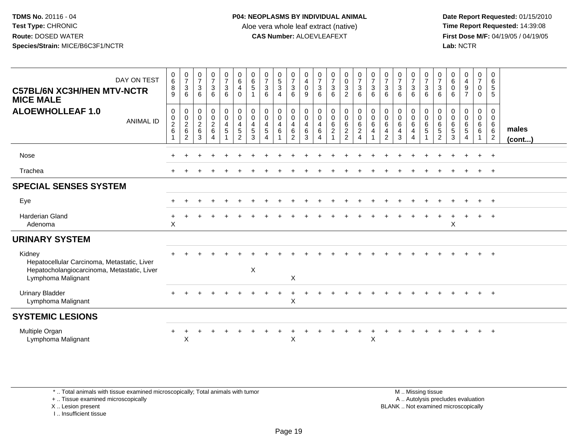**Date Report Requested:** 01/15/2010 **First Dose M/F:** 04/19/05 / 04/19/05<br>Lab: NCTR **Lab:** NCTR

| DAY ON TEST<br><b>C57BL/6N XC3H/HEN MTV-NCTR</b><br><b>MICE MALE</b>                                                       | $_{6}^{\rm 0}$<br>$\bf 8$<br>9      | $\frac{0}{7}$<br>$\ensuremath{\mathsf{3}}$<br>6 | $\frac{0}{7}$<br>$\mathbf{3}$<br>6 | $\frac{0}{7}$<br>$\mathsf 3$<br>6                             | $\frac{0}{7}$<br>$\mathbf{3}$<br>6                                                     | $\begin{array}{c} 0 \\ 6 \end{array}$<br>$\overline{4}$<br>$\mathbf 0$         | $\begin{array}{c} 0 \\ 6 \end{array}$<br>$\sqrt{5}$<br>$\overline{1}$ | $\frac{0}{7}$<br>$\ensuremath{\mathsf{3}}$<br>6                                                  | $\begin{smallmatrix}0\0\5\end{smallmatrix}$<br>$\mathbf{3}$<br>$\overline{4}$ | $\begin{matrix} 0 \\ 7 \\ 3 \end{matrix}$<br>6                                                          | 0<br>$\overline{4}$<br>$\mathbf 0$<br>9                    | $\begin{matrix} 0 \\ 7 \\ 3 \end{matrix}$<br>6                                                     | $\frac{0}{7}$<br>$\sqrt{3}$<br>6 | $_0^0$<br>3<br>$\overline{2}$                                                | $\begin{array}{c} 0 \\ 7 \\ 3 \end{array}$<br>6 | $\frac{0}{7}$<br>$\mathbf{3}$<br>6                                        | $\frac{0}{7}$<br>$\mathbf{3}$<br>6                                                        | $\frac{0}{7}$<br>3<br>6                                       | $\begin{array}{c} 0 \\ 7 \\ 3 \end{array}$<br>6                   | $\frac{0}{7}$<br>$\ensuremath{\mathsf{3}}$<br>6                | $\begin{matrix} 0 \\ 7 \\ 3 \end{matrix}$<br>6 | $\begin{array}{c} 0 \\ 6 \end{array}$<br>$\pmb{0}$<br>6           | $\begin{smallmatrix}0\0\4\end{smallmatrix}$<br>$9\,$<br>$\overline{7}$  | $\frac{0}{7}$<br>$\mathbf 0$<br>$\mathbf 0$                                      | 0<br>$6\phantom{1}6$<br>$\sqrt{5}$<br>5                   |                       |
|----------------------------------------------------------------------------------------------------------------------------|-------------------------------------|-------------------------------------------------|------------------------------------|---------------------------------------------------------------|----------------------------------------------------------------------------------------|--------------------------------------------------------------------------------|-----------------------------------------------------------------------|--------------------------------------------------------------------------------------------------|-------------------------------------------------------------------------------|---------------------------------------------------------------------------------------------------------|------------------------------------------------------------|----------------------------------------------------------------------------------------------------|----------------------------------|------------------------------------------------------------------------------|-------------------------------------------------|---------------------------------------------------------------------------|-------------------------------------------------------------------------------------------|---------------------------------------------------------------|-------------------------------------------------------------------|----------------------------------------------------------------|------------------------------------------------|-------------------------------------------------------------------|-------------------------------------------------------------------------|----------------------------------------------------------------------------------|-----------------------------------------------------------|-----------------------|
| <b>ALOEWHOLLEAF 1.0</b><br><b>ANIMAL ID</b>                                                                                | $\pmb{0}$<br>$\frac{0}{2}$<br>$\,6$ | 0<br>$\frac{0}{2}$<br>$\overline{2}$            | 0<br>$\frac{0}{2}$<br>$\,6\,$<br>3 | $\mathbf 0$<br>$\mathbf 0$<br>$\frac{2}{6}$<br>$\overline{4}$ | $\mathbf 0$<br>$\mathsf{O}\xspace$<br>$\overline{\mathbf{4}}$<br>$5\,$<br>$\mathbf{1}$ | 0<br>$\mathsf{O}\xspace$<br>$\overline{4}$<br>$\overline{5}$<br>$\overline{2}$ | $\pmb{0}$<br>$\pmb{0}$<br>$\overline{4}$<br>5<br>3                    | $\begin{smallmatrix}0\\0\end{smallmatrix}$<br>$\overline{4}$<br>$\overline{5}$<br>$\overline{4}$ | 0<br>$\pmb{0}$<br>$\overline{\mathbf{4}}$<br>$\,6\,$<br>$\overline{1}$        | $\begin{smallmatrix} 0\\0 \end{smallmatrix}$<br>$\begin{array}{c} 4 \\ 6 \end{array}$<br>$\overline{2}$ | 0<br>$\mathsf{O}\xspace$<br>$\overline{4}$<br>$\,6\,$<br>3 | $\begin{smallmatrix} 0\\0 \end{smallmatrix}$<br>$\overline{\mathbf{4}}$<br>$\,6$<br>$\overline{4}$ | 00006<br>$\mathbf{1}$            | $\begin{smallmatrix}0\0\end{smallmatrix}$<br>$\frac{6}{2}$<br>$\overline{2}$ |                                                 | $\mathbf 0$<br>$\mathbf 0$<br>$\,6\,$<br>$\overline{4}$<br>$\overline{1}$ | $\begin{smallmatrix} 0\\0 \end{smallmatrix}$<br>$\,6$<br>$\overline{4}$<br>$\overline{2}$ | 0<br>$\mathsf{O}\xspace$<br>6<br>$\overline{\mathbf{4}}$<br>3 | $\begin{array}{c} 0 \\ 0 \\ 6 \\ 4 \end{array}$<br>$\overline{4}$ | $\begin{matrix} 0 \\ 0 \\ 6 \\ 5 \end{matrix}$<br>$\mathbf{1}$ | 0<br>0<br>0<br>5<br>5<br>2                     | $\pmb{0}$<br>$\mathbf 0$<br>$\,6\,$<br>$\sqrt{5}$<br>$\mathbf{3}$ | 0<br>$\mathsf{O}\xspace$<br>$\,6\,$<br>$\overline{5}$<br>$\overline{4}$ | $\pmb{0}$<br>$\mathbf 0$<br>$\begin{matrix} 6 \\ 6 \end{matrix}$<br>$\mathbf{1}$ | 0<br>$\mathbf 0$<br>6<br>$6\phantom{1}$<br>$\overline{c}$ | males<br>$($ cont $)$ |
| Nose                                                                                                                       |                                     |                                                 |                                    |                                                               |                                                                                        |                                                                                |                                                                       |                                                                                                  |                                                                               |                                                                                                         |                                                            |                                                                                                    |                                  |                                                                              |                                                 |                                                                           |                                                                                           |                                                               |                                                                   |                                                                |                                                |                                                                   |                                                                         |                                                                                  | $+$                                                       |                       |
| Trachea                                                                                                                    |                                     |                                                 |                                    |                                                               |                                                                                        |                                                                                |                                                                       |                                                                                                  |                                                                               |                                                                                                         |                                                            |                                                                                                    |                                  |                                                                              |                                                 |                                                                           |                                                                                           |                                                               |                                                                   |                                                                |                                                |                                                                   |                                                                         |                                                                                  | $+$                                                       |                       |
| <b>SPECIAL SENSES SYSTEM</b>                                                                                               |                                     |                                                 |                                    |                                                               |                                                                                        |                                                                                |                                                                       |                                                                                                  |                                                                               |                                                                                                         |                                                            |                                                                                                    |                                  |                                                                              |                                                 |                                                                           |                                                                                           |                                                               |                                                                   |                                                                |                                                |                                                                   |                                                                         |                                                                                  |                                                           |                       |
| Eye                                                                                                                        |                                     |                                                 |                                    |                                                               |                                                                                        |                                                                                |                                                                       |                                                                                                  |                                                                               |                                                                                                         |                                                            |                                                                                                    |                                  |                                                                              |                                                 |                                                                           |                                                                                           |                                                               |                                                                   |                                                                |                                                |                                                                   |                                                                         |                                                                                  | $+$                                                       |                       |
| <b>Harderian Gland</b><br>Adenoma                                                                                          | $\div$<br>$\boldsymbol{\mathsf{X}}$ |                                                 |                                    |                                                               |                                                                                        |                                                                                |                                                                       |                                                                                                  |                                                                               |                                                                                                         |                                                            |                                                                                                    |                                  |                                                                              |                                                 |                                                                           |                                                                                           |                                                               |                                                                   |                                                                |                                                | $\boldsymbol{\mathsf{X}}$                                         |                                                                         |                                                                                  | $^{+}$                                                    |                       |
| <b>URINARY SYSTEM</b>                                                                                                      |                                     |                                                 |                                    |                                                               |                                                                                        |                                                                                |                                                                       |                                                                                                  |                                                                               |                                                                                                         |                                                            |                                                                                                    |                                  |                                                                              |                                                 |                                                                           |                                                                                           |                                                               |                                                                   |                                                                |                                                |                                                                   |                                                                         |                                                                                  |                                                           |                       |
| Kidney<br>Hepatocellular Carcinoma, Metastatic, Liver<br>Hepatocholangiocarcinoma, Metastatic, Liver<br>Lymphoma Malignant |                                     |                                                 |                                    |                                                               |                                                                                        |                                                                                | $\mathsf X$                                                           |                                                                                                  |                                                                               | X                                                                                                       |                                                            |                                                                                                    |                                  |                                                                              |                                                 |                                                                           |                                                                                           |                                                               |                                                                   |                                                                |                                                |                                                                   |                                                                         |                                                                                  |                                                           |                       |
| <b>Urinary Bladder</b><br>Lymphoma Malignant                                                                               |                                     |                                                 |                                    |                                                               |                                                                                        |                                                                                |                                                                       |                                                                                                  |                                                                               | $\times$                                                                                                |                                                            |                                                                                                    |                                  |                                                                              |                                                 |                                                                           |                                                                                           |                                                               |                                                                   |                                                                |                                                |                                                                   |                                                                         |                                                                                  | $+$                                                       |                       |
| <b>SYSTEMIC LESIONS</b>                                                                                                    |                                     |                                                 |                                    |                                                               |                                                                                        |                                                                                |                                                                       |                                                                                                  |                                                                               |                                                                                                         |                                                            |                                                                                                    |                                  |                                                                              |                                                 |                                                                           |                                                                                           |                                                               |                                                                   |                                                                |                                                |                                                                   |                                                                         |                                                                                  |                                                           |                       |
| Multiple Organ<br>Lymphoma Malignant                                                                                       | $\div$                              | X                                               |                                    |                                                               |                                                                                        |                                                                                |                                                                       |                                                                                                  |                                                                               | $\pmb{\times}$                                                                                          |                                                            |                                                                                                    |                                  |                                                                              |                                                 | X                                                                         |                                                                                           |                                                               |                                                                   |                                                                |                                                |                                                                   |                                                                         |                                                                                  | $\overline{+}$                                            |                       |

\* .. Total animals with tissue examined microscopically; Total animals with tumor

+ .. Tissue examined microscopically

X .. Lesion present

I .. Insufficient tissue

 M .. Missing tissuey the contract of the contract of the contract of the contract of the contract of the contract of the contract of  $A$ . Autolysis precludes evaluation Lesion present BLANK .. Not examined microscopically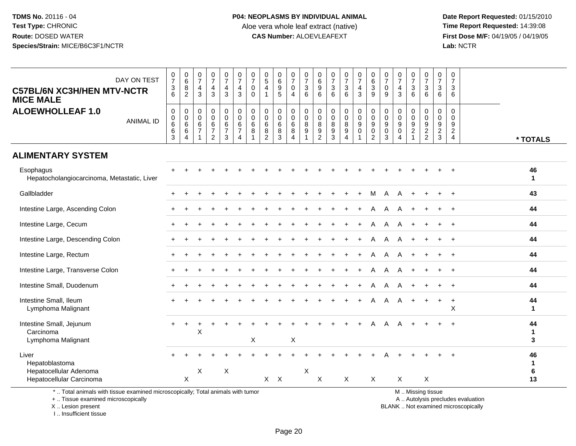**Date Report Requested:** 01/15/2010 **First Dose M/F:** 04/19/05 / 04/19/05<br>Lab: NCTR **Lab:** NCTR

| DAY ON TEST<br><b>C57BL/6N XC3H/HEN MTV-NCTR</b><br><b>MICE MALE</b>                                                  | $\frac{0}{7}$<br>$\ensuremath{\mathsf{3}}$<br>6                 | $\begin{array}{c} 0 \\ 6 \end{array}$<br>$\bf 8$<br>2                        | $\frac{0}{7}$<br>$\overline{4}$<br>3                              | $\frac{0}{7}$<br>$\overline{4}$<br>3                        | $\frac{0}{7}$<br>$\overline{4}$<br>3     | $\frac{0}{7}$<br>$\overline{\mathbf{4}}$<br>3                                                       | $\frac{0}{7}$<br>$\mathbf 0$<br>$\Omega$ | 0<br>$\sqrt{5}$<br>$\overline{4}$        | $\begin{array}{c} 0 \\ 6 \end{array}$<br>$\boldsymbol{9}$<br>5 | $\frac{0}{7}$<br>$\mathsf 0$<br>$\overline{4}$ | $\frac{0}{7}$<br>$\sqrt{3}$<br>6                                                   | 0<br>$\,6$<br>$\boldsymbol{9}$<br>6                         | $\frac{0}{7}$<br>$\ensuremath{\mathsf{3}}$<br>6 | $\frac{0}{7}$<br>$\ensuremath{\mathsf{3}}$<br>6         | $\frac{0}{7}$<br>$\overline{4}$<br>3                        | $\begin{matrix} 0 \\ 6 \end{matrix}$<br>$\mathbf{3}$<br>9  | $\pmb{0}$<br>$\overline{7}$<br>$\mathbf 0$<br>9 | 0<br>$\overline{7}$<br>$\overline{4}$<br>3                         | $\frac{0}{7}$<br>3<br>6                                | $\frac{0}{7}$<br>$\mathbf{3}$<br>6         | $\pmb{0}$<br>$\overline{7}$<br>$\sqrt{3}$<br>6                                 | $\pmb{0}$<br>$\overline{7}$<br>$\mathbf{3}$<br>6 |                                   |                         |
|-----------------------------------------------------------------------------------------------------------------------|-----------------------------------------------------------------|------------------------------------------------------------------------------|-------------------------------------------------------------------|-------------------------------------------------------------|------------------------------------------|-----------------------------------------------------------------------------------------------------|------------------------------------------|------------------------------------------|----------------------------------------------------------------|------------------------------------------------|------------------------------------------------------------------------------------|-------------------------------------------------------------|-------------------------------------------------|---------------------------------------------------------|-------------------------------------------------------------|------------------------------------------------------------|-------------------------------------------------|--------------------------------------------------------------------|--------------------------------------------------------|--------------------------------------------|--------------------------------------------------------------------------------|--------------------------------------------------|-----------------------------------|-------------------------|
| <b>ALOEWHOLLEAF 1.0</b><br><b>ANIMAL ID</b>                                                                           | $\pmb{0}$<br>$_{6}^{\rm 0}$<br>$6\phantom{a}$<br>$\mathfrak{S}$ | $\pmb{0}$<br>$\pmb{0}$<br>$6\phantom{a}$<br>$6\phantom{a}$<br>$\overline{4}$ | $\mathbf 0$<br>$\pmb{0}$<br>6<br>$\overline{7}$<br>$\overline{1}$ | $\mathsf 0$<br>0<br>6<br>$\boldsymbol{7}$<br>$\overline{c}$ | 0<br>0<br>$\,6\,$<br>$\overline{7}$<br>3 | $\begin{smallmatrix}0\\0\end{smallmatrix}$<br>$6\overline{6}$<br>$\boldsymbol{7}$<br>$\overline{4}$ | $\mathbf 0$<br>$\pmb{0}$<br>$\,6\,$<br>8 | 0<br>0<br>6<br>$\bf 8$<br>$\overline{c}$ | $\mathbf 0$<br>$\pmb{0}$<br>$\,6\,$<br>$\,8\,$<br>3            | 0<br>0<br>$\,6\,$<br>$\,8\,$<br>$\overline{4}$ | $\mathbf 0$<br>$\mathbf 0$<br>$\boldsymbol{8}$<br>$\overline{9}$<br>$\overline{1}$ | 0<br>$\mathbf 0$<br>8<br>$\boldsymbol{9}$<br>$\overline{c}$ | 0<br>$\pmb{0}$<br>8<br>$\boldsymbol{9}$<br>3    | 0<br>$\pmb{0}$<br>$\overline{8}$<br>9<br>$\overline{4}$ | 0<br>$\mathsf{O}\xspace$<br>$\boldsymbol{9}$<br>$\mathbf 0$ | $_{\rm 0}^{\rm 0}$<br>$9\,$<br>$\pmb{0}$<br>$\overline{2}$ | 0<br>$\mathbf 0$<br>9<br>$\mathbf 0$<br>3       | $\mathbf 0$<br>$\mathbf 0$<br>$9$<br>$\mathbf 0$<br>$\overline{4}$ | 0<br>$\mathbf 0$<br>$\boldsymbol{9}$<br>$\overline{2}$ | 0<br>$\mathbf 0$<br>$9\,$<br>$\frac{2}{2}$ | $\mathbf 0$<br>$\mathbf 0$<br>$\boldsymbol{9}$<br>$\overline{2}$<br>$\sqrt{3}$ | $\mathbf 0$<br>$\Omega$<br>9<br>$\frac{2}{4}$    |                                   | * TOTALS                |
| <b>ALIMENTARY SYSTEM</b>                                                                                              |                                                                 |                                                                              |                                                                   |                                                             |                                          |                                                                                                     |                                          |                                          |                                                                |                                                |                                                                                    |                                                             |                                                 |                                                         |                                                             |                                                            |                                                 |                                                                    |                                                        |                                            |                                                                                |                                                  |                                   |                         |
| Esophagus<br>Hepatocholangiocarcinoma, Metastatic, Liver                                                              |                                                                 |                                                                              |                                                                   |                                                             |                                          |                                                                                                     |                                          |                                          |                                                                |                                                |                                                                                    |                                                             |                                                 |                                                         |                                                             |                                                            |                                                 |                                                                    |                                                        |                                            |                                                                                |                                                  |                                   | 46<br>$\mathbf{1}$      |
| Gallbladder                                                                                                           |                                                                 |                                                                              |                                                                   |                                                             |                                          |                                                                                                     |                                          |                                          |                                                                |                                                |                                                                                    |                                                             |                                                 |                                                         |                                                             | м                                                          | Α                                               |                                                                    |                                                        | $\ddot{}$                                  | $\ddot{}$                                                                      | $\ddot{}$                                        |                                   | 43                      |
| Intestine Large, Ascending Colon                                                                                      |                                                                 |                                                                              |                                                                   |                                                             |                                          |                                                                                                     |                                          |                                          |                                                                |                                                |                                                                                    |                                                             |                                                 |                                                         |                                                             | A                                                          | A                                               |                                                                    |                                                        |                                            |                                                                                |                                                  |                                   | 44                      |
| Intestine Large, Cecum                                                                                                |                                                                 |                                                                              |                                                                   |                                                             |                                          |                                                                                                     |                                          |                                          |                                                                |                                                |                                                                                    |                                                             |                                                 |                                                         |                                                             | A                                                          | A                                               |                                                                    |                                                        |                                            |                                                                                |                                                  |                                   | 44                      |
| Intestine Large, Descending Colon                                                                                     |                                                                 |                                                                              |                                                                   |                                                             |                                          |                                                                                                     |                                          |                                          |                                                                |                                                |                                                                                    |                                                             |                                                 |                                                         | $\ddot{}$                                                   | A                                                          | A                                               | A                                                                  |                                                        | $\ddot{}$                                  | $\ddot{}$                                                                      | $+$                                              |                                   | 44                      |
| Intestine Large, Rectum                                                                                               |                                                                 |                                                                              |                                                                   |                                                             |                                          |                                                                                                     |                                          |                                          |                                                                |                                                |                                                                                    |                                                             |                                                 |                                                         |                                                             | А                                                          | Α                                               |                                                                    |                                                        |                                            |                                                                                |                                                  |                                   | 44                      |
| Intestine Large, Transverse Colon                                                                                     |                                                                 |                                                                              |                                                                   |                                                             |                                          |                                                                                                     |                                          |                                          |                                                                |                                                |                                                                                    |                                                             |                                                 |                                                         |                                                             | A                                                          | A                                               |                                                                    |                                                        |                                            |                                                                                |                                                  |                                   | 44                      |
| Intestine Small, Duodenum                                                                                             |                                                                 |                                                                              |                                                                   |                                                             |                                          |                                                                                                     |                                          |                                          |                                                                |                                                |                                                                                    |                                                             |                                                 |                                                         |                                                             | A                                                          | Α                                               |                                                                    |                                                        |                                            |                                                                                | $+$                                              |                                   | 44                      |
| Intestine Small, Ileum<br>Lymphoma Malignant                                                                          |                                                                 |                                                                              |                                                                   |                                                             |                                          |                                                                                                     |                                          |                                          |                                                                |                                                |                                                                                    |                                                             |                                                 |                                                         |                                                             | A                                                          | A                                               | A                                                                  | $\ddot{}$                                              |                                            | $\ddot{}$                                                                      | $\ddot{}$<br>X                                   |                                   | 44<br>$\mathbf{1}$      |
| Intestine Small, Jejunum<br>Carcinoma<br>Lymphoma Malignant                                                           | $+$                                                             | $\overline{+}$                                                               | X                                                                 |                                                             |                                          |                                                                                                     | Χ                                        |                                          |                                                                | $\boldsymbol{\mathsf{X}}$                      |                                                                                    |                                                             |                                                 |                                                         |                                                             |                                                            | А                                               |                                                                    |                                                        |                                            |                                                                                |                                                  |                                   | 44<br>$\mathbf 1$<br>3  |
| Liver<br>Hepatoblastoma<br>Hepatocellular Adenoma                                                                     |                                                                 |                                                                              | X                                                                 |                                                             | Χ                                        |                                                                                                     |                                          |                                          |                                                                |                                                | $\boldsymbol{\mathsf{X}}$                                                          |                                                             |                                                 |                                                         |                                                             |                                                            |                                                 |                                                                    |                                                        |                                            |                                                                                |                                                  |                                   | 46<br>$\mathbf{1}$<br>6 |
| Hepatocellular Carcinoma                                                                                              |                                                                 | X                                                                            |                                                                   |                                                             |                                          |                                                                                                     |                                          |                                          | $X$ $X$                                                        |                                                |                                                                                    | X                                                           |                                                 | X                                                       |                                                             | X                                                          |                                                 | X                                                                  |                                                        | X<br>M  Missing tissue                     |                                                                                |                                                  |                                   | 13                      |
| *  Total animals with tissue examined microscopically; Total animals with tumor<br>+  Tissue examined microscopically |                                                                 |                                                                              |                                                                   |                                                             |                                          |                                                                                                     |                                          |                                          |                                                                |                                                |                                                                                    |                                                             |                                                 |                                                         |                                                             |                                                            |                                                 |                                                                    |                                                        |                                            |                                                                                |                                                  | A  Autolysis precludes evaluation |                         |

X .. Lesion present

I .. Insufficient tissue

 A .. Autolysis precludes evaluationLesion present BLANK .. Not examined microscopically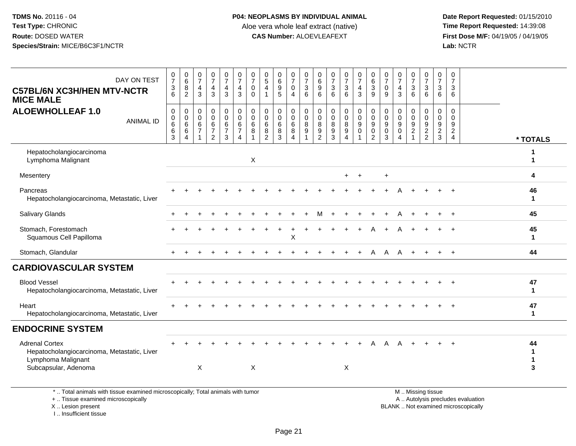| DAY ON TEST<br><b>C57BL/6N XC3H/HEN MTV-NCTR</b><br><b>MICE MALE</b>                                                                                                  | 0<br>$\overline{7}$<br>$\mathbf{3}$<br>$\overline{6}$ | $\begin{array}{c} 0 \\ 6 \end{array}$<br>$\begin{smallmatrix} 8 \\ 2 \end{smallmatrix}$ | $\begin{array}{c} 0 \\ 7 \end{array}$<br>$\overline{4}$<br>$\mathbf{3}$ | $\frac{0}{7}$<br>$\overline{\mathbf{4}}$<br>$\mathbf{3}$                | $\begin{array}{c} 0 \\ 7 \end{array}$<br>4<br>$\mathbf{3}$      | $\frac{0}{7}$<br>$\overline{\mathbf{4}}$<br>$\mathbf{3}$                          | $\begin{array}{c} 0 \\ 7 \end{array}$<br>0<br>$\mathbf 0$ | $\begin{array}{c} 0 \\ 5 \end{array}$<br>4<br>$\overline{1}$      | $_{\rm 6}^{\rm 0}$<br>$\begin{array}{c} 9 \\ 5 \end{array}$        | $\begin{smallmatrix}0\\7\end{smallmatrix}$<br>$\mathbf 0$<br>$\overline{4}$ | $\frac{0}{7}$<br>$\sqrt{3}$<br>6                                        | $\pmb{0}$<br>$\,6\,$<br>$\boldsymbol{9}$<br>6                              | $\frac{0}{7}$<br>3<br>6                                | $\frac{0}{7}$<br>3<br>6                                        | $\begin{array}{c} 0 \\ 7 \end{array}$<br>$\overline{4}$<br>3                      | $\begin{array}{c} 0 \\ 6 \end{array}$<br>$\ensuremath{\mathsf{3}}$<br>$\overline{9}$ | $\frac{0}{7}$<br>$\boldsymbol{0}$<br>9                        | $\frac{0}{7}$<br>4<br>$\mathbf{3}$                             | $\begin{array}{c} 0 \\ 7 \end{array}$<br>3<br>6             | 0<br>$\overline{7}$<br>$\frac{3}{6}$                         | $\frac{0}{7}$<br>$\sqrt{3}$<br>6                                               | $\pmb{0}$<br>$\overline{7}$<br>3<br>6                      |                                                                          |                                         |
|-----------------------------------------------------------------------------------------------------------------------------------------------------------------------|-------------------------------------------------------|-----------------------------------------------------------------------------------------|-------------------------------------------------------------------------|-------------------------------------------------------------------------|-----------------------------------------------------------------|-----------------------------------------------------------------------------------|-----------------------------------------------------------|-------------------------------------------------------------------|--------------------------------------------------------------------|-----------------------------------------------------------------------------|-------------------------------------------------------------------------|----------------------------------------------------------------------------|--------------------------------------------------------|----------------------------------------------------------------|-----------------------------------------------------------------------------------|--------------------------------------------------------------------------------------|---------------------------------------------------------------|----------------------------------------------------------------|-------------------------------------------------------------|--------------------------------------------------------------|--------------------------------------------------------------------------------|------------------------------------------------------------|--------------------------------------------------------------------------|-----------------------------------------|
| <b>ALOEWHOLLEAF 1.0</b><br><b>ANIMAL ID</b>                                                                                                                           | 0<br>0<br>6<br>6<br>3                                 | $\mathbf 0$<br>$\pmb{0}$<br>6<br>$6\phantom{a}$<br>$\overline{4}$                       | $\pmb{0}$<br>$\mathbf 0$<br>6<br>$\overline{7}$<br>$\mathbf{1}$         | $\pmb{0}$<br>$\mathbf 0$<br>$\,6\,$<br>$\overline{7}$<br>$\overline{2}$ | $\mathbf 0$<br>$\pmb{0}$<br>6<br>$\overline{7}$<br>$\mathbf{3}$ | $\pmb{0}$<br>$\mathbf 0$<br>$6\phantom{1}6$<br>$\boldsymbol{7}$<br>$\overline{4}$ | $\mathbf 0$<br>$\mathbf 0$<br>$\,6\,$<br>8<br>1           | $\mathbf 0$<br>$\mathbf 0$<br>$\,6\,$<br>$\bf8$<br>$\overline{2}$ | $\pmb{0}$<br>$\mathsf{O}\xspace$<br>$\,6\,$<br>$\overline{8}$<br>3 | $\mathbf 0$<br>$\mathbf 0$<br>$\,6\,$<br>$\bf 8$<br>$\overline{4}$          | $\mathbf 0$<br>$\mathbf 0$<br>$\bf 8$<br>$\overline{9}$<br>$\mathbf{1}$ | $\boldsymbol{0}$<br>$\mathbf 0$<br>8<br>$\boldsymbol{9}$<br>$\overline{2}$ | $\pmb{0}$<br>$\mathbf 0$<br>8<br>$\boldsymbol{9}$<br>3 | $\mathbf 0$<br>$\mathsf{O}\xspace$<br>$^8_9$<br>$\overline{4}$ | $\pmb{0}$<br>$\pmb{0}$<br>$\boldsymbol{9}$<br>$\ddot{\mathbf{0}}$<br>$\mathbf{1}$ | $\pmb{0}$<br>$\mathbf 0$<br>$\boldsymbol{9}$<br>$\mathbf 0$<br>$\overline{2}$        | $\boldsymbol{0}$<br>$\mathbf 0$<br>9<br>$\boldsymbol{0}$<br>3 | $\pmb{0}$<br>$\mathsf 0$<br>9<br>$\mathbf 0$<br>$\overline{4}$ | 0<br>$\mathbf 0$<br>$\boldsymbol{9}$<br>$\overline{c}$<br>1 | $\pmb{0}$<br>$\begin{array}{c} 0 \\ 9 \\ 2 \\ 2 \end{array}$ | $\pmb{0}$<br>$\mathbf 0$<br>$\boldsymbol{9}$<br>$\overline{2}$<br>$\mathbf{3}$ | 0<br>$\mathbf{0}$<br>9<br>$\overline{a}$<br>$\overline{4}$ |                                                                          | * TOTALS                                |
| Hepatocholangiocarcinoma<br>Lymphoma Malignant                                                                                                                        |                                                       |                                                                                         |                                                                         |                                                                         |                                                                 |                                                                                   | X                                                         |                                                                   |                                                                    |                                                                             |                                                                         |                                                                            |                                                        |                                                                |                                                                                   |                                                                                      |                                                               |                                                                |                                                             |                                                              |                                                                                |                                                            |                                                                          | 1<br>$\mathbf 1$                        |
| Mesentery                                                                                                                                                             |                                                       |                                                                                         |                                                                         |                                                                         |                                                                 |                                                                                   |                                                           |                                                                   |                                                                    |                                                                             |                                                                         |                                                                            |                                                        | $\ddot{}$                                                      | $\overline{ }$                                                                    |                                                                                      | $\ddot{}$                                                     |                                                                |                                                             |                                                              |                                                                                |                                                            |                                                                          | 4                                       |
| Pancreas<br>Hepatocholangiocarcinoma, Metastatic, Liver                                                                                                               |                                                       |                                                                                         |                                                                         |                                                                         |                                                                 |                                                                                   |                                                           |                                                                   |                                                                    |                                                                             |                                                                         |                                                                            |                                                        |                                                                |                                                                                   |                                                                                      |                                                               |                                                                |                                                             |                                                              |                                                                                |                                                            |                                                                          | 46<br>$\mathbf{1}$                      |
| <b>Salivary Glands</b>                                                                                                                                                |                                                       |                                                                                         |                                                                         |                                                                         |                                                                 |                                                                                   |                                                           |                                                                   |                                                                    |                                                                             |                                                                         | м                                                                          |                                                        |                                                                |                                                                                   |                                                                                      |                                                               |                                                                |                                                             |                                                              |                                                                                |                                                            |                                                                          | 45                                      |
| Stomach, Forestomach<br>Squamous Cell Papilloma                                                                                                                       |                                                       |                                                                                         |                                                                         |                                                                         |                                                                 |                                                                                   |                                                           |                                                                   |                                                                    | X                                                                           |                                                                         |                                                                            |                                                        |                                                                |                                                                                   |                                                                                      |                                                               |                                                                |                                                             |                                                              |                                                                                |                                                            |                                                                          | 45<br>$\mathbf{1}$                      |
| Stomach, Glandular                                                                                                                                                    |                                                       |                                                                                         |                                                                         |                                                                         |                                                                 |                                                                                   |                                                           |                                                                   |                                                                    |                                                                             |                                                                         |                                                                            |                                                        |                                                                |                                                                                   | A                                                                                    | A                                                             | A                                                              | $\ddot{}$                                                   |                                                              |                                                                                | $+$                                                        |                                                                          | 44                                      |
| <b>CARDIOVASCULAR SYSTEM</b>                                                                                                                                          |                                                       |                                                                                         |                                                                         |                                                                         |                                                                 |                                                                                   |                                                           |                                                                   |                                                                    |                                                                             |                                                                         |                                                                            |                                                        |                                                                |                                                                                   |                                                                                      |                                                               |                                                                |                                                             |                                                              |                                                                                |                                                            |                                                                          |                                         |
| <b>Blood Vessel</b><br>Hepatocholangiocarcinoma, Metastatic, Liver                                                                                                    |                                                       |                                                                                         |                                                                         |                                                                         |                                                                 |                                                                                   |                                                           |                                                                   |                                                                    |                                                                             |                                                                         |                                                                            |                                                        |                                                                |                                                                                   |                                                                                      |                                                               |                                                                |                                                             |                                                              |                                                                                |                                                            |                                                                          | 47<br>$\mathbf{1}$                      |
| Heart<br>Hepatocholangiocarcinoma, Metastatic, Liver                                                                                                                  |                                                       |                                                                                         |                                                                         |                                                                         |                                                                 |                                                                                   |                                                           |                                                                   |                                                                    |                                                                             |                                                                         |                                                                            |                                                        |                                                                |                                                                                   |                                                                                      |                                                               |                                                                |                                                             |                                                              |                                                                                |                                                            |                                                                          | 47<br>$\mathbf{1}$                      |
| <b>ENDOCRINE SYSTEM</b>                                                                                                                                               |                                                       |                                                                                         |                                                                         |                                                                         |                                                                 |                                                                                   |                                                           |                                                                   |                                                                    |                                                                             |                                                                         |                                                                            |                                                        |                                                                |                                                                                   |                                                                                      |                                                               |                                                                |                                                             |                                                              |                                                                                |                                                            |                                                                          |                                         |
| <b>Adrenal Cortex</b><br>Hepatocholangiocarcinoma, Metastatic, Liver<br>Lymphoma Malignant<br>Subcapsular, Adenoma                                                    |                                                       |                                                                                         | $\mathsf X$                                                             |                                                                         |                                                                 |                                                                                   | X                                                         |                                                                   |                                                                    |                                                                             |                                                                         |                                                                            |                                                        | $\boldsymbol{\mathsf{X}}$                                      |                                                                                   |                                                                                      |                                                               |                                                                |                                                             |                                                              |                                                                                |                                                            |                                                                          | 44<br>$\mathbf{1}$<br>$\mathbf{1}$<br>3 |
| *  Total animals with tissue examined microscopically; Total animals with tumor<br>+  Tissue examined microscopically<br>X  Lesion present<br>I., Insufficient tissue |                                                       |                                                                                         |                                                                         |                                                                         |                                                                 |                                                                                   |                                                           |                                                                   |                                                                    |                                                                             |                                                                         |                                                                            |                                                        |                                                                |                                                                                   |                                                                                      |                                                               |                                                                |                                                             | M  Missing tissue                                            |                                                                                |                                                            | A  Autolysis precludes evaluation<br>BLANK  Not examined microscopically |                                         |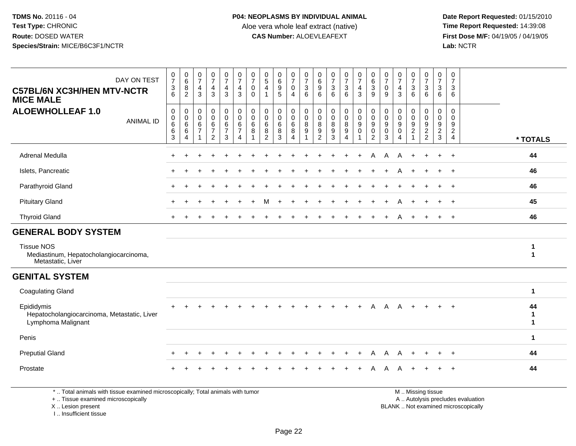**Date Report Requested:** 01/15/2010 **First Dose M/F:** 04/19/05 / 04/19/05<br>Lab: NCTR **Lab:** NCTR

| DAY ON TEST<br><b>C57BL/6N XC3H/HEN MTV-NCTR</b><br><b>MICE MALE</b>             | $\frac{0}{7}$<br>$\frac{3}{6}$                                          | $\begin{array}{c} 0 \\ 6 \end{array}$<br>8<br>$\overline{2}$       | $\frac{0}{7}$<br>4<br>3                                   | $\frac{0}{7}$<br>4<br>3                         | $\frac{0}{7}$<br>$\overline{4}$<br>3           | $\frac{0}{7}$<br>$\overline{4}$<br>$\mathbf{3}$                  | $\frac{0}{7}$<br>$\mathbf 0$<br>$\Omega$ | $\begin{array}{c} 0 \\ 5 \end{array}$<br>4<br>1 | $\begin{array}{c} 0 \\ 6 \end{array}$<br>9<br>5 | $\frac{0}{7}$<br>$\mathsf{O}\xspace$<br>4             | $\frac{0}{7}$<br>$\ensuremath{\mathsf{3}}$<br>6          | 0<br>$\,6\,$<br>9<br>6             | $\frac{0}{7}$<br>$\ensuremath{\mathsf{3}}$<br>6                | $\frac{0}{7}$<br>$\mathbf{3}$<br>$6^{\circ}$ | $\frac{0}{7}$<br>$\overline{4}$<br>3                                           | $_{\rm 6}^{\rm 0}$<br>$\sqrt{3}$<br>9                                          | $\frac{0}{7}$<br>0<br>9         | 0<br>$\overline{7}$<br>$\overline{4}$<br>3                           | 0<br>$\overline{7}$<br>$\mathbf{3}$<br>6      | 0<br>$\overline{7}$<br>$\mathbf{3}$<br>6    | 0<br>$\overline{7}$<br>3<br>6                                          | 0<br>$\overline{7}$<br>3<br>6                                        |                         |
|----------------------------------------------------------------------------------|-------------------------------------------------------------------------|--------------------------------------------------------------------|-----------------------------------------------------------|-------------------------------------------------|------------------------------------------------|------------------------------------------------------------------|------------------------------------------|-------------------------------------------------|-------------------------------------------------|-------------------------------------------------------|----------------------------------------------------------|------------------------------------|----------------------------------------------------------------|----------------------------------------------|--------------------------------------------------------------------------------|--------------------------------------------------------------------------------|---------------------------------|----------------------------------------------------------------------|-----------------------------------------------|---------------------------------------------|------------------------------------------------------------------------|----------------------------------------------------------------------|-------------------------|
| <b>ALOEWHOLLEAF 1.0</b><br><b>ANIMAL ID</b>                                      | $\mathbf 0$<br>$\boldsymbol{0}$<br>$\,6\,$<br>$\,6\,$<br>$\overline{3}$ | $\mathbf 0$<br>$\mathbf 0$<br>$\,6\,$<br>$\,6\,$<br>$\overline{4}$ | $\pmb{0}$<br>0<br>$\,6$<br>$\overline{7}$<br>$\mathbf{1}$ | 0<br>0<br>6<br>$\overline{7}$<br>$\overline{a}$ | 0<br>$\mathbf 0$<br>6<br>$\boldsymbol{7}$<br>3 | $\pmb{0}$<br>$\ddot{\mathbf{0}}$<br>$\,6$<br>$\overline{7}$<br>4 | $\boldsymbol{0}$<br>0<br>6<br>8          | $\mathbf 0$<br>0<br>6<br>8<br>$\overline{2}$    | 0<br>0<br>$\,6\,$<br>8<br>$\overline{3}$        | $\pmb{0}$<br>$\mathsf{O}$<br>$\,6\,$<br>$\frac{8}{4}$ | $\pmb{0}$<br>$\mathbf 0$<br>$\,8\,$<br>9<br>$\mathbf{1}$ | 0<br>0<br>8<br>9<br>$\overline{2}$ | $\pmb{0}$<br>$\mathbf 0$<br>$\,8\,$<br>$9\,$<br>$\overline{3}$ | 0<br>0<br>8<br>9<br>$\boldsymbol{\Lambda}$   | $\pmb{0}$<br>$\overline{0}$<br>$\boldsymbol{9}$<br>$\pmb{0}$<br>$\overline{1}$ | $\pmb{0}$<br>$\overline{0}$<br>$\boldsymbol{9}$<br>$\pmb{0}$<br>$\overline{2}$ | $\mathbf 0$<br>0<br>9<br>0<br>3 | $\pmb{0}$<br>$\mathbf 0$<br>9<br>$\pmb{0}$<br>$\boldsymbol{\Lambda}$ | 0<br>0<br>9<br>$\overline{c}$<br>$\mathbf{1}$ | 0<br>0<br>$\boldsymbol{9}$<br>$\frac{2}{2}$ | $\mathbf 0$<br>0<br>$\boldsymbol{9}$<br>$\overline{c}$<br>$\mathbf{3}$ | $\mathbf 0$<br>$\mathbf{0}$<br>9<br>$\overline{2}$<br>$\overline{4}$ | * TOTALS                |
| Adrenal Medulla                                                                  |                                                                         |                                                                    |                                                           |                                                 |                                                |                                                                  |                                          |                                                 |                                                 |                                                       |                                                          |                                    |                                                                |                                              | $+$                                                                            | A                                                                              | A                               | A                                                                    | $\ddot{}$                                     | $+$                                         | $\ddot{}$                                                              | $+$                                                                  | 44                      |
| Islets, Pancreatic                                                               |                                                                         |                                                                    |                                                           |                                                 |                                                |                                                                  |                                          |                                                 |                                                 |                                                       |                                                          |                                    |                                                                |                                              |                                                                                |                                                                                |                                 |                                                                      |                                               |                                             | $\ddot{}$                                                              | $+$                                                                  | 46                      |
| Parathyroid Gland                                                                |                                                                         |                                                                    |                                                           |                                                 |                                                |                                                                  |                                          |                                                 |                                                 |                                                       |                                                          |                                    |                                                                |                                              |                                                                                |                                                                                |                                 |                                                                      |                                               |                                             |                                                                        |                                                                      | 46                      |
| <b>Pituitary Gland</b>                                                           |                                                                         |                                                                    |                                                           |                                                 |                                                |                                                                  |                                          | м                                               |                                                 |                                                       |                                                          |                                    |                                                                |                                              |                                                                                |                                                                                |                                 |                                                                      |                                               |                                             | $\ddot{}$                                                              | $+$                                                                  | 45                      |
| <b>Thyroid Gland</b>                                                             |                                                                         |                                                                    |                                                           |                                                 |                                                |                                                                  |                                          |                                                 |                                                 |                                                       |                                                          |                                    |                                                                |                                              |                                                                                |                                                                                |                                 |                                                                      |                                               |                                             |                                                                        | $\pm$                                                                | 46                      |
| <b>GENERAL BODY SYSTEM</b>                                                       |                                                                         |                                                                    |                                                           |                                                 |                                                |                                                                  |                                          |                                                 |                                                 |                                                       |                                                          |                                    |                                                                |                                              |                                                                                |                                                                                |                                 |                                                                      |                                               |                                             |                                                                        |                                                                      |                         |
| <b>Tissue NOS</b><br>Mediastinum, Hepatocholangiocarcinoma,<br>Metastatic, Liver |                                                                         |                                                                    |                                                           |                                                 |                                                |                                                                  |                                          |                                                 |                                                 |                                                       |                                                          |                                    |                                                                |                                              |                                                                                |                                                                                |                                 |                                                                      |                                               |                                             |                                                                        |                                                                      | 1<br>$\mathbf{1}$       |
| <b>GENITAL SYSTEM</b>                                                            |                                                                         |                                                                    |                                                           |                                                 |                                                |                                                                  |                                          |                                                 |                                                 |                                                       |                                                          |                                    |                                                                |                                              |                                                                                |                                                                                |                                 |                                                                      |                                               |                                             |                                                                        |                                                                      |                         |
| <b>Coagulating Gland</b>                                                         |                                                                         |                                                                    |                                                           |                                                 |                                                |                                                                  |                                          |                                                 |                                                 |                                                       |                                                          |                                    |                                                                |                                              |                                                                                |                                                                                |                                 |                                                                      |                                               |                                             |                                                                        |                                                                      | $\mathbf{1}$            |
| Epididymis<br>Hepatocholangiocarcinoma, Metastatic, Liver<br>Lymphoma Malignant  |                                                                         |                                                                    |                                                           |                                                 |                                                |                                                                  |                                          |                                                 |                                                 |                                                       |                                                          |                                    |                                                                | $\ddot{}$                                    | $+$                                                                            | A                                                                              | A                               | A                                                                    | $+$                                           | $+$                                         | $+$                                                                    | $+$                                                                  | 44<br>1<br>$\mathbf{1}$ |
| Penis                                                                            |                                                                         |                                                                    |                                                           |                                                 |                                                |                                                                  |                                          |                                                 |                                                 |                                                       |                                                          |                                    |                                                                |                                              |                                                                                |                                                                                |                                 |                                                                      |                                               |                                             |                                                                        |                                                                      | $\mathbf 1$             |
| <b>Preputial Gland</b>                                                           |                                                                         |                                                                    |                                                           |                                                 |                                                |                                                                  |                                          |                                                 |                                                 |                                                       |                                                          |                                    |                                                                |                                              |                                                                                |                                                                                | Α                               |                                                                      |                                               |                                             |                                                                        | $\ddot{}$                                                            | 44                      |
| Prostate                                                                         |                                                                         |                                                                    |                                                           |                                                 |                                                |                                                                  |                                          |                                                 |                                                 |                                                       |                                                          |                                    |                                                                |                                              | $\ddot{}$                                                                      | A                                                                              | A                               |                                                                      |                                               |                                             | $\pm$                                                                  | $+$                                                                  | 44                      |
| *  Total animals with tissue examined microscopically; Total animals with tumor  |                                                                         |                                                                    |                                                           |                                                 |                                                |                                                                  |                                          |                                                 |                                                 |                                                       |                                                          |                                    |                                                                |                                              |                                                                                |                                                                                |                                 |                                                                      |                                               | M  Missing tissue                           |                                                                        |                                                                      |                         |

Total animals with tissue examined microscopically; Total animals with tumor

+ .. Tissue examined microscopically

 Lesion present BLANK .. Not examined microscopicallyX .. Lesion present

I .. Insufficient tissue

y the contract of the contract of the contract of the contract of the contract of the contract of the contract of  $A$ . Autolysis precludes evaluation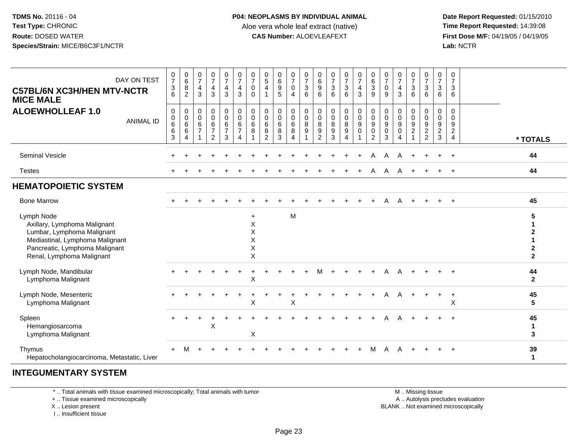**Date Report Requested:** 01/15/2010 **First Dose M/F:** 04/19/05 / 04/19/05<br>Lab: NCTR **Lab:** NCTR

| DAY ON TEST<br><b>C57BL/6N XC3H/HEN MTV-NCTR</b><br><b>MICE MALE</b><br><b>ALOEWHOLLEAF 1.0</b><br><b>ANIMAL ID</b>                                                        | $\frac{0}{7}$<br>$\ensuremath{\mathsf{3}}$<br>6<br>$\pmb{0}$<br>$\pmb{0}$<br>$\,6$<br>$\,6$<br>$\sqrt{3}$ | $\begin{array}{c} 0 \\ 6 \end{array}$<br>$\overline{8}$<br>$\overline{2}$<br>$\boldsymbol{0}$<br>$\begin{array}{c} 0 \\ 6 \end{array}$<br>$\,6\,$<br>$\overline{4}$ | $\frac{0}{7}$<br>$\overline{\mathbf{4}}$<br>$\mathbf{3}$<br>$\mathsf 0$<br>$\mathbf 0$<br>$\,6$<br>$\overline{7}$<br>$\overline{1}$ | $\frac{0}{7}$<br>$\overline{\mathbf{4}}$<br>3<br>0<br>$\mathbf 0$<br>$\,6\,$<br>$\overline{7}$<br>$\overline{2}$ | $\frac{0}{7}$<br>$rac{4}{3}$<br>$\pmb{0}$<br>$\mathsf{O}\xspace$<br>$\overline{6}$<br>$\overline{7}$<br>3 | $\frac{0}{7}$<br>$\overline{\mathbf{4}}$<br>3<br>$\pmb{0}$<br>$\pmb{0}$<br>6<br>$\overline{7}$<br>$\overline{\mathbf{4}}$ | $\frac{0}{7}$<br>0<br>$\mathbf{0}$<br>$\mathbf 0$<br>$\mathbf 0$<br>6<br>8 | $\begin{array}{c} 0 \\ 5 \end{array}$<br>4<br>-1<br>$\mathbf 0$<br>$\mathbf 0$<br>6<br>8<br>$\overline{2}$ | $\begin{array}{c} 0 \\ 6 \end{array}$<br>$\boldsymbol{9}$<br>5<br>0<br>$\pmb{0}$<br>$\,6$<br>8<br>3 | $\frac{0}{7}$<br>$\boldsymbol{0}$<br>$\overline{4}$<br>0<br>$\mathsf 0$<br>$\,6\,$<br>8<br>$\overline{4}$ | $\frac{0}{7}$<br>3<br>6<br>0<br>$\boldsymbol{0}$<br>8<br>9<br>$\blacktriangleleft$ | $\begin{array}{c} 0 \\ 6 \end{array}$<br>9<br>6<br>0<br>$\pmb{0}$<br>8<br>$\boldsymbol{9}$<br>$\overline{2}$ | $\frac{0}{7}$<br>$\sqrt{3}$<br>6<br>$\pmb{0}$<br>$\frac{0}{8}$<br>$\boldsymbol{9}$<br>3 | $\frac{0}{7}$<br>$\ensuremath{\mathsf{3}}$<br>6<br>0<br>$\pmb{0}$<br>$\bf 8$<br>$\boldsymbol{9}$<br>4 | $\frac{0}{7}$<br>4<br>$\mathbf{3}$<br>0<br>$\mathsf{O}\xspace$<br>9<br>$\mathsf 0$<br>1 | $\begin{matrix} 0 \\ 6 \\ 3 \end{matrix}$<br>9<br>0<br>$\mathbf 0$<br>9<br>0<br>$\overline{2}$ | $\frac{0}{7}$<br>$\pmb{0}$<br>9<br>0<br>$\pmb{0}$<br>9<br>$\mathsf{O}\xspace$<br>3 | $\frac{0}{7}$<br>$\frac{4}{3}$<br>$\pmb{0}$<br>$\pmb{0}$<br>$\boldsymbol{9}$<br>$\mathbf 0$<br>$\overline{\mathbf{4}}$ | $\frac{0}{7}$<br>$\ensuremath{\mathsf{3}}$<br>6<br>0<br>$\mathbf 0$<br>9<br>$\boldsymbol{2}$<br>$\overline{1}$ | $\frac{0}{7}$<br>$\sqrt{3}$<br>6<br>$\mathbf 0$<br>$\mathbf 0$<br>$\boldsymbol{9}$<br>$\sqrt{2}$<br>$\overline{2}$ | $\frac{0}{7}$<br>$\sqrt{3}$<br>6<br>$\mathbf 0$<br>$\boldsymbol{0}$<br>9<br>$\overline{c}$<br>3 | $\pmb{0}$<br>$\overline{7}$<br>3<br>6<br>$\mathbf 0$<br>0<br>9<br>$\overline{2}$<br>$\overline{4}$ | * TOTALS                            |
|----------------------------------------------------------------------------------------------------------------------------------------------------------------------------|-----------------------------------------------------------------------------------------------------------|---------------------------------------------------------------------------------------------------------------------------------------------------------------------|-------------------------------------------------------------------------------------------------------------------------------------|------------------------------------------------------------------------------------------------------------------|-----------------------------------------------------------------------------------------------------------|---------------------------------------------------------------------------------------------------------------------------|----------------------------------------------------------------------------|------------------------------------------------------------------------------------------------------------|-----------------------------------------------------------------------------------------------------|-----------------------------------------------------------------------------------------------------------|------------------------------------------------------------------------------------|--------------------------------------------------------------------------------------------------------------|-----------------------------------------------------------------------------------------|-------------------------------------------------------------------------------------------------------|-----------------------------------------------------------------------------------------|------------------------------------------------------------------------------------------------|------------------------------------------------------------------------------------|------------------------------------------------------------------------------------------------------------------------|----------------------------------------------------------------------------------------------------------------|--------------------------------------------------------------------------------------------------------------------|-------------------------------------------------------------------------------------------------|----------------------------------------------------------------------------------------------------|-------------------------------------|
| <b>Seminal Vesicle</b>                                                                                                                                                     |                                                                                                           |                                                                                                                                                                     |                                                                                                                                     |                                                                                                                  |                                                                                                           |                                                                                                                           |                                                                            |                                                                                                            |                                                                                                     |                                                                                                           |                                                                                    |                                                                                                              |                                                                                         |                                                                                                       |                                                                                         | А                                                                                              | А                                                                                  |                                                                                                                        |                                                                                                                |                                                                                                                    | ÷                                                                                               | $\ddot{}$                                                                                          | 44                                  |
| <b>Testes</b>                                                                                                                                                              |                                                                                                           |                                                                                                                                                                     |                                                                                                                                     |                                                                                                                  |                                                                                                           |                                                                                                                           |                                                                            |                                                                                                            |                                                                                                     |                                                                                                           |                                                                                    |                                                                                                              |                                                                                         |                                                                                                       |                                                                                         | Α                                                                                              | A                                                                                  | A                                                                                                                      | $\ddot{}$                                                                                                      |                                                                                                                    |                                                                                                 |                                                                                                    | 44                                  |
| <b>HEMATOPOIETIC SYSTEM</b>                                                                                                                                                |                                                                                                           |                                                                                                                                                                     |                                                                                                                                     |                                                                                                                  |                                                                                                           |                                                                                                                           |                                                                            |                                                                                                            |                                                                                                     |                                                                                                           |                                                                                    |                                                                                                              |                                                                                         |                                                                                                       |                                                                                         |                                                                                                |                                                                                    |                                                                                                                        |                                                                                                                |                                                                                                                    |                                                                                                 |                                                                                                    |                                     |
| <b>Bone Marrow</b>                                                                                                                                                         |                                                                                                           |                                                                                                                                                                     |                                                                                                                                     |                                                                                                                  |                                                                                                           |                                                                                                                           |                                                                            |                                                                                                            |                                                                                                     |                                                                                                           |                                                                                    |                                                                                                              |                                                                                         |                                                                                                       |                                                                                         |                                                                                                | А                                                                                  | A                                                                                                                      | $\ddot{}$                                                                                                      |                                                                                                                    | $+$                                                                                             | $+$                                                                                                | 45                                  |
| Lymph Node<br>Axillary, Lymphoma Malignant<br>Lumbar, Lymphoma Malignant<br>Mediastinal, Lymphoma Malignant<br>Pancreatic, Lymphoma Malignant<br>Renal, Lymphoma Malignant |                                                                                                           |                                                                                                                                                                     |                                                                                                                                     |                                                                                                                  |                                                                                                           |                                                                                                                           | $\ddot{}$<br>$\mathsf X$<br>X<br>X<br>X<br>$\mathsf X$                     |                                                                                                            |                                                                                                     | M                                                                                                         |                                                                                    |                                                                                                              |                                                                                         |                                                                                                       |                                                                                         |                                                                                                |                                                                                    |                                                                                                                        |                                                                                                                |                                                                                                                    |                                                                                                 |                                                                                                    | 5<br>$\mathbf{2}$<br>$\overline{2}$ |
| Lymph Node, Mandibular<br>Lymphoma Malignant                                                                                                                               |                                                                                                           |                                                                                                                                                                     |                                                                                                                                     |                                                                                                                  |                                                                                                           |                                                                                                                           | X                                                                          |                                                                                                            |                                                                                                     |                                                                                                           |                                                                                    |                                                                                                              |                                                                                         |                                                                                                       |                                                                                         |                                                                                                |                                                                                    |                                                                                                                        |                                                                                                                |                                                                                                                    |                                                                                                 |                                                                                                    | 44<br>$\overline{2}$                |
| Lymph Node, Mesenteric<br>Lymphoma Malignant                                                                                                                               |                                                                                                           |                                                                                                                                                                     |                                                                                                                                     |                                                                                                                  |                                                                                                           |                                                                                                                           | $\mathsf X$                                                                |                                                                                                            |                                                                                                     | X                                                                                                         |                                                                                    |                                                                                                              |                                                                                         |                                                                                                       |                                                                                         |                                                                                                |                                                                                    |                                                                                                                        | $\ddot{}$                                                                                                      |                                                                                                                    | +                                                                                               | $\ddot{}$<br>X                                                                                     | 45<br>$5\phantom{.0}$               |
| Spleen<br>Hemangiosarcoma<br>Lymphoma Malignant                                                                                                                            |                                                                                                           |                                                                                                                                                                     |                                                                                                                                     | X                                                                                                                |                                                                                                           |                                                                                                                           | Χ                                                                          |                                                                                                            |                                                                                                     |                                                                                                           |                                                                                    |                                                                                                              |                                                                                         |                                                                                                       |                                                                                         |                                                                                                |                                                                                    |                                                                                                                        |                                                                                                                |                                                                                                                    |                                                                                                 |                                                                                                    | 45<br>$\mathbf{1}$<br>3             |
| Thymus<br>Hepatocholangiocarcinoma, Metastatic, Liver                                                                                                                      |                                                                                                           |                                                                                                                                                                     |                                                                                                                                     |                                                                                                                  |                                                                                                           |                                                                                                                           |                                                                            |                                                                                                            |                                                                                                     |                                                                                                           |                                                                                    |                                                                                                              |                                                                                         |                                                                                                       |                                                                                         |                                                                                                |                                                                                    |                                                                                                                        |                                                                                                                |                                                                                                                    |                                                                                                 |                                                                                                    | 39<br>$\mathbf{1}$                  |

## **INTEGUMENTARY SYSTEM**

\* .. Total animals with tissue examined microscopically; Total animals with tumor

+ .. Tissue examined microscopically

 Lesion present BLANK .. Not examined microscopicallyX .. Lesion present

I .. Insufficient tissue

 M .. Missing tissuey the contract of the contract of the contract of the contract of the contract of the contract of the contract of  $A$ . Autolysis precludes evaluation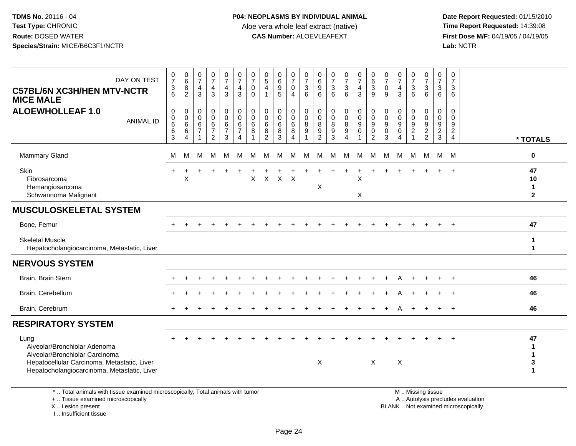I .. Insufficient tissue

| DAY ON TEST<br><b>C57BL/6N XC3H/HEN MTV-NCTR</b><br><b>MICE MALE</b>                                                                                                 | $\frac{0}{7}$<br>$\ensuremath{\mathsf{3}}$<br>6 | $\begin{matrix} 0 \\ 6 \end{matrix}$<br>8<br>$\overline{c}$ | $\frac{0}{7}$<br>$\overline{4}$<br>3           | $\frac{0}{7}$<br>$\overline{4}$<br>3                            | $\frac{0}{7}$<br>$\overline{4}$<br>3                                          | $\frac{0}{7}$<br>$\overline{a}$<br>3                          | $\frac{0}{7}$<br>$\mathbf 0$<br>$\Omega$ | 0<br>$\sqrt{5}$<br>4<br>$\overline{1}$         | 0<br>6<br>9<br>$\overline{5}$      | $\begin{smallmatrix}0\\7\end{smallmatrix}$<br>$\overline{0}$<br>$\overline{4}$ | $\frac{0}{7}$<br>$\sqrt{3}$<br>$6\phantom{1}6$ | 0<br>$\,6$<br>$\boldsymbol{9}$<br>6             | $\frac{0}{7}$<br>3<br>6                               | $\frac{0}{7}$<br>3<br>6                     | $\frac{0}{7}$<br>$\overline{4}$<br>3                   | $\begin{array}{c} 0 \\ 6 \end{array}$<br>$\overline{3}$<br>9                     | $\frac{0}{7}$<br>$\mathbf 0$<br>9                        | $\frac{0}{7}$<br>$\overline{4}$<br>3                     | 0<br>$\overline{7}$<br>3<br>6                          | $\frac{0}{7}$<br>$\frac{3}{6}$          | 0<br>$\overline{7}$<br>$\sqrt{3}$<br>6      | 0<br>$\overline{7}$<br>3<br>6                                    |                                                                          |                                   |
|----------------------------------------------------------------------------------------------------------------------------------------------------------------------|-------------------------------------------------|-------------------------------------------------------------|------------------------------------------------|-----------------------------------------------------------------|-------------------------------------------------------------------------------|---------------------------------------------------------------|------------------------------------------|------------------------------------------------|------------------------------------|--------------------------------------------------------------------------------|------------------------------------------------|-------------------------------------------------|-------------------------------------------------------|---------------------------------------------|--------------------------------------------------------|----------------------------------------------------------------------------------|----------------------------------------------------------|----------------------------------------------------------|--------------------------------------------------------|-----------------------------------------|---------------------------------------------|------------------------------------------------------------------|--------------------------------------------------------------------------|-----------------------------------|
| <b>ALOEWHOLLEAF 1.0</b><br><b>ANIMAL ID</b>                                                                                                                          | $\pmb{0}$<br>$\pmb{0}$<br>$\,6$<br>$\,6$<br>3   | 0<br>0<br>$\,6\,$<br>6<br>4                                 | $\mathbf 0$<br>$\Omega$<br>6<br>$\overline{7}$ | 0<br>$\mathbf 0$<br>$\,6\,$<br>$\overline{7}$<br>$\overline{c}$ | $\pmb{0}$<br>$\ddot{\mathbf{0}}$<br>$\,6\,$<br>$\overline{7}$<br>$\mathbf{3}$ | $\pmb{0}$<br>$\overline{0}$<br>$\,6\,$<br>$\overline{7}$<br>4 | $\mathbf 0$<br>$\Omega$<br>$\,6\,$<br>8  | $\mathbf 0$<br>$\mathbf{0}$<br>$\,6$<br>8<br>2 | 0<br>0<br>6<br>8<br>$\overline{3}$ | $\pmb{0}$<br>$\pmb{0}$<br>$\,6\,$<br>8<br>4                                    | $\pmb{0}$<br>$\mathbf 0$<br>$\, 8$<br>9        | 0<br>$\Omega$<br>$\bf 8$<br>9<br>$\overline{c}$ | $\mathbf 0$<br>$\Omega$<br>8<br>$\boldsymbol{9}$<br>3 | 0<br>$\bar{0}$<br>$\frac{8}{9}$<br>$\Delta$ | $\pmb{0}$<br>$\ddot{\mathbf{0}}$<br>$9\,$<br>$\pmb{0}$ | $\pmb{0}$<br>$\overline{0}$<br>$\boldsymbol{9}$<br>$\mathbf 0$<br>$\overline{2}$ | 0<br>$\mathbf 0$<br>$\boldsymbol{9}$<br>$\mathbf 0$<br>3 | $\mathbf 0$<br>$\Omega$<br>9<br>$\mathbf 0$<br>$\Lambda$ | 0<br>$\mathbf 0$<br>$\boldsymbol{9}$<br>$\overline{2}$ | $\pmb{0}$<br>$\pmb{0}$<br>$\frac{9}{2}$ | $\mathbf 0$<br>$\mathbf 0$<br>$\frac{9}{2}$ | $\mathbf 0$<br>$\Omega$<br>9<br>$\overline{2}$<br>$\overline{4}$ |                                                                          | * TOTALS                          |
| <b>Mammary Gland</b>                                                                                                                                                 | М                                               | M                                                           | м                                              | м                                                               | м                                                                             | м                                                             | M                                        | M                                              | м                                  | м                                                                              | М                                              | м                                               | м                                                     | м                                           | м                                                      | м                                                                                | M                                                        | M                                                        | M                                                      | M                                       | М                                           | M                                                                |                                                                          | 0                                 |
| Skin<br>Fibrosarcoma<br>Hemangiosarcoma<br>Schwannoma Malignant                                                                                                      |                                                 | X                                                           |                                                |                                                                 |                                                                               |                                                               | $\pmb{\times}$                           | $\mathsf{X}$                                   | $\boldsymbol{\mathsf{X}}$          | $\mathsf{X}$                                                                   |                                                | X                                               |                                                       |                                             | Χ<br>X                                                 |                                                                                  |                                                          |                                                          |                                                        |                                         |                                             |                                                                  |                                                                          | 47<br>10<br>1<br>$\mathbf{2}$     |
| <b>MUSCULOSKELETAL SYSTEM</b>                                                                                                                                        |                                                 |                                                             |                                                |                                                                 |                                                                               |                                                               |                                          |                                                |                                    |                                                                                |                                                |                                                 |                                                       |                                             |                                                        |                                                                                  |                                                          |                                                          |                                                        |                                         |                                             |                                                                  |                                                                          |                                   |
| Bone, Femur                                                                                                                                                          |                                                 |                                                             |                                                |                                                                 |                                                                               |                                                               |                                          |                                                |                                    |                                                                                |                                                |                                                 |                                                       |                                             |                                                        |                                                                                  |                                                          |                                                          |                                                        |                                         |                                             | $+$                                                              |                                                                          | 47                                |
| <b>Skeletal Muscle</b><br>Hepatocholangiocarcinoma, Metastatic, Liver                                                                                                |                                                 |                                                             |                                                |                                                                 |                                                                               |                                                               |                                          |                                                |                                    |                                                                                |                                                |                                                 |                                                       |                                             |                                                        |                                                                                  |                                                          |                                                          |                                                        |                                         |                                             |                                                                  |                                                                          | 1<br>$\blacktriangleleft$         |
| <b>NERVOUS SYSTEM</b>                                                                                                                                                |                                                 |                                                             |                                                |                                                                 |                                                                               |                                                               |                                          |                                                |                                    |                                                                                |                                                |                                                 |                                                       |                                             |                                                        |                                                                                  |                                                          |                                                          |                                                        |                                         |                                             |                                                                  |                                                                          |                                   |
| Brain, Brain Stem                                                                                                                                                    |                                                 |                                                             |                                                |                                                                 |                                                                               |                                                               |                                          |                                                |                                    |                                                                                |                                                |                                                 |                                                       |                                             |                                                        |                                                                                  |                                                          |                                                          |                                                        |                                         |                                             |                                                                  |                                                                          | 46                                |
| Brain, Cerebellum                                                                                                                                                    |                                                 |                                                             |                                                |                                                                 |                                                                               |                                                               |                                          |                                                |                                    |                                                                                |                                                |                                                 |                                                       |                                             |                                                        |                                                                                  |                                                          |                                                          |                                                        |                                         |                                             |                                                                  |                                                                          | 46                                |
| Brain, Cerebrum                                                                                                                                                      |                                                 |                                                             |                                                |                                                                 |                                                                               |                                                               |                                          |                                                |                                    |                                                                                |                                                |                                                 |                                                       |                                             |                                                        |                                                                                  |                                                          |                                                          |                                                        |                                         |                                             | $+$                                                              |                                                                          | 46                                |
| <b>RESPIRATORY SYSTEM</b>                                                                                                                                            |                                                 |                                                             |                                                |                                                                 |                                                                               |                                                               |                                          |                                                |                                    |                                                                                |                                                |                                                 |                                                       |                                             |                                                        |                                                                                  |                                                          |                                                          |                                                        |                                         |                                             |                                                                  |                                                                          |                                   |
| Lung<br>Alveolar/Bronchiolar Adenoma<br>Alveolar/Bronchiolar Carcinoma<br>Hepatocellular Carcinoma, Metastatic, Liver<br>Hepatocholangiocarcinoma, Metastatic, Liver |                                                 |                                                             |                                                |                                                                 |                                                                               |                                                               |                                          |                                                |                                    |                                                                                |                                                | $\boldsymbol{\mathsf{X}}$                       |                                                       |                                             |                                                        | $\mathsf{X}$                                                                     |                                                          | X                                                        |                                                        |                                         |                                             |                                                                  |                                                                          | 47<br>1<br>1<br>3<br>$\mathbf{1}$ |
| *  Total animals with tissue examined microscopically; Total animals with tumor<br>+  Tissue examined microscopically<br>X  Lesion present                           |                                                 |                                                             |                                                |                                                                 |                                                                               |                                                               |                                          |                                                |                                    |                                                                                |                                                |                                                 |                                                       |                                             |                                                        |                                                                                  |                                                          |                                                          |                                                        | M  Missing tissue                       |                                             |                                                                  | A  Autolysis precludes evaluation<br>BLANK  Not examined microscopically |                                   |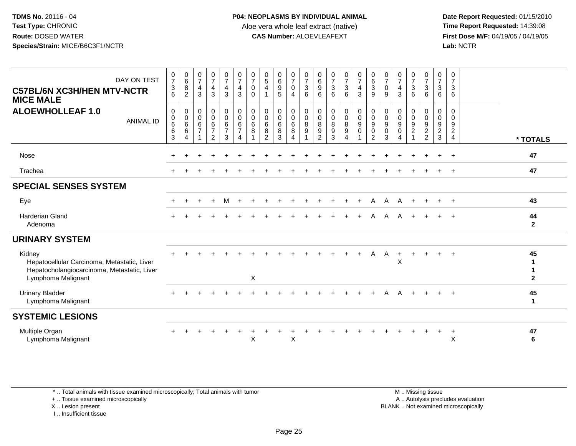**Date Report Requested:** 01/15/2010 **First Dose M/F:** 04/19/05 / 04/19/05<br>Lab: NCTR **Lab:** NCTR

| $\begin{array}{c} 0 \\ 7 \end{array}$<br>$\begin{matrix} 0 \\ 6 \\ 3 \end{matrix}$<br>0<br>$\frac{0}{7}$<br>$\begin{matrix}0\\6\\8\end{matrix}$<br>$\frac{0}{7}$<br>$\frac{0}{7}$<br>$\begin{array}{c} 0 \\ 7 \\ 4 \end{array}$<br>$\frac{0}{7}$<br>$\begin{array}{c} 0 \\ 5 \\ 4 \end{array}$<br>$\begin{matrix} 0 \\ 6 \\ 9 \end{matrix}$<br>$\frac{0}{7}$<br>$\frac{0}{7}$<br>$\begin{array}{c} 0 \\ 6 \\ 9 \end{array}$<br>$\frac{0}{7}$<br>$\frac{0}{7}$<br>$\frac{0}{7}$<br>$\frac{0}{7}$<br>$\frac{0}{7}$<br>$\begin{array}{c} 0 \\ 7 \\ 3 \\ 6 \end{array}$<br>$\frac{0}{7}$<br>$\frac{0}{7}$<br>DAY ON TEST<br>$\overline{7}$<br>$\overline{4}$<br>$\sqrt{3}$<br>$\mathfrak{Z}$<br>$\mathbf{3}$<br>$\overline{4}$<br>$\mathbf{3}$<br>$\mathbf{3}$<br>$\overline{4}$<br>$\mathbf 0$<br>$\mathbf 0$<br>$\frac{4}{3}$<br>$\frac{3}{6}$<br>$\mathbf 0$<br>$\overline{4}$<br>3<br><b>C57BL/6N XC3H/HEN MTV-NCTR</b><br>$\overline{2}$<br>$\mathbf{3}$<br>$\mathbf{3}$<br>$\mathbf{3}$<br>$\overline{5}$<br>6<br>$\mathbf{3}$<br>$6\overline{6}$<br>3<br>6<br>9<br>6<br>6<br>$\overline{4}$<br>6<br>9<br>$\mathbf 0$<br>6<br><b>MICE MALE</b><br><b>ALOEWHOLLEAF 1.0</b><br>$\begin{smallmatrix} 0\\0 \end{smallmatrix}$<br>$\pmb{0}$<br>$\begin{smallmatrix}0\0\0\0\end{smallmatrix}$<br>$\boldsymbol{0}$<br>$\pmb{0}$<br>$\boldsymbol{0}$<br>$\mathbf 0$<br>00067<br>$\pmb{0}$<br>$\begin{smallmatrix} 0\\0 \end{smallmatrix}$<br>$\pmb{0}$<br>$\begin{smallmatrix}0\0\0\8\0\end{smallmatrix}$<br>0000<br>$\begin{matrix} 0 \\ 0 \\ 9 \\ 0 \end{matrix}$<br>0<br>$\mathbf 0$<br>0<br>$\pmb{0}$<br>$\pmb{0}$<br>0<br>$\mathbf 0$<br>$\begin{matrix}0\\6\\6\end{matrix}$<br>$\frac{0}{6}$<br>$\mathbf 0$<br>$\pmb{0}$<br>$\mathsf{O}\xspace$<br>$\frac{0}{9}$<br>$\begin{matrix}0\\6\\6\end{matrix}$<br>$\pmb{0}$<br>$\pmb{0}$<br>$\pmb{0}$<br>$\begin{array}{c} 0 \\ 8 \\ 9 \end{array}$<br>$\frac{0}{2}$<br>$\begin{array}{c}\n0 \\ 9 \\ 2 \\ 3\n\end{array}$<br>$\mathbf{0}$<br><b>ANIMAL ID</b><br>$\frac{6}{7}$<br>$\frac{6}{8}$<br>$\frac{6}{8}$<br>$\frac{8}{9}$<br>$^6_8$<br>$\,6$<br>$_{9}^{8}$<br>9<br>9<br>$\bf 8$<br>$\mathbf 0$<br>$\overline{2}$<br>$\overline{3}$<br>$\overline{2}$<br>$\overline{3}$<br>$\overline{2}$<br>3<br>$\overline{4}$<br>$\overline{c}$<br>3<br>$\overline{2}$<br>$\overline{1}$<br>$\overline{4}$<br>$\overline{4}$<br>4<br>3<br>$\overline{\mathbf{A}}$<br>$\overline{1}$<br>1<br>1<br>$\overline{1}$<br>$\overline{4}$<br>* TOTALS<br>47<br>Nose<br>47<br>Trachea<br><b>SPECIAL SENSES SYSTEM</b><br>43<br>Eye<br>M<br>A<br>A<br>A<br>$\div$<br>$\ddot{}$<br>$\overline{+}$<br>$+$<br>$+$<br>$+$<br>Harderian Gland<br>44<br>A<br>$\overline{2}$<br>Adenoma<br><b>URINARY SYSTEM</b><br>45<br>Kidney<br>A<br>A<br>$+$<br>$\ddot{}$<br>$\pm$<br>$\ddot{}$<br>$\ddot{}$<br>$+$<br>X<br>Hepatocellular Carcinoma, Metastatic, Liver<br>1<br>Hepatocholangiocarcinoma, Metastatic, Liver<br>X<br>$\mathbf{2}$<br>Lymphoma Malignant<br><b>Urinary Bladder</b><br>45<br>Lymphoma Malignant<br>$\mathbf{1}$<br><b>SYSTEMIC LESIONS</b><br>Multiple Organ<br>47<br>$\ddot{}$<br>$\mathsf{X}$<br>X<br>X<br>6<br>Lymphoma Malignant |  |  |  |  |  |  |  |  |  |  |  |  |  |
|--------------------------------------------------------------------------------------------------------------------------------------------------------------------------------------------------------------------------------------------------------------------------------------------------------------------------------------------------------------------------------------------------------------------------------------------------------------------------------------------------------------------------------------------------------------------------------------------------------------------------------------------------------------------------------------------------------------------------------------------------------------------------------------------------------------------------------------------------------------------------------------------------------------------------------------------------------------------------------------------------------------------------------------------------------------------------------------------------------------------------------------------------------------------------------------------------------------------------------------------------------------------------------------------------------------------------------------------------------------------------------------------------------------------------------------------------------------------------------------------------------------------------------------------------------------------------------------------------------------------------------------------------------------------------------------------------------------------------------------------------------------------------------------------------------------------------------------------------------------------------------------------------------------------------------------------------------------------------------------------------------------------------------------------------------------------------------------------------------------------------------------------------------------------------------------------------------------------------------------------------------------------------------------------------------------------------------------------------------------------------------------------------------------------------------------------------------------------------------------------------------------------------------------------------------------------------------------------------------------------------------------------------------------------------------------------------------------------------------------------------------------------------------------------------------------------------------------------------------------------------------------------------------------------------------------------------------------------------------------------------------------------------------------------------------------------------------------------------------------------------------------------------------------------------|--|--|--|--|--|--|--|--|--|--|--|--|--|
|                                                                                                                                                                                                                                                                                                                                                                                                                                                                                                                                                                                                                                                                                                                                                                                                                                                                                                                                                                                                                                                                                                                                                                                                                                                                                                                                                                                                                                                                                                                                                                                                                                                                                                                                                                                                                                                                                                                                                                                                                                                                                                                                                                                                                                                                                                                                                                                                                                                                                                                                                                                                                                                                                                                                                                                                                                                                                                                                                                                                                                                                                                                                                                          |  |  |  |  |  |  |  |  |  |  |  |  |  |
|                                                                                                                                                                                                                                                                                                                                                                                                                                                                                                                                                                                                                                                                                                                                                                                                                                                                                                                                                                                                                                                                                                                                                                                                                                                                                                                                                                                                                                                                                                                                                                                                                                                                                                                                                                                                                                                                                                                                                                                                                                                                                                                                                                                                                                                                                                                                                                                                                                                                                                                                                                                                                                                                                                                                                                                                                                                                                                                                                                                                                                                                                                                                                                          |  |  |  |  |  |  |  |  |  |  |  |  |  |
|                                                                                                                                                                                                                                                                                                                                                                                                                                                                                                                                                                                                                                                                                                                                                                                                                                                                                                                                                                                                                                                                                                                                                                                                                                                                                                                                                                                                                                                                                                                                                                                                                                                                                                                                                                                                                                                                                                                                                                                                                                                                                                                                                                                                                                                                                                                                                                                                                                                                                                                                                                                                                                                                                                                                                                                                                                                                                                                                                                                                                                                                                                                                                                          |  |  |  |  |  |  |  |  |  |  |  |  |  |
|                                                                                                                                                                                                                                                                                                                                                                                                                                                                                                                                                                                                                                                                                                                                                                                                                                                                                                                                                                                                                                                                                                                                                                                                                                                                                                                                                                                                                                                                                                                                                                                                                                                                                                                                                                                                                                                                                                                                                                                                                                                                                                                                                                                                                                                                                                                                                                                                                                                                                                                                                                                                                                                                                                                                                                                                                                                                                                                                                                                                                                                                                                                                                                          |  |  |  |  |  |  |  |  |  |  |  |  |  |
|                                                                                                                                                                                                                                                                                                                                                                                                                                                                                                                                                                                                                                                                                                                                                                                                                                                                                                                                                                                                                                                                                                                                                                                                                                                                                                                                                                                                                                                                                                                                                                                                                                                                                                                                                                                                                                                                                                                                                                                                                                                                                                                                                                                                                                                                                                                                                                                                                                                                                                                                                                                                                                                                                                                                                                                                                                                                                                                                                                                                                                                                                                                                                                          |  |  |  |  |  |  |  |  |  |  |  |  |  |
|                                                                                                                                                                                                                                                                                                                                                                                                                                                                                                                                                                                                                                                                                                                                                                                                                                                                                                                                                                                                                                                                                                                                                                                                                                                                                                                                                                                                                                                                                                                                                                                                                                                                                                                                                                                                                                                                                                                                                                                                                                                                                                                                                                                                                                                                                                                                                                                                                                                                                                                                                                                                                                                                                                                                                                                                                                                                                                                                                                                                                                                                                                                                                                          |  |  |  |  |  |  |  |  |  |  |  |  |  |
|                                                                                                                                                                                                                                                                                                                                                                                                                                                                                                                                                                                                                                                                                                                                                                                                                                                                                                                                                                                                                                                                                                                                                                                                                                                                                                                                                                                                                                                                                                                                                                                                                                                                                                                                                                                                                                                                                                                                                                                                                                                                                                                                                                                                                                                                                                                                                                                                                                                                                                                                                                                                                                                                                                                                                                                                                                                                                                                                                                                                                                                                                                                                                                          |  |  |  |  |  |  |  |  |  |  |  |  |  |
|                                                                                                                                                                                                                                                                                                                                                                                                                                                                                                                                                                                                                                                                                                                                                                                                                                                                                                                                                                                                                                                                                                                                                                                                                                                                                                                                                                                                                                                                                                                                                                                                                                                                                                                                                                                                                                                                                                                                                                                                                                                                                                                                                                                                                                                                                                                                                                                                                                                                                                                                                                                                                                                                                                                                                                                                                                                                                                                                                                                                                                                                                                                                                                          |  |  |  |  |  |  |  |  |  |  |  |  |  |
|                                                                                                                                                                                                                                                                                                                                                                                                                                                                                                                                                                                                                                                                                                                                                                                                                                                                                                                                                                                                                                                                                                                                                                                                                                                                                                                                                                                                                                                                                                                                                                                                                                                                                                                                                                                                                                                                                                                                                                                                                                                                                                                                                                                                                                                                                                                                                                                                                                                                                                                                                                                                                                                                                                                                                                                                                                                                                                                                                                                                                                                                                                                                                                          |  |  |  |  |  |  |  |  |  |  |  |  |  |
|                                                                                                                                                                                                                                                                                                                                                                                                                                                                                                                                                                                                                                                                                                                                                                                                                                                                                                                                                                                                                                                                                                                                                                                                                                                                                                                                                                                                                                                                                                                                                                                                                                                                                                                                                                                                                                                                                                                                                                                                                                                                                                                                                                                                                                                                                                                                                                                                                                                                                                                                                                                                                                                                                                                                                                                                                                                                                                                                                                                                                                                                                                                                                                          |  |  |  |  |  |  |  |  |  |  |  |  |  |
|                                                                                                                                                                                                                                                                                                                                                                                                                                                                                                                                                                                                                                                                                                                                                                                                                                                                                                                                                                                                                                                                                                                                                                                                                                                                                                                                                                                                                                                                                                                                                                                                                                                                                                                                                                                                                                                                                                                                                                                                                                                                                                                                                                                                                                                                                                                                                                                                                                                                                                                                                                                                                                                                                                                                                                                                                                                                                                                                                                                                                                                                                                                                                                          |  |  |  |  |  |  |  |  |  |  |  |  |  |
|                                                                                                                                                                                                                                                                                                                                                                                                                                                                                                                                                                                                                                                                                                                                                                                                                                                                                                                                                                                                                                                                                                                                                                                                                                                                                                                                                                                                                                                                                                                                                                                                                                                                                                                                                                                                                                                                                                                                                                                                                                                                                                                                                                                                                                                                                                                                                                                                                                                                                                                                                                                                                                                                                                                                                                                                                                                                                                                                                                                                                                                                                                                                                                          |  |  |  |  |  |  |  |  |  |  |  |  |  |

\* .. Total animals with tissue examined microscopically; Total animals with tumor

+ .. Tissue examined microscopically

X .. Lesion present

I .. Insufficient tissue

 M .. Missing tissuey the contract of the contract of the contract of the contract of the contract of the contract of the contract of  $A$ . Autolysis precludes evaluation Lesion present BLANK .. Not examined microscopically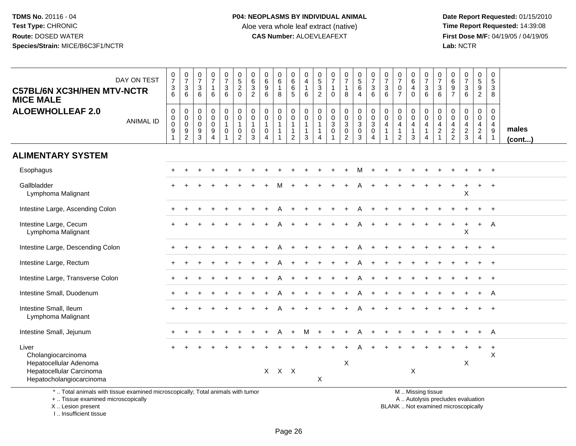**Date Report Requested:** 01/15/2010 **First Dose M/F:** 04/19/05 / 04/19/05<br>Lab: NCTR **Lab:** NCTR

| <b>C57BL/6N XC3H/HEN MTV-NCTR</b><br><b>MICE MALE</b>                                                                                     | DAY ON TEST      | $\begin{array}{c} 0 \\ 7 \end{array}$<br>$\sqrt{3}$<br>6  | $\frac{0}{7}$<br>$\mathbf{3}$<br>6                        | $\begin{array}{c} 0 \\ 7 \end{array}$<br>$\mathbf{3}$<br>6                  | $\frac{0}{7}$<br>$\mathbf{1}$<br>6                                            | $\frac{0}{7}$<br>$\ensuremath{\mathsf{3}}$<br>$6\overline{6}$ | $\begin{array}{c} 0 \\ 5 \\ 2 \end{array}$<br>$\mathbf 0$                 | 0<br>6<br>3<br>$\overline{2}$   | $\pmb{0}$<br>$\frac{6}{9}$<br>$6\phantom{1}$                              | $\begin{array}{c} 0 \\ 6 \end{array}$<br>$\mathbf{1}$<br>8      | $\pmb{0}$<br>$\,6\,$<br>6<br>$\overline{5}$                       | $\pmb{0}$<br>$\overline{4}$<br>$\overline{1}$<br>6                         | 0<br>$\frac{5}{3}$<br>$\overline{c}$       | $\frac{0}{7}$<br>$\overline{1}$<br>$\Omega$                             | $\frac{0}{7}$<br>$\mathbf{1}$<br>8                            | $\begin{array}{c} 0 \\ 5 \\ 6 \end{array}$<br>$\overline{4}$              | $\begin{array}{c} 0 \\ 7 \end{array}$<br>$\mathsf 3$<br>$6\phantom{1}$ | $\frac{0}{7}$<br>$\sqrt{3}$<br>$6\phantom{1}$                                    | $\begin{array}{c} 0 \\ 7 \end{array}$<br>$\pmb{0}$<br>$\overline{7}$           | 0<br>$\,6\,$<br>$\overline{\mathbf{4}}$<br>$\mathbf 0$ | $\begin{array}{c} 0 \\ 7 \end{array}$<br>$\mathbf{3}$<br>6           | 0<br>$\overline{7}$<br>3<br>6                 | $\pmb{0}$<br>$^6_9$<br>$\overline{7}$     | $\begin{smallmatrix}0\\7\end{smallmatrix}$<br>$\mathsf 3$<br>6           | $\pmb{0}$<br>$\mathbf 5$<br>$\boldsymbol{9}$<br>$\overline{2}$ | $\pmb{0}$<br>$\sqrt{5}$<br>3<br>8                                       |                 |
|-------------------------------------------------------------------------------------------------------------------------------------------|------------------|-----------------------------------------------------------|-----------------------------------------------------------|-----------------------------------------------------------------------------|-------------------------------------------------------------------------------|---------------------------------------------------------------|---------------------------------------------------------------------------|---------------------------------|---------------------------------------------------------------------------|-----------------------------------------------------------------|-------------------------------------------------------------------|----------------------------------------------------------------------------|--------------------------------------------|-------------------------------------------------------------------------|---------------------------------------------------------------|---------------------------------------------------------------------------|------------------------------------------------------------------------|----------------------------------------------------------------------------------|--------------------------------------------------------------------------------|--------------------------------------------------------|----------------------------------------------------------------------|-----------------------------------------------|-------------------------------------------|--------------------------------------------------------------------------|----------------------------------------------------------------|-------------------------------------------------------------------------|-----------------|
| <b>ALOEWHOLLEAF 2.0</b>                                                                                                                   | <b>ANIMAL ID</b> | $\mathbf 0$<br>0<br>$\mathbf 0$<br>$\boldsymbol{9}$<br>-1 | 0<br>0<br>$\pmb{0}$<br>$\boldsymbol{9}$<br>$\overline{c}$ | $\pmb{0}$<br>$\mathbf 0$<br>$\mathbf 0$<br>$\boldsymbol{9}$<br>$\mathbf{3}$ | $\mathbf 0$<br>$\pmb{0}$<br>$\mathbf 0$<br>$\boldsymbol{9}$<br>$\overline{4}$ | $\mathbf 0$<br>$\pmb{0}$<br>$\mathbf{1}$<br>$\mathbf 0$<br>1  | $\mathbf 0$<br>$\mathbf 0$<br>$\mathbf{1}$<br>$\pmb{0}$<br>$\overline{2}$ | 0<br>0<br>1<br>$\mathbf 0$<br>3 | $\pmb{0}$<br>$\mathbf 0$<br>$\mathbf{1}$<br>$\mathbf 0$<br>$\overline{4}$ | $\mathbf 0$<br>$\mathbf 0$<br>$\mathbf{1}$<br>$\mathbf{1}$<br>1 | $\pmb{0}$<br>$\mathsf{O}\xspace$<br>$\mathbf 1$<br>$\overline{2}$ | $\mathbf 0$<br>$\pmb{0}$<br>$\overline{1}$<br>$\mathbf{1}$<br>$\mathbf{3}$ | 0<br>$\mathbf 0$<br>$\mathbf{1}$<br>1<br>4 | $\mathbf 0$<br>$\mathbf 0$<br>$\sqrt{3}$<br>$\pmb{0}$<br>$\overline{1}$ | 0<br>$\pmb{0}$<br>$\mathbf{3}$<br>$\pmb{0}$<br>$\overline{2}$ | 0<br>$\mathsf{O}\xspace$<br>$\overline{3}$<br>$\mathbf 0$<br>$\mathbf{3}$ | $\pmb{0}$<br>$_{3}^{\rm 0}$<br>$\pmb{0}$<br>$\overline{4}$             | $\mathbf 0$<br>$\mathbf 0$<br>$\overline{4}$<br>$\overline{1}$<br>$\overline{1}$ | $\pmb{0}$<br>$\mathbf 0$<br>$\overline{4}$<br>$\overline{1}$<br>$\overline{2}$ | 0<br>0<br>4<br>$\mathbf{1}$<br>3                       | 0<br>$\mathbf 0$<br>$\overline{4}$<br>$\mathbf{1}$<br>$\overline{4}$ | 0<br>0<br>4<br>$\overline{a}$<br>$\mathbf{1}$ | 0<br>0<br>$\overline{4}$<br>$\frac{2}{2}$ | $\mathbf 0$<br>$\mathsf 0$<br>4<br>$\frac{2}{3}$                         | 0<br>$\overline{0}$<br>$\overline{4}$<br>$\mathbf{2}$<br>4     | $\mathbf 0$<br>$\mathbf 0$<br>$\overline{4}$<br>$9\,$<br>$\overline{1}$ | males<br>(cont) |
| <b>ALIMENTARY SYSTEM</b>                                                                                                                  |                  |                                                           |                                                           |                                                                             |                                                                               |                                                               |                                                                           |                                 |                                                                           |                                                                 |                                                                   |                                                                            |                                            |                                                                         |                                                               |                                                                           |                                                                        |                                                                                  |                                                                                |                                                        |                                                                      |                                               |                                           |                                                                          |                                                                |                                                                         |                 |
| Esophagus                                                                                                                                 |                  |                                                           |                                                           |                                                                             |                                                                               |                                                               |                                                                           |                                 |                                                                           |                                                                 |                                                                   |                                                                            |                                            |                                                                         |                                                               | м                                                                         | $\ddot{}$                                                              |                                                                                  |                                                                                |                                                        |                                                                      |                                               |                                           |                                                                          |                                                                | $\ddot{}$                                                               |                 |
| Gallbladder<br>Lymphoma Malignant                                                                                                         |                  |                                                           |                                                           |                                                                             |                                                                               |                                                               |                                                                           |                                 |                                                                           |                                                                 |                                                                   |                                                                            |                                            |                                                                         |                                                               |                                                                           |                                                                        |                                                                                  |                                                                                |                                                        |                                                                      |                                               |                                           | X                                                                        | $\ddot{}$                                                      | $\overline{+}$                                                          |                 |
| Intestine Large, Ascending Colon                                                                                                          |                  |                                                           |                                                           |                                                                             |                                                                               |                                                               |                                                                           |                                 |                                                                           |                                                                 |                                                                   |                                                                            |                                            |                                                                         |                                                               |                                                                           |                                                                        |                                                                                  |                                                                                |                                                        |                                                                      |                                               |                                           |                                                                          |                                                                |                                                                         |                 |
| Intestine Large, Cecum<br>Lymphoma Malignant                                                                                              |                  |                                                           |                                                           |                                                                             |                                                                               |                                                               |                                                                           |                                 |                                                                           |                                                                 |                                                                   |                                                                            |                                            |                                                                         |                                                               |                                                                           |                                                                        |                                                                                  |                                                                                |                                                        |                                                                      |                                               |                                           | Χ                                                                        | $\ddot{}$                                                      | A                                                                       |                 |
| Intestine Large, Descending Colon                                                                                                         |                  |                                                           |                                                           |                                                                             |                                                                               |                                                               |                                                                           |                                 |                                                                           |                                                                 |                                                                   |                                                                            |                                            |                                                                         |                                                               |                                                                           |                                                                        |                                                                                  |                                                                                |                                                        |                                                                      |                                               |                                           |                                                                          |                                                                |                                                                         |                 |
| Intestine Large, Rectum                                                                                                                   |                  |                                                           |                                                           |                                                                             |                                                                               |                                                               |                                                                           |                                 |                                                                           |                                                                 |                                                                   |                                                                            |                                            |                                                                         |                                                               | A                                                                         |                                                                        |                                                                                  |                                                                                |                                                        |                                                                      |                                               |                                           |                                                                          | $\ddot{}$                                                      | $\ddot{}$                                                               |                 |
| Intestine Large, Transverse Colon                                                                                                         |                  |                                                           |                                                           |                                                                             |                                                                               |                                                               |                                                                           |                                 |                                                                           |                                                                 |                                                                   |                                                                            |                                            |                                                                         |                                                               |                                                                           |                                                                        |                                                                                  |                                                                                |                                                        |                                                                      |                                               |                                           |                                                                          |                                                                |                                                                         |                 |
| Intestine Small, Duodenum                                                                                                                 |                  |                                                           |                                                           |                                                                             |                                                                               |                                                               |                                                                           |                                 |                                                                           |                                                                 |                                                                   |                                                                            |                                            |                                                                         |                                                               |                                                                           |                                                                        |                                                                                  |                                                                                |                                                        |                                                                      |                                               |                                           |                                                                          |                                                                | A                                                                       |                 |
| Intestine Small, Ileum<br>Lymphoma Malignant                                                                                              |                  |                                                           |                                                           |                                                                             |                                                                               |                                                               |                                                                           |                                 |                                                                           |                                                                 |                                                                   |                                                                            |                                            |                                                                         |                                                               |                                                                           |                                                                        |                                                                                  |                                                                                |                                                        |                                                                      |                                               |                                           |                                                                          |                                                                | $\overline{+}$                                                          |                 |
| Intestine Small, Jejunum                                                                                                                  |                  |                                                           |                                                           |                                                                             |                                                                               |                                                               |                                                                           |                                 |                                                                           | А                                                               | $+$                                                               | м                                                                          | $\ddot{}$                                  |                                                                         |                                                               | А                                                                         |                                                                        |                                                                                  |                                                                                |                                                        |                                                                      |                                               |                                           |                                                                          | $\ddot{}$                                                      | A                                                                       |                 |
| Liver<br>Cholangiocarcinoma<br>Hepatocellular Adenoma<br>Hepatocellular Carcinoma<br>Hepatocholangiocarcinoma                             |                  |                                                           |                                                           |                                                                             |                                                                               |                                                               |                                                                           |                                 | X                                                                         | $X$ $X$                                                         |                                                                   |                                                                            | X                                          |                                                                         | X                                                             |                                                                           |                                                                        |                                                                                  |                                                                                | X                                                      |                                                                      |                                               |                                           | X                                                                        | $\ddot{}$                                                      | $\overline{+}$<br>$\boldsymbol{\mathsf{X}}$                             |                 |
| *  Total animals with tissue examined microscopically; Total animals with tumor<br>+  Tissue examined microscopically<br>X Lesion present |                  |                                                           |                                                           |                                                                             |                                                                               |                                                               |                                                                           |                                 |                                                                           |                                                                 |                                                                   |                                                                            |                                            |                                                                         |                                                               |                                                                           |                                                                        |                                                                                  |                                                                                |                                                        | M  Missing tissue                                                    |                                               |                                           | A  Autolysis precludes evaluation<br>BLANK  Not examined microscopically |                                                                |                                                                         |                 |

X .. Lesion present

I .. Insufficient tissue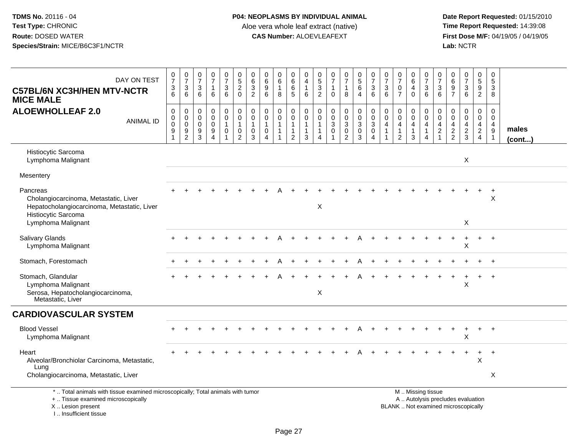| DAY ON TEST<br><b>C57BL/6N XC3H/HEN MTV-NCTR</b><br><b>MICE MALE</b>                                                    | $\frac{0}{7}$<br>3<br>6                                | $\frac{0}{7}$<br>3<br>6               | $\frac{0}{7}$<br>$\mathbf{3}$<br>6        | $\frac{0}{7}$<br>$\mathbf{1}$<br>6               | $\frac{0}{7}$<br>$\mathfrak{S}$<br>6 | $\begin{array}{c} 0 \\ 5 \end{array}$<br>$\overline{c}$<br>$\mathbf 0$      | 0<br>$\,6$<br>$\sqrt{3}$<br>$\overline{c}$                     | 0<br>6<br>$\boldsymbol{9}$<br>6                                | $\begin{array}{c} 0 \\ 6 \end{array}$<br>$\mathbf{1}$<br>8 | 0<br>$\overline{6}$<br>$\,6\,$<br>5                      | 0<br>$\overline{a}$<br>$\mathbf{1}$<br>6                       | $\begin{array}{c} 0 \\ 5 \\ 3 \end{array}$<br>$\overline{2}$        | $\frac{0}{7}$<br>$\mathbf{1}$<br>$\Omega$               | $\frac{0}{7}$<br>$\mathbf{1}$<br>8                                                     | $\begin{array}{c} 0 \\ 5 \end{array}$<br>6<br>$\overline{4}$        | $\frac{0}{7}$<br>$\mathbf{3}$<br>6                      | $\frac{0}{7}$<br>$\sqrt{3}$<br>6                | $\frac{0}{7}$<br>$\pmb{0}$<br>$\overline{7}$                                   | $\begin{array}{c} 0 \\ 6 \end{array}$<br>4<br>$\Omega$    | $\frac{0}{7}$<br>$\sqrt{3}$<br>6                                               | 0<br>$\overline{7}$<br>3<br>6        | $\begin{matrix} 0 \\ 6 \end{matrix}$<br>$\boldsymbol{9}$<br>$\overline{7}$ | $\frac{0}{7}$<br>$\sqrt{3}$<br>$6\phantom{a}$ | $\begin{array}{c} 0 \\ 5 \end{array}$<br>$\overline{9}$<br>$\overline{2}$ | 0<br>$\sqrt{5}$<br>$\ensuremath{\mathsf{3}}$<br>8                                  |                       |
|-------------------------------------------------------------------------------------------------------------------------|--------------------------------------------------------|---------------------------------------|-------------------------------------------|--------------------------------------------------|--------------------------------------|-----------------------------------------------------------------------------|----------------------------------------------------------------|----------------------------------------------------------------|------------------------------------------------------------|----------------------------------------------------------|----------------------------------------------------------------|---------------------------------------------------------------------|---------------------------------------------------------|----------------------------------------------------------------------------------------|---------------------------------------------------------------------|---------------------------------------------------------|-------------------------------------------------|--------------------------------------------------------------------------------|-----------------------------------------------------------|--------------------------------------------------------------------------------|--------------------------------------|----------------------------------------------------------------------------|-----------------------------------------------|---------------------------------------------------------------------------|------------------------------------------------------------------------------------|-----------------------|
| <b>ALOEWHOLLEAF 2.0</b><br><b>ANIMAL ID</b>                                                                             | $\mathbf 0$<br>$\boldsymbol{0}$<br>$\pmb{0}$<br>9<br>1 | 0<br>$\pmb{0}$<br>$\pmb{0}$<br>9<br>2 | $\mathbf 0$<br>$\mathbf 0$<br>0<br>9<br>3 | $\mathbf 0$<br>$\mathbf 0$<br>0<br>9<br>$\Delta$ | 0<br>$\mathbf 0$<br>1<br>0           | $\mathbf 0$<br>$\mathbf 0$<br>$\mathbf{1}$<br>$\mathbf 0$<br>$\overline{2}$ | $\mathbf 0$<br>$\mathbf 0$<br>$\mathbf{1}$<br>$\mathbf 0$<br>3 | $\mathbf 0$<br>$\mathbf 0$<br>$\mathbf{1}$<br>$\mathbf 0$<br>Δ | 0<br>$\mathbf 0$<br>$\mathbf{1}$<br>1                      | 0<br>0<br>$\mathbf{1}$<br>$\mathbf{1}$<br>$\overline{2}$ | $\mathbf 0$<br>$\mathbf 0$<br>$\mathbf{1}$<br>$\mathbf 1$<br>3 | $\mathbf 0$<br>$\mathbf 0$<br>$\overline{1}$<br>$\overline{1}$<br>Δ | $\mathbf 0$<br>$\mathbf 0$<br>$\sqrt{3}$<br>$\mathbf 0$ | $\mathbf 0$<br>$\pmb{0}$<br>$\ensuremath{\mathsf{3}}$<br>$\mathbf 0$<br>$\overline{c}$ | $\pmb{0}$<br>$\mathsf{O}\xspace$<br>$\mathsf 3$<br>$\mathbf 0$<br>3 | 0<br>$\mathbf 0$<br>$\mathbf{3}$<br>0<br>$\overline{A}$ | $\mathbf 0$<br>$\mathbf 0$<br>4<br>$\mathbf{1}$ | $\mathbf 0$<br>$\mathbf 0$<br>$\overline{4}$<br>$\mathbf{1}$<br>$\overline{2}$ | 0<br>$\mathbf 0$<br>$\overline{4}$<br>$\overline{1}$<br>3 | $\mathbf 0$<br>$\mathbf 0$<br>$\overline{4}$<br>$\mathbf{1}$<br>$\overline{4}$ | 0<br>$\Omega$<br>4<br>$\overline{2}$ | $\Omega$<br>$\mathbf 0$<br>$\overline{4}$<br>$\frac{2}{2}$                 | 0<br>$\mathbf 0$<br>4<br>$\overline{a}$<br>3  | 0<br>$\mathbf 0$<br>$\overline{4}$<br>$\frac{2}{4}$                       | $\mathbf 0$<br>$\mathbf 0$<br>$\overline{4}$<br>$\boldsymbol{9}$<br>$\overline{1}$ | males<br>$($ cont $)$ |
| Histiocytic Sarcoma<br>Lymphoma Malignant                                                                               |                                                        |                                       |                                           |                                                  |                                      |                                                                             |                                                                |                                                                |                                                            |                                                          |                                                                |                                                                     |                                                         |                                                                                        |                                                                     |                                                         |                                                 |                                                                                |                                                           |                                                                                |                                      |                                                                            | X                                             |                                                                           |                                                                                    |                       |
| Mesentery                                                                                                               |                                                        |                                       |                                           |                                                  |                                      |                                                                             |                                                                |                                                                |                                                            |                                                          |                                                                |                                                                     |                                                         |                                                                                        |                                                                     |                                                         |                                                 |                                                                                |                                                           |                                                                                |                                      |                                                                            |                                               |                                                                           |                                                                                    |                       |
| Pancreas<br>Cholangiocarcinoma, Metastatic, Liver<br>Hepatocholangiocarcinoma, Metastatic, Liver<br>Histiocytic Sarcoma |                                                        |                                       |                                           |                                                  |                                      |                                                                             |                                                                |                                                                |                                                            |                                                          |                                                                | X                                                                   |                                                         |                                                                                        |                                                                     |                                                         |                                                 |                                                                                |                                                           |                                                                                |                                      |                                                                            |                                               | $\ddot{}$                                                                 | $\ddot{}$<br>$\boldsymbol{\mathsf{X}}$                                             |                       |
| Lymphoma Malignant                                                                                                      |                                                        |                                       |                                           |                                                  |                                      |                                                                             |                                                                |                                                                |                                                            |                                                          |                                                                |                                                                     |                                                         |                                                                                        |                                                                     |                                                         |                                                 |                                                                                |                                                           |                                                                                |                                      |                                                                            | X                                             |                                                                           |                                                                                    |                       |
| <b>Salivary Glands</b><br>Lymphoma Malignant                                                                            |                                                        |                                       |                                           |                                                  |                                      |                                                                             |                                                                |                                                                |                                                            |                                                          |                                                                |                                                                     |                                                         |                                                                                        |                                                                     |                                                         |                                                 |                                                                                |                                                           |                                                                                |                                      |                                                                            | $\ddot{}$<br>X                                | $+$                                                                       | $+$                                                                                |                       |
| Stomach, Forestomach                                                                                                    |                                                        |                                       |                                           |                                                  |                                      |                                                                             |                                                                |                                                                |                                                            |                                                          |                                                                |                                                                     |                                                         |                                                                                        |                                                                     |                                                         |                                                 |                                                                                |                                                           |                                                                                |                                      |                                                                            |                                               |                                                                           | $+$                                                                                |                       |
| Stomach, Glandular<br>Lymphoma Malignant<br>Serosa, Hepatocholangiocarcinoma,<br>Metastatic, Liver                      |                                                        |                                       |                                           |                                                  |                                      |                                                                             |                                                                |                                                                |                                                            |                                                          |                                                                | $\boldsymbol{\mathsf{X}}$                                           |                                                         |                                                                                        |                                                                     |                                                         |                                                 |                                                                                |                                                           |                                                                                |                                      |                                                                            | X                                             |                                                                           | $\ddot{+}$                                                                         |                       |
| <b>CARDIOVASCULAR SYSTEM</b>                                                                                            |                                                        |                                       |                                           |                                                  |                                      |                                                                             |                                                                |                                                                |                                                            |                                                          |                                                                |                                                                     |                                                         |                                                                                        |                                                                     |                                                         |                                                 |                                                                                |                                                           |                                                                                |                                      |                                                                            |                                               |                                                                           |                                                                                    |                       |
| <b>Blood Vessel</b><br>Lymphoma Malignant                                                                               |                                                        |                                       |                                           |                                                  |                                      |                                                                             |                                                                |                                                                |                                                            |                                                          |                                                                |                                                                     |                                                         |                                                                                        |                                                                     |                                                         |                                                 |                                                                                |                                                           |                                                                                |                                      |                                                                            | $\overline{+}$<br>X                           | $+$                                                                       | $+$                                                                                |                       |
| Heart<br>Alveolar/Bronchiolar Carcinoma, Metastatic,<br>Lung<br>Cholangiocarcinoma, Metastatic, Liver                   |                                                        |                                       |                                           |                                                  |                                      |                                                                             |                                                                |                                                                |                                                            |                                                          |                                                                |                                                                     |                                                         |                                                                                        |                                                                     |                                                         |                                                 |                                                                                |                                                           |                                                                                |                                      |                                                                            |                                               | +<br>$\pmb{\times}$                                                       | $\overline{1}$<br>X                                                                |                       |
| *  Total animals with tissue examined microscopically; Total animals with tumor                                         |                                                        |                                       |                                           |                                                  |                                      |                                                                             |                                                                |                                                                |                                                            |                                                          |                                                                |                                                                     |                                                         |                                                                                        |                                                                     |                                                         |                                                 |                                                                                |                                                           | M  Missing tissue                                                              |                                      |                                                                            |                                               |                                                                           |                                                                                    |                       |
| +  Tissue examined microscopically<br>X  Lesion present                                                                 |                                                        |                                       |                                           |                                                  |                                      |                                                                             |                                                                |                                                                |                                                            |                                                          |                                                                |                                                                     |                                                         |                                                                                        |                                                                     |                                                         |                                                 |                                                                                |                                                           | A  Autolysis precludes evaluation<br>BLANK  Not examined microscopically       |                                      |                                                                            |                                               |                                                                           |                                                                                    |                       |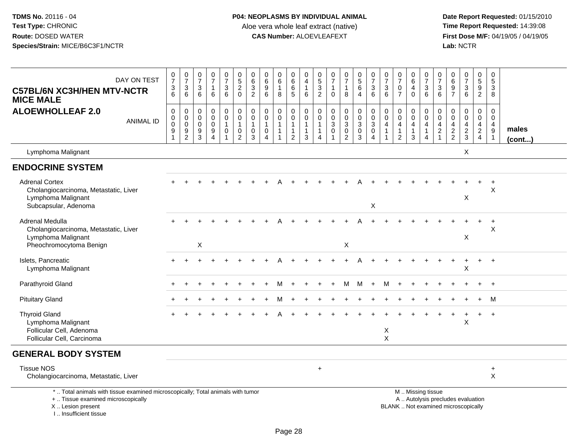**Date Report Requested:** 01/15/2010 **First Dose M/F:** 04/19/05 / 04/19/05<br>Lab: NCTR **Lab:** NCTR

| DAY ON TEST<br><b>C57BL/6N XC3H/HEN MTV-NCTR</b><br><b>MICE MALE</b>                                                                       | $\frac{0}{7}$<br>$\ensuremath{\mathsf{3}}$<br>6 | $\frac{0}{7}$<br>$\ensuremath{\mathsf{3}}$<br>6                                   | $\frac{0}{7}$<br>$\mathbf{3}$<br>6                                             | $\frac{0}{7}$<br>$\mathbf{1}$<br>6                               | $\frac{0}{7}$<br>3<br>6                                                 | $\begin{array}{c} 0 \\ 5 \end{array}$<br>$\overline{2}$<br>$\mathbf 0$          | 0<br>$6\phantom{a}$<br>3<br>$\overline{2}$                     | 0<br>$6\phantom{a}$<br>$\boldsymbol{9}$<br>6                      | 0<br>$6\phantom{a}$<br>$\mathbf{1}$<br>8 | 0<br>$6\phantom{a}$<br>$\,6\,$<br>5                   | 0<br>$\overline{4}$<br>$\overline{1}$<br>6                          | 0<br>$\sqrt{5}$<br>$\sqrt{3}$<br>2                              | 0<br>$\overline{7}$<br>$\mathbf{1}$<br>$\Omega$                             | $\frac{0}{7}$<br>$\mathbf{1}$<br>8                 | $\begin{array}{c} 0 \\ 5 \end{array}$<br>6<br>$\overline{4}$                 | $\frac{0}{7}$<br>$\ensuremath{\mathsf{3}}$<br>6                              | $\frac{0}{7}$<br>$\ensuremath{\mathsf{3}}$<br>6 | $\frac{0}{7}$<br>$\pmb{0}$<br>$\overline{7}$                                   | 0<br>$6\phantom{a}$<br>$\overline{4}$<br>$\mathbf{0}$                | $\pmb{0}$<br>$\overline{7}$<br>$\sqrt{3}$<br>6                                                | 0<br>$\overline{7}$<br>3<br>6                          | $\boldsymbol{0}$<br>$6\overline{6}$<br>$\boldsymbol{9}$<br>$\overline{7}$ | $\frac{0}{7}$<br>3<br>6                      | 0<br>$\overline{5}$<br>$9\,$<br>$\overline{2}$                         | 0<br>$\sqrt{5}$<br>3<br>8                                           |                       |
|--------------------------------------------------------------------------------------------------------------------------------------------|-------------------------------------------------|-----------------------------------------------------------------------------------|--------------------------------------------------------------------------------|------------------------------------------------------------------|-------------------------------------------------------------------------|---------------------------------------------------------------------------------|----------------------------------------------------------------|-------------------------------------------------------------------|------------------------------------------|-------------------------------------------------------|---------------------------------------------------------------------|-----------------------------------------------------------------|-----------------------------------------------------------------------------|----------------------------------------------------|------------------------------------------------------------------------------|------------------------------------------------------------------------------|-------------------------------------------------|--------------------------------------------------------------------------------|----------------------------------------------------------------------|-----------------------------------------------------------------------------------------------|--------------------------------------------------------|---------------------------------------------------------------------------|----------------------------------------------|------------------------------------------------------------------------|---------------------------------------------------------------------|-----------------------|
| <b>ALOEWHOLLEAF 2.0</b><br><b>ANIMAL ID</b>                                                                                                | 0<br>$\pmb{0}$<br>$\pmb{0}$<br>9                | $\pmb{0}$<br>$\pmb{0}$<br>$\mathsf{O}\xspace$<br>$\overline{9}$<br>$\overline{c}$ | $\mathbf 0$<br>$\mathsf{O}\xspace$<br>$\mathsf{O}\xspace$<br>9<br>$\mathbf{3}$ | $\mathbf 0$<br>$\mathbf 0$<br>$\mathbf 0$<br>9<br>$\overline{4}$ | $\pmb{0}$<br>$\mathbf 0$<br>$\mathbf{1}$<br>$\mathbf 0$<br>$\mathbf{1}$ | $\pmb{0}$<br>$\mathsf{O}\xspace$<br>$\mathbf{1}$<br>$\pmb{0}$<br>$\overline{2}$ | $\mathbf 0$<br>$\mathbf 0$<br>$\mathbf{1}$<br>$\mathbf 0$<br>3 | 0<br>$\mathbf 0$<br>$\mathbf{1}$<br>$\mathbf 0$<br>$\overline{4}$ | 0<br>$\mathbf 0$<br>$\mathbf{1}$         | 0<br>$\mathbf 0$<br>$\mathbf{1}$<br>$\mathbf{1}$<br>2 | $\mathbf 0$<br>$\mathbf 0$<br>$\overline{1}$<br>$\overline{1}$<br>3 | $\mathbf 0$<br>$\mathbf 0$<br>$\mathbf{1}$<br>$\mathbf{1}$<br>4 | $\mathbf 0$<br>$\mathbf 0$<br>$\mathbf{3}$<br>$\mathbf 0$<br>$\overline{1}$ | 0<br>$\pmb{0}$<br>3<br>$\pmb{0}$<br>$\overline{2}$ | $\mathbf 0$<br>$\mathbf 0$<br>$\mathbf{3}$<br>$\overline{0}$<br>$\mathbf{3}$ | $\pmb{0}$<br>$\ddot{\mathbf{0}}$<br>$\mathbf{3}$<br>$\mathsf{O}\xspace$<br>4 | 0<br>$\mathbf 0$<br>4<br>$\overline{1}$         | $\mathbf 0$<br>$\mathbf 0$<br>$\overline{4}$<br>$\mathbf{1}$<br>$\overline{2}$ | 0<br>$\mathbf 0$<br>$\overline{4}$<br>$\overline{1}$<br>$\mathbf{3}$ | $\mathbf 0$<br>$\mathbf 0$<br>$\overline{4}$<br>$\overline{1}$<br>$\overline{4}$              | $\mathbf 0$<br>$\mathbf 0$<br>4<br>$\overline{2}$<br>1 | $\mathbf 0$<br>$\mathbf 0$<br>$\frac{4}{2}$                               | 0<br>$\mathbf 0$<br>4<br>$\overline{a}$<br>3 | 0<br>$\mathbf 0$<br>$\overline{4}$<br>$\overline{2}$<br>$\overline{4}$ | $\mathbf 0$<br>$\mathbf 0$<br>4<br>$\boldsymbol{9}$<br>$\mathbf{1}$ | males<br>$($ cont $)$ |
| Lymphoma Malignant                                                                                                                         |                                                 |                                                                                   |                                                                                |                                                                  |                                                                         |                                                                                 |                                                                |                                                                   |                                          |                                                       |                                                                     |                                                                 |                                                                             |                                                    |                                                                              |                                                                              |                                                 |                                                                                |                                                                      |                                                                                               |                                                        |                                                                           | X                                            |                                                                        |                                                                     |                       |
| <b>ENDOCRINE SYSTEM</b>                                                                                                                    |                                                 |                                                                                   |                                                                                |                                                                  |                                                                         |                                                                                 |                                                                |                                                                   |                                          |                                                       |                                                                     |                                                                 |                                                                             |                                                    |                                                                              |                                                                              |                                                 |                                                                                |                                                                      |                                                                                               |                                                        |                                                                           |                                              |                                                                        |                                                                     |                       |
| <b>Adrenal Cortex</b><br>Cholangiocarcinoma, Metastatic, Liver<br>Lymphoma Malignant<br>Subcapsular, Adenoma                               |                                                 |                                                                                   |                                                                                |                                                                  |                                                                         |                                                                                 |                                                                |                                                                   |                                          |                                                       |                                                                     |                                                                 |                                                                             |                                                    |                                                                              | X                                                                            |                                                 |                                                                                |                                                                      |                                                                                               |                                                        |                                                                           | X                                            |                                                                        | $\ddot{}$<br>X                                                      |                       |
| <b>Adrenal Medulla</b><br>Cholangiocarcinoma, Metastatic, Liver<br>Lymphoma Malignant<br>Pheochromocytoma Benign                           |                                                 |                                                                                   | $\boldsymbol{\mathsf{X}}$                                                      |                                                                  |                                                                         |                                                                                 |                                                                |                                                                   |                                          |                                                       |                                                                     |                                                                 |                                                                             | X                                                  |                                                                              |                                                                              |                                                 |                                                                                |                                                                      |                                                                                               |                                                        |                                                                           | X                                            |                                                                        | $\ddot{}$<br>X                                                      |                       |
| Islets, Pancreatic<br>Lymphoma Malignant                                                                                                   |                                                 |                                                                                   |                                                                                |                                                                  |                                                                         |                                                                                 |                                                                |                                                                   |                                          |                                                       |                                                                     |                                                                 |                                                                             |                                                    |                                                                              |                                                                              |                                                 |                                                                                |                                                                      |                                                                                               |                                                        |                                                                           | X                                            |                                                                        |                                                                     |                       |
| Parathyroid Gland                                                                                                                          |                                                 |                                                                                   |                                                                                |                                                                  |                                                                         |                                                                                 |                                                                |                                                                   |                                          |                                                       |                                                                     |                                                                 |                                                                             | м                                                  | M                                                                            |                                                                              | м                                               |                                                                                |                                                                      |                                                                                               |                                                        |                                                                           |                                              |                                                                        |                                                                     |                       |
| <b>Pituitary Gland</b>                                                                                                                     |                                                 |                                                                                   |                                                                                |                                                                  |                                                                         |                                                                                 |                                                                |                                                                   |                                          |                                                       |                                                                     |                                                                 |                                                                             |                                                    |                                                                              |                                                                              |                                                 |                                                                                |                                                                      |                                                                                               |                                                        |                                                                           |                                              |                                                                        | м                                                                   |                       |
| <b>Thyroid Gland</b><br>Lymphoma Malignant<br>Follicular Cell, Adenoma<br>Follicular Cell, Carcinoma                                       |                                                 |                                                                                   |                                                                                |                                                                  |                                                                         |                                                                                 |                                                                |                                                                   |                                          |                                                       |                                                                     |                                                                 |                                                                             |                                                    |                                                                              |                                                                              | X<br>X                                          |                                                                                |                                                                      |                                                                                               |                                                        |                                                                           | X                                            |                                                                        | $\ddot{}$                                                           |                       |
| <b>GENERAL BODY SYSTEM</b>                                                                                                                 |                                                 |                                                                                   |                                                                                |                                                                  |                                                                         |                                                                                 |                                                                |                                                                   |                                          |                                                       |                                                                     |                                                                 |                                                                             |                                                    |                                                                              |                                                                              |                                                 |                                                                                |                                                                      |                                                                                               |                                                        |                                                                           |                                              |                                                                        |                                                                     |                       |
| <b>Tissue NOS</b><br>Cholangiocarcinoma, Metastatic, Liver                                                                                 |                                                 |                                                                                   |                                                                                |                                                                  |                                                                         |                                                                                 |                                                                |                                                                   |                                          |                                                       |                                                                     | $\ddot{}$                                                       |                                                                             |                                                    |                                                                              |                                                                              |                                                 |                                                                                |                                                                      |                                                                                               |                                                        |                                                                           |                                              |                                                                        | $\ddot{}$<br>X                                                      |                       |
| *  Total animals with tissue examined microscopically; Total animals with tumor<br>+  Tissue examined microscopically<br>X  Lesion present |                                                 |                                                                                   |                                                                                |                                                                  |                                                                         |                                                                                 |                                                                |                                                                   |                                          |                                                       |                                                                     |                                                                 |                                                                             |                                                    |                                                                              |                                                                              |                                                 |                                                                                |                                                                      | M  Missing tissue<br>A  Autolysis precludes evaluation<br>BLANK  Not examined microscopically |                                                        |                                                                           |                                              |                                                                        |                                                                     |                       |

I .. Insufficient tissue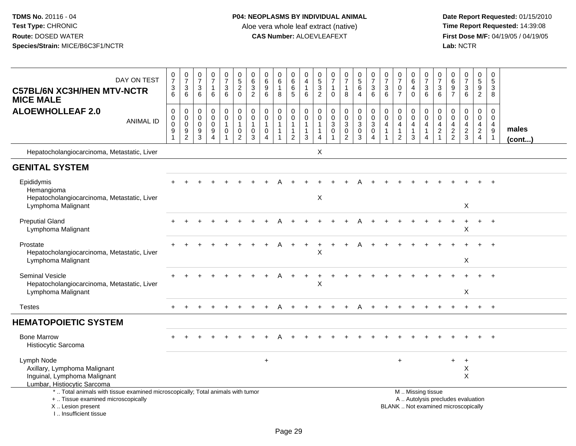| DAY ON TEST<br><b>C57BL/6N XC3H/HEN MTV-NCTR</b><br><b>MICE MALE</b>                                                                                                | $\begin{array}{c} 0 \\ 7 \end{array}$<br>$\ensuremath{\mathsf{3}}$<br>6 | $\begin{array}{c} 0 \\ 7 \end{array}$<br>$\sqrt{3}$<br>6             | $\frac{0}{7}$<br>3<br>6                | $\frac{0}{7}$<br>$\mathbf 1$<br>6                                     | $\begin{array}{c} 0 \\ 7 \end{array}$<br>$\ensuremath{\mathsf{3}}$<br>6         | $\begin{array}{c} 0 \\ 5 \end{array}$<br>$\overline{2}$<br>$\mathbf 0$    | $\boldsymbol{0}$<br>$\,6\,$<br>$\mathbf 3$<br>2                        | $\mathbf 0$<br>$\,6\,$<br>9<br>6                                          | $\begin{array}{c} 0 \\ 6 \end{array}$<br>$\mathbf{1}$<br>8 | $\pmb{0}$<br>$\,6\,$<br>$\,6\,$<br>5                                       | 0<br>4<br>$\mathbf{1}$<br>6                                                      | $\begin{array}{c} 0 \\ 5 \end{array}$<br>$\overline{3}$<br>$\overline{2}$ | $\frac{0}{7}$<br>$\overline{1}$<br>$\mathbf 0$        | $\begin{array}{c} 0 \\ 7 \end{array}$<br>$\mathbf{1}$<br>8      | $\begin{array}{c} 0 \\ 5 \end{array}$<br>6<br>$\overline{4}$            | $\frac{0}{7}$<br>3<br>$\,6\,$                                           | $\frac{0}{7}$<br>$\ensuremath{\mathsf{3}}$<br>6                              | $\frac{0}{7}$<br>$\pmb{0}$<br>$\overline{7}$ | $\begin{array}{c} 0 \\ 6 \end{array}$<br>$\overline{\mathbf{4}}$<br>$\mathbf 0$ | $\frac{0}{7}$<br>$\ensuremath{\mathsf{3}}$<br>6                   | $\frac{0}{7}$<br>3<br>6                                             | $\begin{array}{c} 0 \\ 6 \end{array}$<br>$\overline{9}$<br>$\overline{7}$ | $\frac{0}{7}$<br>3<br>6                | $\pmb{0}$<br>$\sqrt{5}$<br>$\overline{9}$<br>$\overline{2}$                             | 0<br>$\sqrt{5}$<br>$\ensuremath{\mathsf{3}}$<br>8                 |                       |
|---------------------------------------------------------------------------------------------------------------------------------------------------------------------|-------------------------------------------------------------------------|----------------------------------------------------------------------|----------------------------------------|-----------------------------------------------------------------------|---------------------------------------------------------------------------------|---------------------------------------------------------------------------|------------------------------------------------------------------------|---------------------------------------------------------------------------|------------------------------------------------------------|----------------------------------------------------------------------------|----------------------------------------------------------------------------------|---------------------------------------------------------------------------|-------------------------------------------------------|-----------------------------------------------------------------|-------------------------------------------------------------------------|-------------------------------------------------------------------------|------------------------------------------------------------------------------|----------------------------------------------|---------------------------------------------------------------------------------|-------------------------------------------------------------------|---------------------------------------------------------------------|---------------------------------------------------------------------------|----------------------------------------|-----------------------------------------------------------------------------------------|-------------------------------------------------------------------|-----------------------|
| <b>ALOEWHOLLEAF 2.0</b><br><b>ANIMAL ID</b>                                                                                                                         | $\mathbf 0$<br>$\pmb{0}$<br>$\mathbf 0$<br>9<br>$\overline{1}$          | $\mathbf 0$<br>$\mathbf 0$<br>$\mathbf 0$<br>$9\,$<br>$\overline{c}$ | $\mathbf 0$<br>0<br>$\Omega$<br>9<br>3 | 0<br>$\mathbf 0$<br>$\mathbf 0$<br>$\boldsymbol{9}$<br>$\overline{4}$ | $\pmb{0}$<br>$\mathsf{O}\xspace$<br>$\mathbf{1}$<br>$\mathbf 0$<br>$\mathbf{1}$ | $\pmb{0}$<br>$\pmb{0}$<br>$\mathbf{1}$<br>$\mathbf 0$<br>$\boldsymbol{2}$ | $\mathbf 0$<br>$\boldsymbol{0}$<br>$\overline{1}$<br>0<br>$\mathbf{3}$ | $\pmb{0}$<br>$\mathbf 0$<br>$\mathbf{1}$<br>$\mathbf 0$<br>$\overline{4}$ | 0<br>$\mathbf 0$<br>1                                      | $\,0\,$<br>$\mathbf 0$<br>$\overline{1}$<br>$\mathbf{1}$<br>$\overline{2}$ | $\mathsf{O}\xspace$<br>$\pmb{0}$<br>$\mathbf{1}$<br>$\mathbf{1}$<br>$\mathbf{3}$ | $\mathbf 0$<br>0<br>1<br>$\overline{4}$                                   | $\mathbf 0$<br>$\pmb{0}$<br>$\sqrt{3}$<br>$\mathbf 0$ | 0<br>$\mathbf 0$<br>$\sqrt{3}$<br>$\mathbf 0$<br>$\overline{c}$ | $\pmb{0}$<br>$\mathbf 0$<br>$\overline{3}$<br>$\mathbf 0$<br>$\sqrt{3}$ | $\pmb{0}$<br>$\pmb{0}$<br>$\overline{3}$<br>$\pmb{0}$<br>$\overline{4}$ | $\mathbf 0$<br>$\pmb{0}$<br>$\overline{4}$<br>$\mathbf{1}$<br>$\overline{1}$ | 0<br>$\pmb{0}$<br>4<br>1<br>$\overline{2}$   | 0<br>$\pmb{0}$<br>$\overline{4}$<br>$\mathbf{1}$<br>3                           | $\mathbf 0$<br>$\mathbf 0$<br>4<br>$\mathbf{1}$<br>$\overline{4}$ | $\mathbf 0$<br>$\mathbf 0$<br>4<br>$\boldsymbol{2}$<br>$\mathbf{1}$ | 0<br>$\boldsymbol{0}$<br>$\overline{\mathbf{4}}$<br>$\frac{2}{2}$         | 0<br>$\mathbf 0$<br>4<br>$\frac{2}{3}$ | 0<br>$\mathsf{O}\xspace$<br>$\overline{4}$<br>$\overline{a}$<br>$\overline{\mathbf{4}}$ | $\mathbf 0$<br>$\mathbf 0$<br>$\overline{4}$<br>9<br>$\mathbf{1}$ | males<br>$($ cont $)$ |
| Hepatocholangiocarcinoma, Metastatic, Liver                                                                                                                         |                                                                         |                                                                      |                                        |                                                                       |                                                                                 |                                                                           |                                                                        |                                                                           |                                                            |                                                                            |                                                                                  | X                                                                         |                                                       |                                                                 |                                                                         |                                                                         |                                                                              |                                              |                                                                                 |                                                                   |                                                                     |                                                                           |                                        |                                                                                         |                                                                   |                       |
| <b>GENITAL SYSTEM</b>                                                                                                                                               |                                                                         |                                                                      |                                        |                                                                       |                                                                                 |                                                                           |                                                                        |                                                                           |                                                            |                                                                            |                                                                                  |                                                                           |                                                       |                                                                 |                                                                         |                                                                         |                                                                              |                                              |                                                                                 |                                                                   |                                                                     |                                                                           |                                        |                                                                                         |                                                                   |                       |
| Epididymis<br>Hemangioma<br>Hepatocholangiocarcinoma, Metastatic, Liver                                                                                             |                                                                         |                                                                      |                                        |                                                                       |                                                                                 |                                                                           |                                                                        |                                                                           |                                                            |                                                                            |                                                                                  | $\mathsf X$                                                               |                                                       |                                                                 |                                                                         |                                                                         |                                                                              |                                              |                                                                                 |                                                                   |                                                                     |                                                                           |                                        | $+$                                                                                     | $+$                                                               |                       |
| Lymphoma Malignant                                                                                                                                                  |                                                                         |                                                                      |                                        |                                                                       |                                                                                 |                                                                           |                                                                        |                                                                           |                                                            |                                                                            |                                                                                  |                                                                           |                                                       |                                                                 |                                                                         |                                                                         |                                                                              |                                              |                                                                                 |                                                                   |                                                                     |                                                                           | X                                      |                                                                                         |                                                                   |                       |
| <b>Preputial Gland</b><br>Lymphoma Malignant                                                                                                                        |                                                                         |                                                                      |                                        |                                                                       |                                                                                 |                                                                           |                                                                        |                                                                           |                                                            |                                                                            |                                                                                  |                                                                           |                                                       |                                                                 |                                                                         |                                                                         |                                                                              |                                              |                                                                                 |                                                                   |                                                                     |                                                                           | $\ddot{}$<br>X                         | $+$                                                                                     | $+$                                                               |                       |
| Prostate<br>Hepatocholangiocarcinoma, Metastatic, Liver<br>Lymphoma Malignant                                                                                       |                                                                         |                                                                      |                                        |                                                                       |                                                                                 |                                                                           |                                                                        |                                                                           |                                                            |                                                                            |                                                                                  | Χ                                                                         |                                                       |                                                                 |                                                                         |                                                                         |                                                                              |                                              |                                                                                 |                                                                   |                                                                     |                                                                           | X                                      |                                                                                         |                                                                   |                       |
| <b>Seminal Vesicle</b><br>Hepatocholangiocarcinoma, Metastatic, Liver<br>Lymphoma Malignant                                                                         |                                                                         |                                                                      |                                        |                                                                       |                                                                                 |                                                                           |                                                                        |                                                                           |                                                            |                                                                            |                                                                                  | X                                                                         |                                                       |                                                                 |                                                                         |                                                                         |                                                                              |                                              |                                                                                 |                                                                   |                                                                     |                                                                           | X                                      |                                                                                         |                                                                   |                       |
| <b>Testes</b>                                                                                                                                                       |                                                                         |                                                                      |                                        |                                                                       |                                                                                 |                                                                           |                                                                        |                                                                           |                                                            |                                                                            |                                                                                  |                                                                           |                                                       | $\ddot{}$                                                       |                                                                         |                                                                         |                                                                              |                                              |                                                                                 |                                                                   |                                                                     |                                                                           |                                        | $+$                                                                                     | $+$                                                               |                       |
| <b>HEMATOPOIETIC SYSTEM</b>                                                                                                                                         |                                                                         |                                                                      |                                        |                                                                       |                                                                                 |                                                                           |                                                                        |                                                                           |                                                            |                                                                            |                                                                                  |                                                                           |                                                       |                                                                 |                                                                         |                                                                         |                                                                              |                                              |                                                                                 |                                                                   |                                                                     |                                                                           |                                        |                                                                                         |                                                                   |                       |
| <b>Bone Marrow</b><br>Histiocytic Sarcoma                                                                                                                           |                                                                         |                                                                      |                                        |                                                                       |                                                                                 |                                                                           |                                                                        |                                                                           |                                                            |                                                                            |                                                                                  |                                                                           |                                                       |                                                                 |                                                                         |                                                                         |                                                                              |                                              |                                                                                 |                                                                   |                                                                     |                                                                           |                                        |                                                                                         | $\overline{+}$                                                    |                       |
| Lymph Node<br>Axillary, Lymphoma Malignant<br>Inguinal, Lymphoma Malignant<br>Lumbar, Histiocytic Sarcoma                                                           |                                                                         |                                                                      |                                        |                                                                       |                                                                                 |                                                                           |                                                                        | $\ddot{}$                                                                 |                                                            |                                                                            |                                                                                  |                                                                           |                                                       |                                                                 |                                                                         |                                                                         |                                                                              | $\ddot{}$                                    |                                                                                 |                                                                   |                                                                     | $+$                                                                       | $\ddot{}$<br>Χ<br>X                    |                                                                                         |                                                                   |                       |
| *  Total animals with tissue examined microscopically; Total animals with tumor<br>+  Tissue examined microscopically<br>X  Lesion present<br>I Insufficient tissue |                                                                         |                                                                      |                                        |                                                                       |                                                                                 |                                                                           |                                                                        |                                                                           |                                                            |                                                                            |                                                                                  |                                                                           |                                                       |                                                                 |                                                                         |                                                                         |                                                                              | BLANK  Not examined microscopically          |                                                                                 | M. Missing tissue                                                 |                                                                     | A  Autolysis precludes evaluation                                         |                                        |                                                                                         |                                                                   |                       |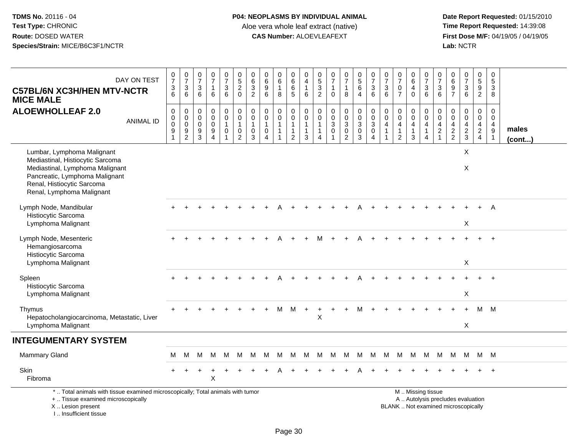**Date Report Requested:** 01/15/2010 **First Dose M/F:** 04/19/05 / 04/19/05<br>Lab: NCTR **Lab:** NCTR

| DAY ON TEST<br><b>C57BL/6N XC3H/HEN MTV-NCTR</b><br><b>MICE MALE</b>                                                                                                                           | $\begin{array}{c} 0 \\ 7 \end{array}$<br>$\frac{3}{6}$       | $\frac{0}{7}$<br>$\mathbf 3$<br>6                                               | 0<br>$\overline{7}$<br>$\mathbf{3}$<br>6            | $\frac{0}{7}$<br>-1<br>6                               | $\frac{0}{7}$<br>$\mathbf{3}$<br>6                                    | $\begin{array}{c} 0 \\ 5 \end{array}$<br>$\overline{a}$<br>$\mathbf 0$ | $\begin{array}{c} 0 \\ 6 \end{array}$<br>$\frac{3}{2}$                  | 0<br>$6\phantom{1}6$<br>9<br>6                                                | $\pmb{0}$<br>$6\phantom{a}$<br>$\mathbf{1}$<br>8                                     | 0<br>$6\overline{6}$<br>$\,6$<br>5                                 | $\pmb{0}$<br>$\overline{4}$<br>$\mathbf{1}$<br>6                         | 0<br>$\overline{5}$<br>3<br>$\overline{2}$            | 0<br>$\overline{7}$<br>$\mathbf 1$<br>$\Omega$                    | $\begin{array}{c} 0 \\ 7 \end{array}$<br>1<br>8                       | $\begin{array}{c} 0 \\ 5 \end{array}$<br>$6\phantom{1}$<br>$\overline{4}$ | $\frac{0}{7}$<br>$\sqrt{3}$<br>6                                               | 0<br>$\overline{7}$<br>$\mathbf{3}$<br>6                       | $\begin{array}{c} 0 \\ 7 \end{array}$<br>$\mathbf 0$<br>$\overline{7}$         | 0<br>$\overline{6}$<br>4<br>$\Omega$         | $\frac{0}{7}$<br>$\frac{3}{6}$                                                       | 0<br>$\overline{7}$<br>3<br>6                        | $\pmb{0}$<br>$\,6\,$<br>$\frac{9}{7}$               | $\begin{array}{c} 0 \\ 7 \end{array}$<br>$\sqrt{3}$<br>$6\phantom{1}$ | $\begin{array}{c} 0 \\ 5 \end{array}$<br>$\frac{9}{2}$                           | $\mathbf 0$<br>$\overline{5}$<br>$\mathfrak{Z}$<br>8                          |                 |
|------------------------------------------------------------------------------------------------------------------------------------------------------------------------------------------------|--------------------------------------------------------------|---------------------------------------------------------------------------------|-----------------------------------------------------|--------------------------------------------------------|-----------------------------------------------------------------------|------------------------------------------------------------------------|-------------------------------------------------------------------------|-------------------------------------------------------------------------------|--------------------------------------------------------------------------------------|--------------------------------------------------------------------|--------------------------------------------------------------------------|-------------------------------------------------------|-------------------------------------------------------------------|-----------------------------------------------------------------------|---------------------------------------------------------------------------|--------------------------------------------------------------------------------|----------------------------------------------------------------|--------------------------------------------------------------------------------|----------------------------------------------|--------------------------------------------------------------------------------------|------------------------------------------------------|-----------------------------------------------------|-----------------------------------------------------------------------|----------------------------------------------------------------------------------|-------------------------------------------------------------------------------|-----------------|
| <b>ALOEWHOLLEAF 2.0</b><br><b>ANIMAL ID</b>                                                                                                                                                    | $\mathbf 0$<br>$\,0\,$<br>$\pmb{0}$<br>$\boldsymbol{9}$<br>1 | $\mathbf 0$<br>$\mathbf 0$<br>$\mathbf 0$<br>$\boldsymbol{9}$<br>$\overline{c}$ | $\mathbf 0$<br>$\mathbf 0$<br>$\mathbf 0$<br>9<br>3 | 0<br>$\mathbf 0$<br>$\mathbf 0$<br>9<br>$\overline{4}$ | $\pmb{0}$<br>$\pmb{0}$<br>$\mathbf{1}$<br>$\pmb{0}$<br>$\overline{1}$ | $\boldsymbol{0}$<br>$\mathbf 0$<br>$\mathbf{1}$<br>0<br>$\overline{2}$ | $\pmb{0}$<br>$\pmb{0}$<br>$\mathbf{1}$<br>$\mathbf 0$<br>$\overline{3}$ | $\mathbf 0$<br>$\mathbf 0$<br>$\overline{1}$<br>$\mathbf 0$<br>$\overline{4}$ | $\mathsf{O}\xspace$<br>$\mathbf 0$<br>$\mathbf{1}$<br>$\mathbf{1}$<br>$\overline{1}$ | 0<br>$\mathbf 0$<br>$\mathbf{1}$<br>$\mathbf{1}$<br>$\overline{2}$ | $\pmb{0}$<br>$\mathbf 0$<br>$\mathbf{1}$<br>$\mathbf{1}$<br>$\mathbf{3}$ | 0<br>$\mathbf 0$<br>$\mathbf{1}$<br>$\mathbf{1}$<br>4 | $\mathbf 0$<br>$\mathbf 0$<br>$\mathbf{3}$<br>0<br>$\overline{1}$ | $\pmb{0}$<br>$\pmb{0}$<br>$\sqrt{3}$<br>$\mathbf 0$<br>$\overline{2}$ | $\mathbf 0$<br>$\mathsf{O}\xspace$<br>$\mathbf{3}$<br>$\mathbf 0$<br>3    | $\begin{smallmatrix}0\\0\\3\end{smallmatrix}$<br>$\mathbf 0$<br>$\overline{4}$ | $\mathbf 0$<br>$\mathbf 0$<br>$\overline{4}$<br>$\overline{1}$ | $\mathbf 0$<br>$\mathbf 0$<br>$\overline{4}$<br>$\mathbf{1}$<br>$\overline{2}$ | 0<br>$\mathbf 0$<br>$\overline{4}$<br>1<br>3 | $\pmb{0}$<br>$\ddot{\mathbf{0}}$<br>$\overline{4}$<br>$\mathbf{1}$<br>$\overline{4}$ | $\Omega$<br>0<br>4<br>$\overline{2}$<br>$\mathbf{1}$ | 0<br>$\mathbf 0$<br>$\overline{4}$<br>$\frac{2}{2}$ | $\mathbf 0$<br>$\pmb{0}$<br>4<br>$\frac{2}{3}$                        | $\mathbf 0$<br>$\mathbf 0$<br>$\overline{4}$<br>$\overline{2}$<br>$\overline{4}$ | $\Omega$<br>$\mathbf 0$<br>$\overline{4}$<br>$\overline{9}$<br>$\overline{1}$ | males<br>(cont) |
| Lumbar, Lymphoma Malignant<br>Mediastinal, Histiocytic Sarcoma<br>Mediastinal, Lymphoma Malignant<br>Pancreatic, Lymphoma Malignant<br>Renal, Histiocytic Sarcoma<br>Renal, Lymphoma Malignant |                                                              |                                                                                 |                                                     |                                                        |                                                                       |                                                                        |                                                                         |                                                                               |                                                                                      |                                                                    |                                                                          |                                                       |                                                                   |                                                                       |                                                                           |                                                                                |                                                                |                                                                                |                                              |                                                                                      |                                                      |                                                     | X<br>X                                                                |                                                                                  |                                                                               |                 |
| Lymph Node, Mandibular<br>Histiocytic Sarcoma<br>Lymphoma Malignant                                                                                                                            |                                                              |                                                                                 |                                                     |                                                        |                                                                       |                                                                        |                                                                         |                                                                               |                                                                                      |                                                                    |                                                                          |                                                       |                                                                   |                                                                       |                                                                           |                                                                                |                                                                |                                                                                |                                              |                                                                                      |                                                      |                                                     | X                                                                     |                                                                                  | $\overline{A}$                                                                |                 |
| Lymph Node, Mesenteric<br>Hemangiosarcoma<br>Histiocytic Sarcoma<br>Lymphoma Malignant                                                                                                         |                                                              |                                                                                 |                                                     |                                                        |                                                                       |                                                                        |                                                                         |                                                                               |                                                                                      |                                                                    |                                                                          |                                                       |                                                                   |                                                                       |                                                                           |                                                                                |                                                                |                                                                                |                                              |                                                                                      |                                                      |                                                     | X                                                                     |                                                                                  |                                                                               |                 |
| Spleen<br>Histiocytic Sarcoma<br>Lymphoma Malignant                                                                                                                                            |                                                              |                                                                                 |                                                     |                                                        |                                                                       |                                                                        |                                                                         |                                                                               |                                                                                      |                                                                    |                                                                          |                                                       |                                                                   |                                                                       |                                                                           |                                                                                |                                                                |                                                                                |                                              |                                                                                      |                                                      |                                                     | X                                                                     |                                                                                  |                                                                               |                 |
| Thymus<br>Hepatocholangiocarcinoma, Metastatic, Liver<br>Lymphoma Malignant                                                                                                                    |                                                              |                                                                                 |                                                     |                                                        |                                                                       |                                                                        |                                                                         |                                                                               | м                                                                                    | M                                                                  | $+$                                                                      | $\ddot{}$<br>$\pmb{\times}$                           | $\ddot{}$                                                         | $\div$                                                                | м                                                                         |                                                                                |                                                                |                                                                                |                                              |                                                                                      |                                                      |                                                     | $\ddot{}$<br>X                                                        | м                                                                                | M                                                                             |                 |
| <b>INTEGUMENTARY SYSTEM</b>                                                                                                                                                                    |                                                              |                                                                                 |                                                     |                                                        |                                                                       |                                                                        |                                                                         |                                                                               |                                                                                      |                                                                    |                                                                          |                                                       |                                                                   |                                                                       |                                                                           |                                                                                |                                                                |                                                                                |                                              |                                                                                      |                                                      |                                                     |                                                                       |                                                                                  |                                                                               |                 |
| Mammary Gland                                                                                                                                                                                  | м                                                            | м                                                                               | М                                                   | м                                                      | M                                                                     | M                                                                      | M                                                                       | м                                                                             | м                                                                                    | M                                                                  | M                                                                        | M                                                     | M                                                                 | M                                                                     | M                                                                         | M                                                                              | M                                                              | M                                                                              | M                                            | M                                                                                    | M                                                    | M                                                   | M                                                                     | M M                                                                              |                                                                               |                 |
| Skin<br>Fibroma                                                                                                                                                                                |                                                              |                                                                                 |                                                     | X                                                      |                                                                       |                                                                        |                                                                         |                                                                               |                                                                                      |                                                                    |                                                                          |                                                       |                                                                   |                                                                       |                                                                           |                                                                                |                                                                |                                                                                |                                              |                                                                                      |                                                      |                                                     |                                                                       |                                                                                  |                                                                               |                 |
| *  Total animals with tissue examined microscopically; Total animals with tumor<br>+  Tissue examined microscopically<br>X  Lesion present                                                     |                                                              |                                                                                 |                                                     |                                                        |                                                                       |                                                                        |                                                                         |                                                                               |                                                                                      |                                                                    |                                                                          |                                                       |                                                                   |                                                                       |                                                                           |                                                                                |                                                                | BLANK  Not examined microscopically                                            |                                              | M  Missing tissue<br>A  Autolysis precludes evaluation                               |                                                      |                                                     |                                                                       |                                                                                  |                                                                               |                 |

I .. Insufficient tissue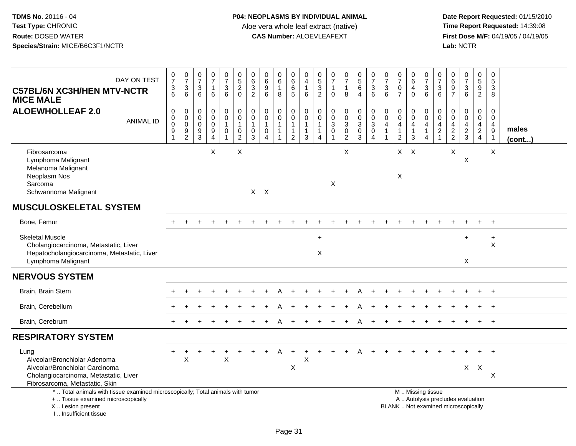| DAY ON TEST<br><b>C57BL/6N XC3H/HEN MTV-NCTR</b><br><b>MICE MALE</b>                                                                                                | $\frac{0}{7}$<br>3<br>6                                                | $\begin{smallmatrix}0\\7\end{smallmatrix}$<br>$\ensuremath{\mathsf{3}}$<br>6 | $\frac{0}{7}$<br>$\ensuremath{\mathsf{3}}$<br>6                         | $\frac{0}{7}$<br>$\mathbf{1}$<br>6                                      | $\begin{smallmatrix}0\\7\end{smallmatrix}$<br>$\mathbf{3}$<br>6 | $\pmb{0}$<br>$\overline{5}$<br>$\boldsymbol{2}$<br>$\mathbf 0$            | $\pmb{0}$<br>$\,6\,$<br>$\sqrt{3}$<br>$\overline{2}$           | 0<br>$\,6\,$<br>$\boldsymbol{9}$<br>6                                   | 0<br>$\overline{6}$<br>$\mathbf{1}$<br>8         | 0<br>6<br>6<br>5                                                              | $\boldsymbol{0}$<br>$\overline{\mathbf{4}}$<br>$\mathbf{1}$<br>6 | $\begin{array}{c} 0 \\ 5 \end{array}$<br>$\frac{3}{2}$                         | $\frac{0}{7}$<br>$\mathbf{1}$<br>$\Omega$                             | $\begin{smallmatrix}0\\7\end{smallmatrix}$<br>$\mathbf{1}$<br>8 | $\begin{array}{c} 0 \\ 5 \end{array}$<br>6<br>$\overline{4}$     | $\frac{0}{7}$<br>3<br>$\overline{6}$                      | $\frac{0}{7}$<br>$\sqrt{3}$<br>6                                           | $\frac{0}{7}$<br>$\pmb{0}$<br>$\overline{7}$                                         | $\begin{array}{c} 0 \\ 6 \end{array}$<br>$\overline{4}$<br>$\mathbf 0$       | $\frac{0}{7}$<br>$\sqrt{3}$<br>6                                                              | $\pmb{0}$<br>$\overline{7}$<br>3<br>6                                      | $\pmb{0}$<br>$\,6\,$<br>$\boldsymbol{9}$<br>$\overline{7}$  | $\frac{0}{7}$<br>3<br>$6^{\circ}$      | $\pmb{0}$<br>$\overline{5}$<br>9<br>$\overline{2}$        | $\pmb{0}$<br>$\,$ 5 $\,$<br>$\mathbf{3}$<br>8             |                 |
|---------------------------------------------------------------------------------------------------------------------------------------------------------------------|------------------------------------------------------------------------|------------------------------------------------------------------------------|-------------------------------------------------------------------------|-------------------------------------------------------------------------|-----------------------------------------------------------------|---------------------------------------------------------------------------|----------------------------------------------------------------|-------------------------------------------------------------------------|--------------------------------------------------|-------------------------------------------------------------------------------|------------------------------------------------------------------|--------------------------------------------------------------------------------|-----------------------------------------------------------------------|-----------------------------------------------------------------|------------------------------------------------------------------|-----------------------------------------------------------|----------------------------------------------------------------------------|--------------------------------------------------------------------------------------|------------------------------------------------------------------------------|-----------------------------------------------------------------------------------------------|----------------------------------------------------------------------------|-------------------------------------------------------------|----------------------------------------|-----------------------------------------------------------|-----------------------------------------------------------|-----------------|
| <b>ALOEWHOLLEAF 2.0</b><br><b>ANIMAL ID</b>                                                                                                                         | $\pmb{0}$<br>$\pmb{0}$<br>$\pmb{0}$<br>$\boldsymbol{9}$<br>$\mathbf 1$ | $\pmb{0}$<br>$\pmb{0}$<br>$\pmb{0}$<br>$\boldsymbol{9}$<br>$\overline{2}$    | $\boldsymbol{0}$<br>$\mathbf 0$<br>$\mathsf 0$<br>$\boldsymbol{9}$<br>3 | $\pmb{0}$<br>$\pmb{0}$<br>$\pmb{0}$<br>$\overline{9}$<br>$\overline{4}$ | $\mathbf 0$<br>$\mathbf 0$<br>$\overline{1}$<br>$\mathbf 0$     | $\pmb{0}$<br>$\mathbf 0$<br>$\overline{1}$<br>$\pmb{0}$<br>$\overline{c}$ | $\mathbf 0$<br>$\mathbf 0$<br>$\mathbf{1}$<br>$\mathbf 0$<br>3 | $\pmb{0}$<br>$\mathbf 0$<br>$\mathbf{1}$<br>$\pmb{0}$<br>$\overline{4}$ | 0<br>$\mathbf 0$<br>$\mathbf{1}$<br>$\mathbf{1}$ | $\pmb{0}$<br>$\overline{0}$<br>$\mathbf{1}$<br>$\mathbf{1}$<br>$\overline{2}$ | 0<br>$\mathbf 0$<br>$\mathbf{1}$<br>$\mathbf{1}$<br>3            | $\mathbf 0$<br>$\mathbf 0$<br>$\overline{1}$<br>$\mathbf{1}$<br>$\overline{4}$ | $\pmb{0}$<br>$\mathbf 0$<br>$\sqrt{3}$<br>$\pmb{0}$<br>$\overline{ }$ | $\pmb{0}$<br>$\frac{0}{3}$<br>$\pmb{0}$<br>$\boldsymbol{2}$     | $\mathsf{O}\xspace$<br>$\frac{0}{3}$<br>$\mathsf{O}\xspace$<br>3 | $\boldsymbol{0}$<br>$\pmb{0}$<br>3<br>$\overline{0}$<br>4 | $\pmb{0}$<br>$\mathbf 0$<br>$\overline{4}$<br>$\mathbf{1}$<br>$\mathbf{1}$ | $\pmb{0}$<br>$\ddot{\mathbf{0}}$<br>$\overline{4}$<br>$\mathbf{1}$<br>$\overline{c}$ | $\mathbf 0$<br>$\mathbf 0$<br>$\overline{4}$<br>$\overline{\mathbf{1}}$<br>3 | 0<br>$\mathbf 0$<br>$\overline{4}$<br>$\mathbf{1}$<br>$\overline{4}$                          | $\mathbf 0$<br>$\mathbf 0$<br>$\overline{4}$<br>$\sqrt{2}$<br>$\mathbf{1}$ | $\pmb{0}$<br>$\mathbf 0$<br>$\overline{4}$<br>$\frac{2}{2}$ | 0<br>$\mathbf 0$<br>4<br>$\frac{2}{3}$ | $\pmb{0}$<br>$\pmb{0}$<br>$\overline{4}$<br>$\frac{2}{4}$ | 0<br>$\mathbf 0$<br>4<br>$\boldsymbol{9}$<br>$\mathbf{1}$ | males<br>(cont) |
| Fibrosarcoma<br>Lymphoma Malignant<br>Melanoma Malignant<br>Neoplasm Nos<br>Sarcoma<br>Schwannoma Malignant                                                         |                                                                        |                                                                              |                                                                         | X                                                                       |                                                                 | $\boldsymbol{\mathsf{X}}$                                                 |                                                                | $X$ $X$                                                                 |                                                  |                                                                               |                                                                  |                                                                                | $\boldsymbol{\mathsf{X}}$                                             | X                                                               |                                                                  |                                                           |                                                                            | $X$ $X$<br>X                                                                         |                                                                              |                                                                                               |                                                                            | X                                                           | X                                      |                                                           | X                                                         |                 |
| <b>MUSCULOSKELETAL SYSTEM</b>                                                                                                                                       |                                                                        |                                                                              |                                                                         |                                                                         |                                                                 |                                                                           |                                                                |                                                                         |                                                  |                                                                               |                                                                  |                                                                                |                                                                       |                                                                 |                                                                  |                                                           |                                                                            |                                                                                      |                                                                              |                                                                                               |                                                                            |                                                             |                                        |                                                           |                                                           |                 |
| Bone, Femur                                                                                                                                                         |                                                                        |                                                                              |                                                                         |                                                                         |                                                                 |                                                                           |                                                                |                                                                         |                                                  |                                                                               |                                                                  |                                                                                |                                                                       |                                                                 |                                                                  |                                                           |                                                                            |                                                                                      |                                                                              |                                                                                               |                                                                            |                                                             |                                        |                                                           |                                                           |                 |
| <b>Skeletal Muscle</b><br>Cholangiocarcinoma, Metastatic, Liver<br>Hepatocholangiocarcinoma, Metastatic, Liver<br>Lymphoma Malignant                                |                                                                        |                                                                              |                                                                         |                                                                         |                                                                 |                                                                           |                                                                |                                                                         |                                                  |                                                                               |                                                                  | $\ddot{}$<br>X                                                                 |                                                                       |                                                                 |                                                                  |                                                           |                                                                            |                                                                                      |                                                                              |                                                                                               |                                                                            |                                                             | $\ddot{}$<br>X                         |                                                           | $\ddot{}$<br>X                                            |                 |
| <b>NERVOUS SYSTEM</b>                                                                                                                                               |                                                                        |                                                                              |                                                                         |                                                                         |                                                                 |                                                                           |                                                                |                                                                         |                                                  |                                                                               |                                                                  |                                                                                |                                                                       |                                                                 |                                                                  |                                                           |                                                                            |                                                                                      |                                                                              |                                                                                               |                                                                            |                                                             |                                        |                                                           |                                                           |                 |
| Brain, Brain Stem                                                                                                                                                   |                                                                        |                                                                              |                                                                         |                                                                         |                                                                 |                                                                           |                                                                |                                                                         |                                                  |                                                                               |                                                                  |                                                                                |                                                                       |                                                                 |                                                                  |                                                           |                                                                            |                                                                                      |                                                                              |                                                                                               |                                                                            |                                                             |                                        |                                                           |                                                           |                 |
| Brain, Cerebellum                                                                                                                                                   |                                                                        |                                                                              |                                                                         |                                                                         |                                                                 |                                                                           |                                                                |                                                                         |                                                  |                                                                               |                                                                  |                                                                                |                                                                       |                                                                 |                                                                  |                                                           |                                                                            |                                                                                      |                                                                              |                                                                                               |                                                                            |                                                             |                                        |                                                           |                                                           |                 |
| Brain, Cerebrum                                                                                                                                                     |                                                                        |                                                                              |                                                                         |                                                                         |                                                                 |                                                                           |                                                                |                                                                         | А                                                |                                                                               |                                                                  |                                                                                |                                                                       |                                                                 |                                                                  |                                                           |                                                                            |                                                                                      |                                                                              |                                                                                               |                                                                            |                                                             |                                        |                                                           | $+$                                                       |                 |
| <b>RESPIRATORY SYSTEM</b>                                                                                                                                           |                                                                        |                                                                              |                                                                         |                                                                         |                                                                 |                                                                           |                                                                |                                                                         |                                                  |                                                                               |                                                                  |                                                                                |                                                                       |                                                                 |                                                                  |                                                           |                                                                            |                                                                                      |                                                                              |                                                                                               |                                                                            |                                                             |                                        |                                                           |                                                           |                 |
| Lung<br>Alveolar/Bronchiolar Adenoma<br>Alveolar/Bronchiolar Carcinoma<br>Cholangiocarcinoma, Metastatic, Liver<br>Fibrosarcoma, Metastatic, Skin                   |                                                                        | X                                                                            |                                                                         |                                                                         | $\sf X$                                                         |                                                                           |                                                                |                                                                         |                                                  | ÷<br>X                                                                        | Χ                                                                |                                                                                |                                                                       |                                                                 |                                                                  |                                                           |                                                                            |                                                                                      |                                                                              |                                                                                               |                                                                            |                                                             |                                        | $X$ $X$                                                   | $+$<br>X                                                  |                 |
| *  Total animals with tissue examined microscopically; Total animals with tumor<br>+  Tissue examined microscopically<br>X  Lesion present<br>I Insufficient tissue |                                                                        |                                                                              |                                                                         |                                                                         |                                                                 |                                                                           |                                                                |                                                                         |                                                  |                                                                               |                                                                  |                                                                                |                                                                       |                                                                 |                                                                  |                                                           |                                                                            |                                                                                      |                                                                              | M  Missing tissue<br>A  Autolysis precludes evaluation<br>BLANK  Not examined microscopically |                                                                            |                                                             |                                        |                                                           |                                                           |                 |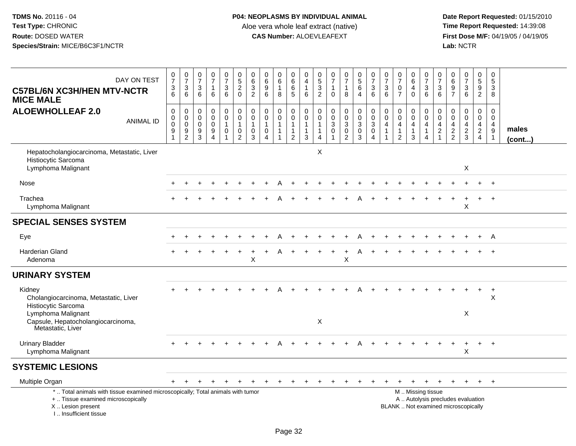| DAY ON TEST<br><b>C57BL/6N XC3H/HEN MTV-NCTR</b><br><b>MICE MALE</b>                                                                                                | $\frac{0}{7}$<br>$\frac{3}{6}$                      | $\begin{smallmatrix}0\\7\end{smallmatrix}$<br>$\frac{3}{6}$     | $\frac{0}{7}$<br>$\sqrt{3}$<br>6          | 0<br>$\overline{7}$<br>$\mathbf{1}$<br>6                       | $\frac{0}{7}$<br>3<br>$6^{\circ}$                    | $\begin{array}{c} 0 \\ 5 \end{array}$<br>$\overline{a}$<br>$\Omega$ | $\begin{array}{c} 0 \\ 6 \end{array}$<br>$\frac{3}{2}$                        | 0<br>$6\phantom{a}$<br>$\boldsymbol{9}$<br>6                                  | $\begin{array}{c} 0 \\ 6 \end{array}$<br>$\mathbf{1}$<br>8         | 0<br>$6\phantom{a}$<br>$\,6\,$<br>$\sqrt{5}$                       | 0<br>$\overline{4}$<br>$\overline{1}$<br>6                    | $\begin{matrix} 0 \\ 5 \end{matrix}$<br>$\mathbf{3}$<br>2 | 0<br>$\overline{7}$<br>$\mathbf{1}$<br>$\Omega$                         | $\frac{0}{7}$<br>$\mathbf{1}$<br>8                                    | $\begin{array}{c} 0 \\ 5 \end{array}$<br>$6\phantom{1}$<br>$\overline{4}$ | $\frac{0}{7}$<br>$\frac{3}{6}$                                                | $\frac{0}{7}$<br>$\sqrt{3}$<br>6                                               | $\frac{0}{7}$<br>$\pmb{0}$<br>$\overline{7}$                    | $\begin{array}{c} 0 \\ 6 \end{array}$<br>$\overline{\mathbf{4}}$<br>$\Omega$ | $\frac{0}{7}$<br>$\frac{3}{6}$                                               | $\begin{array}{c} 0 \\ 7 \end{array}$<br>$\frac{3}{6}$                               | $\begin{array}{c} 0 \\ 6 \end{array}$<br>$\mathsf g$<br>$\overline{7}$ | $\frac{0}{7}$<br>$\frac{3}{6}$                                           | $\begin{array}{c} 0 \\ 5 \end{array}$<br>$\boldsymbol{9}$<br>$\overline{2}$ | 0<br>$\overline{5}$<br>3<br>8                                                    |                       |
|---------------------------------------------------------------------------------------------------------------------------------------------------------------------|-----------------------------------------------------|-----------------------------------------------------------------|-------------------------------------------|----------------------------------------------------------------|------------------------------------------------------|---------------------------------------------------------------------|-------------------------------------------------------------------------------|-------------------------------------------------------------------------------|--------------------------------------------------------------------|--------------------------------------------------------------------|---------------------------------------------------------------|-----------------------------------------------------------|-------------------------------------------------------------------------|-----------------------------------------------------------------------|---------------------------------------------------------------------------|-------------------------------------------------------------------------------|--------------------------------------------------------------------------------|-----------------------------------------------------------------|------------------------------------------------------------------------------|------------------------------------------------------------------------------|--------------------------------------------------------------------------------------|------------------------------------------------------------------------|--------------------------------------------------------------------------|-----------------------------------------------------------------------------|----------------------------------------------------------------------------------|-----------------------|
| <b>ALOEWHOLLEAF 2.0</b><br><b>ANIMAL ID</b>                                                                                                                         | 0<br>$\mathbf 0$<br>$\mathsf 0$<br>$\boldsymbol{9}$ | $\pmb{0}$<br>$\overline{0}$<br>$\overline{9}$<br>$\overline{2}$ | 0<br>$\mathbf 0$<br>$\mathbf 0$<br>9<br>3 | $\pmb{0}$<br>$\mathbf 0$<br>$\mathbf 0$<br>9<br>$\overline{4}$ | $\boldsymbol{0}$<br>$\mathbf 0$<br>$\mathbf{1}$<br>0 | 0<br>$\ddot{\mathbf{0}}$<br>$\mathbf{1}$<br>0<br>$\overline{2}$     | $\pmb{0}$<br>$\ddot{\mathbf{0}}$<br>$\mathbf{1}$<br>$\pmb{0}$<br>$\mathbf{3}$ | $\mathbf 0$<br>$\mathbf 0$<br>$\overline{1}$<br>$\mathbf 0$<br>$\overline{4}$ | $\mathbf 0$<br>$\mathbf 0$<br>$\mathbf{1}$<br>$\overline{1}$<br>-1 | 0<br>$\mathbf 0$<br>$\mathbf{1}$<br>$\mathbf{1}$<br>$\overline{c}$ | $\pmb{0}$<br>$\pmb{0}$<br>$\overline{1}$<br>$\mathbf{1}$<br>3 | 0<br>$\mathbf 0$<br>$\mathbf{1}$<br>$\mathbf{1}$<br>4     | $\pmb{0}$<br>$\pmb{0}$<br>$\mathbf{3}$<br>$\mathbf 0$<br>$\overline{1}$ | $\boldsymbol{0}$<br>$\overline{0}$<br>$\frac{3}{0}$<br>$\overline{2}$ | $\mathbf 0$<br>$\ddot{\mathbf{0}}$<br>$\mathbf{3}$<br>$\mathbf 0$<br>3    | $\mathbf 0$<br>$\overline{0}$<br>$\mathbf 3$<br>$\mathbf 0$<br>$\overline{4}$ | $\mathbf 0$<br>$\mathbf 0$<br>$\overline{4}$<br>$\mathbf{1}$<br>$\overline{1}$ | $\pmb{0}$<br>$\mathbf 0$<br>4<br>$\mathbf{1}$<br>$\overline{2}$ | 0<br>$\mathbf 0$<br>4<br>$\mathbf{1}$<br>3                                   | 0<br>$\ddot{\mathbf{0}}$<br>$\overline{4}$<br>$\mathbf{1}$<br>$\overline{4}$ | $\pmb{0}$<br>$\mathbf 0$<br>$\overline{4}$<br>$\overline{2}$<br>$\blacktriangleleft$ | $\mathbf 0$<br>$\mathbf 0$<br>4<br>$\frac{2}{2}$                       | $\mathbf 0$<br>$\mathbf 0$<br>$\overline{4}$<br>$\frac{2}{3}$            | 0<br>$\mathbf 0$<br>$\overline{4}$<br>$\overline{2}$<br>$\overline{4}$      | $\mathbf 0$<br>$\mathbf 0$<br>$\overline{4}$<br>$\boldsymbol{9}$<br>$\mathbf{1}$ | males<br>$($ cont $)$ |
| Hepatocholangiocarcinoma, Metastatic, Liver<br>Histiocytic Sarcoma<br>Lymphoma Malignant                                                                            |                                                     |                                                                 |                                           |                                                                |                                                      |                                                                     |                                                                               |                                                                               |                                                                    |                                                                    |                                                               | X                                                         |                                                                         |                                                                       |                                                                           |                                                                               |                                                                                |                                                                 |                                                                              |                                                                              |                                                                                      |                                                                        | $\boldsymbol{\mathsf{X}}$                                                |                                                                             |                                                                                  |                       |
| Nose                                                                                                                                                                |                                                     |                                                                 |                                           |                                                                |                                                      |                                                                     |                                                                               |                                                                               |                                                                    |                                                                    |                                                               |                                                           |                                                                         |                                                                       |                                                                           |                                                                               |                                                                                |                                                                 |                                                                              |                                                                              |                                                                                      |                                                                        |                                                                          |                                                                             |                                                                                  |                       |
| Trachea<br>Lymphoma Malignant                                                                                                                                       |                                                     |                                                                 |                                           |                                                                |                                                      |                                                                     |                                                                               |                                                                               |                                                                    |                                                                    |                                                               |                                                           |                                                                         |                                                                       |                                                                           |                                                                               |                                                                                |                                                                 |                                                                              |                                                                              |                                                                                      |                                                                        | $\boldsymbol{\mathsf{X}}$                                                |                                                                             |                                                                                  |                       |
| <b>SPECIAL SENSES SYSTEM</b>                                                                                                                                        |                                                     |                                                                 |                                           |                                                                |                                                      |                                                                     |                                                                               |                                                                               |                                                                    |                                                                    |                                                               |                                                           |                                                                         |                                                                       |                                                                           |                                                                               |                                                                                |                                                                 |                                                                              |                                                                              |                                                                                      |                                                                        |                                                                          |                                                                             |                                                                                  |                       |
| Eye                                                                                                                                                                 |                                                     |                                                                 |                                           |                                                                |                                                      |                                                                     |                                                                               |                                                                               |                                                                    |                                                                    |                                                               |                                                           |                                                                         |                                                                       |                                                                           |                                                                               |                                                                                |                                                                 |                                                                              |                                                                              |                                                                                      |                                                                        |                                                                          | $\div$                                                                      | A                                                                                |                       |
| <b>Harderian Gland</b><br>Adenoma                                                                                                                                   |                                                     |                                                                 |                                           |                                                                |                                                      | $\ddot{}$                                                           | $\ddot{}$<br>$\mathsf X$                                                      |                                                                               |                                                                    | $\ddot{}$                                                          |                                                               |                                                           | $\ddot{}$                                                               | $\ddot{}$<br>X                                                        | А                                                                         |                                                                               |                                                                                |                                                                 |                                                                              |                                                                              |                                                                                      |                                                                        |                                                                          |                                                                             | $+$                                                                              |                       |
| <b>URINARY SYSTEM</b>                                                                                                                                               |                                                     |                                                                 |                                           |                                                                |                                                      |                                                                     |                                                                               |                                                                               |                                                                    |                                                                    |                                                               |                                                           |                                                                         |                                                                       |                                                                           |                                                                               |                                                                                |                                                                 |                                                                              |                                                                              |                                                                                      |                                                                        |                                                                          |                                                                             |                                                                                  |                       |
| Kidney<br>Cholangiocarcinoma, Metastatic, Liver<br>Histiocytic Sarcoma                                                                                              |                                                     |                                                                 |                                           |                                                                |                                                      |                                                                     |                                                                               |                                                                               |                                                                    |                                                                    |                                                               |                                                           |                                                                         |                                                                       |                                                                           |                                                                               |                                                                                |                                                                 |                                                                              |                                                                              |                                                                                      |                                                                        |                                                                          | $\ddot{}$                                                                   | $^{+}$<br>X                                                                      |                       |
| Lymphoma Malignant<br>Capsule, Hepatocholangiocarcinoma,<br>Metastatic, Liver                                                                                       |                                                     |                                                                 |                                           |                                                                |                                                      |                                                                     |                                                                               |                                                                               |                                                                    |                                                                    |                                                               | X                                                         |                                                                         |                                                                       |                                                                           |                                                                               |                                                                                |                                                                 |                                                                              |                                                                              |                                                                                      |                                                                        | $\mathsf X$                                                              |                                                                             |                                                                                  |                       |
| <b>Urinary Bladder</b><br>Lymphoma Malignant                                                                                                                        |                                                     |                                                                 |                                           |                                                                |                                                      |                                                                     |                                                                               |                                                                               |                                                                    |                                                                    |                                                               |                                                           |                                                                         |                                                                       |                                                                           |                                                                               |                                                                                |                                                                 |                                                                              |                                                                              |                                                                                      |                                                                        | $\times$                                                                 | $\ddot{}$                                                                   | $+$                                                                              |                       |
| <b>SYSTEMIC LESIONS</b>                                                                                                                                             |                                                     |                                                                 |                                           |                                                                |                                                      |                                                                     |                                                                               |                                                                               |                                                                    |                                                                    |                                                               |                                                           |                                                                         |                                                                       |                                                                           |                                                                               |                                                                                |                                                                 |                                                                              |                                                                              |                                                                                      |                                                                        |                                                                          |                                                                             |                                                                                  |                       |
| Multiple Organ                                                                                                                                                      | +                                                   |                                                                 |                                           |                                                                |                                                      |                                                                     |                                                                               |                                                                               |                                                                    |                                                                    |                                                               |                                                           |                                                                         |                                                                       |                                                                           |                                                                               |                                                                                |                                                                 |                                                                              |                                                                              |                                                                                      |                                                                        |                                                                          | $\ddot{}$                                                                   | $^{+}$                                                                           |                       |
| *  Total animals with tissue examined microscopically; Total animals with tumor<br>+  Tissue examined microscopically<br>X  Lesion present<br>I Insufficient tissue |                                                     |                                                                 |                                           |                                                                |                                                      |                                                                     |                                                                               |                                                                               |                                                                    |                                                                    |                                                               |                                                           |                                                                         |                                                                       |                                                                           |                                                                               |                                                                                |                                                                 |                                                                              | M  Missing tissue                                                            |                                                                                      |                                                                        | A  Autolysis precludes evaluation<br>BLANK  Not examined microscopically |                                                                             |                                                                                  |                       |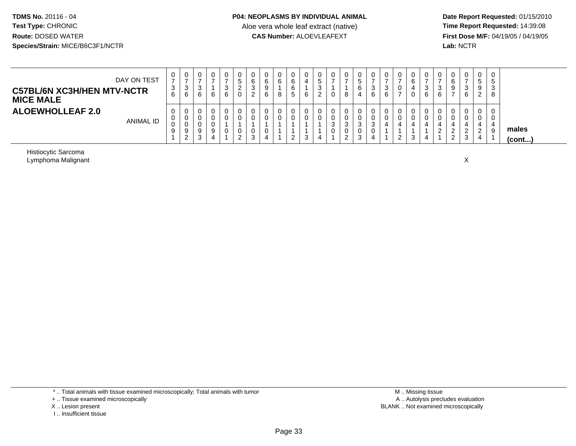**Date Report Requested:** 01/15/2010 **First Dose M/F:** 04/19/05 / 04/19/05<br>Lab: NCTR **Lab:** NCTR

| DAY ON TEST<br><b>C57BL/6N XC3H/HEN MTV-NCTR</b><br><b>MICE MALE</b> | 0<br>⇁<br>3<br>6           | 0<br>3<br>6                  | υ<br>ت<br>6 | 0 | 0<br>3<br>6 | υ<br>ت<br><u>.</u><br>U | 0<br>6<br>3<br>ົ<br><u>.</u> | 6<br>6 | 0<br>6<br>8 | 6<br>5 | 0<br>G<br>ა<br>∼ | v<br>U           | $\mathbf{0}$<br>8     | U<br>ັ<br>b | 0<br>3<br>6           |        | 0<br>6<br>0 | U<br>◠<br>6 | U<br>-3<br>6 | 0<br>6<br>9                       | 0<br>ົ<br>- 0<br>6    | _ |                       |
|----------------------------------------------------------------------|----------------------------|------------------------------|-------------|---|-------------|-------------------------|------------------------------|--------|-------------|--------|------------------|------------------|-----------------------|-------------|-----------------------|--------|-------------|-------------|--------------|-----------------------------------|-----------------------|---|-----------------------|
| <b>ALOEWHOLLEAF 2.0</b><br><b>ANIMAL ID</b>                          | 0<br>$\mathbf 0$<br>0<br>9 | 0<br>0<br>0<br>9<br>$\Omega$ | $\sim$<br>J |   | 0<br>0<br>0 | U<br>U<br>⌒<br><u>_</u> | 0<br>0<br>0<br>3             | ப      | 0<br>0      | ⌒      | υ<br>υ           | υ<br>U<br>ົ<br>v | 0<br>U<br>3<br>0<br>റ | v<br>v      | U<br>U.<br>- 2<br>- 0 | າ<br>_ | υ<br>ົ<br>د |             |              | 0<br>U<br>∼<br>$\sim$<br><u>_</u> | 0<br>0<br>$\sim$<br>3 | _ | males<br>$($ cont $)$ |

Histiocytic SarcomaLymphoma Malignant

t to the contract of the contract of the contract of the contract of the contract of the contract of the contract of the contract of the contract of the contract of the contract of the contract of the contract of the contr

\* .. Total animals with tissue examined microscopically; Total animals with tumor

+ .. Tissue examined microscopically

X .. Lesion present

I .. Insufficient tissue

 M .. Missing tissuey the contract of the contract of the contract of the contract of the contract of the contract of the contract of  $A$ . Autolysis precludes evaluation Lesion present BLANK .. Not examined microscopically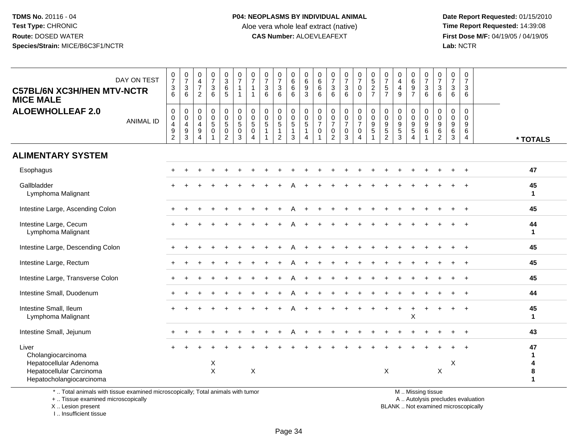**Date Report Requested:** 01/15/2010 **First Dose M/F:** 04/19/05 / 04/19/05<br>Lab: NCTR **Lab:** NCTR

| <b>C57BL/6N XC3H/HEN MTV-NCTR</b><br><b>MICE MALE</b><br><b>ALOEWHOLLEAF 2.0</b>                              | DAY ON TEST      | $\frac{0}{7}$<br>$\frac{3}{6}$<br>$\,0\,$                                | $\begin{smallmatrix}0\\7\end{smallmatrix}$<br>$\sqrt{3}$<br>6<br>0<br>0 | 0<br>$\overline{4}$<br>$\overline{7}$<br>2<br>$\mathbf 0$<br>$\mathbf 0$ | $\begin{smallmatrix}0\\7\end{smallmatrix}$<br>$\frac{3}{6}$<br>$\mathbf 0$<br>$\mathbf 0$ | $_3^0$<br>$6\overline{6}$<br>5<br>0<br>$\mathsf 0$ | $\frac{0}{7}$<br>$\mathbf{1}$<br>$\mathbf{1}$<br>$\mathbf 0$<br>$\mathbf 0$ | $\frac{0}{7}$<br>$\mathbf{1}$<br>$\mathbf{1}$<br>$\pmb{0}$<br>$\pmb{0}$ | $\frac{0}{7}$<br>$\mathbf{3}$<br>6<br>0<br>$\mathbf 0$ | $\frac{0}{7}$<br>$\frac{3}{6}$<br>$\mathbf 0$<br>$\pmb{0}$ | $\begin{matrix} 0 \\ 6 \\ 6 \end{matrix}$<br>$6^{\circ}$<br>0<br>$\mathbf 0$ | $\begin{array}{c} 0 \\ 6 \end{array}$<br>$\frac{9}{3}$<br>$\mathbf 0$<br>$\mathsf{O}\xspace$ | 0<br>6<br>$\,6\,$<br>6<br>0<br>0 | $\frac{0}{7}$<br>$\frac{3}{6}$<br>$\mathbf 0$<br>$\pmb{0}$ | $\frac{0}{7}$<br>$\frac{3}{6}$<br>0<br>$\pmb{0}$ | $\frac{0}{7}$<br>$\mathbf 0$<br>$\Omega$<br>$\mathbf 0$<br>$\mathbf 0$ | $0$<br>5<br>2<br>7<br>$\mathbf 0$<br>$\mathbf 0$     | $\frac{0}{7}$<br>$\sqrt{5}$<br>$\overline{7}$<br>$\pmb{0}$<br>$\mathbf 0$ | $\begin{smallmatrix}0\0\4\end{smallmatrix}$<br>$\overline{4}$<br>9<br>$\mathbf 0$<br>$\mathbf 0$ | 0697<br>0<br>$\mathbf 0$ | $\begin{smallmatrix}0\\7\end{smallmatrix}$<br>$\frac{3}{6}$<br>0<br>$\mathsf 0$ | $\frac{0}{7}$<br>$\frac{3}{6}$<br>$\mathbf 0$<br>$\mathbf 0$ | 0<br>$\overline{7}$<br>$\mathbf{3}$<br>6<br>0<br>$\mathbf 0$ | $\mathbf 0$<br>$\overline{7}$<br>$\mathbf{3}$<br>6<br>$\mathbf 0$<br>$\Omega$ |                         |
|---------------------------------------------------------------------------------------------------------------|------------------|--------------------------------------------------------------------------|-------------------------------------------------------------------------|--------------------------------------------------------------------------|-------------------------------------------------------------------------------------------|----------------------------------------------------|-----------------------------------------------------------------------------|-------------------------------------------------------------------------|--------------------------------------------------------|------------------------------------------------------------|------------------------------------------------------------------------------|----------------------------------------------------------------------------------------------|----------------------------------|------------------------------------------------------------|--------------------------------------------------|------------------------------------------------------------------------|------------------------------------------------------|---------------------------------------------------------------------------|--------------------------------------------------------------------------------------------------|--------------------------|---------------------------------------------------------------------------------|--------------------------------------------------------------|--------------------------------------------------------------|-------------------------------------------------------------------------------|-------------------------|
|                                                                                                               | <b>ANIMAL ID</b> | $\,0\,$<br>$\overline{\mathbf{4}}$<br>$\boldsymbol{9}$<br>$\overline{2}$ | $\overline{\mathbf{4}}$<br>9<br>3                                       | 4<br>$\boldsymbol{9}$<br>$\overline{4}$                                  | $\sqrt{5}$<br>$\pmb{0}$                                                                   | $\sqrt{5}$<br>$\pmb{0}$<br>$\overline{2}$          | $\overline{5}$<br>$\mathbf 0$<br>3                                          | $\sqrt{5}$<br>$\pmb{0}$<br>4                                            | $\sqrt{5}$<br>$\mathbf{1}$<br>$\mathbf 1$              | $\sqrt{5}$<br>$\mathbf{1}$<br>$\overline{2}$               | $\overline{5}$<br>$\overline{1}$<br>3                                        | $\overline{5}$<br>$\mathbf{1}$<br>$\overline{4}$                                             | $\overline{7}$<br>$\pmb{0}$      | $\overline{7}$<br>$\mathbf 0$<br>$\overline{2}$            | $\overline{7}$<br>$\pmb{0}$<br>3                 | $\overline{7}$<br>$\mathsf{O}\xspace$<br>$\overline{A}$                | $\boldsymbol{9}$<br>$\overline{5}$<br>$\overline{1}$ | $\boldsymbol{9}$<br>$\,$ 5 $\,$<br>$\overline{c}$                         | $\boldsymbol{9}$<br>$\,$ 5 $\,$<br>3                                                             | 9<br>5<br>$\overline{4}$ | $\boldsymbol{9}$<br>$\,6\,$                                                     | $\boldsymbol{9}$<br>$\,6\,$<br>$\overline{2}$                | $\boldsymbol{9}$<br>$\,6$<br>$\mathbf{3}$                    | 9<br>6<br>4                                                                   | * TOTALS                |
| <b>ALIMENTARY SYSTEM</b>                                                                                      |                  |                                                                          |                                                                         |                                                                          |                                                                                           |                                                    |                                                                             |                                                                         |                                                        |                                                            |                                                                              |                                                                                              |                                  |                                                            |                                                  |                                                                        |                                                      |                                                                           |                                                                                                  |                          |                                                                                 |                                                              |                                                              |                                                                               |                         |
| Esophagus                                                                                                     |                  |                                                                          |                                                                         |                                                                          |                                                                                           |                                                    |                                                                             |                                                                         |                                                        |                                                            |                                                                              |                                                                                              |                                  |                                                            |                                                  |                                                                        |                                                      |                                                                           |                                                                                                  |                          |                                                                                 |                                                              |                                                              |                                                                               | 47                      |
| Gallbladder<br>Lymphoma Malignant                                                                             |                  |                                                                          |                                                                         |                                                                          |                                                                                           |                                                    |                                                                             |                                                                         |                                                        |                                                            |                                                                              |                                                                                              |                                  |                                                            |                                                  |                                                                        |                                                      |                                                                           |                                                                                                  |                          |                                                                                 |                                                              |                                                              |                                                                               | 45<br>$\mathbf{1}$      |
| Intestine Large, Ascending Colon                                                                              |                  |                                                                          |                                                                         |                                                                          |                                                                                           |                                                    |                                                                             |                                                                         |                                                        |                                                            |                                                                              |                                                                                              |                                  |                                                            |                                                  |                                                                        |                                                      |                                                                           |                                                                                                  |                          |                                                                                 |                                                              |                                                              | $\div$                                                                        | 45                      |
| Intestine Large, Cecum<br>Lymphoma Malignant                                                                  |                  |                                                                          |                                                                         |                                                                          |                                                                                           |                                                    |                                                                             |                                                                         |                                                        |                                                            |                                                                              |                                                                                              |                                  |                                                            |                                                  |                                                                        |                                                      |                                                                           |                                                                                                  |                          |                                                                                 |                                                              |                                                              |                                                                               | 44<br>$\mathbf{1}$      |
| Intestine Large, Descending Colon                                                                             |                  |                                                                          |                                                                         |                                                                          |                                                                                           |                                                    |                                                                             |                                                                         |                                                        |                                                            |                                                                              |                                                                                              |                                  |                                                            |                                                  |                                                                        |                                                      |                                                                           |                                                                                                  |                          |                                                                                 |                                                              |                                                              | $\ddot{}$                                                                     | 45                      |
| Intestine Large, Rectum                                                                                       |                  |                                                                          |                                                                         |                                                                          |                                                                                           |                                                    |                                                                             |                                                                         |                                                        |                                                            |                                                                              |                                                                                              |                                  |                                                            |                                                  |                                                                        |                                                      |                                                                           |                                                                                                  |                          |                                                                                 |                                                              |                                                              |                                                                               | 45                      |
| Intestine Large, Transverse Colon                                                                             |                  |                                                                          |                                                                         |                                                                          |                                                                                           |                                                    |                                                                             |                                                                         |                                                        |                                                            |                                                                              |                                                                                              |                                  |                                                            |                                                  |                                                                        |                                                      |                                                                           |                                                                                                  |                          |                                                                                 |                                                              |                                                              |                                                                               | 45                      |
| Intestine Small, Duodenum                                                                                     |                  |                                                                          |                                                                         |                                                                          |                                                                                           |                                                    |                                                                             |                                                                         |                                                        |                                                            |                                                                              |                                                                                              |                                  |                                                            |                                                  |                                                                        |                                                      |                                                                           |                                                                                                  |                          |                                                                                 |                                                              |                                                              | $\ddot{}$                                                                     | 44                      |
| Intestine Small, Ileum<br>Lymphoma Malignant                                                                  |                  |                                                                          |                                                                         |                                                                          |                                                                                           |                                                    |                                                                             |                                                                         |                                                        |                                                            |                                                                              |                                                                                              |                                  |                                                            |                                                  |                                                                        |                                                      |                                                                           |                                                                                                  | X                        |                                                                                 |                                                              |                                                              |                                                                               | 45<br>$\mathbf{1}$      |
| Intestine Small, Jejunum                                                                                      |                  |                                                                          |                                                                         |                                                                          |                                                                                           |                                                    |                                                                             |                                                                         |                                                        |                                                            |                                                                              |                                                                                              |                                  |                                                            |                                                  |                                                                        |                                                      |                                                                           |                                                                                                  |                          |                                                                                 |                                                              |                                                              | $\ddot{}$                                                                     | 43                      |
| Liver<br>Cholangiocarcinoma<br>Hepatocellular Adenoma<br>Hepatocellular Carcinoma<br>Hepatocholangiocarcinoma |                  |                                                                          |                                                                         |                                                                          | X<br>$\mathsf{X}$                                                                         |                                                    |                                                                             | $\mathsf X$                                                             |                                                        |                                                            |                                                                              |                                                                                              |                                  |                                                            |                                                  |                                                                        |                                                      | $\boldsymbol{\mathsf{X}}$                                                 |                                                                                                  |                          |                                                                                 | X                                                            | X                                                            | $\ddot{}$                                                                     | 47<br>-1<br>4<br>8<br>1 |

\* .. Total animals with tissue examined microscopically; Total animals with tumor

+ .. Tissue examined microscopically

X .. Lesion present

I .. Insufficient tissue

M .. Missing tissue

y the contract of the contract of the contract of the contract of the contract of the contract of the contract of  $A$ . Autolysis precludes evaluation

Lesion present BLANK .. Not examined microscopically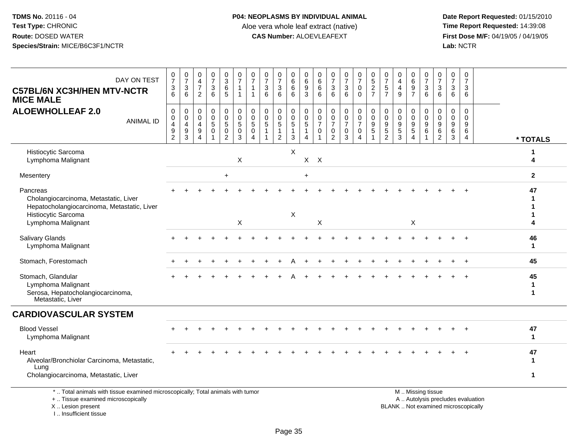**Date Report Requested:** 01/15/2010 **First Dose M/F:** 04/19/05 / 04/19/05<br>Lab: NCTR **Lab:** NCTR

| DAY ON TEST<br><b>C57BL/6N XC3H/HEN MTV-NCTR</b><br><b>MICE MALE</b>                                                    | $\frac{0}{7}$<br>$\ensuremath{\mathsf{3}}$<br>6                  | $\frac{0}{7}$<br>$\sqrt{3}$<br>6          | $\begin{smallmatrix}0\\4\end{smallmatrix}$<br>$\overline{7}$<br>2                | $\frac{0}{7}$<br>3<br>6                           | $\begin{array}{c} 0 \\ 3 \\ 6 \end{array}$<br>5   | $\frac{0}{7}$<br>$\mathbf{1}$<br>$\mathbf 1$                            | 0<br>$\overline{7}$                                                       | $\frac{0}{7}$<br>$\mathbf 3$<br>6                        | 0<br>$\overline{7}$<br>$\ensuremath{\mathsf{3}}$<br>6              | 0<br>$\,6\,$<br>6<br>6                                                     | 0<br>$\overline{6}$<br>$\boldsymbol{9}$<br>3                         | 0<br>$\,6\,$<br>$\,6\,$<br>6            | $\frac{0}{7}$<br>$\sqrt{3}$<br>6                            | $\frac{0}{7}$<br>$\mathsf 3$<br>6                    | 0<br>$\overline{7}$<br>$\mathbf 0$<br>$\Omega$                 | $\begin{array}{c} 0 \\ 5 \end{array}$<br>$\overline{c}$<br>$\overline{7}$ | $\frac{0}{7}$<br>$\sqrt{5}$<br>$\overline{7}$              | 0<br>$\overline{4}$<br>$\overline{\mathbf{4}}$<br>9            | 0<br>$6\phantom{a}$<br>$\boldsymbol{9}$<br>$\overline{7}$ | 0<br>$\overline{7}$<br>$\sqrt{3}$<br>6                                 | 0<br>$\overline{7}$<br>$\mathbf{3}$<br>6  | $\frac{0}{7}$<br>$\mathbf{3}$<br>6                  | $\pmb{0}$<br>$\overline{7}$<br>$\mathbf{3}$<br>6                 |                                    |
|-------------------------------------------------------------------------------------------------------------------------|------------------------------------------------------------------|-------------------------------------------|----------------------------------------------------------------------------------|---------------------------------------------------|---------------------------------------------------|-------------------------------------------------------------------------|---------------------------------------------------------------------------|----------------------------------------------------------|--------------------------------------------------------------------|----------------------------------------------------------------------------|----------------------------------------------------------------------|-----------------------------------------|-------------------------------------------------------------|------------------------------------------------------|----------------------------------------------------------------|---------------------------------------------------------------------------|------------------------------------------------------------|----------------------------------------------------------------|-----------------------------------------------------------|------------------------------------------------------------------------|-------------------------------------------|-----------------------------------------------------|------------------------------------------------------------------|------------------------------------|
| <b>ALOEWHOLLEAF 2.0</b><br><b>ANIMAL ID</b>                                                                             | $\,0\,$<br>$\pmb{0}$<br>$\overline{\mathbf{4}}$<br>$\frac{9}{2}$ | 0<br>0<br>$\overline{4}$<br>$\frac{9}{3}$ | 0<br>$\mathbf 0$<br>$\overline{4}$<br>$\boldsymbol{9}$<br>$\boldsymbol{\Lambda}$ | 0<br>$\mathbf 0$<br>$\overline{5}$<br>$\mathbf 0$ | $\pmb{0}$<br>$\overline{0}$<br>5<br>$\frac{0}{2}$ | $\pmb{0}$<br>$\mathsf 0$<br>$\overline{5}$<br>$\pmb{0}$<br>$\mathbf{3}$ | $\mathbf 0$<br>$\mathbf 0$<br>$\sqrt{5}$<br>$\mathbf 0$<br>$\overline{4}$ | $\mathbf 0$<br>$\mathbf 0$<br>$\overline{5}$<br>-1<br>-1 | 0<br>$\pmb{0}$<br>$\overline{5}$<br>$\mathbf{1}$<br>$\overline{2}$ | 0<br>$\mathsf{O}\xspace$<br>$\overline{5}$<br>$\mathbf{1}$<br>$\mathbf{3}$ | 0<br>$\mathbf 0$<br>$\overline{5}$<br>$\mathbf{1}$<br>$\overline{4}$ | 0<br>0<br>$\overline{7}$<br>$\mathsf 0$ | $\mathbf 0$<br>$\pmb{0}$<br>$\overline{7}$<br>$\frac{0}{2}$ | 0<br>$\pmb{0}$<br>$\overline{7}$<br>$\mathbf 0$<br>3 | $\pmb{0}$<br>$\mathsf 0$<br>$\overline{7}$<br>$\mathsf 0$<br>4 | 0<br>0<br>$\overline{9}$<br>5<br>1                                        | 0<br>0<br>$\boldsymbol{9}$<br>$\sqrt{5}$<br>$\overline{2}$ | $\mathbf 0$<br>$\pmb{0}$<br>$\overline{9}$<br>$\,$ 5 $\,$<br>3 | 0<br>0<br>$\overline{9}$<br>$\sqrt{5}$<br>$\overline{4}$  | $\mathbf 0$<br>$\boldsymbol{0}$<br>$\overline{9}$<br>6<br>$\mathbf{1}$ | 0<br>$\Omega$<br>9<br>6<br>$\overline{2}$ | 0<br>0<br>$\boldsymbol{9}$<br>$\,6$<br>$\mathbf{3}$ | $\mathbf 0$<br>$\Omega$<br>$\overline{9}$<br>6<br>$\overline{4}$ | * TOTALS                           |
| Histiocytic Sarcoma<br>Lymphoma Malignant                                                                               |                                                                  |                                           |                                                                                  |                                                   |                                                   | X                                                                       |                                                                           |                                                          |                                                                    | $\times$                                                                   | X                                                                    | $\times$                                |                                                             |                                                      |                                                                |                                                                           |                                                            |                                                                |                                                           |                                                                        |                                           |                                                     |                                                                  | 1<br>4                             |
| Mesentery                                                                                                               |                                                                  |                                           |                                                                                  |                                                   | $\div$                                            |                                                                         |                                                                           |                                                          |                                                                    |                                                                            | $\ddot{}$                                                            |                                         |                                                             |                                                      |                                                                |                                                                           |                                                            |                                                                |                                                           |                                                                        |                                           |                                                     |                                                                  | $\mathbf{2}$                       |
| Pancreas<br>Cholangiocarcinoma, Metastatic, Liver<br>Hepatocholangiocarcinoma, Metastatic, Liver<br>Histiocytic Sarcoma |                                                                  |                                           |                                                                                  |                                                   |                                                   |                                                                         |                                                                           |                                                          |                                                                    | $\boldsymbol{\mathsf{X}}$                                                  |                                                                      |                                         |                                                             |                                                      |                                                                |                                                                           |                                                            |                                                                |                                                           |                                                                        |                                           |                                                     |                                                                  | 47<br>Δ                            |
| Lymphoma Malignant                                                                                                      |                                                                  |                                           |                                                                                  |                                                   |                                                   | X                                                                       |                                                                           |                                                          |                                                                    |                                                                            |                                                                      | $\mathsf X$                             |                                                             |                                                      |                                                                |                                                                           |                                                            |                                                                | X                                                         |                                                                        |                                           |                                                     |                                                                  |                                    |
| <b>Salivary Glands</b><br>Lymphoma Malignant                                                                            |                                                                  |                                           |                                                                                  |                                                   |                                                   |                                                                         |                                                                           |                                                          |                                                                    |                                                                            |                                                                      |                                         |                                                             |                                                      |                                                                |                                                                           |                                                            |                                                                |                                                           |                                                                        |                                           |                                                     |                                                                  | 46<br>$\mathbf{1}$                 |
| Stomach, Forestomach                                                                                                    |                                                                  |                                           |                                                                                  |                                                   |                                                   |                                                                         |                                                                           |                                                          |                                                                    |                                                                            |                                                                      |                                         |                                                             |                                                      |                                                                |                                                                           |                                                            |                                                                |                                                           |                                                                        |                                           |                                                     |                                                                  | 45                                 |
| Stomach, Glandular<br>Lymphoma Malignant<br>Serosa, Hepatocholangiocarcinoma,<br>Metastatic, Liver                      |                                                                  |                                           |                                                                                  |                                                   |                                                   |                                                                         |                                                                           |                                                          |                                                                    |                                                                            |                                                                      |                                         |                                                             |                                                      |                                                                |                                                                           |                                                            |                                                                |                                                           |                                                                        |                                           |                                                     |                                                                  | 45<br>$\mathbf{1}$<br>$\mathbf{1}$ |
| <b>CARDIOVASCULAR SYSTEM</b>                                                                                            |                                                                  |                                           |                                                                                  |                                                   |                                                   |                                                                         |                                                                           |                                                          |                                                                    |                                                                            |                                                                      |                                         |                                                             |                                                      |                                                                |                                                                           |                                                            |                                                                |                                                           |                                                                        |                                           |                                                     |                                                                  |                                    |
| <b>Blood Vessel</b><br>Lymphoma Malignant                                                                               |                                                                  |                                           |                                                                                  |                                                   |                                                   |                                                                         |                                                                           |                                                          |                                                                    |                                                                            |                                                                      |                                         |                                                             |                                                      |                                                                |                                                                           |                                                            |                                                                |                                                           |                                                                        |                                           |                                                     |                                                                  | 47<br>$\mathbf 1$                  |
| Heart<br>Alveolar/Bronchiolar Carcinoma, Metastatic,<br>Lung                                                            |                                                                  |                                           |                                                                                  |                                                   |                                                   |                                                                         |                                                                           |                                                          |                                                                    |                                                                            |                                                                      |                                         |                                                             |                                                      |                                                                |                                                                           |                                                            |                                                                |                                                           |                                                                        |                                           |                                                     |                                                                  | 47<br>-1                           |
| Cholangiocarcinoma, Metastatic, Liver                                                                                   |                                                                  |                                           |                                                                                  |                                                   |                                                   |                                                                         |                                                                           |                                                          |                                                                    |                                                                            |                                                                      |                                         |                                                             |                                                      |                                                                |                                                                           |                                                            |                                                                |                                                           |                                                                        |                                           |                                                     |                                                                  | 1                                  |
| *  Total animals with tissue examined microscopically; Total animals with tumor<br>+  Tissue examined microscopically   |                                                                  |                                           |                                                                                  |                                                   |                                                   |                                                                         |                                                                           |                                                          |                                                                    |                                                                            |                                                                      |                                         |                                                             |                                                      |                                                                |                                                                           |                                                            |                                                                |                                                           | M  Missing tissue                                                      |                                           |                                                     | A  Autolysis precludes evaluation                                |                                    |

X .. Lesion present

I .. Insufficient tissue

Lesion present BLANK .. Not examined microscopically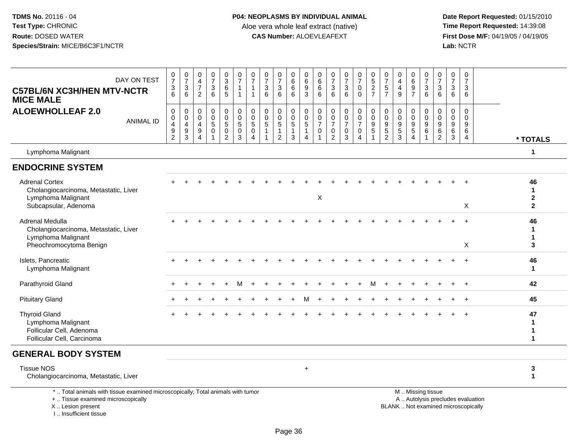**Date Report Requested:** 01/15/2010 **First Dose M/F:** 04/19/05 / 04/19/05<br>Lab: NCTR **Lab:** NCTR

| DAY ON TEST<br><b>C57BL/6N XC3H/HEN MTV-NCTR</b><br><b>MICE MALE</b>                                         | $\frac{0}{7}$<br>3<br>6                                                         | $\frac{0}{7}$<br>$\mathbf{3}$<br>6                           | 0<br>$\overline{\mathbf{4}}$<br>$\overline{7}$<br>$\overline{2}$ | $\frac{0}{7}$<br>$\mathbf{3}$<br>6                               | $_{3}^{\rm 0}$<br>$\,6\,$<br>5                                  | $\frac{0}{7}$<br>$\overline{1}$<br>$\overline{1}$ | $\frac{0}{7}$<br>$\overline{1}$<br>$\overline{1}$                       | 0<br>$\overline{7}$<br>$\sqrt{3}$<br>6                | $\frac{0}{7}$<br>$\mathbf{3}$<br>6                               | $_6^0$<br>$\,6\,$<br>6           | $_{6}^{\rm 0}$<br>$\boldsymbol{9}$<br>3                                         | $\boldsymbol{0}$<br>$6\phantom{a}$<br>$\,6\,$<br>6           | $\frac{0}{7}$<br>$\mathbf{3}$<br>6                                            | $\frac{0}{7}$<br>$\mathbf{3}$<br>6                             | $\frac{0}{7}$<br>$\mathsf{O}\xspace$<br>$\mathbf 0$                       | $\begin{array}{c} 0 \\ 5 \\ 2 \end{array}$<br>$\overline{7}$               | $\frac{0}{7}$<br>$\sqrt{5}$<br>$\overline{7}$                       | 0<br>$\overline{\mathbf{4}}$<br>$\overline{4}$<br>9 | $\begin{array}{c} 0 \\ 6 \\ 9 \end{array}$<br>$\overline{7}$         | $\begin{array}{c} 0 \\ 7 \end{array}$<br>$\mathbf{3}$<br>6 | $\frac{0}{7}$<br>$\sqrt{3}$<br>6                          | 0<br>$\overline{7}$<br>3<br>6                | $\pmb{0}$<br>$\overline{7}$<br>3<br>6 |                                                      |
|--------------------------------------------------------------------------------------------------------------|---------------------------------------------------------------------------------|--------------------------------------------------------------|------------------------------------------------------------------|------------------------------------------------------------------|-----------------------------------------------------------------|---------------------------------------------------|-------------------------------------------------------------------------|-------------------------------------------------------|------------------------------------------------------------------|----------------------------------|---------------------------------------------------------------------------------|--------------------------------------------------------------|-------------------------------------------------------------------------------|----------------------------------------------------------------|---------------------------------------------------------------------------|----------------------------------------------------------------------------|---------------------------------------------------------------------|-----------------------------------------------------|----------------------------------------------------------------------|------------------------------------------------------------|-----------------------------------------------------------|----------------------------------------------|---------------------------------------|------------------------------------------------------|
| <b>ALOEWHOLLEAF 2.0</b><br><b>ANIMAL ID</b>                                                                  | 0<br>$\pmb{0}$<br>$\overline{\mathbf{4}}$<br>$\boldsymbol{9}$<br>$\overline{c}$ | 0<br>$\mathsf{O}$<br>$\overline{4}$<br>$\boldsymbol{9}$<br>3 | 0<br>$\mathbf 0$<br>4<br>9<br>$\overline{4}$                     | 0<br>$\mathbf 0$<br>$5\phantom{.0}$<br>$\pmb{0}$<br>$\mathbf{1}$ | 0<br>$\pmb{0}$<br>$\overline{5}$<br>$\pmb{0}$<br>$\overline{2}$ | 0<br>$\pmb{0}$<br>$\sqrt{5}$<br>$\pmb{0}$<br>3    | $\mathbf 0$<br>$\mathbf 0$<br>$\sqrt{5}$<br>$\pmb{0}$<br>$\overline{4}$ | $\mathbf 0$<br>$\mathbf 0$<br>5<br>$\mathbf{1}$<br>-1 | 0<br>$\mathbf 0$<br>$\sqrt{5}$<br>$\mathbf{1}$<br>$\overline{2}$ | 0<br>0<br>5<br>$\mathbf{1}$<br>3 | $\mathbf 0$<br>$\mathbf 0$<br>$5\phantom{.0}$<br>$\mathbf{1}$<br>$\overline{4}$ | $\mathbf 0$<br>$\pmb{0}$<br>$\overline{7}$<br>$\pmb{0}$<br>1 | $\mathbf 0$<br>$\mathbf 0$<br>$\overline{7}$<br>$\mathbf 0$<br>$\overline{2}$ | $\mathbf 0$<br>$\mathbf 0$<br>$\overline{7}$<br>$\pmb{0}$<br>3 | 0<br>$\mathsf{O}\xspace$<br>$\overline{7}$<br>$\pmb{0}$<br>$\overline{4}$ | $\mathbf 0$<br>$\pmb{0}$<br>$\boldsymbol{9}$<br>$\sqrt{5}$<br>$\mathbf{1}$ | 0<br>$\pmb{0}$<br>$\boldsymbol{9}$<br>$\mathbf 5$<br>$\overline{2}$ | 0<br>$\mathbf 0$<br>$9\,$<br>$\,$ 5 $\,$<br>3       | 0<br>$\mathbf 0$<br>$\boldsymbol{9}$<br>$\sqrt{5}$<br>$\overline{4}$ | $\Omega$<br>$\mathbf 0$<br>9<br>6                          | $\Omega$<br>$\mathbf 0$<br>$\overline{9}$<br>$\,6\,$<br>2 | $\Omega$<br>$\mathbf 0$<br>9<br>$\,6\,$<br>3 | $\Omega$<br>$\Omega$<br>9<br>6<br>4   | * TOTALS                                             |
| Lymphoma Malignant                                                                                           |                                                                                 |                                                              |                                                                  |                                                                  |                                                                 |                                                   |                                                                         |                                                       |                                                                  |                                  |                                                                                 |                                                              |                                                                               |                                                                |                                                                           |                                                                            |                                                                     |                                                     |                                                                      |                                                            |                                                           |                                              |                                       | $\mathbf 1$                                          |
| <b>ENDOCRINE SYSTEM</b>                                                                                      |                                                                                 |                                                              |                                                                  |                                                                  |                                                                 |                                                   |                                                                         |                                                       |                                                                  |                                  |                                                                                 |                                                              |                                                                               |                                                                |                                                                           |                                                                            |                                                                     |                                                     |                                                                      |                                                            |                                                           |                                              |                                       |                                                      |
| <b>Adrenal Cortex</b><br>Cholangiocarcinoma, Metastatic, Liver<br>Lymphoma Malignant<br>Subcapsular, Adenoma |                                                                                 |                                                              |                                                                  |                                                                  |                                                                 |                                                   |                                                                         |                                                       |                                                                  |                                  |                                                                                 | $\boldsymbol{\mathsf{X}}$                                    |                                                                               |                                                                |                                                                           |                                                                            |                                                                     |                                                     |                                                                      |                                                            |                                                           |                                              | X                                     | 46<br>$\mathbf{1}$<br>$\mathbf{2}$<br>$\overline{2}$ |
| Adrenal Medulla<br>Cholangiocarcinoma, Metastatic, Liver<br>Lymphoma Malignant<br>Pheochromocytoma Benign    |                                                                                 |                                                              |                                                                  |                                                                  |                                                                 |                                                   |                                                                         |                                                       |                                                                  |                                  |                                                                                 |                                                              |                                                                               |                                                                |                                                                           |                                                                            |                                                                     |                                                     |                                                                      |                                                            |                                                           |                                              | X                                     | 46<br>$\mathbf 1$<br>$\mathbf{1}$<br>3               |
| Islets, Pancreatic<br>Lymphoma Malignant                                                                     |                                                                                 |                                                              |                                                                  |                                                                  |                                                                 |                                                   |                                                                         |                                                       |                                                                  |                                  |                                                                                 |                                                              |                                                                               |                                                                |                                                                           |                                                                            |                                                                     |                                                     |                                                                      |                                                            |                                                           |                                              |                                       | 46<br>$\mathbf{1}$                                   |
| Parathyroid Gland                                                                                            |                                                                                 |                                                              |                                                                  |                                                                  |                                                                 |                                                   |                                                                         |                                                       |                                                                  |                                  |                                                                                 |                                                              |                                                                               |                                                                |                                                                           | м                                                                          |                                                                     |                                                     |                                                                      |                                                            |                                                           |                                              |                                       | 42                                                   |
| <b>Pituitary Gland</b>                                                                                       |                                                                                 |                                                              |                                                                  |                                                                  |                                                                 |                                                   |                                                                         |                                                       |                                                                  |                                  |                                                                                 |                                                              |                                                                               |                                                                |                                                                           |                                                                            |                                                                     |                                                     |                                                                      |                                                            |                                                           |                                              |                                       | 45                                                   |
| <b>Thyroid Gland</b><br>Lymphoma Malignant<br>Follicular Cell, Adenoma<br>Follicular Cell, Carcinoma         |                                                                                 |                                                              |                                                                  |                                                                  |                                                                 |                                                   |                                                                         |                                                       |                                                                  |                                  |                                                                                 |                                                              |                                                                               |                                                                |                                                                           |                                                                            |                                                                     |                                                     |                                                                      |                                                            |                                                           |                                              |                                       | 47<br>$\mathbf 1$<br>1<br>$\mathbf 1$                |
| <b>GENERAL BODY SYSTEM</b>                                                                                   |                                                                                 |                                                              |                                                                  |                                                                  |                                                                 |                                                   |                                                                         |                                                       |                                                                  |                                  |                                                                                 |                                                              |                                                                               |                                                                |                                                                           |                                                                            |                                                                     |                                                     |                                                                      |                                                            |                                                           |                                              |                                       |                                                      |
| <b>Tissue NOS</b><br>Cholangiocarcinoma, Metastatic, Liver                                                   |                                                                                 |                                                              |                                                                  |                                                                  |                                                                 |                                                   |                                                                         |                                                       |                                                                  |                                  | $\ddot{}$                                                                       |                                                              |                                                                               |                                                                |                                                                           |                                                                            |                                                                     |                                                     |                                                                      |                                                            |                                                           |                                              |                                       | 3<br>$\mathbf{1}$                                    |
| *  Total animals with tissue examined microscopically; Total animals with tumor                              |                                                                                 |                                                              |                                                                  |                                                                  |                                                                 |                                                   |                                                                         |                                                       |                                                                  |                                  |                                                                                 |                                                              |                                                                               |                                                                |                                                                           |                                                                            |                                                                     |                                                     |                                                                      | M  Missing tissue                                          |                                                           |                                              |                                       |                                                      |

+ .. Tissue examined microscopically

X .. Lesion present

I .. Insufficient tissue

y the contract of the contract of the contract of the contract of the contract of the contract of the contract of  $A$ . Autolysis precludes evaluation Lesion present BLANK .. Not examined microscopically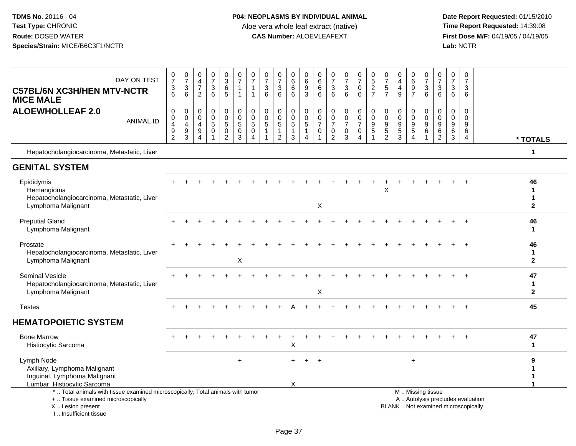| DAY ON TEST<br><b>C57BL/6N XC3H/HEN MTV-NCTR</b><br><b>MICE MALE</b>                                                                                                 | $\pmb{0}$<br>$\overline{7}$<br>$\ensuremath{\mathsf{3}}$<br>6                               | $\frac{0}{7}$<br>3<br>6 | 0<br>$\overline{4}$<br>$\overline{7}$<br>$\overline{2}$                            | $\frac{0}{7}$<br>$\mathbf{3}$<br>$6\phantom{a}$ | 0<br>3<br>6<br>5                                                       | $\pmb{0}$<br>$\overline{7}$<br>$\overline{1}$<br>$\overline{1}$ | 0<br>$\overline{7}$<br>$\overline{1}$<br>$\overline{1}$                   | 0<br>$\overline{7}$<br>3<br>6                                     | 0<br>$\overline{7}$<br>$\ensuremath{\mathsf{3}}$<br>6 | 0<br>6<br>6<br>$6\phantom{1}$                                                | 0<br>$\,6$<br>$\frac{9}{3}$                                                        | 0<br>6<br>6<br>6                                                            | $\begin{array}{c} 0 \\ 7 \end{array}$<br>$\sqrt{3}$<br>6                              | $\begin{smallmatrix}0\\7\end{smallmatrix}$<br>$\sqrt{3}$<br>6     | 0<br>$\overline{7}$<br>0<br>$\mathbf 0$                | $\begin{array}{c} 0 \\ 5 \\ 2 \end{array}$<br>$\overline{7}$     | 0<br>$\overline{7}$<br>$\sqrt{5}$<br>$\overline{7}$                            | 0<br>$\overline{4}$<br>$\overline{4}$<br>9              | $\boldsymbol{0}$<br>6<br>$\frac{9}{7}$                                   | 0<br>$\overline{7}$<br>$\ensuremath{\mathsf{3}}$<br>$6\phantom{1}6$ | $\mathbf 0$<br>$\overline{7}$<br>3<br>6            | 0<br>$\overline{7}$<br>3<br>6                        | 0<br>$\overline{7}$<br>3<br>6                                            |                              |
|----------------------------------------------------------------------------------------------------------------------------------------------------------------------|---------------------------------------------------------------------------------------------|-------------------------|------------------------------------------------------------------------------------|-------------------------------------------------|------------------------------------------------------------------------|-----------------------------------------------------------------|---------------------------------------------------------------------------|-------------------------------------------------------------------|-------------------------------------------------------|------------------------------------------------------------------------------|------------------------------------------------------------------------------------|-----------------------------------------------------------------------------|---------------------------------------------------------------------------------------|-------------------------------------------------------------------|--------------------------------------------------------|------------------------------------------------------------------|--------------------------------------------------------------------------------|---------------------------------------------------------|--------------------------------------------------------------------------|---------------------------------------------------------------------|----------------------------------------------------|------------------------------------------------------|--------------------------------------------------------------------------|------------------------------|
| <b>ALOEWHOLLEAF 2.0</b><br><b>ANIMAL ID</b>                                                                                                                          | $\mathbf 0$<br>$\mathbf 0$<br>$\overline{\mathbf{4}}$<br>$\boldsymbol{9}$<br>$\overline{c}$ | 0<br>0<br>4<br>9<br>3   | $\mathbf 0$<br>$\mathbf 0$<br>$\overline{4}$<br>$\boldsymbol{9}$<br>$\overline{4}$ | 0<br>0<br>5<br>$\mathsf 0$<br>$\mathbf{1}$      | 0<br>$\begin{matrix}0\\5\end{matrix}$<br>$\mathbf 0$<br>$\overline{2}$ | $\pmb{0}$<br>$\pmb{0}$<br>$\sqrt{5}$<br>$\mathbf 0$<br>3        | $\mathbf 0$<br>$\mathbf 0$<br>$\sqrt{5}$<br>$\mathbf 0$<br>$\overline{4}$ | $\mathbf 0$<br>$\mathbf 0$<br>5<br>$\overline{1}$<br>$\mathbf{1}$ | 0<br>0<br>5<br>$\mathbf{1}$<br>$\overline{2}$         | $\mathsf 0$<br>$\mathsf 0$<br>$\overline{5}$<br>$\mathbf{1}$<br>$\mathbf{3}$ | 0<br>$\begin{smallmatrix}0\0\5\end{smallmatrix}$<br>$\mathbf{1}$<br>$\overline{4}$ | $\mathbf 0$<br>$\mathbf 0$<br>$\overline{7}$<br>$\mathbf 0$<br>$\mathbf{1}$ | $\mathbf 0$<br>$\mathsf{O}\xspace$<br>$\overline{7}$<br>$\mathbf 0$<br>$\overline{2}$ | 0<br>$\mathbf 0$<br>$\overline{7}$<br>$\mathbf 0$<br>$\mathbf{3}$ | 0<br>$\mathbf 0$<br>$\overline{7}$<br>$\mathbf 0$<br>4 | 0<br>$\pmb{0}$<br>$\boldsymbol{9}$<br>$\sqrt{5}$<br>$\mathbf{1}$ | $\mathbf 0$<br>$\mathbf 0$<br>$\boldsymbol{9}$<br>$\sqrt{5}$<br>$\overline{c}$ | $\mathbf 0$<br>0<br>$\boldsymbol{9}$<br>$\sqrt{5}$<br>3 | 0<br>$\mathbf 0$<br>$\boldsymbol{9}$<br>$\overline{5}$<br>$\overline{4}$ | 0<br>$\mathbf 0$<br>9<br>6<br>$\overline{1}$                        | $\mathbf 0$<br>0<br>9<br>$\,6\,$<br>$\overline{c}$ | $\mathbf 0$<br>$\mathbf 0$<br>9<br>6<br>$\mathbf{3}$ | 0<br>$\mathbf 0$<br>9<br>6<br>4                                          | * TOTALS                     |
| Hepatocholangiocarcinoma, Metastatic, Liver                                                                                                                          |                                                                                             |                         |                                                                                    |                                                 |                                                                        |                                                                 |                                                                           |                                                                   |                                                       |                                                                              |                                                                                    |                                                                             |                                                                                       |                                                                   |                                                        |                                                                  |                                                                                |                                                         |                                                                          |                                                                     |                                                    |                                                      |                                                                          | 1                            |
| <b>GENITAL SYSTEM</b>                                                                                                                                                |                                                                                             |                         |                                                                                    |                                                 |                                                                        |                                                                 |                                                                           |                                                                   |                                                       |                                                                              |                                                                                    |                                                                             |                                                                                       |                                                                   |                                                        |                                                                  |                                                                                |                                                         |                                                                          |                                                                     |                                                    |                                                      |                                                                          |                              |
| Epididymis<br>Hemangioma<br>Hepatocholangiocarcinoma, Metastatic, Liver<br>Lymphoma Malignant                                                                        |                                                                                             |                         |                                                                                    |                                                 |                                                                        |                                                                 |                                                                           |                                                                   |                                                       |                                                                              |                                                                                    | X                                                                           |                                                                                       |                                                                   |                                                        |                                                                  | X                                                                              |                                                         |                                                                          |                                                                     |                                                    |                                                      |                                                                          | 46<br>1<br>1<br>$\mathbf{2}$ |
| <b>Preputial Gland</b><br>Lymphoma Malignant                                                                                                                         |                                                                                             |                         |                                                                                    |                                                 |                                                                        |                                                                 |                                                                           |                                                                   |                                                       |                                                                              |                                                                                    |                                                                             |                                                                                       |                                                                   |                                                        |                                                                  |                                                                                |                                                         |                                                                          |                                                                     |                                                    |                                                      |                                                                          | 46<br>1                      |
| Prostate<br>Hepatocholangiocarcinoma, Metastatic, Liver<br>Lymphoma Malignant                                                                                        |                                                                                             |                         |                                                                                    |                                                 |                                                                        | X                                                               |                                                                           |                                                                   |                                                       |                                                                              |                                                                                    |                                                                             |                                                                                       |                                                                   |                                                        |                                                                  |                                                                                |                                                         |                                                                          |                                                                     |                                                    |                                                      |                                                                          | 46<br>1<br>$\overline{2}$    |
| <b>Seminal Vesicle</b><br>Hepatocholangiocarcinoma, Metastatic, Liver<br>Lymphoma Malignant                                                                          |                                                                                             |                         |                                                                                    |                                                 |                                                                        |                                                                 |                                                                           |                                                                   |                                                       |                                                                              |                                                                                    | X                                                                           |                                                                                       |                                                                   |                                                        |                                                                  |                                                                                |                                                         |                                                                          |                                                                     |                                                    |                                                      |                                                                          | 47<br>1<br>$\mathbf{2}$      |
| <b>Testes</b>                                                                                                                                                        |                                                                                             |                         |                                                                                    |                                                 |                                                                        |                                                                 |                                                                           |                                                                   |                                                       |                                                                              |                                                                                    |                                                                             |                                                                                       |                                                                   |                                                        |                                                                  |                                                                                |                                                         |                                                                          |                                                                     |                                                    |                                                      | $+$                                                                      | 45                           |
| <b>HEMATOPOIETIC SYSTEM</b>                                                                                                                                          |                                                                                             |                         |                                                                                    |                                                 |                                                                        |                                                                 |                                                                           |                                                                   |                                                       |                                                                              |                                                                                    |                                                                             |                                                                                       |                                                                   |                                                        |                                                                  |                                                                                |                                                         |                                                                          |                                                                     |                                                    |                                                      |                                                                          |                              |
| <b>Bone Marrow</b><br>Histiocytic Sarcoma                                                                                                                            |                                                                                             |                         |                                                                                    |                                                 |                                                                        |                                                                 |                                                                           |                                                                   |                                                       | Χ                                                                            |                                                                                    |                                                                             |                                                                                       |                                                                   |                                                        |                                                                  |                                                                                |                                                         |                                                                          |                                                                     |                                                    |                                                      |                                                                          | 47<br>1                      |
| Lymph Node<br>Axillary, Lymphoma Malignant<br>Inguinal, Lymphoma Malignant<br>Lumbar, Histiocytic Sarcoma                                                            |                                                                                             |                         |                                                                                    |                                                 |                                                                        | $\ddot{}$                                                       |                                                                           |                                                                   |                                                       | X                                                                            | $\ddot{}$                                                                          | $\ddot{}$                                                                   |                                                                                       |                                                                   |                                                        |                                                                  |                                                                                |                                                         | $+$                                                                      |                                                                     |                                                    |                                                      |                                                                          | 9<br>1<br>1                  |
| *  Total animals with tissue examined microscopically; Total animals with tumor<br>+  Tissue examined microscopically<br>X  Lesion present<br>L. Insufficient tissue |                                                                                             |                         |                                                                                    |                                                 |                                                                        |                                                                 |                                                                           |                                                                   |                                                       |                                                                              |                                                                                    |                                                                             |                                                                                       |                                                                   |                                                        |                                                                  |                                                                                |                                                         |                                                                          | M  Missing tissue                                                   |                                                    |                                                      | A  Autolysis precludes evaluation<br>BLANK  Not examined microscopically |                              |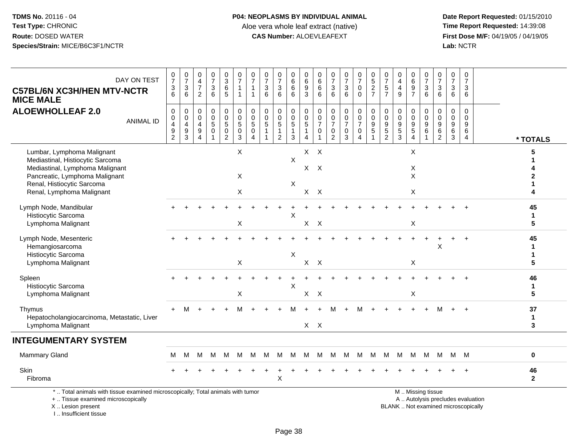I .. Insufficient tissue

## **P04: NEOPLASMS BY INDIVIDUAL ANIMAL**Aloe vera whole leaf extract (native)<br>**CAS Number:** ALOEVLEAFEXT

| DAY ON TEST<br><b>C57BL/6N XC3H/HEN MTV-NCTR</b><br><b>MICE MALE</b>                                                                                                                           | $\frac{0}{7}$<br>$\frac{3}{6}$                                                          | $\frac{0}{7}$<br>$\ensuremath{\mathsf{3}}$<br>6         | $\mathbf 0$<br>$\overline{4}$<br>$\overline{7}$<br>$\overline{c}$ | $\begin{array}{c} 0 \\ 7 \end{array}$<br>$\sqrt{3}$<br>6                         | $_{3}^{\rm 0}$<br>$\,6\,$<br>$5\phantom{.0}$                  | $\frac{0}{7}$<br>$\mathbf{1}$                                           | $\frac{0}{7}$<br>1<br>$\overline{1}$                                              | 0<br>$\overline{7}$<br>3<br>6  | $\frac{0}{7}$<br>$\sqrt{3}$<br>6                                           | 0<br>6<br>6<br>6           | 0<br>$6\overline{6}$<br>$\boldsymbol{9}$<br>$\overline{3}$ | $\pmb{0}$<br>$6\phantom{a}$<br>$\,6\,$<br>6                               | 0<br>$\overline{7}$<br>$\mathbf{3}$<br>6        | $\begin{array}{c} 0 \\ 7 \end{array}$<br>$\sqrt{3}$<br>6        | $\begin{smallmatrix}0\\7\end{smallmatrix}$<br>$\mathbf 0$<br>$\mathbf 0$ | $\begin{array}{c} 0 \\ 5 \end{array}$<br>$\frac{2}{7}$              | $\frac{0}{7}$<br>$\,$ 5 $\,$<br>$\overline{7}$                                 | $\mathbf 0$<br>$\overline{4}$<br>$\overline{4}$<br>9       | $_{6}^{\rm 0}$<br>$\boldsymbol{9}$<br>$\overline{7}$          | $\begin{array}{c} 0 \\ 7 \end{array}$<br>$\ensuremath{\mathsf{3}}$<br>6 | $\begin{array}{c} 0 \\ 7 \end{array}$<br>$\mathbf{3}$<br>6 | $\mathbf 0$<br>$\overline{7}$<br>3<br>6                  | $\pmb{0}$<br>$\overline{7}$<br>3<br>6  |                                   |                              |
|------------------------------------------------------------------------------------------------------------------------------------------------------------------------------------------------|-----------------------------------------------------------------------------------------|---------------------------------------------------------|-------------------------------------------------------------------|----------------------------------------------------------------------------------|---------------------------------------------------------------|-------------------------------------------------------------------------|-----------------------------------------------------------------------------------|--------------------------------|----------------------------------------------------------------------------|----------------------------|------------------------------------------------------------|---------------------------------------------------------------------------|-------------------------------------------------|-----------------------------------------------------------------|--------------------------------------------------------------------------|---------------------------------------------------------------------|--------------------------------------------------------------------------------|------------------------------------------------------------|---------------------------------------------------------------|-------------------------------------------------------------------------|------------------------------------------------------------|----------------------------------------------------------|----------------------------------------|-----------------------------------|------------------------------|
| <b>ALOEWHOLLEAF 2.0</b><br><b>ANIMAL ID</b>                                                                                                                                                    | $\pmb{0}$<br>$\pmb{0}$<br>$\overline{\mathbf{4}}$<br>$\boldsymbol{9}$<br>$\overline{2}$ | 0<br>$\pmb{0}$<br>4<br>$\boldsymbol{9}$<br>$\mathbf{3}$ | 0<br>$\mathbf 0$<br>4<br>$\boldsymbol{9}$<br>4                    | $\mathsf{O}\xspace$<br>$\begin{array}{c} 0 \\ 5 \end{array}$<br>$\mathbf 0$<br>1 | $\pmb{0}$<br>$\mathsf{O}$<br>5<br>$\pmb{0}$<br>$\overline{2}$ | 0<br>$\begin{array}{c} 0 \\ 5 \end{array}$<br>$\pmb{0}$<br>$\mathbf{3}$ | $\pmb{0}$<br>$\begin{array}{c} 0 \\ 5 \end{array}$<br>$\pmb{0}$<br>$\overline{4}$ | 0<br>$\mathbf 0$<br>$\sqrt{5}$ | $\mathbf 0$<br>$\mathbf 0$<br>$\sqrt{5}$<br>$\mathbf{1}$<br>$\overline{c}$ | 0<br>$\mathbf 0$<br>5<br>3 | 0<br>$^{\rm 0}_{\rm 5}$<br>$\mathbf{1}$<br>$\overline{4}$  | $\mathbf 0$<br>$\pmb{0}$<br>$\overline{7}$<br>$\mathbf 0$<br>$\mathbf{1}$ | 0<br>0<br>$\overline{7}$<br>0<br>$\overline{2}$ | $\pmb{0}$<br>$\overline{0}$<br>$\overline{7}$<br>$\pmb{0}$<br>3 | 0<br>$\mathbf 0$<br>$\overline{7}$<br>$\mathsf 0$<br>4                   | $\mathbf 0$<br>$\mathbf 0$<br>$\boldsymbol{9}$<br>5<br>$\mathbf{1}$ | $\pmb{0}$<br>$\pmb{0}$<br>$\boldsymbol{9}$<br>$\overline{5}$<br>$\overline{c}$ | $\mathbf 0$<br>$\mathbf 0$<br>$9\,$<br>$\overline{5}$<br>3 | $\mathbf 0$<br>$\mathbf 0$<br>$\frac{9}{5}$<br>$\overline{4}$ | $\mathbf 0$<br>$\mathbf 0$<br>9<br>$\,6\,$                              | $\Omega$<br>$\Omega$<br>9<br>$\,6$<br>$\overline{2}$       | $\mathbf 0$<br>$\mathbf 0$<br>9<br>$\,6\,$<br>$\sqrt{3}$ | $\mathbf 0$<br>$\Omega$<br>9<br>6<br>4 |                                   | * TOTALS                     |
| Lumbar, Lymphoma Malignant<br>Mediastinal, Histiocytic Sarcoma<br>Mediastinal, Lymphoma Malignant<br>Pancreatic, Lymphoma Malignant<br>Renal, Histiocytic Sarcoma<br>Renal, Lymphoma Malignant |                                                                                         |                                                         |                                                                   |                                                                                  |                                                               | X<br>X<br>X                                                             |                                                                                   |                                |                                                                            | $\times$<br>X              | X<br>X                                                     | $X$ $X$<br>$\mathsf{X}$<br>$\mathsf{X}$                                   |                                                 |                                                                 |                                                                          |                                                                     |                                                                                |                                                            | X<br>X<br>X<br>X                                              |                                                                         |                                                            |                                                          |                                        |                                   | 5                            |
| Lymph Node, Mandibular<br>Histiocytic Sarcoma<br>Lymphoma Malignant                                                                                                                            |                                                                                         |                                                         |                                                                   |                                                                                  |                                                               | X                                                                       |                                                                                   |                                |                                                                            | X                          | X                                                          | $\mathsf{X}$                                                              |                                                 |                                                                 |                                                                          |                                                                     |                                                                                |                                                            | Χ                                                             |                                                                         |                                                            |                                                          |                                        |                                   | 45<br>$\mathbf 1$<br>5       |
| Lymph Node, Mesenteric<br>Hemangiosarcoma<br>Histiocytic Sarcoma<br>Lymphoma Malignant                                                                                                         |                                                                                         |                                                         |                                                                   |                                                                                  |                                                               | X                                                                       |                                                                                   |                                |                                                                            | Χ                          | X                                                          | $\mathsf{X}$                                                              |                                                 |                                                                 |                                                                          |                                                                     |                                                                                |                                                            | X                                                             |                                                                         | X                                                          |                                                          |                                        |                                   | 45<br>$\mathbf{1}$<br>1<br>5 |
| Spleen<br>Histiocytic Sarcoma<br>Lymphoma Malignant                                                                                                                                            |                                                                                         |                                                         |                                                                   |                                                                                  |                                                               | X                                                                       |                                                                                   |                                |                                                                            | X                          | $X$ $X$                                                    |                                                                           |                                                 |                                                                 |                                                                          |                                                                     |                                                                                |                                                            | X                                                             |                                                                         |                                                            |                                                          |                                        |                                   | 46<br>$\mathbf{1}$<br>5      |
| Thymus<br>Hepatocholangiocarcinoma, Metastatic, Liver<br>Lymphoma Malignant                                                                                                                    | $+$                                                                                     | M                                                       | $\ddot{}$                                                         |                                                                                  |                                                               |                                                                         |                                                                                   |                                |                                                                            | м                          | $X$ $X$                                                    | $\ddot{}$                                                                 |                                                 |                                                                 | м                                                                        | $\ddot{}$                                                           |                                                                                |                                                            |                                                               |                                                                         | м                                                          | $+$                                                      | $\overline{+}$                         |                                   | 37<br>$\mathbf{1}$<br>3      |
| <b>INTEGUMENTARY SYSTEM</b>                                                                                                                                                                    |                                                                                         |                                                         |                                                                   |                                                                                  |                                                               |                                                                         |                                                                                   |                                |                                                                            |                            |                                                            |                                                                           |                                                 |                                                                 |                                                                          |                                                                     |                                                                                |                                                            |                                                               |                                                                         |                                                            |                                                          |                                        |                                   |                              |
| <b>Mammary Gland</b>                                                                                                                                                                           | м                                                                                       | м                                                       | м                                                                 | М                                                                                | M                                                             | M                                                                       | м                                                                                 | M                              | M                                                                          | М                          | M                                                          | M                                                                         | M                                               | M                                                               | M                                                                        | M                                                                   | M                                                                              | M                                                          | M                                                             | M                                                                       | М                                                          |                                                          | M M                                    |                                   | 0                            |
| Skin<br>Fibroma                                                                                                                                                                                |                                                                                         |                                                         |                                                                   |                                                                                  |                                                               |                                                                         |                                                                                   |                                | $\mathsf X$                                                                |                            |                                                            |                                                                           |                                                 |                                                                 |                                                                          |                                                                     |                                                                                |                                                            |                                                               |                                                                         |                                                            |                                                          |                                        |                                   | 46<br>$\boldsymbol{2}$       |
| *  Total animals with tissue examined microscopically; Total animals with tumor<br>+  Tissue examined microscopically<br>X  Lesion present                                                     |                                                                                         |                                                         |                                                                   |                                                                                  |                                                               |                                                                         |                                                                                   |                                |                                                                            |                            |                                                            |                                                                           |                                                 |                                                                 |                                                                          |                                                                     |                                                                                | BLANK  Not examined microscopically                        |                                                               | M  Missing tissue                                                       |                                                            |                                                          |                                        | A  Autolysis precludes evaluation |                              |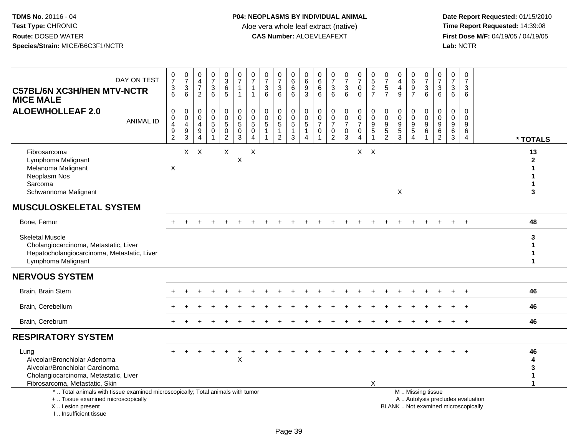| DAY ON TEST<br><b>C57BL/6N XC3H/HEN MTV-NCTR</b><br><b>MICE MALE</b>                                                                                                  | $\frac{0}{7}$<br>$\sqrt{3}$<br>6                                                            | $\frac{0}{7}$<br>$\begin{array}{c} 3 \\ 6 \end{array}$               | $\begin{smallmatrix}0\\4\end{smallmatrix}$<br>$\overline{7}$<br>$\overline{2}$ | $\frac{0}{7}$<br>3<br>$6\phantom{1}6$         | $_3^0$<br>$6^{\circ}$<br>5                                                  | 0<br>$\overline{7}$<br>$\mathbf{1}$<br>$\mathbf 1$  | $\frac{0}{7}$<br>$\mathbf{1}$<br>$\mathbf{1}$                    | $\begin{array}{c} 0 \\ 7 \end{array}$<br>$\sqrt{3}$<br>$6\phantom{1}$ | $\frac{0}{7}$<br>$\ensuremath{\mathsf{3}}$<br>$6\phantom{1}$           | 0<br>$6\phantom{1}6$<br>6<br>6                                | 0<br>$\,6\,$<br>9<br>3                                     | 0<br>$\,6\,$<br>6<br>6                                                    | $\frac{0}{7}$<br>3<br>$6\phantom{a}$                              | $\frac{0}{7}$<br>$\mathbf{3}$<br>$6\phantom{1}$                           | $\frac{0}{7}$<br>0<br>$\mathbf 0$                  | $\begin{array}{c} 0 \\ 5 \\ 2 \end{array}$<br>$\overline{7}$ | $\frac{0}{7}$<br>$\,$ 5 $\,$<br>$\overline{7}$      | 0<br>$\overline{4}$<br>$\overline{4}$<br>$\overline{9}$            | $\begin{array}{c} 0 \\ 6 \end{array}$<br>$\boldsymbol{9}$<br>$\overline{7}$ | 0<br>$\overline{7}$<br>$\mathbf{3}$<br>6 | $\frac{0}{7}$<br>$\sqrt{3}$<br>$6\phantom{1}$                         | $\frac{0}{7}$<br>$\mathbf{3}$<br>6         | $\begin{array}{c} 0 \\ 7 \end{array}$<br>$\sqrt{3}$<br>$6\phantom{1}$     |                                                   |
|-----------------------------------------------------------------------------------------------------------------------------------------------------------------------|---------------------------------------------------------------------------------------------|----------------------------------------------------------------------|--------------------------------------------------------------------------------|-----------------------------------------------|-----------------------------------------------------------------------------|-----------------------------------------------------|------------------------------------------------------------------|-----------------------------------------------------------------------|------------------------------------------------------------------------|---------------------------------------------------------------|------------------------------------------------------------|---------------------------------------------------------------------------|-------------------------------------------------------------------|---------------------------------------------------------------------------|----------------------------------------------------|--------------------------------------------------------------|-----------------------------------------------------|--------------------------------------------------------------------|-----------------------------------------------------------------------------|------------------------------------------|-----------------------------------------------------------------------|--------------------------------------------|---------------------------------------------------------------------------|---------------------------------------------------|
| <b>ALOEWHOLLEAF 2.0</b><br><b>ANIMAL ID</b>                                                                                                                           | $\mathbf 0$<br>$\mathbf 0$<br>$\overline{\mathbf{4}}$<br>$\boldsymbol{9}$<br>$\overline{2}$ | $\mathbf 0$<br>$\pmb{0}$<br>$\overline{\mathbf{4}}$<br>$\frac{9}{3}$ | $\mathbf 0$<br>$\mathbf 0$<br>$\overline{\mathbf{4}}$<br>9<br>4                | 0<br>$\mathbf 0$<br>$\sqrt{5}$<br>$\mathbf 0$ | 0<br>$\mathsf{O}\xspace$<br>$\overline{5}$<br>$\mathbf 0$<br>$\overline{2}$ | $\mathbf 0$<br>$\mathbf 0$<br>5<br>$\mathbf 0$<br>3 | $\mathbf 0$<br>$\mathbf 0$<br>5<br>$\mathbf 0$<br>$\overline{4}$ | $\mathbf 0$<br>$\mathbf 0$<br>$\sqrt{5}$                              | 0<br>$\mathbf 0$<br>$\overline{5}$<br>$\overline{1}$<br>$\overline{2}$ | $\mathbf 0$<br>$\mathbf 0$<br>$\sqrt{5}$<br>$\mathbf{1}$<br>3 | $\mathbf 0$<br>$\Omega$<br>$\sqrt{5}$<br>$\mathbf{1}$<br>4 | $\mathbf 0$<br>$\mathsf{O}\xspace$<br>$\overline{7}$<br>$\mathbf 0$<br>-1 | 0<br>$\mathsf{O}\xspace$<br>$\overline{7}$<br>0<br>$\overline{c}$ | 0<br>$\mathsf{O}\xspace$<br>$\overline{7}$<br>$\pmb{0}$<br>$\mathfrak{Z}$ | $\pmb{0}$<br>$\pmb{0}$<br>$\overline{7}$<br>0<br>4 | 0<br>$\pmb{0}$<br>$\boldsymbol{9}$<br>$\sqrt{5}$             | 0<br>$\mathbf 0$<br>$\frac{9}{5}$<br>$\overline{2}$ | 0<br>$\mathbf 0$<br>$\boldsymbol{9}$<br>$\sqrt{5}$<br>$\mathbf{3}$ | $\mathbf 0$<br>$\mathbf 0$<br>$9\,$<br>$\sqrt{5}$<br>$\overline{4}$         | 0<br>$\Omega$<br>9<br>6                  | $\mathbf 0$<br>$\mathbf 0$<br>$\boldsymbol{9}$<br>6<br>$\overline{2}$ | $\mathbf 0$<br>$\mathsf{O}$<br>9<br>6<br>3 | $\mathbf 0$<br>0<br>$\boldsymbol{9}$<br>$6\phantom{1}6$<br>$\overline{4}$ | * TOTALS                                          |
| Fibrosarcoma<br>Lymphoma Malignant<br>Melanoma Malignant<br>Neoplasm Nos<br>Sarcoma<br>Schwannoma Malignant                                                           | X                                                                                           | $\mathsf{X}$                                                         | $\boldsymbol{\mathsf{X}}$                                                      |                                               | $\mathsf X$                                                                 | X                                                   | X                                                                |                                                                       |                                                                        |                                                               |                                                            |                                                                           |                                                                   |                                                                           |                                                    | $X$ $X$                                                      |                                                     | X                                                                  |                                                                             |                                          |                                                                       |                                            |                                                                           | 13<br>$\mathbf{2}$<br>1<br>1<br>$\mathbf{1}$<br>3 |
| <b>MUSCULOSKELETAL SYSTEM</b>                                                                                                                                         |                                                                                             |                                                                      |                                                                                |                                               |                                                                             |                                                     |                                                                  |                                                                       |                                                                        |                                                               |                                                            |                                                                           |                                                                   |                                                                           |                                                    |                                                              |                                                     |                                                                    |                                                                             |                                          |                                                                       |                                            |                                                                           |                                                   |
| Bone, Femur                                                                                                                                                           |                                                                                             |                                                                      |                                                                                |                                               |                                                                             |                                                     |                                                                  |                                                                       |                                                                        |                                                               |                                                            |                                                                           |                                                                   |                                                                           |                                                    |                                                              |                                                     |                                                                    |                                                                             |                                          |                                                                       |                                            |                                                                           | 48                                                |
| <b>Skeletal Muscle</b><br>Cholangiocarcinoma, Metastatic, Liver<br>Hepatocholangiocarcinoma, Metastatic, Liver<br>Lymphoma Malignant                                  |                                                                                             |                                                                      |                                                                                |                                               |                                                                             |                                                     |                                                                  |                                                                       |                                                                        |                                                               |                                                            |                                                                           |                                                                   |                                                                           |                                                    |                                                              |                                                     |                                                                    |                                                                             |                                          |                                                                       |                                            |                                                                           | 3<br>$\mathbf{1}$<br>1<br>$\mathbf{1}$            |
| <b>NERVOUS SYSTEM</b>                                                                                                                                                 |                                                                                             |                                                                      |                                                                                |                                               |                                                                             |                                                     |                                                                  |                                                                       |                                                                        |                                                               |                                                            |                                                                           |                                                                   |                                                                           |                                                    |                                                              |                                                     |                                                                    |                                                                             |                                          |                                                                       |                                            |                                                                           |                                                   |
| Brain, Brain Stem                                                                                                                                                     |                                                                                             |                                                                      |                                                                                |                                               |                                                                             |                                                     |                                                                  |                                                                       |                                                                        |                                                               |                                                            |                                                                           |                                                                   |                                                                           |                                                    |                                                              |                                                     |                                                                    |                                                                             |                                          |                                                                       |                                            |                                                                           | 46                                                |
| Brain, Cerebellum                                                                                                                                                     |                                                                                             |                                                                      |                                                                                |                                               |                                                                             |                                                     |                                                                  |                                                                       |                                                                        |                                                               |                                                            |                                                                           |                                                                   |                                                                           |                                                    |                                                              |                                                     |                                                                    |                                                                             |                                          |                                                                       |                                            |                                                                           | 46                                                |
| Brain, Cerebrum                                                                                                                                                       |                                                                                             |                                                                      |                                                                                |                                               |                                                                             |                                                     |                                                                  |                                                                       |                                                                        |                                                               |                                                            |                                                                           |                                                                   |                                                                           |                                                    |                                                              |                                                     |                                                                    |                                                                             |                                          |                                                                       |                                            | $+$                                                                       | 46                                                |
| <b>RESPIRATORY SYSTEM</b>                                                                                                                                             |                                                                                             |                                                                      |                                                                                |                                               |                                                                             |                                                     |                                                                  |                                                                       |                                                                        |                                                               |                                                            |                                                                           |                                                                   |                                                                           |                                                    |                                                              |                                                     |                                                                    |                                                                             |                                          |                                                                       |                                            |                                                                           |                                                   |
| Lung<br>Alveolar/Bronchiolar Adenoma<br>Alveolar/Bronchiolar Carcinoma<br>Cholangiocarcinoma, Metastatic, Liver<br>Fibrosarcoma, Metastatic, Skin                     |                                                                                             |                                                                      |                                                                                |                                               |                                                                             | X                                                   |                                                                  |                                                                       |                                                                        |                                                               |                                                            |                                                                           |                                                                   |                                                                           |                                                    | X                                                            |                                                     |                                                                    |                                                                             |                                          |                                                                       |                                            |                                                                           | 46<br>4<br>3<br>$\mathbf{1}$<br>1                 |
| *  Total animals with tissue examined microscopically; Total animals with tumor<br>+  Tissue examined microscopically<br>X  Lesion present<br>I., Insufficient tissue |                                                                                             |                                                                      |                                                                                |                                               |                                                                             |                                                     |                                                                  |                                                                       |                                                                        |                                                               |                                                            |                                                                           |                                                                   |                                                                           |                                                    |                                                              |                                                     |                                                                    | M  Missing tissue                                                           |                                          |                                                                       |                                            | A  Autolysis precludes evaluation<br>BLANK  Not examined microscopically  |                                                   |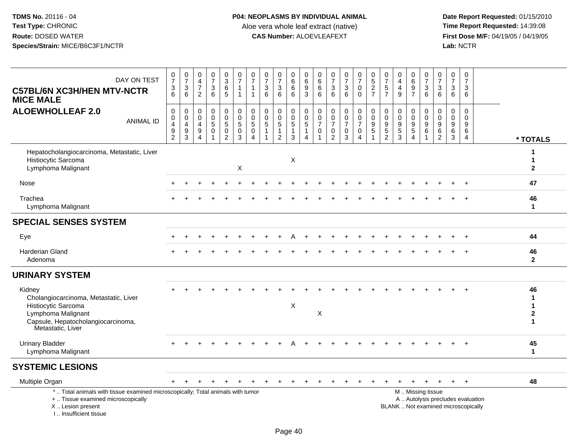| DAY ON TEST<br><b>C57BL/6N XC3H/HEN MTV-NCTR</b><br><b>MICE MALE</b>                                                                                                | $\frac{0}{7}$<br>$\frac{3}{6}$                                                           | $\frac{0}{7}$<br>$\sqrt{3}$<br>$6\phantom{1}$                                 | $\begin{smallmatrix}0\\4\end{smallmatrix}$<br>$\overline{7}$<br>2 | $\begin{array}{c} 0 \\ 7 \end{array}$<br>$\mathfrak{S}$<br>$6\phantom{1}$ | $_3^{\rm 0}$<br>$\,6\,$<br>5                                    | $\frac{0}{7}$<br>$\mathbf{1}$<br>$\overline{1}$          | 0<br>$\overline{7}$<br>$\overline{1}$<br>-1        | $\frac{0}{7}$<br>$\sqrt{3}$<br>$6\phantom{1}$                            | $\begin{array}{c} 0 \\ 7 \end{array}$<br>$\mathbf{3}$<br>6 | $\begin{array}{c} 0 \\ 6 \end{array}$<br>6<br>$6\phantom{1}$                | 0<br>$\,6$<br>$\overline{9}$<br>3        | $\begin{array}{c} 0 \\ 6 \end{array}$<br>$\,6\,$<br>6 | $\frac{0}{7}$<br>$\mathbf 3$<br>$6\phantom{a}$                         | $\frac{0}{7}$<br>$\mathbf{3}$<br>6                     | $\frac{0}{7}$<br>$\mathbf 0$<br>$\Omega$                 | $\begin{array}{c} 0 \\ 5 \\ 2 \end{array}$<br>$\overline{7}$ | $\frac{0}{7}$<br>$\overline{5}$<br>$\overline{7}$             | 0<br>$\overline{4}$<br>4<br>$\overline{9}$              | $\begin{matrix} 0 \\ 6 \end{matrix}$<br>$\overline{9}$<br>$\overline{7}$ | $\frac{0}{7}$<br>$\mathbf{3}$<br>6                  | $\begin{array}{c} 0 \\ 7 \end{array}$<br>$\sqrt{3}$<br>$6\phantom{1}$ | $\frac{0}{7}$<br>$\mathbf{3}$<br>6                            | $\frac{0}{7}$<br>3<br>$6\phantom{1}$                                     |                                                        |
|---------------------------------------------------------------------------------------------------------------------------------------------------------------------|------------------------------------------------------------------------------------------|-------------------------------------------------------------------------------|-------------------------------------------------------------------|---------------------------------------------------------------------------|-----------------------------------------------------------------|----------------------------------------------------------|----------------------------------------------------|--------------------------------------------------------------------------|------------------------------------------------------------|-----------------------------------------------------------------------------|------------------------------------------|-------------------------------------------------------|------------------------------------------------------------------------|--------------------------------------------------------|----------------------------------------------------------|--------------------------------------------------------------|---------------------------------------------------------------|---------------------------------------------------------|--------------------------------------------------------------------------|-----------------------------------------------------|-----------------------------------------------------------------------|---------------------------------------------------------------|--------------------------------------------------------------------------|--------------------------------------------------------|
| <b>ALOEWHOLLEAF 2.0</b><br><b>ANIMAL ID</b>                                                                                                                         | $\pmb{0}$<br>$\mathsf{O}\xspace$<br>$\overline{4}$<br>$\boldsymbol{9}$<br>$\overline{2}$ | $\mathbf 0$<br>$\mathsf{O}\xspace$<br>$\overline{4}$<br>$\boldsymbol{9}$<br>3 | $\mathbf 0$<br>$\mathbf 0$<br>4<br>$\boldsymbol{9}$               | 0<br>$\mathsf 0$<br>$\overline{5}$<br>$\pmb{0}$                           | 0<br>$\mathbf 0$<br>$\sqrt{5}$<br>$\mathbf 0$<br>$\overline{2}$ | $_{\rm 0}^{\rm 0}$<br>$\overline{5}$<br>$\mathbf 0$<br>3 | 0<br>$\mathbf 0$<br>$\sqrt{5}$<br>$\mathbf 0$<br>4 | $\pmb{0}$<br>$\mathbf 0$<br>$\sqrt{5}$<br>$\mathbf{1}$<br>$\overline{1}$ | 0<br>$\mathbf 0$<br>$\mathbf 5$<br>1<br>$\overline{2}$     | $\mathbf 0$<br>$\mathsf 0$<br>$\overline{5}$<br>$\mathbf 1$<br>$\mathbf{3}$ | 0<br>$\pmb{0}$<br>5<br>$\mathbf{1}$<br>4 | $\mathbf 0$<br>0<br>$\overline{7}$<br>$\mathbf 0$     | $\boldsymbol{0}$<br>$\pmb{0}$<br>$\overline{7}$<br>0<br>$\overline{2}$ | 0<br>$\mathbf 0$<br>$\overline{7}$<br>$\mathbf 0$<br>3 | $_{\rm 0}^{\rm 0}$<br>$\overline{7}$<br>$\mathbf 0$<br>4 | 0<br>$\mathbf 0$<br>$\boldsymbol{9}$<br>$\sqrt{5}$           | $\mathbf 0$<br>$\mathbf 0$<br>$\frac{9}{5}$<br>$\overline{2}$ | 0<br>$\mathbf 0$<br>$\boldsymbol{9}$<br>$\sqrt{5}$<br>3 | 0<br>$\mathsf{O}\xspace$<br>$\frac{9}{5}$<br>$\overline{4}$              | $\mathbf 0$<br>$\mathbf 0$<br>$\boldsymbol{9}$<br>6 | $\mathbf 0$<br>0<br>$\boldsymbol{9}$<br>6<br>$\overline{2}$           | 0<br>$\mathsf{O}\xspace$<br>$\boldsymbol{9}$<br>$\frac{6}{3}$ | $\mathbf 0$<br>$\mathbf 0$<br>9<br>6<br>$\overline{4}$                   | * TOTALS                                               |
| Hepatocholangiocarcinoma, Metastatic, Liver<br>Histiocytic Sarcoma<br>Lymphoma Malignant                                                                            |                                                                                          |                                                                               |                                                                   |                                                                           |                                                                 | $\mathsf X$                                              |                                                    |                                                                          |                                                            | $\boldsymbol{\mathsf{X}}$                                                   |                                          |                                                       |                                                                        |                                                        |                                                          |                                                              |                                                               |                                                         |                                                                          |                                                     |                                                                       |                                                               |                                                                          | 1<br>1<br>$\mathbf 2$                                  |
| Nose                                                                                                                                                                |                                                                                          |                                                                               |                                                                   |                                                                           |                                                                 |                                                          |                                                    |                                                                          |                                                            |                                                                             |                                          |                                                       |                                                                        |                                                        |                                                          |                                                              |                                                               |                                                         |                                                                          |                                                     |                                                                       |                                                               |                                                                          | 47                                                     |
| Trachea<br>Lymphoma Malignant                                                                                                                                       |                                                                                          |                                                                               |                                                                   |                                                                           |                                                                 |                                                          |                                                    |                                                                          |                                                            |                                                                             |                                          |                                                       |                                                                        |                                                        |                                                          |                                                              |                                                               |                                                         |                                                                          |                                                     |                                                                       |                                                               |                                                                          | 46<br>$\mathbf{1}$                                     |
| <b>SPECIAL SENSES SYSTEM</b>                                                                                                                                        |                                                                                          |                                                                               |                                                                   |                                                                           |                                                                 |                                                          |                                                    |                                                                          |                                                            |                                                                             |                                          |                                                       |                                                                        |                                                        |                                                          |                                                              |                                                               |                                                         |                                                                          |                                                     |                                                                       |                                                               |                                                                          |                                                        |
| Eye                                                                                                                                                                 |                                                                                          |                                                                               |                                                                   |                                                                           |                                                                 |                                                          |                                                    |                                                                          |                                                            |                                                                             |                                          |                                                       |                                                                        |                                                        |                                                          |                                                              |                                                               |                                                         |                                                                          |                                                     |                                                                       |                                                               | $+$                                                                      | 44                                                     |
| <b>Harderian Gland</b><br>Adenoma                                                                                                                                   |                                                                                          |                                                                               |                                                                   |                                                                           |                                                                 |                                                          |                                                    |                                                                          |                                                            |                                                                             |                                          |                                                       |                                                                        |                                                        |                                                          |                                                              |                                                               |                                                         |                                                                          |                                                     |                                                                       |                                                               |                                                                          | 46<br>$\overline{2}$                                   |
| <b>URINARY SYSTEM</b>                                                                                                                                               |                                                                                          |                                                                               |                                                                   |                                                                           |                                                                 |                                                          |                                                    |                                                                          |                                                            |                                                                             |                                          |                                                       |                                                                        |                                                        |                                                          |                                                              |                                                               |                                                         |                                                                          |                                                     |                                                                       |                                                               |                                                                          |                                                        |
| Kidney<br>Cholangiocarcinoma, Metastatic, Liver<br>Histiocytic Sarcoma<br>Lymphoma Malignant<br>Capsule, Hepatocholangiocarcinoma,<br>Metastatic, Liver             |                                                                                          |                                                                               |                                                                   |                                                                           |                                                                 |                                                          |                                                    |                                                                          |                                                            | X                                                                           |                                          | X                                                     |                                                                        |                                                        |                                                          |                                                              |                                                               |                                                         |                                                                          |                                                     |                                                                       |                                                               |                                                                          | 46<br>1<br>$\mathbf 1$<br>$\mathbf{2}$<br>$\mathbf{1}$ |
| <b>Urinary Bladder</b><br>Lymphoma Malignant                                                                                                                        |                                                                                          |                                                                               |                                                                   |                                                                           |                                                                 |                                                          |                                                    |                                                                          |                                                            |                                                                             |                                          |                                                       |                                                                        |                                                        |                                                          |                                                              |                                                               |                                                         |                                                                          |                                                     |                                                                       |                                                               |                                                                          | 45<br>$\blacktriangleleft$                             |
| <b>SYSTEMIC LESIONS</b>                                                                                                                                             |                                                                                          |                                                                               |                                                                   |                                                                           |                                                                 |                                                          |                                                    |                                                                          |                                                            |                                                                             |                                          |                                                       |                                                                        |                                                        |                                                          |                                                              |                                                               |                                                         |                                                                          |                                                     |                                                                       |                                                               |                                                                          |                                                        |
| Multiple Organ                                                                                                                                                      |                                                                                          |                                                                               |                                                                   |                                                                           |                                                                 |                                                          |                                                    |                                                                          |                                                            |                                                                             |                                          |                                                       |                                                                        |                                                        |                                                          |                                                              |                                                               |                                                         |                                                                          |                                                     |                                                                       | $\ddot{}$                                                     | $+$                                                                      | 48                                                     |
| *  Total animals with tissue examined microscopically; Total animals with tumor<br>+  Tissue examined microscopically<br>X  Lesion present<br>I Insufficient tissue |                                                                                          |                                                                               |                                                                   |                                                                           |                                                                 |                                                          |                                                    |                                                                          |                                                            |                                                                             |                                          |                                                       |                                                                        |                                                        |                                                          |                                                              |                                                               |                                                         | M  Missing tissue                                                        |                                                     |                                                                       |                                                               | A  Autolysis precludes evaluation<br>BLANK  Not examined microscopically |                                                        |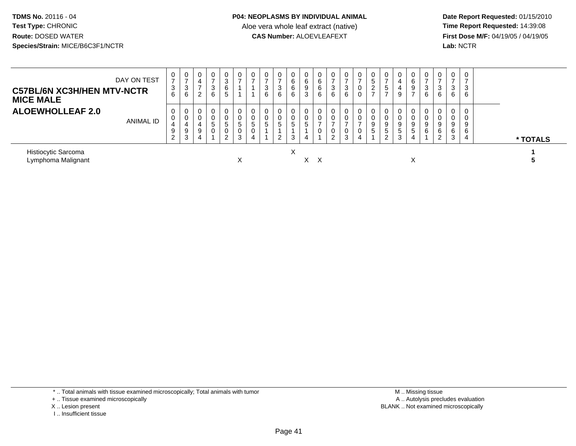## **P04: NEOPLASMS BY INDIVIDUAL ANIMAL**

Aloe vera whole leaf extract (native)<br>**CAS Number:** ALOEVLEAFEXT

 **Date Report Requested:** 01/15/2010 **First Dose M/F:** 04/19/05 / 04/19/05<br>Lab: NCTR **Lab:** NCTR

| DAY ON TEST<br><b>C57BL/6N XC3H/HEN MTV-NCTR</b><br><b>MICE MALE</b> | 0<br>3<br>6                                | 0<br>$\overline{ }$<br>3<br>6 | 0<br>4<br>$\rightarrow$<br>2 | 0<br>3<br>6                       | 0<br>◠<br>6<br>G        |        | 0           | 3<br>6 | 0<br>3<br>6                    | 0<br>6<br>6<br>6 | 0<br>6<br>9<br>3  | 6<br>6<br>6  | 3<br>6         | 0<br>-<br>3<br>6 | 0<br>$\mathbf{0}$ | 0<br>$\mathbf{p}$<br>$\overline{2}$<br>$\overline{ }$ | 0<br>$\rightarrow$<br>5<br>$\overline{ }$ | 4<br>4<br>9                | 6<br>9 | C.<br>6 | 0<br>3<br>6           | 0<br>3<br>6           | 0<br>-<br>3<br>6                   |  |          |
|----------------------------------------------------------------------|--------------------------------------------|-------------------------------|------------------------------|-----------------------------------|-------------------------|--------|-------------|--------|--------------------------------|------------------|-------------------|--------------|----------------|------------------|-------------------|-------------------------------------------------------|-------------------------------------------|----------------------------|--------|---------|-----------------------|-----------------------|------------------------------------|--|----------|
| <b>ALOEWHOLLEAF 2.0</b><br>ANIMAL ID                                 | 0<br>U<br>4<br>9<br>$\Omega$<br>$\epsilon$ | 0<br>0<br>4<br>9<br>3         | 0<br>0<br>4<br>9<br>4        | $\mathbf 0$<br>0<br>G<br>$\Omega$ | 0<br>5<br>$\Omega$<br>ົ | 5<br>3 | 0<br>5<br>0 | 5      | 0<br>0<br>ರಿ<br>$\overline{2}$ | 0<br>0<br>5<br>3 | 0<br>$\circ$<br>4 |              | $\overline{2}$ | 0<br>–<br>0<br>3 | 0<br>4            | 0<br>0<br>9<br>-5                                     | 0<br>0<br>9<br>5<br>$\overline{2}$        | 0<br>9<br>5<br>$\sim$<br>చ | 5      | 6       | 0<br>9<br>6<br>ີ<br>∠ | 0<br>0<br>9<br>6<br>3 | 0<br>0<br>9<br>6<br>$\overline{4}$ |  | * TOTALS |
| Histiocytic Sarcoma<br>Lymphoma Malignant                            |                                            |                               |                              |                                   |                         |        |             |        |                                | X                | X.                | $\mathsf{X}$ |                |                  |                   |                                                       |                                           |                            | ⋏      |         |                       |                       |                                    |  |          |

\* .. Total animals with tissue examined microscopically; Total animals with tumor

+ .. Tissue examined microscopically

X .. Lesion present

I .. Insufficient tissue

 M .. Missing tissuey the contract of the contract of the contract of the contract of the contract of the contract of the contract of  $A$ . Autolysis precludes evaluation Lesion present BLANK .. Not examined microscopically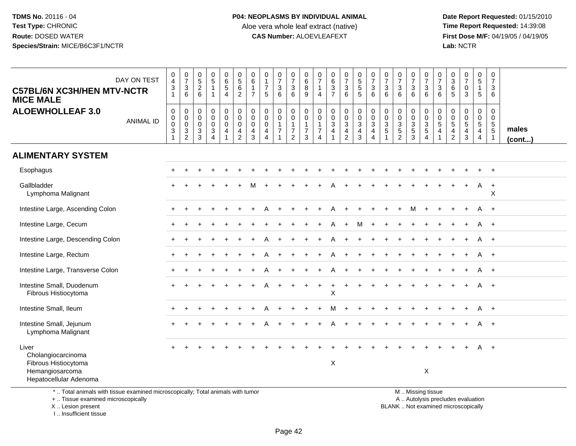**Date Report Requested:** 01/15/2010 **First Dose M/F:** 04/19/05 / 04/19/05<br>Lab: NCTR **Lab:** NCTR

| <b>C57BL/6N XC3H/HEN MTV-NCTR</b><br><b>MICE MALE</b>                                                                                      | DAY ON TEST      | $\mathbf 0$<br>$\overline{a}$<br>$\ensuremath{\mathsf{3}}$<br>$\overline{1}$ | $\begin{smallmatrix}0\\7\end{smallmatrix}$<br>$\ensuremath{\mathsf{3}}$<br>6 | $\begin{array}{c} 0 \\ 5 \end{array}$<br>$\overline{2}$<br>$6\phantom{1}$ | $\begin{array}{c} 0 \\ 5 \end{array}$<br>$\mathbf{1}$<br>$\mathbf 1$ | $\begin{array}{c} 0 \\ 6 \end{array}$<br>$\sqrt{5}$<br>$\overline{4}$ | $\begin{array}{c} 0 \\ 5 \end{array}$<br>$\,6$<br>$\overline{2}$ | $\mathbf 0$<br>6<br>$\mathbf{1}$<br>$\overline{7}$               | $\mathbf 0$<br>$\overline{1}$<br>$\overline{\mathcal{I}}$<br>5      | $\frac{0}{7}$<br>3<br>$6\phantom{1}$               | $\frac{0}{7}$<br>$\mathbf{3}$<br>6                                           | $\mathbf 0$<br>$\overline{6}$<br>8<br>9                         | $\mathbf 0$<br>$\overline{7}$<br>$\overline{1}$<br>$\overline{4}$                     | $\begin{array}{c} 0 \\ 6 \end{array}$<br>$\frac{3}{7}$                        | $\begin{smallmatrix}0\\7\end{smallmatrix}$<br>$\mathsf 3$<br>6                            | $\begin{array}{c} 0 \\ 5 \end{array}$<br>$\sqrt{5}$<br>5                        | $\frac{0}{7}$<br>3<br>6                           | 0<br>$\overline{7}$<br>$\sqrt{3}$<br>$6\phantom{1}$              | $\begin{array}{c} 0 \\ 7 \end{array}$<br>$\ensuremath{\mathsf{3}}$<br>$6\phantom{a}$  | $\begin{array}{c} 0 \\ 7 \end{array}$<br>3<br>6                            | $\frac{0}{7}$<br>$\ensuremath{\mathsf{3}}$<br>6                                               | 0<br>$\overline{7}$<br>3<br>6                      | $\pmb{0}$<br>$\mathbf{3}$<br>$\,6$<br>5                     | $\frac{0}{7}$<br>0<br>3            | $\pmb{0}$<br>$\sqrt{5}$<br>$\mathbf{1}$<br>$\sqrt{5}$ | $\begin{array}{c} 0 \\ 7 \end{array}$<br>$\mathbf{3}$<br>6                  |                       |
|--------------------------------------------------------------------------------------------------------------------------------------------|------------------|------------------------------------------------------------------------------|------------------------------------------------------------------------------|---------------------------------------------------------------------------|----------------------------------------------------------------------|-----------------------------------------------------------------------|------------------------------------------------------------------|------------------------------------------------------------------|---------------------------------------------------------------------|----------------------------------------------------|------------------------------------------------------------------------------|-----------------------------------------------------------------|---------------------------------------------------------------------------------------|-------------------------------------------------------------------------------|-------------------------------------------------------------------------------------------|---------------------------------------------------------------------------------|---------------------------------------------------|------------------------------------------------------------------|---------------------------------------------------------------------------------------|----------------------------------------------------------------------------|-----------------------------------------------------------------------------------------------|----------------------------------------------------|-------------------------------------------------------------|------------------------------------|-------------------------------------------------------|-----------------------------------------------------------------------------|-----------------------|
| <b>ALOEWHOLLEAF 3.0</b>                                                                                                                    | <b>ANIMAL ID</b> | $\mathbf 0$<br>$\pmb{0}$<br>$\pmb{0}$<br>$\sqrt{3}$<br>1                     | 0<br>$\boldsymbol{0}$<br>$\mathsf 0$<br>$\sqrt{3}$<br>$\overline{2}$         | $\mathbf 0$<br>$\mathbf 0$<br>$\mathbf 0$<br>$\sqrt{3}$<br>3              | $\pmb{0}$<br>$\pmb{0}$<br>$\pmb{0}$<br>$\sqrt{3}$<br>$\overline{4}$  | $\mathbf 0$<br>$\mathbf 0$<br>$\mathbf 0$<br>$\overline{4}$           | $\mathbf 0$<br>$\mathbf 0$<br>$\mathbf 0$<br>4<br>$\overline{2}$ | $\mathbf 0$<br>$\mathbf 0$<br>$\mathbf 0$<br>$\overline{4}$<br>3 | $\boldsymbol{0}$<br>$\mathbf 0$<br>$\pmb{0}$<br>4<br>$\overline{4}$ | 0<br>$\mathbf 0$<br>$\mathbf{1}$<br>$\overline{7}$ | 0<br>$\mathsf{O}\xspace$<br>$\mathbf{1}$<br>$\overline{7}$<br>$\overline{2}$ | $\mathbf 0$<br>$\pmb{0}$<br>$\mathbf{1}$<br>$\overline{7}$<br>3 | $\boldsymbol{0}$<br>$\mathbf 0$<br>$\overline{1}$<br>$\overline{7}$<br>$\overline{4}$ | $\mathbf 0$<br>$\mathbf 0$<br>$\mathbf 3$<br>$\overline{4}$<br>$\overline{1}$ | 0<br>$\mathsf{O}\xspace$<br>$\ensuremath{\mathsf{3}}$<br>$\overline{a}$<br>$\overline{c}$ | $\mathbf 0$<br>$\overline{0}$<br>$\ensuremath{\mathsf{3}}$<br>4<br>$\mathbf{3}$ | $\mathbf 0$<br>$\mathsf{O}\xspace$<br>3<br>4<br>4 | 0<br>$\mathbf 0$<br>$\mathbf{3}$<br>$\sqrt{5}$<br>$\overline{1}$ | $\mathbf 0$<br>$\pmb{0}$<br>$\ensuremath{\mathsf{3}}$<br>$\sqrt{5}$<br>$\overline{c}$ | $\mathbf 0$<br>$\mathbf 0$<br>$\ensuremath{\mathsf{3}}$<br>$\sqrt{5}$<br>3 | 0<br>$\mathsf 0$<br>$\sqrt{3}$<br>$\,$ 5 $\,$<br>$\overline{4}$                               | $\mathbf 0$<br>$\mathbf 0$<br>$\sqrt{5}$<br>4<br>1 | 0<br>$\boldsymbol{0}$<br>$\mathbf 5$<br>4<br>$\overline{2}$ | 0<br>$\overline{0}$<br>5<br>4<br>3 | 0<br>$\pmb{0}$<br>$\sqrt{5}$<br>$\overline{4}$<br>4   | $\mathbf 0$<br>$\mathsf 0$<br>$\sqrt{5}$<br>$5\phantom{.0}$<br>$\mathbf{1}$ | males<br>$($ cont $)$ |
| <b>ALIMENTARY SYSTEM</b>                                                                                                                   |                  |                                                                              |                                                                              |                                                                           |                                                                      |                                                                       |                                                                  |                                                                  |                                                                     |                                                    |                                                                              |                                                                 |                                                                                       |                                                                               |                                                                                           |                                                                                 |                                                   |                                                                  |                                                                                       |                                                                            |                                                                                               |                                                    |                                                             |                                    |                                                       |                                                                             |                       |
| Esophagus                                                                                                                                  |                  |                                                                              |                                                                              |                                                                           |                                                                      |                                                                       |                                                                  |                                                                  |                                                                     |                                                    |                                                                              |                                                                 |                                                                                       |                                                                               |                                                                                           |                                                                                 |                                                   |                                                                  |                                                                                       |                                                                            |                                                                                               |                                                    |                                                             |                                    |                                                       | $\overline{+}$                                                              |                       |
| Gallbladder<br>Lymphoma Malignant                                                                                                          |                  |                                                                              |                                                                              |                                                                           |                                                                      |                                                                       |                                                                  |                                                                  |                                                                     |                                                    |                                                                              |                                                                 |                                                                                       |                                                                               |                                                                                           |                                                                                 |                                                   |                                                                  |                                                                                       |                                                                            |                                                                                               |                                                    |                                                             |                                    | A                                                     | $\overline{+}$<br>X                                                         |                       |
| Intestine Large, Ascending Colon                                                                                                           |                  |                                                                              |                                                                              |                                                                           |                                                                      |                                                                       |                                                                  |                                                                  |                                                                     |                                                    |                                                                              |                                                                 |                                                                                       |                                                                               |                                                                                           |                                                                                 |                                                   |                                                                  |                                                                                       |                                                                            |                                                                                               |                                                    |                                                             |                                    |                                                       | $\overline{1}$                                                              |                       |
| Intestine Large, Cecum                                                                                                                     |                  |                                                                              |                                                                              |                                                                           |                                                                      |                                                                       |                                                                  |                                                                  |                                                                     |                                                    |                                                                              |                                                                 |                                                                                       |                                                                               | $\ddot{}$                                                                                 | м                                                                               |                                                   |                                                                  |                                                                                       |                                                                            |                                                                                               |                                                    |                                                             |                                    | A                                                     | $^{+}$                                                                      |                       |
| Intestine Large, Descending Colon                                                                                                          |                  |                                                                              |                                                                              |                                                                           |                                                                      |                                                                       |                                                                  |                                                                  |                                                                     |                                                    |                                                                              |                                                                 |                                                                                       |                                                                               |                                                                                           |                                                                                 |                                                   |                                                                  |                                                                                       |                                                                            |                                                                                               |                                                    |                                                             |                                    | A                                                     | $+$                                                                         |                       |
| Intestine Large, Rectum                                                                                                                    |                  |                                                                              |                                                                              |                                                                           |                                                                      |                                                                       |                                                                  |                                                                  |                                                                     |                                                    |                                                                              |                                                                 |                                                                                       |                                                                               |                                                                                           |                                                                                 |                                                   |                                                                  |                                                                                       |                                                                            |                                                                                               |                                                    |                                                             |                                    |                                                       | $\overline{1}$                                                              |                       |
| Intestine Large, Transverse Colon                                                                                                          |                  |                                                                              |                                                                              |                                                                           |                                                                      |                                                                       |                                                                  |                                                                  |                                                                     |                                                    |                                                                              |                                                                 |                                                                                       |                                                                               |                                                                                           |                                                                                 |                                                   |                                                                  |                                                                                       |                                                                            |                                                                                               |                                                    |                                                             |                                    | A                                                     | $+$                                                                         |                       |
| Intestine Small, Duodenum<br>Fibrous Histiocytoma                                                                                          |                  |                                                                              |                                                                              |                                                                           |                                                                      |                                                                       |                                                                  |                                                                  |                                                                     |                                                    |                                                                              |                                                                 |                                                                                       | X                                                                             |                                                                                           |                                                                                 |                                                   |                                                                  |                                                                                       |                                                                            |                                                                                               |                                                    |                                                             |                                    |                                                       | $\overline{1}$                                                              |                       |
| Intestine Small, Ileum                                                                                                                     |                  |                                                                              |                                                                              |                                                                           |                                                                      |                                                                       |                                                                  |                                                                  |                                                                     |                                                    |                                                                              |                                                                 |                                                                                       | м                                                                             |                                                                                           |                                                                                 |                                                   |                                                                  |                                                                                       |                                                                            |                                                                                               |                                                    |                                                             |                                    | A                                                     | $+$                                                                         |                       |
| Intestine Small, Jejunum<br>Lymphoma Malignant                                                                                             |                  |                                                                              |                                                                              |                                                                           |                                                                      |                                                                       |                                                                  |                                                                  |                                                                     |                                                    |                                                                              |                                                                 |                                                                                       |                                                                               |                                                                                           |                                                                                 |                                                   |                                                                  |                                                                                       |                                                                            |                                                                                               |                                                    |                                                             |                                    | A                                                     | $+$                                                                         |                       |
| Liver<br>Cholangiocarcinoma<br>Fibrous Histiocytoma<br>Hemangiosarcoma<br>Hepatocellular Adenoma                                           |                  |                                                                              |                                                                              |                                                                           |                                                                      |                                                                       |                                                                  |                                                                  |                                                                     |                                                    |                                                                              |                                                                 |                                                                                       | $\boldsymbol{\mathsf{X}}$                                                     |                                                                                           |                                                                                 |                                                   |                                                                  |                                                                                       |                                                                            | $\times$                                                                                      |                                                    |                                                             |                                    |                                                       | $+$                                                                         |                       |
| *  Total animals with tissue examined microscopically; Total animals with tumor<br>+  Tissue examined microscopically<br>X  Lesion present |                  |                                                                              |                                                                              |                                                                           |                                                                      |                                                                       |                                                                  |                                                                  |                                                                     |                                                    |                                                                              |                                                                 |                                                                                       |                                                                               |                                                                                           |                                                                                 |                                                   |                                                                  |                                                                                       |                                                                            | M. Missing tissue<br>A  Autolysis precludes evaluation<br>BLANK  Not examined microscopically |                                                    |                                                             |                                    |                                                       |                                                                             |                       |

X .. Lesion present

I .. Insufficient tissue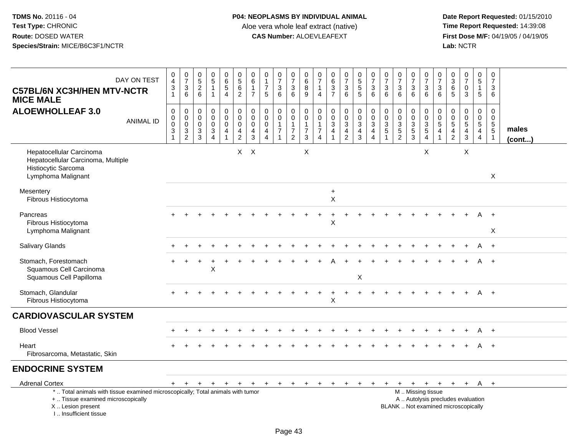| DAY ON TEST<br><b>C57BL/6N XC3H/HEN MTV-NCTR</b><br><b>MICE MALE</b>                                                                                                | $\begin{smallmatrix}0\0\4\end{smallmatrix}$<br>$\frac{3}{1}$ | $\begin{smallmatrix}0\\7\end{smallmatrix}$<br>$\frac{3}{6}$      | $0$<br>$5$<br>$2$<br>$6$                                 | $\begin{array}{c} 0 \\ 5 \end{array}$<br>$\mathbf{1}$<br>$\mathbf{1}$ | $\begin{array}{c} 0 \\ 6 \end{array}$<br>$\sqrt{5}$<br>$\overline{4}$       | $\begin{array}{c} 0 \\ 5 \end{array}$<br>$\,6\,$<br>$\overline{2}$              | 0<br>$\,6\,$<br>$\mathbf{1}$<br>$\overline{7}$                          | $\begin{smallmatrix}0\\1\end{smallmatrix}$<br>$\overline{7}$<br>5 | $\frac{0}{7}$<br>3<br>$6\overline{6}$                              | $\begin{array}{c} 0 \\ 7 \end{array}$<br>$\ensuremath{\mathsf{3}}$<br>$\overline{6}$ | 0<br>$6\phantom{a}$<br>8<br>$\boldsymbol{9}$                     | $\mathbf 0$<br>$\overline{7}$<br>$\mathbf 1$<br>$\overline{4}$       | $\begin{array}{c} 0 \\ 6 \end{array}$<br>$\frac{3}{7}$                                              | $\begin{smallmatrix}0\\7\end{smallmatrix}$<br>$\mathbf{3}$<br>$\overline{6}$ | $\begin{array}{c} 0 \\ 5 \end{array}$<br>$\overline{5}$<br>5  | $\frac{0}{7}$<br>$\mathbf{3}$<br>6                                        | $\frac{0}{7}$<br>$\mathbf{3}$<br>6                                           | $\begin{array}{c} 0 \\ 7 \end{array}$<br>$\mathbf{3}$<br>6 | $\begin{array}{c} 0 \\ 7 \end{array}$<br>$\mathbf{3}$<br>$\overline{6}$ | $\frac{0}{7}$<br>$\sqrt{3}$<br>$\overline{6}$          | 0<br>$\overline{7}$<br>3<br>6                            | $\pmb{0}$<br>$\overline{3}$<br>$\,6\,$<br>5                    | $\frac{0}{7}$<br>$\mathbf 0$<br>$\overline{3}$           | $\begin{array}{c} 0 \\ 5 \end{array}$<br>$\mathbf{1}$<br>$5\phantom{.0}$              | $\begin{array}{c} 0 \\ 7 \end{array}$<br>3<br>6                  |                 |
|---------------------------------------------------------------------------------------------------------------------------------------------------------------------|--------------------------------------------------------------|------------------------------------------------------------------|----------------------------------------------------------|-----------------------------------------------------------------------|-----------------------------------------------------------------------------|---------------------------------------------------------------------------------|-------------------------------------------------------------------------|-------------------------------------------------------------------|--------------------------------------------------------------------|--------------------------------------------------------------------------------------|------------------------------------------------------------------|----------------------------------------------------------------------|-----------------------------------------------------------------------------------------------------|------------------------------------------------------------------------------|---------------------------------------------------------------|---------------------------------------------------------------------------|------------------------------------------------------------------------------|------------------------------------------------------------|-------------------------------------------------------------------------|--------------------------------------------------------|----------------------------------------------------------|----------------------------------------------------------------|----------------------------------------------------------|---------------------------------------------------------------------------------------|------------------------------------------------------------------|-----------------|
| <b>ALOEWHOLLEAF 3.0</b><br><b>ANIMAL ID</b>                                                                                                                         | $\pmb{0}$<br>$\pmb{0}$<br>$\pmb{0}$<br>$\frac{3}{1}$         | $\mathbf 0$<br>$\mathbf 0$<br>$\mathbf 0$<br>3<br>$\overline{c}$ | $\pmb{0}$<br>$\mathbf 0$<br>$\mathbf 0$<br>$\frac{3}{3}$ | $\pmb{0}$<br>$\pmb{0}$<br>$\pmb{0}$<br>$\frac{3}{4}$                  | 0<br>$\mathsf{O}\xspace$<br>$\mathbf 0$<br>$\overline{4}$<br>$\overline{1}$ | $\mathbf 0$<br>$\mathbf 0$<br>$\mathbf 0$<br>$\overline{4}$<br>$\boldsymbol{2}$ | $\pmb{0}$<br>$\mathbf 0$<br>$\mathbf 0$<br>$\overline{4}$<br>$\sqrt{3}$ | $\mathbf 0$<br>$\mathbf 0$<br>$\mathbf 0$<br>$\frac{4}{4}$        | 0<br>$\mathbf 0$<br>$\mathbf{1}$<br>$\overline{7}$<br>$\mathbf{1}$ | 0<br>$\mathbf 0$<br>$\mathbf{1}$<br>$\boldsymbol{7}$<br>$\overline{2}$               | 0<br>$\pmb{0}$<br>$\mathbf{1}$<br>$\overline{7}$<br>$\mathbf{3}$ | 0<br>$\mathbf 0$<br>$\mathbf{1}$<br>$\overline{7}$<br>$\overline{4}$ | $\pmb{0}$<br>$\overline{0}$<br>$\overline{3}$<br>$\overline{\mathbf{4}}$<br>$\overline{\mathbf{1}}$ | 0<br>$\pmb{0}$<br>$\mathbf{3}$<br>$\frac{4}{2}$                              | $\pmb{0}$<br>$\mathbf 0$<br>$\mathbf{3}$<br>4<br>$\mathbf{3}$ | $\mathsf 0$<br>$\mathsf{O}\xspace$<br>$\mathbf{3}$<br>4<br>$\overline{4}$ | $\pmb{0}$<br>$\mathbf 0$<br>$\mathbf{3}$<br>$\overline{5}$<br>$\overline{1}$ | 0<br>$\pmb{0}$<br>$\frac{3}{5}$                            | 0<br>$\mathbf{0}$<br>$\mathbf{3}$<br>$\frac{5}{3}$                      | 0<br>$\begin{array}{c} 0 \\ 3 \\ 5 \\ 4 \end{array}$   | 0<br>0<br>$\sqrt{5}$<br>$\overline{4}$<br>$\overline{1}$ | $\mathbf 0$<br>$\boldsymbol{0}$<br>$\sqrt{5}$<br>$\frac{4}{2}$ | 0<br>$\pmb{0}$<br>$5\phantom{.0}$<br>$\overline{4}$<br>3 | $\pmb{0}$<br>$\pmb{0}$<br>$\overline{5}$<br>$\overline{4}$<br>$\overline{\mathbf{4}}$ | 0<br>$\mathbf 0$<br>$\sqrt{5}$<br>$\overline{5}$<br>$\mathbf{1}$ | males<br>(cont) |
| Hepatocellular Carcinoma<br>Hepatocellular Carcinoma, Multiple<br>Histiocytic Sarcoma<br>Lymphoma Malignant                                                         |                                                              |                                                                  |                                                          |                                                                       |                                                                             | $X$ $X$                                                                         |                                                                         |                                                                   |                                                                    |                                                                                      | X                                                                |                                                                      |                                                                                                     |                                                                              |                                                               |                                                                           |                                                                              |                                                            |                                                                         | X                                                      |                                                          |                                                                | X                                                        |                                                                                       | X                                                                |                 |
| Mesentery<br>Fibrous Histiocytoma                                                                                                                                   |                                                              |                                                                  |                                                          |                                                                       |                                                                             |                                                                                 |                                                                         |                                                                   |                                                                    |                                                                                      |                                                                  |                                                                      | $\ddot{}$<br>X                                                                                      |                                                                              |                                                               |                                                                           |                                                                              |                                                            |                                                                         |                                                        |                                                          |                                                                |                                                          |                                                                                       |                                                                  |                 |
| Pancreas<br>Fibrous Histiocytoma<br>Lymphoma Malignant                                                                                                              |                                                              |                                                                  |                                                          |                                                                       |                                                                             |                                                                                 |                                                                         |                                                                   |                                                                    |                                                                                      |                                                                  |                                                                      | X                                                                                                   |                                                                              |                                                               |                                                                           |                                                                              |                                                            |                                                                         |                                                        |                                                          |                                                                |                                                          | A                                                                                     | $+$<br>X                                                         |                 |
| Salivary Glands                                                                                                                                                     |                                                              |                                                                  |                                                          |                                                                       |                                                                             |                                                                                 |                                                                         |                                                                   |                                                                    |                                                                                      |                                                                  |                                                                      |                                                                                                     |                                                                              |                                                               |                                                                           |                                                                              |                                                            |                                                                         |                                                        |                                                          |                                                                |                                                          |                                                                                       | $+$                                                              |                 |
| Stomach, Forestomach<br>Squamous Cell Carcinoma<br>Squamous Cell Papilloma                                                                                          |                                                              |                                                                  |                                                          | X                                                                     |                                                                             |                                                                                 |                                                                         |                                                                   |                                                                    |                                                                                      |                                                                  |                                                                      |                                                                                                     |                                                                              | X                                                             |                                                                           |                                                                              |                                                            |                                                                         |                                                        |                                                          |                                                                |                                                          |                                                                                       | $+$                                                              |                 |
| Stomach, Glandular<br>Fibrous Histiocytoma                                                                                                                          |                                                              |                                                                  |                                                          |                                                                       |                                                                             |                                                                                 |                                                                         |                                                                   |                                                                    |                                                                                      |                                                                  |                                                                      | X                                                                                                   |                                                                              |                                                               |                                                                           |                                                                              |                                                            |                                                                         |                                                        |                                                          |                                                                |                                                          |                                                                                       |                                                                  |                 |
| <b>CARDIOVASCULAR SYSTEM</b>                                                                                                                                        |                                                              |                                                                  |                                                          |                                                                       |                                                                             |                                                                                 |                                                                         |                                                                   |                                                                    |                                                                                      |                                                                  |                                                                      |                                                                                                     |                                                                              |                                                               |                                                                           |                                                                              |                                                            |                                                                         |                                                        |                                                          |                                                                |                                                          |                                                                                       |                                                                  |                 |
| <b>Blood Vessel</b>                                                                                                                                                 |                                                              |                                                                  |                                                          |                                                                       |                                                                             |                                                                                 |                                                                         |                                                                   |                                                                    |                                                                                      |                                                                  |                                                                      |                                                                                                     |                                                                              |                                                               |                                                                           |                                                                              |                                                            |                                                                         |                                                        |                                                          |                                                                |                                                          | A                                                                                     | $+$                                                              |                 |
| Heart<br>Fibrosarcoma, Metastatic, Skin                                                                                                                             |                                                              |                                                                  |                                                          |                                                                       |                                                                             |                                                                                 |                                                                         |                                                                   |                                                                    |                                                                                      |                                                                  |                                                                      |                                                                                                     |                                                                              |                                                               |                                                                           |                                                                              |                                                            |                                                                         |                                                        |                                                          |                                                                |                                                          |                                                                                       | $+$                                                              |                 |
| <b>ENDOCRINE SYSTEM</b>                                                                                                                                             |                                                              |                                                                  |                                                          |                                                                       |                                                                             |                                                                                 |                                                                         |                                                                   |                                                                    |                                                                                      |                                                                  |                                                                      |                                                                                                     |                                                                              |                                                               |                                                                           |                                                                              |                                                            |                                                                         |                                                        |                                                          |                                                                |                                                          |                                                                                       |                                                                  |                 |
| <b>Adrenal Cortex</b>                                                                                                                                               |                                                              | $+$                                                              | $+$                                                      | $\ddot{}$                                                             | $+$                                                                         | $+$                                                                             | $\ddot{}$                                                               | $\ddot{}$                                                         | $+$                                                                | $+$                                                                                  | $+$                                                              | $\ddot{}$                                                            | $\ddot{}$                                                                                           | $\ddot{}$                                                                    |                                                               |                                                                           | $+$                                                                          | $+$                                                        | $+$                                                                     | $+$                                                    | $+$                                                      |                                                                | $+$ $+$                                                  | A                                                                                     | $+$                                                              |                 |
| *  Total animals with tissue examined microscopically; Total animals with tumor<br>+  Tissue examined microscopically<br>X  Lesion present<br>I Insufficient tissue |                                                              |                                                                  |                                                          |                                                                       |                                                                             |                                                                                 |                                                                         |                                                                   |                                                                    |                                                                                      |                                                                  |                                                                      |                                                                                                     |                                                                              |                                                               |                                                                           |                                                                              | BLANK  Not examined microscopically                        |                                                                         | M  Missing tissue<br>A  Autolysis precludes evaluation |                                                          |                                                                |                                                          |                                                                                       |                                                                  |                 |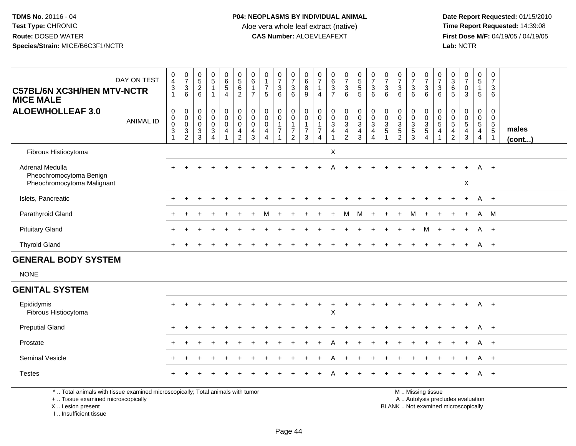**Date Report Requested:** 01/15/2010 **First Dose M/F:** 04/19/05 / 04/19/05<br>Lab: NCTR **Lab:** NCTR

| DAY ON TEST<br><b>C57BL/6N XC3H/HEN MTV-NCTR</b><br><b>MICE MALE</b>                                                  | 0<br>$\sqrt{3}$<br>$\mathbf{1}$                                                                                 | $\frac{0}{7}$<br>$\overline{4}$<br>$\sqrt{3}$<br>$\,6\,$ | $\begin{matrix} 0 \\ 5 \end{matrix}$<br>$\overline{c}$<br>6  | $\begin{array}{c} 0 \\ 5 \end{array}$<br>$\mathbf{1}$<br>$\overline{1}$          | $\begin{array}{c} 0 \\ 6 \\ 5 \end{array}$<br>$\overline{4}$ | $\begin{array}{c} 0 \\ 5 \end{array}$<br>$6\overline{6}$<br>$\overline{2}$        | 0<br>$\overline{6}$<br>$\mathbf{1}$<br>$\overline{7}$  | $\mathbf 0$<br>$\mathbf{1}$<br>$\overline{7}$<br>5                      | $\frac{0}{7}$<br>$\sqrt{3}$<br>6                                  | 0<br>$\overline{7}$<br>$\sqrt{3}$<br>6                               | 0<br>$\overline{6}$<br>$\overline{8}$<br>9                                    | 0<br>$\overline{7}$<br>$\mathbf{1}$<br>$\overline{4}$ | $\begin{array}{c} 0 \\ 6 \end{array}$<br>$\overline{3}$<br>$\overline{7}$ | $\frac{0}{7}$<br>$\mathbf{3}$<br>$6\phantom{a}$                                                            | 0<br>5<br>5<br>5                                | $\frac{0}{7}$<br>$\mathbf{3}$<br>$6\phantom{1}6$                                  | $\frac{0}{7}$<br>3<br>6                         | $\frac{0}{7}$<br>$\sqrt{3}$<br>6                              | 0<br>$\overline{7}$<br>$\mathbf{3}$<br>6               | $\frac{0}{7}$<br>$\mathbf{3}$<br>6 | $\frac{0}{7}$<br>3<br>6             | $\frac{0}{3}$<br>$6\phantom{a}$<br>5            | $\frac{0}{7}$<br>$\pmb{0}$<br>$\mathfrak{Z}$                                  | $\begin{array}{c} 0 \\ 5 \\ 1 \end{array}$<br>$\sqrt{5}$ | 0<br>$\overline{7}$<br>$\sqrt{3}$<br>6                                 |                       |
|-----------------------------------------------------------------------------------------------------------------------|-----------------------------------------------------------------------------------------------------------------|----------------------------------------------------------|--------------------------------------------------------------|----------------------------------------------------------------------------------|--------------------------------------------------------------|-----------------------------------------------------------------------------------|--------------------------------------------------------|-------------------------------------------------------------------------|-------------------------------------------------------------------|----------------------------------------------------------------------|-------------------------------------------------------------------------------|-------------------------------------------------------|---------------------------------------------------------------------------|------------------------------------------------------------------------------------------------------------|-------------------------------------------------|-----------------------------------------------------------------------------------|-------------------------------------------------|---------------------------------------------------------------|--------------------------------------------------------|------------------------------------|-------------------------------------|-------------------------------------------------|-------------------------------------------------------------------------------|----------------------------------------------------------|------------------------------------------------------------------------|-----------------------|
| <b>ALOEWHOLLEAF 3.0</b><br><b>ANIMAL ID</b>                                                                           | $\boldsymbol{0}$<br>$\begin{smallmatrix} 0\\0 \end{smallmatrix}$<br>$\ensuremath{\mathsf{3}}$<br>$\overline{1}$ | $\mathsf 0$<br>$\pmb{0}$<br>$\mathsf 0$<br>$\frac{3}{2}$ | $\mathbf 0$<br>$\mathbf 0$<br>$\mathbf 0$<br>$\sqrt{3}$<br>3 | $\pmb{0}$<br>$\mathbf 0$<br>$\mathbf 0$<br>$\ensuremath{\mathsf{3}}$<br>$\Delta$ | $\boldsymbol{0}$<br>$\tilde{0}$<br>$\mathbf 0$<br>4          | $\mathsf{O}$<br>$\ddot{\mathbf{0}}$<br>$\mathsf{O}\xspace$<br>4<br>$\overline{2}$ | $_{\rm 0}^{\rm 0}$<br>$\pmb{0}$<br>$\overline{4}$<br>3 | $\mathbf 0$<br>$\mathbf 0$<br>$\mathbf 0$<br>$\overline{4}$<br>$\Delta$ | $\mathbf 0$<br>$\boldsymbol{0}$<br>$\mathbf{1}$<br>$\overline{7}$ | 0<br>$\mathbf 0$<br>$\mathbf{1}$<br>$\overline{7}$<br>$\overline{2}$ | $\boldsymbol{0}$<br>$\overline{0}$<br>$\overline{1}$<br>$\boldsymbol{7}$<br>3 | 0<br>0<br>$\mathbf{1}$<br>$\overline{7}$<br>4         | $_{\rm 0}^{\rm 0}$<br>$\overline{3}$<br>$\overline{4}$<br>$\overline{ }$  | $\begin{smallmatrix}0\0\0\end{smallmatrix}$<br>$\overline{3}$<br>$\overline{\mathbf{4}}$<br>$\overline{2}$ | $_0^0$<br>$\overline{3}$<br>$\overline{4}$<br>3 | $\begin{smallmatrix}0\\0\\3\end{smallmatrix}$<br>$\overline{4}$<br>$\overline{4}$ | 0<br>$\mathbf 0$<br>$\mathbf{3}$<br>$\mathbf 5$ | $\mathbf 0$<br>$\pmb{0}$<br>$\overline{3}$<br>$\sqrt{5}$<br>2 | 0<br>$\mathbf 0$<br>$\overline{3}$<br>$\,$ 5 $\,$<br>3 | 000354                             | 0<br>$\mathbf 0$<br>$\sqrt{5}$<br>4 | 0<br>$\,0\,$<br>$\overline{5}$<br>$\frac{4}{2}$ | $\mathbf 0$<br>$\overline{0}$<br>5<br>$\overline{\mathbf{4}}$<br>$\mathbf{3}$ | $\mathbf 0$<br>$\frac{0}{5}$<br>$\overline{4}$           | $\mathbf 0$<br>$\mathbf 0$<br>$\sqrt{5}$<br>$\sqrt{5}$<br>$\mathbf{1}$ | males<br>$($ cont $)$ |
| Fibrous Histiocytoma                                                                                                  |                                                                                                                 |                                                          |                                                              |                                                                                  |                                                              |                                                                                   |                                                        |                                                                         |                                                                   |                                                                      |                                                                               |                                                       | X                                                                         |                                                                                                            |                                                 |                                                                                   |                                                 |                                                               |                                                        |                                    |                                     |                                                 |                                                                               |                                                          |                                                                        |                       |
| Adrenal Medulla<br>Pheochromocytoma Benign                                                                            |                                                                                                                 |                                                          |                                                              |                                                                                  |                                                              |                                                                                   |                                                        |                                                                         |                                                                   |                                                                      |                                                                               |                                                       |                                                                           |                                                                                                            |                                                 |                                                                                   |                                                 |                                                               |                                                        |                                    |                                     |                                                 |                                                                               |                                                          | $+$                                                                    |                       |
| Pheochromocytoma Malignant                                                                                            |                                                                                                                 |                                                          |                                                              |                                                                                  |                                                              |                                                                                   |                                                        |                                                                         |                                                                   |                                                                      |                                                                               |                                                       |                                                                           |                                                                                                            |                                                 |                                                                                   |                                                 |                                                               |                                                        |                                    |                                     |                                                 | X                                                                             |                                                          |                                                                        |                       |
| Islets, Pancreatic                                                                                                    |                                                                                                                 |                                                          |                                                              |                                                                                  |                                                              |                                                                                   |                                                        |                                                                         |                                                                   |                                                                      |                                                                               |                                                       |                                                                           |                                                                                                            |                                                 |                                                                                   |                                                 |                                                               |                                                        |                                    |                                     |                                                 |                                                                               |                                                          | $A +$                                                                  |                       |
| Parathyroid Gland                                                                                                     |                                                                                                                 |                                                          |                                                              |                                                                                  |                                                              |                                                                                   |                                                        |                                                                         |                                                                   |                                                                      |                                                                               |                                                       |                                                                           | м                                                                                                          | м                                               |                                                                                   |                                                 |                                                               | M                                                      |                                    |                                     |                                                 | $\overline{ }$                                                                | A                                                        | M                                                                      |                       |
| <b>Pituitary Gland</b>                                                                                                |                                                                                                                 |                                                          |                                                              |                                                                                  |                                                              |                                                                                   |                                                        |                                                                         |                                                                   |                                                                      |                                                                               |                                                       |                                                                           |                                                                                                            |                                                 |                                                                                   |                                                 |                                                               |                                                        | м                                  |                                     |                                                 |                                                                               | A                                                        | $+$                                                                    |                       |
| <b>Thyroid Gland</b>                                                                                                  |                                                                                                                 | $+$                                                      |                                                              |                                                                                  |                                                              |                                                                                   |                                                        |                                                                         |                                                                   |                                                                      |                                                                               |                                                       |                                                                           |                                                                                                            |                                                 |                                                                                   |                                                 |                                                               |                                                        |                                    |                                     |                                                 | $+$                                                                           |                                                          | A +                                                                    |                       |
| <b>GENERAL BODY SYSTEM</b>                                                                                            |                                                                                                                 |                                                          |                                                              |                                                                                  |                                                              |                                                                                   |                                                        |                                                                         |                                                                   |                                                                      |                                                                               |                                                       |                                                                           |                                                                                                            |                                                 |                                                                                   |                                                 |                                                               |                                                        |                                    |                                     |                                                 |                                                                               |                                                          |                                                                        |                       |
| <b>NONE</b>                                                                                                           |                                                                                                                 |                                                          |                                                              |                                                                                  |                                                              |                                                                                   |                                                        |                                                                         |                                                                   |                                                                      |                                                                               |                                                       |                                                                           |                                                                                                            |                                                 |                                                                                   |                                                 |                                                               |                                                        |                                    |                                     |                                                 |                                                                               |                                                          |                                                                        |                       |
| <b>GENITAL SYSTEM</b>                                                                                                 |                                                                                                                 |                                                          |                                                              |                                                                                  |                                                              |                                                                                   |                                                        |                                                                         |                                                                   |                                                                      |                                                                               |                                                       |                                                                           |                                                                                                            |                                                 |                                                                                   |                                                 |                                                               |                                                        |                                    |                                     |                                                 |                                                                               |                                                          |                                                                        |                       |
| Epididymis<br>Fibrous Histiocytoma                                                                                    |                                                                                                                 |                                                          |                                                              |                                                                                  |                                                              |                                                                                   |                                                        |                                                                         |                                                                   |                                                                      |                                                                               |                                                       | X                                                                         | $\ddot{}$                                                                                                  |                                                 |                                                                                   |                                                 |                                                               |                                                        |                                    |                                     |                                                 |                                                                               | A                                                        | $+$                                                                    |                       |
| <b>Preputial Gland</b>                                                                                                |                                                                                                                 |                                                          |                                                              |                                                                                  |                                                              |                                                                                   |                                                        |                                                                         |                                                                   |                                                                      |                                                                               |                                                       |                                                                           |                                                                                                            |                                                 |                                                                                   |                                                 |                                                               |                                                        |                                    |                                     |                                                 |                                                                               | A                                                        | $+$                                                                    |                       |
| Prostate                                                                                                              |                                                                                                                 |                                                          |                                                              |                                                                                  |                                                              |                                                                                   |                                                        |                                                                         |                                                                   |                                                                      |                                                                               |                                                       |                                                                           |                                                                                                            |                                                 |                                                                                   |                                                 |                                                               |                                                        |                                    |                                     |                                                 |                                                                               |                                                          | $+$                                                                    |                       |
| Seminal Vesicle                                                                                                       |                                                                                                                 |                                                          |                                                              |                                                                                  |                                                              |                                                                                   |                                                        |                                                                         |                                                                   |                                                                      |                                                                               |                                                       |                                                                           | $\ddot{}$                                                                                                  |                                                 |                                                                                   |                                                 |                                                               |                                                        |                                    |                                     |                                                 |                                                                               | A                                                        | $+$                                                                    |                       |
| <b>Testes</b>                                                                                                         |                                                                                                                 |                                                          |                                                              |                                                                                  |                                                              |                                                                                   |                                                        |                                                                         |                                                                   |                                                                      |                                                                               |                                                       |                                                                           |                                                                                                            |                                                 |                                                                                   |                                                 |                                                               |                                                        |                                    |                                     |                                                 |                                                                               |                                                          | $+$                                                                    |                       |
| *  Total animals with tissue examined microscopically; Total animals with tumor<br>+  Tissue examined microscopically |                                                                                                                 |                                                          |                                                              |                                                                                  |                                                              |                                                                                   |                                                        |                                                                         |                                                                   |                                                                      |                                                                               |                                                       |                                                                           |                                                                                                            |                                                 |                                                                                   |                                                 |                                                               |                                                        | M  Missing tissue                  | A  Autolysis precludes evaluation   |                                                 |                                                                               |                                                          |                                                                        |                       |

Lesion present BLANK .. Not examined microscopically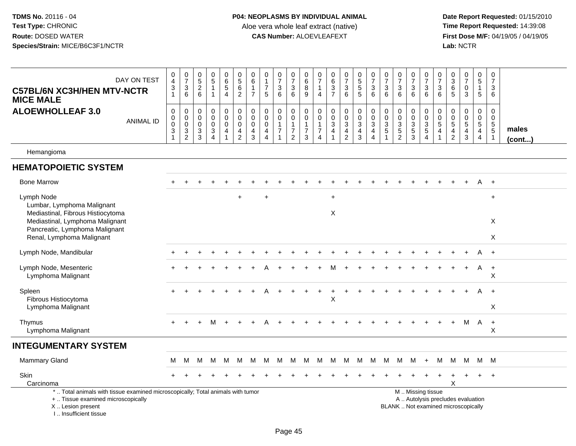| DAY ON TEST<br><b>C57BL/6N XC3H/HEN MTV-NCTR</b><br><b>MICE MALE</b>                                                                                                  | $\pmb{0}$<br>$\overline{4}$<br>$\ensuremath{\mathsf{3}}$<br>$\mathbf{1}$ | $\begin{array}{c} 0 \\ 7 \end{array}$<br>3<br>6        | $\pmb{0}$<br>$\overline{5}$<br>$\sqrt{2}$<br>6           | $\begin{array}{c} 0 \\ 5 \end{array}$<br>$\mathbf{1}$                                  | $\mathbf 0$<br>$6\phantom{a}$<br>$\,$ 5 $\,$<br>$\overline{4}$            | $\mathbf 0$<br>$\overline{5}$<br>$\,6\,$<br>$\sqrt{2}$   | $\mathbf 0$<br>$6\phantom{1}6$<br>$\overline{1}$<br>$\overline{7}$    | 0<br>$\mathbf{1}$<br>$\overline{7}$<br>5                                      | $\begin{matrix}0\\7\end{matrix}$<br>3<br>6               | $\,0\,$<br>$\overline{7}$<br>$\sqrt{3}$<br>$\,6\,$                 | $\mathbf 0$<br>$6\phantom{a}$<br>8<br>$\boldsymbol{9}$                   | 0<br>$\overline{7}$<br>$\mathbf{1}$<br>$\overline{4}$                          | $\pmb{0}$<br>$\frac{6}{3}$<br>$\overline{7}$                                        | $\mathbf 0$<br>$\overline{7}$<br>$\ensuremath{\mathsf{3}}$<br>$\,6\,$ | $\mathbf 0$<br>$\overline{5}$<br>5<br>5                   | 0<br>$\overline{7}$<br>$\mathbf{3}$<br>6             | $\begin{array}{c} 0 \\ 7 \end{array}$<br>$\mathbf{3}$<br>6             | $\frac{0}{7}$<br>3<br>6                           | 0<br>$\overline{7}$<br>$\ensuremath{\mathsf{3}}$<br>$\,6\,$       | 0<br>$\overline{7}$<br>$\sqrt{3}$<br>$\,6\,$                | 0<br>$\overline{7}$<br>$\mathbf{3}$<br>6              | $\mathbf 0$<br>$\overline{3}$<br>$\,6\,$<br>5                      | 0<br>$\overline{7}$<br>$\pmb{0}$<br>3                                    | $\mathbf 0$<br>$\overline{5}$<br>$\mathbf{1}$<br>$\sqrt{5}$                      | $\mathbf 0$<br>$\overline{7}$<br>3<br>6                     |                       |
|-----------------------------------------------------------------------------------------------------------------------------------------------------------------------|--------------------------------------------------------------------------|--------------------------------------------------------|----------------------------------------------------------|----------------------------------------------------------------------------------------|---------------------------------------------------------------------------|----------------------------------------------------------|-----------------------------------------------------------------------|-------------------------------------------------------------------------------|----------------------------------------------------------|--------------------------------------------------------------------|--------------------------------------------------------------------------|--------------------------------------------------------------------------------|-------------------------------------------------------------------------------------|-----------------------------------------------------------------------|-----------------------------------------------------------|------------------------------------------------------|------------------------------------------------------------------------|---------------------------------------------------|-------------------------------------------------------------------|-------------------------------------------------------------|-------------------------------------------------------|--------------------------------------------------------------------|--------------------------------------------------------------------------|----------------------------------------------------------------------------------|-------------------------------------------------------------|-----------------------|
| <b>ALOEWHOLLEAF 3.0</b><br><b>ANIMAL ID</b>                                                                                                                           | $\,0\,$<br>$\pmb{0}$<br>$\overline{0}$<br>$\mathbf{3}$<br>1              | 0<br>$\mathbf 0$<br>$\mathbf 0$<br>3<br>$\overline{2}$ | 0<br>0<br>0<br>$\ensuremath{\mathsf{3}}$<br>$\mathbf{3}$ | $\mathbf 0$<br>$\mathbf 0$<br>$\pmb{0}$<br>$\ensuremath{\mathsf{3}}$<br>$\overline{4}$ | $\pmb{0}$<br>$\mathbf 0$<br>$\pmb{0}$<br>$\overline{4}$<br>$\overline{1}$ | $\pmb{0}$<br>$\mathbf 0$<br>$\mathbf 0$<br>$\frac{4}{2}$ | $\boldsymbol{0}$<br>$\mathbf 0$<br>$\mathbf 0$<br>$\overline{4}$<br>3 | $\mathbf 0$<br>$\mathbf 0$<br>$\mathbf 0$<br>$\overline{4}$<br>$\overline{4}$ | 0<br>0<br>$\mathbf{1}$<br>$\overline{7}$<br>$\mathbf{1}$ | $\pmb{0}$<br>0<br>$\mathbf{1}$<br>$\overline{7}$<br>$\overline{2}$ | $\mathbf 0$<br>$\,0\,$<br>$\mathbf{1}$<br>$\overline{7}$<br>$\mathbf{3}$ | $\mathbf 0$<br>$\mathbf 0$<br>$\mathbf{1}$<br>$\overline{7}$<br>$\overline{4}$ | $\pmb{0}$<br>$\mathbf 0$<br>$\sqrt{3}$<br>$\overline{4}$<br>$\overline{\mathbf{1}}$ | 0<br>$\mathbf 0$<br>$\mathsf 3$<br>$\frac{4}{2}$                      | $\pmb{0}$<br>$\mathbf 0$<br>$\mathbf{3}$<br>$\frac{4}{3}$ | $\mathbf 0$<br>$\mathbf 0$<br>$\mathbf{3}$<br>4<br>4 | $\mathbf 0$<br>$\pmb{0}$<br>$\sqrt{3}$<br>$\sqrt{5}$<br>$\overline{1}$ | 0<br>$\mathbf 0$<br>$\mathbf{3}$<br>$\frac{5}{2}$ | 0<br>$\mathbf 0$<br>$\ensuremath{\mathsf{3}}$<br>$\,$ 5 $\,$<br>3 | $\mathbf 0$<br>$\pmb{0}$<br>$\frac{3}{5}$<br>$\overline{4}$ | 0<br>$\mathbf 0$<br>$\sqrt{5}$<br>$\overline{4}$<br>1 | $\boldsymbol{0}$<br>$\mathbf 0$<br>$\overline{5}$<br>$\frac{4}{2}$ | 0<br>$\pmb{0}$<br>$\overline{5}$<br>$\frac{4}{3}$                        | $\mathsf 0$<br>$\mathbf 0$<br>$\overline{5}$<br>$\overline{4}$<br>$\overline{4}$ | 0<br>0<br>$5\phantom{.0}$<br>$\overline{5}$<br>$\mathbf{1}$ | males<br>$($ cont $)$ |
| Hemangioma                                                                                                                                                            |                                                                          |                                                        |                                                          |                                                                                        |                                                                           |                                                          |                                                                       |                                                                               |                                                          |                                                                    |                                                                          |                                                                                |                                                                                     |                                                                       |                                                           |                                                      |                                                                        |                                                   |                                                                   |                                                             |                                                       |                                                                    |                                                                          |                                                                                  |                                                             |                       |
| <b>HEMATOPOIETIC SYSTEM</b>                                                                                                                                           |                                                                          |                                                        |                                                          |                                                                                        |                                                                           |                                                          |                                                                       |                                                                               |                                                          |                                                                    |                                                                          |                                                                                |                                                                                     |                                                                       |                                                           |                                                      |                                                                        |                                                   |                                                                   |                                                             |                                                       |                                                                    |                                                                          |                                                                                  |                                                             |                       |
| <b>Bone Marrow</b>                                                                                                                                                    |                                                                          |                                                        |                                                          |                                                                                        |                                                                           |                                                          |                                                                       |                                                                               |                                                          |                                                                    |                                                                          |                                                                                |                                                                                     |                                                                       |                                                           |                                                      |                                                                        |                                                   |                                                                   |                                                             |                                                       |                                                                    |                                                                          | A                                                                                | $+$                                                         |                       |
| Lymph Node<br>Lumbar, Lymphoma Malignant<br>Mediastinal, Fibrous Histiocytoma                                                                                         |                                                                          |                                                        |                                                          |                                                                                        |                                                                           |                                                          |                                                                       |                                                                               |                                                          |                                                                    |                                                                          |                                                                                | $\ddot{}$<br>X                                                                      |                                                                       |                                                           |                                                      |                                                                        |                                                   |                                                                   |                                                             |                                                       |                                                                    |                                                                          |                                                                                  | $\ddot{}$                                                   |                       |
| Mediastinal, Lymphoma Malignant<br>Pancreatic, Lymphoma Malignant<br>Renal, Lymphoma Malignant                                                                        |                                                                          |                                                        |                                                          |                                                                                        |                                                                           |                                                          |                                                                       |                                                                               |                                                          |                                                                    |                                                                          |                                                                                |                                                                                     |                                                                       |                                                           |                                                      |                                                                        |                                                   |                                                                   |                                                             |                                                       |                                                                    |                                                                          |                                                                                  | X<br>X                                                      |                       |
| Lymph Node, Mandibular                                                                                                                                                |                                                                          |                                                        |                                                          |                                                                                        |                                                                           |                                                          |                                                                       |                                                                               |                                                          |                                                                    |                                                                          |                                                                                |                                                                                     |                                                                       |                                                           |                                                      |                                                                        |                                                   |                                                                   |                                                             |                                                       |                                                                    |                                                                          |                                                                                  | $+$                                                         |                       |
| Lymph Node, Mesenteric<br>Lymphoma Malignant                                                                                                                          |                                                                          |                                                        |                                                          |                                                                                        |                                                                           |                                                          |                                                                       |                                                                               |                                                          |                                                                    |                                                                          |                                                                                |                                                                                     |                                                                       |                                                           |                                                      |                                                                        |                                                   |                                                                   |                                                             |                                                       |                                                                    |                                                                          | A                                                                                | $+$<br>X                                                    |                       |
| Spleen<br>Fibrous Histiocytoma<br>Lymphoma Malignant                                                                                                                  |                                                                          |                                                        |                                                          |                                                                                        |                                                                           |                                                          |                                                                       |                                                                               |                                                          |                                                                    |                                                                          |                                                                                | $\sf X$                                                                             |                                                                       |                                                           |                                                      |                                                                        |                                                   |                                                                   |                                                             |                                                       |                                                                    |                                                                          |                                                                                  | $+$<br>X                                                    |                       |
| Thymus<br>Lymphoma Malignant                                                                                                                                          |                                                                          |                                                        |                                                          | м                                                                                      |                                                                           |                                                          |                                                                       |                                                                               |                                                          |                                                                    |                                                                          |                                                                                |                                                                                     |                                                                       |                                                           |                                                      |                                                                        |                                                   |                                                                   |                                                             |                                                       | $\ddot{}$                                                          | M                                                                        | $\overline{A}$                                                                   | $+$<br>X                                                    |                       |
| <b>INTEGUMENTARY SYSTEM</b>                                                                                                                                           |                                                                          |                                                        |                                                          |                                                                                        |                                                                           |                                                          |                                                                       |                                                                               |                                                          |                                                                    |                                                                          |                                                                                |                                                                                     |                                                                       |                                                           |                                                      |                                                                        |                                                   |                                                                   |                                                             |                                                       |                                                                    |                                                                          |                                                                                  |                                                             |                       |
| Mammary Gland                                                                                                                                                         | М                                                                        | M                                                      | M                                                        | м                                                                                      | м                                                                         | М                                                        | М                                                                     | М                                                                             | M                                                        | M                                                                  | M                                                                        | M                                                                              | M                                                                                   | M                                                                     | M                                                         | M                                                    | M                                                                      | M                                                 | M                                                                 | $+$                                                         | М                                                     | M                                                                  | M                                                                        |                                                                                  | M M                                                         |                       |
| Skin<br>Carcinoma                                                                                                                                                     |                                                                          |                                                        |                                                          |                                                                                        |                                                                           |                                                          |                                                                       |                                                                               |                                                          |                                                                    |                                                                          |                                                                                |                                                                                     |                                                                       |                                                           |                                                      |                                                                        |                                                   |                                                                   |                                                             |                                                       | X                                                                  |                                                                          |                                                                                  | $\div$                                                      |                       |
| *  Total animals with tissue examined microscopically; Total animals with tumor<br>+  Tissue examined microscopically<br>X  Lesion present<br>I., Insufficient tissue |                                                                          |                                                        |                                                          |                                                                                        |                                                                           |                                                          |                                                                       |                                                                               |                                                          |                                                                    |                                                                          |                                                                                |                                                                                     |                                                                       |                                                           |                                                      |                                                                        |                                                   |                                                                   | M  Missing tissue                                           |                                                       |                                                                    | A  Autolysis precludes evaluation<br>BLANK  Not examined microscopically |                                                                                  |                                                             |                       |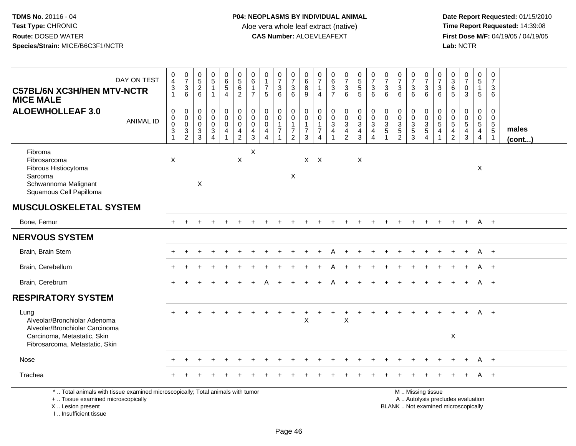| DAY ON TEST<br><b>C57BL/6N XC3H/HEN MTV-NCTR</b><br><b>MICE MALE</b>                                                                                                | $\pmb{0}$<br>$\overline{4}$<br>$\frac{3}{1}$                    | $\frac{0}{7}$<br>$\mathbf{3}$<br>6                                             | $\begin{array}{c} 0 \\ 5 \end{array}$<br>$\frac{2}{6}$                            | $\begin{array}{c} 0 \\ 5 \end{array}$<br>$\mathbf{1}$<br>$\mathbf{1}$ | $\pmb{0}$<br>$\,6\,$<br>$\sqrt{5}$<br>$\overline{4}$                              | $\begin{array}{c} 0 \\ 5 \end{array}$<br>$\,6\,$<br>$\overline{2}$                    | $\boldsymbol{0}$<br>$\,6$<br>$\mathbf{1}$<br>$\overline{7}$ | $\pmb{0}$<br>$\mathbf{1}$<br>$\overline{7}$<br>5                              | 0<br>$\overline{7}$<br>3<br>6      | 0<br>$\overline{7}$<br>$\frac{3}{6}$                                         | $\pmb{0}$<br>$\,6$<br>$\bf 8$<br>9                                 | 0<br>$\overline{7}$<br>$\overline{4}$        | $\begin{array}{c} 0 \\ 6 \end{array}$<br>$\frac{3}{7}$ | $\frac{0}{7}$<br>$\mathbf{3}$<br>6                                                     | $\begin{array}{c} 0 \\ 5 \end{array}$<br>$\overline{5}$<br>$\overline{5}$  | $\frac{0}{7}$<br>$\mathbf{3}$<br>6                                         | $\frac{0}{7}$<br>$\sqrt{3}$<br>6                                                | $\frac{0}{7}$<br>$\sqrt{3}$<br>6                                    | $\frac{0}{7}$<br>$\mathsf 3$<br>$6^{\circ}$      | $\pmb{0}$<br>$\overline{7}$<br>$\sqrt{3}$<br>6                                                | $\mathbf 0$<br>$\overline{7}$<br>$\mathbf{3}$<br>6                             | 0<br>$\mathbf{3}$<br>6<br>5                                        | $\frac{0}{7}$<br>$\mathsf{O}\xspace$<br>3                          | $\pmb{0}$<br>$\sqrt{5}$<br>$\mathbf{1}$<br>5                 | $\mathbf 0$<br>$\overline{7}$<br>$\mathbf{3}$<br>6    |                 |
|---------------------------------------------------------------------------------------------------------------------------------------------------------------------|-----------------------------------------------------------------|--------------------------------------------------------------------------------|-----------------------------------------------------------------------------------|-----------------------------------------------------------------------|-----------------------------------------------------------------------------------|---------------------------------------------------------------------------------------|-------------------------------------------------------------|-------------------------------------------------------------------------------|------------------------------------|------------------------------------------------------------------------------|--------------------------------------------------------------------|----------------------------------------------|--------------------------------------------------------|----------------------------------------------------------------------------------------|----------------------------------------------------------------------------|----------------------------------------------------------------------------|---------------------------------------------------------------------------------|---------------------------------------------------------------------|--------------------------------------------------|-----------------------------------------------------------------------------------------------|--------------------------------------------------------------------------------|--------------------------------------------------------------------|--------------------------------------------------------------------|--------------------------------------------------------------|-------------------------------------------------------|-----------------|
| <b>ALOEWHOLLEAF 3.0</b><br><b>ANIMAL ID</b>                                                                                                                         | $\mathsf 0$<br>0<br>$\mathsf 0$<br>$\sqrt{3}$<br>$\overline{1}$ | $\mathbf 0$<br>$\mathbf 0$<br>$\boldsymbol{0}$<br>$\sqrt{3}$<br>$\overline{c}$ | $\mathsf{O}\xspace$<br>$\mathbf 0$<br>$\pmb{0}$<br>$\ensuremath{\mathsf{3}}$<br>3 | 0<br>$\mathbf 0$<br>$\mathsf{O}$<br>3<br>$\overline{4}$               | $\pmb{0}$<br>$\mathsf{O}\xspace$<br>$\mathbf 0$<br>$\overline{4}$<br>$\mathbf{1}$ | $\mathsf 0$<br>$\mathsf{O}\xspace$<br>$\mathsf 0$<br>$\overline{4}$<br>$\overline{2}$ | $\mathbf 0$<br>$\mathbf 0$<br>0<br>$\overline{a}$<br>3      | $\mathbf 0$<br>$\mathbf 0$<br>$\mathsf 0$<br>$\overline{4}$<br>$\overline{4}$ | 0<br>$\mathbf 0$<br>$\overline{7}$ | $\pmb{0}$<br>$\mathbf 0$<br>$\mathbf{1}$<br>$\overline{7}$<br>$\overline{2}$ | $\mathsf{O}$<br>$\mathbf 0$<br>$\mathbf{1}$<br>$\overline{7}$<br>3 | 0<br>$\mathbf 0$<br>1<br>$\overline{7}$<br>4 | $\mathbf 0$<br>$\pmb{0}$<br>$\frac{3}{4}$              | $\mathbf 0$<br>$\mathsf{O}\xspace$<br>$\mathbf{3}$<br>$\overline{4}$<br>$\overline{c}$ | $\pmb{0}$<br>$\mathbf 0$<br>$\mathbf{3}$<br>$\overline{4}$<br>$\mathbf{3}$ | $\mathbf 0$<br>$\mathbf 0$<br>$\mathbf{3}$<br>4<br>$\overline{\mathbf{4}}$ | $\pmb{0}$<br>$\mathbf 0$<br>$\sqrt{3}$<br>$\sqrt{5}$<br>$\overline{\mathbf{1}}$ | $\pmb{0}$<br>$\mathsf{O}\xspace$<br>$\frac{3}{5}$<br>$\overline{2}$ | $\mathbf 0$<br>$\mathbf 0$<br>$\frac{3}{5}$<br>3 | $\mathbf 0$<br>$\mathbf 0$<br>$\sqrt{3}$<br>$\overline{5}$<br>$\overline{4}$                  | $\mathbf 0$<br>$\mathbf 0$<br>$\overline{5}$<br>$\overline{4}$<br>$\mathbf{1}$ | 0<br>$\mathbf 0$<br>$\sqrt{5}$<br>$\overline{4}$<br>$\overline{2}$ | $\mathbf 0$<br>$\pmb{0}$<br>$5\phantom{.0}$<br>$\overline{4}$<br>3 | $\pmb{0}$<br>$\begin{array}{c} 0 \\ 5 \\ 4 \end{array}$<br>4 | 0<br>$\mathbf 0$<br>$5\phantom{.0}$<br>$\overline{5}$ | males<br>(cont) |
| Fibroma<br>Fibrosarcoma<br>Fibrous Histiocytoma<br>Sarcoma<br>Schwannoma Malignant<br>Squamous Cell Papilloma                                                       | $\times$                                                        |                                                                                | $\mathsf X$                                                                       |                                                                       |                                                                                   | X                                                                                     | $\boldsymbol{\mathsf{X}}$                                   |                                                                               |                                    | $\boldsymbol{\mathsf{X}}$                                                    | X                                                                  | $\times$                                     |                                                        |                                                                                        | X                                                                          |                                                                            |                                                                                 |                                                                     |                                                  |                                                                                               |                                                                                |                                                                    |                                                                    | X                                                            |                                                       |                 |
| <b>MUSCULOSKELETAL SYSTEM</b>                                                                                                                                       |                                                                 |                                                                                |                                                                                   |                                                                       |                                                                                   |                                                                                       |                                                             |                                                                               |                                    |                                                                              |                                                                    |                                              |                                                        |                                                                                        |                                                                            |                                                                            |                                                                                 |                                                                     |                                                  |                                                                                               |                                                                                |                                                                    |                                                                    |                                                              |                                                       |                 |
| Bone, Femur                                                                                                                                                         |                                                                 |                                                                                |                                                                                   |                                                                       |                                                                                   |                                                                                       |                                                             |                                                                               |                                    |                                                                              |                                                                    |                                              |                                                        |                                                                                        |                                                                            |                                                                            |                                                                                 |                                                                     |                                                  |                                                                                               |                                                                                |                                                                    | $\ddot{}$                                                          | A +                                                          |                                                       |                 |
| <b>NERVOUS SYSTEM</b>                                                                                                                                               |                                                                 |                                                                                |                                                                                   |                                                                       |                                                                                   |                                                                                       |                                                             |                                                                               |                                    |                                                                              |                                                                    |                                              |                                                        |                                                                                        |                                                                            |                                                                            |                                                                                 |                                                                     |                                                  |                                                                                               |                                                                                |                                                                    |                                                                    |                                                              |                                                       |                 |
| Brain, Brain Stem                                                                                                                                                   |                                                                 |                                                                                |                                                                                   |                                                                       |                                                                                   |                                                                                       |                                                             |                                                                               |                                    |                                                                              |                                                                    |                                              |                                                        |                                                                                        |                                                                            |                                                                            |                                                                                 |                                                                     |                                                  |                                                                                               |                                                                                |                                                                    |                                                                    | A                                                            | $+$                                                   |                 |
| Brain, Cerebellum                                                                                                                                                   |                                                                 |                                                                                |                                                                                   |                                                                       |                                                                                   |                                                                                       |                                                             |                                                                               |                                    |                                                                              |                                                                    |                                              |                                                        |                                                                                        |                                                                            |                                                                            |                                                                                 |                                                                     |                                                  |                                                                                               |                                                                                |                                                                    |                                                                    | A                                                            | $+$                                                   |                 |
| Brain, Cerebrum                                                                                                                                                     |                                                                 |                                                                                |                                                                                   |                                                                       |                                                                                   |                                                                                       |                                                             |                                                                               |                                    |                                                                              |                                                                    |                                              |                                                        |                                                                                        |                                                                            |                                                                            |                                                                                 |                                                                     |                                                  |                                                                                               |                                                                                |                                                                    |                                                                    | A                                                            | $+$                                                   |                 |
| <b>RESPIRATORY SYSTEM</b>                                                                                                                                           |                                                                 |                                                                                |                                                                                   |                                                                       |                                                                                   |                                                                                       |                                                             |                                                                               |                                    |                                                                              |                                                                    |                                              |                                                        |                                                                                        |                                                                            |                                                                            |                                                                                 |                                                                     |                                                  |                                                                                               |                                                                                |                                                                    |                                                                    |                                                              |                                                       |                 |
| Lung<br>Alveolar/Bronchiolar Adenoma<br>Alveolar/Bronchiolar Carcinoma                                                                                              |                                                                 |                                                                                |                                                                                   |                                                                       |                                                                                   |                                                                                       |                                                             |                                                                               |                                    |                                                                              | $\mathsf X$                                                        |                                              |                                                        | $\mathsf X$                                                                            |                                                                            |                                                                            |                                                                                 |                                                                     |                                                  |                                                                                               |                                                                                |                                                                    |                                                                    | A                                                            | $+$                                                   |                 |
| Carcinoma, Metastatic, Skin<br>Fibrosarcoma, Metastatic, Skin                                                                                                       |                                                                 |                                                                                |                                                                                   |                                                                       |                                                                                   |                                                                                       |                                                             |                                                                               |                                    |                                                                              |                                                                    |                                              |                                                        |                                                                                        |                                                                            |                                                                            |                                                                                 |                                                                     |                                                  |                                                                                               |                                                                                | X                                                                  |                                                                    |                                                              |                                                       |                 |
| Nose                                                                                                                                                                |                                                                 |                                                                                |                                                                                   |                                                                       |                                                                                   |                                                                                       |                                                             |                                                                               |                                    |                                                                              |                                                                    |                                              |                                                        |                                                                                        |                                                                            |                                                                            |                                                                                 |                                                                     |                                                  |                                                                                               |                                                                                |                                                                    |                                                                    | A                                                            | $+$                                                   |                 |
| Trachea                                                                                                                                                             |                                                                 |                                                                                |                                                                                   |                                                                       |                                                                                   |                                                                                       |                                                             |                                                                               |                                    |                                                                              |                                                                    |                                              |                                                        |                                                                                        |                                                                            |                                                                            |                                                                                 |                                                                     |                                                  |                                                                                               |                                                                                |                                                                    |                                                                    | А                                                            | $+$                                                   |                 |
| *  Total animals with tissue examined microscopically; Total animals with tumor<br>+  Tissue examined microscopically<br>X  Lesion present<br>I Insufficient tissue |                                                                 |                                                                                |                                                                                   |                                                                       |                                                                                   |                                                                                       |                                                             |                                                                               |                                    |                                                                              |                                                                    |                                              |                                                        |                                                                                        |                                                                            |                                                                            |                                                                                 |                                                                     |                                                  | M  Missing tissue<br>A  Autolysis precludes evaluation<br>BLANK  Not examined microscopically |                                                                                |                                                                    |                                                                    |                                                              |                                                       |                 |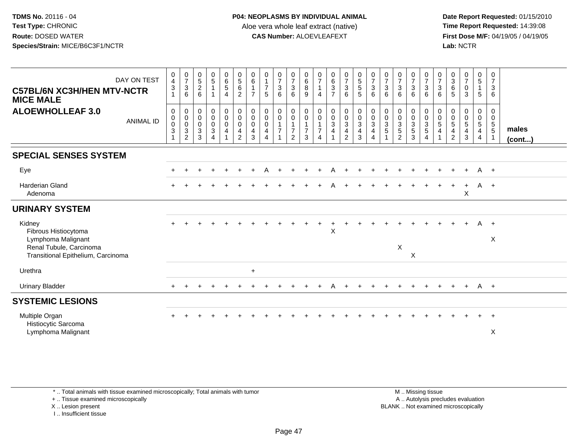**Date Report Requested:** 01/15/2010 **First Dose M/F:** 04/19/05 / 04/19/05<br>Lab: NCTR **Lab:** NCTR

| DAY ON TEST<br><b>C57BL/6N XC3H/HEN MTV-NCTR</b><br><b>MICE MALE</b>                                                  | $_4^{\rm 0}$<br>$\sqrt{3}$<br>$\mathbf{1}$                      | $\frac{0}{7}$<br>$\sqrt{3}$<br>6                                               | $\begin{array}{c} 0 \\ 5 \end{array}$<br>$\overline{2}$<br>6     | $\begin{matrix} 0 \\ 5 \end{matrix}$<br>$\mathbf{1}$                  | $_{6}^{\rm 0}$<br>$5\,$<br>$\overline{4}$                           | $\begin{array}{c} 0 \\ 5 \end{array}$<br>$6^{\circ}$<br>$\overline{2}$                 | $\begin{array}{c} 0 \\ 6 \end{array}$<br>$\mathbf{1}$<br>$\overline{7}$ | $\begin{array}{c} 0 \\ 1 \\ 7 \end{array}$<br>5                    | $\frac{0}{7}$<br>$\ensuremath{\mathsf{3}}$<br>6                              | $\frac{0}{7}$<br>$\mathsf 3$<br>6                                            | $\begin{array}{c} 0 \\ 6 \\ 8 \end{array}$<br>9                 | $\frac{0}{7}$<br>$\mathbf{1}$<br>$\overline{4}$                            | $\begin{matrix} 0 \\ 6 \\ 3 \end{matrix}$<br>$\overline{7}$ | $\frac{0}{7}$<br>$\frac{3}{6}$ | $\begin{array}{c} 0 \\ 5 \\ 5 \end{array}$<br>$5\phantom{1}$ | $\frac{0}{7}$<br>3<br>6         | $\begin{array}{c} 0 \\ 7 \\ 3 \end{array}$<br>$6\phantom{1}$ | $\begin{array}{c} 0 \\ 7 \\ 3 \end{array}$<br>6      | $\frac{0}{7}$<br>3<br>6                              | $\begin{array}{c} 0 \\ 7 \\ 3 \end{array}$<br>$6\phantom{1}6$             | $\frac{0}{7}$<br>$\sqrt{3}$<br>6            | $\frac{0}{3}$<br>$\,6\,$<br>5                           | $\frac{0}{7}$<br>$\pmb{0}$<br>3                   | $\begin{matrix} 0 \\ 5 \end{matrix}$<br>$\mathbf{1}$<br>$5\phantom{.0}$        | 0<br>$\overline{7}$<br>3<br>6                                 |                       |
|-----------------------------------------------------------------------------------------------------------------------|-----------------------------------------------------------------|--------------------------------------------------------------------------------|------------------------------------------------------------------|-----------------------------------------------------------------------|---------------------------------------------------------------------|----------------------------------------------------------------------------------------|-------------------------------------------------------------------------|--------------------------------------------------------------------|------------------------------------------------------------------------------|------------------------------------------------------------------------------|-----------------------------------------------------------------|----------------------------------------------------------------------------|-------------------------------------------------------------|--------------------------------|--------------------------------------------------------------|---------------------------------|--------------------------------------------------------------|------------------------------------------------------|------------------------------------------------------|---------------------------------------------------------------------------|---------------------------------------------|---------------------------------------------------------|---------------------------------------------------|--------------------------------------------------------------------------------|---------------------------------------------------------------|-----------------------|
| <b>ALOEWHOLLEAF 3.0</b><br><b>ANIMAL ID</b>                                                                           | $\mathbf 0$<br>$\mathsf{O}\xspace$<br>$\mathbf 0$<br>$\sqrt{3}$ | $\mathbf 0$<br>$\pmb{0}$<br>$\overline{0}$<br>$\overline{3}$<br>$\overline{2}$ | $\mathbf 0$<br>$\mathbf 0$<br>$\mathbf 0$<br>$\overline{3}$<br>3 | $\mathbf 0$<br>$\mathsf{O}\xspace$<br>$\mathsf 0$<br>$\mathbf 3$<br>4 | $\mathbf 0$<br>$\mathsf{O}\xspace$<br>$\mathbf 0$<br>$\overline{4}$ | $_{\rm 0}^{\rm 0}$<br>$\mathsf{O}\xspace$<br>$\overline{\mathbf{4}}$<br>$\overline{2}$ | $\mathbf 0$<br>$\mathbf 0$<br>$\mathbf 0$<br>$\overline{a}$<br>3        | $\boldsymbol{0}$<br>$\mathbf 0$<br>$\overline{0}$<br>4<br>$\Delta$ | 0<br>$\mathsf{O}\xspace$<br>$\mathbf{1}$<br>$\overline{7}$<br>$\overline{1}$ | $\pmb{0}$<br>$\pmb{0}$<br>$\mathbf{1}$<br>$\boldsymbol{7}$<br>$\overline{2}$ | 0<br>$\mathsf{O}\xspace$<br>$\mathbf{1}$<br>$\overline{7}$<br>3 | $\pmb{0}$<br>$\pmb{0}$<br>$\mathbf{1}$<br>$\overline{7}$<br>$\overline{4}$ | $\begin{array}{c} 0 \\ 0 \\ 3 \\ 4 \end{array}$             | 000342                         | $\begin{matrix} 0 \\ 0 \\ 3 \\ 4 \\ 3 \end{matrix}$          | 0<br>$\mathbf 0$<br>3<br>4<br>4 | $\pmb{0}$<br>$\frac{0}{3}$<br>$\overline{5}$                 | 0<br>$\begin{array}{c} 0 \\ 3 \\ 5 \\ 2 \end{array}$ | 0<br>$\begin{array}{c} 0 \\ 3 \\ 5 \\ 3 \end{array}$ | $\begin{array}{c} 0 \\ 0 \\ 3 \\ 5 \end{array}$<br>$\boldsymbol{\Lambda}$ | 0<br>$\mathsf{O}\xspace$<br>$\sqrt{5}$<br>4 | 0<br>$\pmb{0}$<br>$\overline{5}$<br>4<br>$\overline{2}$ | 0<br>$\boldsymbol{0}$<br>$\overline{5}$<br>4<br>3 | 0<br>$\mathsf{O}\xspace$<br>$\overline{5}$<br>$\overline{4}$<br>$\overline{4}$ | 0<br>$\mathsf{O}\xspace$<br>$5\phantom{.0}$<br>$\overline{5}$ | males<br>$($ cont $)$ |
| <b>SPECIAL SENSES SYSTEM</b>                                                                                          |                                                                 |                                                                                |                                                                  |                                                                       |                                                                     |                                                                                        |                                                                         |                                                                    |                                                                              |                                                                              |                                                                 |                                                                            |                                                             |                                |                                                              |                                 |                                                              |                                                      |                                                      |                                                                           |                                             |                                                         |                                                   |                                                                                |                                                               |                       |
| Eye                                                                                                                   |                                                                 |                                                                                |                                                                  |                                                                       |                                                                     |                                                                                        |                                                                         |                                                                    |                                                                              |                                                                              |                                                                 | $\div$                                                                     | A                                                           |                                |                                                              |                                 |                                                              |                                                      |                                                      |                                                                           |                                             |                                                         | $\ddot{}$                                         | A +                                                                            |                                                               |                       |
| <b>Harderian Gland</b><br>Adenoma                                                                                     |                                                                 |                                                                                |                                                                  |                                                                       |                                                                     |                                                                                        |                                                                         |                                                                    |                                                                              |                                                                              |                                                                 |                                                                            |                                                             |                                |                                                              |                                 |                                                              |                                                      |                                                      |                                                                           |                                             |                                                         | $\ddot{}$<br>X                                    |                                                                                | $A +$                                                         |                       |
| <b>URINARY SYSTEM</b>                                                                                                 |                                                                 |                                                                                |                                                                  |                                                                       |                                                                     |                                                                                        |                                                                         |                                                                    |                                                                              |                                                                              |                                                                 |                                                                            |                                                             |                                |                                                              |                                 |                                                              |                                                      |                                                      |                                                                           |                                             |                                                         |                                                   |                                                                                |                                                               |                       |
| Kidney<br>Fibrous Histiocytoma<br>Lymphoma Malignant<br>Renal Tubule, Carcinoma<br>Transitional Epithelium, Carcinoma |                                                                 |                                                                                |                                                                  |                                                                       |                                                                     |                                                                                        |                                                                         |                                                                    |                                                                              |                                                                              |                                                                 |                                                                            | X                                                           |                                |                                                              |                                 |                                                              | X                                                    | X                                                    |                                                                           |                                             |                                                         |                                                   | A                                                                              | $+$<br>$\boldsymbol{\mathsf{X}}$                              |                       |
| Urethra                                                                                                               |                                                                 |                                                                                |                                                                  |                                                                       |                                                                     |                                                                                        | $\ddot{}$                                                               |                                                                    |                                                                              |                                                                              |                                                                 |                                                                            |                                                             |                                |                                                              |                                 |                                                              |                                                      |                                                      |                                                                           |                                             |                                                         |                                                   |                                                                                |                                                               |                       |
| <b>Urinary Bladder</b>                                                                                                |                                                                 |                                                                                |                                                                  |                                                                       |                                                                     |                                                                                        |                                                                         |                                                                    |                                                                              |                                                                              |                                                                 | $\div$                                                                     | A                                                           | $\overline{+}$                 | $\ddot{}$                                                    | $\pm$                           |                                                              | $\ddot{}$                                            | $\ddot{}$                                            | $+$                                                                       | $\ddot{}$                                   | $+$                                                     | $+$                                               | A +                                                                            |                                                               |                       |
| <b>SYSTEMIC LESIONS</b>                                                                                               |                                                                 |                                                                                |                                                                  |                                                                       |                                                                     |                                                                                        |                                                                         |                                                                    |                                                                              |                                                                              |                                                                 |                                                                            |                                                             |                                |                                                              |                                 |                                                              |                                                      |                                                      |                                                                           |                                             |                                                         |                                                   |                                                                                |                                                               |                       |
| Multiple Organ<br>Histiocytic Sarcoma<br>Lymphoma Malignant                                                           |                                                                 |                                                                                |                                                                  |                                                                       |                                                                     |                                                                                        |                                                                         |                                                                    |                                                                              |                                                                              |                                                                 |                                                                            |                                                             |                                |                                                              |                                 |                                                              |                                                      |                                                      |                                                                           |                                             |                                                         |                                                   |                                                                                | $\overline{+}$<br>X                                           |                       |

\* .. Total animals with tissue examined microscopically; Total animals with tumor

+ .. Tissue examined microscopically

X .. Lesion present

I .. Insufficient tissue

 M .. Missing tissuey the contract of the contract of the contract of the contract of the contract of the contract of the contract of  $A$ . Autolysis precludes evaluation Lesion present BLANK .. Not examined microscopically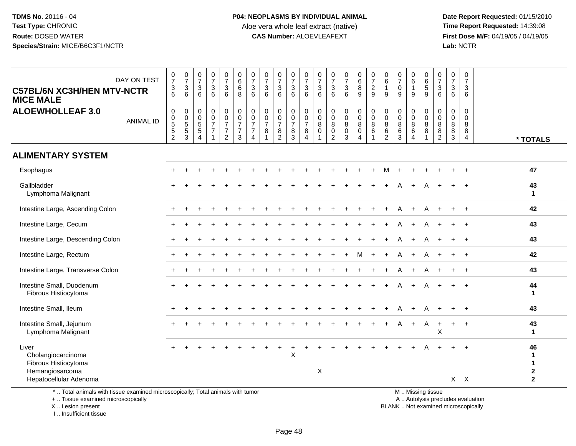**Date Report Requested:** 01/15/2010 **First Dose M/F:** 04/19/05 / 04/19/05<br>Lab: NCTR **Lab:** NCTR

| <b>C57BL/6N XC3H/HEN MTV-NCTR</b><br><b>MICE MALE</b>                                                                                      | DAY ON TEST      | $\frac{0}{7}$<br>$\frac{3}{6}$           | $\begin{array}{c} 0 \\ 7 \end{array}$<br>$\frac{3}{6}$        | $\frac{0}{7}$<br>3<br>6                           | $\begin{array}{c} 0 \\ 7 \end{array}$<br>3<br>6                                | $\frac{0}{7}$<br>$\sqrt{3}$<br>6                        | $\pmb{0}$<br>6<br>6<br>8                                        | $\begin{array}{c} 0 \\ 7 \end{array}$<br>$\ensuremath{\mathsf{3}}$<br>$6\phantom{1}$   | $\begin{array}{c} 0 \\ 7 \end{array}$<br>$\sqrt{3}$<br>$6\phantom{1}$ | $\begin{array}{c} 0 \\ 7 \end{array}$<br>$\ensuremath{\mathsf{3}}$<br>6 | $\begin{array}{c} 0 \\ 7 \end{array}$<br>$\ensuremath{\mathsf{3}}$<br>$6\phantom{1}6$ | $\frac{0}{7}$<br>3<br>6                              | $\frac{0}{7}$<br>3<br>6 | 0<br>$\overline{7}$<br>$\ensuremath{\mathsf{3}}$<br>6            | $\begin{array}{c} 0 \\ 7 \end{array}$<br>$\frac{3}{6}$ | $\begin{array}{c} 0 \\ 6 \end{array}$<br>8<br>9                    | $\frac{0}{7}$<br>$\overline{c}$<br>9                     | 0<br>$\overline{6}$<br>1<br>9   | 0<br>$\frac{5}{7}$<br>$\pmb{0}$<br>9                | $_{6}^{\rm 0}$<br>$\mathbf{1}$<br>9                    | 0<br>$6\phantom{1}$<br>$\,$ 5 $\,$<br>9 | $\begin{array}{c} 0 \\ 7 \end{array}$<br>$\frac{3}{6}$ | $\mathbf 0$<br>$\overline{7}$<br>3<br>6 | $\mathbf 0$<br>$\overline{7}$<br>3<br>6 |                                   |                                                                  |
|--------------------------------------------------------------------------------------------------------------------------------------------|------------------|------------------------------------------|---------------------------------------------------------------|---------------------------------------------------|--------------------------------------------------------------------------------|---------------------------------------------------------|-----------------------------------------------------------------|----------------------------------------------------------------------------------------|-----------------------------------------------------------------------|-------------------------------------------------------------------------|---------------------------------------------------------------------------------------|------------------------------------------------------|-------------------------|------------------------------------------------------------------|--------------------------------------------------------|--------------------------------------------------------------------|----------------------------------------------------------|---------------------------------|-----------------------------------------------------|--------------------------------------------------------|-----------------------------------------|--------------------------------------------------------|-----------------------------------------|-----------------------------------------|-----------------------------------|------------------------------------------------------------------|
| <b>ALOEWHOLLEAF 3.0</b>                                                                                                                    | <b>ANIMAL ID</b> | 0<br>$^{\rm 0}_{\rm 5}$<br>$\frac{5}{2}$ | 0<br>$\begin{array}{c} 0 \\ 5 \\ 5 \end{array}$<br>$\sqrt{3}$ | $\mathbf 0$<br>0<br>$\sqrt{5}$<br>$\sqrt{5}$<br>4 | $\mathbf 0$<br>$\pmb{0}$<br>$\overline{7}$<br>$\overline{7}$<br>$\overline{1}$ | 0<br>$\pmb{0}$<br>$\overline{7}$<br>$\overline{7}$<br>2 | $\pmb{0}$<br>$\pmb{0}$<br>$\overline{7}$<br>$\overline{7}$<br>3 | $\pmb{0}$<br>$\ddot{\mathbf{0}}$<br>$\overline{7}$<br>$\overline{7}$<br>$\overline{4}$ | $\mathbf 0$<br>$\pmb{0}$<br>$\overline{7}$<br>8                       | $\mathbf 0$<br>$\pmb{0}$<br>$\overline{7}$<br>8<br>2                    | 0<br>$\pmb{0}$<br>$\overline{7}$<br>8<br>3                                            | 0<br>$\mathsf{O}\xspace$<br>$\overline{7}$<br>8<br>4 | 0<br>0<br>8<br>0<br>1   | 0<br>0<br>$\, 8$<br>$\begin{smallmatrix} 0\\2 \end{smallmatrix}$ | 0<br>$\ddot{\mathbf{0}}$<br>$\,8\,$<br>$\pmb{0}$<br>3  | 0<br>$\mathsf{O}\xspace$<br>$\bf 8$<br>$\pmb{0}$<br>$\overline{4}$ | 0<br>$\ddot{\mathbf{0}}$<br>$\,8\,$<br>6<br>$\mathbf{1}$ | 0<br>$\mathbf 0$<br>8<br>6<br>2 | $\pmb{0}$<br>$\mathbf 0$<br>$\bf 8$<br>$\,6\,$<br>3 | 0<br>$\pmb{0}$<br>$\bf 8$<br>$\,6\,$<br>$\overline{4}$ | 0<br>0<br>$\bf 8$<br>8                  | $\mathbf 0$<br>$\mathbf 0$<br>$\, 8$<br>$\, 8$<br>2    | 0<br>$\mathbf 0$<br>8<br>8<br>3         | $\mathbf 0$<br>$\Omega$<br>8<br>8<br>4  |                                   | * TOTALS                                                         |
| <b>ALIMENTARY SYSTEM</b>                                                                                                                   |                  |                                          |                                                               |                                                   |                                                                                |                                                         |                                                                 |                                                                                        |                                                                       |                                                                         |                                                                                       |                                                      |                         |                                                                  |                                                        |                                                                    |                                                          |                                 |                                                     |                                                        |                                         |                                                        |                                         |                                         |                                   |                                                                  |
| Esophagus                                                                                                                                  |                  |                                          |                                                               |                                                   |                                                                                |                                                         |                                                                 |                                                                                        |                                                                       |                                                                         |                                                                                       |                                                      |                         |                                                                  |                                                        |                                                                    |                                                          | м                               |                                                     |                                                        |                                         |                                                        |                                         | ÷.                                      |                                   | 47                                                               |
| Gallbladder<br>Lymphoma Malignant                                                                                                          |                  |                                          |                                                               |                                                   |                                                                                |                                                         |                                                                 |                                                                                        |                                                                       |                                                                         |                                                                                       |                                                      |                         |                                                                  |                                                        |                                                                    |                                                          |                                 |                                                     |                                                        |                                         |                                                        |                                         |                                         |                                   | 43<br>$\overline{1}$                                             |
| Intestine Large, Ascending Colon                                                                                                           |                  |                                          |                                                               |                                                   |                                                                                |                                                         |                                                                 |                                                                                        |                                                                       |                                                                         |                                                                                       |                                                      |                         |                                                                  |                                                        |                                                                    |                                                          |                                 |                                                     |                                                        |                                         |                                                        |                                         |                                         |                                   | 42                                                               |
| Intestine Large, Cecum                                                                                                                     |                  |                                          |                                                               |                                                   |                                                                                |                                                         |                                                                 |                                                                                        |                                                                       |                                                                         |                                                                                       |                                                      |                         |                                                                  |                                                        |                                                                    |                                                          |                                 |                                                     |                                                        |                                         |                                                        |                                         | $\ddot{}$                               |                                   | 43                                                               |
| Intestine Large, Descending Colon                                                                                                          |                  | $\pm$                                    |                                                               |                                                   |                                                                                |                                                         |                                                                 |                                                                                        |                                                                       |                                                                         |                                                                                       |                                                      |                         |                                                                  |                                                        |                                                                    |                                                          |                                 |                                                     |                                                        |                                         |                                                        |                                         | $\ddot{}$                               |                                   | 43                                                               |
| Intestine Large, Rectum                                                                                                                    |                  |                                          |                                                               |                                                   |                                                                                |                                                         |                                                                 |                                                                                        |                                                                       |                                                                         |                                                                                       |                                                      |                         |                                                                  |                                                        |                                                                    |                                                          |                                 |                                                     |                                                        |                                         |                                                        |                                         |                                         |                                   | 42                                                               |
| Intestine Large, Transverse Colon                                                                                                          |                  |                                          |                                                               |                                                   |                                                                                |                                                         |                                                                 |                                                                                        |                                                                       |                                                                         |                                                                                       |                                                      |                         |                                                                  |                                                        |                                                                    |                                                          |                                 |                                                     | $\mathbf +$                                            | A                                       |                                                        |                                         | $\ddot{}$                               |                                   | 43                                                               |
| Intestine Small, Duodenum<br>Fibrous Histiocytoma                                                                                          |                  |                                          |                                                               |                                                   |                                                                                |                                                         |                                                                 |                                                                                        |                                                                       |                                                                         |                                                                                       |                                                      |                         |                                                                  |                                                        |                                                                    |                                                          |                                 |                                                     |                                                        |                                         |                                                        |                                         |                                         |                                   | 44<br>$\mathbf{1}$                                               |
| Intestine Small, Ileum                                                                                                                     |                  |                                          |                                                               |                                                   |                                                                                |                                                         |                                                                 |                                                                                        |                                                                       |                                                                         |                                                                                       |                                                      |                         |                                                                  |                                                        |                                                                    |                                                          |                                 |                                                     |                                                        | Α                                       |                                                        |                                         | $\ddot{}$                               |                                   | 43                                                               |
| Intestine Small, Jejunum<br>Lymphoma Malignant                                                                                             |                  |                                          |                                                               |                                                   |                                                                                |                                                         |                                                                 |                                                                                        |                                                                       |                                                                         |                                                                                       |                                                      |                         |                                                                  |                                                        |                                                                    |                                                          |                                 |                                                     | $\ddot{}$                                              | A                                       | $\ddot{}$<br>$\boldsymbol{\mathsf{X}}$                 | $\pm$                                   | $\ddot{}$                               |                                   | 43<br>$\mathbf{1}$                                               |
| Liver<br>Cholangiocarcinoma<br>Fibrous Histiocytoma<br>Hemangiosarcoma<br>Hepatocellular Adenoma                                           |                  |                                          |                                                               |                                                   |                                                                                |                                                         |                                                                 |                                                                                        |                                                                       |                                                                         | X                                                                                     |                                                      | $\mathsf X$             |                                                                  |                                                        |                                                                    |                                                          |                                 |                                                     |                                                        |                                         |                                                        |                                         | $X$ $X$                                 |                                   | 46<br>$\mathbf{1}$<br>$\mathbf 1$<br>$\mathbf 2$<br>$\mathbf{2}$ |
| *  Total animals with tissue examined microscopically; Total animals with tumor<br>+  Tissue examined microscopically<br>X  Lesion present |                  |                                          |                                                               |                                                   |                                                                                |                                                         |                                                                 |                                                                                        |                                                                       |                                                                         |                                                                                       |                                                      |                         |                                                                  |                                                        |                                                                    |                                                          |                                 | BLANK  Not examined microscopically                 |                                                        | M  Missing tissue                       |                                                        |                                         |                                         | A  Autolysis precludes evaluation |                                                                  |

I .. Insufficient tissue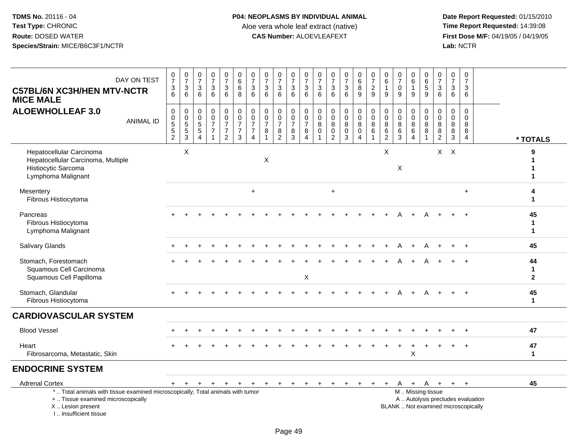| DAY ON TEST<br><b>C57BL/6N XC3H/HEN MTV-NCTR</b><br><b>MICE MALE</b>                                                                                                  | $\frac{0}{7}$<br>$\frac{3}{6}$                 | $\frac{0}{7}$<br>$\mathbf{3}$<br>6                                    | $\frac{0}{7}$<br>$\mathbf{3}$<br>6                   | $\frac{0}{7}$<br>$\mathbf{3}$<br>6                                       | $\frac{0}{7}$<br>$\mathbf{3}$<br>6                                           | $\pmb{0}$<br>$\overline{6}$<br>$\,6\,$<br>8                    | $\frac{0}{7}$<br>$\sqrt{3}$<br>6                                                  | 0<br>$\overline{7}$<br>$\mathbf{3}$<br>6                               | $\begin{array}{c} 0 \\ 7 \end{array}$<br>$\sqrt{3}$<br>6                      | $\frac{0}{7}$<br>$\mathbf{3}$<br>6                      | $\begin{smallmatrix}0\\7\end{smallmatrix}$<br>$\ensuremath{\mathsf{3}}$<br>6 | $\frac{0}{7}$<br>$\sqrt{3}$<br>6               | $\mathbf 0$<br>$\overline{7}$<br>$\sqrt{3}$<br>6             | $\frac{0}{7}$<br>$\mathbf{3}$<br>6                             | 0<br>$\overline{6}$<br>$\bf 8$<br>9                                  | $\frac{0}{7}$<br>$\overline{c}$<br>9               | $\begin{matrix} 0 \\ 6 \end{matrix}$<br>$\mathbf{1}$<br>9         | 0<br>$\overline{7}$<br>$\mathbf 0$<br>9                  | $\mathbf 0$<br>$\overline{6}$<br>9                       | $\begin{array}{c} 0 \\ 6 \end{array}$<br>$\,$ 5 $\,$<br>9 | 0<br>$\overline{7}$<br>$\mathbf{3}$<br>6                     | 0<br>$\overline{7}$<br>3<br>6   | $\mathbf 0$<br>$\overline{7}$<br>$\mathbf{3}$<br>6  |                                   |
|-----------------------------------------------------------------------------------------------------------------------------------------------------------------------|------------------------------------------------|-----------------------------------------------------------------------|------------------------------------------------------|--------------------------------------------------------------------------|------------------------------------------------------------------------------|----------------------------------------------------------------|-----------------------------------------------------------------------------------|------------------------------------------------------------------------|-------------------------------------------------------------------------------|---------------------------------------------------------|------------------------------------------------------------------------------|------------------------------------------------|--------------------------------------------------------------|----------------------------------------------------------------|----------------------------------------------------------------------|----------------------------------------------------|-------------------------------------------------------------------|----------------------------------------------------------|----------------------------------------------------------|-----------------------------------------------------------|--------------------------------------------------------------|---------------------------------|-----------------------------------------------------|-----------------------------------|
| <b>ALOEWHOLLEAF 3.0</b><br><b>ANIMAL ID</b>                                                                                                                           | 0<br>$\pmb{0}$<br>$\,$ 5 $\,$<br>$\frac{5}{2}$ | $\mathbf 0$<br>$\begin{array}{c} 0 \\ 5 \end{array}$<br>$\frac{5}{3}$ | 0<br>0<br>$\sqrt{5}$<br>$\sqrt{5}$<br>$\overline{4}$ | 0<br>$\mathbf 0$<br>$\overline{7}$<br>$\boldsymbol{7}$<br>$\overline{1}$ | $\pmb{0}$<br>$\pmb{0}$<br>$\overline{7}$<br>$\overline{7}$<br>$\overline{2}$ | 0<br>$\overline{0}$<br>$\overline{7}$<br>$\boldsymbol{7}$<br>3 | $\pmb{0}$<br>$\overline{0}$<br>$\overline{7}$<br>$\overline{7}$<br>$\overline{4}$ | $\mathbf 0$<br>$\boldsymbol{0}$<br>$\overline{7}$<br>8<br>$\mathbf{1}$ | $\mathbf 0$<br>$\boldsymbol{0}$<br>$\overline{7}$<br>$\bf8$<br>$\overline{2}$ | 0<br>$\pmb{0}$<br>$\overline{7}$<br>8<br>$\overline{3}$ | 0<br>$\mathbf 0$<br>$\overline{7}$<br>8<br>$\boldsymbol{\Lambda}$            | $\pmb{0}$<br>$\pmb{0}$<br>8<br>$\pmb{0}$<br>-1 | 0<br>$\mathbf 0$<br>$\,8\,$<br>$\mathsf 0$<br>$\overline{2}$ | $\mathbf 0$<br>$\mathbf 0$<br>8<br>$\mathbf 0$<br>$\mathbf{3}$ | 0<br>$\mathsf{O}\xspace$<br>$\bf 8$<br>$\mathbf 0$<br>$\overline{4}$ | 0<br>$\mathsf{O}\xspace$<br>8<br>6<br>$\mathbf{1}$ | $\begin{smallmatrix}0\0\0\end{smallmatrix}$<br>8<br>$\frac{6}{2}$ | 0<br>$\mathbf 0$<br>$\bf 8$<br>$\,6\,$<br>$\overline{3}$ | $\mathbf 0$<br>$\pmb{0}$<br>8<br>$\,6$<br>$\overline{4}$ | 0<br>$\mathbf 0$<br>8<br>8<br>$\overline{1}$              | $\mathbf 0$<br>$\mathbf 0$<br>8<br>$\bf 8$<br>$\overline{2}$ | $\mathbf 0$<br>0<br>8<br>8<br>3 | $\mathbf 0$<br>$\Omega$<br>8<br>8<br>$\overline{4}$ | * TOTALS                          |
| Hepatocellular Carcinoma<br>Hepatocellular Carcinoma, Multiple<br>Histiocytic Sarcoma<br>Lymphoma Malignant                                                           |                                                | $\boldsymbol{\mathsf{X}}$                                             |                                                      |                                                                          |                                                                              |                                                                |                                                                                   | X                                                                      |                                                                               |                                                         |                                                                              |                                                |                                                              |                                                                |                                                                      |                                                    | X                                                                 | X                                                        |                                                          |                                                           |                                                              | $X$ $X$                         |                                                     | 9                                 |
| Mesentery<br>Fibrous Histiocytoma                                                                                                                                     |                                                |                                                                       |                                                      |                                                                          |                                                                              |                                                                | $\ddot{}$                                                                         |                                                                        |                                                                               |                                                         |                                                                              |                                                | $+$                                                          |                                                                |                                                                      |                                                    |                                                                   |                                                          |                                                          |                                                           |                                                              |                                 | $+$                                                 | 4<br>1                            |
| Pancreas<br>Fibrous Histiocytoma<br>Lymphoma Malignant                                                                                                                |                                                |                                                                       |                                                      |                                                                          |                                                                              |                                                                |                                                                                   |                                                                        |                                                                               |                                                         |                                                                              |                                                |                                                              |                                                                |                                                                      |                                                    |                                                                   |                                                          |                                                          | A                                                         |                                                              |                                 |                                                     | 45<br>$\mathbf 1$<br>$\mathbf 1$  |
| <b>Salivary Glands</b>                                                                                                                                                |                                                |                                                                       |                                                      |                                                                          |                                                                              |                                                                |                                                                                   |                                                                        |                                                                               |                                                         |                                                                              |                                                |                                                              |                                                                |                                                                      |                                                    |                                                                   |                                                          |                                                          |                                                           |                                                              |                                 |                                                     | 45                                |
| Stomach, Forestomach<br>Squamous Cell Carcinoma<br>Squamous Cell Papilloma                                                                                            |                                                |                                                                       |                                                      |                                                                          |                                                                              |                                                                |                                                                                   |                                                                        |                                                                               |                                                         | $\mathsf X$                                                                  |                                                |                                                              |                                                                |                                                                      |                                                    |                                                                   |                                                          |                                                          |                                                           |                                                              |                                 |                                                     | 44<br>$\mathbf 1$<br>$\mathbf{2}$ |
| Stomach, Glandular<br>Fibrous Histiocytoma                                                                                                                            |                                                |                                                                       |                                                      |                                                                          |                                                                              |                                                                |                                                                                   |                                                                        |                                                                               |                                                         |                                                                              |                                                |                                                              |                                                                |                                                                      |                                                    |                                                                   |                                                          |                                                          |                                                           |                                                              |                                 |                                                     | 45<br>$\mathbf{1}$                |
| <b>CARDIOVASCULAR SYSTEM</b>                                                                                                                                          |                                                |                                                                       |                                                      |                                                                          |                                                                              |                                                                |                                                                                   |                                                                        |                                                                               |                                                         |                                                                              |                                                |                                                              |                                                                |                                                                      |                                                    |                                                                   |                                                          |                                                          |                                                           |                                                              |                                 |                                                     |                                   |
| <b>Blood Vessel</b>                                                                                                                                                   |                                                |                                                                       |                                                      |                                                                          |                                                                              |                                                                |                                                                                   |                                                                        |                                                                               |                                                         |                                                                              |                                                |                                                              |                                                                |                                                                      |                                                    |                                                                   |                                                          |                                                          |                                                           |                                                              |                                 |                                                     | 47                                |
| Heart<br>Fibrosarcoma, Metastatic, Skin                                                                                                                               |                                                |                                                                       |                                                      |                                                                          |                                                                              |                                                                |                                                                                   |                                                                        |                                                                               |                                                         |                                                                              |                                                |                                                              |                                                                |                                                                      |                                                    |                                                                   |                                                          | $\ddot{}$<br>X                                           |                                                           |                                                              |                                 |                                                     | 47<br>$\blacktriangleleft$        |
| <b>ENDOCRINE SYSTEM</b>                                                                                                                                               |                                                |                                                                       |                                                      |                                                                          |                                                                              |                                                                |                                                                                   |                                                                        |                                                                               |                                                         |                                                                              |                                                |                                                              |                                                                |                                                                      |                                                    |                                                                   |                                                          |                                                          |                                                           |                                                              |                                 |                                                     |                                   |
| <b>Adrenal Cortex</b>                                                                                                                                                 | $+$                                            | $+$                                                                   | $\ddot{}$                                            | $+$                                                                      | $+$                                                                          | $+$                                                            | $+$                                                                               | $+$                                                                    | $+$                                                                           | $\ddot{}$                                               | $+$                                                                          | $\ddot{}$                                      | $\ddot{}$                                                    | $\ddot{}$                                                      | $\ddot{}$                                                            |                                                    | +                                                                 | A                                                        | + A                                                      |                                                           | $+$                                                          | $+$                             | $\ddot{}$                                           | 45                                |
| *  Total animals with tissue examined microscopically; Total animals with tumor<br>+  Tissue examined microscopically<br>X  Lesion present<br>I., Insufficient tissue |                                                |                                                                       |                                                      |                                                                          |                                                                              |                                                                |                                                                                   |                                                                        |                                                                               |                                                         |                                                                              |                                                |                                                              |                                                                |                                                                      |                                                    |                                                                   | BLANK  Not examined microscopically                      |                                                          | M  Missing tissue<br>A  Autolysis precludes evaluation    |                                                              |                                 |                                                     |                                   |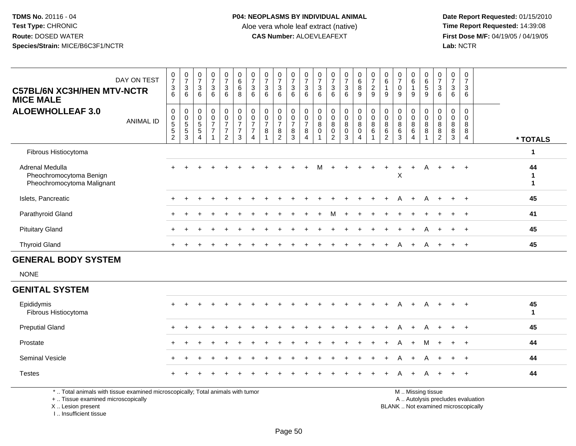**Date Report Requested:** 01/15/2010 **First Dose M/F:** 04/19/05 / 04/19/05<br>Lab: NCTR **Lab:** NCTR

| DAY ON TEST<br><b>C57BL/6N XC3H/HEN MTV-NCTR</b><br><b>MICE MALE</b>                                                 | $\frac{0}{7}$<br>$\frac{3}{6}$ | $\begin{array}{c} 0 \\ 7 \end{array}$<br>$\sqrt{3}$<br>6     | $\frac{0}{7}$<br>3<br>6        | $\frac{0}{7}$<br>$\ensuremath{\mathsf{3}}$<br>6                      | $\frac{0}{7}$<br>$\sqrt{3}$<br>6                               | $\begin{array}{c} 0 \\ 6 \end{array}$<br>$6\overline{6}$<br>8 | $\frac{0}{7}$<br>$\frac{3}{6}$                                               | 0<br>$\overline{7}$<br>$\mathbf{3}$<br>6          | $\frac{0}{7}$<br>$\mathbf{3}$<br>6                            | $\frac{0}{7}$<br>3<br>6                                   | $\frac{0}{7}$<br>$\mathbf{3}$<br>6 | $\frac{0}{7}$<br>$\mathbf{3}$<br>6                 | $\frac{0}{7}$<br>$\sqrt{3}$<br>6                     | $\frac{0}{7}$<br>$\frac{3}{6}$                                       | $\begin{array}{c} 0 \\ 6 \end{array}$<br>$\overline{8}$<br>$\overline{9}$ | $\frac{0}{7}$<br>$\overline{c}$<br>9                     | 0<br>$6\phantom{a}$<br>$\mathbf{1}$<br>9               | $\frac{0}{7}$<br>$\mathbf 0$<br>9                   | $_{6}^{\rm 0}$<br>$\mathbf{1}$<br>9                 | 0<br>$6\overline{6}$<br>$\overline{5}$<br>9 | $\begin{smallmatrix}0\\7\end{smallmatrix}$<br>$\ensuremath{\mathsf{3}}$<br>6 | 0<br>$\overline{7}$<br>3<br>6                        | $\pmb{0}$<br>$\overline{7}$<br>3<br>6               |                                  |                         |
|----------------------------------------------------------------------------------------------------------------------|--------------------------------|--------------------------------------------------------------|--------------------------------|----------------------------------------------------------------------|----------------------------------------------------------------|---------------------------------------------------------------|------------------------------------------------------------------------------|---------------------------------------------------|---------------------------------------------------------------|-----------------------------------------------------------|------------------------------------|----------------------------------------------------|------------------------------------------------------|----------------------------------------------------------------------|---------------------------------------------------------------------------|----------------------------------------------------------|--------------------------------------------------------|-----------------------------------------------------|-----------------------------------------------------|---------------------------------------------|------------------------------------------------------------------------------|------------------------------------------------------|-----------------------------------------------------|----------------------------------|-------------------------|
| <b>ALOEWHOLLEAF 3.0</b><br><b>ANIMAL ID</b>                                                                          | $\pmb{0}$<br>0<br>5<br>5<br>2  | $\pmb{0}$<br>$\begin{array}{c} 0 \\ 5 \\ 5 \\ 3 \end{array}$ | 0<br>0<br>$\sqrt{5}$<br>5<br>4 | 0<br>$\mathbf 0$<br>$\overline{7}$<br>$\overline{7}$<br>$\mathbf{1}$ | $\pmb{0}$<br>$\frac{0}{7}$<br>$\overline{7}$<br>$\overline{2}$ | 0<br>$\mathbf 0$<br>$\overline{7}$<br>$\boldsymbol{7}$<br>3   | $\pmb{0}$<br>$\pmb{0}$<br>$\overline{7}$<br>$\overline{7}$<br>$\overline{4}$ | $\mathbf 0$<br>$\mathbf 0$<br>$\overline{7}$<br>8 | $\mathbf 0$<br>$\mathbf 0$<br>$\overline{7}$<br>$\frac{8}{2}$ | 0<br>$\mathbf 0$<br>$\overline{7}$<br>8<br>$\overline{3}$ | 0<br>$\frac{0}{7}$<br>$_{4}^{8}$   | 0<br>$\mathbf 0$<br>8<br>$\pmb{0}$<br>$\mathbf{1}$ | 0<br>$\mathbf 0$<br>8<br>$\pmb{0}$<br>$\overline{c}$ | $\mathbf 0$<br>$\mathbf 0$<br>$\bf 8$<br>$\pmb{0}$<br>$\overline{3}$ | 0<br>$\mathbf 0$<br>8<br>$\mathbf 0$<br>$\overline{4}$                    | $\pmb{0}$<br>$\mathbf 0$<br>8<br>$\,6$<br>$\overline{1}$ | $\mathbf 0$<br>$\mathbf 0$<br>8<br>6<br>$\overline{2}$ | $\mathbf 0$<br>$\Omega$<br>8<br>6<br>$\overline{3}$ | 0<br>$\pmb{0}$<br>$\bf8$<br>$\,6$<br>$\overline{4}$ | 0<br>$\mathbf 0$<br>8<br>8                  | $\mathbf 0$<br>$\mathbf{0}$<br>8<br>$\frac{8}{2}$                            | $\mathbf 0$<br>$\mathbf 0$<br>8<br>8<br>$\mathbf{3}$ | $\mathbf 0$<br>$\Omega$<br>8<br>8<br>$\overline{4}$ |                                  | * TOTALS                |
| Fibrous Histiocytoma                                                                                                 |                                |                                                              |                                |                                                                      |                                                                |                                                               |                                                                              |                                                   |                                                               |                                                           |                                    |                                                    |                                                      |                                                                      |                                                                           |                                                          |                                                        |                                                     |                                                     |                                             |                                                                              |                                                      |                                                     |                                  | 1                       |
| Adrenal Medulla<br>Pheochromocytoma Benign<br>Pheochromocytoma Malignant                                             |                                |                                                              |                                |                                                                      |                                                                |                                                               |                                                                              |                                                   |                                                               |                                                           |                                    | М                                                  |                                                      |                                                                      |                                                                           |                                                          |                                                        | X                                                   |                                                     |                                             |                                                                              |                                                      | $+$                                                 |                                  | 44<br>-1<br>$\mathbf 1$ |
| Islets, Pancreatic                                                                                                   |                                |                                                              |                                |                                                                      |                                                                |                                                               |                                                                              |                                                   |                                                               |                                                           |                                    |                                                    |                                                      |                                                                      |                                                                           |                                                          |                                                        | A                                                   | $\ddot{+}$                                          | A                                           |                                                                              | $+$                                                  | $\ddot{+}$                                          |                                  | 45                      |
| Parathyroid Gland                                                                                                    |                                |                                                              |                                |                                                                      |                                                                |                                                               |                                                                              |                                                   |                                                               |                                                           |                                    |                                                    |                                                      |                                                                      |                                                                           |                                                          |                                                        |                                                     |                                                     |                                             |                                                                              |                                                      |                                                     |                                  | 41                      |
| <b>Pituitary Gland</b>                                                                                               | $+$                            |                                                              |                                |                                                                      |                                                                |                                                               |                                                                              |                                                   |                                                               |                                                           |                                    |                                                    |                                                      |                                                                      |                                                                           |                                                          |                                                        |                                                     |                                                     | A                                           |                                                                              | $+$                                                  | $\ddot{+}$                                          |                                  | 45                      |
| <b>Thyroid Gland</b>                                                                                                 |                                |                                                              |                                |                                                                      |                                                                |                                                               |                                                                              |                                                   |                                                               |                                                           |                                    |                                                    |                                                      |                                                                      |                                                                           |                                                          |                                                        |                                                     |                                                     | A                                           |                                                                              |                                                      | $\ddot{+}$                                          |                                  | 45                      |
| <b>GENERAL BODY SYSTEM</b>                                                                                           |                                |                                                              |                                |                                                                      |                                                                |                                                               |                                                                              |                                                   |                                                               |                                                           |                                    |                                                    |                                                      |                                                                      |                                                                           |                                                          |                                                        |                                                     |                                                     |                                             |                                                                              |                                                      |                                                     |                                  |                         |
| <b>NONE</b>                                                                                                          |                                |                                                              |                                |                                                                      |                                                                |                                                               |                                                                              |                                                   |                                                               |                                                           |                                    |                                                    |                                                      |                                                                      |                                                                           |                                                          |                                                        |                                                     |                                                     |                                             |                                                                              |                                                      |                                                     |                                  |                         |
| <b>GENITAL SYSTEM</b>                                                                                                |                                |                                                              |                                |                                                                      |                                                                |                                                               |                                                                              |                                                   |                                                               |                                                           |                                    |                                                    |                                                      |                                                                      |                                                                           |                                                          |                                                        |                                                     |                                                     |                                             |                                                                              |                                                      |                                                     |                                  |                         |
| Epididymis<br>Fibrous Histiocytoma                                                                                   |                                |                                                              |                                |                                                                      |                                                                |                                                               |                                                                              |                                                   |                                                               |                                                           |                                    |                                                    |                                                      |                                                                      |                                                                           |                                                          |                                                        |                                                     |                                                     | А                                           |                                                                              |                                                      | $\ddot{}$                                           |                                  | 45<br>$\mathbf 1$       |
| <b>Preputial Gland</b>                                                                                               |                                |                                                              |                                |                                                                      |                                                                |                                                               |                                                                              |                                                   |                                                               |                                                           |                                    |                                                    |                                                      |                                                                      |                                                                           |                                                          |                                                        |                                                     |                                                     | A                                           |                                                                              |                                                      | $\ddot{+}$                                          |                                  | 45                      |
| Prostate                                                                                                             |                                |                                                              |                                |                                                                      |                                                                |                                                               |                                                                              |                                                   |                                                               |                                                           |                                    |                                                    |                                                      |                                                                      |                                                                           |                                                          |                                                        |                                                     |                                                     | м                                           |                                                                              |                                                      | $+$                                                 |                                  | 44                      |
| Seminal Vesicle                                                                                                      |                                |                                                              |                                |                                                                      |                                                                |                                                               |                                                                              |                                                   |                                                               |                                                           |                                    |                                                    |                                                      |                                                                      |                                                                           |                                                          |                                                        |                                                     |                                                     |                                             |                                                                              |                                                      | $\div$                                              |                                  | 44                      |
| <b>Testes</b>                                                                                                        |                                |                                                              |                                |                                                                      |                                                                |                                                               |                                                                              |                                                   |                                                               |                                                           |                                    |                                                    |                                                      |                                                                      |                                                                           |                                                          |                                                        |                                                     |                                                     |                                             |                                                                              |                                                      | $\ddot{}$                                           |                                  | 44                      |
| *  Total animals with tissue examined microscopically; Total animals with tumor<br>+ Tissue examined microscopically |                                |                                                              |                                |                                                                      |                                                                |                                                               |                                                                              |                                                   |                                                               |                                                           |                                    |                                                    |                                                      |                                                                      |                                                                           |                                                          |                                                        |                                                     |                                                     | M  Missing tissue                           |                                                                              |                                                      |                                                     | A Autolysis precludes evaluation |                         |

+ .. Tissue examined microscopically

X .. Lesion present

I .. Insufficient tissue

 A .. Autolysis precludes evaluationLesion present BLANK .. Not examined microscopically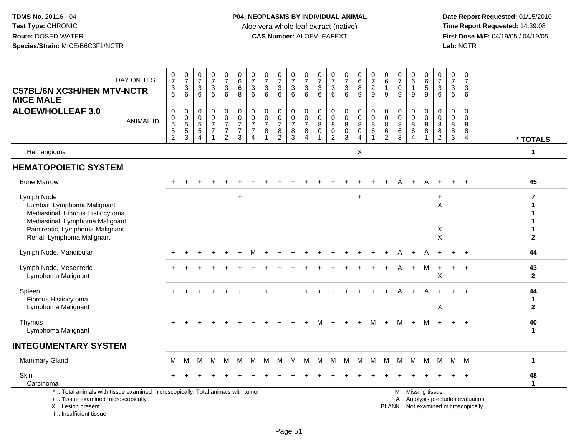| DAY ON TEST<br><b>C57BL/6N XC3H/HEN MTV-NCTR</b><br><b>MICE MALE</b>                                                                                                | $\frac{0}{7}$<br>$\frac{3}{6}$                                 | $\frac{0}{7}$<br>$\frac{3}{6}$                            | $\frac{0}{7}$<br>$\mathbf{3}$<br>6                          | $\begin{array}{c} 0 \\ 7 \end{array}$<br>$\sqrt{3}$<br>6                       | $\frac{0}{7}$<br>$\mathbf{3}$<br>6                                   | $_{6}^{\rm 0}$<br>$6\phantom{a}$<br>8                                          | $\begin{array}{c} 0 \\ 7 \end{array}$<br>$\ensuremath{\mathsf{3}}$<br>$\,6$  | $\frac{0}{7}$<br>$\sqrt{3}$<br>$6\phantom{1}$     | $\frac{0}{7}$<br>$\sqrt{3}$<br>$6\phantom{1}6$                      | $\frac{0}{7}$<br>3<br>$6\phantom{1}$         | $\frac{0}{7}$<br>$\sqrt{3}$<br>6                                         | $\frac{0}{7}$<br>$\mathbf{3}$<br>6         | $\frac{0}{7}$<br>$\sqrt{3}$<br>$6\phantom{1}$                     | $\frac{0}{7}$<br>$\sqrt{3}$<br>$6\phantom{a}$                           | $_{6}^{\rm 0}$<br>$\overline{8}$<br>9                                  | $\frac{0}{7}$<br>$\frac{2}{9}$                                  | 0<br>$\,6\,$<br>$\overline{1}$<br>9                          | $\frac{0}{7}$<br>$\mathbf 0$<br>9                            | $\begin{matrix} 0 \\ 6 \end{matrix}$<br>$\mathbf{1}$<br>9 | $\begin{matrix} 0 \\ 6 \end{matrix}$<br>$\overline{5}$<br>9     | $\frac{0}{7}$<br>$\mathbf{3}$<br>6                             | $\begin{array}{c} 0 \\ 7 \end{array}$<br>$\mathbf{3}$<br>6 | $\pmb{0}$<br>$\overline{7}$<br>$\mathbf{3}$<br>$\,6\,$            |                                      |
|---------------------------------------------------------------------------------------------------------------------------------------------------------------------|----------------------------------------------------------------|-----------------------------------------------------------|-------------------------------------------------------------|--------------------------------------------------------------------------------|----------------------------------------------------------------------|--------------------------------------------------------------------------------|------------------------------------------------------------------------------|---------------------------------------------------|---------------------------------------------------------------------|----------------------------------------------|--------------------------------------------------------------------------|--------------------------------------------|-------------------------------------------------------------------|-------------------------------------------------------------------------|------------------------------------------------------------------------|-----------------------------------------------------------------|--------------------------------------------------------------|--------------------------------------------------------------|-----------------------------------------------------------|-----------------------------------------------------------------|----------------------------------------------------------------|------------------------------------------------------------|-------------------------------------------------------------------|--------------------------------------|
| <b>ALOEWHOLLEAF 3.0</b><br><b>ANIMAL ID</b>                                                                                                                         | $\mathbf 0$<br>$\mathbf 0$<br>$\overline{5}$<br>$\overline{2}$ | $\mathbf 0$<br>$\pmb{0}$<br>$\frac{5}{5}$<br>$\mathbf{3}$ | $\mathbf 0$<br>$\mathbf 0$<br>$\sqrt{5}$<br>$\sqrt{5}$<br>4 | $\mathbf 0$<br>$\mathbf 0$<br>$\overline{7}$<br>$\overline{7}$<br>$\mathbf{1}$ | 0<br>$\pmb{0}$<br>$\overline{7}$<br>$\overline{7}$<br>$\overline{2}$ | $\mathsf 0$<br>$\mathsf 0$<br>$\overline{7}$<br>$\overline{7}$<br>$\mathbf{3}$ | $\pmb{0}$<br>$\pmb{0}$<br>$\overline{7}$<br>$\overline{7}$<br>$\overline{4}$ | $\mathbf 0$<br>$\mathbf 0$<br>$\overline{7}$<br>8 | $\mathbf 0$<br>$\mathsf 0$<br>$\overline{7}$<br>8<br>$\overline{2}$ | 0<br>$\mathbf 0$<br>$\overline{7}$<br>8<br>3 | $\mathbf 0$<br>$\boldsymbol{0}$<br>$\overline{7}$<br>8<br>$\overline{4}$ | 0<br>$\mathbf 0$<br>$\bf 8$<br>$\mathbf 0$ | $\mathbf 0$<br>$\pmb{0}$<br>$\bf8$<br>$\pmb{0}$<br>$\overline{2}$ | $\pmb{0}$<br>$\pmb{0}$<br>$\overline{8}$<br>$\pmb{0}$<br>$\overline{3}$ | $\mathbf 0$<br>$\mathbf 0$<br>$\bf 8$<br>$\mathbf 0$<br>$\overline{4}$ | $_{\rm 0}^{\rm 0}$<br>$\overline{8}$<br>$\,6\,$<br>$\mathbf{1}$ | $\mathbf 0$<br>$\mathbf 0$<br>8<br>$\,6\,$<br>$\overline{c}$ | $\mathbf 0$<br>$\mathbf 0$<br>$\, 8$<br>$6\phantom{1}6$<br>3 | 0<br>$\mathbf 0$<br>8<br>6<br>4                           | 0<br>$\mathsf{O}\xspace$<br>$\overline{8}$<br>8<br>$\mathbf{1}$ | $\mathbf 0$<br>$\mathsf{O}\xspace$<br>8<br>8<br>$\overline{2}$ | $\mathbf 0$<br>0<br>8<br>8<br>$\mathbf{3}$                 | $\mathbf 0$<br>$\mathbf 0$<br>$\,8\,$<br>$\bf8$<br>$\overline{4}$ | * TOTALS                             |
| Hemangioma                                                                                                                                                          |                                                                |                                                           |                                                             |                                                                                |                                                                      |                                                                                |                                                                              |                                                   |                                                                     |                                              |                                                                          |                                            |                                                                   |                                                                         | X                                                                      |                                                                 |                                                              |                                                              |                                                           |                                                                 |                                                                |                                                            |                                                                   | $\mathbf 1$                          |
| <b>HEMATOPOIETIC SYSTEM</b>                                                                                                                                         |                                                                |                                                           |                                                             |                                                                                |                                                                      |                                                                                |                                                                              |                                                   |                                                                     |                                              |                                                                          |                                            |                                                                   |                                                                         |                                                                        |                                                                 |                                                              |                                                              |                                                           |                                                                 |                                                                |                                                            |                                                                   |                                      |
| <b>Bone Marrow</b>                                                                                                                                                  |                                                                |                                                           |                                                             |                                                                                |                                                                      |                                                                                |                                                                              |                                                   |                                                                     |                                              |                                                                          |                                            |                                                                   |                                                                         |                                                                        |                                                                 |                                                              |                                                              |                                                           |                                                                 |                                                                |                                                            | $\overline{+}$                                                    | 45                                   |
| Lymph Node<br>Lumbar, Lymphoma Malignant<br>Mediastinal, Fibrous Histiocytoma<br>Mediastinal, Lymphoma Malignant                                                    |                                                                |                                                           |                                                             |                                                                                |                                                                      | $\ddot{}$                                                                      |                                                                              |                                                   |                                                                     |                                              |                                                                          |                                            |                                                                   |                                                                         | $\div$                                                                 |                                                                 |                                                              |                                                              |                                                           |                                                                 | $\ddot{}$<br>X                                                 |                                                            |                                                                   | $\overline{\mathbf{r}}$<br>1<br>1    |
| Pancreatic, Lymphoma Malignant<br>Renal, Lymphoma Malignant                                                                                                         |                                                                |                                                           |                                                             |                                                                                |                                                                      |                                                                                |                                                                              |                                                   |                                                                     |                                              |                                                                          |                                            |                                                                   |                                                                         |                                                                        |                                                                 |                                                              |                                                              |                                                           |                                                                 | X<br>$\pmb{\times}$                                            |                                                            |                                                                   | $\mathbf{1}$<br>$\mathbf{2}$         |
| Lymph Node, Mandibular                                                                                                                                              |                                                                |                                                           |                                                             |                                                                                |                                                                      |                                                                                | м                                                                            |                                                   |                                                                     |                                              |                                                                          |                                            |                                                                   |                                                                         |                                                                        |                                                                 |                                                              |                                                              |                                                           |                                                                 |                                                                |                                                            |                                                                   | 44                                   |
| Lymph Node, Mesenteric<br>Lymphoma Malignant                                                                                                                        |                                                                |                                                           |                                                             |                                                                                |                                                                      |                                                                                |                                                                              |                                                   |                                                                     |                                              |                                                                          |                                            |                                                                   |                                                                         |                                                                        |                                                                 |                                                              |                                                              | $\div$                                                    | M                                                               | $\ddot{}$<br>X                                                 | $\pm$                                                      | $\overline{+}$                                                    | 43<br>$\overline{2}$                 |
| Spleen<br>Fibrous Histiocytoma<br>Lymphoma Malignant                                                                                                                |                                                                |                                                           |                                                             |                                                                                |                                                                      |                                                                                |                                                                              |                                                   |                                                                     |                                              |                                                                          |                                            |                                                                   |                                                                         |                                                                        |                                                                 |                                                              |                                                              |                                                           |                                                                 | X                                                              |                                                            |                                                                   | 44<br>$\mathbf{1}$<br>$\overline{2}$ |
| Thymus<br>Lymphoma Malignant                                                                                                                                        |                                                                |                                                           |                                                             |                                                                                |                                                                      |                                                                                |                                                                              |                                                   |                                                                     |                                              |                                                                          |                                            |                                                                   |                                                                         | $+$                                                                    | м                                                               | $+$                                                          | м                                                            | $+$                                                       | M                                                               | $+$                                                            | $+$                                                        | $+$                                                               | 40<br>$\mathbf{1}$                   |
| <b>INTEGUMENTARY SYSTEM</b>                                                                                                                                         |                                                                |                                                           |                                                             |                                                                                |                                                                      |                                                                                |                                                                              |                                                   |                                                                     |                                              |                                                                          |                                            |                                                                   |                                                                         |                                                                        |                                                                 |                                                              |                                                              |                                                           |                                                                 |                                                                |                                                            |                                                                   |                                      |
| <b>Mammary Gland</b>                                                                                                                                                | м                                                              | м                                                         | м                                                           | м                                                                              | M                                                                    | M                                                                              | M                                                                            | м                                                 | M                                                                   | M                                            | M                                                                        | M                                          | M                                                                 | M                                                                       | M                                                                      | M                                                               | M                                                            | M                                                            | M                                                         | M                                                               | M                                                              | M                                                          | M                                                                 | $\blacktriangleleft$                 |
| Skin<br>Carcinoma                                                                                                                                                   |                                                                |                                                           |                                                             |                                                                                |                                                                      |                                                                                |                                                                              |                                                   |                                                                     |                                              |                                                                          |                                            |                                                                   |                                                                         |                                                                        |                                                                 |                                                              |                                                              |                                                           |                                                                 |                                                                |                                                            |                                                                   | 48<br>$\mathbf{1}$                   |
| *  Total animals with tissue examined microscopically; Total animals with tumor<br>+  Tissue examined microscopically<br>X  Lesion present<br>I Insufficient tissue |                                                                |                                                           |                                                             |                                                                                |                                                                      |                                                                                |                                                                              |                                                   |                                                                     |                                              |                                                                          |                                            |                                                                   |                                                                         |                                                                        |                                                                 |                                                              | BLANK  Not examined microscopically                          |                                                           | M  Missing tissue<br>A  Autolysis precludes evaluation          |                                                                |                                                            |                                                                   |                                      |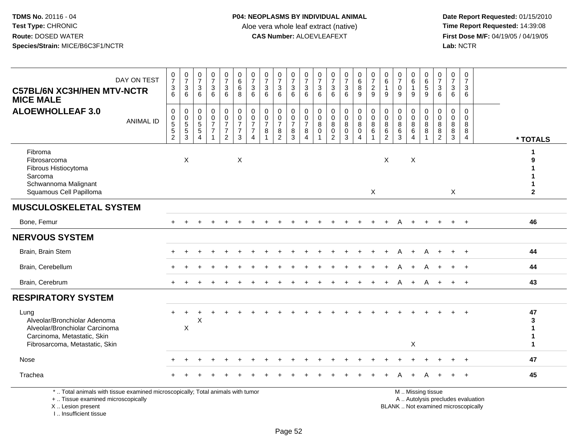**Date Report Requested:** 01/15/2010 **First Dose M/F:** 04/19/05 / 04/19/05<br>Lab: NCTR **Lab:** NCTR

| DAY ON TEST<br><b>C57BL/6N XC3H/HEN MTV-NCTR</b><br><b>MICE MALE</b>                                                                    | $\frac{0}{7}$<br>$\frac{3}{6}$            | $\frac{0}{7}$<br>$\frac{3}{6}$ | $\frac{0}{7}$<br>3<br>6                                                          | $\begin{array}{c} 0 \\ 7 \end{array}$<br>$\sqrt{3}$<br>6                      | $\frac{0}{7}$<br>3<br>6                                | $\begin{array}{c} 0 \\ 6 \end{array}$<br>$6\overline{6}$<br>8      | $\frac{0}{7}$<br>$\ensuremath{\mathsf{3}}$<br>6                          | $\frac{0}{7}$<br>3<br>6                 | $\frac{0}{7}$<br>$\mathbf{3}$<br>6                                        | $\frac{0}{7}$<br>3<br>6            | $\frac{0}{7}$<br>$\sqrt{3}$<br>6                        | $\frac{0}{7}$<br>$\ensuremath{\mathsf{3}}$<br>6                | 0<br>$\overline{7}$<br>$\ensuremath{\mathsf{3}}$<br>6          | $\frac{0}{7}$<br>$\mathbf{3}$<br>6                             | $\begin{array}{c} 0 \\ 6 \end{array}$<br>$\overline{8}$<br>9                      | $\frac{0}{7}$<br>$\overline{2}$<br>9                                        | $_6^0$<br>$\mathbf{1}$<br>9                            | $\frac{0}{7}$<br>$\boldsymbol{0}$<br>9 | $\begin{array}{c} 0 \\ 6 \end{array}$<br>$\mathbf{1}$<br>9                                | 0<br>$\overline{6}$<br>$\sqrt{5}$<br>9 | $\frac{0}{7}$<br>$\mathbf{3}$<br>6                                                  | $\,0\,$<br>$\overline{7}$<br>$\mathbf{3}$<br>6 | $\mathbf 0$<br>$\overline{7}$<br>$\mathbf{3}$<br>6  |                                   |                                           |
|-----------------------------------------------------------------------------------------------------------------------------------------|-------------------------------------------|--------------------------------|----------------------------------------------------------------------------------|-------------------------------------------------------------------------------|--------------------------------------------------------|--------------------------------------------------------------------|--------------------------------------------------------------------------|-----------------------------------------|---------------------------------------------------------------------------|------------------------------------|---------------------------------------------------------|----------------------------------------------------------------|----------------------------------------------------------------|----------------------------------------------------------------|-----------------------------------------------------------------------------------|-----------------------------------------------------------------------------|--------------------------------------------------------|----------------------------------------|-------------------------------------------------------------------------------------------|----------------------------------------|-------------------------------------------------------------------------------------|------------------------------------------------|-----------------------------------------------------|-----------------------------------|-------------------------------------------|
| <b>ALOEWHOLLEAF 3.0</b><br><b>ANIMAL ID</b>                                                                                             | 0<br>0<br>$\frac{5}{5}$<br>$\overline{2}$ | 0<br>0<br>5<br>5<br>3          | $\mathbf 0$<br>$\mathbf 0$<br>$\overline{5}$<br>$\overline{5}$<br>$\overline{4}$ | $\mathbf 0$<br>$\mathbf 0$<br>$\overline{7}$<br>$\overline{7}$<br>$\mathbf 1$ | 0<br>$\frac{0}{7}$<br>$\overline{7}$<br>$\overline{2}$ | $\begin{matrix} 0 \\ 0 \\ 7 \end{matrix}$<br>$\boldsymbol{7}$<br>3 | $_{\rm 0}^{\rm 0}$<br>$\overline{7}$<br>$\overline{7}$<br>$\overline{4}$ | 0<br>$\mathbf 0$<br>$\overline{7}$<br>8 | $\mathbf 0$<br>$\mathbf 0$<br>$\overline{7}$<br>$\bf 8$<br>$\overline{2}$ | 0<br>0<br>$\overline{7}$<br>8<br>3 | $\pmb{0}$<br>$\frac{0}{7}$<br>$\bf 8$<br>$\overline{4}$ | $\pmb{0}$<br>$\mathbf 0$<br>$\overline{8}$<br>$\mathbf 0$<br>1 | 0<br>$\mathbf 0$<br>8<br>$\mathsf{O}\xspace$<br>$\overline{c}$ | $\mathbf 0$<br>$\mathbf 0$<br>8<br>$\mathbf 0$<br>$\mathbf{3}$ | $\pmb{0}$<br>$\mathsf{O}\xspace$<br>$\overline{8}$<br>$\pmb{0}$<br>$\overline{4}$ | $\pmb{0}$<br>$\pmb{0}$<br>$\overline{8}$<br>$6\overline{6}$<br>$\mathbf{1}$ | $\mathbf 0$<br>$\mathbf 0$<br>8<br>6<br>$\overline{2}$ | 0<br>$\mathbf 0$<br>8<br>$\,6\,$<br>3  | $\mathbf 0$<br>$\mathbf 0$<br>$\overline{8}$<br>$6\phantom{a}$<br>$\overline{\mathbf{4}}$ | 0<br>$\Omega$<br>8<br>$\,8\,$          | $\mathbf 0$<br>$\overline{0}$<br>$\overline{8}$<br>$\overline{8}$<br>$\overline{2}$ | $\mathbf 0$<br>$\Omega$<br>8<br>8<br>3         | $\mathbf 0$<br>$\Omega$<br>8<br>8<br>$\overline{4}$ |                                   | * TOTALS                                  |
| Fibroma<br>Fibrosarcoma<br>Fibrous Histiocytoma<br>Sarcoma<br>Schwannoma Malignant<br>Squamous Cell Papilloma                           |                                           | $\boldsymbol{\mathsf{X}}$      |                                                                                  |                                                                               |                                                        | X                                                                  |                                                                          |                                         |                                                                           |                                    |                                                         |                                                                |                                                                |                                                                |                                                                                   | $\mathsf{X}$                                                                | $\pmb{\times}$                                         |                                        | $\mathsf X$                                                                               |                                        |                                                                                     | X                                              |                                                     |                                   | $\mathbf{2}$                              |
| <b>MUSCULOSKELETAL SYSTEM</b>                                                                                                           |                                           |                                |                                                                                  |                                                                               |                                                        |                                                                    |                                                                          |                                         |                                                                           |                                    |                                                         |                                                                |                                                                |                                                                |                                                                                   |                                                                             |                                                        |                                        |                                                                                           |                                        |                                                                                     |                                                |                                                     |                                   |                                           |
| Bone, Femur                                                                                                                             |                                           |                                |                                                                                  |                                                                               |                                                        |                                                                    |                                                                          |                                         |                                                                           |                                    |                                                         |                                                                |                                                                |                                                                |                                                                                   |                                                                             |                                                        |                                        |                                                                                           |                                        |                                                                                     |                                                | $\ddot{}$                                           |                                   | 46                                        |
| <b>NERVOUS SYSTEM</b>                                                                                                                   |                                           |                                |                                                                                  |                                                                               |                                                        |                                                                    |                                                                          |                                         |                                                                           |                                    |                                                         |                                                                |                                                                |                                                                |                                                                                   |                                                                             |                                                        |                                        |                                                                                           |                                        |                                                                                     |                                                |                                                     |                                   |                                           |
| Brain, Brain Stem                                                                                                                       |                                           |                                |                                                                                  |                                                                               |                                                        |                                                                    |                                                                          |                                         |                                                                           |                                    |                                                         |                                                                |                                                                |                                                                |                                                                                   |                                                                             |                                                        |                                        |                                                                                           |                                        |                                                                                     |                                                |                                                     |                                   | 44                                        |
| Brain, Cerebellum                                                                                                                       |                                           |                                |                                                                                  |                                                                               |                                                        |                                                                    |                                                                          |                                         |                                                                           |                                    |                                                         |                                                                |                                                                |                                                                |                                                                                   |                                                                             |                                                        |                                        |                                                                                           | A                                      |                                                                                     |                                                | $\ddot{}$                                           |                                   | 44                                        |
| Brain, Cerebrum                                                                                                                         |                                           |                                |                                                                                  |                                                                               |                                                        |                                                                    |                                                                          |                                         |                                                                           |                                    |                                                         |                                                                |                                                                |                                                                |                                                                                   |                                                                             |                                                        |                                        |                                                                                           | A                                      |                                                                                     | $+$                                            | $\ddot{}$                                           |                                   | 43                                        |
| <b>RESPIRATORY SYSTEM</b>                                                                                                               |                                           |                                |                                                                                  |                                                                               |                                                        |                                                                    |                                                                          |                                         |                                                                           |                                    |                                                         |                                                                |                                                                |                                                                |                                                                                   |                                                                             |                                                        |                                        |                                                                                           |                                        |                                                                                     |                                                |                                                     |                                   |                                           |
| Lung<br>Alveolar/Bronchiolar Adenoma<br>Alveolar/Bronchiolar Carcinoma<br>Carcinoma, Metastatic, Skin<br>Fibrosarcoma, Metastatic, Skin |                                           | $\boldsymbol{\mathsf{X}}$      | X                                                                                |                                                                               |                                                        |                                                                    |                                                                          |                                         |                                                                           |                                    |                                                         |                                                                |                                                                |                                                                |                                                                                   |                                                                             |                                                        |                                        | X                                                                                         |                                        |                                                                                     |                                                |                                                     |                                   | 47<br>3<br>1<br>1<br>$\blacktriangleleft$ |
| Nose                                                                                                                                    |                                           |                                |                                                                                  |                                                                               |                                                        |                                                                    |                                                                          |                                         |                                                                           |                                    |                                                         |                                                                |                                                                |                                                                |                                                                                   |                                                                             |                                                        |                                        |                                                                                           |                                        |                                                                                     |                                                |                                                     |                                   | 47                                        |
| Trachea                                                                                                                                 |                                           |                                |                                                                                  |                                                                               |                                                        |                                                                    |                                                                          |                                         |                                                                           |                                    |                                                         |                                                                |                                                                |                                                                |                                                                                   |                                                                             |                                                        |                                        |                                                                                           |                                        |                                                                                     |                                                |                                                     |                                   | 45                                        |
| *  Total animals with tissue examined microscopically; Total animals with tumor<br>+  Tissue examined microscopically                   |                                           |                                |                                                                                  |                                                                               |                                                        |                                                                    |                                                                          |                                         |                                                                           |                                    |                                                         |                                                                |                                                                |                                                                |                                                                                   |                                                                             |                                                        |                                        |                                                                                           | M  Missing tissue                      |                                                                                     |                                                |                                                     | A  Autolysis precludes evaluation |                                           |

X .. Lesion present

I .. Insufficient tissue

Lesion present BLANK .. Not examined microscopically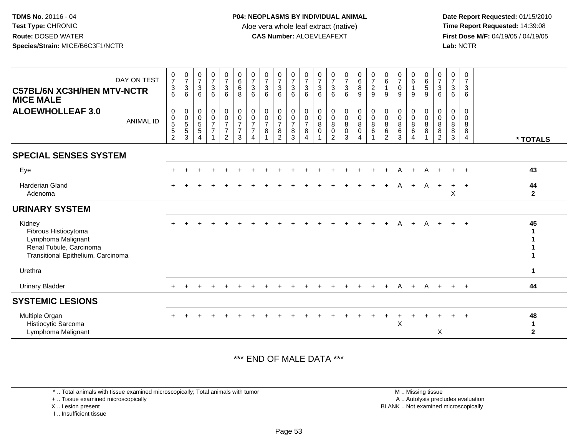**Date Report Requested:** 01/15/2010 **First Dose M/F:** 04/19/05 / 04/19/05<br>Lab: NCTR **Lab:** NCTR

| DAY ON TEST<br><b>C57BL/6N XC3H/HEN MTV-NCTR</b><br><b>MICE MALE</b>                                                  | $\frac{0}{7}$<br>3<br>6                              | $\frac{0}{7}$<br>3<br>6                           | $\frac{0}{7}$<br>$\mathbf 3$<br>6                         | $\frac{0}{7}$<br>$\mathbf{3}$<br>6                   | $\frac{0}{7}$<br>$\mathbf{3}$<br>6                                                     | $_{\rm 6}^{\rm 0}$<br>$\,6\,$<br>8                                   | $\frac{0}{7}$<br>$\mathbf{3}$<br>6                               | $\frac{0}{7}$<br>$\mathbf{3}$<br>6              | $\frac{0}{7}$<br>3<br>6                                   | $\frac{0}{7}$<br>$\sqrt{3}$<br>6 | $\frac{0}{7}$<br>$\sqrt{3}$<br>6                        | $\frac{0}{7}$<br>$\mathbf{3}$<br>6    | $\begin{matrix}0\\7\\3\end{matrix}$<br>6                                  | $\frac{0}{7}$<br>$\mathbf{3}$<br>6      | $_{6}^{\rm 0}$<br>$\bf 8$<br>9                                         | $\frac{0}{7}$<br>$\overline{2}$<br>9      | $\begin{matrix} 0 \\ 6 \end{matrix}$<br>$\overline{1}$<br>9 | $\frac{0}{7}$<br>$\pmb{0}$<br>9                | $\begin{matrix} 0 \\ 6 \end{matrix}$<br>$\mathbf{1}$<br>9 | $\begin{array}{c} 0 \\ 6 \end{array}$<br>$\sqrt{5}$<br>9 | $\frac{0}{7}$<br>$\sqrt{3}$<br>6                        | $\frac{0}{7}$<br>$\mathbf 3$<br>6  | $\mathbf 0$<br>$\overline{7}$<br>$\mathbf{3}$<br>6  |                                     |
|-----------------------------------------------------------------------------------------------------------------------|------------------------------------------------------|---------------------------------------------------|-----------------------------------------------------------|------------------------------------------------------|----------------------------------------------------------------------------------------|----------------------------------------------------------------------|------------------------------------------------------------------|-------------------------------------------------|-----------------------------------------------------------|----------------------------------|---------------------------------------------------------|---------------------------------------|---------------------------------------------------------------------------|-----------------------------------------|------------------------------------------------------------------------|-------------------------------------------|-------------------------------------------------------------|------------------------------------------------|-----------------------------------------------------------|----------------------------------------------------------|---------------------------------------------------------|------------------------------------|-----------------------------------------------------|-------------------------------------|
| <b>ALOEWHOLLEAF 3.0</b><br><b>ANIMAL ID</b>                                                                           | 0<br>0<br>$\sqrt{5}$<br>$\sqrt{5}$<br>$\overline{2}$ | 0<br>$\pmb{0}$<br>$\,$ 5 $\,$<br>$\,$ 5 $\,$<br>3 | $\mathbf 0$<br>$\mathbf 0$<br>$\sqrt{5}$<br>5<br>$\Delta$ | 0<br>$\mathbf 0$<br>$\overline{7}$<br>$\overline{7}$ | $\pmb{0}$<br>$\ddot{\mathbf{0}}$<br>$\overline{7}$<br>$\overline{7}$<br>$\overline{2}$ | $\pmb{0}$<br>$\overline{0}$<br>$\overline{7}$<br>$\overline{7}$<br>3 | $\Omega$<br>$\mathbf 0$<br>$\overline{7}$<br>$\overline{7}$<br>4 | $\mathbf 0$<br>$\pmb{0}$<br>$\overline{7}$<br>8 | 0<br>$\mathbf 0$<br>$\overline{7}$<br>8<br>$\overline{2}$ | 0<br>$\frac{0}{7}$<br>8<br>3     | $\mathbf{0}$<br>$\mathbf 0$<br>$\overline{7}$<br>8<br>4 | $\mathbf{0}$<br>$\mathbf 0$<br>8<br>0 | $\mathbf 0$<br>$\pmb{0}$<br>$\,8\,$<br>$\boldsymbol{0}$<br>$\overline{2}$ | 0<br>$\mathbf 0$<br>8<br>$\pmb{0}$<br>3 | $\pmb{0}$<br>$\ddot{\mathbf{0}}$<br>8<br>$\mathsf 0$<br>$\overline{A}$ | 0<br>$\overline{0}$<br>$\,8\,$<br>$\,6\,$ | $\mathbf 0$<br>$\mathbf 0$<br>8<br>$\,6\,$<br>2             | $\mathbf 0$<br>$\mathbf 0$<br>$\, 8$<br>6<br>3 | 0<br>0<br>8<br>$\,6\,$<br>4                               | $\Omega$<br>$\mathsf{O}\xspace$<br>8<br>8                | $\Omega$<br>$\pmb{0}$<br>8<br>$\bf 8$<br>$\overline{2}$ | $\Omega$<br>0<br>8<br>$\,8\,$<br>3 | $\Omega$<br>$\mathbf 0$<br>8<br>8<br>$\overline{4}$ | * TOTALS                            |
| <b>SPECIAL SENSES SYSTEM</b>                                                                                          |                                                      |                                                   |                                                           |                                                      |                                                                                        |                                                                      |                                                                  |                                                 |                                                           |                                  |                                                         |                                       |                                                                           |                                         |                                                                        |                                           |                                                             |                                                |                                                           |                                                          |                                                         |                                    |                                                     |                                     |
| Eye                                                                                                                   |                                                      |                                                   |                                                           |                                                      |                                                                                        |                                                                      |                                                                  |                                                 |                                                           |                                  |                                                         |                                       |                                                                           |                                         |                                                                        |                                           |                                                             | A                                              | $\ddot{}$                                                 | A                                                        | $\ddot{}$                                               | $+$                                | $+$                                                 | 43                                  |
| <b>Harderian Gland</b><br>Adenoma                                                                                     |                                                      |                                                   |                                                           |                                                      |                                                                                        |                                                                      |                                                                  |                                                 |                                                           |                                  |                                                         |                                       |                                                                           |                                         |                                                                        |                                           |                                                             | A                                              | $+$                                                       | $\mathsf{A}$                                             | $\ddot{}$                                               | $+$<br>$\boldsymbol{\mathsf{X}}$   | $+$                                                 | 44<br>$\mathbf{2}$                  |
| <b>URINARY SYSTEM</b>                                                                                                 |                                                      |                                                   |                                                           |                                                      |                                                                                        |                                                                      |                                                                  |                                                 |                                                           |                                  |                                                         |                                       |                                                                           |                                         |                                                                        |                                           |                                                             |                                                |                                                           |                                                          |                                                         |                                    |                                                     |                                     |
| Kidney<br>Fibrous Histiocytoma<br>Lymphoma Malignant<br>Renal Tubule, Carcinoma<br>Transitional Epithelium, Carcinoma |                                                      |                                                   |                                                           |                                                      |                                                                                        |                                                                      |                                                                  |                                                 |                                                           |                                  |                                                         |                                       |                                                                           |                                         |                                                                        |                                           |                                                             |                                                |                                                           | A                                                        |                                                         |                                    | $\overline{+}$                                      | 45                                  |
| Urethra                                                                                                               |                                                      |                                                   |                                                           |                                                      |                                                                                        |                                                                      |                                                                  |                                                 |                                                           |                                  |                                                         |                                       |                                                                           |                                         |                                                                        |                                           |                                                             |                                                |                                                           |                                                          |                                                         |                                    |                                                     | 1                                   |
| <b>Urinary Bladder</b>                                                                                                |                                                      |                                                   |                                                           |                                                      |                                                                                        |                                                                      |                                                                  |                                                 |                                                           |                                  |                                                         |                                       |                                                                           |                                         | $\ddot{}$                                                              | $\pm$                                     | $\ddot{}$                                                   | $\mathsf{A}$                                   | $+$                                                       | $\mathsf{A}$                                             | $+$                                                     | $+$ $+$                            |                                                     | 44                                  |
| <b>SYSTEMIC LESIONS</b>                                                                                               |                                                      |                                                   |                                                           |                                                      |                                                                                        |                                                                      |                                                                  |                                                 |                                                           |                                  |                                                         |                                       |                                                                           |                                         |                                                                        |                                           |                                                             |                                                |                                                           |                                                          |                                                         |                                    |                                                     |                                     |
| Multiple Organ<br>Histiocytic Sarcoma<br>Lymphoma Malignant                                                           | $\div$                                               |                                                   |                                                           |                                                      |                                                                                        |                                                                      |                                                                  |                                                 |                                                           |                                  |                                                         |                                       |                                                                           |                                         |                                                                        |                                           |                                                             | X                                              |                                                           |                                                          | X                                                       |                                    | $+$                                                 | 48<br>$\mathbf 1$<br>$\overline{2}$ |

\*\*\* END OF MALE DATA \*\*\*

\* .. Total animals with tissue examined microscopically; Total animals with tumor

+ .. Tissue examined microscopically

X .. Lesion present

I .. Insufficient tissue

 M .. Missing tissuey the contract of the contract of the contract of the contract of the contract of the contract of the contract of  $A$ . Autolysis precludes evaluation Lesion present BLANK .. Not examined microscopically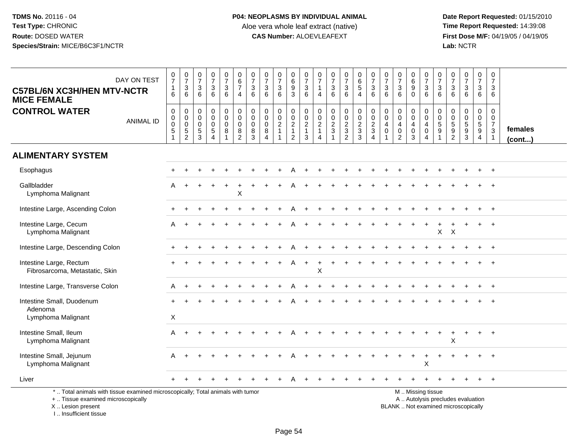| <b>C57BL/6N XC3H/HEN MTV-NCTR</b><br><b>MICE FEMALE</b>                                                                                                              | DAY ON TEST      | $\frac{0}{7}$<br>$\mathbf{1}$<br>6                                        | $\frac{0}{7}$<br>$\sqrt{3}$<br>6                                               | $\frac{0}{7}$<br>3<br>6                                      | $\frac{0}{7}$<br>$\mathbf{3}$<br>$6\phantom{a}$                | $\frac{0}{7}$<br>$\mathbf{3}$<br>$6\phantom{.}6$               | $\pmb{0}$<br>$\,6\,$<br>$\overline{7}$<br>$\overline{4}$         | $\frac{0}{7}$<br>$\sqrt{3}$<br>$6\phantom{1}$             | $\begin{array}{c} 0 \\ 7 \end{array}$<br>$\mathbf 3$<br>6                     | $\begin{array}{c} 0 \\ 7 \end{array}$<br>$\ensuremath{\mathsf{3}}$<br>6 | $\pmb{0}$<br>$\,6\,$<br>$\boldsymbol{9}$<br>$\mathbf{3}$                         | 0<br>$\overline{7}$<br>$\mathbf{3}$<br>6                         | $\begin{array}{c} 0 \\ 7 \end{array}$<br>$\mathbf{1}$<br>$\overline{4}$        | $\begin{array}{c} 0 \\ 7 \end{array}$<br>$\ensuremath{\mathsf{3}}$<br>$6\phantom{a}$ | $\begin{smallmatrix}0\\7\end{smallmatrix}$<br>$\ensuremath{\mathsf{3}}$<br>6               | $\pmb{0}$<br>$\,6\,$<br>5<br>$\overline{4}$                 | $\frac{0}{7}$<br>$\sqrt{3}$<br>6                                             | $\begin{array}{c} 0 \\ 7 \end{array}$<br>$\mathfrak{Z}$<br>6                     | $\frac{0}{7}$<br>$\mathbf{3}$<br>6                                          | $\begin{array}{c} 0 \\ 6 \end{array}$<br>$\overline{9}$<br>$\mathbf 0$ | $\frac{0}{7}$<br>$\ensuremath{\mathsf{3}}$<br>$6\phantom{1}$                                  | $\frac{0}{7}$<br>$\sqrt{3}$<br>6                                               | $\frac{0}{7}$<br>$\sqrt{3}$<br>6                    | $\frac{0}{7}$<br>$\mathbf{3}$<br>6                                               | $\pmb{0}$<br>$\overline{7}$<br>3<br>6                                           | 0<br>$\overline{7}$<br>3<br>6                                   |                   |
|----------------------------------------------------------------------------------------------------------------------------------------------------------------------|------------------|---------------------------------------------------------------------------|--------------------------------------------------------------------------------|--------------------------------------------------------------|----------------------------------------------------------------|----------------------------------------------------------------|------------------------------------------------------------------|-----------------------------------------------------------|-------------------------------------------------------------------------------|-------------------------------------------------------------------------|----------------------------------------------------------------------------------|------------------------------------------------------------------|--------------------------------------------------------------------------------|--------------------------------------------------------------------------------------|--------------------------------------------------------------------------------------------|-------------------------------------------------------------|------------------------------------------------------------------------------|----------------------------------------------------------------------------------|-----------------------------------------------------------------------------|------------------------------------------------------------------------|-----------------------------------------------------------------------------------------------|--------------------------------------------------------------------------------|-----------------------------------------------------|----------------------------------------------------------------------------------|---------------------------------------------------------------------------------|-----------------------------------------------------------------|-------------------|
| <b>CONTROL WATER</b>                                                                                                                                                 | <b>ANIMAL ID</b> | $\mathbf 0$<br>$\mathbf 0$<br>$\mathbf 0$<br>$\sqrt{5}$<br>$\overline{1}$ | $\mathbf 0$<br>$\mathbf 0$<br>$\boldsymbol{0}$<br>$\sqrt{5}$<br>$\overline{2}$ | $\mathbf 0$<br>$\mathbf 0$<br>$\mathbf 0$<br>$\sqrt{5}$<br>3 | 0<br>$\mathbf 0$<br>$\pmb{0}$<br>$\,$ 5 $\,$<br>$\overline{4}$ | $\mathbf 0$<br>$\mathbf 0$<br>$\mathbf 0$<br>8<br>$\mathbf{1}$ | $\pmb{0}$<br>$\pmb{0}$<br>$\pmb{0}$<br>$\bf 8$<br>$\overline{c}$ | $\mathbf 0$<br>$\mathbf 0$<br>$\mathbf 0$<br>$\,8\,$<br>3 | $\mathbf 0$<br>$\mathbf 0$<br>$\boldsymbol{0}$<br>8<br>$\boldsymbol{\Lambda}$ | 0<br>$\mathbf 0$<br>$\overline{2}$<br>$\mathbf{1}$<br>$\mathbf{1}$      | $\mathbf 0$<br>$\mathbf 0$<br>$\boldsymbol{2}$<br>$\mathbf{1}$<br>$\overline{2}$ | 0<br>$\pmb{0}$<br>$\overline{c}$<br>$\mathbf{1}$<br>$\mathbf{3}$ | $\mathbf 0$<br>$\mathbf 0$<br>$\overline{c}$<br>$\mathbf{1}$<br>$\overline{4}$ | $\mathbf 0$<br>$\frac{0}{2}$<br>$\mathbf{1}$                                         | $\mathbf 0$<br>$\overline{0}$<br>$\sqrt{2}$<br>$\ensuremath{\mathsf{3}}$<br>$\overline{2}$ | $\mathbf 0$<br>$\mathbf 0$<br>$\frac{2}{3}$<br>$\mathbf{3}$ | $\mathbf 0$<br>$\mathbf 0$<br>$\overline{2}$<br>$\sqrt{3}$<br>$\overline{4}$ | $\mathbf 0$<br>$\mathbf 0$<br>$\overline{4}$<br>$\boldsymbol{0}$<br>$\mathbf{1}$ | $\mathbf 0$<br>$\mathbf 0$<br>$\overline{4}$<br>$\pmb{0}$<br>$\overline{2}$ | $\mathbf 0$<br>$\mathbf 0$<br>$\overline{4}$<br>$\mathbf 0$<br>3       | $\mathbf 0$<br>$\mathsf{O}\xspace$<br>$\overline{4}$<br>$\pmb{0}$<br>$\overline{4}$           | $\mathbf 0$<br>$\mathbf 0$<br>$\sqrt{5}$<br>$\boldsymbol{9}$<br>$\overline{1}$ | $\mathbf 0$<br>$\mathsf{O}\xspace$<br>$\frac{5}{2}$ | $\mathbf 0$<br>$\mathbf 0$<br>$\overline{5}$<br>$\boldsymbol{9}$<br>$\mathbf{3}$ | $\Omega$<br>$\mathbf 0$<br>$\overline{5}$<br>$\boldsymbol{9}$<br>$\overline{4}$ | $\Omega$<br>0<br>$\overline{7}$<br>$\mathbf{3}$<br>$\mathbf{1}$ | females<br>(cont) |
| <b>ALIMENTARY SYSTEM</b>                                                                                                                                             |                  |                                                                           |                                                                                |                                                              |                                                                |                                                                |                                                                  |                                                           |                                                                               |                                                                         |                                                                                  |                                                                  |                                                                                |                                                                                      |                                                                                            |                                                             |                                                                              |                                                                                  |                                                                             |                                                                        |                                                                                               |                                                                                |                                                     |                                                                                  |                                                                                 |                                                                 |                   |
| Esophagus                                                                                                                                                            |                  |                                                                           |                                                                                |                                                              |                                                                |                                                                |                                                                  |                                                           |                                                                               |                                                                         |                                                                                  |                                                                  |                                                                                |                                                                                      |                                                                                            |                                                             |                                                                              |                                                                                  |                                                                             |                                                                        |                                                                                               |                                                                                |                                                     |                                                                                  |                                                                                 |                                                                 |                   |
| Gallbladder<br>Lymphoma Malignant                                                                                                                                    |                  | A                                                                         |                                                                                |                                                              |                                                                |                                                                | $\sf X$                                                          |                                                           |                                                                               |                                                                         |                                                                                  |                                                                  |                                                                                |                                                                                      |                                                                                            |                                                             |                                                                              |                                                                                  |                                                                             |                                                                        |                                                                                               |                                                                                |                                                     |                                                                                  |                                                                                 |                                                                 |                   |
| Intestine Large, Ascending Colon                                                                                                                                     |                  |                                                                           |                                                                                |                                                              |                                                                |                                                                |                                                                  |                                                           |                                                                               |                                                                         |                                                                                  |                                                                  |                                                                                |                                                                                      |                                                                                            |                                                             |                                                                              |                                                                                  |                                                                             |                                                                        |                                                                                               |                                                                                |                                                     |                                                                                  |                                                                                 |                                                                 |                   |
| Intestine Large, Cecum<br>Lymphoma Malignant                                                                                                                         |                  | A                                                                         |                                                                                |                                                              |                                                                |                                                                |                                                                  |                                                           |                                                                               |                                                                         |                                                                                  |                                                                  |                                                                                |                                                                                      |                                                                                            |                                                             |                                                                              |                                                                                  |                                                                             |                                                                        |                                                                                               | Χ                                                                              | X                                                   |                                                                                  |                                                                                 |                                                                 |                   |
| Intestine Large, Descending Colon                                                                                                                                    |                  |                                                                           |                                                                                |                                                              |                                                                |                                                                |                                                                  |                                                           |                                                                               |                                                                         |                                                                                  |                                                                  |                                                                                |                                                                                      |                                                                                            |                                                             |                                                                              |                                                                                  |                                                                             |                                                                        |                                                                                               |                                                                                |                                                     |                                                                                  |                                                                                 | $\ddot{}$                                                       |                   |
| Intestine Large, Rectum<br>Fibrosarcoma, Metastatic, Skin                                                                                                            |                  |                                                                           |                                                                                |                                                              |                                                                |                                                                |                                                                  |                                                           |                                                                               |                                                                         |                                                                                  |                                                                  | X                                                                              |                                                                                      |                                                                                            |                                                             |                                                                              |                                                                                  |                                                                             |                                                                        |                                                                                               |                                                                                |                                                     |                                                                                  |                                                                                 |                                                                 |                   |
| Intestine Large, Transverse Colon                                                                                                                                    |                  | A                                                                         |                                                                                |                                                              |                                                                |                                                                |                                                                  |                                                           |                                                                               |                                                                         |                                                                                  |                                                                  |                                                                                |                                                                                      |                                                                                            |                                                             |                                                                              |                                                                                  |                                                                             |                                                                        |                                                                                               |                                                                                |                                                     |                                                                                  |                                                                                 |                                                                 |                   |
| Intestine Small, Duodenum<br>Adenoma<br>Lymphoma Malignant                                                                                                           |                  | X                                                                         |                                                                                |                                                              |                                                                |                                                                |                                                                  |                                                           |                                                                               |                                                                         |                                                                                  |                                                                  |                                                                                |                                                                                      |                                                                                            |                                                             |                                                                              |                                                                                  |                                                                             |                                                                        |                                                                                               |                                                                                |                                                     |                                                                                  |                                                                                 |                                                                 |                   |
| Intestine Small, Ileum<br>Lymphoma Malignant                                                                                                                         |                  | A                                                                         |                                                                                |                                                              |                                                                |                                                                |                                                                  |                                                           |                                                                               |                                                                         |                                                                                  |                                                                  |                                                                                |                                                                                      |                                                                                            |                                                             |                                                                              |                                                                                  |                                                                             |                                                                        |                                                                                               |                                                                                | X                                                   |                                                                                  |                                                                                 | $\ddot{}$                                                       |                   |
| Intestine Small, Jejunum<br>Lymphoma Malignant                                                                                                                       |                  | A                                                                         |                                                                                |                                                              |                                                                |                                                                |                                                                  |                                                           |                                                                               |                                                                         |                                                                                  |                                                                  |                                                                                |                                                                                      |                                                                                            |                                                             |                                                                              |                                                                                  |                                                                             |                                                                        | Χ                                                                                             |                                                                                |                                                     |                                                                                  |                                                                                 |                                                                 |                   |
| Liver                                                                                                                                                                |                  |                                                                           |                                                                                |                                                              |                                                                |                                                                |                                                                  |                                                           |                                                                               |                                                                         |                                                                                  |                                                                  |                                                                                |                                                                                      |                                                                                            |                                                             |                                                                              |                                                                                  |                                                                             |                                                                        |                                                                                               |                                                                                |                                                     |                                                                                  |                                                                                 |                                                                 |                   |
| *  Total animals with tissue examined microscopically; Total animals with tumor<br>+  Tissue examined microscopically<br>X  Lesion present<br>L. Insufficient tissue |                  |                                                                           |                                                                                |                                                              |                                                                |                                                                |                                                                  |                                                           |                                                                               |                                                                         |                                                                                  |                                                                  |                                                                                |                                                                                      |                                                                                            |                                                             |                                                                              |                                                                                  |                                                                             |                                                                        | M  Missing tissue<br>A  Autolysis precludes evaluation<br>BLANK  Not examined microscopically |                                                                                |                                                     |                                                                                  |                                                                                 |                                                                 |                   |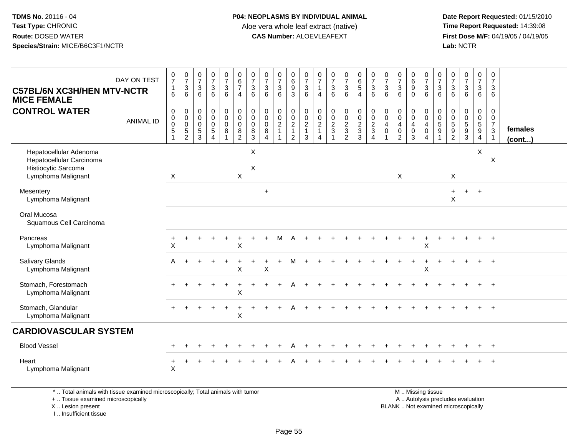**Date Report Requested:** 01/15/2010 **First Dose M/F:** 04/19/05 / 04/19/05<br>Lab: NCTR **Lab:** NCTR

| <b>C57BL/6N XC3H/HEN MTV-NCTR</b><br><b>MICE FEMALE</b>                                         | DAY ON TEST      | $\frac{0}{7}$<br>$\mathbf{1}$<br>6 | $\frac{0}{7}$<br>$\mathbf{3}$<br>6                       | $\frac{0}{7}$<br>3<br>6                   | $\frac{0}{7}$<br>$\mathsf 3$<br>6                                                 | $\frac{0}{7}$<br>$\mathfrak{S}$<br>$6^{\circ}$        | $\begin{array}{c} 0 \\ 6 \\ 7 \end{array}$<br>$\overline{4}$ | $\frac{0}{7}$<br>$\sqrt{3}$<br>$\,6\,$                                       | $\frac{0}{7}$<br>$\mathbf{3}$<br>6                                    | $\frac{0}{7}$<br>$\mathbf{3}$<br>6                            | $_{6}^{\rm 0}$<br>$\overline{9}$<br>3                                | $\begin{array}{c} 0 \\ 7 \\ 3 \end{array}$<br>6        | $\frac{0}{7}$<br>$\mathbf{1}$<br>4                      | $\begin{smallmatrix}0\\7\end{smallmatrix}$<br>$\mathbf 3$<br>6 | $\frac{0}{7}$<br>$\frac{3}{6}$                                | $\begin{array}{c} 0 \\ 6 \\ 5 \end{array}$<br>$\overline{4}$ | $\frac{0}{7}$<br>$\mathbf{3}$<br>6             | $\frac{0}{7}$<br>$\sqrt{3}$<br>6                                          | $\begin{array}{c} 0 \\ 7 \end{array}$<br>$\mathbf{3}$<br>6                         | $\begin{array}{c} 0 \\ 6 \\ 9 \end{array}$<br>$\Omega$ | $\frac{0}{7}$<br>$\mathbf{3}$<br>6                                          | $\frac{0}{7}$<br>$\mathbf{3}$<br>6           | $\frac{0}{7}$<br>3<br>6           | $\frac{0}{7}$<br>$\frac{3}{6}$                                    | $\frac{0}{7}$<br>3<br>6                                       | $\pmb{0}$<br>$\boldsymbol{7}$<br>$\mathbf{3}$<br>6                             |                   |
|-------------------------------------------------------------------------------------------------|------------------|------------------------------------|----------------------------------------------------------|-------------------------------------------|-----------------------------------------------------------------------------------|-------------------------------------------------------|--------------------------------------------------------------|------------------------------------------------------------------------------|-----------------------------------------------------------------------|---------------------------------------------------------------|----------------------------------------------------------------------|--------------------------------------------------------|---------------------------------------------------------|----------------------------------------------------------------|---------------------------------------------------------------|--------------------------------------------------------------|------------------------------------------------|---------------------------------------------------------------------------|------------------------------------------------------------------------------------|--------------------------------------------------------|-----------------------------------------------------------------------------|----------------------------------------------|-----------------------------------|-------------------------------------------------------------------|---------------------------------------------------------------|--------------------------------------------------------------------------------|-------------------|
| <b>CONTROL WATER</b>                                                                            | <b>ANIMAL ID</b> | 0<br>0<br>0<br>$\overline{5}$      | $\pmb{0}$<br>$\mathbf 0$<br>$\mathbf 0$<br>$\frac{5}{2}$ | 0<br>$\mathbf 0$<br>$\mathbf 0$<br>5<br>3 | $\pmb{0}$<br>$\pmb{0}$<br>$\mathbf 0$<br>$\overline{5}$<br>$\boldsymbol{\Lambda}$ | $_0^0$<br>$\pmb{0}$<br>$\overline{8}$<br>$\mathbf{1}$ | 0<br>$\mathbf 0$<br>$\mathbf 0$<br>$\frac{8}{2}$             | $\begin{smallmatrix} 0\\0 \end{smallmatrix}$<br>$\mathbf 0$<br>$\frac{8}{3}$ | $\boldsymbol{0}$<br>$\mathbf 0$<br>$\mathbf 0$<br>8<br>$\overline{4}$ | $\mathbf 0$<br>$\mathbf 0$<br>$\frac{2}{1}$<br>$\overline{1}$ | 0<br>$\mathbf 0$<br>$\overline{2}$<br>$\mathbf{1}$<br>$\overline{2}$ | $\pmb{0}$<br>$\mathsf{O}\xspace$<br>$\frac{2}{1}$<br>3 | 0<br>$\mathbf 0$<br>$\overline{c}$<br>$\mathbf{1}$<br>4 | $\pmb{0}$<br>$\mathbf 0$<br>$\frac{2}{3}$<br>$\mathbf{1}$      | $\begin{smallmatrix} 0\\0 \end{smallmatrix}$<br>$\frac{2}{3}$ | $\pmb{0}$<br>$\mathsf{O}\xspace$<br>$\frac{2}{3}$            | $\pmb{0}$<br>$\mathbf 0$<br>$\frac{2}{3}$<br>4 | $\pmb{0}$<br>$\mathbf 0$<br>$\overline{4}$<br>$\mathbf 0$<br>$\mathbf{1}$ | $\pmb{0}$<br>$\mathbf 0$<br>$\overline{\mathbf{4}}$<br>$\pmb{0}$<br>$\overline{2}$ | 0<br>$\mathbf 0$<br>$\overline{4}$<br>$\pmb{0}$<br>3   | 0<br>$\mathbf 0$<br>$\overline{4}$<br>$\mathbf 0$<br>$\boldsymbol{\Lambda}$ | $\,0\,$<br>$\mathbf 0$<br>$\frac{5}{9}$<br>1 | 0<br>$\mathbf 0$<br>$\frac{5}{2}$ | $\mathbf 0$<br>$\ddot{\mathbf{0}}$<br>$\sqrt{5}$<br>$\frac{9}{3}$ | 0<br>$\mathbf 0$<br>$\overline{5}$<br>$9\,$<br>$\overline{4}$ | $\mathbf 0$<br>$\mathbf 0$<br>$\overline{7}$<br>$\mathbf{3}$<br>$\overline{1}$ | females<br>(cont) |
| Hepatocellular Adenoma<br>Hepatocellular Carcinoma<br>Histiocytic Sarcoma<br>Lymphoma Malignant |                  | X                                  |                                                          |                                           |                                                                                   |                                                       | $\mathsf{X}$                                                 | X<br>$\times$                                                                |                                                                       |                                                               |                                                                      |                                                        |                                                         |                                                                |                                                               |                                                              |                                                |                                                                           | $\sf X$                                                                            |                                                        |                                                                             |                                              | X                                 |                                                                   | X                                                             | $\times$                                                                       |                   |
| Mesentery<br>Lymphoma Malignant                                                                 |                  |                                    |                                                          |                                           |                                                                                   |                                                       |                                                              |                                                                              | $\ddot{}$                                                             |                                                               |                                                                      |                                                        |                                                         |                                                                |                                                               |                                                              |                                                |                                                                           |                                                                                    |                                                        |                                                                             |                                              | $\ddot{}$<br>$\pmb{\times}$       | $+$                                                               | $+$                                                           |                                                                                |                   |
| Oral Mucosa<br>Squamous Cell Carcinoma                                                          |                  |                                    |                                                          |                                           |                                                                                   |                                                       |                                                              |                                                                              |                                                                       |                                                               |                                                                      |                                                        |                                                         |                                                                |                                                               |                                                              |                                                |                                                                           |                                                                                    |                                                        |                                                                             |                                              |                                   |                                                                   |                                                               |                                                                                |                   |
| Pancreas<br>Lymphoma Malignant                                                                  |                  | +<br>X                             |                                                          |                                           |                                                                                   |                                                       | $\sf X$                                                      |                                                                              |                                                                       | м                                                             |                                                                      |                                                        |                                                         |                                                                |                                                               |                                                              |                                                |                                                                           |                                                                                    |                                                        | X                                                                           |                                              |                                   |                                                                   |                                                               | $\ddot{+}$                                                                     |                   |
| Salivary Glands<br>Lymphoma Malignant                                                           |                  | A                                  |                                                          |                                           |                                                                                   |                                                       | X                                                            |                                                                              | X                                                                     |                                                               | М                                                                    |                                                        |                                                         |                                                                |                                                               |                                                              |                                                |                                                                           |                                                                                    |                                                        | X                                                                           |                                              |                                   |                                                                   | $+$                                                           | $+$                                                                            |                   |
| Stomach, Forestomach<br>Lymphoma Malignant                                                      |                  |                                    |                                                          |                                           |                                                                                   |                                                       | $\sf X$                                                      |                                                                              |                                                                       |                                                               |                                                                      |                                                        |                                                         |                                                                |                                                               |                                                              |                                                |                                                                           |                                                                                    |                                                        |                                                                             |                                              |                                   |                                                                   |                                                               |                                                                                |                   |
| Stomach, Glandular<br>Lymphoma Malignant                                                        |                  |                                    |                                                          |                                           |                                                                                   |                                                       | Χ                                                            |                                                                              |                                                                       |                                                               |                                                                      |                                                        |                                                         |                                                                |                                                               |                                                              |                                                |                                                                           |                                                                                    |                                                        |                                                                             |                                              |                                   |                                                                   |                                                               | $\ddot{}$                                                                      |                   |
| <b>CARDIOVASCULAR SYSTEM</b>                                                                    |                  |                                    |                                                          |                                           |                                                                                   |                                                       |                                                              |                                                                              |                                                                       |                                                               |                                                                      |                                                        |                                                         |                                                                |                                                               |                                                              |                                                |                                                                           |                                                                                    |                                                        |                                                                             |                                              |                                   |                                                                   |                                                               |                                                                                |                   |
| <b>Blood Vessel</b>                                                                             |                  |                                    |                                                          |                                           |                                                                                   |                                                       |                                                              |                                                                              |                                                                       |                                                               |                                                                      |                                                        |                                                         |                                                                |                                                               |                                                              |                                                |                                                                           |                                                                                    |                                                        |                                                                             |                                              |                                   |                                                                   |                                                               | $+$                                                                            |                   |
| Heart<br>Lymphoma Malignant                                                                     |                  | X                                  |                                                          |                                           |                                                                                   |                                                       |                                                              |                                                                              |                                                                       |                                                               |                                                                      |                                                        |                                                         |                                                                |                                                               |                                                              |                                                |                                                                           |                                                                                    |                                                        |                                                                             |                                              |                                   |                                                                   |                                                               |                                                                                |                   |

\* .. Total animals with tissue examined microscopically; Total animals with tumor

+ .. Tissue examined microscopically

X .. Lesion present

I .. Insufficient tissue

 M .. Missing tissuey the contract of the contract of the contract of the contract of the contract of the contract of the contract of  $A$ . Autolysis precludes evaluation Lesion present BLANK .. Not examined microscopically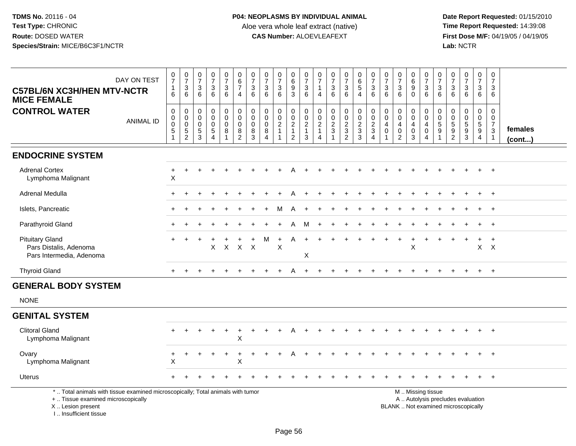**Date Report Requested:** 01/15/2010 **First Dose M/F:** 04/19/05 / 04/19/05<br>Lab: NCTR **Lab:** NCTR

| DAY ON TEST<br><b>C57BL/6N XC3H/HEN MTV-NCTR</b><br><b>MICE FEMALE</b>                                                                     | $\frac{0}{7}$<br>$\begin{array}{c} 1 \\ 6 \end{array}$ | $\begin{array}{c} 0 \\ 7 \end{array}$<br>$\mathbf{3}$<br>6 | $\frac{0}{7}$<br>$\ensuremath{\mathsf{3}}$<br>6 | $\frac{0}{7}$<br>$\ensuremath{\mathsf{3}}$<br>$6\phantom{1}$        | $\frac{0}{7}$<br>$\mathbf 3$<br>6                      | $\begin{array}{c} 0 \\ 6 \end{array}$<br>$\overline{7}$<br>$\overline{4}$ | $\frac{0}{7}$<br>3<br>6 | $\frac{0}{7}$<br>$\mathbf 3$<br>6                                            | $\frac{0}{7}$<br>$\mathbf{3}$<br>6                         | $_{6}^{\rm 0}$<br>$\boldsymbol{9}$<br>3                   | $\frac{0}{7}$<br>$\ensuremath{\mathsf{3}}$<br>6 | 0<br>$\overline{7}$<br>$\overline{1}$<br>4              | $\frac{0}{7}$<br>$\sqrt{3}$<br>6            | $\frac{0}{7}$<br>$\mathbf{3}$<br>6                          | $\begin{array}{c} 0 \\ 6 \end{array}$<br>$5\phantom{.0}$<br>$\overline{4}$ | $\frac{0}{7}$<br>$\sqrt{3}$<br>6             | $\begin{array}{c} 0 \\ 7 \end{array}$<br>$\ensuremath{\mathsf{3}}$<br>6 | $\begin{array}{c} 0 \\ 7 \end{array}$<br>$\sqrt{3}$<br>6                  | 0<br>$6\phantom{a}$<br>9<br>$\Omega$       | $\frac{0}{7}$<br>$\sqrt{3}$<br>6                                                       | 0<br>$\overline{7}$<br>$\ensuremath{\mathsf{3}}$<br>6 | $\frac{0}{7}$<br>$\sqrt{3}$<br>6                    | $\frac{0}{7}$<br>$\ensuremath{\mathsf{3}}$<br>$6\phantom{a}$             | 0<br>$\overline{7}$<br>3<br>6 | 0<br>$\overline{7}$<br>3<br>6                                                |                   |
|--------------------------------------------------------------------------------------------------------------------------------------------|--------------------------------------------------------|------------------------------------------------------------|-------------------------------------------------|---------------------------------------------------------------------|--------------------------------------------------------|---------------------------------------------------------------------------|-------------------------|------------------------------------------------------------------------------|------------------------------------------------------------|-----------------------------------------------------------|-------------------------------------------------|---------------------------------------------------------|---------------------------------------------|-------------------------------------------------------------|----------------------------------------------------------------------------|----------------------------------------------|-------------------------------------------------------------------------|---------------------------------------------------------------------------|--------------------------------------------|----------------------------------------------------------------------------------------|-------------------------------------------------------|-----------------------------------------------------|--------------------------------------------------------------------------|-------------------------------|------------------------------------------------------------------------------|-------------------|
| <b>CONTROL WATER</b><br><b>ANIMAL ID</b>                                                                                                   | $\pmb{0}$<br>$_{\rm 0}^{\rm 0}$<br>$\overline{5}$<br>1 | 0<br>0<br>$\mathbf 0$<br>5<br>$\overline{2}$               | $\mathbf 0$<br>0<br>0<br>$\,$ 5 $\,$<br>3       | $\pmb{0}$<br>$\mathbf 0$<br>$\pmb{0}$<br>$\overline{5}$<br>$\Delta$ | $\pmb{0}$<br>$\mathbf 0$<br>$\pmb{0}$<br>$\bf 8$<br>-1 | $\pmb{0}$<br>$\mathbf 0$<br>$\mathbf 0$<br>$\bf 8$<br>$\overline{2}$      | 0<br>0<br>0<br>8<br>3   | $\mathbf 0$<br>$\mathsf{O}\xspace$<br>0<br>$\bf 8$<br>$\boldsymbol{\Lambda}$ | $\mathbf 0$<br>$\pmb{0}$<br>$\overline{c}$<br>$\mathbf{1}$ | $\pmb{0}$<br>$\pmb{0}$<br>$\frac{2}{1}$<br>$\overline{c}$ | $\,0\,$<br>$\pmb{0}$<br>$\frac{2}{1}$<br>3      | 0<br>$\mathbf 0$<br>$\overline{c}$<br>$\mathbf{1}$<br>4 | $\mathbf 0$<br>$\mathbf 0$<br>$\frac{2}{3}$ | $\pmb{0}$<br>$\mathsf 0$<br>$\frac{2}{3}$<br>$\overline{2}$ | $\mathbf 0$<br>$\pmb{0}$<br>$\frac{2}{3}$<br>3                             | $\pmb{0}$<br>$\frac{0}{2}$<br>$\overline{4}$ | $\mathbf 0$<br>0<br>4<br>$\mathbf 0$                                    | $\pmb{0}$<br>$\mathbf 0$<br>$\overline{4}$<br>$\pmb{0}$<br>$\overline{2}$ | 0<br>0<br>$\overline{4}$<br>$\pmb{0}$<br>3 | $\pmb{0}$<br>$\boldsymbol{0}$<br>$\overline{4}$<br>$\pmb{0}$<br>$\boldsymbol{\Lambda}$ | 0<br>$\pmb{0}$<br>$\,$ 5 $\,$<br>$\boldsymbol{9}$     | $\mathbf 0$<br>0<br>$\frac{5}{9}$<br>$\overline{2}$ | $\pmb{0}$<br>$\begin{array}{c} 0 \\ 5 \\ 9 \\ 3 \end{array}$             | 0<br>0<br>$\frac{5}{9}$<br>4  | $\mathbf 0$<br>$\mathbf 0$<br>$\overline{7}$<br>$\sqrt{3}$<br>$\overline{1}$ | females<br>(cont) |
| <b>ENDOCRINE SYSTEM</b>                                                                                                                    |                                                        |                                                            |                                                 |                                                                     |                                                        |                                                                           |                         |                                                                              |                                                            |                                                           |                                                 |                                                         |                                             |                                                             |                                                                            |                                              |                                                                         |                                                                           |                                            |                                                                                        |                                                       |                                                     |                                                                          |                               |                                                                              |                   |
| <b>Adrenal Cortex</b><br>Lymphoma Malignant                                                                                                | +<br>X                                                 | $\ddot{}$                                                  |                                                 |                                                                     |                                                        |                                                                           |                         |                                                                              |                                                            |                                                           |                                                 |                                                         |                                             |                                                             |                                                                            |                                              |                                                                         |                                                                           |                                            |                                                                                        |                                                       |                                                     |                                                                          | $\ddot{}$                     | $+$                                                                          |                   |
| Adrenal Medulla                                                                                                                            |                                                        |                                                            |                                                 |                                                                     |                                                        |                                                                           |                         |                                                                              |                                                            |                                                           |                                                 |                                                         |                                             |                                                             |                                                                            |                                              |                                                                         |                                                                           |                                            |                                                                                        |                                                       |                                                     |                                                                          |                               | $\overline{+}$                                                               |                   |
| Islets, Pancreatic                                                                                                                         |                                                        |                                                            |                                                 |                                                                     |                                                        |                                                                           |                         |                                                                              | м                                                          |                                                           |                                                 |                                                         |                                             |                                                             |                                                                            |                                              |                                                                         |                                                                           |                                            |                                                                                        |                                                       |                                                     |                                                                          |                               |                                                                              |                   |
| Parathyroid Gland                                                                                                                          |                                                        |                                                            |                                                 |                                                                     |                                                        |                                                                           |                         |                                                                              |                                                            | A                                                         | M                                               |                                                         |                                             |                                                             |                                                                            |                                              |                                                                         |                                                                           |                                            |                                                                                        |                                                       |                                                     |                                                                          |                               | $\overline{ }$                                                               |                   |
| <b>Pituitary Gland</b><br>Pars Distalis, Adenoma<br>Pars Intermedia, Adenoma                                                               |                                                        | $\ddot{}$                                                  |                                                 | X                                                                   | $\mathsf{X}$                                           |                                                                           | X X                     |                                                                              | $\ddot{}$<br>X                                             | A                                                         | $+$<br>X                                        |                                                         |                                             |                                                             |                                                                            |                                              |                                                                         |                                                                           | +<br>$\mathsf X$                           |                                                                                        |                                                       |                                                     |                                                                          | $+$                           | $\ddot{}$<br>$X$ $X$                                                         |                   |
| <b>Thyroid Gland</b>                                                                                                                       |                                                        |                                                            |                                                 |                                                                     |                                                        |                                                                           |                         |                                                                              |                                                            | A                                                         |                                                 |                                                         |                                             |                                                             |                                                                            |                                              |                                                                         |                                                                           |                                            |                                                                                        |                                                       |                                                     |                                                                          | $\ddot{}$                     | $+$                                                                          |                   |
| <b>GENERAL BODY SYSTEM</b>                                                                                                                 |                                                        |                                                            |                                                 |                                                                     |                                                        |                                                                           |                         |                                                                              |                                                            |                                                           |                                                 |                                                         |                                             |                                                             |                                                                            |                                              |                                                                         |                                                                           |                                            |                                                                                        |                                                       |                                                     |                                                                          |                               |                                                                              |                   |
| <b>NONE</b>                                                                                                                                |                                                        |                                                            |                                                 |                                                                     |                                                        |                                                                           |                         |                                                                              |                                                            |                                                           |                                                 |                                                         |                                             |                                                             |                                                                            |                                              |                                                                         |                                                                           |                                            |                                                                                        |                                                       |                                                     |                                                                          |                               |                                                                              |                   |
| <b>GENITAL SYSTEM</b>                                                                                                                      |                                                        |                                                            |                                                 |                                                                     |                                                        |                                                                           |                         |                                                                              |                                                            |                                                           |                                                 |                                                         |                                             |                                                             |                                                                            |                                              |                                                                         |                                                                           |                                            |                                                                                        |                                                       |                                                     |                                                                          |                               |                                                                              |                   |
| <b>Clitoral Gland</b><br>Lymphoma Malignant                                                                                                |                                                        |                                                            |                                                 |                                                                     | $\ddot{}$                                              | $\ddot{}$<br>X                                                            |                         |                                                                              |                                                            |                                                           |                                                 |                                                         |                                             |                                                             |                                                                            |                                              |                                                                         |                                                                           |                                            |                                                                                        |                                                       |                                                     |                                                                          |                               |                                                                              |                   |
| Ovary<br>Lymphoma Malignant                                                                                                                | $\ddot{}$<br>$\boldsymbol{\mathsf{X}}$                 |                                                            |                                                 |                                                                     |                                                        | $\ddot{}$<br>X                                                            |                         |                                                                              |                                                            |                                                           |                                                 |                                                         |                                             |                                                             |                                                                            |                                              |                                                                         |                                                                           |                                            |                                                                                        |                                                       |                                                     |                                                                          |                               | $+$                                                                          |                   |
| <b>Uterus</b>                                                                                                                              |                                                        |                                                            |                                                 |                                                                     |                                                        |                                                                           |                         |                                                                              |                                                            |                                                           |                                                 |                                                         |                                             |                                                             |                                                                            |                                              |                                                                         |                                                                           |                                            |                                                                                        |                                                       |                                                     |                                                                          |                               | $+$                                                                          |                   |
| *  Total animals with tissue examined microscopically; Total animals with tumor<br>+  Tissue examined microscopically<br>X  Lesion present |                                                        |                                                            |                                                 |                                                                     |                                                        |                                                                           |                         |                                                                              |                                                            |                                                           |                                                 |                                                         |                                             |                                                             |                                                                            |                                              |                                                                         |                                                                           |                                            | M  Missing tissue                                                                      |                                                       |                                                     | A  Autolysis precludes evaluation<br>BLANK  Not examined microscopically |                               |                                                                              |                   |

I .. Insufficient tissue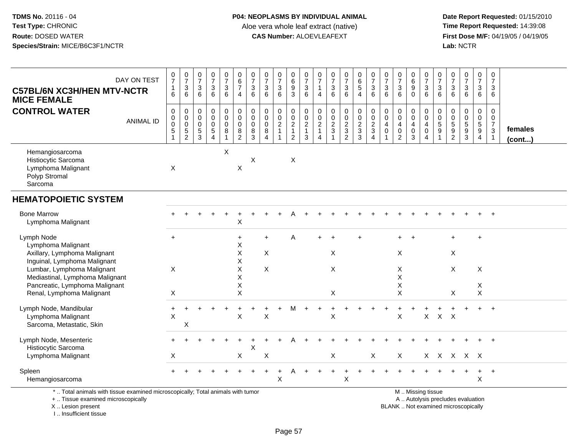**Date Report Requested:** 01/15/2010 **First Dose M/F:** 04/19/05 / 04/19/05<br>Lab: NCTR **Lab:** NCTR

| DAY ON TEST<br><b>C57BL/6N XC3H/HEN MTV-NCTR</b>                                                                                           | $\frac{0}{7}$<br>$\mathbf{1}$                                      | $\frac{0}{7}$<br>$\mathbf{3}$                      | $\frac{0}{7}$<br>3                                           | $\frac{0}{7}$<br>3                                            | $\pmb{0}$<br>$\overline{7}$<br>$\mathbf{3}$                     | $\begin{array}{c} 0 \\ 6 \end{array}$<br>$\overline{7}$                    | $\frac{0}{7}$<br>$\mathbf{3}$                             | $\frac{0}{7}$<br>$\mathbf{3}$                                            | $\frac{0}{7}$<br>3                      | 0<br>$\,6$                                                | 0<br>$\overline{7}$<br>$\sqrt{3}$                           | 0<br>$\overline{7}$<br>1                                                       | $\frac{0}{7}$                                   | $\frac{0}{7}$<br>3                                  | 0<br>6<br>5                                                                  | $\frac{0}{7}$<br>3                        | 0<br>$\overline{7}$<br>3                                         | $\frac{0}{7}$                                                                                          | $_{6}^{\rm 0}$<br>9                                  | $\pmb{0}$<br>$\overline{7}$<br>$\sqrt{3}$                                           | 0<br>$\overline{7}$<br>3 | 0<br>$\overline{7}$<br>3 | $\frac{0}{7}$<br>$\ensuremath{\mathsf{3}}$                               | $\pmb{0}$<br>$\overline{7}$<br>3                    | 0<br>$\overline{7}$<br>$\mathbf{3}$                                           |                   |
|--------------------------------------------------------------------------------------------------------------------------------------------|--------------------------------------------------------------------|----------------------------------------------------|--------------------------------------------------------------|---------------------------------------------------------------|-----------------------------------------------------------------|----------------------------------------------------------------------------|-----------------------------------------------------------|--------------------------------------------------------------------------|-----------------------------------------|-----------------------------------------------------------|-------------------------------------------------------------|--------------------------------------------------------------------------------|-------------------------------------------------|-----------------------------------------------------|------------------------------------------------------------------------------|-------------------------------------------|------------------------------------------------------------------|--------------------------------------------------------------------------------------------------------|------------------------------------------------------|-------------------------------------------------------------------------------------|--------------------------|--------------------------|--------------------------------------------------------------------------|-----------------------------------------------------|-------------------------------------------------------------------------------|-------------------|
| <b>MICE FEMALE</b>                                                                                                                         | 6                                                                  | 6                                                  | 6                                                            | $6\overline{6}$                                               | $6\phantom{1}$                                                  | $\overline{4}$                                                             | 6                                                         | 6                                                                        | $6\phantom{1}$                          | $\frac{9}{3}$                                             | 6                                                           | $\overline{4}$                                                                 | $\frac{3}{6}$                                   | $\,6\,$                                             | 4                                                                            | $\overline{6}$                            | 6                                                                | $\frac{3}{6}$                                                                                          | $\mathbf 0$                                          | 6                                                                                   | 6                        | 6                        | $6\phantom{a}$                                                           | 6                                                   | 6                                                                             |                   |
| <b>CONTROL WATER</b><br><b>ANIMAL ID</b>                                                                                                   | $\boldsymbol{0}$<br>$\pmb{0}$<br>$\overline{0}$<br>$\sqrt{5}$<br>1 | 0<br>$\mathbf 0$<br>$\mathsf 0$<br>$\sqrt{5}$<br>2 | $\mathbf 0$<br>$\mathbf 0$<br>$\mathbf 0$<br>$\sqrt{5}$<br>3 | 0<br>$\mathbf 0$<br>$\pmb{0}$<br>$\sqrt{5}$<br>$\overline{4}$ | $\boldsymbol{0}$<br>$\pmb{0}$<br>$\pmb{0}$<br>8<br>$\mathbf{1}$ | $\pmb{0}$<br>$\ddot{\mathbf{0}}$<br>$\pmb{0}$<br>$\bf 8$<br>$\overline{2}$ | $\mathbf 0$<br>$\mathbf 0$<br>$\mathbf 0$<br>$\bf 8$<br>3 | $\mathbf 0$<br>$\mathbf 0$<br>$\mathbf 0$<br>8<br>$\boldsymbol{\Lambda}$ | 0<br>$\mathbf 0$<br>$\overline{c}$<br>1 | $\pmb{0}$<br>$\pmb{0}$<br>$\frac{2}{1}$<br>$\overline{2}$ | 0<br>$\mathsf{O}\xspace$<br>$\sqrt{2}$<br>$\mathbf{1}$<br>3 | $\mathbf 0$<br>$\mathbf 0$<br>$\overline{c}$<br>$\mathbf{1}$<br>$\overline{4}$ | $\begin{array}{c} 0 \\ 0 \\ 2 \\ 3 \end{array}$ | 0<br>$\mathbf 0$<br>$\frac{2}{3}$<br>$\overline{2}$ | 0<br>$\mathsf{O}\xspace$<br>$\overline{c}$<br>$\ensuremath{\mathsf{3}}$<br>3 | 0<br>$\overline{0}$<br>$\frac{2}{3}$<br>4 | 0<br>0<br>$\overline{\mathbf{4}}$<br>$\pmb{0}$<br>$\overline{1}$ | $\mathbf 0$<br>$\ddot{\mathbf{0}}$<br>$\overline{\mathbf{4}}$<br>$\mathsf{O}\xspace$<br>$\overline{2}$ | 0<br>0<br>$\overline{4}$<br>$\mathsf{O}\xspace$<br>3 | $\pmb{0}$<br>$\mathsf{O}\xspace$<br>$\overline{4}$<br>$\mathbf 0$<br>$\overline{4}$ | 0<br>0<br>5<br>9         | 0<br>0<br>$\frac{5}{2}$  | $\boldsymbol{0}$<br>$\pmb{0}$<br>$\frac{5}{9}$<br>3                      | 0<br>$\mathbf 0$<br>$\frac{5}{9}$<br>$\overline{4}$ | $\mathbf 0$<br>$\mathbf 0$<br>$\overline{7}$<br>$\mathbf 3$<br>$\overline{1}$ | females<br>(cont) |
| Hemangiosarcoma<br>Histiocytic Sarcoma<br>Lymphoma Malignant<br>Polyp Stromal<br>Sarcoma                                                   | Χ                                                                  |                                                    |                                                              |                                                               | X                                                               | Χ                                                                          | X                                                         |                                                                          |                                         | Χ                                                         |                                                             |                                                                                |                                                 |                                                     |                                                                              |                                           |                                                                  |                                                                                                        |                                                      |                                                                                     |                          |                          |                                                                          |                                                     |                                                                               |                   |
| <b>HEMATOPOIETIC SYSTEM</b>                                                                                                                |                                                                    |                                                    |                                                              |                                                               |                                                                 |                                                                            |                                                           |                                                                          |                                         |                                                           |                                                             |                                                                                |                                                 |                                                     |                                                                              |                                           |                                                                  |                                                                                                        |                                                      |                                                                                     |                          |                          |                                                                          |                                                     |                                                                               |                   |
| <b>Bone Marrow</b><br>Lymphoma Malignant                                                                                                   |                                                                    |                                                    |                                                              |                                                               |                                                                 | $\mathsf X$                                                                |                                                           |                                                                          |                                         |                                                           |                                                             |                                                                                |                                                 |                                                     |                                                                              |                                           |                                                                  |                                                                                                        |                                                      |                                                                                     |                          |                          |                                                                          |                                                     |                                                                               |                   |
| Lymph Node<br>Lymphoma Malignant<br>Axillary, Lymphoma Malignant                                                                           | $\ddot{}$                                                          |                                                    |                                                              |                                                               |                                                                 | $\ddot{}$<br>X<br>X                                                        |                                                           | $\ddot{}$<br>$\pmb{\times}$                                              |                                         | A                                                         |                                                             |                                                                                | $\pmb{\times}$                                  |                                                     |                                                                              |                                           |                                                                  | X                                                                                                      |                                                      |                                                                                     |                          | ÷<br>X                   |                                                                          | $+$                                                 |                                                                               |                   |
| Inguinal, Lymphoma Malignant<br>Lumbar, Lymphoma Malignant<br>Mediastinal, Lymphoma Malignant                                              | X                                                                  |                                                    |                                                              |                                                               |                                                                 | X<br>X<br>X                                                                |                                                           | $\pmb{\times}$                                                           |                                         |                                                           |                                                             |                                                                                | X                                               |                                                     |                                                                              |                                           |                                                                  | Χ<br>$\mathsf X$                                                                                       |                                                      |                                                                                     |                          | X                        |                                                                          | X                                                   |                                                                               |                   |
| Pancreatic, Lymphoma Malignant<br>Renal, Lymphoma Malignant                                                                                | Χ                                                                  |                                                    |                                                              |                                                               |                                                                 | X<br>X                                                                     |                                                           |                                                                          |                                         |                                                           |                                                             |                                                                                | X                                               |                                                     |                                                                              |                                           |                                                                  | Х<br>$\mathsf X$                                                                                       |                                                      |                                                                                     |                          | X                        |                                                                          | X<br>X                                              |                                                                               |                   |
| Lymph Node, Mandibular<br>Lymphoma Malignant<br>Sarcoma, Metastatic, Skin                                                                  | X                                                                  | $\times$                                           |                                                              |                                                               |                                                                 | X                                                                          |                                                           | X                                                                        |                                         | м                                                         |                                                             |                                                                                | X                                               |                                                     |                                                                              |                                           |                                                                  | X                                                                                                      |                                                      | X                                                                                   |                          | $X$ $X$                  |                                                                          |                                                     | $+$                                                                           |                   |
| Lymph Node, Mesenteric<br>Histiocytic Sarcoma                                                                                              |                                                                    |                                                    |                                                              |                                                               |                                                                 |                                                                            | X                                                         |                                                                          |                                         |                                                           |                                                             |                                                                                |                                                 |                                                     |                                                                              |                                           |                                                                  |                                                                                                        |                                                      |                                                                                     |                          |                          |                                                                          |                                                     |                                                                               |                   |
| Lymphoma Malignant                                                                                                                         | X                                                                  |                                                    |                                                              |                                                               |                                                                 | Χ                                                                          |                                                           | Χ                                                                        |                                         |                                                           |                                                             |                                                                                | X                                               |                                                     |                                                                              | X                                         |                                                                  | X                                                                                                      |                                                      | X                                                                                   |                          |                          | X X X X                                                                  |                                                     |                                                                               |                   |
| Spleen<br>Hemangiosarcoma                                                                                                                  |                                                                    |                                                    |                                                              |                                                               |                                                                 |                                                                            |                                                           |                                                                          | $\mathsf X$                             |                                                           |                                                             |                                                                                |                                                 | X                                                   |                                                                              |                                           |                                                                  |                                                                                                        |                                                      |                                                                                     |                          |                          |                                                                          | +<br>X                                              | $+$                                                                           |                   |
| *  Total animals with tissue examined microscopically; Total animals with tumor<br>+  Tissue examined microscopically<br>X  Lesion present |                                                                    |                                                    |                                                              |                                                               |                                                                 |                                                                            |                                                           |                                                                          |                                         |                                                           |                                                             |                                                                                |                                                 |                                                     |                                                                              |                                           |                                                                  |                                                                                                        |                                                      | M  Missing tissue                                                                   |                          |                          | A  Autolysis precludes evaluation<br>BLANK  Not examined microscopically |                                                     |                                                                               |                   |

I .. Insufficient tissue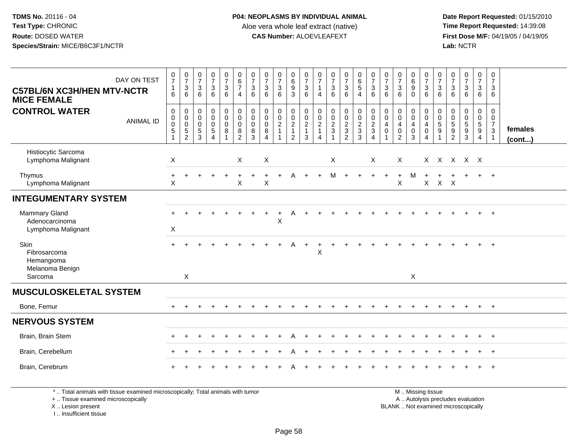**Date Report Requested:** 01/15/2010 **First Dose M/F:** 04/19/05 / 04/19/05<br>Lab: NCTR **Lab:** NCTR

| DAY ON TEST<br><b>C57BL/6N XC3H/HEN MTV-NCTR</b><br><b>MICE FEMALE</b> | $\begin{array}{c} 0 \\ 7 \end{array}$<br>$\mathbf{1}$<br>6                 | $\begin{smallmatrix}0\\7\end{smallmatrix}$<br>$\mathbf{3}$<br>6      | $\frac{0}{7}$<br>$\mathbf{3}$<br>6                                     | $\frac{0}{7}$<br>$\sqrt{3}$<br>6                              | $\frac{0}{7}$<br>$\mathsf 3$<br>6                                        | $\begin{array}{c} 0 \\ 6 \end{array}$<br>$\overline{7}$<br>$\overline{4}$ | $\frac{0}{7}$<br>$\mathbf{3}$<br>6        | $\begin{array}{c} 0 \\ 7 \\ 3 \end{array}$<br>6                        | $\frac{0}{7}$<br>$\mathbf{3}$<br>6                                    | $_{6}^{\rm 0}$<br>$\overline{9}$<br>3                                | $\frac{0}{7}$<br>$\mathbf{3}$<br>6                                              | $\frac{0}{7}$<br>$\mathbf{1}$<br>4                      | $\frac{0}{7}$<br>$\mathbf{3}$<br>6                                                                | $\frac{0}{7}$<br>$\mathbf{3}$<br>6                | $\begin{array}{c} 0 \\ 6 \\ 5 \end{array}$<br>4                                | $\frac{0}{7}$<br>$\sqrt{3}$<br>6                                     | $\frac{0}{7}$<br>$\sqrt{3}$<br>6                                                      | $\frac{0}{7}$<br>$\mathbf{3}$<br>6                                               | 0<br>$6\phantom{a}$<br>$\overline{9}$<br>$\mathbf 0$ | $\begin{matrix} 0 \\ 7 \\ 3 \end{matrix}$<br>6                                                         | $\frac{0}{7}$<br>$\mathfrak{S}$<br>6                 | $\begin{smallmatrix}0\\7\end{smallmatrix}$<br>3<br>6 | $\frac{0}{7}$<br>$\ensuremath{\mathsf{3}}$<br>6                | $\frac{0}{7}$<br>$\mathbf{3}$<br>6                  | 0<br>$\overline{7}$<br>3<br>6                                      |                         |
|------------------------------------------------------------------------|----------------------------------------------------------------------------|----------------------------------------------------------------------|------------------------------------------------------------------------|---------------------------------------------------------------|--------------------------------------------------------------------------|---------------------------------------------------------------------------|-------------------------------------------|------------------------------------------------------------------------|-----------------------------------------------------------------------|----------------------------------------------------------------------|---------------------------------------------------------------------------------|---------------------------------------------------------|---------------------------------------------------------------------------------------------------|---------------------------------------------------|--------------------------------------------------------------------------------|----------------------------------------------------------------------|---------------------------------------------------------------------------------------|----------------------------------------------------------------------------------|------------------------------------------------------|--------------------------------------------------------------------------------------------------------|------------------------------------------------------|------------------------------------------------------|----------------------------------------------------------------|-----------------------------------------------------|--------------------------------------------------------------------|-------------------------|
| <b>CONTROL WATER</b><br><b>ANIMAL ID</b>                               | $\boldsymbol{0}$<br>$\pmb{0}$<br>$\mathbf 0$<br>$\sqrt{5}$<br>$\mathbf{1}$ | 0<br>$\mathbf 0$<br>$\boldsymbol{0}$<br>$\sqrt{5}$<br>$\overline{2}$ | $\pmb{0}$<br>$\mathbf 0$<br>$\mathbf 0$<br>$\,$ 5 $\,$<br>$\mathbf{3}$ | $\pmb{0}$<br>$\tilde{0}$<br>0<br>$\sqrt{5}$<br>$\overline{4}$ | $\mathbf 0$<br>$\overline{0}$<br>$\mathbf 0$<br>$\bf8$<br>$\overline{1}$ | $\pmb{0}$<br>$\overline{0}$<br>$\mathbf 0$<br>8<br>$\overline{2}$         | 0<br>$\mathbf 0$<br>$\mathbf 0$<br>8<br>3 | $\pmb{0}$<br>$\overline{0}$<br>$\mathbf 0$<br>$\bf8$<br>$\overline{4}$ | 0<br>$\overline{0}$<br>$\overline{c}$<br>$\mathbf{1}$<br>$\mathbf{1}$ | 0<br>$\mathsf 0$<br>$\overline{a}$<br>$\mathbf{1}$<br>$\overline{c}$ | $\mathbf 0$<br>$\overline{0}$<br>$\overline{2}$<br>$\mathbf{1}$<br>$\mathbf{3}$ | 0<br>$\mathbf 0$<br>$\overline{c}$<br>$\mathbf{1}$<br>4 | $\pmb{0}$<br>$\ddot{\mathbf{0}}$<br>$\overline{c}$<br>$\ensuremath{\mathsf{3}}$<br>$\overline{1}$ | 0<br>$\bar{0}$<br>$\frac{2}{3}$<br>$\overline{2}$ | $\begin{smallmatrix}0\0\0\end{smallmatrix}$<br>$\sqrt{2}$<br>$\mathbf{3}$<br>3 | $_{\rm 0}^{\rm 0}$<br>$\sqrt{2}$<br>$\mathfrak{Z}$<br>$\overline{4}$ | $\mathbf 0$<br>$\ddot{\mathbf{0}}$<br>$\overline{4}$<br>$\mathbf 0$<br>$\overline{1}$ | $\mathbf 0$<br>$\overline{0}$<br>$\overline{a}$<br>$\mathbf 0$<br>$\overline{2}$ | 0<br>$\mathbf{0}$<br>4<br>$\pmb{0}$<br>3             | $\begin{smallmatrix}0\0\0\end{smallmatrix}$<br>$\overline{4}$<br>$\mathsf{O}\xspace$<br>$\overline{4}$ | 0<br>$\overline{0}$<br>$\frac{5}{9}$<br>$\mathbf{1}$ | 0<br>0<br>$\,$ 5 $\,$<br>9<br>$\sqrt{2}$             | $\mathbf 0$<br>$\overline{0}$<br>$\frac{5}{9}$<br>$\mathbf{3}$ | 0<br>$\mathbf 0$<br>$\frac{5}{9}$<br>$\overline{4}$ | 0<br>$\mathbf 0$<br>$\overline{7}$<br>$\mathbf{3}$<br>$\mathbf{1}$ | females<br>$($ cont $)$ |
| Histiocytic Sarcoma<br>Lymphoma Malignant                              | $\sf X$                                                                    |                                                                      |                                                                        |                                                               |                                                                          | X                                                                         |                                           | $\boldsymbol{X}$                                                       |                                                                       |                                                                      |                                                                                 |                                                         | $\boldsymbol{\mathsf{X}}$                                                                         |                                                   |                                                                                | X                                                                    |                                                                                       | $\times$                                                                         |                                                      | X.                                                                                                     |                                                      |                                                      | X X X X                                                        |                                                     |                                                                    |                         |
| Thymus<br>Lymphoma Malignant                                           | $\ddot{}$<br>X                                                             |                                                                      |                                                                        | $\div$                                                        |                                                                          | X                                                                         |                                           | X                                                                      | $+$                                                                   | A                                                                    | $+$                                                                             | $+$                                                     | M                                                                                                 |                                                   |                                                                                | $\ddot{}$                                                            |                                                                                       | $\ddot{}$<br>$\pmb{\times}$                                                      | M                                                    | X                                                                                                      | $X$ $X$                                              |                                                      |                                                                | $+$                                                 | $+$                                                                |                         |
| <b>INTEGUMENTARY SYSTEM</b>                                            |                                                                            |                                                                      |                                                                        |                                                               |                                                                          |                                                                           |                                           |                                                                        |                                                                       |                                                                      |                                                                                 |                                                         |                                                                                                   |                                                   |                                                                                |                                                                      |                                                                                       |                                                                                  |                                                      |                                                                                                        |                                                      |                                                      |                                                                |                                                     |                                                                    |                         |
| <b>Mammary Gland</b><br>Adenocarcinoma<br>Lymphoma Malignant           | $+$<br>$\sf X$                                                             |                                                                      |                                                                        |                                                               |                                                                          |                                                                           |                                           |                                                                        | $\ddot{}$<br>X                                                        |                                                                      |                                                                                 |                                                         |                                                                                                   |                                                   |                                                                                |                                                                      |                                                                                       |                                                                                  |                                                      |                                                                                                        |                                                      |                                                      |                                                                | $\ddot{}$                                           | $+$                                                                |                         |
| Skin<br>Fibrosarcoma<br>Hemangioma<br>Melanoma Benign<br>Sarcoma       |                                                                            | $\boldsymbol{\mathsf{X}}$                                            |                                                                        |                                                               |                                                                          |                                                                           |                                           |                                                                        |                                                                       | A                                                                    | $\ddot{}$                                                                       | $\sf X$                                                 |                                                                                                   |                                                   |                                                                                |                                                                      |                                                                                       |                                                                                  | X                                                    |                                                                                                        |                                                      |                                                      |                                                                |                                                     |                                                                    |                         |
| <b>MUSCULOSKELETAL SYSTEM</b>                                          |                                                                            |                                                                      |                                                                        |                                                               |                                                                          |                                                                           |                                           |                                                                        |                                                                       |                                                                      |                                                                                 |                                                         |                                                                                                   |                                                   |                                                                                |                                                                      |                                                                                       |                                                                                  |                                                      |                                                                                                        |                                                      |                                                      |                                                                |                                                     |                                                                    |                         |
| Bone, Femur                                                            |                                                                            |                                                                      |                                                                        | +                                                             | ÷                                                                        |                                                                           |                                           |                                                                        |                                                                       |                                                                      |                                                                                 |                                                         |                                                                                                   |                                                   |                                                                                |                                                                      |                                                                                       |                                                                                  |                                                      |                                                                                                        |                                                      |                                                      |                                                                | $\pm$                                               | $+$                                                                |                         |
| <b>NERVOUS SYSTEM</b>                                                  |                                                                            |                                                                      |                                                                        |                                                               |                                                                          |                                                                           |                                           |                                                                        |                                                                       |                                                                      |                                                                                 |                                                         |                                                                                                   |                                                   |                                                                                |                                                                      |                                                                                       |                                                                                  |                                                      |                                                                                                        |                                                      |                                                      |                                                                |                                                     |                                                                    |                         |
| Brain, Brain Stem                                                      | $+$                                                                        | $\pm$                                                                |                                                                        |                                                               |                                                                          |                                                                           |                                           |                                                                        |                                                                       | А                                                                    |                                                                                 |                                                         |                                                                                                   |                                                   |                                                                                |                                                                      |                                                                                       |                                                                                  |                                                      |                                                                                                        |                                                      |                                                      |                                                                | $\ddot{}$                                           | $^{+}$                                                             |                         |
| Brain, Cerebellum                                                      |                                                                            |                                                                      |                                                                        |                                                               |                                                                          |                                                                           |                                           |                                                                        |                                                                       |                                                                      |                                                                                 |                                                         |                                                                                                   |                                                   |                                                                                |                                                                      |                                                                                       |                                                                                  |                                                      |                                                                                                        |                                                      |                                                      |                                                                |                                                     |                                                                    |                         |
| Brain, Cerebrum                                                        |                                                                            |                                                                      |                                                                        |                                                               |                                                                          |                                                                           |                                           |                                                                        |                                                                       |                                                                      |                                                                                 |                                                         |                                                                                                   |                                                   |                                                                                |                                                                      |                                                                                       |                                                                                  |                                                      |                                                                                                        |                                                      |                                                      |                                                                |                                                     | $+$                                                                |                         |

\* .. Total animals with tissue examined microscopically; Total animals with tumor

+ .. Tissue examined microscopically

X .. Lesion present

I .. Insufficient tissue

 M .. Missing tissuey the contract of the contract of the contract of the contract of the contract of the contract of the contract of  $A$ . Autolysis precludes evaluation Lesion present BLANK .. Not examined microscopically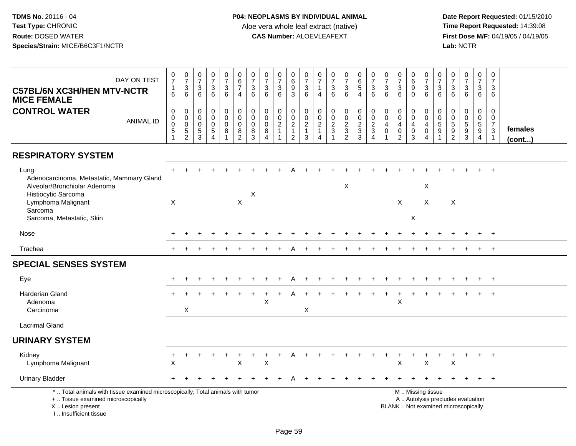| DAY ON TEST<br><b>C57BL/6N XC3H/HEN MTV-NCTR</b><br><b>MICE FEMALE</b>                                                                                                 | $\frac{0}{7}$<br>$\mathbf{1}$<br>6                            | $\frac{0}{7}$<br>$\ensuremath{\mathsf{3}}$<br>6                | $\frac{0}{7}$<br>$\ensuremath{\mathsf{3}}$<br>6  | $\frac{0}{7}$<br>$\ensuremath{\mathsf{3}}$<br>6                                | $\begin{smallmatrix}0\\7\end{smallmatrix}$<br>$\ensuremath{\mathsf{3}}$<br>6 | $\begin{array}{c} 0 \\ 6 \end{array}$<br>$\overline{7}$<br>$\overline{4}$ | $\frac{0}{7}$<br>$\ensuremath{\mathsf{3}}$<br>6     | $\frac{0}{7}$<br>$\ensuremath{\mathsf{3}}$<br>6                        | $\frac{0}{7}$<br>3<br>$6\phantom{1}$               | $_6^0$<br>$\frac{9}{3}$                                               | $\frac{0}{7}$<br>$\ensuremath{\mathsf{3}}$<br>6                                              | $\frac{0}{7}$<br>$\overline{\mathbf{1}}$<br>$\overline{4}$                             | $\begin{array}{c} 0 \\ 7 \end{array}$<br>$\ensuremath{\mathsf{3}}$<br>6 | $\frac{0}{7}$<br>$\ensuremath{\mathsf{3}}$<br>$\,6\,$ | $_{6}^{\rm 0}$<br>$\overline{5}$<br>$\overline{4}$   | $\begin{array}{c} 0 \\ 7 \end{array}$<br>$\mathbf 3$<br>6     | $\pmb{0}$<br>$\overline{7}$<br>$\ensuremath{\mathsf{3}}$<br>6 | $\begin{array}{c} 0 \\ 7 \end{array}$<br>$\frac{3}{6}$                                | $\begin{array}{c} 0 \\ 6 \end{array}$<br>$\overline{9}$<br>$\mathbf 0$    | $\begin{array}{c} 0 \\ 7 \end{array}$<br>$\frac{3}{6}$                              | $\frac{0}{7}$<br>3<br>6                 | $\frac{0}{7}$<br>$\ensuremath{\mathsf{3}}$<br>6                          | $\frac{0}{7}$<br>$\ensuremath{\mathsf{3}}$<br>6 | $\begin{smallmatrix}0\\7\end{smallmatrix}$<br>$\mathbf{3}$<br>6        | $\pmb{0}$<br>$\overline{7}$<br>$\sqrt{3}$<br>6                               |                   |
|------------------------------------------------------------------------------------------------------------------------------------------------------------------------|---------------------------------------------------------------|----------------------------------------------------------------|--------------------------------------------------|--------------------------------------------------------------------------------|------------------------------------------------------------------------------|---------------------------------------------------------------------------|-----------------------------------------------------|------------------------------------------------------------------------|----------------------------------------------------|-----------------------------------------------------------------------|----------------------------------------------------------------------------------------------|----------------------------------------------------------------------------------------|-------------------------------------------------------------------------|-------------------------------------------------------|------------------------------------------------------|---------------------------------------------------------------|---------------------------------------------------------------|---------------------------------------------------------------------------------------|---------------------------------------------------------------------------|-------------------------------------------------------------------------------------|-----------------------------------------|--------------------------------------------------------------------------|-------------------------------------------------|------------------------------------------------------------------------|------------------------------------------------------------------------------|-------------------|
| <b>CONTROL WATER</b><br><b>ANIMAL ID</b>                                                                                                                               | $\boldsymbol{0}$<br>$\pmb{0}$<br>$\pmb{0}$<br>$\sqrt{5}$<br>1 | 0<br>$\pmb{0}$<br>$\mathsf 0$<br>$\,$ 5 $\,$<br>$\overline{c}$ | $\mathbf 0$<br>0<br>$\mathbf 0$<br>$\frac{5}{3}$ | $\mathsf 0$<br>$\pmb{0}$<br>$\pmb{0}$<br>$\,$ 5 $\,$<br>$\boldsymbol{\Lambda}$ | $\mathbf 0$<br>$\overline{0}$<br>$\mathbf 0$<br>8                            | $\pmb{0}$<br>$\mathbf 0$<br>$\mathbf 0$<br>$\frac{8}{2}$                  | $\mathbf 0$<br>$\mathbf 0$<br>$\mathbf 0$<br>8<br>3 | $\pmb{0}$<br>$\mathbf 0$<br>$\mathbf 0$<br>8<br>$\boldsymbol{\Lambda}$ | 0<br>$\mathbf 0$<br>$\overline{2}$<br>$\mathbf{1}$ | $\mathbf 0$<br>$\mathsf{O}\xspace$<br>$\frac{2}{1}$<br>$\overline{c}$ | $\mathbf 0$<br>$\begin{smallmatrix} 0\\ 2 \end{smallmatrix}$<br>$\mathbf{1}$<br>$\mathbf{3}$ | $\mathbf 0$<br>$\mathbf 0$<br>$\overline{2}$<br>$\mathbf{1}$<br>$\boldsymbol{\Lambda}$ | $\pmb{0}$<br>$\mathbf 0$<br>$\frac{2}{3}$<br>$\overline{A}$             | $\pmb{0}$<br>$\mathbf 0$<br>$\frac{2}{3}$             | $\begin{array}{c} 0 \\ 0 \\ 2 \\ 3 \\ 3 \end{array}$ | $\pmb{0}$<br>$_{2}^{\rm 0}$<br>$\mathbf{3}$<br>$\overline{4}$ | $\pmb{0}$<br>$\pmb{0}$<br>4<br>0                              | $\mathsf 0$<br>$\mathsf{O}\xspace$<br>$\overline{4}$<br>$\mathbf 0$<br>$\overline{2}$ | $\pmb{0}$<br>$\mathbf 0$<br>$\overline{4}$<br>$\pmb{0}$<br>$\mathfrak{Z}$ | $\pmb{0}$<br>$\mathsf{O}\xspace$<br>$\overline{4}$<br>$\mathbf 0$<br>$\overline{4}$ | 0<br>$\mathbf 0$<br>$\overline{5}$<br>9 | 0<br>$\pmb{0}$<br>$\overline{5}$<br>$\frac{9}{2}$                        | $\mathsf{O}$<br>$\mathbf 0$<br>$\frac{5}{3}$    | 0<br>$\mathbf 0$<br>$\overline{5}$<br>$\overline{9}$<br>$\overline{4}$ | $\mathbf 0$<br>$\mathbf 0$<br>$\overline{7}$<br>$\sqrt{3}$<br>$\overline{1}$ | females<br>(cont) |
| <b>RESPIRATORY SYSTEM</b>                                                                                                                                              |                                                               |                                                                |                                                  |                                                                                |                                                                              |                                                                           |                                                     |                                                                        |                                                    |                                                                       |                                                                                              |                                                                                        |                                                                         |                                                       |                                                      |                                                               |                                                               |                                                                                       |                                                                           |                                                                                     |                                         |                                                                          |                                                 |                                                                        |                                                                              |                   |
| Lung<br>Adenocarcinoma, Metastatic, Mammary Gland<br>Alveolar/Bronchiolar Adenoma<br>Histiocytic Sarcoma<br>Lymphoma Malignant<br>Sarcoma<br>Sarcoma, Metastatic, Skin | $\boldsymbol{\mathsf{X}}$                                     |                                                                |                                                  |                                                                                |                                                                              | X                                                                         | X                                                   |                                                                        |                                                    |                                                                       |                                                                                              |                                                                                        |                                                                         | X                                                     |                                                      |                                                               |                                                               | X                                                                                     | X                                                                         | X<br>$\times$                                                                       |                                         | $\boldsymbol{\mathsf{X}}$                                                |                                                 |                                                                        | $\ddot{}$                                                                    |                   |
| Nose                                                                                                                                                                   |                                                               |                                                                |                                                  |                                                                                |                                                                              |                                                                           |                                                     |                                                                        |                                                    |                                                                       |                                                                                              |                                                                                        |                                                                         |                                                       |                                                      |                                                               |                                                               |                                                                                       |                                                                           |                                                                                     |                                         |                                                                          |                                                 |                                                                        | $+$                                                                          |                   |
| Trachea                                                                                                                                                                |                                                               |                                                                |                                                  |                                                                                |                                                                              |                                                                           |                                                     |                                                                        |                                                    |                                                                       |                                                                                              |                                                                                        |                                                                         |                                                       |                                                      |                                                               |                                                               |                                                                                       |                                                                           |                                                                                     |                                         |                                                                          |                                                 | $\ddot{}$                                                              | $+$                                                                          |                   |
| <b>SPECIAL SENSES SYSTEM</b>                                                                                                                                           |                                                               |                                                                |                                                  |                                                                                |                                                                              |                                                                           |                                                     |                                                                        |                                                    |                                                                       |                                                                                              |                                                                                        |                                                                         |                                                       |                                                      |                                                               |                                                               |                                                                                       |                                                                           |                                                                                     |                                         |                                                                          |                                                 |                                                                        |                                                                              |                   |
| Eye                                                                                                                                                                    |                                                               |                                                                |                                                  |                                                                                |                                                                              |                                                                           |                                                     |                                                                        |                                                    |                                                                       |                                                                                              |                                                                                        |                                                                         |                                                       |                                                      |                                                               |                                                               |                                                                                       |                                                                           |                                                                                     |                                         |                                                                          |                                                 |                                                                        |                                                                              |                   |
| <b>Harderian Gland</b><br>Adenoma<br>Carcinoma                                                                                                                         |                                                               | $\mathsf X$                                                    |                                                  |                                                                                |                                                                              |                                                                           |                                                     | $\mathsf{X}$                                                           |                                                    |                                                                       | $\mathsf X$                                                                                  |                                                                                        |                                                                         |                                                       |                                                      |                                                               |                                                               | $\pmb{\times}$                                                                        |                                                                           |                                                                                     |                                         |                                                                          |                                                 |                                                                        | $+$                                                                          |                   |
| <b>Lacrimal Gland</b>                                                                                                                                                  |                                                               |                                                                |                                                  |                                                                                |                                                                              |                                                                           |                                                     |                                                                        |                                                    |                                                                       |                                                                                              |                                                                                        |                                                                         |                                                       |                                                      |                                                               |                                                               |                                                                                       |                                                                           |                                                                                     |                                         |                                                                          |                                                 |                                                                        |                                                                              |                   |
| <b>URINARY SYSTEM</b>                                                                                                                                                  |                                                               |                                                                |                                                  |                                                                                |                                                                              |                                                                           |                                                     |                                                                        |                                                    |                                                                       |                                                                                              |                                                                                        |                                                                         |                                                       |                                                      |                                                               |                                                               |                                                                                       |                                                                           |                                                                                     |                                         |                                                                          |                                                 |                                                                        |                                                                              |                   |
| Kidney<br>Lymphoma Malignant                                                                                                                                           | +<br>X                                                        | $\ddot{}$                                                      |                                                  | $\ddot{}$                                                                      | $\ddot{}$                                                                    | $\ddot{}$<br>$\pmb{\times}$                                               | $\ddot{}$                                           | ÷<br>X                                                                 | $\ddot{}$                                          | A                                                                     |                                                                                              |                                                                                        |                                                                         |                                                       |                                                      |                                                               |                                                               | $\pmb{\times}$                                                                        |                                                                           | $\sf X$                                                                             | ÷                                       | $\ddot{}$<br>X                                                           | $\ddot{}$                                       | $+$                                                                    | $+$                                                                          |                   |
| <b>Urinary Bladder</b>                                                                                                                                                 |                                                               |                                                                |                                                  |                                                                                |                                                                              |                                                                           |                                                     |                                                                        |                                                    |                                                                       |                                                                                              |                                                                                        |                                                                         |                                                       |                                                      |                                                               |                                                               |                                                                                       |                                                                           |                                                                                     |                                         |                                                                          | $\pm$                                           | $+$                                                                    | $+$                                                                          |                   |
| *  Total animals with tissue examined microscopically; Total animals with tumor<br>+  Tissue examined microscopically<br>X  Lesion present<br>I., Insufficient tissue  |                                                               |                                                                |                                                  |                                                                                |                                                                              |                                                                           |                                                     |                                                                        |                                                    |                                                                       |                                                                                              |                                                                                        |                                                                         |                                                       |                                                      |                                                               |                                                               |                                                                                       |                                                                           | M  Missing tissue                                                                   |                                         | A  Autolysis precludes evaluation<br>BLANK  Not examined microscopically |                                                 |                                                                        |                                                                              |                   |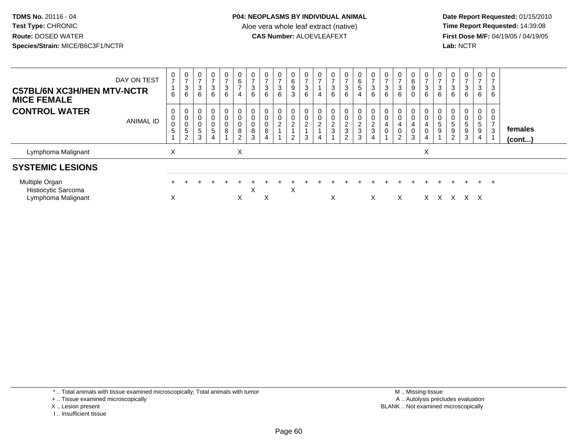**Date Report Requested:** 01/15/2010 **First Dose M/F:** 04/19/05 / 04/19/05<br>Lab: NCTR **Lab:** NCTR

| DAY ON TEST<br><b>C57BL/6N XC3H/HEN MTV-NCTR</b><br><b>MICE FEMALE</b> | 0<br>$\overline{ }$<br>6 | $\overline{0}$<br>$\overline{ }$<br>3<br>6        | O<br>3<br>6     | $\mathbf{0}$<br>$\sqrt{3}$<br>6                               | $\frac{0}{7}$<br>3<br>6                      | 0<br>6<br>$\overline{z}$<br>4                            | 0<br>$\overline{ }$<br>$\mathbf{3}$<br>6 | 0<br>$\overline{ }$<br>3<br>6      | $\overline{0}$<br>$\overline{ }$<br>3<br>6   | 0<br>$\,6\,$<br>$\boldsymbol{9}$<br>3 | 0<br>$\overline{ }$<br>3<br>6 | $\frac{0}{7}$<br>4               | 0<br>$\rightarrow$<br>3<br>6         | 0<br>3<br>6                                     | $\mathbf{0}$<br>$\,6\,$<br>$\sqrt{5}$<br>$\overline{4}$            | U<br>$\overline{ }$<br>$\sqrt{3}$<br>6      | $\frac{0}{7}$<br>$\ensuremath{\mathsf{3}}$<br>6                    | 0<br>$\overline{ }$<br>3<br>6                      | 0<br>6<br>9<br>$\mathbf 0$           | 3<br>6 | $\overline{ }$<br>3<br>6 | $\mathbf{0}$<br>$\rightarrow$<br>$\sqrt{3}$<br>6  | 0<br>$\rightarrow$<br>3<br>6   | 0<br>$\overline{ }$<br>3<br>6            | 0<br>3<br>6                                        |                         |  |
|------------------------------------------------------------------------|--------------------------|---------------------------------------------------|-----------------|---------------------------------------------------------------|----------------------------------------------|----------------------------------------------------------|------------------------------------------|------------------------------------|----------------------------------------------|---------------------------------------|-------------------------------|----------------------------------|--------------------------------------|-------------------------------------------------|--------------------------------------------------------------------|---------------------------------------------|--------------------------------------------------------------------|----------------------------------------------------|--------------------------------------|--------|--------------------------|---------------------------------------------------|--------------------------------|------------------------------------------|----------------------------------------------------|-------------------------|--|
| <b>CONTROL WATER</b><br><b>ANIMAL ID</b>                               | 0<br>$\mathbf 0$<br>5    | 0<br>$\mathbf 0$<br>$\pmb{0}$<br>$\mathbf 5$<br>2 | $\sqrt{5}$<br>3 | 0<br>$\mathsf 0$<br>$\pmb{0}$<br>$\sqrt{5}$<br>$\overline{4}$ | $\mathbf 0$<br>$\pmb{0}$<br>$\mathsf 0$<br>8 | 0<br>$\pmb{0}$<br>$\pmb{0}$<br>$\bf 8$<br>$\overline{2}$ | 0<br>$\pmb{0}$<br>$\mathbf 0$<br>8<br>3  | $\pmb{0}$<br>$\boldsymbol{0}$<br>8 | $\mathbf 0$<br>$\mathbf 0$<br>$\overline{c}$ | $\overline{2}$<br>2                   | 0<br>$\overline{c}$<br>3      | $\pmb{0}$<br>$\overline{c}$<br>4 | 0<br>$\pmb{0}$<br>$\Omega$<br>∠<br>3 | 0<br>0<br>$\overline{c}$<br>3<br>$\overline{2}$ | $\begin{smallmatrix} 0\\0 \end{smallmatrix}$<br>$\frac{2}{3}$<br>3 | $\mathbf 0$<br>$\overline{c}$<br>$\sqrt{3}$ | $\pmb{0}$<br>$\mathsf 0$<br>$\overline{\mathbf{4}}$<br>$\mathbf 0$ | 0<br>$\pmb{0}$<br>4<br>$\pmb{0}$<br>$\overline{2}$ | $\mathbf 0$<br>4<br>$\mathbf 0$<br>3 | 4      | $\pmb{0}$<br>5<br>9      | 0<br>0<br>5<br>$\boldsymbol{9}$<br>$\overline{2}$ | 0<br>$5\phantom{.0}$<br>9<br>3 | 0<br>$\mathbf 0$<br>$\sqrt{5}$<br>9<br>4 | 0<br>$\mathbf 0$<br>$\overline{z}$<br>$\mathbf{3}$ | females<br>$($ cont $)$ |  |
| Lymphoma Malignant                                                     | Χ                        |                                                   |                 |                                                               |                                              | Χ                                                        |                                          |                                    |                                              |                                       |                               |                                  |                                      |                                                 |                                                                    |                                             |                                                                    |                                                    |                                      | X      |                          |                                                   |                                |                                          |                                                    |                         |  |
| <b>SYSTEMIC LESIONS</b>                                                |                          |                                                   |                 |                                                               |                                              |                                                          |                                          |                                    |                                              |                                       |                               |                                  |                                      |                                                 |                                                                    |                                             |                                                                    |                                                    |                                      |        |                          |                                                   |                                |                                          |                                                    |                         |  |
| Multiple Organ<br>Histiocytic Sarcoma<br>Lymphoma Malignant            | X                        |                                                   |                 |                                                               |                                              | X                                                        | $\sim$                                   | X                                  |                                              | X                                     |                               |                                  | X                                    |                                                 |                                                                    | $\times$                                    |                                                                    | X                                                  |                                      |        |                          | $X$ $X$ $X$ $X$ $X$                               | ÷.                             | ÷.                                       | $\overline{+}$                                     |                         |  |

\* .. Total animals with tissue examined microscopically; Total animals with tumor

+ .. Tissue examined microscopically

X .. Lesion present

I .. Insufficient tissue

 M .. Missing tissuey the contract of the contract of the contract of the contract of the contract of the contract of the contract of  $A$ . Autolysis precludes evaluation Lesion present BLANK .. Not examined microscopically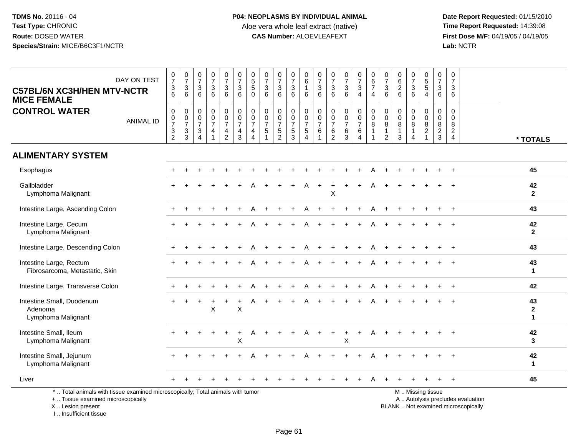**Date Report Requested:** 01/15/2010 **First Dose M/F:** 04/19/05 / 04/19/05<br>Lab: NCTR **Lab:** NCTR

| <b>C57BL/6N XC3H/HEN MTV-NCTR</b><br><b>MICE FEMALE</b>                                                                                    | DAY ON TEST      | $\frac{0}{7}$<br>$\ensuremath{\mathsf{3}}$<br>6                            | $\begin{array}{c} 0 \\ 7 \end{array}$<br>$\mathbf{3}$<br>6       | $\begin{smallmatrix}0\\7\end{smallmatrix}$<br>$\mathbf{3}$<br>6 | $\begin{array}{c} 0 \\ 7 \end{array}$<br>$\sqrt{3}$<br>6 | $\begin{array}{c} 0 \\ 7 \end{array}$<br>$\ensuremath{\mathsf{3}}$<br>6 | $\frac{0}{7}$<br>$\mathfrak{Z}$<br>6                            | $\pmb{0}$<br>$\overline{5}$<br>5<br>$\mathbf 0$      | $\frac{0}{7}$<br>$\mathbf{3}$<br>6                            | $\frac{0}{7}$<br>3<br>6                                           | $\frac{0}{7}$<br>$\ensuremath{\mathsf{3}}$<br>6                 | $\pmb{0}$<br>$6\overline{6}$<br>$\mathbf 1$<br>6                   | $\frac{0}{7}$<br>$\sqrt{3}$<br>6                                             | $\frac{0}{7}$<br>$\mathbf{3}$<br>6                                    | $\frac{0}{7}$<br>$\mathbf{3}$<br>6                          | $\begin{smallmatrix}0\\7\end{smallmatrix}$<br>$\mathbf{3}$<br>$\overline{4}$ | $_{6}^{\rm 0}$<br>$\overline{7}$<br>$\overline{4}$               | $\frac{0}{7}$<br>$\mathfrak{Z}$<br>6                           | $\begin{array}{c} 0 \\ 6 \end{array}$<br>$\overline{c}$<br>6 | $\mathbf 0$<br>$\overline{7}$<br>$\sqrt{3}$<br>6 | $\begin{array}{c} 0 \\ 5 \end{array}$<br>$\sqrt{5}$<br>$\overline{4}$ | $\pmb{0}$<br>$\overline{7}$<br>3<br>6                  | $\pmb{0}$<br>$\overline{7}$<br>3<br>6                            |                                                                          |                                    |
|--------------------------------------------------------------------------------------------------------------------------------------------|------------------|----------------------------------------------------------------------------|------------------------------------------------------------------|-----------------------------------------------------------------|----------------------------------------------------------|-------------------------------------------------------------------------|-----------------------------------------------------------------|------------------------------------------------------|---------------------------------------------------------------|-------------------------------------------------------------------|-----------------------------------------------------------------|--------------------------------------------------------------------|------------------------------------------------------------------------------|-----------------------------------------------------------------------|-------------------------------------------------------------|------------------------------------------------------------------------------|------------------------------------------------------------------|----------------------------------------------------------------|--------------------------------------------------------------|--------------------------------------------------|-----------------------------------------------------------------------|--------------------------------------------------------|------------------------------------------------------------------|--------------------------------------------------------------------------|------------------------------------|
| <b>CONTROL WATER</b>                                                                                                                       | <b>ANIMAL ID</b> | $\pmb{0}$<br>$\pmb{0}$<br>$\overline{7}$<br>$\mathbf{3}$<br>$\overline{2}$ | 0<br>$\,0\,$<br>$\overline{7}$<br>$\ensuremath{\mathsf{3}}$<br>3 | $\pmb{0}$<br>$\mathsf 0$<br>$\overline{7}$<br>$\sqrt{3}$<br>4   | $\pmb{0}$<br>$\mathbf 0$<br>$\overline{7}$<br>4          | $\mathbf 0$<br>$\pmb{0}$<br>$\overline{7}$<br>4<br>$\overline{2}$       | $\pmb{0}$<br>$\mathbf 0$<br>$\overline{7}$<br>4<br>$\mathbf{3}$ | $\pmb{0}$<br>$\mathbf 0$<br>$\overline{7}$<br>4<br>4 | $\pmb{0}$<br>$\pmb{0}$<br>$\overline{7}$<br>5<br>$\mathbf{1}$ | 0<br>$\mathsf{O}\xspace$<br>$\overline{7}$<br>5<br>$\overline{2}$ | $\pmb{0}$<br>$\pmb{0}$<br>$\overline{7}$<br>5<br>$\overline{3}$ | 0<br>$\mathbf 0$<br>$\overline{7}$<br>$\sqrt{5}$<br>$\overline{4}$ | $\mathbf 0$<br>$\mathbf 0$<br>$\overline{7}$<br>6<br>$\overline{\mathbf{1}}$ | $\pmb{0}$<br>$\pmb{0}$<br>$\overline{7}$<br>$\,6\,$<br>$\overline{2}$ | $\boldsymbol{0}$<br>$\mathbf 0$<br>$\overline{7}$<br>6<br>3 | $\pmb{0}$<br>$\frac{0}{7}$<br>$6\phantom{1}$<br>$\overline{4}$               | $\pmb{0}$<br>$\pmb{0}$<br>$\bf 8$<br>$\mathbf{1}$<br>$\mathbf 1$ | 0<br>$\mathsf{O}\xspace$<br>8<br>$\mathbf 1$<br>$\overline{c}$ | $\mathbf 0$<br>$\mathbf 0$<br>8<br>$\mathbf{1}$<br>3         | 0<br>$\mathbf 0$<br>8<br>$\mathbf{1}$<br>4       | $\mathbf 0$<br>$\mathsf{O}$<br>8<br>$\sqrt{2}$<br>$\overline{1}$      | $\mathbf 0$<br>$\mathbf 0$<br>8<br>$\overline{a}$<br>3 | $\mathbf 0$<br>$\Omega$<br>8<br>$\overline{c}$<br>$\overline{4}$ |                                                                          | * TOTALS                           |
| <b>ALIMENTARY SYSTEM</b>                                                                                                                   |                  |                                                                            |                                                                  |                                                                 |                                                          |                                                                         |                                                                 |                                                      |                                                               |                                                                   |                                                                 |                                                                    |                                                                              |                                                                       |                                                             |                                                                              |                                                                  |                                                                |                                                              |                                                  |                                                                       |                                                        |                                                                  |                                                                          |                                    |
| Esophagus                                                                                                                                  |                  |                                                                            |                                                                  |                                                                 |                                                          |                                                                         |                                                                 |                                                      |                                                               |                                                                   |                                                                 |                                                                    |                                                                              |                                                                       |                                                             |                                                                              |                                                                  |                                                                |                                                              |                                                  |                                                                       |                                                        |                                                                  |                                                                          | 45                                 |
| Gallbladder<br>Lymphoma Malignant                                                                                                          |                  |                                                                            |                                                                  |                                                                 |                                                          |                                                                         |                                                                 |                                                      |                                                               |                                                                   |                                                                 |                                                                    |                                                                              | X                                                                     |                                                             |                                                                              |                                                                  |                                                                |                                                              |                                                  |                                                                       |                                                        |                                                                  |                                                                          | 42<br>$\mathbf{2}$                 |
| Intestine Large, Ascending Colon                                                                                                           |                  |                                                                            |                                                                  |                                                                 |                                                          |                                                                         |                                                                 |                                                      |                                                               |                                                                   |                                                                 |                                                                    |                                                                              |                                                                       |                                                             |                                                                              |                                                                  |                                                                |                                                              |                                                  |                                                                       |                                                        |                                                                  |                                                                          | 43                                 |
| Intestine Large, Cecum<br>Lymphoma Malignant                                                                                               |                  |                                                                            |                                                                  |                                                                 |                                                          |                                                                         |                                                                 |                                                      |                                                               |                                                                   |                                                                 |                                                                    |                                                                              |                                                                       |                                                             |                                                                              |                                                                  |                                                                |                                                              |                                                  |                                                                       |                                                        |                                                                  |                                                                          | 42<br>$\mathbf{2}$                 |
| Intestine Large, Descending Colon                                                                                                          |                  |                                                                            |                                                                  |                                                                 |                                                          |                                                                         |                                                                 |                                                      |                                                               |                                                                   |                                                                 |                                                                    |                                                                              |                                                                       |                                                             |                                                                              |                                                                  |                                                                |                                                              |                                                  |                                                                       |                                                        |                                                                  |                                                                          | 43                                 |
| Intestine Large, Rectum<br>Fibrosarcoma, Metastatic, Skin                                                                                  |                  |                                                                            |                                                                  |                                                                 |                                                          |                                                                         |                                                                 |                                                      |                                                               |                                                                   |                                                                 |                                                                    |                                                                              |                                                                       |                                                             |                                                                              |                                                                  |                                                                |                                                              |                                                  |                                                                       |                                                        |                                                                  |                                                                          | 43<br>$\mathbf{1}$                 |
| Intestine Large, Transverse Colon                                                                                                          |                  |                                                                            |                                                                  |                                                                 |                                                          |                                                                         |                                                                 |                                                      |                                                               |                                                                   |                                                                 | А                                                                  |                                                                              |                                                                       |                                                             |                                                                              | А                                                                |                                                                |                                                              |                                                  |                                                                       |                                                        |                                                                  |                                                                          | 42                                 |
| Intestine Small, Duodenum<br>Adenoma<br>Lymphoma Malignant                                                                                 |                  |                                                                            | $\div$                                                           | +                                                               | $\ddot{}$<br>X                                           | $\ddot{}$                                                               | $\ddot{}$<br>X                                                  | Α                                                    |                                                               |                                                                   |                                                                 |                                                                    |                                                                              |                                                                       |                                                             |                                                                              |                                                                  |                                                                |                                                              |                                                  |                                                                       |                                                        |                                                                  |                                                                          | 43<br>$\mathbf{2}$<br>$\mathbf{1}$ |
| Intestine Small, Ileum<br>Lymphoma Malignant                                                                                               |                  |                                                                            |                                                                  |                                                                 |                                                          |                                                                         | $\boldsymbol{\mathsf{X}}$                                       |                                                      |                                                               |                                                                   |                                                                 |                                                                    |                                                                              |                                                                       | X                                                           |                                                                              | А                                                                |                                                                |                                                              |                                                  |                                                                       |                                                        |                                                                  |                                                                          | 42<br>$\mathbf{3}$                 |
| Intestine Small, Jejunum<br>Lymphoma Malignant                                                                                             |                  |                                                                            |                                                                  |                                                                 |                                                          |                                                                         |                                                                 |                                                      |                                                               |                                                                   |                                                                 |                                                                    |                                                                              |                                                                       |                                                             |                                                                              |                                                                  |                                                                |                                                              |                                                  |                                                                       |                                                        |                                                                  |                                                                          | 42<br>1                            |
| Liver                                                                                                                                      |                  |                                                                            |                                                                  |                                                                 |                                                          |                                                                         |                                                                 |                                                      |                                                               |                                                                   |                                                                 |                                                                    |                                                                              |                                                                       |                                                             |                                                                              |                                                                  |                                                                |                                                              |                                                  |                                                                       |                                                        |                                                                  |                                                                          | 45                                 |
| *  Total animals with tissue examined microscopically; Total animals with tumor<br>+  Tissue examined microscopically<br>X  Lesion present |                  |                                                                            |                                                                  |                                                                 |                                                          |                                                                         |                                                                 |                                                      |                                                               |                                                                   |                                                                 |                                                                    |                                                                              |                                                                       |                                                             |                                                                              |                                                                  |                                                                |                                                              |                                                  | M  Missing tissue                                                     |                                                        |                                                                  | A  Autolysis precludes evaluation<br>BLANK  Not examined microscopically |                                    |

I .. Insufficient tissue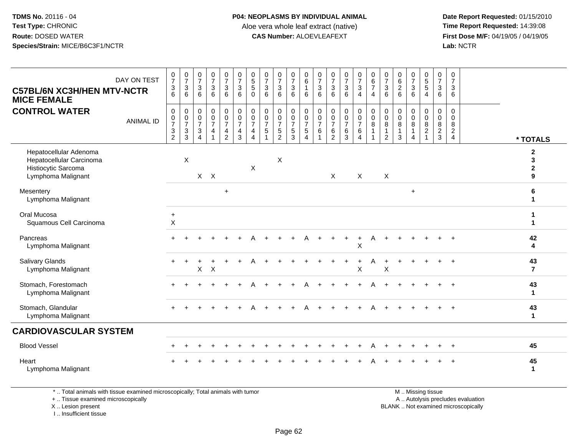**Date Report Requested:** 01/15/2010 **First Dose M/F:** 04/19/05 / 04/19/05<br>Lab: NCTR **Lab:** NCTR

| <b>C57BL/6N XC3H/HEN MTV-NCTR</b><br><b>MICE FEMALE</b>                                         | DAY ON TEST      | $\frac{0}{7}$<br>$\frac{3}{6}$                                               | $\frac{0}{7}$<br>$\sqrt{3}$<br>6                           | $\frac{0}{7}$<br>$\mathbf{3}$<br>6                                  | $\frac{0}{7}$<br>$\mathbf{3}$<br>6                                   | $\frac{0}{7}$<br>3<br>$\,6\,$                                                           | $\begin{smallmatrix}0\\7\end{smallmatrix}$<br>$\mathsf 3$<br>$6\overline{6}$ | $\begin{array}{c} 0 \\ 5 \\ 5 \end{array}$<br>$\mathsf{O}\xspace$                      | $\frac{0}{7}$<br>$\sqrt{3}$<br>$\,6\,$                           | $\frac{0}{7}$<br>$\mathbf{3}$<br>6                                                     | $\frac{0}{7}$<br>3<br>6                                        | $_{6}^{\rm 0}$<br>$\mathbf{1}$<br>6                         | $\frac{0}{7}$<br>3<br>6                      | $\frac{0}{7}$<br>$\sqrt{3}$<br>$\,6\,$                    | $\frac{0}{7}$<br>$\ensuremath{\mathsf{3}}$<br>6           | $\frac{0}{7}$<br>$\mathbf{3}$<br>$\overline{4}$              | $\pmb{0}$<br>$\frac{6}{7}$<br>$\overline{4}$                       | $\frac{0}{7}$<br>3<br>6         | 0<br>$\frac{6}{2}$<br>$6\phantom{a}$                 | $\frac{0}{7}$<br>$\sqrt{3}$<br>$6\phantom{1}$                             | $\begin{array}{c} 0 \\ 5 \\ 5 \end{array}$<br>$\overline{4}$ | $\pmb{0}$<br>$\boldsymbol{7}$<br>$\sqrt{3}$<br>$\,6\,$      | $\mathbf 0$<br>$\overline{7}$<br>3<br>6                             |                                        |
|-------------------------------------------------------------------------------------------------|------------------|------------------------------------------------------------------------------|------------------------------------------------------------|---------------------------------------------------------------------|----------------------------------------------------------------------|-----------------------------------------------------------------------------------------|------------------------------------------------------------------------------|----------------------------------------------------------------------------------------|------------------------------------------------------------------|----------------------------------------------------------------------------------------|----------------------------------------------------------------|-------------------------------------------------------------|----------------------------------------------|-----------------------------------------------------------|-----------------------------------------------------------|--------------------------------------------------------------|--------------------------------------------------------------------|---------------------------------|------------------------------------------------------|---------------------------------------------------------------------------|--------------------------------------------------------------|-------------------------------------------------------------|---------------------------------------------------------------------|----------------------------------------|
| <b>CONTROL WATER</b>                                                                            | <b>ANIMAL ID</b> | $\mathbf 0$<br>$\mathbf 0$<br>$\overline{7}$<br>$\sqrt{3}$<br>$\overline{2}$ | $\mathbf 0$<br>$\frac{0}{7}$<br>$\sqrt{3}$<br>$\mathbf{3}$ | $\mathbf 0$<br>$\mathbf 0$<br>$\overline{7}$<br>3<br>$\overline{4}$ | $\pmb{0}$<br>$\overline{0}$<br>$\overline{7}$<br>4<br>$\overline{1}$ | 0<br>$\ddot{\mathbf{0}}$<br>$\overline{7}$<br>$\overline{\mathbf{4}}$<br>$\overline{2}$ | $\begin{matrix} 0 \\ 0 \\ 7 \end{matrix}$<br>$\overline{4}$<br>3             | $\pmb{0}$<br>$\ddot{\mathbf{0}}$<br>$\overline{7}$<br>$\overline{4}$<br>$\overline{4}$ | $\pmb{0}$<br>$\ddot{\mathbf{0}}$<br>$\overline{7}$<br>$\sqrt{5}$ | $\pmb{0}$<br>$\ddot{\mathbf{0}}$<br>$\overline{7}$<br>$\overline{5}$<br>$\overline{2}$ | 0<br>$\mathsf{O}\xspace$<br>$\overline{7}$<br>$\,$ 5 $\,$<br>3 | $\pmb{0}$<br>$\frac{0}{7}$<br>$\,$ 5 $\,$<br>$\overline{4}$ | 0<br>$\mathsf 0$<br>$\overline{7}$<br>6<br>1 | $\mathbf 0$<br>0<br>$\overline{7}$<br>6<br>$\overline{2}$ | $\begin{matrix} 0 \\ 0 \\ 7 \end{matrix}$<br>$\,6\,$<br>3 | 0<br>$\overline{0}$<br>$\overline{7}$<br>6<br>$\overline{4}$ | $\pmb{0}$<br>$\ddot{\mathbf{0}}$<br>$\bf 8$<br>$\overline{1}$<br>1 | 0<br>$\mathbf 0$<br>8<br>1<br>2 | $\mathbf 0$<br>$\mathbf 0$<br>8<br>$\mathbf{1}$<br>3 | $\mathbf 0$<br>$\mathbf 0$<br>8<br>$\mathbf{1}$<br>$\boldsymbol{\Lambda}$ | 0<br>$\mathbf 0$<br>8<br>$\overline{c}$                      | $\boldsymbol{0}$<br>$\mathbf 0$<br>$\,8\,$<br>$\frac{2}{3}$ | $\mathbf 0$<br>$\mathbf 0$<br>8<br>$\overline{c}$<br>$\overline{4}$ | * TOTALS                               |
| Hepatocellular Adenoma<br>Hepatocellular Carcinoma<br>Histiocytic Sarcoma<br>Lymphoma Malignant |                  |                                                                              | $\times$                                                   |                                                                     | $X$ $X$                                                              |                                                                                         |                                                                              | X                                                                                      |                                                                  | X                                                                                      |                                                                |                                                             |                                              | X                                                         |                                                           | X                                                            |                                                                    | $\sf X$                         |                                                      |                                                                           |                                                              |                                                             |                                                                     | $\mathbf{2}$<br>3<br>$\mathbf{2}$<br>9 |
| Mesentery<br>Lymphoma Malignant                                                                 |                  |                                                                              |                                                            |                                                                     |                                                                      | $\ddot{}$                                                                               |                                                                              |                                                                                        |                                                                  |                                                                                        |                                                                |                                                             |                                              |                                                           |                                                           |                                                              |                                                                    |                                 |                                                      | $\ddot{}$                                                                 |                                                              |                                                             |                                                                     | 6                                      |
| Oral Mucosa<br>Squamous Cell Carcinoma                                                          |                  | $\ddot{}$<br>$\mathsf X$                                                     |                                                            |                                                                     |                                                                      |                                                                                         |                                                                              |                                                                                        |                                                                  |                                                                                        |                                                                |                                                             |                                              |                                                           |                                                           |                                                              |                                                                    |                                 |                                                      |                                                                           |                                                              |                                                             |                                                                     | 1<br>1                                 |
| Pancreas<br>Lymphoma Malignant                                                                  |                  |                                                                              |                                                            |                                                                     |                                                                      |                                                                                         |                                                                              |                                                                                        |                                                                  |                                                                                        |                                                                |                                                             |                                              |                                                           |                                                           | X                                                            |                                                                    |                                 |                                                      |                                                                           |                                                              |                                                             |                                                                     | 42<br>4                                |
| Salivary Glands<br>Lymphoma Malignant                                                           |                  |                                                                              |                                                            | X.                                                                  | $\boldsymbol{\mathsf{X}}$                                            |                                                                                         |                                                                              |                                                                                        |                                                                  |                                                                                        |                                                                |                                                             |                                              |                                                           |                                                           | X                                                            |                                                                    | X                               |                                                      |                                                                           |                                                              |                                                             |                                                                     | 43<br>$\overline{\mathbf{r}}$          |
| Stomach, Forestomach<br>Lymphoma Malignant                                                      |                  |                                                                              |                                                            |                                                                     |                                                                      |                                                                                         |                                                                              |                                                                                        |                                                                  |                                                                                        |                                                                |                                                             |                                              |                                                           |                                                           |                                                              |                                                                    |                                 |                                                      |                                                                           |                                                              |                                                             | $\ddot{}$                                                           | 43<br>$\mathbf{1}$                     |
| Stomach, Glandular<br>Lymphoma Malignant                                                        |                  |                                                                              |                                                            |                                                                     |                                                                      |                                                                                         |                                                                              |                                                                                        |                                                                  |                                                                                        |                                                                |                                                             |                                              |                                                           |                                                           |                                                              |                                                                    |                                 |                                                      |                                                                           |                                                              |                                                             |                                                                     | 43<br>$\mathbf{1}$                     |
| <b>CARDIOVASCULAR SYSTEM</b>                                                                    |                  |                                                                              |                                                            |                                                                     |                                                                      |                                                                                         |                                                                              |                                                                                        |                                                                  |                                                                                        |                                                                |                                                             |                                              |                                                           |                                                           |                                                              |                                                                    |                                 |                                                      |                                                                           |                                                              |                                                             |                                                                     |                                        |
| <b>Blood Vessel</b>                                                                             |                  |                                                                              |                                                            |                                                                     |                                                                      |                                                                                         |                                                                              |                                                                                        |                                                                  |                                                                                        |                                                                |                                                             |                                              |                                                           |                                                           |                                                              |                                                                    |                                 |                                                      |                                                                           |                                                              |                                                             | $\ddot{}$                                                           | 45                                     |
| Heart<br>Lymphoma Malignant                                                                     |                  |                                                                              |                                                            |                                                                     |                                                                      |                                                                                         |                                                                              |                                                                                        |                                                                  |                                                                                        |                                                                |                                                             |                                              |                                                           |                                                           |                                                              |                                                                    |                                 |                                                      |                                                                           |                                                              |                                                             |                                                                     | 45<br>$\mathbf{1}$                     |

\* .. Total animals with tissue examined microscopically; Total animals with tumor

+ .. Tissue examined microscopically

X .. Lesion present

I .. Insufficient tissue

 M .. Missing tissuey the contract of the contract of the contract of the contract of the contract of the contract of the contract of  $A$ . Autolysis precludes evaluation

Lesion present BLANK .. Not examined microscopically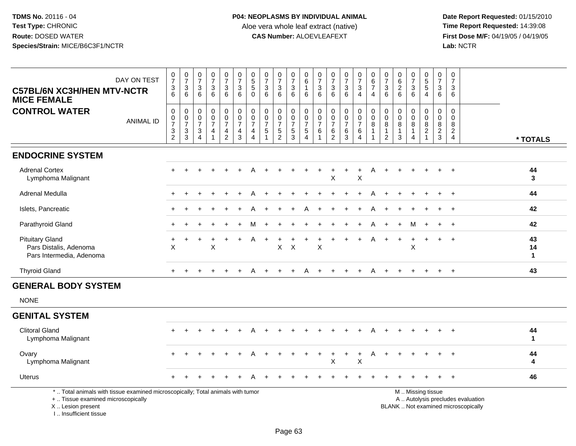| <b>C57BL/6N XC3H/HEN MTV-NCTR</b><br><b>MICE FEMALE</b>                                                                                                             | DAY ON TEST      | $\frac{0}{7}$<br>$\mathbf 3$<br>6   | $\begin{array}{c} 0 \\ 7 \end{array}$<br>$\sqrt{3}$<br>6              | $\begin{array}{c} 0 \\ 7 \end{array}$<br>$\sqrt{3}$<br>6                          | $\frac{0}{7}$<br>$\sqrt{3}$<br>6                                    | $\frac{0}{7}$<br>$\sqrt{3}$<br>6                              | $\frac{0}{7}$<br>$\mathbf{3}$<br>6                                              | $\begin{array}{c} 0 \\ 5 \\ 5 \end{array}$<br>$\mathbf 0$           | $\frac{0}{7}$<br>$\mathbf{3}$<br>6               | $\begin{array}{c} 0 \\ 7 \end{array}$<br>$\mathbf{3}$<br>6    | $\frac{0}{7}$<br>$\mathbf{3}$<br>6                                    | $\mathbf 0$<br>$\,6\,$<br>$\mathbf{1}$<br>6                              | $\frac{0}{7}$<br>$\sqrt{3}$<br>6                      | $\frac{0}{7}$<br>$\mathbf{3}$<br>6 | $\frac{0}{7}$<br>$\ensuremath{\mathsf{3}}$<br>6 | $\frac{0}{7}$<br>$\ensuremath{\mathsf{3}}$<br>$\overline{4}$ | $\pmb{0}$<br>$\,6\,$<br>$\overline{7}$<br>$\overline{4}$      | $\frac{0}{7}$<br>3<br>6                              | $\pmb{0}$<br>6<br>$\overline{2}$<br>6      | $\begin{array}{c} 0 \\ 7 \end{array}$<br>$\sqrt{3}$<br>6 | $\begin{array}{c} 0 \\ 5 \\ 5 \end{array}$<br>$\overline{4}$         | 0<br>$\overline{7}$<br>$\mathbf{3}$<br>6 | 0<br>$\overline{7}$<br>3<br>6                          |                                                                          |                          |
|---------------------------------------------------------------------------------------------------------------------------------------------------------------------|------------------|-------------------------------------|-----------------------------------------------------------------------|-----------------------------------------------------------------------------------|---------------------------------------------------------------------|---------------------------------------------------------------|---------------------------------------------------------------------------------|---------------------------------------------------------------------|--------------------------------------------------|---------------------------------------------------------------|-----------------------------------------------------------------------|--------------------------------------------------------------------------|-------------------------------------------------------|------------------------------------|-------------------------------------------------|--------------------------------------------------------------|---------------------------------------------------------------|------------------------------------------------------|--------------------------------------------|----------------------------------------------------------|----------------------------------------------------------------------|------------------------------------------|--------------------------------------------------------|--------------------------------------------------------------------------|--------------------------|
| <b>CONTROL WATER</b>                                                                                                                                                | <b>ANIMAL ID</b> | 0<br>$\frac{0}{7}$<br>$\frac{3}{2}$ | $\mathbf 0$<br>$\begin{array}{c} 0 \\ 7 \end{array}$<br>$\frac{3}{3}$ | $\mathbf 0$<br>0<br>$\overline{7}$<br>$\ensuremath{\mathsf{3}}$<br>$\overline{4}$ | $\mathbf 0$<br>$\mathbf 0$<br>$\overline{7}$<br>4<br>$\overline{1}$ | $\mathbf 0$<br>$\mathbf 0$<br>$\overline{7}$<br>$\frac{4}{2}$ | 0<br>$\mathbf 0$<br>$\overline{7}$<br>$\overline{\mathbf{4}}$<br>$\overline{3}$ | $\mathbf 0$<br>$\mathbf 0$<br>$\overline{7}$<br>4<br>$\overline{4}$ | $\mathbf 0$<br>0<br>$\overline{7}$<br>$\sqrt{5}$ | $\mathbf 0$<br>$\mathbf 0$<br>$\overline{7}$<br>$\frac{5}{2}$ | $\mathbf 0$<br>$\mathsf{O}\xspace$<br>$\overline{7}$<br>$\frac{5}{3}$ | $\mathbf 0$<br>$\boldsymbol{0}$<br>$\overline{7}$<br>5<br>$\overline{4}$ | 0<br>$\pmb{0}$<br>$\overline{7}$<br>6<br>$\mathbf{1}$ | 0<br>0<br>$\overline{7}$<br>$^6_2$ | $\mathbf 0$<br>$\frac{0}{7}$<br>$^6_3$          | 0<br>$\mathsf{O}\xspace$<br>$\overline{7}$<br>6<br>4         | $\mathbf 0$<br>$\pmb{0}$<br>8<br>$\mathbf{1}$<br>$\mathbf{1}$ | $\mathbf 0$<br>$\pmb{0}$<br>8<br>1<br>$\overline{c}$ | $\mathbf 0$<br>0<br>8<br>$\mathbf{1}$<br>3 | $\mathbf 0$<br>$\mathbf 0$<br>8<br>$\overline{4}$        | $\mathbf 0$<br>$\mathbf 0$<br>$\bf8$<br>$\sqrt{2}$<br>$\overline{1}$ | $\mathbf 0$<br>0<br>8<br>$\frac{2}{3}$   | $\mathbf 0$<br>$\mathbf 0$<br>8<br>$\overline{a}$<br>4 |                                                                          | * TOTALS                 |
| <b>ENDOCRINE SYSTEM</b>                                                                                                                                             |                  |                                     |                                                                       |                                                                                   |                                                                     |                                                               |                                                                                 |                                                                     |                                                  |                                                               |                                                                       |                                                                          |                                                       |                                    |                                                 |                                                              |                                                               |                                                      |                                            |                                                          |                                                                      |                                          |                                                        |                                                                          |                          |
| <b>Adrenal Cortex</b><br>Lymphoma Malignant                                                                                                                         |                  |                                     |                                                                       |                                                                                   |                                                                     |                                                               |                                                                                 |                                                                     |                                                  |                                                               |                                                                       |                                                                          |                                                       | Χ                                  |                                                 | X                                                            |                                                               |                                                      |                                            |                                                          |                                                                      |                                          |                                                        |                                                                          | 44<br>3                  |
| Adrenal Medulla                                                                                                                                                     |                  |                                     |                                                                       |                                                                                   |                                                                     |                                                               |                                                                                 |                                                                     |                                                  |                                                               |                                                                       |                                                                          |                                                       |                                    |                                                 |                                                              |                                                               |                                                      |                                            |                                                          |                                                                      |                                          | $+$                                                    |                                                                          | 44                       |
| Islets, Pancreatic                                                                                                                                                  |                  |                                     |                                                                       |                                                                                   |                                                                     |                                                               |                                                                                 |                                                                     |                                                  |                                                               |                                                                       |                                                                          |                                                       |                                    |                                                 |                                                              |                                                               |                                                      |                                            |                                                          |                                                                      |                                          | $\ddot{}$                                              |                                                                          | 42                       |
| Parathyroid Gland                                                                                                                                                   |                  |                                     |                                                                       |                                                                                   |                                                                     |                                                               |                                                                                 |                                                                     |                                                  |                                                               |                                                                       |                                                                          |                                                       |                                    |                                                 |                                                              |                                                               |                                                      |                                            | м                                                        |                                                                      |                                          |                                                        |                                                                          | 42                       |
| <b>Pituitary Gland</b><br>Pars Distalis, Adenoma<br>Pars Intermedia, Adenoma                                                                                        |                  | X                                   |                                                                       |                                                                                   | X                                                                   |                                                               |                                                                                 | Α                                                                   |                                                  | X                                                             | $\boldsymbol{\mathsf{X}}$                                             |                                                                          | X                                                     |                                    |                                                 |                                                              |                                                               |                                                      |                                            | X                                                        |                                                                      | $\div$                                   | $\ddot{}$                                              |                                                                          | 43<br>14<br>$\mathbf{1}$ |
| <b>Thyroid Gland</b>                                                                                                                                                |                  | $+$                                 |                                                                       |                                                                                   |                                                                     |                                                               | $\ddot{}$                                                                       | A                                                                   | $\pm$                                            |                                                               | $+$                                                                   | A                                                                        | $\div$                                                |                                    | $\overline{+}$                                  | $+$                                                          | A                                                             | $\ddot{}$                                            |                                            |                                                          | $\ddot{}$                                                            | $+$                                      | $+$                                                    |                                                                          | 43                       |
| <b>GENERAL BODY SYSTEM</b>                                                                                                                                          |                  |                                     |                                                                       |                                                                                   |                                                                     |                                                               |                                                                                 |                                                                     |                                                  |                                                               |                                                                       |                                                                          |                                                       |                                    |                                                 |                                                              |                                                               |                                                      |                                            |                                                          |                                                                      |                                          |                                                        |                                                                          |                          |
| <b>NONE</b>                                                                                                                                                         |                  |                                     |                                                                       |                                                                                   |                                                                     |                                                               |                                                                                 |                                                                     |                                                  |                                                               |                                                                       |                                                                          |                                                       |                                    |                                                 |                                                              |                                                               |                                                      |                                            |                                                          |                                                                      |                                          |                                                        |                                                                          |                          |
| <b>GENITAL SYSTEM</b>                                                                                                                                               |                  |                                     |                                                                       |                                                                                   |                                                                     |                                                               |                                                                                 |                                                                     |                                                  |                                                               |                                                                       |                                                                          |                                                       |                                    |                                                 |                                                              |                                                               |                                                      |                                            |                                                          |                                                                      |                                          |                                                        |                                                                          |                          |
| <b>Clitoral Gland</b><br>Lymphoma Malignant                                                                                                                         |                  |                                     |                                                                       |                                                                                   |                                                                     |                                                               |                                                                                 |                                                                     |                                                  |                                                               |                                                                       |                                                                          |                                                       |                                    |                                                 |                                                              |                                                               |                                                      |                                            |                                                          |                                                                      |                                          |                                                        |                                                                          | 44<br>$\mathbf 1$        |
| Ovary<br>Lymphoma Malignant                                                                                                                                         |                  |                                     |                                                                       |                                                                                   |                                                                     |                                                               |                                                                                 |                                                                     |                                                  |                                                               |                                                                       |                                                                          |                                                       | ÷<br>X                             | $\ddot{}$                                       | $\ddot{}$<br>X                                               | A                                                             | $\ddot{}$                                            |                                            |                                                          |                                                                      |                                          |                                                        |                                                                          | 44<br>4                  |
| <b>Uterus</b>                                                                                                                                                       |                  |                                     |                                                                       |                                                                                   |                                                                     |                                                               |                                                                                 |                                                                     |                                                  |                                                               |                                                                       |                                                                          |                                                       |                                    |                                                 |                                                              |                                                               |                                                      |                                            |                                                          |                                                                      |                                          |                                                        |                                                                          | 46                       |
| *  Total animals with tissue examined microscopically; Total animals with tumor<br>+  Tissue examined microscopically<br>X  Lesion present<br>I Insufficient tissue |                  |                                     |                                                                       |                                                                                   |                                                                     |                                                               |                                                                                 |                                                                     |                                                  |                                                               |                                                                       |                                                                          |                                                       |                                    |                                                 |                                                              |                                                               |                                                      |                                            |                                                          | M  Missing tissue                                                    |                                          |                                                        | A  Autolysis precludes evaluation<br>BLANK  Not examined microscopically |                          |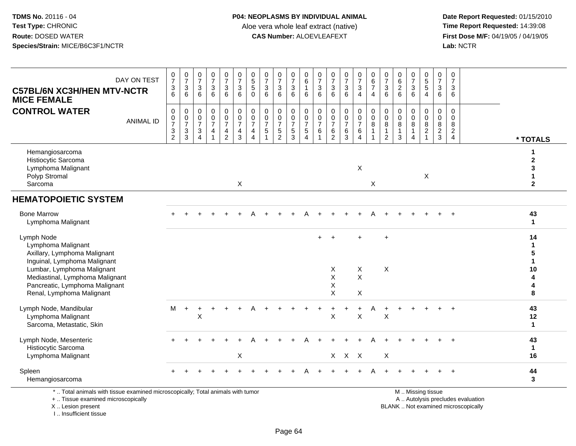**Date Report Requested:** 01/15/2010 **First Dose M/F:** 04/19/05 / 04/19/05<br>Lab: NCTR **Lab:** NCTR

| DAY ON TEST<br><b>C57BL/6N XC3H/HEN MTV-NCTR</b><br><b>MICE FEMALE</b>                                                         | $\frac{0}{7}$<br>$\ensuremath{\mathsf{3}}$<br>6 | $\frac{0}{7}$<br>$\sqrt{3}$<br>6                              | $\frac{0}{7}$<br>$\sqrt{3}$<br>6                           | $\frac{0}{7}$<br>$\ensuremath{\mathsf{3}}$<br>6 | $\begin{smallmatrix}0\\7\end{smallmatrix}$<br>$\ensuremath{\mathsf{3}}$<br>6 | $\frac{0}{7}$<br>$\ensuremath{\mathsf{3}}$<br>6                                              | 0<br>$\overline{5}$<br>$\sqrt{5}$<br>$\Omega$ | $\frac{0}{7}$<br>$\mathbf{3}$<br>6                                        | $\frac{0}{7}$<br>$\sqrt{3}$<br>6    | $\frac{0}{7}$<br>$\ensuremath{\mathsf{3}}$<br>6   | 0<br>$\,6\,$<br>$\mathbf{1}$<br>6                            | 0<br>$\overline{7}$<br>$\mathbf{3}$<br>6 | $\begin{array}{c} 0 \\ 7 \end{array}$<br>$\sqrt{3}$<br>6                   | $\frac{0}{7}$<br>$\sqrt{3}$<br>6           | $\begin{smallmatrix}0\\7\end{smallmatrix}$<br>$\mathbf{3}$<br>$\overline{4}$ | $\begin{array}{c} 0 \\ 6 \end{array}$<br>$\overline{7}$<br>4 | $\begin{smallmatrix}0\\7\end{smallmatrix}$<br>$\ensuremath{\mathsf{3}}$<br>6 | $\begin{array}{c} 0 \\ 6 \end{array}$<br>$\sqrt{2}$<br>6 | $\frac{0}{7}$<br>$\sqrt{3}$<br>6 | $\begin{array}{c} 0 \\ 5 \\ 5 \end{array}$<br>$\overline{4}$             | $\frac{0}{7}$<br>$\sqrt{3}$<br>6     | 0<br>$\overline{7}$<br>3<br>6                                    |                                   |                                                       |
|--------------------------------------------------------------------------------------------------------------------------------|-------------------------------------------------|---------------------------------------------------------------|------------------------------------------------------------|-------------------------------------------------|------------------------------------------------------------------------------|----------------------------------------------------------------------------------------------|-----------------------------------------------|---------------------------------------------------------------------------|-------------------------------------|---------------------------------------------------|--------------------------------------------------------------|------------------------------------------|----------------------------------------------------------------------------|--------------------------------------------|------------------------------------------------------------------------------|--------------------------------------------------------------|------------------------------------------------------------------------------|----------------------------------------------------------|----------------------------------|--------------------------------------------------------------------------|--------------------------------------|------------------------------------------------------------------|-----------------------------------|-------------------------------------------------------|
| <b>CONTROL WATER</b><br><b>ANIMAL ID</b>                                                                                       | $\mathbf 0$<br>$\frac{0}{7}$<br>$\frac{3}{2}$   | 0<br>$\frac{0}{7}$<br>$\ensuremath{\mathsf{3}}$<br>$\sqrt{3}$ | 0<br>$\frac{0}{7}$<br>$\sqrt{3}$<br>$\boldsymbol{\Lambda}$ | $\pmb{0}$<br>$\frac{0}{7}$<br>4                 | 0<br>$\ddot{\mathbf{0}}$<br>$\overline{7}$<br>$\frac{4}{2}$                  | $\mathbf 0$<br>$\overline{0}$<br>$\overline{7}$<br>$\overline{\mathbf{4}}$<br>$\overline{3}$ | 0<br>$\mathsf 0$<br>$\overline{7}$<br>4<br>4  | $\begin{matrix} 0 \\ 0 \\ 7 \end{matrix}$<br>$\sqrt{5}$<br>$\overline{1}$ | 0<br>$\frac{0}{7}$<br>$\frac{5}{2}$ | 0<br>$\pmb{0}$<br>$\overline{7}$<br>$\frac{5}{3}$ | $\mathbf 0$<br>$\frac{0}{7}$<br>$\sqrt{5}$<br>$\overline{4}$ | 0<br>0<br>$\overline{7}$<br>6<br>1       | $\mathbf 0$<br>$\overline{0}$<br>$\overline{7}$<br>$\,6$<br>$\overline{2}$ | 0<br>$\pmb{0}$<br>$\overline{7}$<br>$^6_3$ | $\pmb{0}$<br>$\frac{0}{7}$<br>$\,6$<br>$\overline{4}$                        | $\pmb{0}$<br>$\ddot{\mathbf{0}}$<br>8<br>1                   | 0<br>$\ddot{\mathbf{0}}$<br>$\bf 8$<br>$\mathbf{1}$<br>$\overline{2}$        | $\mathbf 0$<br>$\pmb{0}$<br>$\,8\,$<br>$\mathbf{1}$<br>3 | 0<br>0<br>8<br>4                 | 0<br>$\ddot{\mathbf{0}}$<br>$\overline{8}$<br>$\sqrt{2}$<br>$\mathbf{1}$ | 0<br>$\pmb{0}$<br>8<br>$\frac{2}{3}$ | $\mathbf 0$<br>$\Omega$<br>8<br>$\overline{2}$<br>$\overline{4}$ |                                   | * TOTALS                                              |
| Hemangiosarcoma<br>Histiocytic Sarcoma<br>Lymphoma Malignant<br>Polyp Stromal<br>Sarcoma                                       |                                                 |                                                               |                                                            |                                                 |                                                                              | X                                                                                            |                                               |                                                                           |                                     |                                                   |                                                              |                                          |                                                                            |                                            | X                                                                            | X                                                            |                                                                              |                                                          |                                  | $\boldsymbol{\mathsf{X}}$                                                |                                      |                                                                  |                                   | 1<br>$\mathbf 2$<br>3<br>$\mathbf{1}$<br>$\mathbf{2}$ |
| <b>HEMATOPOIETIC SYSTEM</b>                                                                                                    |                                                 |                                                               |                                                            |                                                 |                                                                              |                                                                                              |                                               |                                                                           |                                     |                                                   |                                                              |                                          |                                                                            |                                            |                                                                              |                                                              |                                                                              |                                                          |                                  |                                                                          |                                      |                                                                  |                                   |                                                       |
| <b>Bone Marrow</b><br>Lymphoma Malignant                                                                                       |                                                 |                                                               |                                                            |                                                 |                                                                              |                                                                                              |                                               |                                                                           |                                     |                                                   |                                                              |                                          |                                                                            |                                            |                                                                              |                                                              |                                                                              |                                                          |                                  |                                                                          |                                      | $+$                                                              |                                   | 43<br>$\mathbf{1}$                                    |
| Lymph Node<br>Lymphoma Malignant<br>Axillary, Lymphoma Malignant<br>Inguinal, Lymphoma Malignant<br>Lumbar, Lymphoma Malignant |                                                 |                                                               |                                                            |                                                 |                                                                              |                                                                                              |                                               |                                                                           |                                     |                                                   |                                                              |                                          | X                                                                          |                                            | X                                                                            |                                                              | $\ddot{}$<br>$\mathsf X$                                                     |                                                          |                                  |                                                                          |                                      |                                                                  |                                   | 14<br>$\mathbf{1}$<br>5<br>$\mathbf{1}$<br>10         |
| Mediastinal, Lymphoma Malignant<br>Pancreatic, Lymphoma Malignant<br>Renal, Lymphoma Malignant                                 |                                                 |                                                               |                                                            |                                                 |                                                                              |                                                                                              |                                               |                                                                           |                                     |                                                   |                                                              |                                          | X<br>X<br>X                                                                |                                            | $\pmb{\times}$<br>X                                                          |                                                              |                                                                              |                                                          |                                  |                                                                          |                                      |                                                                  |                                   | 4<br>4<br>8                                           |
| Lymph Node, Mandibular<br>Lymphoma Malignant<br>Sarcoma, Metastatic, Skin                                                      | м                                               | $+$                                                           | ÷.<br>X                                                    |                                                 |                                                                              |                                                                                              |                                               |                                                                           |                                     |                                                   |                                                              |                                          | X                                                                          |                                            | X                                                                            |                                                              | X                                                                            |                                                          |                                  |                                                                          |                                      |                                                                  |                                   | 43<br>12<br>$\mathbf{1}$                              |
| Lymph Node, Mesenteric<br>Histiocytic Sarcoma<br>Lymphoma Malignant                                                            |                                                 |                                                               |                                                            |                                                 |                                                                              | X                                                                                            |                                               |                                                                           |                                     |                                                   |                                                              |                                          |                                                                            | $X$ $X$ $X$                                |                                                                              |                                                              | $\mathsf X$                                                                  |                                                          |                                  |                                                                          |                                      |                                                                  |                                   | 43<br>$\mathbf{1}$<br>16                              |
| Spleen<br>Hemangiosarcoma                                                                                                      |                                                 |                                                               |                                                            |                                                 |                                                                              |                                                                                              |                                               |                                                                           |                                     |                                                   |                                                              |                                          |                                                                            |                                            |                                                                              |                                                              |                                                                              |                                                          |                                  |                                                                          |                                      | $\ddot{}$                                                        |                                   | 44<br>$\mathbf{3}$                                    |
| *  Total animals with tissue examined microscopically; Total animals with tumor<br>+  Tissue examined microscopically          |                                                 |                                                               |                                                            |                                                 |                                                                              |                                                                                              |                                               |                                                                           |                                     |                                                   |                                                              |                                          |                                                                            |                                            |                                                                              |                                                              |                                                                              |                                                          |                                  | M  Missing tissue                                                        |                                      |                                                                  | A  Autolysis precludes evaluation |                                                       |

 Lesion present BLANK .. Not examined microscopicallyX .. Lesion present

I .. Insufficient tissue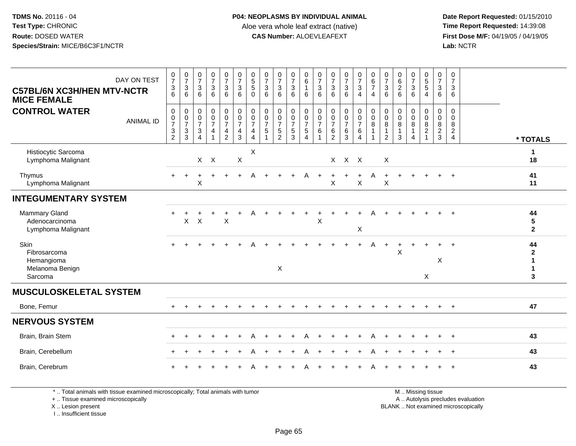**Date Report Requested:** 01/15/2010 **First Dose M/F:** 04/19/05 / 04/19/05<br>Lab: NCTR **Lab:** NCTR

| DAY ON TEST<br><b>C57BL/6N XC3H/HEN MTV-NCTR</b><br><b>MICE FEMALE</b> | $\frac{0}{7}$<br>$\ensuremath{\mathsf{3}}$<br>6                           | $\begin{array}{c} 0 \\ 7 \end{array}$<br>3<br>6 | $\frac{0}{7}$<br>3<br>6                         | $\frac{0}{7}$<br>$\sqrt{3}$<br>6                        | $\begin{smallmatrix}0\\7\end{smallmatrix}$<br>$\mathsf 3$<br>6 | $\frac{0}{7}$<br>$\mathbf{3}$<br>6                              | $\begin{array}{c} 0 \\ 5 \\ 5 \end{array}$<br>$\mathbf 0$ | $\begin{array}{c} 0 \\ 7 \end{array}$<br>$\mathbf 3$<br>6 | $\frac{0}{7}$<br>$\ensuremath{\mathsf{3}}$<br>6              | $\frac{0}{7}$<br>$\sqrt{3}$<br>6                      | 0<br>6<br>$\overline{1}$<br>6                                            | $\frac{0}{7}$<br>$\mathbf{3}$<br>6      | $\frac{0}{7}$<br>$\ensuremath{\mathsf{3}}$<br>6                                 | $\frac{0}{7}$<br>$\mathbf{3}$<br>6                               | $\begin{array}{c} 0 \\ 7 \\ 3 \end{array}$<br>$\overline{4}$                               | $\begin{array}{c} 0 \\ 6 \\ 7 \end{array}$<br>$\overline{4}$                      | $\frac{0}{7}$<br>$\mathbf{3}$<br>6                   | $\begin{matrix} 0 \\ 6 \\ 2 \end{matrix}$<br>6 | $\frac{0}{7}$<br>$\mathbf{3}$<br>6                                  | $\begin{array}{c} 0 \\ 5 \\ 5 \end{array}$<br>$\overline{4}$      | $\frac{0}{7}$<br>$\mathbf{3}$<br>6                                | 0<br>$\overline{7}$<br>3<br>6                       |                                             |
|------------------------------------------------------------------------|---------------------------------------------------------------------------|-------------------------------------------------|-------------------------------------------------|---------------------------------------------------------|----------------------------------------------------------------|-----------------------------------------------------------------|-----------------------------------------------------------|-----------------------------------------------------------|--------------------------------------------------------------|-------------------------------------------------------|--------------------------------------------------------------------------|-----------------------------------------|---------------------------------------------------------------------------------|------------------------------------------------------------------|--------------------------------------------------------------------------------------------|-----------------------------------------------------------------------------------|------------------------------------------------------|------------------------------------------------|---------------------------------------------------------------------|-------------------------------------------------------------------|-------------------------------------------------------------------|-----------------------------------------------------|---------------------------------------------|
| <b>CONTROL WATER</b><br><b>ANIMAL ID</b>                               | $\pmb{0}$<br>$\frac{0}{7}$<br>$\ensuremath{\mathsf{3}}$<br>$\overline{2}$ | 0<br>$\mathsf 0$<br>$\overline{7}$<br>3<br>3    | 0<br>0<br>$\overline{7}$<br>3<br>$\overline{4}$ | $\pmb{0}$<br>$\overline{0}$<br>$\overline{7}$<br>4<br>1 | 0<br>$\mathsf{O}\xspace$<br>$\overline{7}$<br>$\frac{4}{2}$    | $\pmb{0}$<br>$\pmb{0}$<br>$\overline{7}$<br>$\overline{4}$<br>3 | 0<br>$\mathbf 0$<br>$\overline{7}$<br>4<br>$\overline{4}$ | 0<br>$\mathsf{O}\xspace$<br>$\overline{7}$<br>$\mathbf 5$ | $\pmb{0}$<br>$\pmb{0}$<br>$\overline{7}$<br>$\,$ 5 $\,$<br>2 | 0<br>$\mathbf 0$<br>$\overline{7}$<br>$\sqrt{5}$<br>3 | $\,0\,$<br>$\mathbf 0$<br>$\overline{7}$<br>$\sqrt{5}$<br>$\overline{4}$ | $\mathbf 0$<br>0<br>$\overline{7}$<br>6 | $\pmb{0}$<br>$\mathsf{O}\xspace$<br>$\overline{7}$<br>$\,6\,$<br>$\overline{2}$ | $\pmb{0}$<br>$\mathsf{O}\xspace$<br>$\overline{7}$<br>$\,6$<br>3 | $\begin{smallmatrix}0\0\0\end{smallmatrix}$<br>$\overline{7}$<br>$\,6\,$<br>$\overline{4}$ | $\begin{smallmatrix}0\\0\end{smallmatrix}$<br>8<br>$\overline{1}$<br>$\mathbf{1}$ | $\pmb{0}$<br>$\mathbf 0$<br>8<br>1<br>$\overline{c}$ | 0<br>$\mathbf 0$<br>8<br>$\mathbf{1}$<br>3     | $\mathbf 0$<br>$\mathsf{O}\xspace$<br>8<br>$\mathbf{1}$<br>$\Delta$ | $\pmb{0}$<br>$\mathbf 0$<br>8<br>$\overline{c}$<br>$\overline{1}$ | $\mathbf 0$<br>$\mathbf 0$<br>8<br>$\overline{2}$<br>$\mathbf{3}$ | $\mathbf 0$<br>$\Omega$<br>8<br>$\overline{2}$<br>4 | * TOTALS                                    |
| Histiocytic Sarcoma<br>Lymphoma Malignant                              |                                                                           |                                                 |                                                 | $X$ $X$                                                 |                                                                | $\mathsf X$                                                     | X                                                         |                                                           |                                                              |                                                       |                                                                          |                                         |                                                                                 | X X X                                                            |                                                                                            |                                                                                   | X                                                    |                                                |                                                                     |                                                                   |                                                                   |                                                     | 1<br>18                                     |
| Thymus<br>Lymphoma Malignant                                           |                                                                           | $\div$                                          | +<br>X                                          |                                                         | ÷.                                                             |                                                                 |                                                           |                                                           |                                                              |                                                       |                                                                          |                                         | X                                                                               |                                                                  | $\mathsf X$                                                                                |                                                                                   | ÷<br>$\sf X$                                         |                                                |                                                                     |                                                                   |                                                                   | $+$                                                 | 41<br>11                                    |
| <b>INTEGUMENTARY SYSTEM</b>                                            |                                                                           |                                                 |                                                 |                                                         |                                                                |                                                                 |                                                           |                                                           |                                                              |                                                       |                                                                          |                                         |                                                                                 |                                                                  |                                                                                            |                                                                                   |                                                      |                                                |                                                                     |                                                                   |                                                                   |                                                     |                                             |
| <b>Mammary Gland</b><br>Adenocarcinoma<br>Lymphoma Malignant           |                                                                           | $\mathsf X$                                     | $\pmb{\times}$                                  |                                                         | $\sf X$                                                        |                                                                 |                                                           |                                                           |                                                              |                                                       |                                                                          | X                                       |                                                                                 |                                                                  | $\boldsymbol{\mathsf{X}}$                                                                  |                                                                                   |                                                      |                                                |                                                                     |                                                                   |                                                                   | $+$                                                 | 44<br>5<br>$\overline{2}$                   |
| Skin<br>Fibrosarcoma<br>Hemangioma<br>Melanoma Benign<br>Sarcoma       | $\ddot{}$                                                                 | $\div$                                          |                                                 |                                                         |                                                                |                                                                 |                                                           |                                                           | X                                                            |                                                       |                                                                          |                                         |                                                                                 |                                                                  |                                                                                            |                                                                                   |                                                      | X                                              |                                                                     | X                                                                 | $\div$<br>X                                                       | $\ddot{}$                                           | 44<br>$\mathbf{2}$<br>$\mathbf 1$<br>1<br>3 |
| <b>MUSCULOSKELETAL SYSTEM</b>                                          |                                                                           |                                                 |                                                 |                                                         |                                                                |                                                                 |                                                           |                                                           |                                                              |                                                       |                                                                          |                                         |                                                                                 |                                                                  |                                                                                            |                                                                                   |                                                      |                                                |                                                                     |                                                                   |                                                                   |                                                     |                                             |
| Bone, Femur                                                            |                                                                           |                                                 |                                                 |                                                         |                                                                |                                                                 |                                                           |                                                           |                                                              |                                                       |                                                                          |                                         |                                                                                 |                                                                  |                                                                                            |                                                                                   |                                                      |                                                |                                                                     |                                                                   | $\ddot{}$                                                         | $\overline{+}$                                      | 47                                          |
| <b>NERVOUS SYSTEM</b>                                                  |                                                                           |                                                 |                                                 |                                                         |                                                                |                                                                 |                                                           |                                                           |                                                              |                                                       |                                                                          |                                         |                                                                                 |                                                                  |                                                                                            |                                                                                   |                                                      |                                                |                                                                     |                                                                   |                                                                   |                                                     |                                             |
| Brain, Brain Stem                                                      |                                                                           |                                                 |                                                 |                                                         |                                                                |                                                                 |                                                           |                                                           |                                                              |                                                       | А                                                                        |                                         |                                                                                 |                                                                  | $\ddot{}$                                                                                  | A                                                                                 |                                                      |                                                |                                                                     |                                                                   |                                                                   | $\overline{+}$                                      | 43                                          |
| Brain, Cerebellum                                                      |                                                                           |                                                 |                                                 |                                                         |                                                                |                                                                 |                                                           |                                                           |                                                              |                                                       |                                                                          |                                         |                                                                                 |                                                                  |                                                                                            |                                                                                   |                                                      |                                                |                                                                     |                                                                   | $\div$                                                            | $+$                                                 | 43                                          |
| Brain, Cerebrum                                                        |                                                                           |                                                 |                                                 |                                                         |                                                                |                                                                 |                                                           |                                                           |                                                              |                                                       |                                                                          |                                         |                                                                                 |                                                                  |                                                                                            |                                                                                   |                                                      |                                                |                                                                     |                                                                   |                                                                   |                                                     | 43                                          |

\* .. Total animals with tissue examined microscopically; Total animals with tumor

+ .. Tissue examined microscopically

X .. Lesion present

I .. Insufficient tissue

M .. Missing tissue

y the contract of the contract of the contract of the contract of the contract of the contract of the contract of  $A$ . Autolysis precludes evaluation Lesion present BLANK .. Not examined microscopically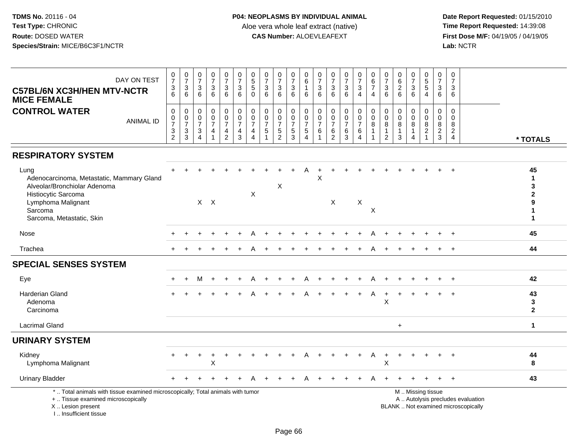| DAY ON TEST<br><b>C57BL/6N XC3H/HEN MTV-NCTR</b><br><b>MICE FEMALE</b>                                                                                                 | $\frac{0}{7}$<br>3<br>6                                     | $\frac{0}{7}$<br>$\ensuremath{\mathsf{3}}$<br>6 | $\begin{array}{c} 0 \\ 7 \end{array}$<br>$\sqrt{3}$<br>6                               | $\frac{0}{7}$<br>$\ensuremath{\mathsf{3}}$<br>6 | $\begin{array}{c} 0 \\ 7 \end{array}$<br>$^3$ 6                  | $\frac{0}{7}$<br>$\sqrt{3}$<br>6                                                        | $\begin{array}{c} 0 \\ 5 \end{array}$<br>5<br>$\mathbf 0$ | $\begin{array}{c} 0 \\ 7 \end{array}$<br>$\ensuremath{\mathsf{3}}$<br>6          | $\frac{0}{7}$<br>3<br>6                                     | $\frac{0}{7}$<br>$^3$ 6                                    | $\mathbf 0$<br>6<br>$\overline{1}$<br>6                                    | 0<br>$\overline{7}$<br>3<br>6                       | $\frac{0}{7}$<br>$\sqrt{3}$<br>6                                        | $\frac{0}{7}$<br>$\ensuremath{\mathsf{3}}$<br>6   | $\begin{smallmatrix}0\\7\end{smallmatrix}$<br>$\mathfrak{S}$<br>$\overline{4}$ | $\begin{array}{c} 0 \\ 6 \end{array}$<br>$\overline{7}$<br>$\overline{4}$ | $\begin{smallmatrix}0\\7\end{smallmatrix}$<br>$\sqrt{3}$<br>6          | $\mathbf 0$<br>$\overline{6}$<br>$\sqrt{2}$<br>6     | $\frac{0}{7}$<br>$\ensuremath{\mathsf{3}}$<br>6 | $\begin{array}{c} 0 \\ 5 \end{array}$<br>5<br>$\overline{4}$           | 0<br>$\overline{7}$<br>3<br>6                             | 0<br>$\overline{7}$<br>3<br>6                                            |                                                                          |                                                                                     |
|------------------------------------------------------------------------------------------------------------------------------------------------------------------------|-------------------------------------------------------------|-------------------------------------------------|----------------------------------------------------------------------------------------|-------------------------------------------------|------------------------------------------------------------------|-----------------------------------------------------------------------------------------|-----------------------------------------------------------|----------------------------------------------------------------------------------|-------------------------------------------------------------|------------------------------------------------------------|----------------------------------------------------------------------------|-----------------------------------------------------|-------------------------------------------------------------------------|---------------------------------------------------|--------------------------------------------------------------------------------|---------------------------------------------------------------------------|------------------------------------------------------------------------|------------------------------------------------------|-------------------------------------------------|------------------------------------------------------------------------|-----------------------------------------------------------|--------------------------------------------------------------------------|--------------------------------------------------------------------------|-------------------------------------------------------------------------------------|
| <b>CONTROL WATER</b><br><b>ANIMAL ID</b>                                                                                                                               | $\mathbf 0$<br>$\pmb{0}$<br>$\overline{7}$<br>$\frac{3}{2}$ | 0<br>$\frac{0}{7}$<br>$\frac{3}{3}$             | 0<br>$\boldsymbol{0}$<br>$\overline{7}$<br>$\ensuremath{\mathsf{3}}$<br>$\overline{4}$ | 0<br>$\pmb{0}$<br>$\overline{7}$<br>4           | $\boldsymbol{0}$<br>$\pmb{0}$<br>$\overline{7}$<br>$\frac{4}{2}$ | $\mathbf 0$<br>$\mathbf 0$<br>$\overline{7}$<br>$\overline{\mathbf{4}}$<br>$\mathbf{3}$ | 0<br>$\boldsymbol{0}$<br>$\overline{7}$<br>4<br>4         | $\mathsf{O}\xspace$<br>$\pmb{0}$<br>$\overline{7}$<br>$\sqrt{5}$<br>$\mathbf{1}$ | 0<br>$\begin{array}{c} 0 \\ 7 \end{array}$<br>$\frac{5}{2}$ | 0<br>$\boldsymbol{0}$<br>$\boldsymbol{7}$<br>$\frac{5}{3}$ | $\mathbf 0$<br>$\pmb{0}$<br>$\overline{7}$<br>$\sqrt{5}$<br>$\overline{4}$ | 0<br>0<br>$\overline{7}$<br>$\,6$<br>$\overline{1}$ | $\mathbf 0$<br>$\pmb{0}$<br>$\overline{7}$<br>$\,6\,$<br>$\overline{2}$ | 0<br>$\pmb{0}$<br>$\overline{7}$<br>$\frac{6}{3}$ | 0<br>$\mathsf{O}\xspace$<br>$\overline{7}$<br>6<br>$\overline{4}$              | $\mathbf 0$<br>$\pmb{0}$<br>8<br>$\mathbf{1}$                             | $\mathbf 0$<br>$\pmb{0}$<br>$\bf8$<br>$\overline{1}$<br>$\overline{2}$ | $\mathbf 0$<br>$\mathbf 0$<br>8<br>$\mathbf{1}$<br>3 | 0<br>0<br>8<br>$\mathbf{1}$<br>$\overline{4}$   | $\mathbf 0$<br>$\boldsymbol{0}$<br>8<br>$\overline{a}$<br>$\mathbf{1}$ | $\mathbf 0$<br>0<br>8<br>$\overline{a}$<br>$\overline{3}$ | $\mathsf{O}\xspace$<br>$\Omega$<br>8<br>$\overline{c}$<br>$\overline{4}$ |                                                                          | * TOTALS                                                                            |
| <b>RESPIRATORY SYSTEM</b>                                                                                                                                              |                                                             |                                                 |                                                                                        |                                                 |                                                                  |                                                                                         |                                                           |                                                                                  |                                                             |                                                            |                                                                            |                                                     |                                                                         |                                                   |                                                                                |                                                                           |                                                                        |                                                      |                                                 |                                                                        |                                                           |                                                                          |                                                                          |                                                                                     |
| Lung<br>Adenocarcinoma, Metastatic, Mammary Gland<br>Alveolar/Bronchiolar Adenoma<br>Histiocytic Sarcoma<br>Lymphoma Malignant<br>Sarcoma<br>Sarcoma, Metastatic, Skin |                                                             |                                                 |                                                                                        | $X$ $X$                                         |                                                                  |                                                                                         | $\boldsymbol{\mathsf{X}}$                                 |                                                                                  | X                                                           |                                                            |                                                                            | X                                                   | X                                                                       |                                                   | X                                                                              | X                                                                         |                                                                        |                                                      |                                                 |                                                                        |                                                           |                                                                          |                                                                          | 45<br>$\blacktriangleleft$<br>3<br>$\mathbf{2}$<br>9<br>$\mathbf 1$<br>$\mathbf{1}$ |
| Nose                                                                                                                                                                   |                                                             |                                                 |                                                                                        |                                                 |                                                                  |                                                                                         |                                                           |                                                                                  |                                                             |                                                            |                                                                            |                                                     |                                                                         |                                                   |                                                                                |                                                                           |                                                                        |                                                      |                                                 |                                                                        |                                                           | $\ddot{}$                                                                |                                                                          | 45                                                                                  |
| Trachea                                                                                                                                                                |                                                             |                                                 |                                                                                        |                                                 |                                                                  |                                                                                         |                                                           |                                                                                  |                                                             |                                                            |                                                                            |                                                     |                                                                         |                                                   |                                                                                |                                                                           |                                                                        |                                                      |                                                 |                                                                        |                                                           | $+$                                                                      |                                                                          | 44                                                                                  |
| <b>SPECIAL SENSES SYSTEM</b>                                                                                                                                           |                                                             |                                                 |                                                                                        |                                                 |                                                                  |                                                                                         |                                                           |                                                                                  |                                                             |                                                            |                                                                            |                                                     |                                                                         |                                                   |                                                                                |                                                                           |                                                                        |                                                      |                                                 |                                                                        |                                                           |                                                                          |                                                                          |                                                                                     |
| Eye                                                                                                                                                                    |                                                             |                                                 | м                                                                                      |                                                 |                                                                  |                                                                                         |                                                           |                                                                                  |                                                             |                                                            |                                                                            |                                                     |                                                                         |                                                   |                                                                                |                                                                           |                                                                        |                                                      |                                                 |                                                                        |                                                           |                                                                          |                                                                          | 42                                                                                  |
| <b>Harderian Gland</b><br>Adenoma<br>Carcinoma                                                                                                                         |                                                             |                                                 |                                                                                        |                                                 |                                                                  |                                                                                         |                                                           |                                                                                  |                                                             |                                                            |                                                                            |                                                     |                                                                         |                                                   |                                                                                | A                                                                         | X                                                                      |                                                      |                                                 |                                                                        |                                                           | $+$                                                                      |                                                                          | 43<br>3<br>$\mathbf{2}$                                                             |
| <b>Lacrimal Gland</b>                                                                                                                                                  |                                                             |                                                 |                                                                                        |                                                 |                                                                  |                                                                                         |                                                           |                                                                                  |                                                             |                                                            |                                                                            |                                                     |                                                                         |                                                   |                                                                                |                                                                           |                                                                        | $\ddot{}$                                            |                                                 |                                                                        |                                                           |                                                                          |                                                                          | $\mathbf{1}$                                                                        |
| <b>URINARY SYSTEM</b>                                                                                                                                                  |                                                             |                                                 |                                                                                        |                                                 |                                                                  |                                                                                         |                                                           |                                                                                  |                                                             |                                                            |                                                                            |                                                     |                                                                         |                                                   |                                                                                |                                                                           |                                                                        |                                                      |                                                 |                                                                        |                                                           |                                                                          |                                                                          |                                                                                     |
| Kidney<br>Lymphoma Malignant                                                                                                                                           |                                                             | $\ddot{}$                                       | $\ddot{}$                                                                              | $\ddot{}$<br>X                                  |                                                                  |                                                                                         |                                                           |                                                                                  |                                                             |                                                            |                                                                            |                                                     |                                                                         |                                                   | $+$                                                                            | A                                                                         | $\ddot{}$<br>X                                                         | ÷                                                    |                                                 |                                                                        |                                                           | $\ddot{}$                                                                |                                                                          | 44<br>8                                                                             |
| <b>Urinary Bladder</b>                                                                                                                                                 |                                                             |                                                 |                                                                                        |                                                 |                                                                  |                                                                                         |                                                           |                                                                                  |                                                             |                                                            |                                                                            |                                                     |                                                                         |                                                   | $\pm$                                                                          | A                                                                         | $\pm$                                                                  |                                                      |                                                 |                                                                        | $+$                                                       | $\ddot{}$                                                                |                                                                          | 43                                                                                  |
| *  Total animals with tissue examined microscopically; Total animals with tumor<br>+  Tissue examined microscopically<br>X  Lesion present<br>I., Insufficient tissue  |                                                             |                                                 |                                                                                        |                                                 |                                                                  |                                                                                         |                                                           |                                                                                  |                                                             |                                                            |                                                                            |                                                     |                                                                         |                                                   |                                                                                |                                                                           |                                                                        |                                                      | M  Missing tissue                               |                                                                        |                                                           |                                                                          | A  Autolysis precludes evaluation<br>BLANK  Not examined microscopically |                                                                                     |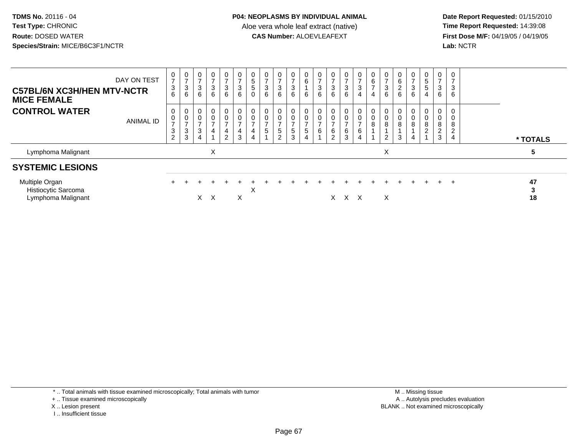**Date Report Requested:** 01/15/2010 **First Dose M/F:** 04/19/05 / 04/19/05<br>Lab: NCTR **Lab:** NCTR

| DAY ON TEST<br><b>C57BL/6N XC3H/HEN MTV-NCTR</b><br><b>MICE FEMALE</b> | 0<br>$\overline{7}$<br>$\sqrt{3}$<br>6                   | $\frac{0}{7}$<br>$\sqrt{3}$<br>$\,6$              | 0<br>$\rightarrow$<br>3<br>6       | $\overline{0}$<br>$\overline{ }$<br>3<br>6 | $\overline{0}$<br>$\overline{ }$<br>$\frac{3}{6}$                 | 0<br>$\overline{ }$<br>3<br>6      | 0<br>$\sqrt{5}$<br>$\sqrt{5}$<br>$\mathbf 0$                        | 0<br>$\overline{ }$<br>$\mathbf{3}$<br>$\,6\,$                               | $\frac{0}{7}$<br>$\begin{array}{c} 3 \\ 6 \end{array}$               | 0<br>$\overline{ }$<br>$\ensuremath{\mathsf{3}}$<br>6 | $\pmb{0}$<br>$6\phantom{.}6$<br>$\,6\,$                                         | $\frac{0}{7}$<br>$\ensuremath{\mathsf{3}}$<br>6 | $\frac{0}{7}$<br>$^3$ 6                   | 0<br>$\overline{ }$<br>$\frac{3}{6}$            | $\frac{0}{7}$<br>$\ensuremath{\mathsf{3}}$<br>$\overline{\mathbf{4}}$ | $\begin{array}{c} 0 \\ 6 \end{array}$<br>$\overline{7}$<br>$\overline{4}$ | 0<br>$\overline{ }$<br>3<br>6 | 6<br>$\boldsymbol{2}$<br>6 | 0<br>$\overline{ }$<br>$\mathbf{3}$<br>6 | $\frac{0}{5}$<br>$\sqrt{5}$<br>$\overline{4}$                     | 0<br>$\rightarrow$<br>3<br>6 | 0<br>$\overline{7}$<br>3<br>6                |               |  |
|------------------------------------------------------------------------|----------------------------------------------------------|---------------------------------------------------|------------------------------------|--------------------------------------------|-------------------------------------------------------------------|------------------------------------|---------------------------------------------------------------------|------------------------------------------------------------------------------|----------------------------------------------------------------------|-------------------------------------------------------|---------------------------------------------------------------------------------|-------------------------------------------------|-------------------------------------------|-------------------------------------------------|-----------------------------------------------------------------------|---------------------------------------------------------------------------|-------------------------------|----------------------------|------------------------------------------|-------------------------------------------------------------------|------------------------------|----------------------------------------------|---------------|--|
| <b>CONTROL WATER</b><br><b>ANIMAL ID</b>                               | 0<br>0<br>$\overline{ }$<br>$\sqrt{3}$<br>$\overline{2}$ | $\mathbf 0$<br>$\frac{0}{7}$<br>$\mathbf{3}$<br>3 | 0<br>0<br>$\overline{ }$<br>3<br>4 | $\pmb{0}$<br>$\overline{ }$<br>4           | $\mathbf 0$<br>$\pmb{0}$<br>$\overline{ }$<br>4<br>$\overline{2}$ | 0<br>0<br>$\overline{ }$<br>4<br>3 | $\mathbf 0$<br>$\mathbf 0$<br>$\overline{ }$<br>4<br>$\overline{4}$ | $\begin{smallmatrix} 0\\0 \end{smallmatrix}$<br>$\overline{ }$<br>$\sqrt{5}$ | $_{\rm 0}^{\rm 0}$<br>$\overline{ }$<br>$\sqrt{5}$<br>$\overline{2}$ | 0<br>0<br>$\overline{\phantom{a}}$<br>5<br>3          | $\mathbf 0$<br>$\pmb{0}$<br>$\overline{ }$<br>$5\phantom{.0}$<br>$\overline{4}$ | 0<br>0<br>$\overline{ }$<br>6                   | 0<br>$\rightarrow$<br>6<br>$\overline{c}$ | 0<br>$\pmb{0}$<br>$\rightarrow$<br>$\,6\,$<br>3 | $\mathbf 0$<br>$\pmb{0}$<br>$\overline{ }$<br>$\,6\,$<br>4            | $\mathbf 0$<br>$\pmb{0}$<br>$\bf 8$                                       | 0<br>0<br>8<br>2              | 8<br>3                     | 0<br>8<br>4                              | 0<br>$\mathsf{O}\xspace$<br>8<br>$\overline{c}$<br>$\overline{A}$ | 0<br>0<br>8<br>2<br>3        | 0<br>$\mathbf 0$<br>8<br>$\overline{2}$<br>4 | * TOTALS      |  |
| Lymphoma Malignant                                                     |                                                          |                                                   |                                    | X                                          |                                                                   |                                    |                                                                     |                                                                              |                                                                      |                                                       |                                                                                 |                                                 |                                           |                                                 |                                                                       |                                                                           | X                             |                            |                                          |                                                                   |                              |                                              | 5             |  |
| <b>SYSTEMIC LESIONS</b>                                                |                                                          |                                                   |                                    |                                            |                                                                   |                                    |                                                                     |                                                                              |                                                                      |                                                       |                                                                                 |                                                 |                                           |                                                 |                                                                       |                                                                           |                               |                            |                                          |                                                                   |                              |                                              |               |  |
| Multiple Organ<br>Histiocytic Sarcoma<br>Lymphoma Malignant            |                                                          |                                                   | X.                                 | $\times$                                   |                                                                   | ÷.<br>X                            | X                                                                   |                                                                              |                                                                      |                                                       |                                                                                 |                                                 | X.                                        | $\times$                                        | $\times$                                                              | $\div$                                                                    | ÷<br>X                        | $+$                        | $\div$                                   | $+$                                                               | $+$                          | $+$                                          | 47<br>3<br>18 |  |

\* .. Total animals with tissue examined microscopically; Total animals with tumor

+ .. Tissue examined microscopically

X .. Lesion present

I .. Insufficient tissue

 M .. Missing tissuey the contract of the contract of the contract of the contract of the contract of the contract of the contract of  $A$ . Autolysis precludes evaluation Lesion present BLANK .. Not examined microscopically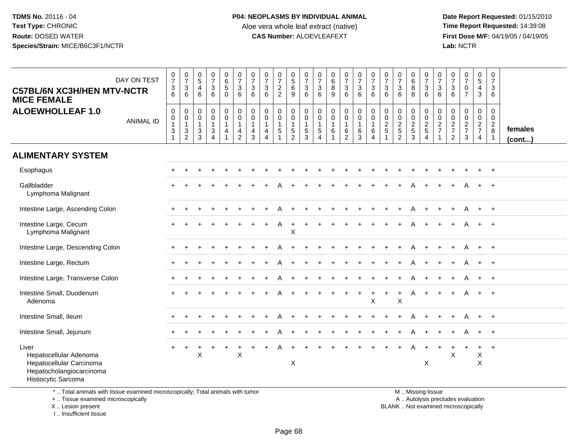**Date Report Requested:** 01/15/2010 **First Dose M/F:** 04/19/05 / 04/19/05<br>Lab: NCTR **Lab:** NCTR

| <b>C57BL/6N XC3H/HEN MTV-NCTR</b><br><b>MICE FEMALE</b>                                                        | DAY ON TEST      | $\frac{0}{7}$<br>$\ensuremath{\mathsf{3}}$<br>6                            | $\frac{0}{7}$<br>$\mathbf{3}$<br>6              | $\begin{array}{c} 0 \\ 5 \end{array}$<br>$\overline{4}$<br>6                      | $\frac{0}{7}$<br>$\mathbf{3}$<br>$6\phantom{1}$                            | $\begin{array}{c} 0 \\ 6 \end{array}$<br>$\sqrt{5}$<br>$\mathbf 0$             | $\frac{0}{7}$<br>$\mathbf{3}$<br>6                                                     | $\begin{array}{c} 0 \\ 7 \end{array}$<br>3<br>6 | $\frac{0}{7}$<br>$\mathbf 3$<br>6                               | $\frac{0}{7}$<br>$\frac{2}{2}$                | $\pmb{0}$<br>$\,$ 5 $\,$<br>6<br>9                | $\begin{smallmatrix}0\\7\end{smallmatrix}$<br>$\mathbf{3}$<br>6  | $\frac{0}{7}$<br>$\mathbf{3}$<br>6         | $\boldsymbol{0}$<br>$\,6\,$<br>$\,8\,$<br>9              | $\frac{0}{7}$<br>$\mathbf{3}$<br>6                          | $\begin{array}{c} 0 \\ 7 \end{array}$<br>3<br>6               | $\frac{0}{7}$<br>$\sqrt{3}$<br>$6\phantom{1}$                       | $\frac{0}{7}$<br>$\mathbf{3}$<br>6                         | $\frac{0}{7}$<br>$\sqrt{3}$<br>6                                      | $\pmb{0}$<br>$\,6\,$<br>8<br>8                    | $\begin{smallmatrix}0\\7\end{smallmatrix}$<br>$\mathbf{3}$<br>6 | 0<br>$\overline{7}$<br>$\mathbf{3}$<br>6                           | 0<br>$\overline{7}$<br>$\mathbf{3}$<br>6          | $\begin{array}{c} 0 \\ 7 \end{array}$<br>$\pmb{0}$<br>$\overline{7}$ | $\pmb{0}$<br>$\sqrt{5}$<br>$\overline{4}$<br>$\mathfrak{Z}$ | $\pmb{0}$<br>$\overline{7}$<br>3<br>6                                     |                   |
|----------------------------------------------------------------------------------------------------------------|------------------|----------------------------------------------------------------------------|-------------------------------------------------|-----------------------------------------------------------------------------------|----------------------------------------------------------------------------|--------------------------------------------------------------------------------|----------------------------------------------------------------------------------------|-------------------------------------------------|-----------------------------------------------------------------|-----------------------------------------------|---------------------------------------------------|------------------------------------------------------------------|--------------------------------------------|----------------------------------------------------------|-------------------------------------------------------------|---------------------------------------------------------------|---------------------------------------------------------------------|------------------------------------------------------------|-----------------------------------------------------------------------|---------------------------------------------------|-----------------------------------------------------------------|--------------------------------------------------------------------|---------------------------------------------------|----------------------------------------------------------------------|-------------------------------------------------------------|---------------------------------------------------------------------------|-------------------|
| <b>ALOEWHOLLEAF 1.0</b>                                                                                        | <b>ANIMAL ID</b> | $\mathbf 0$<br>$\pmb{0}$<br>$\mathbf{1}$<br>$\mathbf{3}$<br>$\overline{1}$ | 0<br>$\pmb{0}$<br>$\mathbf{1}$<br>$\frac{3}{2}$ | $\mathbf 0$<br>$\boldsymbol{0}$<br>$\mathbf{1}$<br>$\mathbf{3}$<br>$\overline{3}$ | $\pmb{0}$<br>$\mathbf 0$<br>$\mathbf{1}$<br>$\mathbf{3}$<br>$\overline{4}$ | $\mathbf 0$<br>$\pmb{0}$<br>$\overline{1}$<br>$\overline{4}$<br>$\overline{1}$ | $\mathbf 0$<br>$\mathsf{O}\xspace$<br>$\mathbf{1}$<br>$\overline{4}$<br>$\overline{2}$ | 0<br>$\mathsf{O}\xspace$<br>1<br>4<br>3         | $\mathbf 0$<br>$\pmb{0}$<br>$\mathbf{1}$<br>4<br>$\overline{4}$ | $\mathbf 0$<br>$\pmb{0}$<br>$\mathbf{1}$<br>5 | 0<br>$\mathsf 0$<br>$\mathbf{1}$<br>$\frac{5}{2}$ | $\mathbf 0$<br>$\boldsymbol{0}$<br>$\mathbf{1}$<br>$\frac{5}{3}$ | 0<br>$\mathbf 0$<br>$\mathbf{1}$<br>5<br>4 | $\mathbf 0$<br>$\mathbf 0$<br>$\mathbf{1}$<br>$\,6$<br>1 | $\mathbf 0$<br>$\boldsymbol{0}$<br>1<br>6<br>$\overline{c}$ | 0<br>$\mathsf{O}\xspace$<br>$\mathbf{1}$<br>6<br>$\mathbf{3}$ | $\pmb{0}$<br>$\mathbf 0$<br>$\mathbf{1}$<br>$\,6$<br>$\overline{4}$ | $\mathbf 0$<br>$\mathbf 0$<br>$\overline{2}$<br>$\sqrt{5}$ | $\mathbf 0$<br>$\mathsf{O}\xspace$<br>$\frac{2}{5}$<br>$\overline{2}$ | 0<br>$\pmb{0}$<br>$\frac{2}{5}$<br>$\overline{3}$ | $\mathbf 0$<br>$\mathbf 0$<br>$\frac{2}{5}$<br>$\overline{4}$   | 0<br>$\pmb{0}$<br>$\overline{a}$<br>$\overline{7}$<br>$\mathbf{1}$ | 0<br>$\pmb{0}$<br>$\frac{2}{7}$<br>$\overline{c}$ | $\mathbf 0$<br>$\mathbf 0$<br>$\frac{2}{7}$<br>$\sqrt{3}$            | 0<br>$\mathbf 0$<br>$\frac{2}{7}$<br>4                      | $\mathbf 0$<br>$\mathbf 0$<br>$\overline{2}$<br>$\,8\,$<br>$\overline{1}$ | females<br>(cont) |
| <b>ALIMENTARY SYSTEM</b>                                                                                       |                  |                                                                            |                                                 |                                                                                   |                                                                            |                                                                                |                                                                                        |                                                 |                                                                 |                                               |                                                   |                                                                  |                                            |                                                          |                                                             |                                                               |                                                                     |                                                            |                                                                       |                                                   |                                                                 |                                                                    |                                                   |                                                                      |                                                             |                                                                           |                   |
| Esophagus                                                                                                      |                  |                                                                            |                                                 |                                                                                   |                                                                            |                                                                                |                                                                                        |                                                 |                                                                 |                                               |                                                   |                                                                  |                                            |                                                          |                                                             |                                                               |                                                                     |                                                            |                                                                       |                                                   |                                                                 |                                                                    |                                                   |                                                                      |                                                             | $^{+}$                                                                    |                   |
| Gallbladder<br>Lymphoma Malignant                                                                              |                  |                                                                            |                                                 |                                                                                   |                                                                            |                                                                                |                                                                                        |                                                 |                                                                 |                                               |                                                   |                                                                  |                                            |                                                          |                                                             |                                                               |                                                                     |                                                            |                                                                       |                                                   |                                                                 |                                                                    |                                                   |                                                                      |                                                             | $\overline{+}$                                                            |                   |
| Intestine Large, Ascending Colon                                                                               |                  |                                                                            |                                                 |                                                                                   |                                                                            |                                                                                |                                                                                        |                                                 |                                                                 |                                               |                                                   |                                                                  |                                            |                                                          |                                                             |                                                               |                                                                     |                                                            |                                                                       | Α                                                 |                                                                 |                                                                    |                                                   |                                                                      | $+$                                                         | $+$                                                                       |                   |
| Intestine Large, Cecum<br>Lymphoma Malignant                                                                   |                  |                                                                            |                                                 |                                                                                   |                                                                            |                                                                                |                                                                                        |                                                 |                                                                 | A                                             | $\ddot{}$<br>X                                    |                                                                  |                                            |                                                          |                                                             |                                                               |                                                                     |                                                            |                                                                       | A                                                 |                                                                 | $\ddot{}$                                                          | $\ddot{}$                                         | A                                                                    | $+$                                                         | $+$                                                                       |                   |
| Intestine Large, Descending Colon                                                                              |                  |                                                                            |                                                 |                                                                                   |                                                                            |                                                                                |                                                                                        |                                                 |                                                                 |                                               |                                                   |                                                                  |                                            |                                                          |                                                             |                                                               |                                                                     |                                                            |                                                                       |                                                   |                                                                 |                                                                    |                                                   | A                                                                    | $+$                                                         | $+$                                                                       |                   |
| Intestine Large, Rectum                                                                                        |                  |                                                                            |                                                 |                                                                                   |                                                                            |                                                                                |                                                                                        |                                                 |                                                                 |                                               |                                                   |                                                                  |                                            |                                                          |                                                             |                                                               |                                                                     |                                                            |                                                                       |                                                   |                                                                 |                                                                    |                                                   | A                                                                    | $\ddot{}$                                                   | $+$                                                                       |                   |
| Intestine Large, Transverse Colon                                                                              |                  | ÷                                                                          |                                                 |                                                                                   |                                                                            |                                                                                |                                                                                        |                                                 |                                                                 |                                               |                                                   |                                                                  |                                            |                                                          |                                                             |                                                               |                                                                     |                                                            |                                                                       |                                                   |                                                                 |                                                                    |                                                   |                                                                      |                                                             | $+$                                                                       |                   |
| Intestine Small, Duodenum<br>Adenoma                                                                           |                  |                                                                            |                                                 |                                                                                   |                                                                            |                                                                                |                                                                                        |                                                 |                                                                 |                                               |                                                   |                                                                  |                                            |                                                          |                                                             |                                                               | $\ddot{}$<br>X                                                      |                                                            | $\ddot{}$<br>$\times$                                                 | A                                                 | $\ddot{}$                                                       | $\ddot{}$                                                          | $+$                                               | A                                                                    | $+$                                                         | $+$                                                                       |                   |
| Intestine Small, Ileum                                                                                         |                  |                                                                            |                                                 |                                                                                   |                                                                            |                                                                                |                                                                                        |                                                 |                                                                 |                                               |                                                   |                                                                  |                                            |                                                          |                                                             |                                                               |                                                                     |                                                            |                                                                       |                                                   |                                                                 | $\div$                                                             | $\ddot{}$                                         | A                                                                    | $+$                                                         | $+$                                                                       |                   |
| Intestine Small, Jejunum                                                                                       |                  |                                                                            |                                                 |                                                                                   |                                                                            |                                                                                |                                                                                        |                                                 |                                                                 |                                               |                                                   |                                                                  |                                            |                                                          |                                                             |                                                               |                                                                     |                                                            |                                                                       |                                                   |                                                                 |                                                                    |                                                   |                                                                      | $+$                                                         | $+$                                                                       |                   |
| Liver<br>Hepatocellular Adenoma<br>Hepatocellular Carcinoma<br>Hepatocholangiocarcinoma<br>Histiocytic Sarcoma |                  | $+$                                                                        | $\ddot{}$                                       | X                                                                                 |                                                                            | $+$                                                                            | $\sf X$                                                                                |                                                 |                                                                 | Α                                             | X                                                 |                                                                  |                                            |                                                          |                                                             |                                                               |                                                                     |                                                            |                                                                       | Α                                                 | $+$<br>X                                                        | $\ddot{}$                                                          | $\ddot{}$<br>Χ                                    |                                                                      | $\ddot{}$<br>$\boldsymbol{\mathsf{X}}$<br>$\times$          | $+$                                                                       |                   |

\* .. Total animals with tissue examined microscopically; Total animals with tumor

+ .. Tissue examined microscopically

 Lesion present BLANK .. Not examined microscopicallyX .. Lesion present

I .. Insufficient tissue

 M .. Missing tissuey the contract of the contract of the contract of the contract of the contract of the contract of the contract of  $A$ . Autolysis precludes evaluation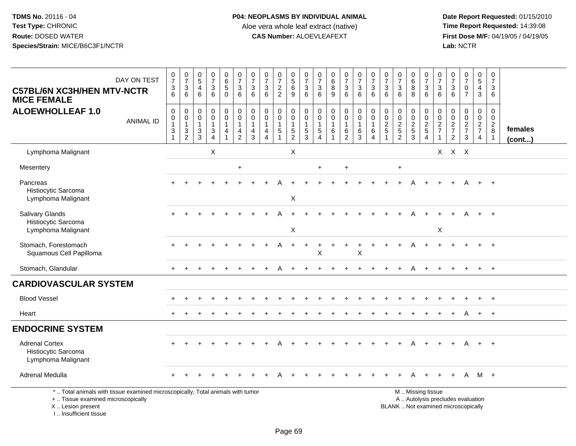**Date Report Requested:** 01/15/2010 **First Dose M/F:** 04/19/05 / 04/19/05<br>Lab: NCTR **Lab:** NCTR

| DAY ON TEST<br><b>C57BL/6N XC3H/HEN MTV-NCTR</b><br><b>MICE FEMALE</b>                                                                     | $\frac{0}{7}$<br>$\frac{3}{6}$                                                            | $\begin{array}{c} 0 \\ 7 \end{array}$<br>$\mathbf{3}$<br>6                     | $\begin{array}{c} 0 \\ 5 \end{array}$<br>$\overline{\mathbf{4}}$<br>6 | $\begin{array}{c} 0 \\ 7 \end{array}$<br>$\sqrt{3}$<br>$6\phantom{1}$ | $\begin{array}{c} 0 \\ 6 \end{array}$<br>$\overline{5}$<br>$\mathbf 0$           | $\frac{0}{7}$<br>$\ensuremath{\mathsf{3}}$<br>6                           | $\begin{array}{c} 0 \\ 7 \end{array}$<br>3<br>6                   | $\begin{array}{c} 0 \\ 7 \end{array}$<br>$\sqrt{3}$<br>6                       | $\frac{0}{7}$<br>$\overline{a}$<br>$\overline{2}$ | $\begin{array}{c} 0 \\ 5 \end{array}$<br>$\,6\,$<br>9                             | $\frac{0}{7}$<br>$\ensuremath{\mathsf{3}}$<br>6              | $\mathbf 0$<br>$\overline{7}$<br>$\mathbf{3}$<br>$6\phantom{1}$            | $\begin{array}{c} 0 \\ 6 \end{array}$<br>$\, 8$<br>$\overline{9}$ | $\begin{array}{c} 0 \\ 7 \end{array}$<br>$\mathbf{3}$<br>$6\phantom{1}$   | $\frac{0}{7}$<br>3<br>6                                    | $\frac{0}{7}$<br>$\ensuremath{\mathsf{3}}$<br>6                                    | $\frac{0}{7}$<br>$\ensuremath{\mathsf{3}}$<br>$6\phantom{1}$ | $\begin{array}{c} 0 \\ 7 \end{array}$<br>$\ensuremath{\mathsf{3}}$<br>$6\phantom{a}$ | $\begin{array}{c} 0 \\ 6 \end{array}$<br>8<br>8                         | $\frac{0}{7}$<br>$\frac{3}{6}$                                                                | 0<br>$\overline{7}$<br>3<br>6                    | $\frac{0}{7}$<br>$\sqrt{3}$<br>6                              | $\frac{0}{7}$<br>$\mathbf 0$<br>$\overline{7}$ | $\begin{array}{c} 0 \\ 5 \end{array}$<br>$\overline{4}$<br>3 | $\mathbf 0$<br>$\overline{7}$<br>3<br>6                        |                   |
|--------------------------------------------------------------------------------------------------------------------------------------------|-------------------------------------------------------------------------------------------|--------------------------------------------------------------------------------|-----------------------------------------------------------------------|-----------------------------------------------------------------------|----------------------------------------------------------------------------------|---------------------------------------------------------------------------|-------------------------------------------------------------------|--------------------------------------------------------------------------------|---------------------------------------------------|-----------------------------------------------------------------------------------|--------------------------------------------------------------|----------------------------------------------------------------------------|-------------------------------------------------------------------|---------------------------------------------------------------------------|------------------------------------------------------------|------------------------------------------------------------------------------------|--------------------------------------------------------------|--------------------------------------------------------------------------------------|-------------------------------------------------------------------------|-----------------------------------------------------------------------------------------------|--------------------------------------------------|---------------------------------------------------------------|------------------------------------------------|--------------------------------------------------------------|----------------------------------------------------------------|-------------------|
| <b>ALOEWHOLLEAF 1.0</b><br><b>ANIMAL ID</b>                                                                                                | $\pmb{0}$<br>$\begin{smallmatrix}0\\1\end{smallmatrix}$<br>$\ensuremath{\mathsf{3}}$<br>1 | $\mathbf 0$<br>$\mathbf 0$<br>$\mathbf{1}$<br>$\mathfrak{S}$<br>$\overline{2}$ | $\pmb{0}$<br>0<br>$\mathbf{1}$<br>$\frac{3}{3}$                       | $\mathbf 0$<br>$\mathsf{O}\xspace$<br>1<br>3<br>$\overline{4}$        | $\begin{smallmatrix} 0\\0 \end{smallmatrix}$<br>$\overline{1}$<br>$\overline{4}$ | $\mathbf 0$<br>$\mathsf{O}\xspace$<br>$\mathbf{1}$<br>4<br>$\overline{2}$ | $\mathbf 0$<br>$\mathbf 0$<br>$\mathbf{1}$<br>$\overline{4}$<br>3 | $\mathbf 0$<br>$\mathbf 0$<br>$\mathbf{1}$<br>$\overline{4}$<br>$\overline{4}$ | 0<br>$\mathbf 0$<br>$\mathbf{1}$<br>5             | $\begin{smallmatrix}0\\0\end{smallmatrix}$<br>$\mathbf{1}$<br>5<br>$\overline{2}$ | $\pmb{0}$<br>$\mathbf 0$<br>$\mathbf{1}$<br>$\,$ 5 $\,$<br>3 | $\mathbf 0$<br>$\mathbf 0$<br>$\mathbf{1}$<br>$\sqrt{5}$<br>$\overline{4}$ | $\mathbf 0$<br>$\ddot{\mathbf{0}}$<br>$\mathbf{1}$<br>6           | $\mathbf 0$<br>$\mathsf{O}\xspace$<br>$\mathbf{1}$<br>6<br>$\overline{2}$ | $\pmb{0}$<br>$\ddot{\mathbf{0}}$<br>$\mathbf{1}$<br>6<br>3 | $\mathbf 0$<br>$\mathsf{O}\xspace$<br>$\mathbf{1}$<br>6<br>$\overline{\mathbf{4}}$ | $\mathbf 0$<br>$\mathbf 0$<br>$\boldsymbol{2}$<br>$\sqrt{5}$ | 0<br>$\pmb{0}$<br>$\frac{2}{5}$<br>2                                                 | $\mathbf 0$<br>$\mathsf{O}\xspace$<br>$\sqrt{2}$<br>$\overline{5}$<br>3 | $\begin{array}{c} 0 \\ 0 \\ 2 \\ 5 \end{array}$<br>$\overline{4}$                             | 0<br>$\mathbf 0$<br>$\sqrt{2}$<br>$\overline{7}$ | $\mathbf 0$<br>$\mathbf 0$<br>$\frac{2}{7}$<br>$\overline{2}$ | 0<br>$\mathbf 0$<br>$\frac{2}{7}$<br>3         | $\mathbf 0$<br>$\frac{0}{2}$<br>7<br>$\overline{4}$          | $\mathbf{0}$<br>$\mathbf 0$<br>$\sqrt{2}$<br>8<br>$\mathbf{1}$ | females<br>(cont) |
| Lymphoma Malignant                                                                                                                         |                                                                                           |                                                                                |                                                                       | X                                                                     |                                                                                  |                                                                           |                                                                   |                                                                                |                                                   | X                                                                                 |                                                              |                                                                            |                                                                   |                                                                           |                                                            |                                                                                    |                                                              |                                                                                      |                                                                         |                                                                                               |                                                  | $X$ $X$ $X$                                                   |                                                |                                                              |                                                                |                   |
| Mesentery                                                                                                                                  |                                                                                           |                                                                                |                                                                       |                                                                       |                                                                                  | $\ddot{}$                                                                 |                                                                   |                                                                                |                                                   |                                                                                   |                                                              | $\ddot{}$                                                                  |                                                                   | $\ddot{}$                                                                 |                                                            |                                                                                    |                                                              | $\ddot{}$                                                                            |                                                                         |                                                                                               |                                                  |                                                               |                                                |                                                              |                                                                |                   |
| Pancreas<br>Histiocytic Sarcoma<br>Lymphoma Malignant                                                                                      |                                                                                           |                                                                                |                                                                       |                                                                       |                                                                                  |                                                                           |                                                                   |                                                                                |                                                   | X                                                                                 |                                                              |                                                                            |                                                                   |                                                                           |                                                            |                                                                                    |                                                              |                                                                                      |                                                                         |                                                                                               |                                                  |                                                               |                                                | $+$                                                          | $+$                                                            |                   |
| Salivary Glands<br>Histiocytic Sarcoma<br>Lymphoma Malignant                                                                               |                                                                                           |                                                                                |                                                                       |                                                                       |                                                                                  |                                                                           |                                                                   |                                                                                |                                                   | X                                                                                 |                                                              |                                                                            |                                                                   |                                                                           |                                                            |                                                                                    |                                                              |                                                                                      |                                                                         |                                                                                               | Χ                                                |                                                               |                                                |                                                              | $+$                                                            |                   |
| Stomach, Forestomach<br>Squamous Cell Papilloma                                                                                            |                                                                                           |                                                                                |                                                                       |                                                                       |                                                                                  |                                                                           |                                                                   |                                                                                |                                                   |                                                                                   |                                                              | X                                                                          |                                                                   |                                                                           | $\pmb{\times}$                                             |                                                                                    |                                                              |                                                                                      |                                                                         |                                                                                               |                                                  |                                                               |                                                |                                                              | $\overline{+}$                                                 |                   |
| Stomach, Glandular                                                                                                                         |                                                                                           |                                                                                |                                                                       |                                                                       |                                                                                  |                                                                           |                                                                   |                                                                                |                                                   |                                                                                   |                                                              |                                                                            |                                                                   |                                                                           |                                                            |                                                                                    |                                                              |                                                                                      |                                                                         |                                                                                               |                                                  |                                                               |                                                |                                                              | $+$                                                            |                   |
| <b>CARDIOVASCULAR SYSTEM</b>                                                                                                               |                                                                                           |                                                                                |                                                                       |                                                                       |                                                                                  |                                                                           |                                                                   |                                                                                |                                                   |                                                                                   |                                                              |                                                                            |                                                                   |                                                                           |                                                            |                                                                                    |                                                              |                                                                                      |                                                                         |                                                                                               |                                                  |                                                               |                                                |                                                              |                                                                |                   |
| <b>Blood Vessel</b>                                                                                                                        |                                                                                           |                                                                                |                                                                       |                                                                       |                                                                                  |                                                                           |                                                                   |                                                                                |                                                   |                                                                                   |                                                              |                                                                            |                                                                   |                                                                           |                                                            |                                                                                    |                                                              |                                                                                      |                                                                         |                                                                                               |                                                  |                                                               |                                                |                                                              | $+$                                                            |                   |
| Heart                                                                                                                                      |                                                                                           |                                                                                |                                                                       |                                                                       |                                                                                  |                                                                           |                                                                   |                                                                                |                                                   |                                                                                   |                                                              |                                                                            |                                                                   |                                                                           |                                                            |                                                                                    |                                                              |                                                                                      |                                                                         |                                                                                               |                                                  |                                                               | A                                              | $+$                                                          | $+$                                                            |                   |
| <b>ENDOCRINE SYSTEM</b>                                                                                                                    |                                                                                           |                                                                                |                                                                       |                                                                       |                                                                                  |                                                                           |                                                                   |                                                                                |                                                   |                                                                                   |                                                              |                                                                            |                                                                   |                                                                           |                                                            |                                                                                    |                                                              |                                                                                      |                                                                         |                                                                                               |                                                  |                                                               |                                                |                                                              |                                                                |                   |
| <b>Adrenal Cortex</b><br>Histiocytic Sarcoma<br>Lymphoma Malignant                                                                         |                                                                                           |                                                                                |                                                                       |                                                                       |                                                                                  |                                                                           |                                                                   |                                                                                |                                                   |                                                                                   |                                                              |                                                                            |                                                                   |                                                                           |                                                            |                                                                                    |                                                              |                                                                                      |                                                                         |                                                                                               |                                                  |                                                               |                                                | $+$                                                          | $+$                                                            |                   |
| Adrenal Medulla                                                                                                                            |                                                                                           |                                                                                |                                                                       |                                                                       |                                                                                  |                                                                           |                                                                   |                                                                                |                                                   |                                                                                   |                                                              |                                                                            |                                                                   |                                                                           |                                                            |                                                                                    |                                                              |                                                                                      |                                                                         |                                                                                               |                                                  |                                                               | A                                              | M +                                                          |                                                                |                   |
| *  Total animals with tissue examined microscopically; Total animals with tumor<br>+  Tissue examined microscopically<br>X  Lesion present |                                                                                           |                                                                                |                                                                       |                                                                       |                                                                                  |                                                                           |                                                                   |                                                                                |                                                   |                                                                                   |                                                              |                                                                            |                                                                   |                                                                           |                                                            |                                                                                    |                                                              |                                                                                      |                                                                         | M  Missing tissue<br>A  Autolysis precludes evaluation<br>BLANK  Not examined microscopically |                                                  |                                                               |                                                |                                                              |                                                                |                   |

I .. Insufficient tissue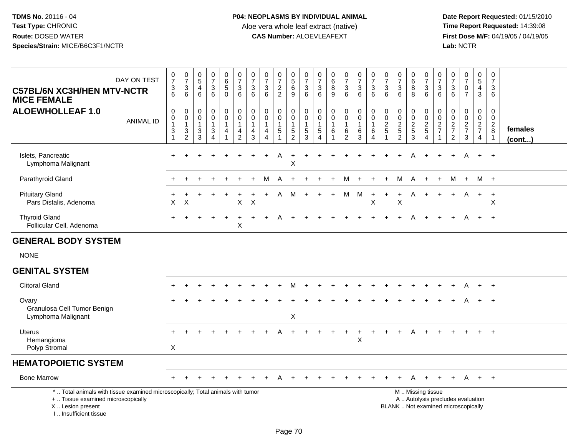| DAY ON TEST<br><b>C57BL/6N XC3H/HEN MTV-NCTR</b><br><b>MICE FEMALE</b>                                                                                                | $\begin{array}{c} 0 \\ 7 \end{array}$<br>$\ensuremath{\mathsf{3}}$<br>$6\phantom{1}$ | $\begin{array}{c} 0 \\ 7 \end{array}$<br>3<br>6 | $\begin{smallmatrix}0\0\5\end{smallmatrix}$<br>$\overline{4}$<br>$6\phantom{a}$ | $\frac{0}{7}$<br>$\ensuremath{\mathsf{3}}$<br>6                               | $\begin{array}{c} 0 \\ 6 \\ 5 \end{array}$<br>$\Omega$       | $\frac{0}{7}$<br>$\ensuremath{\mathsf{3}}$<br>$6\phantom{1}6$            | $\frac{0}{7}$<br>$\mathbf{3}$<br>6                                         | $\frac{0}{7}$<br>$\sqrt{3}$<br>6                                  | $\frac{0}{7}$<br>$\frac{2}{2}$        | $\begin{array}{c} 0 \\ 5 \\ 6 \end{array}$<br>9                   | $\begin{array}{c} 0 \\ 7 \end{array}$<br>$\ensuremath{\mathsf{3}}$<br>$6\phantom{1}$ | $\frac{0}{7}$<br>$\frac{3}{6}$                                               | $\begin{array}{c} 0 \\ 6 \end{array}$<br>$\bf8$<br>9 | $\frac{0}{7}$<br>3<br>6                                           | $\frac{0}{7}$<br>$\mathbf{3}$<br>6                                                                  | $\frac{0}{7}$<br>$\mathbf{3}$<br>6                                    | $\frac{0}{7}$<br>$\mathbf{3}$<br>6                         | $\frac{0}{7}$<br>$\ensuremath{\mathsf{3}}$<br>6                   | $\begin{array}{c} 0 \\ 6 \end{array}$<br>$\overline{8}$<br>8 | $\frac{0}{7}$<br>$\mathbf{3}$<br>$6\phantom{1}6$                                              | 0<br>$\overline{7}$<br>3<br>6                    | $\frac{0}{7}$<br>$\mathbf{3}$<br>$6\phantom{1}$     | $\frac{0}{7}$<br>$\pmb{0}$<br>$\overline{7}$                      | $\begin{array}{c} 0 \\ 5 \end{array}$<br>$\overline{4}$<br>3 | 0<br>$\overline{7}$<br>3<br>6                                   |                         |
|-----------------------------------------------------------------------------------------------------------------------------------------------------------------------|--------------------------------------------------------------------------------------|-------------------------------------------------|---------------------------------------------------------------------------------|-------------------------------------------------------------------------------|--------------------------------------------------------------|--------------------------------------------------------------------------|----------------------------------------------------------------------------|-------------------------------------------------------------------|---------------------------------------|-------------------------------------------------------------------|--------------------------------------------------------------------------------------|------------------------------------------------------------------------------|------------------------------------------------------|-------------------------------------------------------------------|-----------------------------------------------------------------------------------------------------|-----------------------------------------------------------------------|------------------------------------------------------------|-------------------------------------------------------------------|--------------------------------------------------------------|-----------------------------------------------------------------------------------------------|--------------------------------------------------|-----------------------------------------------------|-------------------------------------------------------------------|--------------------------------------------------------------|-----------------------------------------------------------------|-------------------------|
| <b>ALOEWHOLLEAF 1.0</b><br><b>ANIMAL ID</b>                                                                                                                           | $\mathbf 0$<br>$\mathbf 0$<br>$\overline{1}$<br>$\sqrt{3}$<br>$\mathbf{1}$           | 0<br>$\mathbf 0$<br>$\mathbf{1}$<br>3<br>2      | 0<br>$\pmb{0}$<br>$\mathbf{1}$<br>$\frac{3}{3}$                                 | $\mathsf 0$<br>$\mathsf{O}$<br>$\mathbf{1}$<br>$\mathbf{3}$<br>$\overline{4}$ | $\mathbf 0$<br>$\mathbf 0$<br>$\mathbf{1}$<br>$\overline{4}$ | $_{\rm 0}^{\rm 0}$<br>$\overline{1}$<br>$\overline{a}$<br>$\overline{2}$ | $\pmb{0}$<br>$\mathbf 0$<br>$\mathbf{1}$<br>$\overline{4}$<br>$\mathbf{3}$ | $\mathbf 0$<br>$\mathbf 0$<br>$\mathbf{1}$<br>4<br>$\overline{4}$ | 0<br>$\mathbf 0$<br>$\mathbf{1}$<br>5 | $\mathbf 0$<br>$\mathbf 0$<br>$\mathbf{1}$<br>5<br>$\overline{2}$ | 0<br>$\pmb{0}$<br>$\overline{1}$<br>5<br>3                                           | $\mathbf 0$<br>$\mathbf 0$<br>$\overline{1}$<br>$\sqrt{5}$<br>$\overline{4}$ | $\pmb{0}$<br>$\mathbf 0$<br>$\mathbf{1}$<br>6        | $\mathbf 0$<br>$\mathbf 0$<br>$\mathbf{1}$<br>6<br>$\overline{2}$ | $\begin{smallmatrix} 0\\0 \end{smallmatrix}$<br>$\overline{1}$<br>$6\phantom{1}6$<br>$\overline{3}$ | $\begin{smallmatrix}0\0\0\end{smallmatrix}$<br>$\mathbf{1}$<br>6<br>4 | $\mathbf 0$<br>$\mathbf 0$<br>$\overline{2}$<br>$\sqrt{5}$ | $\begin{array}{c} 0 \\ 0 \\ 2 \\ 5 \end{array}$<br>$\overline{2}$ | 0<br>$\mathbf 0$<br>$\overline{2}$<br>$\sqrt{5}$<br>3        | $\pmb{0}$<br>$\mathbf 0$<br>$\overline{2}$<br>5<br>$\overline{4}$                             | 0<br>$\mathbf 0$<br>$\sqrt{2}$<br>$\overline{7}$ | 0<br>$\mathbf 0$<br>$\frac{2}{7}$<br>$\overline{2}$ | $\begin{smallmatrix}0\0\0\end{smallmatrix}$<br>$\frac{2}{7}$<br>3 | $\mathbf 0$<br>$\mathbf 0$<br>$\frac{2}{7}$<br>4             | $\mathbf 0$<br>$\mathbf 0$<br>$\sqrt{2}$<br>8<br>$\overline{1}$ | females<br>$($ cont $)$ |
| Islets, Pancreatic<br>Lymphoma Malignant                                                                                                                              | $+$                                                                                  |                                                 |                                                                                 |                                                                               |                                                              |                                                                          |                                                                            |                                                                   | Α                                     | $\ddot{}$<br>$\sf X$                                              | $\ddot{}$                                                                            |                                                                              |                                                      |                                                                   |                                                                                                     |                                                                       |                                                            |                                                                   | Α                                                            |                                                                                               |                                                  | $+$                                                 | Α                                                                 | $+$                                                          | $+$                                                             |                         |
| Parathyroid Gland                                                                                                                                                     |                                                                                      |                                                 |                                                                                 |                                                                               |                                                              |                                                                          |                                                                            |                                                                   | A                                     |                                                                   |                                                                                      |                                                                              |                                                      | M                                                                 |                                                                                                     |                                                                       |                                                            | M                                                                 | Α                                                            | $\overline{+}$                                                                                | $\ddot{}$                                        | м                                                   | $+$                                                               | M +                                                          |                                                                 |                         |
| <b>Pituitary Gland</b><br>Pars Distalis, Adenoma                                                                                                                      | X                                                                                    | X                                               |                                                                                 |                                                                               |                                                              | $\pmb{\times}$                                                           | $\times$                                                                   |                                                                   | A                                     | М                                                                 | $+$                                                                                  |                                                                              | $+$                                                  | M                                                                 | M                                                                                                   | $\ddot{}$<br>$\sf X$                                                  | $+$                                                        | $\ddot{}$<br>$\mathsf X$                                          | A                                                            |                                                                                               | $+$                                              | $+$                                                 | A                                                                 | $+$                                                          | $\ddot{}$<br>X                                                  |                         |
| <b>Thyroid Gland</b><br>Follicular Cell, Adenoma                                                                                                                      |                                                                                      |                                                 |                                                                                 |                                                                               |                                                              | $\sf X$                                                                  |                                                                            |                                                                   |                                       |                                                                   |                                                                                      |                                                                              |                                                      |                                                                   |                                                                                                     |                                                                       |                                                            |                                                                   |                                                              |                                                                                               |                                                  |                                                     | А                                                                 | $\ddot{}$                                                    | $+$                                                             |                         |
| <b>GENERAL BODY SYSTEM</b>                                                                                                                                            |                                                                                      |                                                 |                                                                                 |                                                                               |                                                              |                                                                          |                                                                            |                                                                   |                                       |                                                                   |                                                                                      |                                                                              |                                                      |                                                                   |                                                                                                     |                                                                       |                                                            |                                                                   |                                                              |                                                                                               |                                                  |                                                     |                                                                   |                                                              |                                                                 |                         |
| <b>NONE</b>                                                                                                                                                           |                                                                                      |                                                 |                                                                                 |                                                                               |                                                              |                                                                          |                                                                            |                                                                   |                                       |                                                                   |                                                                                      |                                                                              |                                                      |                                                                   |                                                                                                     |                                                                       |                                                            |                                                                   |                                                              |                                                                                               |                                                  |                                                     |                                                                   |                                                              |                                                                 |                         |
| <b>GENITAL SYSTEM</b>                                                                                                                                                 |                                                                                      |                                                 |                                                                                 |                                                                               |                                                              |                                                                          |                                                                            |                                                                   |                                       |                                                                   |                                                                                      |                                                                              |                                                      |                                                                   |                                                                                                     |                                                                       |                                                            |                                                                   |                                                              |                                                                                               |                                                  |                                                     |                                                                   |                                                              |                                                                 |                         |
| <b>Clitoral Gland</b>                                                                                                                                                 |                                                                                      |                                                 |                                                                                 |                                                                               |                                                              |                                                                          |                                                                            |                                                                   |                                       | м                                                                 |                                                                                      |                                                                              |                                                      |                                                                   |                                                                                                     |                                                                       |                                                            |                                                                   |                                                              |                                                                                               |                                                  |                                                     | A                                                                 | $+$                                                          | $+$                                                             |                         |
| Ovary<br>Granulosa Cell Tumor Benign<br>Lymphoma Malignant                                                                                                            |                                                                                      |                                                 |                                                                                 |                                                                               |                                                              |                                                                          |                                                                            |                                                                   |                                       | X                                                                 |                                                                                      |                                                                              |                                                      |                                                                   |                                                                                                     |                                                                       |                                                            |                                                                   |                                                              |                                                                                               |                                                  |                                                     |                                                                   |                                                              |                                                                 |                         |
| <b>Uterus</b><br>Hemangioma<br>Polyp Stromal                                                                                                                          | X                                                                                    |                                                 |                                                                                 |                                                                               |                                                              |                                                                          |                                                                            |                                                                   |                                       |                                                                   |                                                                                      |                                                                              |                                                      | $\ddot{}$                                                         | X                                                                                                   | $\ddot{}$                                                             |                                                            |                                                                   | A                                                            |                                                                                               |                                                  |                                                     |                                                                   | $+$                                                          | $+$                                                             |                         |
| <b>HEMATOPOIETIC SYSTEM</b>                                                                                                                                           |                                                                                      |                                                 |                                                                                 |                                                                               |                                                              |                                                                          |                                                                            |                                                                   |                                       |                                                                   |                                                                                      |                                                                              |                                                      |                                                                   |                                                                                                     |                                                                       |                                                            |                                                                   |                                                              |                                                                                               |                                                  |                                                     |                                                                   |                                                              |                                                                 |                         |
| <b>Bone Marrow</b>                                                                                                                                                    |                                                                                      |                                                 |                                                                                 |                                                                               |                                                              |                                                                          |                                                                            |                                                                   |                                       |                                                                   |                                                                                      |                                                                              |                                                      |                                                                   |                                                                                                     |                                                                       |                                                            |                                                                   | A                                                            | $\div$                                                                                        |                                                  | $+$                                                 | A                                                                 | $+$                                                          | $+$                                                             |                         |
| *  Total animals with tissue examined microscopically; Total animals with tumor<br>+  Tissue examined microscopically<br>X  Lesion present<br>I., Insufficient tissue |                                                                                      |                                                 |                                                                                 |                                                                               |                                                              |                                                                          |                                                                            |                                                                   |                                       |                                                                   |                                                                                      |                                                                              |                                                      |                                                                   |                                                                                                     |                                                                       |                                                            |                                                                   |                                                              | M  Missing tissue<br>A  Autolysis precludes evaluation<br>BLANK  Not examined microscopically |                                                  |                                                     |                                                                   |                                                              |                                                                 |                         |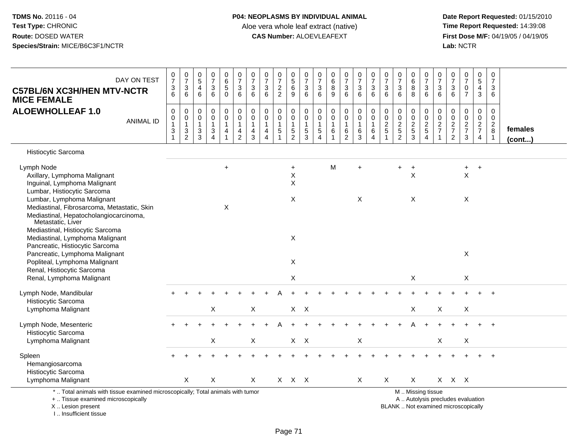**Date Report Requested:** 01/15/2010 **First Dose M/F:** 04/19/05 / 04/19/05<br>Lab: NCTR **Lab:** NCTR

| DAY ON TEST<br><b>C57BL/6N XC3H/HEN MTV-NCTR</b><br><b>MICE FEMALE</b>                                                                                                                                                                             | $\frac{0}{7}$<br>$\ensuremath{\mathsf{3}}$<br>6                                     | $\frac{0}{7}$<br>$\sqrt{3}$<br>6                                                      | $\mathbf 0$<br>$\sqrt{5}$<br>$\overline{a}$<br>6                          | $\frac{0}{7}$<br>$\sqrt{3}$<br>6                                                        | 0<br>$\,6\,$<br>$\overline{5}$<br>$\mathbf 0$ | $\frac{0}{7}$<br>$\mathbf{3}$<br>6                                         | $\frac{0}{7}$<br>3<br>6                              | $\pmb{0}$<br>$\overline{7}$<br>$\sqrt{3}$<br>6                             | $\frac{0}{7}$<br>$\frac{2}{2}$                           | $\begin{array}{c} 0 \\ 5 \\ 6 \end{array}$<br>9                          | $\frac{0}{7}$<br>$\sqrt{3}$<br>6                    | 0<br>$\overline{7}$<br>3<br>6   | $\pmb{0}$<br>$\,6$<br>$\bf8$<br>9                        | $\frac{0}{7}$<br>3<br>6                                 | $\frac{0}{7}$<br>$\sqrt{3}$<br>$\,6\,$               | $\frac{0}{7}$<br>$\sqrt{3}$<br>6                                    | $\pmb{0}$<br>$\overline{7}$<br>3<br>6                  | $\begin{array}{c} 0 \\ 7 \end{array}$<br>$\sqrt{3}$<br>6      | $\pmb{0}$<br>$\,6$<br>8<br>8         | $\begin{array}{c} 0 \\ 7 \end{array}$<br>$\sqrt{3}$<br>6                | 0<br>$\overline{7}$<br>3<br>6                             | $\,0\,$<br>$\overline{7}$<br>$\sqrt{3}$<br>6                     | $\frac{0}{7}$<br>$\pmb{0}$<br>$\overline{7}$            | $\pmb{0}$<br>$\sqrt{5}$<br>4<br>$\mathbf{3}$ | $\mathbf 0$<br>$\overline{7}$<br>3<br>6                 |                         |
|----------------------------------------------------------------------------------------------------------------------------------------------------------------------------------------------------------------------------------------------------|-------------------------------------------------------------------------------------|---------------------------------------------------------------------------------------|---------------------------------------------------------------------------|-----------------------------------------------------------------------------------------|-----------------------------------------------|----------------------------------------------------------------------------|------------------------------------------------------|----------------------------------------------------------------------------|----------------------------------------------------------|--------------------------------------------------------------------------|-----------------------------------------------------|---------------------------------|----------------------------------------------------------|---------------------------------------------------------|------------------------------------------------------|---------------------------------------------------------------------|--------------------------------------------------------|---------------------------------------------------------------|--------------------------------------|-------------------------------------------------------------------------|-----------------------------------------------------------|------------------------------------------------------------------|---------------------------------------------------------|----------------------------------------------|---------------------------------------------------------|-------------------------|
| <b>ALOEWHOLLEAF 1.0</b><br><b>ANIMAL ID</b>                                                                                                                                                                                                        | $\pmb{0}$<br>$\pmb{0}$<br>$\mathbf{1}$<br>$\ensuremath{\mathsf{3}}$<br>$\mathbf{1}$ | $\pmb{0}$<br>$\pmb{0}$<br>$\mathbf{1}$<br>$\ensuremath{\mathsf{3}}$<br>$\overline{2}$ | $\boldsymbol{0}$<br>$\boldsymbol{0}$<br>$\overline{1}$<br>$\sqrt{3}$<br>3 | $\pmb{0}$<br>$\mathbf 0$<br>$\mathbf{1}$<br>$\ensuremath{\mathsf{3}}$<br>$\overline{4}$ | 0<br>$\pmb{0}$<br>$\mathbf{1}$<br>4<br>1      | $\pmb{0}$<br>$\pmb{0}$<br>$\mathbf{1}$<br>$\overline{4}$<br>$\overline{2}$ | $\mathsf 0$<br>$\mathbf 0$<br>$\mathbf{1}$<br>4<br>3 | $\pmb{0}$<br>$\pmb{0}$<br>$\mathbf{1}$<br>$\overline{4}$<br>$\overline{4}$ | $\mathsf 0$<br>$\mathbf 0$<br>$\mathbf{1}$<br>$\sqrt{5}$ | 0<br>$\mathsf{O}\xspace$<br>$\mathbf{1}$<br>$\sqrt{5}$<br>$\overline{2}$ | 0<br>$\mathsf 0$<br>$\mathbf{1}$<br>$\sqrt{5}$<br>3 | 0<br>$\mathbf 0$<br>1<br>5<br>4 | $\mathbf 0$<br>$\mathbf 0$<br>$\mathbf{1}$<br>$\,6$<br>1 | 0<br>$\mathbf 0$<br>$\mathbf{1}$<br>6<br>$\overline{2}$ | $\mathbf 0$<br>$\mathbf 0$<br>$\mathbf{1}$<br>6<br>3 | $\pmb{0}$<br>$\pmb{0}$<br>$\overline{1}$<br>$\,6$<br>$\overline{4}$ | $\mathbf 0$<br>$\mathbf 0$<br>$\sqrt{2}$<br>$\sqrt{5}$ | $\pmb{0}$<br>$\mathbf 0$<br>$\sqrt{2}$<br>$\overline{5}$<br>2 | 0<br>$\pmb{0}$<br>$\frac{2}{5}$<br>3 | $\pmb{0}$<br>$\mathbf 0$<br>$\sqrt{2}$<br>$\,$ 5 $\,$<br>$\overline{4}$ | 0<br>$\mathbf 0$<br>$\overline{a}$<br>$\overline{7}$<br>1 | 0<br>$\,0\,$<br>$\sqrt{2}$<br>$\boldsymbol{7}$<br>$\overline{2}$ | $\pmb{0}$<br>$\pmb{0}$<br>$\frac{2}{7}$<br>$\mathbf{3}$ | 0<br>$\mathbf 0$<br>$\frac{2}{7}$<br>4       | 0<br>$\mathbf 0$<br>$\overline{2}$<br>8<br>$\mathbf{1}$ | females<br>$($ cont $)$ |
| Histiocytic Sarcoma                                                                                                                                                                                                                                |                                                                                     |                                                                                       |                                                                           |                                                                                         |                                               |                                                                            |                                                      |                                                                            |                                                          |                                                                          |                                                     |                                 |                                                          |                                                         |                                                      |                                                                     |                                                        |                                                               |                                      |                                                                         |                                                           |                                                                  |                                                         |                                              |                                                         |                         |
| Lymph Node<br>Axillary, Lymphoma Malignant<br>Inguinal, Lymphoma Malignant<br>Lumbar, Histiocytic Sarcoma                                                                                                                                          |                                                                                     |                                                                                       |                                                                           |                                                                                         | $\ddot{}$                                     |                                                                            |                                                      |                                                                            |                                                          | $\ddot{}$<br>X<br>X                                                      |                                                     |                                 | M                                                        |                                                         | $\ddot{}$                                            |                                                                     |                                                        | +                                                             | $\ddot{}$<br>X                       |                                                                         |                                                           |                                                                  | +<br>$\mathsf X$                                        | $\ddot{}$                                    |                                                         |                         |
| Lumbar, Lymphoma Malignant<br>Mediastinal, Fibrosarcoma, Metastatic, Skin<br>Mediastinal, Hepatocholangiocarcinoma,<br>Metastatic, Liver<br>Mediastinal, Histiocytic Sarcoma<br>Mediastinal, Lymphoma Malignant<br>Pancreatic, Histiocytic Sarcoma |                                                                                     |                                                                                       |                                                                           |                                                                                         | X                                             |                                                                            |                                                      |                                                                            |                                                          | X<br>X                                                                   |                                                     |                                 |                                                          |                                                         | X                                                    |                                                                     |                                                        |                                                               | X                                    |                                                                         |                                                           |                                                                  | X                                                       |                                              |                                                         |                         |
| Pancreatic, Lymphoma Malignant<br>Popliteal, Lymphoma Malignant<br>Renal, Histiocytic Sarcoma                                                                                                                                                      |                                                                                     |                                                                                       |                                                                           |                                                                                         |                                               |                                                                            |                                                      |                                                                            |                                                          | X                                                                        |                                                     |                                 |                                                          |                                                         |                                                      |                                                                     |                                                        |                                                               |                                      |                                                                         |                                                           |                                                                  | X                                                       |                                              |                                                         |                         |
| Renal, Lymphoma Malignant                                                                                                                                                                                                                          |                                                                                     |                                                                                       |                                                                           |                                                                                         |                                               |                                                                            |                                                      |                                                                            |                                                          | X                                                                        |                                                     |                                 |                                                          |                                                         |                                                      |                                                                     |                                                        |                                                               | X                                    |                                                                         |                                                           |                                                                  | X                                                       |                                              |                                                         |                         |
| Lymph Node, Mandibular<br>Histiocytic Sarcoma<br>Lymphoma Malignant                                                                                                                                                                                |                                                                                     |                                                                                       |                                                                           | $\mathsf X$                                                                             |                                               |                                                                            | $\boldsymbol{\mathsf{X}}$                            |                                                                            |                                                          | $X$ $X$                                                                  |                                                     |                                 |                                                          |                                                         |                                                      |                                                                     |                                                        |                                                               | $\mathsf X$                          |                                                                         | $\pmb{\times}$                                            |                                                                  | X                                                       |                                              |                                                         |                         |
| Lymph Node, Mesenteric<br>Histiocytic Sarcoma                                                                                                                                                                                                      |                                                                                     |                                                                                       |                                                                           |                                                                                         |                                               |                                                                            |                                                      |                                                                            |                                                          |                                                                          |                                                     |                                 |                                                          |                                                         |                                                      |                                                                     |                                                        |                                                               |                                      |                                                                         |                                                           |                                                                  |                                                         |                                              |                                                         |                         |
| Lymphoma Malignant                                                                                                                                                                                                                                 |                                                                                     |                                                                                       |                                                                           | $\boldsymbol{\mathsf{X}}$                                                               |                                               |                                                                            | $\sf X$                                              |                                                                            |                                                          | $X$ $X$                                                                  |                                                     |                                 |                                                          |                                                         | X                                                    |                                                                     |                                                        |                                                               |                                      |                                                                         | X                                                         |                                                                  | X                                                       |                                              |                                                         |                         |
| Spleen<br>Hemangiosarcoma<br>Histiocytic Sarcoma<br>Lymphoma Malignant                                                                                                                                                                             |                                                                                     | Χ                                                                                     |                                                                           | X                                                                                       |                                               |                                                                            | X                                                    |                                                                            |                                                          | $X$ $X$ $X$                                                              |                                                     |                                 |                                                          |                                                         |                                                      |                                                                     | X                                                      |                                                               | X                                    |                                                                         |                                                           | X X X                                                            |                                                         |                                              | $\ddot{}$                                               |                         |
| *  Total animals with tissue examined microscopically; Total animals with tumor<br>+  Tissue examined microscopically                                                                                                                              |                                                                                     |                                                                                       |                                                                           |                                                                                         |                                               |                                                                            |                                                      |                                                                            |                                                          |                                                                          |                                                     |                                 |                                                          |                                                         | X                                                    |                                                                     |                                                        |                                                               |                                      | M  Missing tissue                                                       |                                                           |                                                                  | A  Autolysis precludes evaluation                       |                                              |                                                         |                         |

X .. Lesion present

I .. Insufficient tissue

Lesion present BLANK .. Not examined microscopically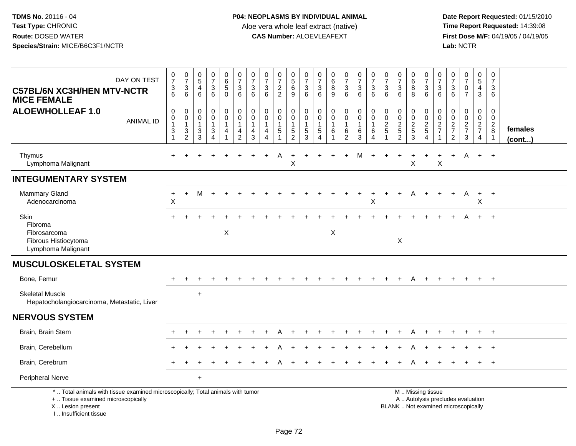**Date Report Requested:** 01/15/2010 **First Dose M/F:** 04/19/05 / 04/19/05<br>Lab: NCTR **Lab:** NCTR

| DAY ON TEST<br><b>C57BL/6N XC3H/HEN MTV-NCTR</b><br><b>MICE FEMALE</b>                                                                     | $\frac{0}{7}$<br>$\ensuremath{\mathsf{3}}$<br>6                                       | 0<br>$\overline{7}$<br>$\mathbf{3}$<br>6                                      | 0<br>$\overline{5}$<br>$\overline{4}$<br>6                         | $\frac{0}{7}$<br>3<br>6                     | $\begin{array}{c} 0 \\ 6 \end{array}$<br>$\sqrt{5}$<br>$\mathbf 0$                | $\frac{0}{7}$<br>$\sqrt{3}$<br>6                                   | $\mathbf 0$<br>$\overline{7}$<br>3<br>6                   | $\frac{0}{7}$<br>$\ensuremath{\mathsf{3}}$<br>6                                         | 0<br>$\overline{7}$<br>$\overline{c}$<br>2 | $\begin{matrix} 0 \\ 5 \end{matrix}$<br>$\,6\,$<br>$\boldsymbol{9}$       | $\frac{0}{7}$<br>$\mathbf{3}$<br>6           | 0<br>$\overline{7}$<br>$\mathbf{3}$<br>6  | $\begin{array}{c} 0 \\ 6 \end{array}$<br>$\bf 8$<br>9 | 0<br>$\overline{7}$<br>$\mathbf{3}$<br>6                      | 0<br>$\overline{7}$<br>3<br>6                    | $\frac{0}{7}$<br>$\sqrt{3}$<br>6                 | 0<br>$\overline{7}$<br>$\mathbf{3}$<br>6 | $\frac{0}{7}$<br>$\sqrt{3}$<br>6          | 0<br>$\,6\,$<br>$\bf 8$<br>8                    | 0<br>$\overline{7}$<br>$\mathbf{3}$<br>6 | 0<br>$\overline{7}$<br>3<br>6                             | $\frac{0}{7}$<br>$\ensuremath{\mathsf{3}}$<br>6                          | $\frac{0}{7}$<br>0<br>$\overline{7}$ | $\begin{array}{c} 0 \\ 5 \end{array}$<br>$\overline{4}$<br>$\mathbf{3}$ | 0<br>$\overline{7}$<br>3<br>6                                  |                   |
|--------------------------------------------------------------------------------------------------------------------------------------------|---------------------------------------------------------------------------------------|-------------------------------------------------------------------------------|--------------------------------------------------------------------|---------------------------------------------|-----------------------------------------------------------------------------------|--------------------------------------------------------------------|-----------------------------------------------------------|-----------------------------------------------------------------------------------------|--------------------------------------------|---------------------------------------------------------------------------|----------------------------------------------|-------------------------------------------|-------------------------------------------------------|---------------------------------------------------------------|--------------------------------------------------|--------------------------------------------------|------------------------------------------|-------------------------------------------|-------------------------------------------------|------------------------------------------|-----------------------------------------------------------|--------------------------------------------------------------------------|--------------------------------------|-------------------------------------------------------------------------|----------------------------------------------------------------|-------------------|
| <b>ALOEWHOLLEAF 1.0</b><br><b>ANIMAL ID</b>                                                                                                | $\pmb{0}$<br>$\begin{smallmatrix}0\\1\end{smallmatrix}$<br>$\sqrt{3}$<br>$\mathbf{1}$ | 0<br>$\pmb{0}$<br>$\mathbf{1}$<br>$\ensuremath{\mathsf{3}}$<br>$\overline{c}$ | 0<br>$\mathbf 0$<br>$\mathbf{1}$<br>$\ensuremath{\mathsf{3}}$<br>3 | 0<br>0<br>$\mathbf{1}$<br>$\mathbf{3}$<br>4 | $\boldsymbol{0}$<br>$\mathbf 0$<br>$\mathbf{1}$<br>$\overline{4}$<br>$\mathbf{1}$ | 0<br>$\pmb{0}$<br>$\mathbf{1}$<br>$\overline{4}$<br>$\overline{2}$ | 0<br>$\mathbf 0$<br>$\overline{1}$<br>$\overline{4}$<br>3 | $\mathbf 0$<br>$\mathbf 0$<br>$\mathbf{1}$<br>$\overline{4}$<br>$\overline{\mathbf{4}}$ | 0<br>$\mathbf 0$<br>1<br>5                 | 0<br>$\mathsf{O}\xspace$<br>$\mathbf{1}$<br>$\,$ 5 $\,$<br>$\overline{2}$ | 0<br>$\pmb{0}$<br>$\mathbf{1}$<br>$5\,$<br>3 | 0<br>0<br>$\mathbf{1}$<br>$\sqrt{5}$<br>4 | 0<br>$\pmb{0}$<br>$\mathbf{1}$<br>$\,6\,$<br>-1       | 0<br>$\mathbf 0$<br>$\mathbf{1}$<br>$\,6\,$<br>$\overline{c}$ | 0<br>$\mathbf 0$<br>$\overline{1}$<br>$\,6$<br>3 | 0<br>$\mathbf 0$<br>$\mathbf{1}$<br>$\,6\,$<br>4 | 0<br>$\mathbf 0$<br>$\frac{2}{5}$        | 0<br>0<br>$\frac{2}{5}$<br>$\overline{2}$ | 0<br>$\mathbf 0$<br>$rac{2}{5}$<br>$\mathbf{3}$ | 0<br>0<br>$\frac{2}{5}$<br>4             | $\mathbf 0$<br>0<br>$\overline{2}$<br>$\overline{7}$<br>1 | $\mathbf 0$<br>$\mathbf 0$<br>$\frac{2}{7}$<br>$\overline{2}$            | 0<br>0<br>$\frac{2}{7}$<br>3         | 0<br>$\mathsf{O}\xspace$<br>$\frac{2}{7}$<br>$\overline{4}$             | 0<br>$\mathsf 0$<br>$\overline{2}$<br>$\, 8$<br>$\overline{1}$ | females<br>(cont) |
| Thymus<br>Lymphoma Malignant                                                                                                               |                                                                                       |                                                                               |                                                                    |                                             |                                                                                   |                                                                    |                                                           |                                                                                         | Α                                          | Χ                                                                         |                                              |                                           |                                                       |                                                               | M                                                |                                                  |                                          |                                           | $\sf X$                                         |                                          | $\ddot{}$<br>Χ                                            |                                                                          | A                                    | $+$                                                                     | $+$                                                            |                   |
| <b>INTEGUMENTARY SYSTEM</b>                                                                                                                |                                                                                       |                                                                               |                                                                    |                                             |                                                                                   |                                                                    |                                                           |                                                                                         |                                            |                                                                           |                                              |                                           |                                                       |                                                               |                                                  |                                                  |                                          |                                           |                                                 |                                          |                                                           |                                                                          |                                      |                                                                         |                                                                |                   |
| <b>Mammary Gland</b><br>Adenocarcinoma                                                                                                     | $\ddot{}$<br>Χ                                                                        | $+$                                                                           | м                                                                  |                                             |                                                                                   |                                                                    |                                                           |                                                                                         |                                            |                                                                           |                                              |                                           |                                                       |                                                               |                                                  | X                                                |                                          |                                           |                                                 |                                          |                                                           |                                                                          | Α                                    | $\ddot{}$<br>X                                                          | $+$                                                            |                   |
| Skin<br>Fibroma<br>Fibrosarcoma<br>Fibrous Histiocytoma<br>Lymphoma Malignant                                                              |                                                                                       |                                                                               |                                                                    |                                             | X                                                                                 |                                                                    |                                                           |                                                                                         |                                            |                                                                           |                                              |                                           | X                                                     |                                                               |                                                  |                                                  |                                          | X                                         |                                                 |                                          |                                                           |                                                                          |                                      | $+$                                                                     | $+$                                                            |                   |
| <b>MUSCULOSKELETAL SYSTEM</b>                                                                                                              |                                                                                       |                                                                               |                                                                    |                                             |                                                                                   |                                                                    |                                                           |                                                                                         |                                            |                                                                           |                                              |                                           |                                                       |                                                               |                                                  |                                                  |                                          |                                           |                                                 |                                          |                                                           |                                                                          |                                      |                                                                         |                                                                |                   |
| Bone, Femur                                                                                                                                |                                                                                       |                                                                               |                                                                    |                                             |                                                                                   |                                                                    |                                                           |                                                                                         |                                            |                                                                           |                                              |                                           |                                                       |                                                               |                                                  |                                                  |                                          |                                           | A                                               |                                          |                                                           |                                                                          |                                      | $+$                                                                     | $+$                                                            |                   |
| <b>Skeletal Muscle</b><br>Hepatocholangiocarcinoma, Metastatic, Liver                                                                      |                                                                                       |                                                                               | $\ddot{}$                                                          |                                             |                                                                                   |                                                                    |                                                           |                                                                                         |                                            |                                                                           |                                              |                                           |                                                       |                                                               |                                                  |                                                  |                                          |                                           |                                                 |                                          |                                                           |                                                                          |                                      |                                                                         |                                                                |                   |
| <b>NERVOUS SYSTEM</b>                                                                                                                      |                                                                                       |                                                                               |                                                                    |                                             |                                                                                   |                                                                    |                                                           |                                                                                         |                                            |                                                                           |                                              |                                           |                                                       |                                                               |                                                  |                                                  |                                          |                                           |                                                 |                                          |                                                           |                                                                          |                                      |                                                                         |                                                                |                   |
| Brain, Brain Stem                                                                                                                          |                                                                                       |                                                                               |                                                                    |                                             |                                                                                   |                                                                    |                                                           |                                                                                         |                                            |                                                                           |                                              |                                           |                                                       |                                                               |                                                  |                                                  |                                          |                                           |                                                 |                                          |                                                           |                                                                          |                                      |                                                                         |                                                                |                   |
| Brain, Cerebellum                                                                                                                          |                                                                                       |                                                                               |                                                                    |                                             |                                                                                   |                                                                    |                                                           |                                                                                         |                                            |                                                                           |                                              |                                           |                                                       |                                                               |                                                  |                                                  |                                          |                                           |                                                 |                                          |                                                           |                                                                          |                                      |                                                                         |                                                                |                   |
| Brain, Cerebrum                                                                                                                            |                                                                                       |                                                                               |                                                                    |                                             |                                                                                   |                                                                    |                                                           |                                                                                         |                                            |                                                                           |                                              |                                           |                                                       |                                                               |                                                  |                                                  |                                          |                                           | A                                               |                                          |                                                           |                                                                          |                                      | $+$                                                                     | $+$                                                            |                   |
| Peripheral Nerve                                                                                                                           |                                                                                       |                                                                               | $\ddot{}$                                                          |                                             |                                                                                   |                                                                    |                                                           |                                                                                         |                                            |                                                                           |                                              |                                           |                                                       |                                                               |                                                  |                                                  |                                          |                                           |                                                 |                                          |                                                           |                                                                          |                                      |                                                                         |                                                                |                   |
| *  Total animals with tissue examined microscopically; Total animals with tumor<br>+  Tissue examined microscopically<br>X  Lesion present |                                                                                       |                                                                               |                                                                    |                                             |                                                                                   |                                                                    |                                                           |                                                                                         |                                            |                                                                           |                                              |                                           |                                                       |                                                               |                                                  |                                                  |                                          |                                           |                                                 | M  Missing tissue                        |                                                           | A  Autolysis precludes evaluation<br>BLANK  Not examined microscopically |                                      |                                                                         |                                                                |                   |

I .. Insufficient tissue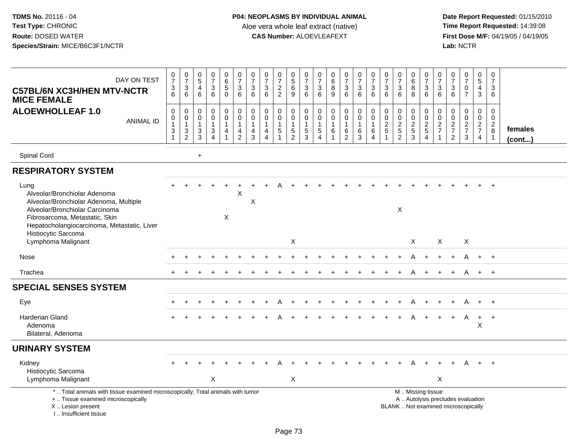| DAY ON TEST<br><b>C57BL/6N XC3H/HEN MTV-NCTR</b><br><b>MICE FEMALE</b>                                                                                                                                                   | $\frac{0}{7}$<br>3<br>$\overline{6}$        | $\frac{0}{7}$<br>$\frac{3}{6}$                            | $\begin{array}{c} 0 \\ 5 \end{array}$<br>$\overline{4}$<br>$6\phantom{a}$ | $\frac{0}{7}$<br>$\sqrt{3}$<br>$\overline{6}$           | $\begin{array}{c} 0 \\ 6 \end{array}$<br>$\sqrt{5}$<br>$\overline{0}$                  | $\begin{array}{c} 0 \\ 7 \end{array}$<br>$\sqrt{3}$<br>6      | $\frac{0}{7}$<br>3<br>6                                                    | $\frac{0}{7}$<br>$\mathbf{3}$<br>6                          | $\frac{0}{7}$<br>$\frac{2}{2}$                          | $\begin{array}{c} 0 \\ 5 \\ 6 \end{array}$<br>$\overline{9}$ | $\frac{0}{7}$<br>$^3$ 6                                   | $\frac{0}{7}$<br>$\sqrt{3}$<br>$\overline{6}$               | $\begin{array}{c} 0 \\ 6 \end{array}$<br>8<br>9                       | $\begin{array}{c} 0 \\ 7 \end{array}$<br>$\begin{array}{c} 3 \\ 6 \end{array}$ | $\frac{0}{7}$<br>$\sqrt{3}$<br>$6\phantom{a}$    | $\frac{0}{7}$<br>3<br>6                                    | $\begin{array}{c} 0 \\ 7 \end{array}$<br>$\mathbf{3}$<br>$6\phantom{1}$ | $\frac{0}{7}$<br>$\sqrt{3}$<br>$\overline{6}$ | $\begin{array}{c} 0 \\ 6 \end{array}$<br>$\bf8$<br>$\overline{8}$ | $\frac{0}{7}$<br>$\frac{3}{6}$                 | 0<br>$\overline{7}$<br>3<br>6                             | $\frac{0}{7}$<br>3<br>6                                                  | $\frac{0}{7}$<br>$\mathsf 0$<br>$\overline{7}$ | $\begin{array}{c} 0 \\ 5 \end{array}$<br>$\overline{4}$<br>$\mathfrak{S}$ | $\begin{array}{c} 0 \\ 7 \end{array}$<br>$\mathbf{3}$<br>6      |                         |
|--------------------------------------------------------------------------------------------------------------------------------------------------------------------------------------------------------------------------|---------------------------------------------|-----------------------------------------------------------|---------------------------------------------------------------------------|---------------------------------------------------------|----------------------------------------------------------------------------------------|---------------------------------------------------------------|----------------------------------------------------------------------------|-------------------------------------------------------------|---------------------------------------------------------|--------------------------------------------------------------|-----------------------------------------------------------|-------------------------------------------------------------|-----------------------------------------------------------------------|--------------------------------------------------------------------------------|--------------------------------------------------|------------------------------------------------------------|-------------------------------------------------------------------------|-----------------------------------------------|-------------------------------------------------------------------|------------------------------------------------|-----------------------------------------------------------|--------------------------------------------------------------------------|------------------------------------------------|---------------------------------------------------------------------------|-----------------------------------------------------------------|-------------------------|
| <b>ALOEWHOLLEAF 1.0</b><br><b>ANIMAL ID</b>                                                                                                                                                                              | $\boldsymbol{0}$<br>0<br>1<br>$\frac{3}{1}$ | $\mathsf{O}\xspace$<br>0<br>$\mathbf{1}$<br>$\frac{3}{2}$ | $\mathsf{O}\xspace$<br>$\mathbf 0$<br>$\mathbf{1}$<br>$\frac{3}{3}$       | $\pmb{0}$<br>$\pmb{0}$<br>$\mathbf{1}$<br>$\frac{3}{4}$ | $\mathbf 0$<br>$\mathsf{O}\xspace$<br>$\mathbf{1}$<br>$\overline{4}$<br>$\overline{1}$ | $\pmb{0}$<br>$\pmb{0}$<br>$\mathbf{1}$<br>4<br>$\overline{2}$ | $\pmb{0}$<br>$\mathbf 0$<br>$\mathbf{1}$<br>$\overline{4}$<br>$\mathbf{3}$ | $\mathbf 0$<br>$\mathbf 0$<br>$\mathbf{1}$<br>$\frac{4}{4}$ | 0<br>$\mathbf 0$<br>$\mathbf{1}$<br>5<br>$\overline{1}$ | $\mathbf 0$<br>$\mathbf 0$<br>$\mathbf{1}$<br>$\frac{5}{2}$  | $\pmb{0}$<br>$\mathbf 0$<br>$\mathbf{1}$<br>$\frac{5}{3}$ | $\mathbf 0$<br>$\mathbf 0$<br>$\mathbf{1}$<br>$\frac{5}{4}$ | $\mathbf 0$<br>$\mathbf 0$<br>$\mathbf{1}$<br>$\,6$<br>$\overline{1}$ | $\pmb{0}$<br>$\mathsf{O}\xspace$<br>$\mathbf{1}$<br>$\frac{6}{2}$              | $\pmb{0}$<br>$\pmb{0}$<br>$\mathbf{1}$<br>6<br>3 | $\mathsf{O}\xspace$<br>$\pmb{0}$<br>$\mathbf{1}$<br>6<br>4 | $\mathbf 0$<br>$\mathbf 0$<br>$\frac{2}{5}$<br>$\overline{1}$           | 0<br>$\pmb{0}$<br>$\frac{2}{5}$               | 0<br>$\mathsf{O}\xspace$<br>$\frac{2}{3}$                         | $\mathbf 0$<br>$\frac{0}{2}$<br>$\overline{4}$ | $\mathbf 0$<br>$\pmb{0}$<br>$\frac{2}{7}$<br>$\mathbf{1}$ | 0<br>$\mathsf 0$<br>$\frac{2}{7}$<br>$\overline{2}$                      | 0<br>$\boldsymbol{0}$<br>$\frac{2}{7}$<br>3    | $\mathbf 0$<br>$\mathbf 0$<br>$\frac{2}{7}$<br>$\overline{4}$             | 0<br>$\mathbf 0$<br>$\overline{2}$<br>$\bf 8$<br>$\overline{1}$ | females<br>$($ cont $)$ |
| Spinal Cord                                                                                                                                                                                                              |                                             |                                                           | $+$                                                                       |                                                         |                                                                                        |                                                               |                                                                            |                                                             |                                                         |                                                              |                                                           |                                                             |                                                                       |                                                                                |                                                  |                                                            |                                                                         |                                               |                                                                   |                                                |                                                           |                                                                          |                                                |                                                                           |                                                                 |                         |
| <b>RESPIRATORY SYSTEM</b>                                                                                                                                                                                                |                                             |                                                           |                                                                           |                                                         |                                                                                        |                                                               |                                                                            |                                                             |                                                         |                                                              |                                                           |                                                             |                                                                       |                                                                                |                                                  |                                                            |                                                                         |                                               |                                                                   |                                                |                                                           |                                                                          |                                                |                                                                           |                                                                 |                         |
| Lung<br>Alveolar/Bronchiolar Adenoma<br>Alveolar/Bronchiolar Adenoma, Multiple<br>Alveolar/Bronchiolar Carcinoma<br>Fibrosarcoma, Metastatic, Skin<br>Hepatocholangiocarcinoma, Metastatic, Liver<br>Histiocytic Sarcoma |                                             |                                                           |                                                                           |                                                         | X                                                                                      | $\times$                                                      | $\times$                                                                   |                                                             |                                                         |                                                              |                                                           |                                                             |                                                                       |                                                                                |                                                  |                                                            |                                                                         | X                                             |                                                                   |                                                |                                                           |                                                                          |                                                |                                                                           |                                                                 |                         |
| Lymphoma Malignant                                                                                                                                                                                                       |                                             |                                                           |                                                                           |                                                         |                                                                                        |                                                               |                                                                            |                                                             |                                                         | X                                                            |                                                           |                                                             |                                                                       |                                                                                |                                                  |                                                            |                                                                         |                                               | X                                                                 |                                                | X                                                         |                                                                          | X                                              |                                                                           |                                                                 |                         |
| Nose                                                                                                                                                                                                                     |                                             |                                                           |                                                                           |                                                         |                                                                                        |                                                               |                                                                            |                                                             |                                                         |                                                              |                                                           |                                                             |                                                                       |                                                                                |                                                  |                                                            |                                                                         |                                               |                                                                   |                                                |                                                           |                                                                          | Α                                              | $+$                                                                       | $+$                                                             |                         |
| Trachea                                                                                                                                                                                                                  |                                             |                                                           |                                                                           |                                                         |                                                                                        |                                                               |                                                                            |                                                             |                                                         |                                                              |                                                           |                                                             |                                                                       |                                                                                |                                                  |                                                            |                                                                         |                                               | А                                                                 |                                                |                                                           | $\div$                                                                   | A                                              | $+$                                                                       | $+$                                                             |                         |
| <b>SPECIAL SENSES SYSTEM</b>                                                                                                                                                                                             |                                             |                                                           |                                                                           |                                                         |                                                                                        |                                                               |                                                                            |                                                             |                                                         |                                                              |                                                           |                                                             |                                                                       |                                                                                |                                                  |                                                            |                                                                         |                                               |                                                                   |                                                |                                                           |                                                                          |                                                |                                                                           |                                                                 |                         |
| Eye                                                                                                                                                                                                                      |                                             |                                                           |                                                                           |                                                         |                                                                                        |                                                               |                                                                            |                                                             |                                                         |                                                              |                                                           |                                                             |                                                                       |                                                                                |                                                  |                                                            |                                                                         |                                               |                                                                   |                                                |                                                           |                                                                          | Α                                              | $+$                                                                       | $+$                                                             |                         |
| Harderian Gland<br>Adenoma<br>Bilateral, Adenoma                                                                                                                                                                         |                                             |                                                           |                                                                           |                                                         |                                                                                        |                                                               |                                                                            |                                                             |                                                         |                                                              |                                                           |                                                             |                                                                       |                                                                                |                                                  |                                                            |                                                                         |                                               |                                                                   |                                                |                                                           |                                                                          | A                                              | $+$<br>X                                                                  | $+$                                                             |                         |
| <b>URINARY SYSTEM</b>                                                                                                                                                                                                    |                                             |                                                           |                                                                           |                                                         |                                                                                        |                                                               |                                                                            |                                                             |                                                         |                                                              |                                                           |                                                             |                                                                       |                                                                                |                                                  |                                                            |                                                                         |                                               |                                                                   |                                                |                                                           |                                                                          |                                                |                                                                           |                                                                 |                         |
| Kidney<br>Histiocytic Sarcoma<br>Lymphoma Malignant                                                                                                                                                                      |                                             |                                                           |                                                                           | X                                                       |                                                                                        |                                                               |                                                                            |                                                             |                                                         | X                                                            |                                                           |                                                             |                                                                       |                                                                                |                                                  |                                                            |                                                                         |                                               |                                                                   |                                                | $\boldsymbol{\mathsf{X}}$                                 |                                                                          |                                                |                                                                           | $+$                                                             |                         |
| *  Total animals with tissue examined microscopically; Total animals with tumor<br>+  Tissue examined microscopically<br>X  Lesion present<br>I Insufficient tissue                                                      |                                             |                                                           |                                                                           |                                                         |                                                                                        |                                                               |                                                                            |                                                             |                                                         |                                                              |                                                           |                                                             |                                                                       |                                                                                |                                                  |                                                            |                                                                         |                                               |                                                                   | M  Missing tissue                              |                                                           | A  Autolysis precludes evaluation<br>BLANK  Not examined microscopically |                                                |                                                                           |                                                                 |                         |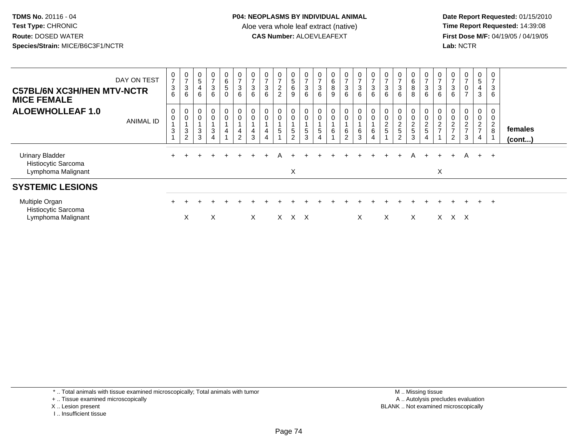**Date Report Requested:** 01/15/2010 **First Dose M/F:** 04/19/05 / 04/19/05<br>Lab: NCTR **Lab:** NCTR

| <b>C57BL/6N XC3H/HEN MTV-NCTR</b><br><b>MICE FEMALE</b>             | DAY ON TEST | $\mathbf 0$<br>$\overline{7}$<br>$\frac{3}{6}$ | $\frac{0}{7}$<br>$\mathbf{3}$<br>6                                   | $\begin{array}{c} 0 \\ 5 \end{array}$<br>$\overline{4}$<br>6 | 0<br>$\overline{ }$<br>$\frac{1}{3}$<br>$6\phantom{a}$                    | $\begin{array}{c} 0 \\ 6 \\ 5 \end{array}$<br>$\pmb{0}$ | $\frac{0}{7}$<br>6                                                                               | $\mathbf 0$<br>$\overline{ }$<br>3<br>6 | $\frac{0}{7}$<br>$\sqrt{3}$<br>$6\phantom{.}6$ | 0<br>$\overline{ }$<br>$\overline{c}$<br>$\overline{2}$ | $\frac{0}{5}$<br>6<br>9                     | 0<br>$\overline{ }$<br>$\sqrt{3}$<br>$\,6\,$ | $\frac{0}{7}$<br>$\ensuremath{\mathsf{3}}$<br>6                 | $\begin{matrix} 0 \\ 6 \end{matrix}$<br>$\, 8$<br>9 | 0<br>$\overline{ }$<br>$\mathbf{3}$<br>6 | $\frac{0}{7}$<br>$\mathbf{3}$<br>6  | $\frac{0}{7}$<br>$\mathbf 3$<br>6                                  | $\overline{ }$<br>$\ensuremath{\mathsf{3}}$<br>6 | $\frac{0}{7}$<br>$\sqrt{3}$<br>$6\phantom{1}$ | 0<br>6<br>8<br>8             | 0<br>$\overline{7}$<br>$\sqrt{3}$<br>$\,6\,$                                              | $\mathbf{0}$<br>$\overline{ }$<br>3<br>6         | $\frac{0}{7}$<br>$\ensuremath{\mathsf{3}}$<br>$6\phantom{1}$     | 0<br>$\overline{ }$<br>$\mathsf 0$<br>$\overline{ }$ | 0<br>$\overline{5}$<br>4<br>$\mathbf{3}$        | 0<br>$\overline{z}$<br>$\sqrt{3}$<br>6 |                   |
|---------------------------------------------------------------------|-------------|------------------------------------------------|----------------------------------------------------------------------|--------------------------------------------------------------|---------------------------------------------------------------------------|---------------------------------------------------------|--------------------------------------------------------------------------------------------------|-----------------------------------------|------------------------------------------------|---------------------------------------------------------|---------------------------------------------|----------------------------------------------|-----------------------------------------------------------------|-----------------------------------------------------|------------------------------------------|-------------------------------------|--------------------------------------------------------------------|--------------------------------------------------|-----------------------------------------------|------------------------------|-------------------------------------------------------------------------------------------|--------------------------------------------------|------------------------------------------------------------------|------------------------------------------------------|-------------------------------------------------|----------------------------------------|-------------------|
| <b>ALOEWHOLLEAF 1.0</b>                                             | ANIMAL ID   | 0<br>$\mathsf 0$<br>$\mathbf 3$                | 0<br>$\boldsymbol{0}$<br>$\ensuremath{\mathsf{3}}$<br>$\overline{2}$ | 3<br>3                                                       | $\mathbf 0$<br>$\mathsf 0$<br>$\ensuremath{\mathsf{3}}$<br>$\overline{4}$ | $\begin{smallmatrix} 0\\0 \end{smallmatrix}$<br>4       | $\begin{smallmatrix} 0\\0 \end{smallmatrix}$<br>$\mathbf{1}$<br>$\overline{4}$<br>$\overline{2}$ | 0<br>$\mathbf 0$<br>4<br>3              | 4                                              | $\overline{0}$<br>$\mathsf{O}\xspace$<br>$\overline{5}$ | 0<br>0<br>$5\overline{)}$<br>$\overline{2}$ | 0<br>$\pmb{0}$<br>$\,$ 5 $\,$<br>$\sqrt{3}$  | $\begin{smallmatrix}0\0\0\end{smallmatrix}$<br>$\,$ 5 $\,$<br>4 | $_{\rm 0}^{\rm 0}$<br>$\,6\,$                       | 0<br>$\pmb{0}$<br>$\frac{6}{2}$          | $_{\rm 0}^{\rm 0}$<br>$\frac{6}{3}$ | $\begin{smallmatrix}0\0\0\end{smallmatrix}$<br>6<br>$\overline{4}$ | $\overline{c}$<br>$\overline{5}$                 | 0<br>$\pmb{0}$<br>$\frac{2}{5}$               | 0<br>0<br>$\frac{2}{5}$<br>3 | $\begin{smallmatrix}0\0\0\end{smallmatrix}$<br>$\sqrt{2}$<br>$\sqrt{5}$<br>$\overline{4}$ | $\mathbf 0$<br>$\boldsymbol{2}$<br>$\rightarrow$ | $\mathbf 0$<br>$\overline{c}$<br>$\rightarrow$<br>$\overline{c}$ | 0<br>$\overline{c}$<br>$\rightarrow$<br>$\mathbf{3}$ | 0<br>0<br>$\overline{c}$<br>$\overline{ }$<br>4 | 0<br>0<br>$\overline{2}$<br>8          | females<br>(cont) |
| <b>Urinary Bladder</b><br>Histiocytic Sarcoma<br>Lymphoma Malignant |             |                                                |                                                                      |                                                              |                                                                           | $\div$                                                  |                                                                                                  |                                         |                                                |                                                         | X                                           |                                              |                                                                 |                                                     |                                          | $+$                                 | $+$                                                                | $+$                                              |                                               | A                            | $+$                                                                                       | $\ddot{}$<br>X                                   | $+$                                                              | A                                                    | $+$ $+$                                         |                                        |                   |
| <b>SYSTEMIC LESIONS</b>                                             |             |                                                |                                                                      |                                                              |                                                                           |                                                         |                                                                                                  |                                         |                                                |                                                         |                                             |                                              |                                                                 |                                                     |                                          |                                     |                                                                    |                                                  |                                               |                              |                                                                                           |                                                  |                                                                  |                                                      |                                                 |                                        |                   |
| Multiple Organ<br>Histiocytic Sarcoma<br>Lymphoma Malignant         |             |                                                | X                                                                    |                                                              | X                                                                         |                                                         |                                                                                                  | $\times$                                |                                                | X.                                                      |                                             | X X                                          |                                                                 |                                                     |                                          | X                                   |                                                                    | X                                                |                                               | X                            |                                                                                           | X.                                               | x x                                                              |                                                      | $+$                                             | $+$                                    |                   |

\* .. Total animals with tissue examined microscopically; Total animals with tumor

- + .. Tissue examined microscopically
- X .. Lesion present
- I .. Insufficient tissue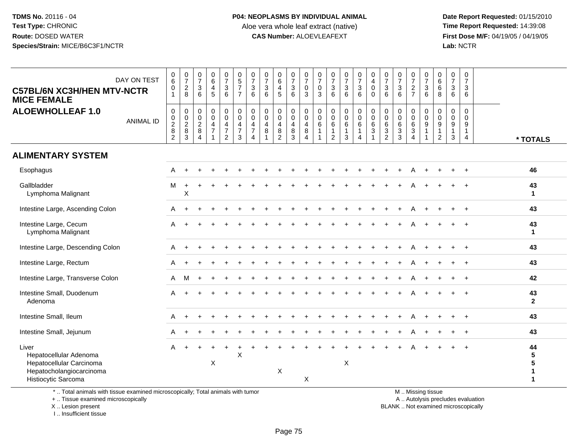**Date Report Requested:** 01/15/2010 **First Dose M/F:** 04/19/05 / 04/19/05<br>Lab: NCTR **Lab:** NCTR

| DAY ON TEST<br>C57BL/6N XC3H/HEN MTV-NCTR<br><b>MICE FEMALE</b>                                                | $_{6}^{\rm 0}$<br>$\pmb{0}$<br>$\blacktriangleleft$                 | $\begin{smallmatrix} 0\\7 \end{smallmatrix}$<br>$_{\rm 8}^2$ | $\pmb{0}$<br>$\overline{7}$<br>$\sqrt{3}$<br>6                      | $\begin{array}{c} 0 \\ 6 \end{array}$<br>4<br>5                      | $\begin{array}{c} 0 \\ 7 \end{array}$<br>3<br>6                          | $\begin{array}{c} 0 \\ 5 \end{array}$<br>$\boldsymbol{7}$<br>$\overline{7}$  | $\begin{array}{c} 0 \\ 7 \end{array}$<br>3<br>6                                          | $\pmb{0}$<br>$\overline{7}$<br>$\mathbf{3}$<br>6 | $\pmb{0}$<br>$6\phantom{1}6$<br>$\overline{4}$<br>5                      | $\frac{0}{7}$<br>$\mathsf 3$<br>6 | $\pmb{0}$<br>$\overline{7}$<br>$\mathbf 0$<br>3        | $\frac{0}{7}$<br>0<br>3                   | $\begin{array}{c} 0 \\ 7 \end{array}$<br>$\mathsf 3$<br>$6\phantom{1}6$ | $\begin{smallmatrix}0\\7\end{smallmatrix}$<br>$\ensuremath{\mathsf{3}}$<br>$6\phantom{1}$ | $\begin{smallmatrix}0\\7\end{smallmatrix}$<br>3<br>6 | $\pmb{0}$<br>$\overline{4}$<br>$\mathbf 0$<br>$\Omega$           | $\begin{array}{c} 0 \\ 7 \end{array}$<br>$\mathbf{3}$<br>6 | $\mathbf 0$<br>$\overline{7}$<br>$\sqrt{3}$<br>6 | $\begin{array}{c} 0 \\ 7 \end{array}$<br>$\frac{2}{7}$                          | $\boldsymbol{0}$<br>$\overline{7}$<br>$\mathsf 3$<br>$6\phantom{1}6$ | 0<br>$\,6\,$<br>6<br>8                               | 0<br>$\overline{7}$<br>3<br>6             | $\pmb{0}$<br>$\overline{7}$<br>$\ensuremath{\mathsf{3}}$<br>6 |                    |
|----------------------------------------------------------------------------------------------------------------|---------------------------------------------------------------------|--------------------------------------------------------------|---------------------------------------------------------------------|----------------------------------------------------------------------|--------------------------------------------------------------------------|------------------------------------------------------------------------------|------------------------------------------------------------------------------------------|--------------------------------------------------|--------------------------------------------------------------------------|-----------------------------------|--------------------------------------------------------|-------------------------------------------|-------------------------------------------------------------------------|-------------------------------------------------------------------------------------------|------------------------------------------------------|------------------------------------------------------------------|------------------------------------------------------------|--------------------------------------------------|---------------------------------------------------------------------------------|----------------------------------------------------------------------|------------------------------------------------------|-------------------------------------------|---------------------------------------------------------------|--------------------|
| <b>ALOEWHOLLEAF 1.0</b><br><b>ANIMAL ID</b>                                                                    | $\pmb{0}$<br>$\begin{smallmatrix} 0\\2 \end{smallmatrix}$<br>8<br>2 | $\pmb{0}$<br>$\frac{0}{2}$<br>$\bf8$<br>3                    | $\mathbf 0$<br>$\mathbf 0$<br>$\overline{c}$<br>8<br>$\overline{4}$ | $\mathbf 0$<br>$\mathbf 0$<br>$\overline{4}$<br>$\overline{7}$<br>-1 | 0<br>$\mathbf 0$<br>$\overline{4}$<br>$\boldsymbol{7}$<br>$\overline{2}$ | $\pmb{0}$<br>$\mathbf 0$<br>$\overline{\mathbf{4}}$<br>$\boldsymbol{7}$<br>3 | $\mathbf 0$<br>$\mathbf 0$<br>$\overline{4}$<br>$\overline{7}$<br>$\boldsymbol{\Lambda}$ | $\mathbf 0$<br>$\mathbf 0$<br>4<br>8             | $\mathbf 0$<br>$\mathbf 0$<br>$\overline{4}$<br>$\, 8$<br>$\overline{2}$ | 0<br>0<br>4<br>8<br>3             | $\mathbf 0$<br>$\mathbf 0$<br>4<br>8<br>$\overline{4}$ | 0<br>$\mathbf 0$<br>$\,6$<br>$\mathbf{1}$ | 0<br>0<br>$\,6$<br>$\mathbf{1}$<br>$\overline{2}$                       | 0<br>$\mathsf{O}\xspace$<br>$\,6\,$<br>1<br>3                                             | 0<br>0<br>6<br>$\mathbf{1}$<br>4                     | $\pmb{0}$<br>$\overline{0}$<br>6<br>$\sqrt{3}$<br>$\overline{1}$ | 0<br>$\mathbf 0$<br>6<br>3<br>$\overline{2}$               | $\mathbf 0$<br>$\mathbf 0$<br>6<br>3<br>3        | $\mathbf 0$<br>$\mathbf 0$<br>$\,6\,$<br>$\mathbf{3}$<br>$\boldsymbol{\Lambda}$ | $\mathbf 0$<br>$\mathbf 0$<br>9<br>$\overline{1}$                    | $\mathbf 0$<br>$\mathbf 0$<br>9<br>$\mathbf{1}$<br>2 | $\mathbf 0$<br>$\mathbf 0$<br>9<br>1<br>3 | $\mathbf 0$<br>$\Omega$<br>9<br>1<br>4                        | * TOTALS           |
| <b>ALIMENTARY SYSTEM</b>                                                                                       |                                                                     |                                                              |                                                                     |                                                                      |                                                                          |                                                                              |                                                                                          |                                                  |                                                                          |                                   |                                                        |                                           |                                                                         |                                                                                           |                                                      |                                                                  |                                                            |                                                  |                                                                                 |                                                                      |                                                      |                                           |                                                               |                    |
| Esophagus                                                                                                      | A                                                                   | $\ddot{}$                                                    |                                                                     |                                                                      |                                                                          |                                                                              |                                                                                          |                                                  |                                                                          |                                   |                                                        |                                           |                                                                         |                                                                                           |                                                      |                                                                  |                                                            |                                                  | A                                                                               |                                                                      |                                                      |                                           |                                                               | 46                 |
| Gallbladder<br>Lymphoma Malignant                                                                              | M                                                                   | $\ddot{}$<br>X                                               |                                                                     |                                                                      |                                                                          |                                                                              |                                                                                          |                                                  |                                                                          |                                   |                                                        |                                           |                                                                         |                                                                                           |                                                      |                                                                  |                                                            |                                                  |                                                                                 |                                                                      |                                                      |                                           |                                                               | 43<br>$\mathbf 1$  |
| Intestine Large, Ascending Colon                                                                               | A                                                                   | $\ddot{}$                                                    |                                                                     |                                                                      |                                                                          |                                                                              |                                                                                          |                                                  |                                                                          |                                   |                                                        |                                           |                                                                         |                                                                                           |                                                      |                                                                  |                                                            |                                                  |                                                                                 |                                                                      |                                                      |                                           |                                                               | 43                 |
| Intestine Large, Cecum<br>Lymphoma Malignant                                                                   | Α                                                                   |                                                              |                                                                     |                                                                      |                                                                          |                                                                              |                                                                                          |                                                  |                                                                          |                                   |                                                        |                                           |                                                                         |                                                                                           |                                                      |                                                                  |                                                            |                                                  |                                                                                 |                                                                      |                                                      |                                           |                                                               | 43<br>$\mathbf{1}$ |
| Intestine Large, Descending Colon                                                                              | A                                                                   | $\div$                                                       |                                                                     |                                                                      |                                                                          |                                                                              |                                                                                          |                                                  |                                                                          |                                   |                                                        |                                           |                                                                         |                                                                                           |                                                      |                                                                  |                                                            |                                                  | A                                                                               |                                                                      |                                                      |                                           |                                                               | 43                 |
| Intestine Large, Rectum                                                                                        | A                                                                   |                                                              |                                                                     |                                                                      |                                                                          |                                                                              |                                                                                          |                                                  |                                                                          |                                   |                                                        |                                           |                                                                         |                                                                                           |                                                      |                                                                  |                                                            |                                                  |                                                                                 |                                                                      |                                                      |                                           |                                                               | 43                 |
| Intestine Large, Transverse Colon                                                                              | A                                                                   | M                                                            | $\ddot{}$                                                           |                                                                      |                                                                          |                                                                              |                                                                                          |                                                  |                                                                          |                                   |                                                        |                                           |                                                                         |                                                                                           |                                                      |                                                                  |                                                            |                                                  | A                                                                               |                                                                      |                                                      |                                           | $\ddot{}$                                                     | 42                 |
| Intestine Small, Duodenum<br>Adenoma                                                                           | А                                                                   |                                                              |                                                                     |                                                                      |                                                                          |                                                                              |                                                                                          |                                                  |                                                                          |                                   |                                                        |                                           |                                                                         |                                                                                           |                                                      |                                                                  |                                                            |                                                  |                                                                                 |                                                                      |                                                      |                                           |                                                               | 43<br>$\mathbf{2}$ |
| Intestine Small, Ileum                                                                                         | A                                                                   | $\ddot{}$                                                    |                                                                     |                                                                      |                                                                          |                                                                              |                                                                                          |                                                  |                                                                          |                                   |                                                        |                                           |                                                                         |                                                                                           |                                                      |                                                                  |                                                            |                                                  | A                                                                               |                                                                      |                                                      |                                           |                                                               | 43                 |
| Intestine Small, Jejunum                                                                                       | Α                                                                   |                                                              |                                                                     |                                                                      |                                                                          |                                                                              |                                                                                          |                                                  |                                                                          |                                   |                                                        |                                           |                                                                         |                                                                                           |                                                      |                                                                  |                                                            |                                                  |                                                                                 |                                                                      |                                                      |                                           |                                                               | 43                 |
| Liver<br>Hepatocellular Adenoma<br>Hepatocellular Carcinoma<br>Hepatocholangiocarcinoma<br>Histiocytic Sarcoma | A                                                                   | $\ddot{}$                                                    |                                                                     | X                                                                    |                                                                          | X                                                                            |                                                                                          |                                                  | $\boldsymbol{\mathsf{X}}$                                                |                                   | X                                                      |                                           |                                                                         | X                                                                                         |                                                      |                                                                  |                                                            |                                                  |                                                                                 |                                                                      |                                                      |                                           |                                                               | 44<br>5<br>5<br>1  |

\* .. Total animals with tissue examined microscopically; Total animals with tumor

+ .. Tissue examined microscopically

X .. Lesion present

I .. Insufficient tissue

M .. Missing tissue

y the contract of the contract of the contract of the contract of the contract of the contract of the contract of  $A$ . Autolysis precludes evaluation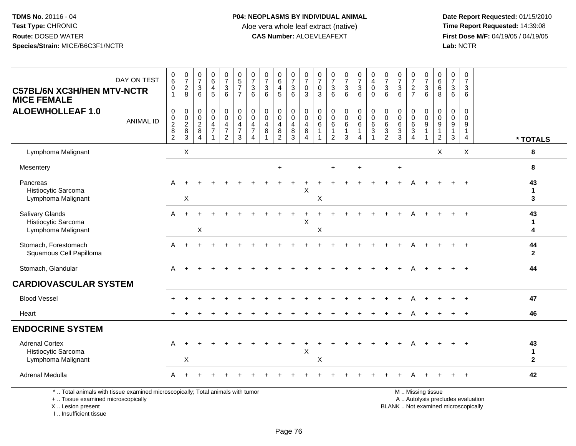**Date Report Requested:** 01/15/2010 **First Dose M/F:** 04/19/05 / 04/19/05<br>Lab: NCTR **Lab:** NCTR

| DAY ON TEST<br><b>C57BL/6N XC3H/HEN MTV-NCTR</b><br><b>MICE FEMALE</b>                                                | $\pmb{0}$<br>$\,6\,$<br>0<br>$\mathbf{1}$                 | $\frac{0}{7}$<br>8                                           | $\frac{0}{7}$<br>$\mathbf{3}$<br>6 | $\pmb{0}$<br>$\,6\,$<br>4<br>5                       | $\frac{0}{7}$<br>$\frac{3}{6}$                                                      | $\begin{array}{c} 0 \\ 5 \end{array}$<br>$\overline{7}$<br>$\overline{7}$ | $\begin{array}{c} 0 \\ 7 \end{array}$<br>$\frac{3}{6}$                           | $\frac{0}{7}$<br>$\mathbf{3}$<br>6                            | $\pmb{0}$<br>$\,6\,$<br>4<br>5                              | $\frac{0}{7}$<br>$\sqrt{3}$<br>$\overline{6}$ | 0<br>$\overline{7}$<br>$\mathbf 0$<br>$\overline{3}$               | $\begin{array}{c} 0 \\ 7 \end{array}$<br>$\pmb{0}$<br>3 | $\pmb{0}$<br>$\overline{7}$<br>$\mathbf{3}$<br>6           | $\frac{0}{7}$<br>$\mathbf 3$<br>6                          | $\begin{array}{c} 0 \\ 7 \end{array}$<br>$\frac{3}{6}$                                 | $_4^{\rm 0}$<br>$\mathsf{O}$<br>$\Omega$               | $\frac{0}{7}$<br>$\frac{3}{6}$                             | $\frac{0}{7}$<br>$\frac{3}{6}$                             | $\begin{array}{c} 0 \\ 7 \end{array}$<br>$\frac{2}{7}$                     | $\pmb{0}$<br>$\overline{7}$<br>$\frac{3}{6}$           | 0<br>$\,6\,$<br>6<br>8                                 | $\mathbf 0$<br>$\overline{7}$<br>3<br>6                  | $\pmb{0}$<br>$\overline{7}$<br>$\mathbf{3}$<br>6    |                                   |                                   |
|-----------------------------------------------------------------------------------------------------------------------|-----------------------------------------------------------|--------------------------------------------------------------|------------------------------------|------------------------------------------------------|-------------------------------------------------------------------------------------|---------------------------------------------------------------------------|----------------------------------------------------------------------------------|---------------------------------------------------------------|-------------------------------------------------------------|-----------------------------------------------|--------------------------------------------------------------------|---------------------------------------------------------|------------------------------------------------------------|------------------------------------------------------------|----------------------------------------------------------------------------------------|--------------------------------------------------------|------------------------------------------------------------|------------------------------------------------------------|----------------------------------------------------------------------------|--------------------------------------------------------|--------------------------------------------------------|----------------------------------------------------------|-----------------------------------------------------|-----------------------------------|-----------------------------------|
| <b>ALOEWHOLLEAF 1.0</b><br><b>ANIMAL ID</b>                                                                           | $\pmb{0}$<br>$\pmb{0}$<br>$\overline{2}$<br>$\frac{8}{2}$ | $\pmb{0}$<br>$\begin{array}{c} 0 \\ 2 \\ 8 \\ 3 \end{array}$ | 0<br>0<br>$\sqrt{2}$<br>8<br>4     | 0<br>$\mathbf 0$<br>$\overline{4}$<br>$\overline{7}$ | $\boldsymbol{0}$<br>$\pmb{0}$<br>$\overline{4}$<br>$\overline{7}$<br>$\overline{2}$ | $\mathbf 0$<br>$\mathbf 0$<br>$\overline{4}$<br>$\overline{7}$<br>3       | $_{\rm 0}^{\rm 0}$<br>$\overline{4}$<br>$\overline{7}$<br>$\boldsymbol{\Lambda}$ | $\pmb{0}$<br>$\mathbf 0$<br>$\overline{\mathbf{4}}$<br>8<br>1 | $\boldsymbol{0}$<br>$\mathbf 0$<br>$\overline{4}$<br>8<br>2 | 0<br>$\mathbf 0$<br>$\overline{4}$<br>8<br>3  | 0<br>$\mathbf 0$<br>$\overline{4}$<br>8<br>$\overline{\mathbf{4}}$ | $\pmb{0}$<br>$\mathbf 0$<br>$\,6\,$                     | $\mathbf 0$<br>$\mathbf 0$<br>$\,6\,$<br>$\mathbf{1}$<br>2 | $\mathbf 0$<br>$\mathbf 0$<br>$\,6\,$<br>$\mathbf{1}$<br>3 | $\pmb{0}$<br>$\mathsf{O}\xspace$<br>$\,6\,$<br>$\mathbf{1}$<br>$\overline{\mathbf{4}}$ | $\pmb{0}$<br>$\mathsf 0$<br>$\,6$<br>$\mathbf{3}$<br>1 | $\mathbf 0$<br>$\pmb{0}$<br>$\,6\,$<br>3<br>$\overline{2}$ | $\mathbf 0$<br>$\mathbf 0$<br>$\,6\,$<br>$\mathbf{3}$<br>3 | $\pmb{0}$<br>$\mathbf 0$<br>$\,6$<br>$\mathsf 3$<br>$\boldsymbol{\Lambda}$ | 0<br>$\mathbf 0$<br>$\boldsymbol{9}$<br>$\overline{1}$ | 0<br>$\Omega$<br>$\boldsymbol{9}$<br>$\mathbf{1}$<br>2 | $\mathbf 0$<br>$\mathbf 0$<br>$9\,$<br>$\mathbf{1}$<br>3 | $\mathbf 0$<br>$\Omega$<br>9<br>1<br>$\overline{4}$ |                                   | * TOTALS                          |
| Lymphoma Malignant                                                                                                    |                                                           | $\boldsymbol{\mathsf{X}}$                                    |                                    |                                                      |                                                                                     |                                                                           |                                                                                  |                                                               |                                                             |                                               |                                                                    |                                                         |                                                            |                                                            |                                                                                        |                                                        |                                                            |                                                            |                                                                            |                                                        | $\times$                                               |                                                          | $\boldsymbol{\mathsf{X}}$                           |                                   | 8                                 |
| Mesentery                                                                                                             |                                                           |                                                              |                                    |                                                      |                                                                                     |                                                                           |                                                                                  |                                                               | $\ddot{}$                                                   |                                               |                                                                    |                                                         | $\ddot{}$                                                  |                                                            | $+$                                                                                    |                                                        |                                                            | $\ddot{}$                                                  |                                                                            |                                                        |                                                        |                                                          |                                                     |                                   | 8                                 |
| Pancreas<br>Histiocytic Sarcoma<br>Lymphoma Malignant                                                                 | A                                                         | $\boldsymbol{\mathsf{X}}$                                    |                                    |                                                      |                                                                                     |                                                                           |                                                                                  |                                                               |                                                             |                                               | Χ                                                                  | X                                                       |                                                            |                                                            |                                                                                        |                                                        |                                                            |                                                            |                                                                            |                                                        |                                                        |                                                          |                                                     |                                   | 43<br>-1<br>3                     |
| Salivary Glands<br>Histiocytic Sarcoma<br>Lymphoma Malignant                                                          | A                                                         |                                                              | X                                  |                                                      |                                                                                     |                                                                           |                                                                                  |                                                               |                                                             |                                               | $\mathsf X$                                                        | Χ                                                       |                                                            |                                                            |                                                                                        |                                                        |                                                            |                                                            |                                                                            |                                                        |                                                        |                                                          |                                                     |                                   | 43<br>$\mathbf 1$<br>4            |
| Stomach, Forestomach<br>Squamous Cell Papilloma                                                                       | A                                                         |                                                              |                                    |                                                      |                                                                                     |                                                                           |                                                                                  |                                                               |                                                             |                                               |                                                                    |                                                         |                                                            |                                                            |                                                                                        |                                                        |                                                            |                                                            |                                                                            |                                                        |                                                        |                                                          |                                                     |                                   | 44<br>$\mathbf{2}$                |
| Stomach, Glandular                                                                                                    | A                                                         |                                                              |                                    |                                                      |                                                                                     |                                                                           |                                                                                  |                                                               |                                                             |                                               |                                                                    |                                                         |                                                            |                                                            |                                                                                        |                                                        |                                                            |                                                            |                                                                            |                                                        |                                                        |                                                          | $\ddot{}$                                           |                                   | 44                                |
| <b>CARDIOVASCULAR SYSTEM</b>                                                                                          |                                                           |                                                              |                                    |                                                      |                                                                                     |                                                                           |                                                                                  |                                                               |                                                             |                                               |                                                                    |                                                         |                                                            |                                                            |                                                                                        |                                                        |                                                            |                                                            |                                                                            |                                                        |                                                        |                                                          |                                                     |                                   |                                   |
| <b>Blood Vessel</b>                                                                                                   |                                                           |                                                              |                                    |                                                      |                                                                                     |                                                                           |                                                                                  |                                                               |                                                             |                                               |                                                                    |                                                         |                                                            |                                                            |                                                                                        |                                                        |                                                            |                                                            |                                                                            |                                                        |                                                        |                                                          |                                                     |                                   | 47                                |
| Heart                                                                                                                 |                                                           |                                                              |                                    |                                                      |                                                                                     |                                                                           |                                                                                  |                                                               |                                                             |                                               |                                                                    |                                                         |                                                            |                                                            |                                                                                        |                                                        |                                                            |                                                            |                                                                            |                                                        |                                                        |                                                          |                                                     |                                   | 46                                |
| <b>ENDOCRINE SYSTEM</b>                                                                                               |                                                           |                                                              |                                    |                                                      |                                                                                     |                                                                           |                                                                                  |                                                               |                                                             |                                               |                                                                    |                                                         |                                                            |                                                            |                                                                                        |                                                        |                                                            |                                                            |                                                                            |                                                        |                                                        |                                                          |                                                     |                                   |                                   |
| <b>Adrenal Cortex</b><br>Histiocytic Sarcoma<br>Lymphoma Malignant                                                    | A                                                         | X                                                            |                                    |                                                      |                                                                                     |                                                                           |                                                                                  |                                                               |                                                             |                                               | ÷<br>X                                                             | X                                                       |                                                            |                                                            |                                                                                        |                                                        |                                                            |                                                            |                                                                            |                                                        |                                                        |                                                          |                                                     |                                   | 43<br>$\mathbf{1}$<br>$\mathbf 2$ |
| Adrenal Medulla                                                                                                       | A                                                         |                                                              |                                    |                                                      |                                                                                     |                                                                           |                                                                                  |                                                               |                                                             |                                               |                                                                    |                                                         |                                                            |                                                            |                                                                                        |                                                        |                                                            |                                                            |                                                                            |                                                        |                                                        |                                                          |                                                     |                                   | 42                                |
| *  Total animals with tissue examined microscopically; Total animals with tumor<br>+  Tissue examined microscopically |                                                           |                                                              |                                    |                                                      |                                                                                     |                                                                           |                                                                                  |                                                               |                                                             |                                               |                                                                    |                                                         |                                                            |                                                            |                                                                                        |                                                        |                                                            |                                                            |                                                                            | M  Missing tissue                                      |                                                        |                                                          |                                                     | A  Autolysis precludes evaluation |                                   |

X .. Lesion present

I .. Insufficient tissue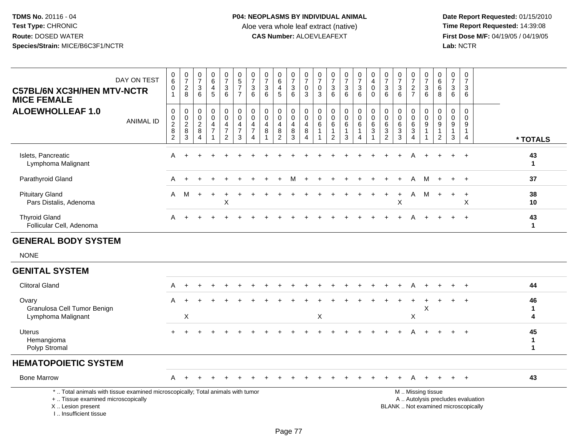| DAY ON TEST<br><b>C57BL/6N XC3H/HEN MTV-NCTR</b><br><b>MICE FEMALE</b>                                                                                              | $\begin{array}{c} 0 \\ 6 \end{array}$<br>$\boldsymbol{0}$<br>$\mathbf{1}$ | $\begin{smallmatrix}0\\7\end{smallmatrix}$<br>$_{\rm 2}^2$ | $\frac{0}{7}$<br>$\mathsf 3$<br>6                                    | $\begin{array}{c} 0 \\ 6 \end{array}$<br>$\overline{4}$<br>5        | $\begin{array}{c} 0 \\ 7 \end{array}$<br>$\frac{3}{6}$                            | $\begin{array}{c} 0 \\ 5 \end{array}$<br>$\boldsymbol{7}$<br>$\overline{7}$ | $\frac{0}{7}$<br>3<br>6                                   | $\frac{0}{7}$<br>$\sqrt{3}$<br>6            | $\begin{array}{c} 0 \\ 6 \end{array}$<br>$\overline{4}$<br>$\overline{5}$ | $\frac{0}{7}$<br>$\ensuremath{\mathsf{3}}$<br>6 | $\frac{0}{7}$<br>$\mathbf 0$<br>$\overline{3}$                            | $\begin{array}{c} 0 \\ 7 \end{array}$<br>$\mathsf{O}\xspace$<br>3 | $\frac{0}{7}$<br>$\mathbf{3}$<br>6                              | $\frac{0}{7}$<br>$\frac{3}{6}$                                   | $\begin{array}{c} 0 \\ 7 \end{array}$<br>$\frac{3}{6}$                            | $\begin{smallmatrix} 0\\4 \end{smallmatrix}$<br>$\mathbf 0$<br>$\Omega$            | $\frac{0}{7}$<br>3<br>6                                         | $\frac{0}{7}$<br>$\frac{3}{6}$                          | $\frac{0}{7}$<br>$\frac{2}{7}$                                                   | $\frac{0}{7}$<br>$\frac{3}{6}$                  | 0<br>6<br>$\,6\,$<br>8                                                                | $\frac{0}{7}$<br>$\mathsf 3$<br>6                   | $\mathbf 0$<br>$\overline{7}$<br>$\mathbf{3}$<br>6 |                                                                          |                         |
|---------------------------------------------------------------------------------------------------------------------------------------------------------------------|---------------------------------------------------------------------------|------------------------------------------------------------|----------------------------------------------------------------------|---------------------------------------------------------------------|-----------------------------------------------------------------------------------|-----------------------------------------------------------------------------|-----------------------------------------------------------|---------------------------------------------|---------------------------------------------------------------------------|-------------------------------------------------|---------------------------------------------------------------------------|-------------------------------------------------------------------|-----------------------------------------------------------------|------------------------------------------------------------------|-----------------------------------------------------------------------------------|------------------------------------------------------------------------------------|-----------------------------------------------------------------|---------------------------------------------------------|----------------------------------------------------------------------------------|-------------------------------------------------|---------------------------------------------------------------------------------------|-----------------------------------------------------|----------------------------------------------------|--------------------------------------------------------------------------|-------------------------|
| <b>ALOEWHOLLEAF 1.0</b><br><b>ANIMAL ID</b>                                                                                                                         | $\pmb{0}$<br>$\frac{0}{2}$<br>$\overline{c}$                              | $\pmb{0}$<br>$\frac{0}{2}$<br>3                            | $\mathsf{O}\xspace$<br>$\pmb{0}$<br>$_{8}^{\rm 2}$<br>$\overline{4}$ | $\mathbf 0$<br>$\mathbf 0$<br>$\overline{4}$<br>$\overline{7}$<br>1 | $\pmb{0}$<br>$\overline{0}$<br>$\overline{4}$<br>$\overline{7}$<br>$\overline{c}$ | $\pmb{0}$<br>$\ddot{\mathbf{0}}$<br>$\overline{4}$<br>$\overline{7}$<br>3   | $\mathbf 0$<br>$\overline{0}$<br>4<br>$\overline{7}$<br>4 | $\pmb{0}$<br>0<br>$\overline{4}$<br>$\bf 8$ | $\pmb{0}$<br>$\ddot{\mathbf{0}}$<br>4<br>$\overline{8}$<br>2              | 0<br>$\mathbf 0$<br>4<br>$\bf 8$<br>3           | $\pmb{0}$<br>$\overline{0}$<br>$\overline{4}$<br>$\, 8$<br>$\overline{4}$ | $\pmb{0}$<br>$\mathbf 0$<br>6<br>$\mathbf{1}$                     | $\pmb{0}$<br>$\mathbf 0$<br>6<br>$\mathbf{1}$<br>$\overline{2}$ | $\pmb{0}$<br>$\ddot{\mathbf{0}}$<br>$\,6\,$<br>$\mathbf{1}$<br>3 | $\mathsf 0$<br>$\ddot{\mathbf{0}}$<br>$\,6\,$<br>$\overline{1}$<br>$\overline{4}$ | $\pmb{0}$<br>$\ddot{\mathbf{0}}$<br>6<br>$\ensuremath{\mathsf{3}}$<br>$\mathbf{1}$ | $\mathbf 0$<br>$\mathbf 0$<br>6<br>$\sqrt{3}$<br>$\overline{2}$ | $\pmb{0}$<br>$\overline{0}$<br>$\,6\,$<br>$\frac{3}{3}$ | $\mathsf{O}\xspace$<br>$\overline{0}$<br>$\frac{6}{3}$<br>$\boldsymbol{\Lambda}$ | $\pmb{0}$<br>$\overline{0}$<br>$\boldsymbol{9}$ | $\mathbf 0$<br>$\overline{0}$<br>$\boldsymbol{9}$<br>$\overline{1}$<br>$\overline{2}$ | $\pmb{0}$<br>$\mathbf{0}$<br>9<br>$\mathbf{1}$<br>3 | $\pmb{0}$<br>$\Omega$<br>9<br>$\mathbf{1}$<br>4    |                                                                          | * TOTALS                |
| Islets, Pancreatic<br>Lymphoma Malignant                                                                                                                            | A                                                                         |                                                            |                                                                      |                                                                     |                                                                                   |                                                                             |                                                           |                                             |                                                                           |                                                 |                                                                           |                                                                   |                                                                 |                                                                  |                                                                                   |                                                                                    |                                                                 |                                                         | А                                                                                |                                                 |                                                                                       | ÷                                                   | $\overline{1}$                                     |                                                                          | 43<br>$\mathbf{1}$      |
| Parathyroid Gland                                                                                                                                                   | A                                                                         |                                                            |                                                                      |                                                                     |                                                                                   |                                                                             |                                                           |                                             |                                                                           |                                                 |                                                                           |                                                                   |                                                                 |                                                                  |                                                                                   |                                                                                    |                                                                 |                                                         | A                                                                                | M                                               |                                                                                       | $\ddot{}$                                           | $\div$                                             |                                                                          | 37                      |
| <b>Pituitary Gland</b><br>Pars Distalis, Adenoma                                                                                                                    | A                                                                         | M                                                          | $\ddot{}$                                                            | $+$                                                                 | $\ddot{}$<br>X                                                                    |                                                                             |                                                           |                                             |                                                                           |                                                 |                                                                           |                                                                   |                                                                 |                                                                  |                                                                                   |                                                                                    | $\ddot{}$                                                       | $\ddot{}$<br>X                                          | Α                                                                                | M                                               | $+$                                                                                   | $+$                                                 | $\ddot{}$<br>X                                     |                                                                          | 38<br>10                |
| <b>Thyroid Gland</b><br>Follicular Cell, Adenoma                                                                                                                    | A                                                                         |                                                            |                                                                      |                                                                     |                                                                                   |                                                                             |                                                           |                                             |                                                                           |                                                 |                                                                           |                                                                   |                                                                 |                                                                  |                                                                                   |                                                                                    |                                                                 |                                                         |                                                                                  |                                                 |                                                                                       |                                                     | $\ddot{}$                                          |                                                                          | 43<br>$\mathbf{1}$      |
| <b>GENERAL BODY SYSTEM</b>                                                                                                                                          |                                                                           |                                                            |                                                                      |                                                                     |                                                                                   |                                                                             |                                                           |                                             |                                                                           |                                                 |                                                                           |                                                                   |                                                                 |                                                                  |                                                                                   |                                                                                    |                                                                 |                                                         |                                                                                  |                                                 |                                                                                       |                                                     |                                                    |                                                                          |                         |
| <b>NONE</b>                                                                                                                                                         |                                                                           |                                                            |                                                                      |                                                                     |                                                                                   |                                                                             |                                                           |                                             |                                                                           |                                                 |                                                                           |                                                                   |                                                                 |                                                                  |                                                                                   |                                                                                    |                                                                 |                                                         |                                                                                  |                                                 |                                                                                       |                                                     |                                                    |                                                                          |                         |
| <b>GENITAL SYSTEM</b>                                                                                                                                               |                                                                           |                                                            |                                                                      |                                                                     |                                                                                   |                                                                             |                                                           |                                             |                                                                           |                                                 |                                                                           |                                                                   |                                                                 |                                                                  |                                                                                   |                                                                                    |                                                                 |                                                         |                                                                                  |                                                 |                                                                                       |                                                     |                                                    |                                                                          |                         |
| <b>Clitoral Gland</b>                                                                                                                                               | A                                                                         | $\ddot{}$                                                  |                                                                      |                                                                     |                                                                                   |                                                                             |                                                           |                                             |                                                                           |                                                 |                                                                           |                                                                   |                                                                 |                                                                  |                                                                                   |                                                                                    |                                                                 |                                                         | A                                                                                |                                                 |                                                                                       |                                                     | $\ddot{}$                                          |                                                                          | 44                      |
| Ovary<br>Granulosa Cell Tumor Benign<br>Lymphoma Malignant                                                                                                          | A                                                                         | X                                                          |                                                                      |                                                                     |                                                                                   |                                                                             |                                                           |                                             |                                                                           |                                                 |                                                                           | Χ                                                                 |                                                                 |                                                                  |                                                                                   |                                                                                    |                                                                 |                                                         | X                                                                                | X                                               |                                                                                       |                                                     | $\ddot{}$                                          |                                                                          | 46<br>$\mathbf{1}$<br>4 |
| <b>Uterus</b><br>Hemangioma<br>Polyp Stromal                                                                                                                        |                                                                           |                                                            |                                                                      |                                                                     |                                                                                   |                                                                             |                                                           |                                             |                                                                           |                                                 |                                                                           |                                                                   |                                                                 |                                                                  |                                                                                   |                                                                                    |                                                                 |                                                         | A                                                                                |                                                 |                                                                                       |                                                     | $+$                                                |                                                                          | 45<br>$\mathbf{1}$<br>1 |
| <b>HEMATOPOIETIC SYSTEM</b>                                                                                                                                         |                                                                           |                                                            |                                                                      |                                                                     |                                                                                   |                                                                             |                                                           |                                             |                                                                           |                                                 |                                                                           |                                                                   |                                                                 |                                                                  |                                                                                   |                                                                                    |                                                                 |                                                         |                                                                                  |                                                 |                                                                                       |                                                     |                                                    |                                                                          |                         |
| <b>Bone Marrow</b>                                                                                                                                                  | A                                                                         |                                                            |                                                                      |                                                                     |                                                                                   |                                                                             |                                                           |                                             |                                                                           |                                                 |                                                                           |                                                                   |                                                                 |                                                                  |                                                                                   |                                                                                    |                                                                 |                                                         | A                                                                                |                                                 |                                                                                       |                                                     |                                                    |                                                                          | 43                      |
| *  Total animals with tissue examined microscopically; Total animals with tumor<br>+  Tissue examined microscopically<br>X  Lesion present<br>I Insufficient tissue |                                                                           |                                                            |                                                                      |                                                                     |                                                                                   |                                                                             |                                                           |                                             |                                                                           |                                                 |                                                                           |                                                                   |                                                                 |                                                                  |                                                                                   |                                                                                    |                                                                 |                                                         |                                                                                  | M  Missing tissue                               |                                                                                       |                                                     |                                                    | A  Autolysis precludes evaluation<br>BLANK  Not examined microscopically |                         |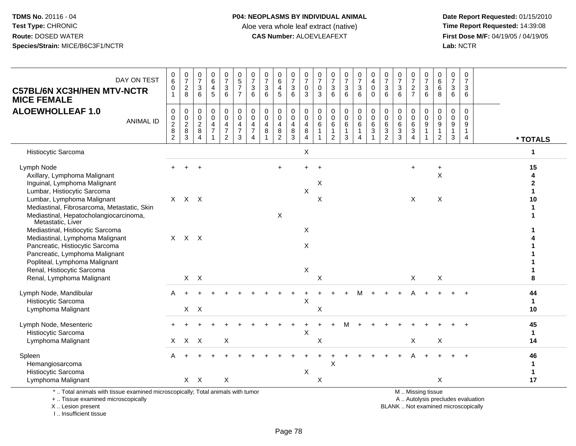**Date Report Requested:** 01/15/2010 **First Dose M/F:** 04/19/05 / 04/19/05<br>Lab: NCTR **Lab:** NCTR

| DAY ON TEST<br><b>C57BL/6N XC3H/HEN MTV-NCTR</b><br><b>MICE FEMALE</b>                                                                                                  | $\begin{array}{c} 0 \\ 6 \end{array}$<br>$\pmb{0}$<br>$\mathbf{1}$ | $\frac{0}{7}$<br>$\frac{2}{8}$                                | 0<br>$\overline{7}$<br>$\sqrt{3}$<br>6                                     | 0<br>$6\overline{6}$<br>$\overline{4}$<br>5          | $\frac{0}{7}$<br>3<br>$\overline{6}$                        | $\begin{array}{c} 0 \\ 5 \\ 7 \end{array}$<br>$\overline{7}$           | $\frac{0}{7}$<br>$\mathsf 3$<br>6                                         | $\frac{0}{7}$<br>$\mathbf 3$<br>$6\phantom{1}$ | $\begin{array}{c} 0 \\ 6 \end{array}$<br>$\overline{4}$<br>$5\phantom{1}$ | $\frac{0}{7}$<br>3<br>6              | $\frac{0}{7}$<br>$\pmb{0}$<br>$\mathfrak{S}$      | $\frac{0}{7}$<br>0<br>3          | $\frac{0}{7}$<br>$\ensuremath{\mathsf{3}}$<br>$6\phantom{a}$ | $\frac{0}{7}$<br>$\frac{3}{6}$                    | $\frac{0}{7}$<br>$\sqrt{3}$<br>6 | 0<br>$\overline{4}$<br>$\mathbf 0$<br>$\Omega$                                             | $\frac{0}{7}$<br>$\mathbf{3}$<br>6                                         | $\frac{0}{7}$<br>$\mathbf{3}$<br>6                           | $\frac{0}{7}$<br>$\overline{c}$<br>$\overline{7}$                      | $\frac{0}{7}$<br>$\mathbf{3}$<br>6 | 0<br>$\overline{6}$<br>$\,6\,$<br>8                                           | 0<br>$\overline{7}$<br>$\mathbf{3}$<br>6 | $\mathbf 0$<br>$\overline{7}$<br>$\mathbf{3}$<br>6  |                                         |
|-------------------------------------------------------------------------------------------------------------------------------------------------------------------------|--------------------------------------------------------------------|---------------------------------------------------------------|----------------------------------------------------------------------------|------------------------------------------------------|-------------------------------------------------------------|------------------------------------------------------------------------|---------------------------------------------------------------------------|------------------------------------------------|---------------------------------------------------------------------------|--------------------------------------|---------------------------------------------------|----------------------------------|--------------------------------------------------------------|---------------------------------------------------|----------------------------------|--------------------------------------------------------------------------------------------|----------------------------------------------------------------------------|--------------------------------------------------------------|------------------------------------------------------------------------|------------------------------------|-------------------------------------------------------------------------------|------------------------------------------|-----------------------------------------------------|-----------------------------------------|
| <b>ALOEWHOLLEAF 1.0</b><br><b>ANIMAL ID</b>                                                                                                                             | $\mathbf 0$<br>$\mathbf 0$<br>$\overline{2}$<br>$\frac{8}{2}$      | 0<br>$\mathbf 0$<br>$\overline{2}$<br>$\bf 8$<br>$\mathbf{3}$ | $\mathbf 0$<br>$\mathbf 0$<br>$\boldsymbol{2}$<br>$\, 8$<br>$\overline{4}$ | $\mathbf 0$<br>$\pmb{0}$<br>4<br>$\overline{7}$<br>1 | 0<br>$\mathbf 0$<br>4<br>$\boldsymbol{7}$<br>$\overline{2}$ | $_{\rm 0}^{\rm 0}$<br>$\overline{4}$<br>$\overline{7}$<br>$\mathbf{3}$ | $\pmb{0}$<br>$\ddot{\mathbf{0}}$<br>4<br>$\overline{7}$<br>$\overline{4}$ | $\mathbf 0$<br>$\mathbf 0$<br>4<br>$\bf8$      | $\mathbf 0$<br>$\pmb{0}$<br>$\overline{4}$<br>$\bf 8$<br>$\overline{2}$   | 0<br>$\mathbf 0$<br>4<br>$\bf8$<br>3 | 0<br>$\mathbf 0$<br>4<br>$\bf8$<br>$\overline{4}$ | 0<br>0<br>6<br>$\mathbf{1}$<br>1 | 0<br>0<br>6<br>$\mathbf{1}$<br>$\overline{c}$                | $\mathbf 0$<br>$\ddot{\mathbf{0}}$<br>6<br>1<br>3 | 0<br>0<br>$\,6\,$<br>1<br>4      | $\pmb{0}$<br>$\ddot{\mathbf{0}}$<br>$\,6\,$<br>$\ensuremath{\mathsf{3}}$<br>$\overline{1}$ | 0<br>$\mathbf 0$<br>$\,6\,$<br>$\ensuremath{\mathsf{3}}$<br>$\overline{2}$ | $\pmb{0}$<br>$\ddot{\mathbf{0}}$<br>$\,6\,$<br>$\frac{3}{3}$ | 0<br>$\mathsf 0$<br>$\overline{6}$<br>$\overline{3}$<br>$\overline{4}$ | 0<br>0<br>$\boldsymbol{9}$         | $\mathbf 0$<br>$\mathbf 0$<br>$\overline{9}$<br>$\mathbf 1$<br>$\overline{2}$ | $\mathbf 0$<br>0<br>9<br>1<br>3          | $\mathbf 0$<br>$\Omega$<br>9<br>1<br>$\overline{4}$ | * TOTALS                                |
| Histiocytic Sarcoma                                                                                                                                                     |                                                                    |                                                               |                                                                            |                                                      |                                                             |                                                                        |                                                                           |                                                |                                                                           |                                      | X                                                 |                                  |                                                              |                                                   |                                  |                                                                                            |                                                                            |                                                              |                                                                        |                                    |                                                                               |                                          |                                                     | 1                                       |
| Lymph Node<br>Axillary, Lymphoma Malignant<br>Inguinal, Lymphoma Malignant                                                                                              |                                                                    |                                                               | $\div$                                                                     |                                                      |                                                             |                                                                        |                                                                           |                                                | $+$                                                                       |                                      | $\boldsymbol{\mathsf{X}}$                         | $\ddot{}$<br>Х                   |                                                              |                                                   |                                  |                                                                                            |                                                                            |                                                              | $\ddot{}$                                                              |                                    | $\ddot{}$<br>$\sf X$                                                          |                                          |                                                     | 15<br>4<br>$\mathbf{2}$<br>$\mathbf{1}$ |
| Lumbar, Histiocytic Sarcoma<br>Lumbar, Lymphoma Malignant<br>Mediastinal, Fibrosarcoma, Metastatic, Skin<br>Mediastinal, Hepatocholangiocarcinoma,<br>Metastatic, Liver | $\mathsf{X}$                                                       | $X$ $X$                                                       |                                                                            |                                                      |                                                             |                                                                        |                                                                           |                                                | $\boldsymbol{\mathsf{X}}$                                                 |                                      |                                                   | $\mathsf X$                      |                                                              |                                                   |                                  |                                                                                            |                                                                            |                                                              | X                                                                      |                                    | X                                                                             |                                          |                                                     | 10                                      |
| Mediastinal, Histiocytic Sarcoma<br>Mediastinal, Lymphoma Malignant<br>Pancreatic, Histiocytic Sarcoma<br>Pancreatic, Lymphoma Malignant                                |                                                                    | $X$ $X$ $X$                                                   |                                                                            |                                                      |                                                             |                                                                        |                                                                           |                                                |                                                                           |                                      | X<br>$\times$                                     |                                  |                                                              |                                                   |                                  |                                                                                            |                                                                            |                                                              |                                                                        |                                    |                                                                               |                                          |                                                     |                                         |
| Popliteal, Lymphoma Malignant<br>Renal, Histiocytic Sarcoma<br>Renal, Lymphoma Malignant                                                                                |                                                                    |                                                               | $X$ $X$                                                                    |                                                      |                                                             |                                                                        |                                                                           |                                                |                                                                           |                                      | $\boldsymbol{\mathsf{X}}$                         | $\mathsf X$                      |                                                              |                                                   |                                  |                                                                                            |                                                                            |                                                              | X                                                                      |                                    | X                                                                             |                                          |                                                     | 8                                       |
| Lymph Node, Mandibular<br>Histiocytic Sarcoma<br>Lymphoma Malignant                                                                                                     | A                                                                  |                                                               | $X$ $X$                                                                    |                                                      |                                                             |                                                                        |                                                                           |                                                |                                                                           |                                      | X                                                 | X                                |                                                              |                                                   |                                  |                                                                                            |                                                                            |                                                              |                                                                        |                                    |                                                                               |                                          |                                                     | 44<br>$\blacktriangleleft$<br>10        |
| Lymph Node, Mesenteric<br>Histiocytic Sarcoma<br>Lymphoma Malignant                                                                                                     | X                                                                  | $\mathsf{X}$                                                  | $\boldsymbol{\mathsf{X}}$                                                  |                                                      | X                                                           |                                                                        |                                                                           |                                                |                                                                           |                                      | $\boldsymbol{\mathsf{X}}$                         | X                                |                                                              |                                                   |                                  |                                                                                            |                                                                            |                                                              | $\mathsf X$                                                            |                                    | X                                                                             |                                          |                                                     | 45<br>$\mathbf{1}$<br>14                |
| Spleen<br>Hemangiosarcoma<br>Histiocytic Sarcoma                                                                                                                        | A                                                                  |                                                               |                                                                            |                                                      |                                                             |                                                                        |                                                                           |                                                |                                                                           |                                      | X                                                 |                                  | X                                                            |                                                   |                                  |                                                                                            |                                                                            |                                                              |                                                                        |                                    |                                                                               |                                          |                                                     | 46<br>$\mathbf 1$<br>$\mathbf 1$        |
| Lymphoma Malignant                                                                                                                                                      |                                                                    |                                                               | $X$ $X$                                                                    |                                                      | X                                                           |                                                                        |                                                                           |                                                |                                                                           |                                      |                                                   | $\mathsf X$                      |                                                              |                                                   |                                  |                                                                                            |                                                                            |                                                              |                                                                        |                                    | X                                                                             |                                          |                                                     | 17                                      |
| *  Total animals with tissue examined microscopically; Total animals with tumor                                                                                         |                                                                    |                                                               |                                                                            |                                                      |                                                             |                                                                        |                                                                           |                                                |                                                                           |                                      |                                                   |                                  |                                                              |                                                   |                                  |                                                                                            |                                                                            |                                                              |                                                                        | M  Missing tissue                  |                                                                               |                                          |                                                     |                                         |

+ .. Tissue examined microscopically

X .. Lesion present

I .. Insufficient tissue

y the contract of the contract of the contract of the contract of the contract of the contract of the contract of  $A$ . Autolysis precludes evaluation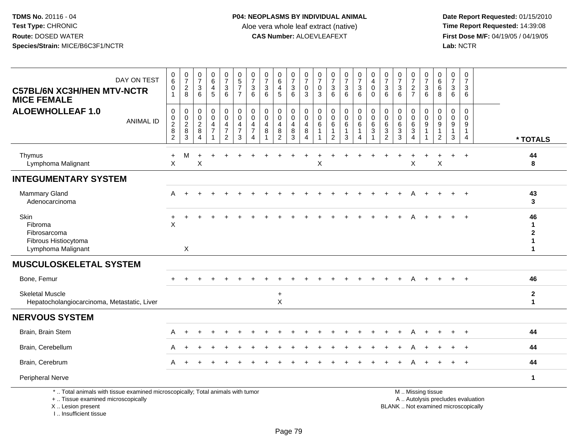**Date Report Requested:** 01/15/2010 **First Dose M/F:** 04/19/05 / 04/19/05<br>Lab: NCTR **Lab:** NCTR

| DAY ON TEST<br><b>C57BL/6N XC3H/HEN MTV-NCTR</b><br><b>MICE FEMALE</b>                                                                     | $\mathbf 0$<br>$\,6\,$<br>0<br>$\overline{1}$                             | $\frac{0}{7}$<br>$\overline{2}$<br>8           | $\pmb{0}$<br>$\overline{7}$<br>$\mathbf{3}$<br>6   | $_6^0$<br>4<br>5              | $\frac{0}{7}$<br>$\mathbf{3}$<br>6                                     | $\begin{array}{c} 0 \\ 5 \end{array}$<br>$\overline{7}$<br>$\overline{7}$ | $\pmb{0}$<br>$\overline{7}$<br>$\mathbf{3}$<br>6                    | 0<br>$\overline{7}$<br>3<br>6        | $_6^0$<br>4<br>5                                   | $\frac{0}{7}$<br>$\frac{3}{6}$                                    | 0<br>$\overline{7}$<br>0<br>3      | 0<br>$\overline{7}$<br>0<br>3         | 0<br>$\boldsymbol{7}$<br>3<br>6                                   | $\frac{0}{7}$<br>3<br>6                    | $\begin{smallmatrix}0\\7\end{smallmatrix}$<br>$\mathbf{3}$<br>6 | $\pmb{0}$<br>$\overline{4}$<br>0<br>$\Omega$      | $\frac{0}{7}$<br>$\mathbf{3}$<br>6                                | 0<br>$\overline{7}$<br>3<br>6                        | $\frac{0}{7}$<br>$\frac{2}{7}$             | 0<br>$\overline{7}$<br>3<br>6                          | $\boldsymbol{0}$<br>$\,6$<br>6<br>8            | 0<br>$\overline{7}$<br>3<br>6                          | 0<br>$\overline{7}$<br>3<br>6                                  |                                    |
|--------------------------------------------------------------------------------------------------------------------------------------------|---------------------------------------------------------------------------|------------------------------------------------|----------------------------------------------------|-------------------------------|------------------------------------------------------------------------|---------------------------------------------------------------------------|---------------------------------------------------------------------|--------------------------------------|----------------------------------------------------|-------------------------------------------------------------------|------------------------------------|---------------------------------------|-------------------------------------------------------------------|--------------------------------------------|-----------------------------------------------------------------|---------------------------------------------------|-------------------------------------------------------------------|------------------------------------------------------|--------------------------------------------|--------------------------------------------------------|------------------------------------------------|--------------------------------------------------------|----------------------------------------------------------------|------------------------------------|
| <b>ALOEWHOLLEAF 1.0</b><br><b>ANIMAL ID</b>                                                                                                | $\mathbf 0$<br>$\mathbf 0$<br>$\overline{2}$<br>$\bf 8$<br>$\overline{c}$ | $\pmb{0}$<br>$\mathbf 0$<br>$\frac{2}{8}$<br>3 | $\mathbf 0$<br>0<br>$\overline{2}$<br>$\bf 8$<br>4 | 0<br>0<br>4<br>$\overline{7}$ | 0<br>$\mathbf 0$<br>$\overline{4}$<br>$\overline{7}$<br>$\overline{2}$ | $\pmb{0}$<br>$\mathbf 0$<br>4<br>$\overline{7}$<br>$\mathbf{3}$           | $\mathbf 0$<br>$\mathbf 0$<br>$\overline{4}$<br>$\overline{7}$<br>4 | $\mathbf 0$<br>$\mathbf 0$<br>4<br>8 | 0<br>$\mathbf 0$<br>4<br>$\bf 8$<br>$\overline{2}$ | $\pmb{0}$<br>$\mathsf{O}\xspace$<br>$\overline{4}$<br>$\bf8$<br>3 | 0<br>$\Omega$<br>4<br>$\,8\,$<br>4 | 0<br>$\mathbf{0}$<br>6<br>$\mathbf 1$ | $\mathbf 0$<br>$\mathbf 0$<br>6<br>$\mathbf{1}$<br>$\overline{2}$ | 0<br>$\mathbf 0$<br>6<br>$\mathbf{1}$<br>3 | $\pmb{0}$<br>$\mathsf{O}$<br>6<br>$\mathbf{1}$<br>4             | $\pmb{0}$<br>$\mathbf 0$<br>$\,6\,$<br>$\sqrt{3}$ | $\mathbf 0$<br>$\mathbf 0$<br>6<br>$\mathbf{3}$<br>$\overline{2}$ | $\mathbf 0$<br>$\mathbf 0$<br>6<br>$\mathbf{3}$<br>3 | 0<br>$\mathbf 0$<br>6<br>$\mathbf{3}$<br>4 | 0<br>0<br>9<br>1                                       | 0<br>$\mathbf 0$<br>$\boldsymbol{9}$<br>1<br>2 | $\mathbf 0$<br>$\mathbf 0$<br>9<br>$\overline{1}$<br>3 | $\mathbf 0$<br>$\Omega$<br>9<br>$\mathbf{1}$<br>$\overline{4}$ | * TOTALS                           |
| Thymus<br>Lymphoma Malignant                                                                                                               | $\ddot{}$<br>X                                                            | M                                              | X                                                  |                               |                                                                        |                                                                           |                                                                     |                                      |                                                    |                                                                   |                                    | Χ                                     |                                                                   |                                            |                                                                 |                                                   |                                                                   |                                                      | X                                          |                                                        | $\boldsymbol{\mathsf{X}}$                      | ÷.                                                     | $\ddot{}$                                                      | 44<br>8                            |
| <b>INTEGUMENTARY SYSTEM</b>                                                                                                                |                                                                           |                                                |                                                    |                               |                                                                        |                                                                           |                                                                     |                                      |                                                    |                                                                   |                                    |                                       |                                                                   |                                            |                                                                 |                                                   |                                                                   |                                                      |                                            |                                                        |                                                |                                                        |                                                                |                                    |
| <b>Mammary Gland</b><br>Adenocarcinoma                                                                                                     | A                                                                         |                                                |                                                    |                               |                                                                        |                                                                           |                                                                     |                                      |                                                    |                                                                   |                                    |                                       |                                                                   |                                            |                                                                 |                                                   |                                                                   |                                                      |                                            |                                                        |                                                |                                                        | $\div$                                                         | 43<br>3                            |
| Skin<br>Fibroma<br>Fibrosarcoma<br>Fibrous Histiocytoma<br>Lymphoma Malignant                                                              | X                                                                         | X                                              |                                                    |                               |                                                                        |                                                                           |                                                                     |                                      |                                                    |                                                                   |                                    |                                       |                                                                   |                                            |                                                                 |                                                   |                                                                   |                                                      |                                            |                                                        |                                                |                                                        |                                                                | 46<br>-1<br>$\mathbf{2}$<br>1<br>1 |
| <b>MUSCULOSKELETAL SYSTEM</b>                                                                                                              |                                                                           |                                                |                                                    |                               |                                                                        |                                                                           |                                                                     |                                      |                                                    |                                                                   |                                    |                                       |                                                                   |                                            |                                                                 |                                                   |                                                                   |                                                      |                                            |                                                        |                                                |                                                        |                                                                |                                    |
| Bone, Femur                                                                                                                                |                                                                           |                                                |                                                    |                               |                                                                        |                                                                           |                                                                     |                                      |                                                    |                                                                   |                                    |                                       |                                                                   |                                            |                                                                 |                                                   |                                                                   |                                                      |                                            |                                                        |                                                |                                                        |                                                                | 46                                 |
| <b>Skeletal Muscle</b><br>Hepatocholangiocarcinoma, Metastatic, Liver                                                                      |                                                                           |                                                |                                                    |                               |                                                                        |                                                                           |                                                                     |                                      | $\ddot{}$<br>$\mathsf X$                           |                                                                   |                                    |                                       |                                                                   |                                            |                                                                 |                                                   |                                                                   |                                                      |                                            |                                                        |                                                |                                                        |                                                                | $\mathbf{2}$<br>$\mathbf{1}$       |
| <b>NERVOUS SYSTEM</b>                                                                                                                      |                                                                           |                                                |                                                    |                               |                                                                        |                                                                           |                                                                     |                                      |                                                    |                                                                   |                                    |                                       |                                                                   |                                            |                                                                 |                                                   |                                                                   |                                                      |                                            |                                                        |                                                |                                                        |                                                                |                                    |
| Brain, Brain Stem                                                                                                                          | A                                                                         |                                                |                                                    |                               |                                                                        |                                                                           |                                                                     |                                      |                                                    |                                                                   |                                    |                                       |                                                                   |                                            |                                                                 |                                                   |                                                                   |                                                      |                                            |                                                        |                                                |                                                        |                                                                | 44                                 |
| Brain, Cerebellum                                                                                                                          |                                                                           |                                                |                                                    |                               |                                                                        |                                                                           |                                                                     |                                      |                                                    |                                                                   |                                    |                                       |                                                                   |                                            |                                                                 |                                                   |                                                                   |                                                      |                                            |                                                        |                                                |                                                        |                                                                | 44                                 |
| Brain, Cerebrum                                                                                                                            | A                                                                         |                                                |                                                    |                               |                                                                        |                                                                           |                                                                     |                                      |                                                    |                                                                   |                                    |                                       |                                                                   |                                            |                                                                 |                                                   |                                                                   |                                                      |                                            |                                                        |                                                |                                                        | $\ddot{}$                                                      | 44                                 |
| Peripheral Nerve                                                                                                                           |                                                                           |                                                |                                                    |                               |                                                                        |                                                                           |                                                                     |                                      |                                                    |                                                                   |                                    |                                       |                                                                   |                                            |                                                                 |                                                   |                                                                   |                                                      |                                            |                                                        |                                                |                                                        |                                                                | $\mathbf{1}$                       |
| *  Total animals with tissue examined microscopically; Total animals with tumor<br>+  Tissue examined microscopically<br>X  Lesion present |                                                                           |                                                |                                                    |                               |                                                                        |                                                                           |                                                                     |                                      |                                                    |                                                                   |                                    |                                       |                                                                   |                                            |                                                                 |                                                   |                                                                   | BLANK  Not examined microscopically                  |                                            | M  Missing tissue<br>A  Autolysis precludes evaluation |                                                |                                                        |                                                                |                                    |

I .. Insufficient tissue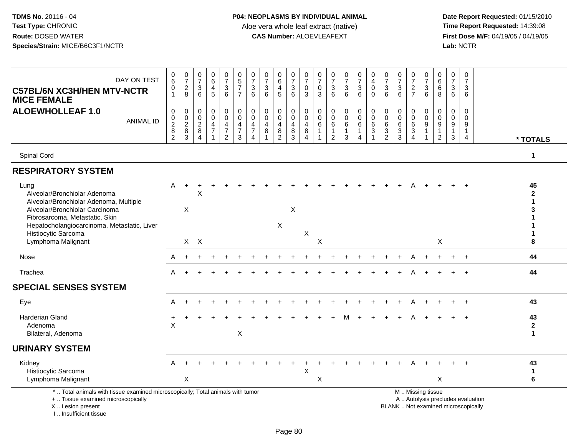| DAY ON TEST<br><b>C57BL/6N XC3H/HEN MTV-NCTR</b><br><b>MICE FEMALE</b>                                                                                              | $\begin{matrix} 0 \\ 6 \end{matrix}$<br>$\pmb{0}$<br>$\mathbf{1}$ | $\frac{0}{7}$<br>$\sqrt{2}$<br>8                     | $\begin{array}{c} 0 \\ 7 \end{array}$<br>$\mathbf{3}$<br>6 | 0<br>6<br>4<br>5                                                    | $\begin{array}{c} 0 \\ 7 \end{array}$<br>$\ensuremath{\mathsf{3}}$<br>6                   | $\begin{array}{c} 0 \\ 5 \\ 7 \end{array}$<br>$\overline{7}$ | $\frac{0}{7}$<br>$\sqrt{3}$<br>6                                                          | $\begin{array}{c} 0 \\ 7 \end{array}$<br>$\mathbf{3}$<br>6 | $\begin{array}{c} 0 \\ 6 \end{array}$<br>$\overline{4}$<br>$\sqrt{5}$           | $\frac{0}{7}$<br>3<br>6          | $\frac{0}{7}$<br>$\mathsf{O}\xspace$<br>$\mathbf{3}$          | $\begin{array}{c} 0 \\ 7 \end{array}$<br>0<br>$\mathbf{3}$            | $\frac{0}{7}$<br>3<br>6                                         | $\frac{0}{7}$<br>$\sqrt{3}$<br>6                                      | $\frac{0}{7}$<br>$\ensuremath{\mathsf{3}}$<br>6    | $\begin{smallmatrix}0\0\4\end{smallmatrix}$<br>0<br>$\mathbf 0$  | $\begin{array}{c} 0 \\ 7 \end{array}$<br>$\ensuremath{\mathsf{3}}$<br>6      | $\frac{0}{7}$<br>$\sqrt{3}$<br>6                             | $\frac{0}{7}$<br>$\sqrt{2}$<br>$\overline{7}$                                | $\frac{0}{7}$<br>$\mathsf 3$<br>6                                    | 0<br>$\,6\,$<br>6<br>8                                  | $\begin{array}{c} 0 \\ 7 \end{array}$<br>$\mathbf{3}$<br>6 | $\mathbf 0$<br>$\overline{7}$<br>3<br>6                                  |                                    |
|---------------------------------------------------------------------------------------------------------------------------------------------------------------------|-------------------------------------------------------------------|------------------------------------------------------|------------------------------------------------------------|---------------------------------------------------------------------|-------------------------------------------------------------------------------------------|--------------------------------------------------------------|-------------------------------------------------------------------------------------------|------------------------------------------------------------|---------------------------------------------------------------------------------|----------------------------------|---------------------------------------------------------------|-----------------------------------------------------------------------|-----------------------------------------------------------------|-----------------------------------------------------------------------|----------------------------------------------------|------------------------------------------------------------------|------------------------------------------------------------------------------|--------------------------------------------------------------|------------------------------------------------------------------------------|----------------------------------------------------------------------|---------------------------------------------------------|------------------------------------------------------------|--------------------------------------------------------------------------|------------------------------------|
| <b>ALOEWHOLLEAF 1.0</b><br><b>ANIMAL ID</b>                                                                                                                         | 0<br>$\pmb{0}$<br>$\boldsymbol{2}$<br>$\bf 8$<br>$\overline{c}$   | $\mathbf 0$<br>$\pmb{0}$<br>$\overline{2}$<br>8<br>3 | 0<br>$\pmb{0}$<br>$\overline{c}$<br>8<br>4                 | 0<br>0<br>$\overline{\mathbf{4}}$<br>$\overline{7}$<br>$\mathbf{1}$ | $\mathbf 0$<br>$\mathbf 0$<br>$\overline{\mathbf{4}}$<br>$\overline{7}$<br>$\overline{2}$ | $_{\rm 0}^{\rm 0}$<br>$\frac{4}{7}$<br>3                     | 0<br>$\ddot{\mathbf{0}}$<br>$\overline{\mathbf{4}}$<br>$\boldsymbol{7}$<br>$\overline{4}$ | 0<br>$\mathbf 0$<br>$\overline{4}$<br>8<br>1               | $\pmb{0}$<br>$\mathbf 0$<br>$\overline{\mathbf{4}}$<br>$\bf8$<br>$\overline{2}$ | 0<br>$\mathbf{O}$<br>4<br>8<br>3 | 0<br>$\pmb{0}$<br>$\overline{4}$<br>$\bf 8$<br>$\overline{4}$ | $\mathbf 0$<br>$\mathbf 0$<br>$\,6\,$<br>$\mathbf{1}$<br>$\mathbf{1}$ | 0<br>$\mathbf 0$<br>$\,6\,$<br>$\overline{1}$<br>$\overline{2}$ | $\mathbf 0$<br>$\mathbf 0$<br>$\,6\,$<br>$\mathbf{1}$<br>$\mathbf{3}$ | 0<br>$\mathsf{O}\xspace$<br>6<br>$\mathbf{1}$<br>4 | 0<br>$\overline{0}$<br>$\,6\,$<br>$\mathbf{3}$<br>$\overline{1}$ | $_{\rm 0}^{\rm 0}$<br>$\,6\,$<br>$\ensuremath{\mathsf{3}}$<br>$\overline{2}$ | $\mathbf 0$<br>$\mathbf 0$<br>$\,6\,$<br>3<br>$\overline{3}$ | $\mathbf 0$<br>$\mathbf 0$<br>$6\phantom{1}6$<br>3<br>$\boldsymbol{\Lambda}$ | 0<br>$\mathbf 0$<br>$\boldsymbol{9}$<br>$\mathbf{1}$<br>$\mathbf{1}$ | 0<br>$\mathbf 0$<br>9<br>$\mathbf{1}$<br>$\overline{c}$ | 0<br>$\mathbf 0$<br>9<br>$\mathbf{1}$<br>3                 | $\mathbf 0$<br>$\Omega$<br>9<br>$\mathbf{1}$<br>$\overline{4}$           | * TOTALS                           |
| Spinal Cord                                                                                                                                                         |                                                                   |                                                      |                                                            |                                                                     |                                                                                           |                                                              |                                                                                           |                                                            |                                                                                 |                                  |                                                               |                                                                       |                                                                 |                                                                       |                                                    |                                                                  |                                                                              |                                                              |                                                                              |                                                                      |                                                         |                                                            |                                                                          | $\mathbf{1}$                       |
| <b>RESPIRATORY SYSTEM</b>                                                                                                                                           |                                                                   |                                                      |                                                            |                                                                     |                                                                                           |                                                              |                                                                                           |                                                            |                                                                                 |                                  |                                                               |                                                                       |                                                                 |                                                                       |                                                    |                                                                  |                                                                              |                                                              |                                                                              |                                                                      |                                                         |                                                            |                                                                          |                                    |
| Lung<br>Alveolar/Bronchiolar Adenoma<br>Alveolar/Bronchiolar Adenoma, Multiple<br>Alveolar/Bronchiolar Carcinoma<br>Fibrosarcoma, Metastatic, Skin                  | A                                                                 | $\ddot{}$<br>X                                       | X                                                          |                                                                     |                                                                                           |                                                              |                                                                                           |                                                            |                                                                                 | X                                |                                                               |                                                                       |                                                                 |                                                                       |                                                    |                                                                  |                                                                              |                                                              |                                                                              |                                                                      |                                                         |                                                            |                                                                          | 45<br>$\mathbf{2}$                 |
| Hepatocholangiocarcinoma, Metastatic, Liver<br>Histiocytic Sarcoma<br>Lymphoma Malignant                                                                            |                                                                   |                                                      | $X$ $X$                                                    |                                                                     |                                                                                           |                                                              |                                                                                           |                                                            | $\sf X$                                                                         |                                  | X                                                             | X                                                                     |                                                                 |                                                                       |                                                    |                                                                  |                                                                              |                                                              |                                                                              |                                                                      | X                                                       |                                                            |                                                                          | 8                                  |
| Nose                                                                                                                                                                | A                                                                 |                                                      |                                                            |                                                                     |                                                                                           |                                                              |                                                                                           |                                                            |                                                                                 |                                  |                                                               |                                                                       |                                                                 |                                                                       |                                                    |                                                                  |                                                                              |                                                              |                                                                              |                                                                      |                                                         |                                                            | $\ddot{}$                                                                | 44                                 |
| Trachea                                                                                                                                                             | A                                                                 |                                                      |                                                            |                                                                     |                                                                                           |                                                              |                                                                                           |                                                            |                                                                                 |                                  |                                                               |                                                                       |                                                                 |                                                                       |                                                    |                                                                  |                                                                              |                                                              |                                                                              |                                                                      |                                                         |                                                            |                                                                          | 44                                 |
| <b>SPECIAL SENSES SYSTEM</b>                                                                                                                                        |                                                                   |                                                      |                                                            |                                                                     |                                                                                           |                                                              |                                                                                           |                                                            |                                                                                 |                                  |                                                               |                                                                       |                                                                 |                                                                       |                                                    |                                                                  |                                                                              |                                                              |                                                                              |                                                                      |                                                         |                                                            |                                                                          |                                    |
| Eye                                                                                                                                                                 | A                                                                 |                                                      |                                                            |                                                                     |                                                                                           |                                                              |                                                                                           |                                                            |                                                                                 |                                  |                                                               |                                                                       |                                                                 |                                                                       |                                                    |                                                                  |                                                                              |                                                              |                                                                              |                                                                      |                                                         |                                                            | $\overline{+}$                                                           | 43                                 |
| <b>Harderian Gland</b><br>Adenoma<br>Bilateral, Adenoma                                                                                                             | +<br>$\mathsf X$                                                  |                                                      |                                                            |                                                                     |                                                                                           | X                                                            |                                                                                           |                                                            |                                                                                 |                                  |                                                               |                                                                       |                                                                 |                                                                       |                                                    |                                                                  |                                                                              |                                                              |                                                                              |                                                                      |                                                         |                                                            | $\div$                                                                   | 43<br>$\mathbf{2}$<br>$\mathbf{1}$ |
| <b>URINARY SYSTEM</b>                                                                                                                                               |                                                                   |                                                      |                                                            |                                                                     |                                                                                           |                                                              |                                                                                           |                                                            |                                                                                 |                                  |                                                               |                                                                       |                                                                 |                                                                       |                                                    |                                                                  |                                                                              |                                                              |                                                                              |                                                                      |                                                         |                                                            |                                                                          |                                    |
| Kidney<br>Histiocytic Sarcoma<br>Lymphoma Malignant                                                                                                                 |                                                                   | X                                                    |                                                            |                                                                     |                                                                                           |                                                              |                                                                                           |                                                            |                                                                                 |                                  | X                                                             | X                                                                     |                                                                 |                                                                       |                                                    |                                                                  |                                                                              |                                                              |                                                                              |                                                                      | X                                                       |                                                            |                                                                          | 43<br>$\mathbf{1}$<br>6            |
| *  Total animals with tissue examined microscopically; Total animals with tumor<br>+  Tissue examined microscopically<br>X  Lesion present<br>I Insufficient tissue |                                                                   |                                                      |                                                            |                                                                     |                                                                                           |                                                              |                                                                                           |                                                            |                                                                                 |                                  |                                                               |                                                                       |                                                                 |                                                                       |                                                    |                                                                  |                                                                              |                                                              |                                                                              | M  Missing tissue                                                    |                                                         |                                                            | A  Autolysis precludes evaluation<br>BLANK  Not examined microscopically |                                    |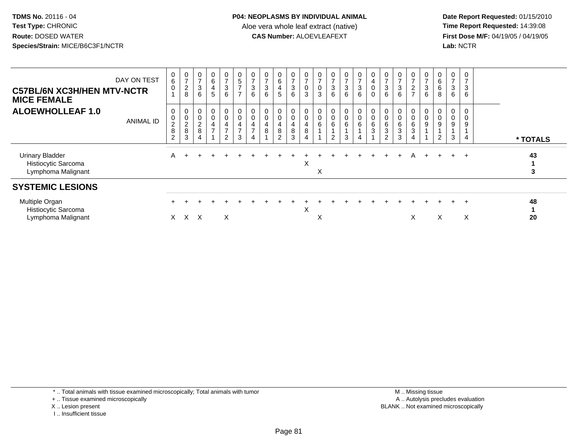**Date Report Requested:** 01/15/2010 **First Dose M/F:** 04/19/05 / 04/19/05<br>Lab: NCTR **Lab:** NCTR

| DAY ON TEST<br><b>C57BL/6N XC3H/HEN MTV-NCTR</b><br><b>MICE FEMALE</b> | 0<br>$\overline{6}$<br>$\mathbf 0$                  | $\frac{0}{7}$<br>$_{\rm 8}^2$          | $\frac{0}{7}$<br>$\frac{3}{6}$       | $\begin{matrix} 0 \\ 6 \\ 4 \end{matrix}$<br>5                   | 0<br>$\overline{z}$<br>$\frac{1}{3}$<br>6                    | $\begin{array}{c} 0 \\ 5 \\ 7 \end{array}$<br>$\overline{7}$                    | $\frac{0}{7}$<br>$\ensuremath{\mathsf{3}}$<br>6              | $\frac{0}{7}$<br>$\sqrt{3}$<br>6 | $\begin{matrix} 0 \\ 6 \end{matrix}$<br>$\overline{4}$<br>5 | $\frac{0}{7}$<br>3<br>6                            | 0<br>$\overline{7}$<br>$\pmb{0}$<br>3            | $\frac{0}{7}$<br>0<br>3 | $\frac{0}{7}$<br>$\ensuremath{\mathsf{3}}$<br>6         | $\frac{0}{7}$<br>$\frac{1}{3}$<br>$6\phantom{1}$ | $\frac{0}{7}$<br>$\sqrt{3}$<br>$\,6\,$             | 0<br>$\overline{4}$ <sub>0</sub><br>$\pmb{0}$  | $\frac{0}{7}$<br>$\mathbf{3}$<br>6             | $\overline{z}$<br>$\ensuremath{\mathsf{3}}$<br>$6\phantom{1}$ | 0<br>$\overline{ }$<br>$\overline{c}$<br>$\overline{ }$     | 0<br>$\overline{z}$<br>$\mathbf{3}$<br>6 | $\begin{matrix}0\\6\end{matrix}$<br>$\,6\,$<br>8            | 0<br>$\overline{z}$<br>$\ensuremath{\mathsf{3}}$<br>6 | 3<br>6      |          |  |
|------------------------------------------------------------------------|-----------------------------------------------------|----------------------------------------|--------------------------------------|------------------------------------------------------------------|--------------------------------------------------------------|---------------------------------------------------------------------------------|--------------------------------------------------------------|----------------------------------|-------------------------------------------------------------|----------------------------------------------------|--------------------------------------------------|-------------------------|---------------------------------------------------------|--------------------------------------------------|----------------------------------------------------|------------------------------------------------|------------------------------------------------|---------------------------------------------------------------|-------------------------------------------------------------|------------------------------------------|-------------------------------------------------------------|-------------------------------------------------------|-------------|----------|--|
| <b>ALOEWHOLLEAF 1.0</b><br>ANIMAL ID                                   | 0<br>$\mathbf 0$<br>$\frac{2}{8}$<br>$\overline{2}$ | 0<br>$\mathsf 0$<br>$\frac{2}{8}$<br>3 | 0<br>$\frac{0}{2}$<br>$\overline{4}$ | $\begin{matrix} 0 \\ 0 \\ 4 \end{matrix}$<br>$\overline{ }$<br>1 | 0<br>0<br>$\overline{4}$<br>$\overline{ }$<br>$\overline{2}$ | $_{\rm 0}^{\rm 0}$<br>$\overline{\mathbf{4}}$<br>$\overline{ }$<br>$\mathbf{3}$ | 0<br>$\mathsf 0$<br>$\overline{\mathbf{4}}$<br>$\rightarrow$ | $\overline{\mathbf{4}}$<br>8     | $\pmb{0}$<br>$\mathbf 0$<br>$\overline{4}$<br>$\frac{8}{2}$ | 0<br>0<br>$\overline{\mathbf{4}}$<br>$\frac{8}{3}$ | $\mathbf 0$<br>$\overline{\mathbf{4}}$<br>$\, 8$ | 6                       | $\begin{array}{c} 0 \\ 6 \end{array}$<br>$\overline{c}$ | 0<br>$\begin{array}{c} 0 \\ 6 \end{array}$<br>3  | $\begin{smallmatrix}0\0\0\6\end{smallmatrix}$<br>4 | $\begin{matrix} 0 \\ 0 \\ 6 \\ 3 \end{matrix}$ | 0<br>$\pmb{0}$<br>$\,6$<br>3<br>$\overline{c}$ | 6<br>3<br>3                                                   | $_0^0$<br>$6\overline{6}$<br>$\ensuremath{\mathsf{3}}$<br>4 | 0<br>9                                   | 0<br>$\boldsymbol{0}$<br>$\boldsymbol{9}$<br>$\overline{2}$ | 0<br>$\mathbf 0$<br>$\boldsymbol{9}$<br>3             | 9<br>4      | * TOTALS |  |
| <b>Urinary Bladder</b><br>Histiocytic Sarcoma<br>Lymphoma Malignant    | A                                                   |                                        |                                      |                                                                  |                                                              |                                                                                 |                                                              |                                  |                                                             |                                                    | X                                                | X                       |                                                         |                                                  |                                                    |                                                |                                                |                                                               | Α                                                           | ÷                                        |                                                             |                                                       | $\div$      | 43<br>3  |  |
| <b>SYSTEMIC LESIONS</b>                                                |                                                     |                                        |                                      |                                                                  |                                                              |                                                                                 |                                                              |                                  |                                                             |                                                    |                                                  |                         |                                                         |                                                  |                                                    |                                                |                                                |                                                               |                                                             |                                          |                                                             |                                                       |             |          |  |
| Multiple Organ<br>Histiocytic Sarcoma<br>Lymphoma Malignant            | X.                                                  | X                                      | X                                    |                                                                  | X                                                            |                                                                                 |                                                              |                                  |                                                             |                                                    | X                                                | v                       |                                                         |                                                  |                                                    |                                                |                                                |                                                               | X                                                           |                                          | X                                                           | $+$                                                   | $\div$<br>X | 48<br>20 |  |
|                                                                        |                                                     |                                        |                                      |                                                                  |                                                              |                                                                                 |                                                              |                                  |                                                             |                                                    |                                                  |                         |                                                         |                                                  |                                                    |                                                |                                                |                                                               |                                                             |                                          |                                                             |                                                       |             |          |  |

\* .. Total animals with tissue examined microscopically; Total animals with tumor

+ .. Tissue examined microscopically

X .. Lesion present

I .. Insufficient tissue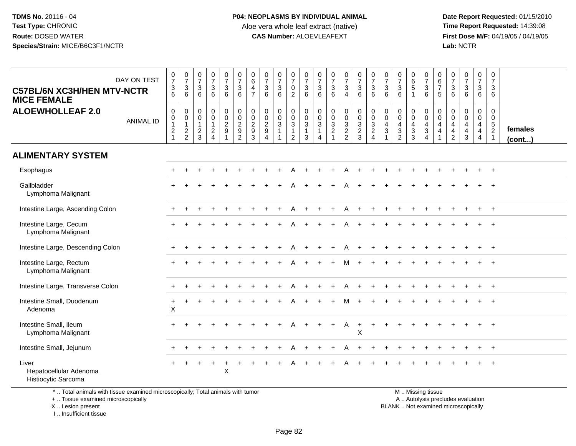**Date Report Requested:** 01/15/2010 **First Dose M/F:** 04/19/05 / 04/19/05<br>Lab: NCTR **Lab:** NCTR

| <b>C57BL/6N XC3H/HEN MTV-NCTR</b><br><b>MICE FEMALE</b> | DAY ON TEST      | $\frac{0}{7}$<br>6                                       | $\begin{array}{c} 0 \\ 7 \end{array}$<br>$\frac{3}{6}$      | $\frac{0}{7}$<br>3<br>6                                   | $\begin{smallmatrix}0\\7\end{smallmatrix}$<br>$\frac{3}{6}$ | $\frac{0}{7}$<br>$\ensuremath{\mathsf{3}}$<br>6                  | $\frac{0}{7}$<br>$\ensuremath{\mathsf{3}}$<br>6 | $_{6}^{\rm 0}$<br>$\frac{4}{7}$                                   | $\begin{array}{c} 0 \\ 7 \end{array}$<br>$\overline{3}$<br>6                  | $\frac{0}{7}$<br>$\frac{3}{6}$           | $\begin{array}{c} 0 \\ 7 \end{array}$<br>$\mathsf{O}\xspace$<br>2     | $\frac{0}{7}$<br>$\sqrt{3}$<br>6                           | $\frac{0}{7}$<br>$\mathsf 3$<br>6                                                 | $\frac{0}{7}$<br>6                                             | $\frac{0}{7}$<br>$\overline{3}$<br>$\overline{4}$              | 0736           | $\begin{array}{c} 0 \\ 7 \end{array}$<br>$\frac{3}{6}$ | $\frac{0}{7}$<br>$\mathbf 3$<br>6                              | $\begin{array}{c} 0 \\ 7 \end{array}$<br>$\mathbf{3}$<br>6                          | $\begin{array}{c} 0 \\ 6 \\ 5 \end{array}$<br>$\mathbf{1}$ | 0736           | $\begin{array}{c} 0 \\ 6 \\ 7 \end{array}$<br>5                      | $\frac{0}{7}$<br>$\mathsf 3$<br>6                               | $\begin{smallmatrix} 0\\7 \end{smallmatrix}$<br>$\ensuremath{\mathsf{3}}$<br>6         | $\frac{0}{7}$<br>$\mathbf{3}$<br>6                                  | $\begin{smallmatrix} 0\\7 \end{smallmatrix}$<br>$\mathbf{3}$<br>6                      |                         |
|---------------------------------------------------------|------------------|----------------------------------------------------------|-------------------------------------------------------------|-----------------------------------------------------------|-------------------------------------------------------------|------------------------------------------------------------------|-------------------------------------------------|-------------------------------------------------------------------|-------------------------------------------------------------------------------|------------------------------------------|-----------------------------------------------------------------------|------------------------------------------------------------|-----------------------------------------------------------------------------------|----------------------------------------------------------------|----------------------------------------------------------------|----------------|--------------------------------------------------------|----------------------------------------------------------------|-------------------------------------------------------------------------------------|------------------------------------------------------------|----------------|----------------------------------------------------------------------|-----------------------------------------------------------------|----------------------------------------------------------------------------------------|---------------------------------------------------------------------|----------------------------------------------------------------------------------------|-------------------------|
| <b>ALOEWHOLLEAF 2.0</b>                                 | <b>ANIMAL ID</b> | $\boldsymbol{0}$<br>$\overline{0}$<br>1<br>$\frac{2}{1}$ | $\mathsf{O}\xspace$<br>$\overline{0}$<br>1<br>$\frac{2}{2}$ | $\mathbf 0$<br>$\pmb{0}$<br>$\mathbf{1}$<br>$\frac{2}{3}$ | $_{\rm 0}^{\rm 0}$<br>$\mathbf{1}$<br>$\frac{2}{4}$         | $\mathbf 0$<br>$\overline{0}$<br>$\frac{2}{9}$<br>$\overline{1}$ | 0<br>0<br>2<br>9<br>2                           | $\pmb{0}$<br>$\begin{smallmatrix} 0\\2\\9 \end{smallmatrix}$<br>3 | $\mathsf{O}\xspace$<br>$\mathsf{O}\xspace$<br>$\frac{2}{9}$<br>$\overline{4}$ | $\pmb{0}$<br>$\pmb{0}$<br>$\overline{3}$ | $\mathbf 0$<br>$\ddot{\mathbf{0}}$<br>$\overline{3}$<br>$\frac{1}{2}$ | $\pmb{0}$<br>$\frac{0}{3}$<br>$\mathbf{1}$<br>$\mathbf{3}$ | $\pmb{0}$<br>$\boldsymbol{0}$<br>$\overline{3}$<br>$\mathbf{1}$<br>$\overline{4}$ | $\begin{matrix} 0 \\ 0 \\ 3 \\ 2 \end{matrix}$<br>$\mathbf{1}$ | $\mathbf 0$<br>$\begin{array}{c} 0 \\ 3 \\ 2 \\ 2 \end{array}$ | 00323          | $0003$<br>$24$                                         | $\mathbf 0$<br>$\mathbf 0$<br>$\overline{4}$<br>$\mathfrak{Z}$ | $\boldsymbol{0}$<br>$\pmb{0}$<br>$\overline{4}$<br>$\overline{3}$<br>$\overline{2}$ | 0<br>$\mathsf{O}\xspace$<br>$\frac{4}{3}$                  | $0004$<br>$34$ | $_{\rm 0}^{\rm 0}$<br>$\overline{4}$<br>$\overline{\mathbf{r}}$<br>1 | $\mathbf 0$<br>$\mathbf 0$<br>4<br>$\overline{a}$<br>$\sqrt{2}$ | $\mathbf 0$<br>$\ddot{\mathbf{0}}$<br>$\overline{4}$<br>$\overline{4}$<br>$\mathbf{3}$ | $\mathbf 0$<br>$\mathbf 0$<br>$\overline{4}$<br>$\overline{4}$<br>4 | $\mathbf 0$<br>$\mathsf{O}\xspace$<br>$\overline{5}$<br>$\overline{a}$<br>$\mathbf{1}$ | females<br>$($ cont $)$ |
| <b>ALIMENTARY SYSTEM</b>                                |                  |                                                          |                                                             |                                                           |                                                             |                                                                  |                                                 |                                                                   |                                                                               |                                          |                                                                       |                                                            |                                                                                   |                                                                |                                                                |                |                                                        |                                                                |                                                                                     |                                                            |                |                                                                      |                                                                 |                                                                                        |                                                                     |                                                                                        |                         |
| Esophagus                                               |                  |                                                          |                                                             |                                                           |                                                             |                                                                  |                                                 |                                                                   |                                                                               |                                          |                                                                       |                                                            |                                                                                   |                                                                | Α                                                              |                |                                                        |                                                                |                                                                                     |                                                            |                |                                                                      |                                                                 |                                                                                        |                                                                     |                                                                                        |                         |
| Gallbladder<br>Lymphoma Malignant                       |                  |                                                          |                                                             |                                                           |                                                             |                                                                  |                                                 |                                                                   |                                                                               |                                          |                                                                       |                                                            |                                                                                   |                                                                |                                                                |                |                                                        |                                                                |                                                                                     |                                                            |                |                                                                      |                                                                 |                                                                                        |                                                                     |                                                                                        |                         |
| Intestine Large, Ascending Colon                        |                  |                                                          |                                                             |                                                           |                                                             |                                                                  |                                                 |                                                                   |                                                                               |                                          |                                                                       |                                                            |                                                                                   |                                                                | Α                                                              |                |                                                        |                                                                |                                                                                     |                                                            |                |                                                                      |                                                                 |                                                                                        |                                                                     | $\overline{+}$                                                                         |                         |
| Intestine Large, Cecum<br>Lymphoma Malignant            |                  |                                                          |                                                             |                                                           |                                                             |                                                                  |                                                 |                                                                   |                                                                               |                                          |                                                                       |                                                            |                                                                                   |                                                                |                                                                |                |                                                        |                                                                |                                                                                     |                                                            |                |                                                                      |                                                                 |                                                                                        |                                                                     |                                                                                        |                         |
| Intestine Large, Descending Colon                       |                  |                                                          |                                                             |                                                           |                                                             |                                                                  |                                                 |                                                                   |                                                                               |                                          |                                                                       |                                                            |                                                                                   |                                                                | Α                                                              |                |                                                        |                                                                |                                                                                     |                                                            |                |                                                                      |                                                                 |                                                                                        |                                                                     | $+$                                                                                    |                         |
| Intestine Large, Rectum<br>Lymphoma Malignant           |                  |                                                          |                                                             |                                                           |                                                             |                                                                  |                                                 |                                                                   |                                                                               |                                          |                                                                       |                                                            |                                                                                   |                                                                |                                                                |                |                                                        |                                                                |                                                                                     |                                                            |                |                                                                      |                                                                 |                                                                                        |                                                                     |                                                                                        |                         |
| Intestine Large, Transverse Colon                       |                  |                                                          |                                                             |                                                           |                                                             |                                                                  |                                                 |                                                                   |                                                                               |                                          |                                                                       |                                                            |                                                                                   |                                                                |                                                                |                |                                                        |                                                                |                                                                                     |                                                            |                |                                                                      |                                                                 |                                                                                        |                                                                     |                                                                                        |                         |
| Intestine Small, Duodenum<br>Adenoma                    |                  | +<br>$\mathsf{X}$                                        |                                                             |                                                           |                                                             |                                                                  |                                                 |                                                                   |                                                                               |                                          |                                                                       |                                                            |                                                                                   |                                                                |                                                                |                |                                                        |                                                                |                                                                                     |                                                            |                |                                                                      |                                                                 |                                                                                        |                                                                     |                                                                                        |                         |
| Intestine Small, Ileum<br>Lymphoma Malignant            |                  |                                                          |                                                             |                                                           |                                                             |                                                                  |                                                 |                                                                   |                                                                               |                                          |                                                                       |                                                            |                                                                                   |                                                                | Α                                                              | $\ddot{}$<br>X |                                                        |                                                                |                                                                                     |                                                            |                |                                                                      |                                                                 |                                                                                        |                                                                     |                                                                                        |                         |
| Intestine Small, Jejunum                                |                  |                                                          |                                                             |                                                           |                                                             |                                                                  |                                                 |                                                                   |                                                                               |                                          |                                                                       |                                                            |                                                                                   |                                                                | Α                                                              |                |                                                        |                                                                |                                                                                     |                                                            |                |                                                                      |                                                                 |                                                                                        |                                                                     | $+$                                                                                    |                         |
| Liver<br>Hepatocellular Adenoma<br>Histiocytic Sarcoma  |                  |                                                          | $\div$                                                      |                                                           |                                                             | $\ddot{}$<br>X                                                   |                                                 |                                                                   |                                                                               |                                          |                                                                       |                                                            |                                                                                   |                                                                |                                                                |                |                                                        |                                                                |                                                                                     |                                                            |                |                                                                      |                                                                 |                                                                                        |                                                                     |                                                                                        |                         |

\* .. Total animals with tissue examined microscopically; Total animals with tumor

+ .. Tissue examined microscopically

X .. Lesion present

I .. Insufficient tissue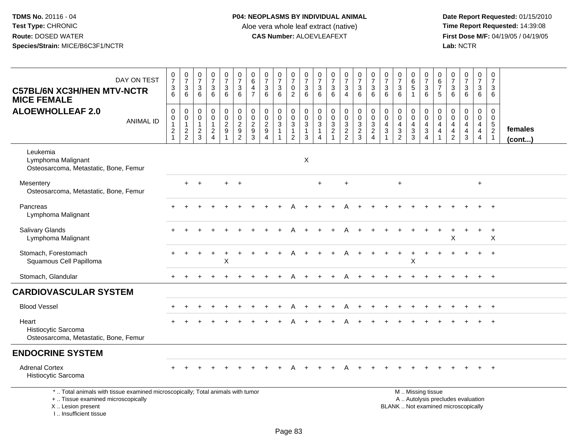| DAY ON TEST<br><b>C57BL/6N XC3H/HEN MTV-NCTR</b><br><b>MICE FEMALE</b>                                                                                               | $\frac{0}{7}$<br>$\frac{3}{6}$                          | $\begin{array}{c} 0 \\ 7 \end{array}$<br>3<br>6   | $\frac{0}{7}$<br>$\sqrt{3}$<br>6        | $\begin{smallmatrix}0\\7\end{smallmatrix}$<br>$\frac{3}{6}$         | $\begin{array}{c} 0 \\ 7 \end{array}$<br>$\ensuremath{\mathsf{3}}$<br>6 | $\begin{array}{c} 0 \\ 7 \end{array}$<br>$\mathbf{3}$<br>6     | 0<br>$\overline{6}$<br>$\overline{4}$<br>$\overline{7}$ | $\frac{0}{7}$<br>$\sqrt{3}$<br>6                                                    | $\frac{0}{7}$<br>3<br>6                        | $\frac{0}{7}$<br>$\frac{0}{2}$                                   | $\frac{0}{7}$<br>$\frac{3}{6}$                                                          | 0<br>$\overline{7}$<br>$\sqrt{3}$<br>6              | $\frac{0}{7}$<br>$\sqrt{3}$<br>6                          | $\frac{0}{7}$<br>$\mathbf{3}$<br>$\overline{4}$  | $\begin{array}{c} 0 \\ 7 \end{array}$<br>3<br>6            | $\begin{array}{c} 0 \\ 7 \end{array}$<br>$\mathbf{3}$<br>6     | $\frac{0}{7}$<br>$\mathbf{3}$<br>6    | $\begin{array}{c} 0 \\ 7 \end{array}$<br>$\ensuremath{\mathsf{3}}$<br>6 | 0<br>$6\phantom{a}$<br>$\sqrt{5}$<br>$\mathbf{1}$                    | $\frac{0}{7}$<br>$\sqrt{3}$<br>6                              | 0<br>$6\overline{6}$<br>$\overline{7}$<br>5                                   | $\frac{0}{7}$<br>3<br>6                             | $\frac{0}{7}$<br>$\ensuremath{\mathsf{3}}$<br>6                          | 0<br>$\overline{7}$<br>$\ensuremath{\mathsf{3}}$<br>6                               | $\mathbf 0$<br>$\overline{7}$<br>3<br>6             |                         |
|----------------------------------------------------------------------------------------------------------------------------------------------------------------------|---------------------------------------------------------|---------------------------------------------------|-----------------------------------------|---------------------------------------------------------------------|-------------------------------------------------------------------------|----------------------------------------------------------------|---------------------------------------------------------|-------------------------------------------------------------------------------------|------------------------------------------------|------------------------------------------------------------------|-----------------------------------------------------------------------------------------|-----------------------------------------------------|-----------------------------------------------------------|--------------------------------------------------|------------------------------------------------------------|----------------------------------------------------------------|---------------------------------------|-------------------------------------------------------------------------|----------------------------------------------------------------------|---------------------------------------------------------------|-------------------------------------------------------------------------------|-----------------------------------------------------|--------------------------------------------------------------------------|-------------------------------------------------------------------------------------|-----------------------------------------------------|-------------------------|
| <b>ALOEWHOLLEAF 2.0</b><br><b>ANIMAL ID</b>                                                                                                                          | $\pmb{0}$<br>$\pmb{0}$<br>$\mathbf{1}$<br>$\frac{2}{1}$ | 0<br>$\mathbf 0$<br>$\mathbf{1}$<br>$\frac{2}{2}$ | 0<br>0<br>$\mathbf{1}$<br>$\frac{2}{3}$ | $\mathsf 0$<br>$\ddot{\mathbf{0}}$<br>$\mathbf{1}$<br>$\frac{2}{4}$ | $\pmb{0}$<br>$\overline{0}$<br>$\frac{2}{9}$<br>$\overline{\mathbf{1}}$ | $\mathbf 0$<br>$\begin{array}{c} 0 \\ 2 \\ 9 \\ 2 \end{array}$ | 0<br>$\boldsymbol{0}$<br>$\overline{c}$<br>9<br>3       | $\pmb{0}$<br>$\overline{0}$<br>$\overline{2}$<br>$\boldsymbol{9}$<br>$\overline{A}$ | 0<br>$\pmb{0}$<br>$\mathbf{3}$<br>$\mathbf{1}$ | 0<br>$\pmb{0}$<br>$\mathbf{3}$<br>$\mathbf{1}$<br>$\overline{c}$ | $\mathbf 0$<br>$\mathbf 0$<br>$\ensuremath{\mathsf{3}}$<br>$\mathbf{1}$<br>$\mathbf{3}$ | 0<br>$\pmb{0}$<br>$\mathbf{3}$<br>$\mathbf{1}$<br>4 | $\mathbf 0$<br>$\mathbf 0$<br>$\sqrt{3}$<br>$\frac{2}{1}$ | 0<br>$\mathbf 0$<br>$\mathbf 3$<br>$\frac{2}{2}$ | $\pmb{0}$<br>$\overline{0}$<br>$\sqrt{3}$<br>$\frac{2}{3}$ | $\begin{smallmatrix}0\\0\\3\end{smallmatrix}$<br>$\frac{2}{4}$ | 0<br>$\mathbf 0$<br>4<br>$\mathbf{3}$ | $\mathbf 0$<br>$\pmb{0}$<br>$\overline{4}$<br>$\frac{3}{2}$             | 0<br>$\mathbf 0$<br>$\overline{4}$<br>$\mathbf{3}$<br>$\overline{3}$ | $\mathbf 0$<br>$\mathbf 0$<br>$\overline{4}$<br>$\frac{3}{4}$ | 0<br>$\mathbf 0$<br>$\overline{4}$<br>$\overline{\mathbf{4}}$<br>$\mathbf{1}$ | 0<br>$\mathbf 0$<br>$\overline{4}$<br>$\frac{4}{2}$ | 0<br>$\pmb{0}$<br>$\overline{4}$<br>$\frac{4}{3}$                        | $\mathbf 0$<br>$\overline{0}$<br>$\overline{4}$<br>$\overline{4}$<br>$\overline{4}$ | $\mathbf 0$<br>$\mathsf{O}\xspace$<br>$\frac{5}{2}$ | females<br>$($ cont $)$ |
| Leukemia<br>Lymphoma Malignant<br>Osteosarcoma, Metastatic, Bone, Femur                                                                                              |                                                         |                                                   |                                         |                                                                     |                                                                         |                                                                |                                                         |                                                                                     |                                                |                                                                  | $\boldsymbol{\mathsf{X}}$                                                               |                                                     |                                                           |                                                  |                                                            |                                                                |                                       |                                                                         |                                                                      |                                                               |                                                                               |                                                     |                                                                          |                                                                                     |                                                     |                         |
| Mesentery<br>Osteosarcoma, Metastatic, Bone, Femur                                                                                                                   |                                                         | $+$                                               | $+$                                     |                                                                     | $+$                                                                     | $+$                                                            |                                                         |                                                                                     |                                                |                                                                  |                                                                                         | $+$                                                 |                                                           | $\ddot{}$                                        |                                                            |                                                                |                                       | $+$                                                                     |                                                                      |                                                               |                                                                               |                                                     |                                                                          | $+$                                                                                 |                                                     |                         |
| Pancreas<br>Lymphoma Malignant                                                                                                                                       |                                                         |                                                   |                                         |                                                                     |                                                                         |                                                                |                                                         |                                                                                     |                                                |                                                                  |                                                                                         |                                                     |                                                           |                                                  |                                                            |                                                                |                                       |                                                                         |                                                                      |                                                               |                                                                               |                                                     |                                                                          |                                                                                     |                                                     |                         |
| Salivary Glands<br>Lymphoma Malignant                                                                                                                                |                                                         |                                                   |                                         |                                                                     |                                                                         |                                                                |                                                         |                                                                                     |                                                |                                                                  |                                                                                         |                                                     |                                                           |                                                  |                                                            |                                                                |                                       |                                                                         |                                                                      |                                                               |                                                                               | X                                                   |                                                                          |                                                                                     | $\ddot{}$<br>$\boldsymbol{\mathsf{X}}$              |                         |
| Stomach, Forestomach<br>Squamous Cell Papilloma                                                                                                                      |                                                         |                                                   |                                         |                                                                     | X                                                                       |                                                                |                                                         |                                                                                     |                                                |                                                                  |                                                                                         |                                                     |                                                           |                                                  |                                                            |                                                                |                                       |                                                                         | Χ                                                                    |                                                               |                                                                               |                                                     |                                                                          |                                                                                     |                                                     |                         |
| Stomach, Glandular                                                                                                                                                   |                                                         |                                                   |                                         |                                                                     |                                                                         |                                                                |                                                         |                                                                                     |                                                |                                                                  |                                                                                         |                                                     |                                                           |                                                  |                                                            |                                                                |                                       |                                                                         |                                                                      |                                                               |                                                                               |                                                     |                                                                          |                                                                                     | $+$                                                 |                         |
| <b>CARDIOVASCULAR SYSTEM</b>                                                                                                                                         |                                                         |                                                   |                                         |                                                                     |                                                                         |                                                                |                                                         |                                                                                     |                                                |                                                                  |                                                                                         |                                                     |                                                           |                                                  |                                                            |                                                                |                                       |                                                                         |                                                                      |                                                               |                                                                               |                                                     |                                                                          |                                                                                     |                                                     |                         |
| <b>Blood Vessel</b>                                                                                                                                                  |                                                         |                                                   |                                         |                                                                     |                                                                         |                                                                |                                                         |                                                                                     |                                                |                                                                  |                                                                                         |                                                     |                                                           |                                                  |                                                            |                                                                |                                       |                                                                         |                                                                      |                                                               |                                                                               |                                                     |                                                                          |                                                                                     |                                                     |                         |
| Heart<br>Histiocytic Sarcoma<br>Osteosarcoma, Metastatic, Bone, Femur                                                                                                |                                                         |                                                   |                                         |                                                                     |                                                                         |                                                                |                                                         |                                                                                     |                                                |                                                                  |                                                                                         |                                                     |                                                           |                                                  |                                                            |                                                                |                                       |                                                                         |                                                                      |                                                               |                                                                               |                                                     |                                                                          |                                                                                     |                                                     |                         |
| <b>ENDOCRINE SYSTEM</b>                                                                                                                                              |                                                         |                                                   |                                         |                                                                     |                                                                         |                                                                |                                                         |                                                                                     |                                                |                                                                  |                                                                                         |                                                     |                                                           |                                                  |                                                            |                                                                |                                       |                                                                         |                                                                      |                                                               |                                                                               |                                                     |                                                                          |                                                                                     |                                                     |                         |
| <b>Adrenal Cortex</b><br>Histiocytic Sarcoma                                                                                                                         |                                                         |                                                   |                                         |                                                                     |                                                                         |                                                                |                                                         |                                                                                     |                                                |                                                                  |                                                                                         |                                                     |                                                           |                                                  |                                                            |                                                                |                                       |                                                                         |                                                                      |                                                               |                                                                               |                                                     |                                                                          |                                                                                     |                                                     |                         |
| *  Total animals with tissue examined microscopically; Total animals with tumor<br>+  Tissue examined microscopically<br>X  Lesion present<br>L. Insufficient tissue |                                                         |                                                   |                                         |                                                                     |                                                                         |                                                                |                                                         |                                                                                     |                                                |                                                                  |                                                                                         |                                                     |                                                           |                                                  |                                                            |                                                                |                                       |                                                                         |                                                                      | M  Missing tissue                                             |                                                                               |                                                     | A  Autolysis precludes evaluation<br>BLANK  Not examined microscopically |                                                                                     |                                                     |                         |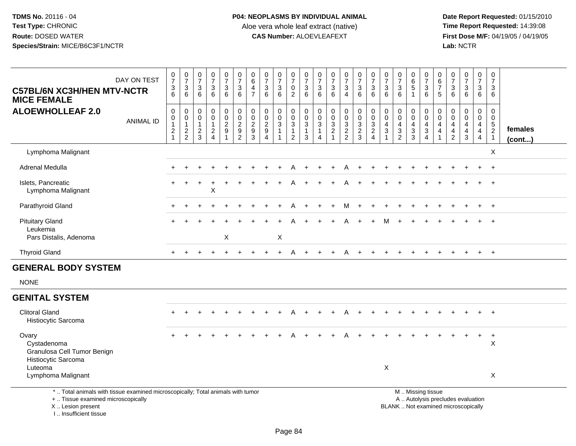**Date Report Requested:** 01/15/2010 **First Dose M/F:** 04/19/05 / 04/19/05<br>Lab: NCTR **Lab:** NCTR

| <b>C57BL/6N XC3H/HEN MTV-NCTR</b><br><b>MICE FEMALE</b>                                                               | DAY ON TEST      | $\frac{0}{7}$<br>$\frac{3}{6}$                                           | $\begin{array}{c} 0 \\ 7 \end{array}$<br>$\mathsf 3$<br>6           | $\frac{0}{7}$<br>$\mathbf{3}$<br>6                    | 0<br>$\overline{7}$<br>$\mathbf{3}$<br>6                         | $\frac{0}{7}$<br>$\sqrt{3}$<br>6    | $\frac{0}{7}$<br>$\mathbf{3}$<br>$6\phantom{1}$                                | $\pmb{0}$<br>$6\phantom{a}$<br>$\overline{\mathbf{4}}$<br>$\overline{7}$ | $\frac{0}{7}$<br>3<br>6                                | $\frac{0}{7}$<br>$\mathbf 3$<br>6                                         | $\frac{0}{7}$<br>$\mathbf 0$<br>2                                                   | $\frac{0}{7}$<br>$\mathbf{3}$<br>6                                 | $\frac{0}{7}$<br>$\sqrt{3}$<br>6                                                  | $\frac{0}{7}$<br>$\mathbf{3}$<br>6        | $\frac{0}{7}$<br>$\mathbf{3}$<br>$\overline{4}$ | $\begin{smallmatrix}0\\7\end{smallmatrix}$<br>$\mathbf{3}$<br>6            | $\begin{array}{c} 0 \\ 7 \end{array}$<br>$\sqrt{3}$<br>6                          | $\frac{0}{7}$<br>3<br>6                 | $\frac{0}{7}$<br>$\ensuremath{\mathsf{3}}$<br>6             | $_{6}^{\rm 0}$<br>$\overline{5}$<br>$\overline{1}$     | $\frac{0}{7}$<br>$\ensuremath{\mathsf{3}}$<br>6                               | 0<br>$6\phantom{a}$<br>$\overline{7}$<br>5                     | $\frac{0}{7}$<br>3<br>6                                                          | $\begin{array}{c} 0 \\ 7 \end{array}$<br>$\sqrt{3}$<br>6            | $\begin{array}{c} 0 \\ 7 \end{array}$<br>$\mathbf{3}$<br>6 | $\pmb{0}$<br>$\overline{7}$<br>3<br>6                             |                   |
|-----------------------------------------------------------------------------------------------------------------------|------------------|--------------------------------------------------------------------------|---------------------------------------------------------------------|-------------------------------------------------------|------------------------------------------------------------------|-------------------------------------|--------------------------------------------------------------------------------|--------------------------------------------------------------------------|--------------------------------------------------------|---------------------------------------------------------------------------|-------------------------------------------------------------------------------------|--------------------------------------------------------------------|-----------------------------------------------------------------------------------|-------------------------------------------|-------------------------------------------------|----------------------------------------------------------------------------|-----------------------------------------------------------------------------------|-----------------------------------------|-------------------------------------------------------------|--------------------------------------------------------|-------------------------------------------------------------------------------|----------------------------------------------------------------|----------------------------------------------------------------------------------|---------------------------------------------------------------------|------------------------------------------------------------|-------------------------------------------------------------------|-------------------|
| <b>ALOEWHOLLEAF 2.0</b>                                                                                               | <b>ANIMAL ID</b> | $\pmb{0}$<br>$\pmb{0}$<br>$\mathbf{1}$<br>$\overline{c}$<br>$\mathbf{1}$ | $\mathsf{O}\xspace$<br>$\mathbf 0$<br>$\mathbf{1}$<br>$\frac{2}{2}$ | $\pmb{0}$<br>$\,0\,$<br>$\mathbf{1}$<br>$\frac{2}{3}$ | $\mathbf 0$<br>0<br>$\mathbf{1}$<br>$\sqrt{2}$<br>$\overline{4}$ | $_{\rm 0}^{\rm 0}$<br>$\frac{2}{9}$ | $\pmb{0}$<br>$\pmb{0}$<br>$\overline{2}$<br>$\boldsymbol{9}$<br>$\overline{2}$ | $\begin{array}{c} 0 \\ 0 \\ 2 \\ 9 \end{array}$<br>$\mathbf{3}$          | $\mathbf 0$<br>$\mathbf 0$<br>$\overline{2}$<br>9<br>4 | $\pmb{0}$<br>$\ddot{\mathbf{0}}$<br>$\overline{3}$<br>$\overline{1}$<br>1 | $\mathsf{O}$<br>$\boldsymbol{0}$<br>$\overline{3}$<br>$\mathbf 1$<br>$\overline{2}$ | $\begin{smallmatrix}0\\0\\3\end{smallmatrix}$<br>$\mathbf{1}$<br>3 | $\pmb{0}$<br>$\pmb{0}$<br>$\overline{3}$<br>$\mathbf 1$<br>$\boldsymbol{\Lambda}$ | $\mathbf 0$<br>$\pmb{0}$<br>$\frac{3}{2}$ | $\mathbf 0$<br>$\mathbf 0$<br>$\frac{3}{2}$     | $\boldsymbol{0}$<br>$\mathsf{O}\xspace$<br>$\overline{3}$<br>$\frac{2}{3}$ | $\pmb{0}$<br>$\overline{0}$<br>$\overline{3}$<br>$\overline{2}$<br>$\overline{4}$ | 0<br>$\mathbf 0$<br>$\overline{4}$<br>3 | $\pmb{0}$<br>$\pmb{0}$<br>$\overline{4}$<br>$\sqrt{3}$<br>2 | $\mathbf 0$<br>$\mathbf 0$<br>$\overline{4}$<br>3<br>3 | $\begin{smallmatrix}0\0\0\4\end{smallmatrix}$<br>$\sqrt{3}$<br>$\overline{4}$ | $\mathsf 0$<br>$\mathsf 0$<br>$\overline{4}$<br>$\overline{4}$ | $\mathbf 0$<br>$\mathbf 0$<br>$\overline{4}$<br>$\overline{4}$<br>$\overline{2}$ | $\mathbf 0$<br>$\mathbf 0$<br>$\overline{4}$<br>$\overline{4}$<br>3 | 0<br>$\mathbf 0$<br>4<br>$\overline{4}$<br>$\overline{4}$  | 0<br>$\mathbf 0$<br>$5\phantom{.0}$<br>$\sqrt{2}$<br>$\mathbf{1}$ | females<br>(cont) |
| Lymphoma Malignant                                                                                                    |                  |                                                                          |                                                                     |                                                       |                                                                  |                                     |                                                                                |                                                                          |                                                        |                                                                           |                                                                                     |                                                                    |                                                                                   |                                           |                                                 |                                                                            |                                                                                   |                                         |                                                             |                                                        |                                                                               |                                                                |                                                                                  |                                                                     |                                                            | $\sf X$                                                           |                   |
| Adrenal Medulla                                                                                                       |                  |                                                                          |                                                                     |                                                       |                                                                  |                                     |                                                                                |                                                                          |                                                        |                                                                           |                                                                                     |                                                                    |                                                                                   |                                           |                                                 |                                                                            |                                                                                   |                                         |                                                             |                                                        |                                                                               |                                                                |                                                                                  |                                                                     | $+$                                                        | $+$                                                               |                   |
| Islets, Pancreatic<br>Lymphoma Malignant                                                                              |                  |                                                                          |                                                                     | $\ddot{}$                                             | X                                                                |                                     |                                                                                |                                                                          |                                                        |                                                                           |                                                                                     |                                                                    |                                                                                   |                                           |                                                 |                                                                            |                                                                                   |                                         |                                                             |                                                        |                                                                               |                                                                |                                                                                  |                                                                     |                                                            | $\ddot{}$                                                         |                   |
| Parathyroid Gland                                                                                                     |                  |                                                                          |                                                                     |                                                       |                                                                  |                                     |                                                                                |                                                                          |                                                        |                                                                           |                                                                                     |                                                                    |                                                                                   |                                           |                                                 |                                                                            |                                                                                   |                                         |                                                             |                                                        |                                                                               |                                                                |                                                                                  |                                                                     |                                                            |                                                                   |                   |
| <b>Pituitary Gland</b><br>Leukemia<br>Pars Distalis, Adenoma                                                          |                  |                                                                          |                                                                     |                                                       |                                                                  | $\sf X$                             |                                                                                |                                                                          |                                                        | $\mathsf X$                                                               |                                                                                     |                                                                    |                                                                                   |                                           |                                                 |                                                                            |                                                                                   |                                         |                                                             |                                                        |                                                                               |                                                                |                                                                                  |                                                                     |                                                            |                                                                   |                   |
| <b>Thyroid Gland</b>                                                                                                  |                  | $+$                                                                      | $+$                                                                 |                                                       |                                                                  |                                     |                                                                                |                                                                          |                                                        |                                                                           | A                                                                                   | $+$                                                                | $\ddot{}$                                                                         | $\ddot{}$                                 | A                                               | $+$                                                                        |                                                                                   |                                         |                                                             |                                                        |                                                                               |                                                                |                                                                                  |                                                                     | $+$                                                        | $+$                                                               |                   |
| <b>GENERAL BODY SYSTEM</b>                                                                                            |                  |                                                                          |                                                                     |                                                       |                                                                  |                                     |                                                                                |                                                                          |                                                        |                                                                           |                                                                                     |                                                                    |                                                                                   |                                           |                                                 |                                                                            |                                                                                   |                                         |                                                             |                                                        |                                                                               |                                                                |                                                                                  |                                                                     |                                                            |                                                                   |                   |
| <b>NONE</b>                                                                                                           |                  |                                                                          |                                                                     |                                                       |                                                                  |                                     |                                                                                |                                                                          |                                                        |                                                                           |                                                                                     |                                                                    |                                                                                   |                                           |                                                 |                                                                            |                                                                                   |                                         |                                                             |                                                        |                                                                               |                                                                |                                                                                  |                                                                     |                                                            |                                                                   |                   |
| <b>GENITAL SYSTEM</b>                                                                                                 |                  |                                                                          |                                                                     |                                                       |                                                                  |                                     |                                                                                |                                                                          |                                                        |                                                                           |                                                                                     |                                                                    |                                                                                   |                                           |                                                 |                                                                            |                                                                                   |                                         |                                                             |                                                        |                                                                               |                                                                |                                                                                  |                                                                     |                                                            |                                                                   |                   |
| <b>Clitoral Gland</b><br>Histiocytic Sarcoma                                                                          |                  |                                                                          |                                                                     |                                                       |                                                                  |                                     |                                                                                |                                                                          |                                                        |                                                                           |                                                                                     |                                                                    |                                                                                   |                                           |                                                 |                                                                            |                                                                                   |                                         |                                                             |                                                        |                                                                               |                                                                |                                                                                  |                                                                     |                                                            | $+$                                                               |                   |
| Ovary<br>Cystadenoma<br>Granulosa Cell Tumor Benign<br>Histiocytic Sarcoma<br>Luteoma                                 |                  |                                                                          |                                                                     |                                                       |                                                                  |                                     |                                                                                |                                                                          |                                                        |                                                                           |                                                                                     |                                                                    |                                                                                   |                                           |                                                 |                                                                            |                                                                                   |                                         |                                                             |                                                        |                                                                               |                                                                |                                                                                  |                                                                     | $\ddot{}$                                                  | $\ddot{}$<br>X                                                    |                   |
| Lymphoma Malignant                                                                                                    |                  |                                                                          |                                                                     |                                                       |                                                                  |                                     |                                                                                |                                                                          |                                                        |                                                                           |                                                                                     |                                                                    |                                                                                   |                                           |                                                 |                                                                            |                                                                                   | $\pmb{\times}$                          |                                                             |                                                        |                                                                               |                                                                |                                                                                  |                                                                     |                                                            | X                                                                 |                   |
| *  Total animals with tissue examined microscopically; Total animals with tumor<br>+  Tissue examined microscopically |                  |                                                                          |                                                                     |                                                       |                                                                  |                                     |                                                                                |                                                                          |                                                        |                                                                           |                                                                                     |                                                                    |                                                                                   |                                           |                                                 |                                                                            |                                                                                   |                                         |                                                             |                                                        | M  Missing tissue<br>A  Autolysis precludes evaluation                        |                                                                |                                                                                  |                                                                     |                                                            |                                                                   |                   |

X .. Lesion present

I .. Insufficient tissue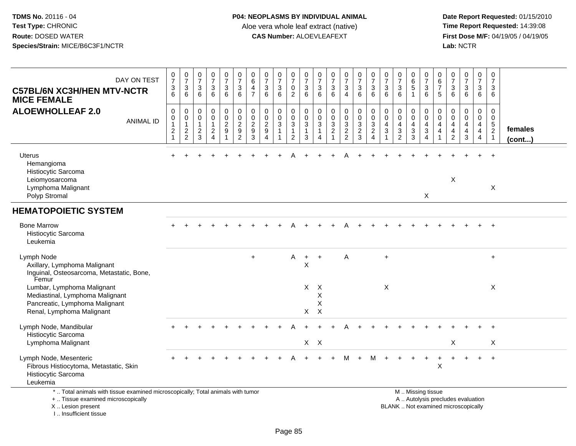**Date Report Requested:** 01/15/2010 **First Dose M/F:** 04/19/05 / 04/19/05<br>Lab: NCTR **Lab:** NCTR

| DAY ON TEST<br><b>C57BL/6N XC3H/HEN MTV-NCTR</b><br><b>MICE FEMALE</b>                                                                     | $\begin{smallmatrix}0\\7\end{smallmatrix}$<br>3<br>6           | $\frac{0}{7}$<br>3<br>6                                                    | $\frac{0}{7}$<br>$\sqrt{3}$<br>6                                           | $\frac{0}{7}$<br>3<br>6                                              | $\frac{0}{7}$<br>$\mathbf{3}$<br>$6\phantom{1}$      | $\frac{0}{7}$<br>$\sqrt{3}$<br>$6\phantom{1}6$                 | $\begin{array}{c} 0 \\ 6 \end{array}$<br>4<br>$\overline{7}$    | $\frac{0}{7}$<br>$\sqrt{3}$<br>6                         | $\frac{0}{7}$<br>3<br>6    | $\frac{0}{7}$<br>$\mathsf{O}$<br>$\overline{2}$                  | $\frac{0}{7}$<br>3<br>6                    | $\frac{0}{7}$<br>$\ensuremath{\mathsf{3}}$<br>6                  | $\frac{0}{7}$<br>$\sqrt{3}$<br>6                               | $\frac{0}{7}$<br>$\sqrt{3}$<br>$\overline{4}$                          | $\frac{0}{7}$<br>$\sqrt{3}$<br>6                                                       | $\frac{0}{7}$<br>$\ensuremath{\mathsf{3}}$<br>6 | $\frac{0}{7}$<br>$\sqrt{3}$<br>6                   | $\frac{0}{7}$<br>$\mathbf{3}$<br>6                                            | $_{6}^{\rm 0}$<br>$\overline{5}$ | $\frac{0}{7}$<br>$\sqrt{3}$<br>$6\phantom{1}6$                                                | 0<br>$\,6\,$<br>$\overline{7}$<br>5 | $\frac{0}{7}$<br>$\sqrt{3}$<br>6                              | $\frac{0}{7}$<br>$\mathbf{3}$<br>$6\phantom{a}$           | 0<br>$\overline{7}$<br>3<br>6                                                    | 0<br>$\overline{7}$<br>3<br>6                                     |                         |
|--------------------------------------------------------------------------------------------------------------------------------------------|----------------------------------------------------------------|----------------------------------------------------------------------------|----------------------------------------------------------------------------|----------------------------------------------------------------------|------------------------------------------------------|----------------------------------------------------------------|-----------------------------------------------------------------|----------------------------------------------------------|----------------------------|------------------------------------------------------------------|--------------------------------------------|------------------------------------------------------------------|----------------------------------------------------------------|------------------------------------------------------------------------|----------------------------------------------------------------------------------------|-------------------------------------------------|----------------------------------------------------|-------------------------------------------------------------------------------|----------------------------------|-----------------------------------------------------------------------------------------------|-------------------------------------|---------------------------------------------------------------|-----------------------------------------------------------|----------------------------------------------------------------------------------|-------------------------------------------------------------------|-------------------------|
| <b>ALOEWHOLLEAF 2.0</b><br><b>ANIMAL ID</b>                                                                                                | $\mathbf 0$<br>0<br>$\mathbf{1}$<br>$\sqrt{2}$<br>$\mathbf{1}$ | $\mathbf 0$<br>$\mathbf 0$<br>$\mathbf{1}$<br>$\sqrt{2}$<br>$\overline{c}$ | $\mathbf 0$<br>$\pmb{0}$<br>$\mathbf{1}$<br>$\overline{2}$<br>$\mathbf{3}$ | 0<br>$\mathbf 0$<br>$\mathbf{1}$<br>$\overline{a}$<br>$\overline{4}$ | 0<br>$\pmb{0}$<br>$\overline{a}$<br>$\boldsymbol{9}$ | $\pmb{0}$<br>$\overline{0}$<br>$\frac{2}{9}$<br>$\overline{2}$ | $\mathbf 0$<br>$\mathbf 0$<br>$\overline{\mathbf{c}}$<br>9<br>3 | $\mathbf 0$<br>$\mathbf 0$<br>$\boldsymbol{2}$<br>9<br>4 | 0<br>$\mathbf 0$<br>3<br>1 | 0<br>$\pmb{0}$<br>$\mathbf{3}$<br>$\mathbf{1}$<br>$\overline{2}$ | 0<br>$\mathbf 0$<br>3<br>$\mathbf{1}$<br>3 | $\mathbf 0$<br>0<br>$\sqrt{3}$<br>$\mathbf{1}$<br>$\overline{4}$ | $\pmb{0}$<br>$\overline{0}$<br>$\frac{3}{2}$<br>$\overline{1}$ | 0<br>$\mathbf 0$<br>$\mathbf{3}$<br>$\boldsymbol{2}$<br>$\overline{2}$ | $\pmb{0}$<br>$\overline{0}$<br>$\ensuremath{\mathsf{3}}$<br>$\sqrt{2}$<br>$\mathbf{3}$ | 0<br>$\mathbf 0$<br>3<br>$\overline{2}$<br>4    | $\mathbf 0$<br>$\mathbf 0$<br>4<br>$\sqrt{3}$<br>1 | 0<br>$\mathbf 0$<br>$\overline{\mathbf{4}}$<br>$\mathbf{3}$<br>$\overline{2}$ | 0<br>$\mathbf 0$<br>4<br>3<br>3  | $\mathbf 0$<br>$\mathbf 0$<br>$\overline{a}$<br>$\sqrt{3}$<br>4                               | 0<br>$\Omega$<br>4<br>4             | $\Omega$<br>$\Omega$<br>4<br>$\overline{4}$<br>$\overline{2}$ | 0<br>$\mathbf 0$<br>$\overline{4}$<br>$\overline{4}$<br>3 | $\mathbf 0$<br>$\mathbf 0$<br>$\overline{4}$<br>$\overline{4}$<br>$\overline{4}$ | 0<br>$\mathbf 0$<br>$\,$ 5 $\,$<br>$\overline{2}$<br>$\mathbf{1}$ | females<br>$($ cont $)$ |
| <b>Uterus</b><br>Hemangioma<br>Histiocytic Sarcoma<br>Leiomyosarcoma<br>Lymphoma Malignant<br>Polyp Stromal                                |                                                                |                                                                            |                                                                            |                                                                      |                                                      |                                                                |                                                                 |                                                          |                            |                                                                  |                                            |                                                                  |                                                                |                                                                        |                                                                                        |                                                 |                                                    |                                                                               |                                  | X                                                                                             |                                     | $\boldsymbol{\mathsf{X}}$                                     |                                                           |                                                                                  | $\overline{+}$<br>$\boldsymbol{\mathsf{X}}$                       |                         |
| <b>HEMATOPOIETIC SYSTEM</b>                                                                                                                |                                                                |                                                                            |                                                                            |                                                                      |                                                      |                                                                |                                                                 |                                                          |                            |                                                                  |                                            |                                                                  |                                                                |                                                                        |                                                                                        |                                                 |                                                    |                                                                               |                                  |                                                                                               |                                     |                                                               |                                                           |                                                                                  |                                                                   |                         |
| <b>Bone Marrow</b><br>Histiocytic Sarcoma<br>Leukemia                                                                                      |                                                                |                                                                            |                                                                            |                                                                      |                                                      |                                                                |                                                                 |                                                          |                            |                                                                  |                                            |                                                                  |                                                                |                                                                        |                                                                                        |                                                 |                                                    |                                                                               |                                  |                                                                                               |                                     |                                                               |                                                           |                                                                                  | $\overline{+}$                                                    |                         |
| Lymph Node<br>Axillary, Lymphoma Malignant<br>Inguinal, Osteosarcoma, Metastatic, Bone,<br>Femur                                           |                                                                |                                                                            |                                                                            |                                                                      |                                                      |                                                                | $\ddot{}$                                                       |                                                          |                            | Α                                                                | $+$<br>X                                   | $\ddot{}$                                                        |                                                                | Α                                                                      |                                                                                        |                                                 | $\ddot{}$                                          |                                                                               |                                  |                                                                                               |                                     |                                                               |                                                           |                                                                                  | $\ddot{}$                                                         |                         |
| Lumbar, Lymphoma Malignant<br>Mediastinal, Lymphoma Malignant<br>Pancreatic, Lymphoma Malignant<br>Renal, Lymphoma Malignant               |                                                                |                                                                            |                                                                            |                                                                      |                                                      |                                                                |                                                                 |                                                          |                            |                                                                  | X<br>X                                     | $\times$<br>X<br>X<br>$\times$                                   |                                                                |                                                                        |                                                                                        |                                                 | X                                                  |                                                                               |                                  |                                                                                               |                                     |                                                               |                                                           |                                                                                  | X                                                                 |                         |
| Lymph Node, Mandibular                                                                                                                     |                                                                |                                                                            |                                                                            |                                                                      |                                                      |                                                                |                                                                 |                                                          |                            |                                                                  |                                            |                                                                  |                                                                |                                                                        |                                                                                        |                                                 |                                                    |                                                                               |                                  |                                                                                               |                                     |                                                               |                                                           |                                                                                  | $\ddot{}$                                                         |                         |
| Histiocytic Sarcoma<br>Lymphoma Malignant                                                                                                  |                                                                |                                                                            |                                                                            |                                                                      |                                                      |                                                                |                                                                 |                                                          |                            |                                                                  | X                                          | $\mathsf{X}$                                                     |                                                                |                                                                        |                                                                                        |                                                 |                                                    |                                                                               |                                  |                                                                                               |                                     | $\sf X$                                                       |                                                           |                                                                                  | X                                                                 |                         |
| Lymph Node, Mesenteric<br>Fibrous Histiocytoma, Metastatic, Skin<br>Histiocytic Sarcoma<br>Leukemia                                        |                                                                |                                                                            |                                                                            |                                                                      |                                                      |                                                                |                                                                 |                                                          |                            |                                                                  |                                            |                                                                  |                                                                | м                                                                      | $+$                                                                                    | M                                               |                                                    |                                                                               | $\ddot{}$                        | $+$                                                                                           | $\ddot{}$<br>$\mathsf X$            | $\ddot{}$                                                     | $\ddot{}$                                                 | $+$                                                                              | $+$                                                               |                         |
| *  Total animals with tissue examined microscopically; Total animals with tumor<br>+  Tissue examined microscopically<br>X  Lesion present |                                                                |                                                                            |                                                                            |                                                                      |                                                      |                                                                |                                                                 |                                                          |                            |                                                                  |                                            |                                                                  |                                                                |                                                                        |                                                                                        |                                                 |                                                    |                                                                               |                                  | M  Missing tissue<br>A  Autolysis precludes evaluation<br>BLANK  Not examined microscopically |                                     |                                                               |                                                           |                                                                                  |                                                                   |                         |

I .. Insufficient tissue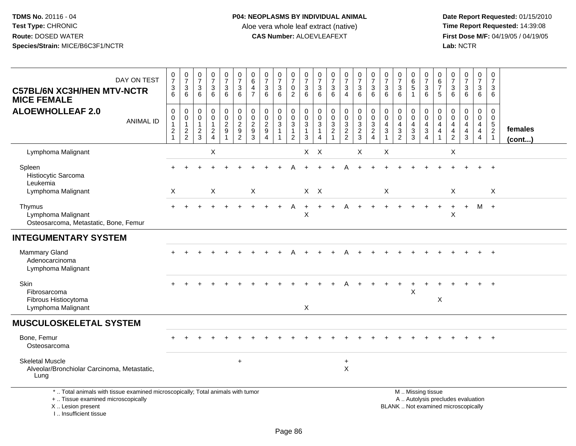| DAY ON TEST<br><b>C57BL/6N XC3H/HEN MTV-NCTR</b><br><b>MICE FEMALE</b>                                                                                              | $\frac{0}{7}$<br>3<br>6                                           | $\frac{0}{7}$<br>$\sqrt{3}$<br>6                            | $\frac{0}{7}$<br>$\ensuremath{\mathsf{3}}$<br>6                     | $\frac{0}{7}$<br>3<br>6                                     | $\frac{0}{7}$<br>$\ensuremath{\mathsf{3}}$<br>$6\phantom{1}$ | $\frac{0}{7}$<br>$\sqrt{3}$<br>6                                                 | $\pmb{0}$<br>$\,6$<br>$\overline{4}$<br>$\overline{7}$  | $\frac{0}{7}$<br>$\ensuremath{\mathsf{3}}$<br>6             | $\frac{0}{7}$<br>$\ensuremath{\mathsf{3}}$<br>6 | $\frac{0}{7}$<br>$\pmb{0}$<br>$\overline{2}$                                 | $\frac{0}{7}$<br>$\ensuremath{\mathsf{3}}$<br>6                           | 0<br>$\overline{7}$<br>$\sqrt{3}$<br>6          | $\frac{0}{7}$<br>$\frac{3}{6}$                             | $\frac{0}{7}$<br>$\ensuremath{\mathsf{3}}$<br>$\overline{4}$ | $\frac{0}{7}$<br>$\ensuremath{\mathsf{3}}$<br>6             | $\frac{0}{7}$<br>$\ensuremath{\mathsf{3}}$<br>6                            | $\frac{0}{7}$<br>$\sqrt{3}$<br>6                                         | $\begin{array}{c} 0 \\ 7 \end{array}$<br>$\ensuremath{\mathsf{3}}$<br>6 | $\begin{array}{c} 0 \\ 6 \end{array}$<br>$\,$ 5 $\,$<br>$\overline{1}$       | $\frac{0}{7}$<br>$\sqrt{3}$<br>6                                                     | 0<br>$6\phantom{1}6$<br>$\overline{7}$<br>5                                      | $\frac{0}{7}$<br>3<br>6                                                  | $\frac{0}{7}$<br>$\mathbf{3}$<br>6     | $\begin{array}{c} 0 \\ 7 \end{array}$<br>$\mathbf{3}$<br>$6\phantom{1}$                  | $\pmb{0}$<br>$\overline{7}$<br>$\mathbf{3}$<br>6                 |                         |
|---------------------------------------------------------------------------------------------------------------------------------------------------------------------|-------------------------------------------------------------------|-------------------------------------------------------------|---------------------------------------------------------------------|-------------------------------------------------------------|--------------------------------------------------------------|----------------------------------------------------------------------------------|---------------------------------------------------------|-------------------------------------------------------------|-------------------------------------------------|------------------------------------------------------------------------------|---------------------------------------------------------------------------|-------------------------------------------------|------------------------------------------------------------|--------------------------------------------------------------|-------------------------------------------------------------|----------------------------------------------------------------------------|--------------------------------------------------------------------------|-------------------------------------------------------------------------|------------------------------------------------------------------------------|--------------------------------------------------------------------------------------|----------------------------------------------------------------------------------|--------------------------------------------------------------------------|----------------------------------------|------------------------------------------------------------------------------------------|------------------------------------------------------------------|-------------------------|
| <b>ALOEWHOLLEAF 2.0</b><br><b>ANIMAL ID</b>                                                                                                                         | $\mathbf 0$<br>$\pmb{0}$<br>$\mathbf{1}$<br>$\boldsymbol{2}$<br>1 | $\mathbf 0$<br>$\mathbf 0$<br>$\mathbf{1}$<br>$\frac{2}{2}$ | $\mathsf{O}\xspace$<br>$\mathbf 0$<br>$\mathbf{1}$<br>$\frac{2}{3}$ | $\mathsf{O}$<br>$\mathbf 0$<br>$\mathbf 1$<br>$\frac{2}{4}$ | $\pmb{0}$<br>$\mathsf{O}\xspace$<br>$\frac{2}{9}$            | $\mathsf 0$<br>$\pmb{0}$<br>$\overline{2}$<br>$\boldsymbol{9}$<br>$\overline{2}$ | 0<br>$\mathbf 0$<br>$\sqrt{2}$<br>$\boldsymbol{9}$<br>3 | $\pmb{0}$<br>$\mathbf 0$<br>$\overline{2}$<br>9<br>$\Delta$ | 0<br>$\mathbf 0$<br>$\mathfrak{S}$<br>1         | $\pmb{0}$<br>$\mathbf 0$<br>$\overline{3}$<br>$\mathbf{1}$<br>$\overline{2}$ | $\mathsf{O}\xspace$<br>$\mathsf 0$<br>$\mathfrak{S}$<br>$\mathbf{1}$<br>3 | $\mathbf 0$<br>0<br>3<br>$\boldsymbol{\Lambda}$ | $\mathbf 0$<br>$\mathbf 0$<br>$\overline{3}$<br>$\sqrt{2}$ | 0<br>$\mathbf 0$<br>$\sqrt{3}$<br>$\frac{2}{2}$              | $\pmb{0}$<br>$\mathbf 0$<br>$\overline{3}$<br>$\frac{2}{3}$ | 0<br>$\pmb{0}$<br>$\mathbf{3}$<br>$\overline{c}$<br>$\boldsymbol{\Lambda}$ | $\mathbf 0$<br>$\mathsf{O}\xspace$<br>$\overline{4}$<br>$\sqrt{3}$<br>-1 | 0<br>$\pmb{0}$<br>4<br>$\sqrt{3}$<br>$\overline{2}$                     | $\mathbf 0$<br>$\mathbf 0$<br>$\overline{a}$<br>$\mathbf{3}$<br>$\mathbf{3}$ | $\mathbf 0$<br>$\mathsf{O}\xspace$<br>$\overline{4}$<br>$\sqrt{3}$<br>$\overline{4}$ | $\mathbf 0$<br>$\mathbf 0$<br>$\overline{4}$<br>$\overline{4}$<br>$\overline{1}$ | 0<br>$\mathbf 0$<br>4<br>4<br>$\overline{c}$                             | 0<br>$\mathbf 0$<br>4<br>$\frac{4}{3}$ | $\mathsf 0$<br>$\mathsf{O}\xspace$<br>$\overline{4}$<br>$\overline{4}$<br>$\overline{a}$ | $\mathbf 0$<br>0<br>$\sqrt{5}$<br>$\overline{c}$<br>$\mathbf{1}$ | females<br>$($ cont $)$ |
| Lymphoma Malignant                                                                                                                                                  |                                                                   |                                                             |                                                                     | X                                                           |                                                              |                                                                                  |                                                         |                                                             |                                                 |                                                                              | X                                                                         | X                                               |                                                            |                                                              | X                                                           |                                                                            | X                                                                        |                                                                         |                                                                              |                                                                                      |                                                                                  | X                                                                        |                                        |                                                                                          |                                                                  |                         |
| Spleen<br>Histiocytic Sarcoma<br>Leukemia                                                                                                                           |                                                                   |                                                             |                                                                     |                                                             |                                                              |                                                                                  |                                                         |                                                             |                                                 |                                                                              |                                                                           |                                                 |                                                            |                                                              |                                                             |                                                                            |                                                                          |                                                                         |                                                                              |                                                                                      |                                                                                  |                                                                          |                                        |                                                                                          | $\ddot{}$                                                        |                         |
| Lymphoma Malignant                                                                                                                                                  | X                                                                 |                                                             |                                                                     | X                                                           |                                                              |                                                                                  | X                                                       |                                                             |                                                 |                                                                              | $X$ $X$                                                                   |                                                 |                                                            |                                                              |                                                             |                                                                            | X                                                                        |                                                                         |                                                                              |                                                                                      |                                                                                  | X                                                                        |                                        |                                                                                          | X                                                                |                         |
| Thymus<br>Lymphoma Malignant<br>Osteosarcoma, Metastatic, Bone, Femur                                                                                               |                                                                   |                                                             |                                                                     |                                                             |                                                              |                                                                                  |                                                         |                                                             |                                                 | A                                                                            | $\ddot{}$<br>Χ                                                            | $+$                                             |                                                            | А                                                            |                                                             |                                                                            |                                                                          |                                                                         |                                                                              |                                                                                      |                                                                                  | Χ                                                                        | $+$                                    | M +                                                                                      |                                                                  |                         |
| <b>INTEGUMENTARY SYSTEM</b>                                                                                                                                         |                                                                   |                                                             |                                                                     |                                                             |                                                              |                                                                                  |                                                         |                                                             |                                                 |                                                                              |                                                                           |                                                 |                                                            |                                                              |                                                             |                                                                            |                                                                          |                                                                         |                                                                              |                                                                                      |                                                                                  |                                                                          |                                        |                                                                                          |                                                                  |                         |
| <b>Mammary Gland</b><br>Adenocarcinoma<br>Lymphoma Malignant                                                                                                        |                                                                   |                                                             |                                                                     |                                                             |                                                              |                                                                                  |                                                         |                                                             |                                                 |                                                                              |                                                                           |                                                 |                                                            |                                                              |                                                             |                                                                            |                                                                          |                                                                         |                                                                              |                                                                                      |                                                                                  |                                                                          |                                        |                                                                                          | $\ddot{}$                                                        |                         |
| Skin<br>Fibrosarcoma<br>Fibrous Histiocytoma                                                                                                                        |                                                                   |                                                             |                                                                     |                                                             |                                                              |                                                                                  |                                                         |                                                             |                                                 |                                                                              |                                                                           |                                                 |                                                            |                                                              |                                                             |                                                                            |                                                                          |                                                                         | X                                                                            |                                                                                      | X                                                                                |                                                                          |                                        |                                                                                          | $\ddot{}$                                                        |                         |
| Lymphoma Malignant                                                                                                                                                  |                                                                   |                                                             |                                                                     |                                                             |                                                              |                                                                                  |                                                         |                                                             |                                                 |                                                                              | X                                                                         |                                                 |                                                            |                                                              |                                                             |                                                                            |                                                                          |                                                                         |                                                                              |                                                                                      |                                                                                  |                                                                          |                                        |                                                                                          |                                                                  |                         |
| <b>MUSCULOSKELETAL SYSTEM</b>                                                                                                                                       |                                                                   |                                                             |                                                                     |                                                             |                                                              |                                                                                  |                                                         |                                                             |                                                 |                                                                              |                                                                           |                                                 |                                                            |                                                              |                                                             |                                                                            |                                                                          |                                                                         |                                                                              |                                                                                      |                                                                                  |                                                                          |                                        |                                                                                          |                                                                  |                         |
| Bone, Femur<br>Osteosarcoma                                                                                                                                         |                                                                   |                                                             |                                                                     |                                                             |                                                              |                                                                                  |                                                         |                                                             |                                                 |                                                                              |                                                                           |                                                 |                                                            |                                                              |                                                             |                                                                            |                                                                          |                                                                         |                                                                              |                                                                                      |                                                                                  |                                                                          |                                        |                                                                                          | $+$                                                              |                         |
| <b>Skeletal Muscle</b><br>Alveolar/Bronchiolar Carcinoma, Metastatic,<br>Lung                                                                                       |                                                                   |                                                             |                                                                     |                                                             |                                                              | $\ddot{}$                                                                        |                                                         |                                                             |                                                 |                                                                              |                                                                           |                                                 |                                                            | $\ddot{}$<br>X                                               |                                                             |                                                                            |                                                                          |                                                                         |                                                                              |                                                                                      |                                                                                  |                                                                          |                                        |                                                                                          |                                                                  |                         |
| *  Total animals with tissue examined microscopically; Total animals with tumor<br>+  Tissue examined microscopically<br>X  Lesion present<br>I Insufficient tissue |                                                                   |                                                             |                                                                     |                                                             |                                                              |                                                                                  |                                                         |                                                             |                                                 |                                                                              |                                                                           |                                                 |                                                            |                                                              |                                                             |                                                                            |                                                                          |                                                                         |                                                                              | M  Missing tissue                                                                    |                                                                                  | A  Autolysis precludes evaluation<br>BLANK  Not examined microscopically |                                        |                                                                                          |                                                                  |                         |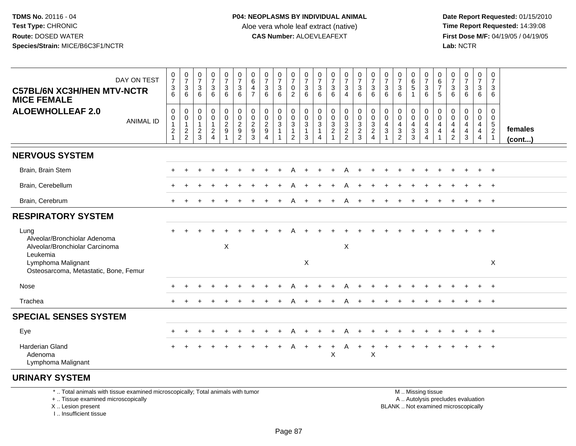**Date Report Requested:** 01/15/2010 **First Dose M/F:** 04/19/05 / 04/19/05<br>Lab: NCTR **Lab:** NCTR

| DAY ON TEST<br><b>C57BL/6N XC3H/HEN MTV-NCTR</b><br><b>MICE FEMALE</b>                                                                                                                            | $\begin{smallmatrix}0\\7\end{smallmatrix}$<br>$\begin{array}{c} 3 \\ 6 \end{array}$ | $\frac{0}{7}$<br>$\mathbf{3}$<br>6                          | 0<br>$\overline{7}$<br>3<br>6                            | $\frac{0}{7}$<br>$\mathbf{3}$<br>6                | $\frac{0}{7}$<br>3<br>6                 | $\frac{0}{7}$<br>$\sqrt{3}$<br>6                               | $\pmb{0}$<br>$\,6\,$<br>$\overline{4}$<br>$\overline{7}$                       | 0<br>$\overline{7}$<br>3<br>6                       | 0<br>$\overline{7}$<br>$\sqrt{3}$<br>6                     | 0<br>$\overline{7}$<br>0<br>2                 | $\frac{0}{7}$<br>$\ensuremath{\mathsf{3}}$<br>6       | 0<br>$\overline{7}$<br>$\mathbf{3}$<br>6                    | 0<br>$\overline{7}$<br>3<br>6           | $\frac{0}{7}$<br>$\mathbf{3}$<br>$\boldsymbol{\Lambda}$ | $\frac{0}{7}$<br>$\mathbf{3}$<br>6      | 0<br>$\overline{7}$<br>3<br>6                                                       | 0<br>$\overline{7}$<br>$\ensuremath{\mathsf{3}}$<br>6 | 0<br>$\overline{7}$<br>3<br>6                              | $\mathbf 0$<br>$^6_5$                                   | 0<br>$\boldsymbol{7}$<br>$\ensuremath{\mathsf{3}}$<br>6 | 0<br>$6\phantom{1}6$<br>$\overline{7}$<br>5                           | 0<br>7<br>3<br>6                                                              | 0<br>$\overline{7}$<br>3<br>6             | 0<br>$\overline{7}$<br>3<br>6    | 0<br>$\overline{7}$<br>3<br>6                                      |                         |
|---------------------------------------------------------------------------------------------------------------------------------------------------------------------------------------------------|-------------------------------------------------------------------------------------|-------------------------------------------------------------|----------------------------------------------------------|---------------------------------------------------|-----------------------------------------|----------------------------------------------------------------|--------------------------------------------------------------------------------|-----------------------------------------------------|------------------------------------------------------------|-----------------------------------------------|-------------------------------------------------------|-------------------------------------------------------------|-----------------------------------------|---------------------------------------------------------|-----------------------------------------|-------------------------------------------------------------------------------------|-------------------------------------------------------|------------------------------------------------------------|---------------------------------------------------------|---------------------------------------------------------|-----------------------------------------------------------------------|-------------------------------------------------------------------------------|-------------------------------------------|----------------------------------|--------------------------------------------------------------------|-------------------------|
| <b>ALOEWHOLLEAF 2.0</b><br><b>ANIMAL ID</b>                                                                                                                                                       | $\mathbf 0$<br>$\boldsymbol{0}$<br>$\overline{1}$<br>$\frac{2}{1}$                  | $\mathbf 0$<br>$\mathbf 0$<br>$\mathbf{1}$<br>$\frac{2}{2}$ | 0<br>0<br>$\overline{1}$<br>$\overline{\mathbf{c}}$<br>3 | 0<br>$\mathbf 0$<br>$\mathbf{1}$<br>$\frac{2}{4}$ | 0<br>$\mathsf 0$<br>$\overline{c}$<br>9 | 0<br>$\mathbf 0$<br>$\begin{array}{c} 2 \\ 9 \\ 2 \end{array}$ | $\mathbf 0$<br>$\mathbf 0$<br>$\sqrt{2}$<br>$\boldsymbol{9}$<br>$\overline{3}$ | 0<br>$\mathbf 0$<br>$\overline{2}$<br>9<br>$\Delta$ | $\mathbf 0$<br>$\mathbf 0$<br>$\mathbf{3}$<br>$\mathbf{1}$ | 0<br>0<br>3<br>$\mathbf{1}$<br>$\overline{2}$ | 0<br>$\pmb{0}$<br>$\overline{3}$<br>$\mathbf{1}$<br>3 | 0<br>$\mathsf{O}\xspace$<br>$\sqrt{3}$<br>$\mathbf{1}$<br>4 | $\mathbf 0$<br>0<br>3<br>$\overline{c}$ | 0<br>$\pmb{0}$<br>$\frac{3}{2}$                         | 0<br>0<br>$\mathbf{3}$<br>$\frac{2}{3}$ | 0<br>$\mathsf{O}\xspace$<br>$\sqrt{3}$<br>$\overline{\mathbf{c}}$<br>$\overline{4}$ | 0<br>0<br>4<br>3                                      | 0<br>0<br>4<br>$\ensuremath{\mathsf{3}}$<br>$\overline{2}$ | 0<br>$\mathbf 0$<br>4<br>$\ensuremath{\mathsf{3}}$<br>3 | 0<br>0<br>4<br>$\sqrt{3}$<br>$\overline{4}$             | $\mathbf{0}$<br>$\mathbf 0$<br>$\overline{4}$<br>$\overline{4}$<br>-1 | $\Omega$<br>$\mathbf 0$<br>$\overline{4}$<br>$\overline{4}$<br>$\overline{c}$ | $\mathbf 0$<br>$\mathbf 0$<br>4<br>4<br>3 | 0<br>$\mathbf{0}$<br>4<br>4<br>4 | 0<br>$\mathbf 0$<br>$\sqrt{5}$<br>$\overline{2}$<br>$\overline{1}$ | females<br>$($ cont $)$ |
| <b>NERVOUS SYSTEM</b>                                                                                                                                                                             |                                                                                     |                                                             |                                                          |                                                   |                                         |                                                                |                                                                                |                                                     |                                                            |                                               |                                                       |                                                             |                                         |                                                         |                                         |                                                                                     |                                                       |                                                            |                                                         |                                                         |                                                                       |                                                                               |                                           |                                  |                                                                    |                         |
| Brain, Brain Stem                                                                                                                                                                                 |                                                                                     |                                                             |                                                          |                                                   |                                         |                                                                |                                                                                |                                                     |                                                            |                                               |                                                       |                                                             |                                         |                                                         |                                         |                                                                                     |                                                       |                                                            |                                                         |                                                         |                                                                       |                                                                               |                                           |                                  | $\overline{+}$                                                     |                         |
| Brain, Cerebellum                                                                                                                                                                                 |                                                                                     |                                                             |                                                          |                                                   |                                         |                                                                |                                                                                |                                                     |                                                            |                                               |                                                       |                                                             |                                         |                                                         |                                         |                                                                                     |                                                       |                                                            |                                                         |                                                         |                                                                       |                                                                               |                                           |                                  | $\overline{+}$                                                     |                         |
| Brain, Cerebrum                                                                                                                                                                                   |                                                                                     |                                                             |                                                          |                                                   |                                         |                                                                |                                                                                |                                                     |                                                            |                                               |                                                       |                                                             |                                         | А                                                       | $\ddot{}$                               |                                                                                     |                                                       |                                                            |                                                         |                                                         |                                                                       |                                                                               |                                           | $\pm$                            | $+$                                                                |                         |
| <b>RESPIRATORY SYSTEM</b>                                                                                                                                                                         |                                                                                     |                                                             |                                                          |                                                   |                                         |                                                                |                                                                                |                                                     |                                                            |                                               |                                                       |                                                             |                                         |                                                         |                                         |                                                                                     |                                                       |                                                            |                                                         |                                                         |                                                                       |                                                                               |                                           |                                  |                                                                    |                         |
| Lung<br>Alveolar/Bronchiolar Adenoma<br>Alveolar/Bronchiolar Carcinoma<br>Leukemia<br>Lymphoma Malignant                                                                                          |                                                                                     |                                                             |                                                          |                                                   | X                                       |                                                                |                                                                                |                                                     |                                                            |                                               | $\sf X$                                               |                                                             |                                         | $\boldsymbol{\mathsf{X}}$                               |                                         |                                                                                     |                                                       |                                                            |                                                         |                                                         |                                                                       |                                                                               |                                           |                                  | $\ddot{}$<br>X                                                     |                         |
| Osteosarcoma, Metastatic, Bone, Femur                                                                                                                                                             |                                                                                     |                                                             |                                                          |                                                   |                                         |                                                                |                                                                                |                                                     |                                                            |                                               |                                                       |                                                             |                                         |                                                         |                                         |                                                                                     |                                                       |                                                            |                                                         |                                                         |                                                                       |                                                                               |                                           |                                  |                                                                    |                         |
| Nose                                                                                                                                                                                              |                                                                                     |                                                             |                                                          |                                                   |                                         |                                                                |                                                                                |                                                     |                                                            |                                               |                                                       |                                                             |                                         |                                                         |                                         |                                                                                     |                                                       |                                                            |                                                         |                                                         |                                                                       |                                                                               |                                           |                                  | $\overline{+}$                                                     |                         |
| Trachea                                                                                                                                                                                           |                                                                                     |                                                             |                                                          |                                                   |                                         |                                                                |                                                                                |                                                     |                                                            |                                               |                                                       |                                                             |                                         |                                                         |                                         |                                                                                     |                                                       |                                                            |                                                         |                                                         |                                                                       |                                                                               |                                           |                                  | $\overline{+}$                                                     |                         |
| <b>SPECIAL SENSES SYSTEM</b>                                                                                                                                                                      |                                                                                     |                                                             |                                                          |                                                   |                                         |                                                                |                                                                                |                                                     |                                                            |                                               |                                                       |                                                             |                                         |                                                         |                                         |                                                                                     |                                                       |                                                            |                                                         |                                                         |                                                                       |                                                                               |                                           |                                  |                                                                    |                         |
| Eye                                                                                                                                                                                               | $\pm$                                                                               |                                                             |                                                          |                                                   |                                         |                                                                |                                                                                |                                                     |                                                            |                                               |                                                       |                                                             | $\div$                                  |                                                         | $\div$                                  |                                                                                     |                                                       |                                                            |                                                         |                                                         |                                                                       |                                                                               |                                           | $\ddot{}$                        | $+$                                                                |                         |
| Harderian Gland<br>Adenoma<br>Lymphoma Malignant                                                                                                                                                  |                                                                                     |                                                             |                                                          |                                                   |                                         |                                                                |                                                                                |                                                     |                                                            | A                                             | $+$                                                   | $\ddot{}$                                                   | +<br>X                                  | Α                                                       | $+$                                     | $\ddot{}$<br>$\boldsymbol{\mathsf{X}}$                                              | $\ddot{}$                                             |                                                            |                                                         |                                                         |                                                                       |                                                                               |                                           | $+$                              | $+$                                                                |                         |
| <b>URINARY SYSTEM</b>                                                                                                                                                                             |                                                                                     |                                                             |                                                          |                                                   |                                         |                                                                |                                                                                |                                                     |                                                            |                                               |                                                       |                                                             |                                         |                                                         |                                         |                                                                                     |                                                       |                                                            |                                                         |                                                         |                                                                       |                                                                               |                                           |                                  |                                                                    |                         |
| *  Total animals with tissue examined microscopically; Total animals with tumor<br>The state in a construction of the second section that the contract of the construction of the contract of the |                                                                                     |                                                             |                                                          |                                                   |                                         |                                                                |                                                                                |                                                     |                                                            |                                               |                                                       |                                                             |                                         |                                                         |                                         |                                                                                     |                                                       |                                                            |                                                         | M  Missing tissue<br>A. Antologia analogical condition  |                                                                       |                                                                               |                                           |                                  |                                                                    |                         |

+ .. Tissue examined microscopically

X .. Lesion present

I .. Insufficient tissue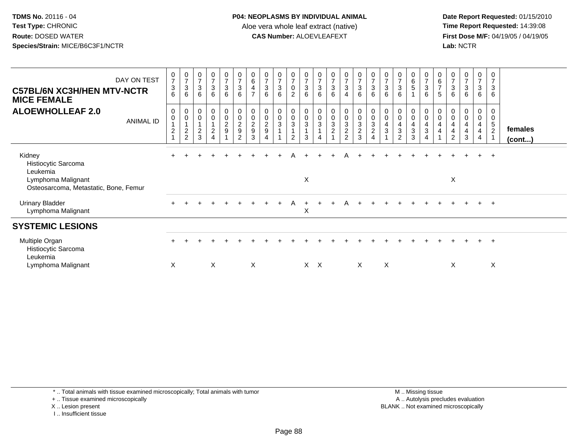**Date Report Requested:** 01/15/2010 **First Dose M/F:** 04/19/05 / 04/19/05<br>Lab: NCTR **Lab:** NCTR

| DAY ON TEST<br><b>C57BL/6N XC3H/HEN MTV-NCTR</b><br><b>MICE FEMALE</b>                                   | $\frac{0}{7}$<br>$\ensuremath{\mathsf{3}}$<br>6                      | $\begin{array}{c} 0 \\ 7 \end{array}$<br>$\mathsf 3$<br>$6\phantom{1}$ | $\begin{array}{c} 0 \\ 7 \end{array}$<br>$\sqrt{3}$<br>6                        | $\begin{array}{c} 0 \\ 7 \\ 3 \end{array}$<br>$6\phantom{a}$ | $\begin{array}{c} 0 \\ 7 \\ 3 \end{array}$<br>6              | 0736                    | $\begin{array}{c} 0 \\ 6 \end{array}$<br>$\overline{\mathbf{4}}$<br>$\overline{7}$ | $\frac{0}{7}$<br>$\ensuremath{\mathsf{3}}$<br>$6\phantom{a}$ | $\frac{0}{7}$<br>$\sqrt{3}$<br>$6\phantom{1}$ | $\frac{0}{7}$<br>$\pmb{0}$<br>$\overline{2}$ | $\frac{0}{7}$<br>$\ensuremath{\mathsf{3}}$<br>$6\phantom{1}$         | $\frac{0}{7}$<br>$\sqrt{3}$<br>6 | $\frac{0}{7}$<br>$\frac{3}{6}$                 | $\begin{array}{c} 0 \\ 7 \\ 3 \end{array}$<br>$\overline{4}$     | $\frac{0}{7}$<br>6 | $\begin{array}{c} 0 \\ 7 \end{array}$<br>$\frac{3}{6}$            | $\frac{0}{7}$<br>3<br>6                 | $\begin{array}{c} 0 \\ 7 \\ 3 \end{array}$<br>$6\phantom{1}$                                            | $\begin{array}{c} 0 \\ 6 \\ 5 \end{array}$<br>$\blacktriangleleft$ | $\begin{array}{c} 0 \\ 7 \\ 3 \end{array}$<br>$6\overline{6}$ | $\begin{array}{c} 0 \\ 6 \\ 7 \end{array}$<br>5                                  | $\frac{0}{7}$<br>$\sqrt{3}$<br>6 | $\frac{0}{7}$<br>$\sqrt{3}$<br>6 | $\frac{0}{7}$<br>3<br>6                           | $\frac{0}{7}$<br>$\mathbf{3}$<br>6               |                   |
|----------------------------------------------------------------------------------------------------------|----------------------------------------------------------------------|------------------------------------------------------------------------|---------------------------------------------------------------------------------|--------------------------------------------------------------|--------------------------------------------------------------|-------------------------|------------------------------------------------------------------------------------|--------------------------------------------------------------|-----------------------------------------------|----------------------------------------------|----------------------------------------------------------------------|----------------------------------|------------------------------------------------|------------------------------------------------------------------|--------------------|-------------------------------------------------------------------|-----------------------------------------|---------------------------------------------------------------------------------------------------------|--------------------------------------------------------------------|---------------------------------------------------------------|----------------------------------------------------------------------------------|----------------------------------|----------------------------------|---------------------------------------------------|--------------------------------------------------|-------------------|
| <b>ALOEWHOLLEAF 2.0</b><br><b>ANIMAL ID</b>                                                              | 0<br>$\pmb{0}$<br>$\mathbf{1}$<br>$\boldsymbol{2}$<br>$\overline{A}$ | 0<br>$\pmb{0}$<br>$\overline{A}$<br>$\sqrt{2}$<br>$\overline{2}$       | $\begin{smallmatrix} 0\\0 \end{smallmatrix}$<br>$\overline{1}$<br>$\frac{2}{3}$ | $_{\rm 0}^{\rm 0}$<br>$\frac{1}{2}$<br>$\overline{4}$        | $\begin{smallmatrix}0\0\0\end{smallmatrix}$<br>$\frac{2}{9}$ | 00029<br>$\overline{c}$ | $\begin{array}{c} 0 \\ 0 \\ 2 \\ 9 \end{array}$<br>3                               | 0<br>$\pmb{0}$<br>$\frac{2}{9}$<br>4                         | $\pmb{0}$<br>$\mathsf 0$<br>$\overline{3}$    | 0<br>$_{3}^{\rm 0}$<br>$\mathbf{1}$<br>2     | $\pmb{0}$<br>$\boldsymbol{0}$<br>$\overline{3}$<br>$\mathbf{1}$<br>3 | 0<br>$\mathbf 0$<br>$\mathbf{3}$ | $\begin{matrix} 0 \\ 0 \\ 3 \\ 2 \end{matrix}$ | $\begin{matrix} 0 \\ 0 \\ 3 \\ 2 \end{matrix}$<br>$\overline{2}$ | $0003$<br>$23$     | $\begin{array}{c} 0 \\ 0 \\ 3 \\ 2 \end{array}$<br>$\overline{4}$ | 0<br>$\mathbf 0$<br>$\overline{4}$<br>3 | $\begin{smallmatrix} 0\\0 \end{smallmatrix}$<br>$\overline{\mathbf{4}}$<br>$\sqrt{3}$<br>$\overline{2}$ | 0<br>$\pmb{0}$<br>$\overline{4}$<br>3<br>3                         | 0<br>$\boldsymbol{0}$<br>4<br>$\sqrt{3}$<br>4                 | $\begin{smallmatrix} 0\\0 \end{smallmatrix}$<br>$\overline{a}$<br>$\overline{4}$ | 0<br>$\mathsf 0$<br>4<br>4<br>2  | 0<br>$\mathbf 0$<br>4<br>4<br>3  | 0<br>$\boldsymbol{0}$<br>4<br>$\overline{4}$<br>4 | 0<br>$\mathbf 0$<br>$\sqrt{5}$<br>$\overline{2}$ | females<br>(cont) |
| Kidney<br>Histiocytic Sarcoma<br>Leukemia<br>Lymphoma Malignant<br>Osteosarcoma, Metastatic, Bone, Femur | $\pm$                                                                |                                                                        |                                                                                 |                                                              |                                                              |                         |                                                                                    |                                                              |                                               | Α                                            | X                                                                    |                                  |                                                | А                                                                | $\div$             |                                                                   |                                         |                                                                                                         |                                                                    | $\pm$                                                         |                                                                                  | X                                |                                  | $\pm$                                             | $+$                                              |                   |
| <b>Urinary Bladder</b><br>Lymphoma Malignant                                                             |                                                                      |                                                                        |                                                                                 |                                                              |                                                              |                         |                                                                                    |                                                              |                                               | A                                            | X                                                                    |                                  |                                                |                                                                  |                    |                                                                   |                                         |                                                                                                         |                                                                    |                                                               |                                                                                  |                                  |                                  |                                                   | $+$                                              |                   |
| <b>SYSTEMIC LESIONS</b>                                                                                  |                                                                      |                                                                        |                                                                                 |                                                              |                                                              |                         |                                                                                    |                                                              |                                               |                                              |                                                                      |                                  |                                                |                                                                  |                    |                                                                   |                                         |                                                                                                         |                                                                    |                                                               |                                                                                  |                                  |                                  |                                                   |                                                  |                   |
| Multiple Organ<br>Histiocytic Sarcoma<br>Leukemia                                                        |                                                                      |                                                                        |                                                                                 |                                                              |                                                              |                         |                                                                                    |                                                              |                                               |                                              |                                                                      |                                  |                                                |                                                                  |                    |                                                                   |                                         |                                                                                                         |                                                                    |                                                               |                                                                                  |                                  |                                  |                                                   | $\div$                                           |                   |
| Lymphoma Malignant                                                                                       | X                                                                    |                                                                        |                                                                                 | X                                                            |                                                              |                         | X                                                                                  |                                                              |                                               |                                              |                                                                      | $X \times$                       |                                                |                                                                  | $\times$           |                                                                   | X                                       |                                                                                                         |                                                                    |                                                               |                                                                                  | X                                |                                  |                                                   | X                                                |                   |

\* .. Total animals with tissue examined microscopically; Total animals with tumor

+ .. Tissue examined microscopically

X .. Lesion present

I .. Insufficient tissue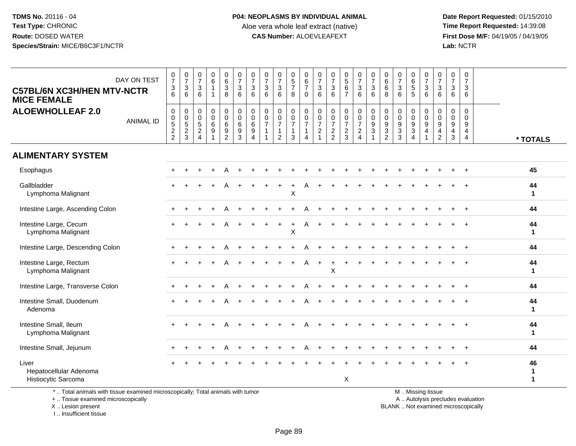**Date Report Requested:** 01/15/2010 **First Dose M/F:** 04/19/05 / 04/19/05<br>Lab: NCTR **Lab:** NCTR

| DAY ON TEST<br><b>C57BL/6N XC3H/HEN MTV-NCTR</b><br><b>MICE FEMALE</b>          | $\frac{0}{7}$<br>$\mathfrak{S}$<br>6                                     | $\begin{array}{c} 0 \\ 7 \end{array}$<br>3<br>6   | 0<br>$\overline{7}$<br>3<br>6            | $\begin{array}{c} 0 \\ 6 \end{array}$<br>$\mathbf{1}$<br>-1             | $\begin{array}{c} 0 \\ 6 \end{array}$<br>$\mathsf 3$<br>8                        | $\frac{0}{7}$<br>$\mathbf{3}$<br>6                   | $\frac{0}{7}$<br>$\mathbf{3}$<br>6                           | $\pmb{0}$<br>$\overline{7}$<br>$\ensuremath{\mathsf{3}}$<br>6                 | $\begin{array}{c} 0 \\ 7 \end{array}$<br>$\ensuremath{\mathsf{3}}$<br>6 | $\begin{array}{c} 0 \\ 5 \end{array}$<br>$\overline{7}$<br>8    | $\pmb{0}$<br>$\,6\,$<br>$\boldsymbol{7}$<br>$\Omega$         | 0<br>$\boldsymbol{7}$<br>$\ensuremath{\mathsf{3}}$<br>6           | $\frac{0}{7}$<br>$\ensuremath{\mathsf{3}}$<br>6             | $\begin{array}{c} 0 \\ 5 \end{array}$<br>$\,6\,$<br>$\overline{7}$  | $\frac{0}{7}$<br>$\ensuremath{\mathsf{3}}$<br>6                           | $\begin{array}{c} 0 \\ 7 \end{array}$<br>$\mathbf{3}$<br>6                                     | $\begin{array}{c} 0 \\ 6 \end{array}$<br>$\,6\,$<br>8                            | $\frac{0}{7}$<br>$\sqrt{3}$<br>6                                       | $_{6}^{\rm 0}$<br>$\sqrt{5}$<br>5                                                 | $\pmb{0}$<br>$\boldsymbol{7}$<br>$\ensuremath{\mathsf{3}}$<br>6 | $\frac{0}{7}$<br>$\ensuremath{\mathsf{3}}$<br>6               | $\pmb{0}$<br>$\overline{7}$<br>3<br>6     | $\pmb{0}$<br>$\overline{7}$<br>3<br>6               |                    |
|---------------------------------------------------------------------------------|--------------------------------------------------------------------------|---------------------------------------------------|------------------------------------------|-------------------------------------------------------------------------|----------------------------------------------------------------------------------|------------------------------------------------------|--------------------------------------------------------------|-------------------------------------------------------------------------------|-------------------------------------------------------------------------|-----------------------------------------------------------------|--------------------------------------------------------------|-------------------------------------------------------------------|-------------------------------------------------------------|---------------------------------------------------------------------|---------------------------------------------------------------------------|------------------------------------------------------------------------------------------------|----------------------------------------------------------------------------------|------------------------------------------------------------------------|-----------------------------------------------------------------------------------|-----------------------------------------------------------------|---------------------------------------------------------------|-------------------------------------------|-----------------------------------------------------|--------------------|
| <b>ALOEWHOLLEAF 2.0</b><br><b>ANIMAL ID</b>                                     | $\pmb{0}$<br>$\begin{smallmatrix}0\\5\end{smallmatrix}$<br>$\frac{2}{2}$ | 0<br>$\pmb{0}$<br>$\overline{5}$<br>$\frac{2}{3}$ | $\mathbf 0$<br>0<br>$\sqrt{5}$<br>$_4^2$ | $\pmb{0}$<br>$\pmb{0}$<br>$\,6\,$<br>$\boldsymbol{9}$<br>$\overline{1}$ | $\boldsymbol{0}$<br>$\mathbf 0$<br>$\,6\,$<br>$\boldsymbol{9}$<br>$\overline{2}$ | $\mathbf 0$<br>$\mathbf 0$<br>6<br>9<br>$\mathbf{3}$ | $\mathbf 0$<br>$\mathbf 0$<br>$\,6\,$<br>9<br>$\overline{4}$ | 0<br>$\pmb{0}$<br>$\overline{7}$<br>$\overline{1}$<br>$\overline{\mathbf{1}}$ | $\pmb{0}$<br>$\frac{0}{7}$<br>$\mathbf 1$<br>$\overline{2}$             | 0<br>$\pmb{0}$<br>$\overline{7}$<br>$\mathbf 1$<br>$\mathbf{3}$ | $\pmb{0}$<br>$\frac{0}{7}$<br>$\mathbf{1}$<br>$\overline{4}$ | $\mathbf 0$<br>$\pmb{0}$<br>$\overline{7}$<br>$\overline{c}$<br>1 | $\mathsf 0$<br>$\pmb{0}$<br>$\overline{7}$<br>$\frac{2}{2}$ | $\mathsf{O}\xspace$<br>$\pmb{0}$<br>$\overline{7}$<br>$\frac{2}{3}$ | $\begin{matrix} 0 \\ 0 \\ 7 \end{matrix}$<br>$\sqrt{2}$<br>$\overline{4}$ | $\begin{smallmatrix} 0\\0 \end{smallmatrix}$<br>$\overline{9}$<br>$\sqrt{3}$<br>$\overline{1}$ | $\mathbf 0$<br>$\pmb{0}$<br>$9\,$<br>$\ensuremath{\mathsf{3}}$<br>$\overline{c}$ | 0<br>$\mathbf 0$<br>$\boldsymbol{9}$<br>$\ensuremath{\mathsf{3}}$<br>3 | 0<br>$\pmb{0}$<br>$\boldsymbol{9}$<br>$\ensuremath{\mathsf{3}}$<br>$\overline{4}$ | $\mathbf 0$<br>$\mathbf 0$<br>$\mathsf g$<br>$\overline{4}$     | 0<br>$\mathbf 0$<br>$9\,$<br>$\overline{4}$<br>$\overline{c}$ | $\mathbf 0$<br>$\mathbf 0$<br>9<br>4<br>3 | $\mathbf 0$<br>$\Omega$<br>9<br>4<br>$\overline{4}$ | * TOTALS           |
| <b>ALIMENTARY SYSTEM</b>                                                        |                                                                          |                                                   |                                          |                                                                         |                                                                                  |                                                      |                                                              |                                                                               |                                                                         |                                                                 |                                                              |                                                                   |                                                             |                                                                     |                                                                           |                                                                                                |                                                                                  |                                                                        |                                                                                   |                                                                 |                                                               |                                           |                                                     |                    |
| Esophagus                                                                       |                                                                          |                                                   |                                          |                                                                         |                                                                                  |                                                      |                                                              |                                                                               |                                                                         |                                                                 |                                                              |                                                                   |                                                             |                                                                     |                                                                           |                                                                                                |                                                                                  |                                                                        |                                                                                   |                                                                 |                                                               |                                           |                                                     | 45                 |
| Gallbladder<br>Lymphoma Malignant                                               |                                                                          |                                                   |                                          |                                                                         |                                                                                  |                                                      |                                                              |                                                                               |                                                                         | X                                                               |                                                              |                                                                   |                                                             |                                                                     |                                                                           |                                                                                                |                                                                                  |                                                                        |                                                                                   |                                                                 |                                                               |                                           |                                                     | 44<br>$\mathbf 1$  |
| Intestine Large, Ascending Colon                                                |                                                                          |                                                   |                                          |                                                                         |                                                                                  |                                                      |                                                              |                                                                               |                                                                         |                                                                 |                                                              |                                                                   |                                                             |                                                                     |                                                                           |                                                                                                |                                                                                  |                                                                        |                                                                                   |                                                                 |                                                               |                                           |                                                     | 44                 |
| Intestine Large, Cecum<br>Lymphoma Malignant                                    |                                                                          |                                                   |                                          |                                                                         |                                                                                  |                                                      |                                                              |                                                                               |                                                                         | X                                                               |                                                              |                                                                   |                                                             |                                                                     |                                                                           |                                                                                                |                                                                                  |                                                                        |                                                                                   |                                                                 |                                                               |                                           |                                                     | 44<br>1            |
| Intestine Large, Descending Colon                                               |                                                                          |                                                   |                                          |                                                                         |                                                                                  |                                                      |                                                              |                                                                               |                                                                         |                                                                 |                                                              |                                                                   |                                                             |                                                                     |                                                                           |                                                                                                |                                                                                  |                                                                        |                                                                                   |                                                                 |                                                               |                                           |                                                     | 44                 |
| Intestine Large, Rectum<br>Lymphoma Malignant                                   | $+$                                                                      |                                                   |                                          |                                                                         | A                                                                                |                                                      |                                                              |                                                                               |                                                                         | $\ddot{}$                                                       | A                                                            | $\ddot{}$                                                         | Х                                                           |                                                                     |                                                                           |                                                                                                |                                                                                  |                                                                        |                                                                                   |                                                                 |                                                               |                                           |                                                     | 44<br>1            |
| Intestine Large, Transverse Colon                                               |                                                                          |                                                   |                                          |                                                                         |                                                                                  |                                                      |                                                              |                                                                               |                                                                         |                                                                 |                                                              |                                                                   |                                                             |                                                                     |                                                                           |                                                                                                |                                                                                  |                                                                        |                                                                                   |                                                                 |                                                               |                                           |                                                     | 44                 |
| Intestine Small, Duodenum<br>Adenoma                                            |                                                                          |                                                   |                                          |                                                                         |                                                                                  |                                                      |                                                              |                                                                               |                                                                         |                                                                 |                                                              |                                                                   |                                                             |                                                                     |                                                                           |                                                                                                |                                                                                  |                                                                        |                                                                                   |                                                                 |                                                               |                                           |                                                     | 44<br>$\mathbf{1}$ |
| Intestine Small, Ileum<br>Lymphoma Malignant                                    |                                                                          |                                                   |                                          |                                                                         |                                                                                  |                                                      |                                                              |                                                                               |                                                                         |                                                                 |                                                              |                                                                   |                                                             |                                                                     |                                                                           |                                                                                                |                                                                                  |                                                                        |                                                                                   |                                                                 |                                                               |                                           |                                                     | 44<br>1            |
| Intestine Small, Jejunum                                                        |                                                                          |                                                   |                                          |                                                                         |                                                                                  |                                                      |                                                              |                                                                               |                                                                         |                                                                 |                                                              |                                                                   |                                                             |                                                                     |                                                                           |                                                                                                |                                                                                  |                                                                        |                                                                                   |                                                                 |                                                               |                                           |                                                     | 44                 |
| Liver<br>Hepatocellular Adenoma<br>Histiocytic Sarcoma                          |                                                                          |                                                   |                                          |                                                                         |                                                                                  |                                                      |                                                              |                                                                               |                                                                         |                                                                 |                                                              |                                                                   |                                                             | X                                                                   |                                                                           |                                                                                                |                                                                                  |                                                                        |                                                                                   |                                                                 |                                                               |                                           |                                                     | 46<br>1<br>1       |
| *  Total animals with tissue examined microscopically; Total animals with tumor |                                                                          |                                                   |                                          |                                                                         |                                                                                  |                                                      |                                                              |                                                                               |                                                                         |                                                                 |                                                              |                                                                   |                                                             |                                                                     |                                                                           |                                                                                                |                                                                                  |                                                                        |                                                                                   | M  Missing tissue                                               |                                                               |                                           |                                                     |                    |

Total animals with tissue examined microscopically; Total animals with tumor

+ .. Tissue examined microscopically

X .. Lesion present

I .. Insufficient tissue

y the contract of the contract of the contract of the contract of the contract of the contract of the contract of  $A$ . Autolysis precludes evaluation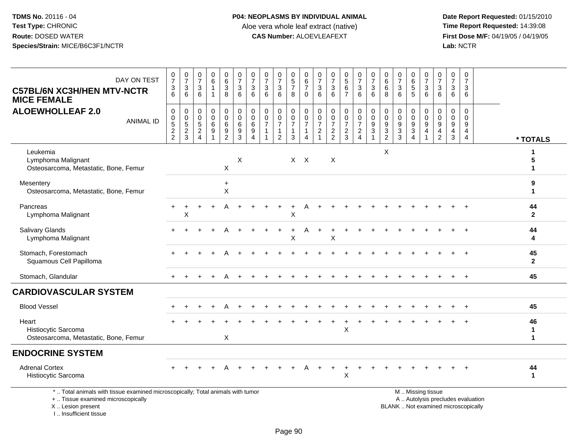**Date Report Requested:** 01/15/2010 **First Dose M/F:** 04/19/05 / 04/19/05<br>Lab: NCTR **Lab:** NCTR

| DAY ON TEST<br><b>C57BL/6N XC3H/HEN MTV-NCTR</b><br><b>MICE FEMALE</b>                                                                     | $\frac{0}{7}$<br>$\frac{3}{6}$                                            | $\frac{0}{7}$<br>$\frac{3}{6}$         | $\frac{0}{7}$<br>3<br>6                                    | 0<br>$\,6\,$<br>$\mathbf{1}$<br>$\overline{1}$                              | $\begin{array}{c} 0 \\ 6 \end{array}$<br>$\mathbf{3}$<br>8 | $\frac{0}{7}$<br>$\mathbf{3}$<br>6                            | $\frac{0}{7}$<br>3<br>6                                             | 0<br>$\overline{7}$<br>$\mathbf{3}$<br>6 | $\frac{0}{7}$<br>$\ensuremath{\mathsf{3}}$<br>6                                | 0<br>$\overline{5}$<br>$\overline{7}$<br>8                | 0<br>$\,6\,$<br>$\overline{7}$<br>$\Omega$                             | 0<br>$\overline{7}$<br>3<br>6                             | 0<br>$\overline{7}$<br>$\ensuremath{\mathsf{3}}$<br>6 | $^{\rm 0}_{\rm 5}$<br>$\,6\,$<br>$\overline{7}$                        | $\begin{array}{c} 0 \\ 7 \end{array}$<br>3<br>6                        | $\frac{0}{7}$<br>$\sqrt{3}$<br>6                                                  | 0<br>$\,6\,$<br>6<br>8                                | 0<br>$\overline{7}$<br>3<br>6                                     | 0<br>$\overline{6}$<br>5<br>$\overline{5}$                | 0<br>$\overline{7}$<br>$\ensuremath{\mathsf{3}}$<br>6    | $\frac{0}{7}$<br>$\mathbf{3}$<br>6                                                 | 0<br>$\overline{7}$<br>3<br>6                          | 0<br>$\overline{7}$<br>3<br>6                                       |                                   |                                   |
|--------------------------------------------------------------------------------------------------------------------------------------------|---------------------------------------------------------------------------|----------------------------------------|------------------------------------------------------------|-----------------------------------------------------------------------------|------------------------------------------------------------|---------------------------------------------------------------|---------------------------------------------------------------------|------------------------------------------|--------------------------------------------------------------------------------|-----------------------------------------------------------|------------------------------------------------------------------------|-----------------------------------------------------------|-------------------------------------------------------|------------------------------------------------------------------------|------------------------------------------------------------------------|-----------------------------------------------------------------------------------|-------------------------------------------------------|-------------------------------------------------------------------|-----------------------------------------------------------|----------------------------------------------------------|------------------------------------------------------------------------------------|--------------------------------------------------------|---------------------------------------------------------------------|-----------------------------------|-----------------------------------|
| <b>ALOEWHOLLEAF 2.0</b><br><b>ANIMAL ID</b>                                                                                                | $\pmb{0}$<br>$\begin{array}{c} 0 \\ 5 \\ 2 \end{array}$<br>$\overline{2}$ | 0<br>$\mathsf 0$<br>$\frac{5}{2}$<br>3 | 0<br>0<br>$\sqrt{5}$<br>$\boldsymbol{2}$<br>$\overline{4}$ | $\mathbf 0$<br>$\mathbf 0$<br>$\,6\,$<br>$\boldsymbol{9}$<br>$\overline{1}$ | 0<br>$\mathbf 0$<br>6<br>9<br>$\overline{2}$               | 0<br>$\mathbf 0$<br>$\,6\,$<br>$\overline{9}$<br>$\mathbf{3}$ | $\mathbf 0$<br>$\mathbf 0$<br>6<br>$\overline{9}$<br>$\overline{4}$ | 0<br>$\mathbf 0$<br>7<br>$\mathbf{1}$    | $\mathbf 0$<br>$\mathbf 0$<br>$\overline{7}$<br>$\mathbf{1}$<br>$\overline{2}$ | 0<br>$\mathbf 0$<br>$\overline{7}$<br>$\overline{1}$<br>3 | $\pmb{0}$<br>$\boldsymbol{0}$<br>$\overline{7}$<br>$\overline{1}$<br>4 | 0<br>$\mathbf 0$<br>$\overline{7}$<br>$\overline{c}$<br>1 | $\mathbf 0$<br>0<br>$\overline{7}$<br>$\frac{2}{2}$   | $\boldsymbol{0}$<br>$\pmb{0}$<br>$\overline{7}$<br>$\overline{c}$<br>3 | 0<br>$\mathbf 0$<br>$\overline{7}$<br>$\overline{a}$<br>$\overline{4}$ | $_{\rm 0}^{\rm 0}$<br>$\overline{9}$<br>$\overline{3}$<br>$\overline{\mathbf{1}}$ | 0<br>$\mathbf 0$<br>9<br>$\sqrt{3}$<br>$\overline{2}$ | $\mathbf 0$<br>$\mathbf 0$<br>$\boldsymbol{9}$<br>$\sqrt{3}$<br>3 | 0<br>$\pmb{0}$<br>$\boldsymbol{9}$<br>$\overline{3}$<br>4 | 0<br>0<br>$\boldsymbol{9}$<br>$\overline{4}$             | $\mathbf 0$<br>$\mathbf 0$<br>$\boldsymbol{9}$<br>$\overline{4}$<br>$\overline{2}$ | $\mathbf 0$<br>$\mathbf 0$<br>9<br>$\overline{4}$<br>3 | $\mathbf 0$<br>$\mathbf 0$<br>9<br>$\overline{4}$<br>$\overline{4}$ |                                   | * TOTALS                          |
| Leukemia<br>Lymphoma Malignant<br>Osteosarcoma, Metastatic, Bone, Femur                                                                    |                                                                           |                                        |                                                            |                                                                             | X                                                          | X                                                             |                                                                     |                                          |                                                                                |                                                           | $X$ $X$                                                                |                                                           | $\boldsymbol{\mathsf{X}}$                             |                                                                        |                                                                        |                                                                                   | X                                                     |                                                                   |                                                           |                                                          |                                                                                    |                                                        |                                                                     |                                   | -1<br>$\mathbf{1}$                |
| Mesentery<br>Osteosarcoma, Metastatic, Bone, Femur                                                                                         |                                                                           |                                        |                                                            |                                                                             | $\ddot{}$<br>X                                             |                                                               |                                                                     |                                          |                                                                                |                                                           |                                                                        |                                                           |                                                       |                                                                        |                                                                        |                                                                                   |                                                       |                                                                   |                                                           |                                                          |                                                                                    |                                                        |                                                                     |                                   | 9<br>1                            |
| Pancreas<br>Lymphoma Malignant                                                                                                             |                                                                           | X                                      |                                                            |                                                                             |                                                            |                                                               |                                                                     |                                          |                                                                                | $\pmb{\times}$                                            |                                                                        |                                                           |                                                       |                                                                        |                                                                        |                                                                                   |                                                       |                                                                   |                                                           |                                                          |                                                                                    |                                                        |                                                                     |                                   | 44<br>$\mathbf{2}$                |
| <b>Salivary Glands</b><br>Lymphoma Malignant                                                                                               |                                                                           |                                        |                                                            |                                                                             |                                                            |                                                               |                                                                     |                                          |                                                                                | X                                                         |                                                                        |                                                           | Χ                                                     |                                                                        |                                                                        |                                                                                   |                                                       |                                                                   |                                                           |                                                          |                                                                                    |                                                        |                                                                     |                                   | 44<br>4                           |
| Stomach, Forestomach<br>Squamous Cell Papilloma                                                                                            |                                                                           |                                        |                                                            |                                                                             |                                                            |                                                               |                                                                     |                                          |                                                                                |                                                           |                                                                        |                                                           |                                                       |                                                                        |                                                                        |                                                                                   |                                                       |                                                                   |                                                           |                                                          |                                                                                    |                                                        |                                                                     |                                   | 45<br>$\overline{2}$              |
| Stomach, Glandular                                                                                                                         |                                                                           |                                        |                                                            |                                                                             |                                                            |                                                               |                                                                     |                                          |                                                                                |                                                           |                                                                        |                                                           |                                                       |                                                                        |                                                                        |                                                                                   |                                                       |                                                                   |                                                           |                                                          |                                                                                    |                                                        |                                                                     |                                   | 45                                |
| <b>CARDIOVASCULAR SYSTEM</b>                                                                                                               |                                                                           |                                        |                                                            |                                                                             |                                                            |                                                               |                                                                     |                                          |                                                                                |                                                           |                                                                        |                                                           |                                                       |                                                                        |                                                                        |                                                                                   |                                                       |                                                                   |                                                           |                                                          |                                                                                    |                                                        |                                                                     |                                   |                                   |
| <b>Blood Vessel</b>                                                                                                                        |                                                                           |                                        |                                                            |                                                                             |                                                            |                                                               |                                                                     |                                          |                                                                                |                                                           |                                                                        |                                                           |                                                       |                                                                        |                                                                        |                                                                                   |                                                       |                                                                   |                                                           |                                                          |                                                                                    |                                                        |                                                                     |                                   | 45                                |
| Heart<br>Histiocytic Sarcoma<br>Osteosarcoma, Metastatic, Bone, Femur                                                                      |                                                                           |                                        |                                                            |                                                                             | X                                                          |                                                               |                                                                     |                                          |                                                                                |                                                           |                                                                        |                                                           |                                                       | X                                                                      |                                                                        |                                                                                   |                                                       |                                                                   |                                                           |                                                          |                                                                                    |                                                        |                                                                     |                                   | 46<br>$\mathbf 1$<br>$\mathbf{1}$ |
| <b>ENDOCRINE SYSTEM</b>                                                                                                                    |                                                                           |                                        |                                                            |                                                                             |                                                            |                                                               |                                                                     |                                          |                                                                                |                                                           |                                                                        |                                                           |                                                       |                                                                        |                                                                        |                                                                                   |                                                       |                                                                   |                                                           |                                                          |                                                                                    |                                                        |                                                                     |                                   |                                   |
| <b>Adrenal Cortex</b><br>Histiocytic Sarcoma                                                                                               |                                                                           |                                        |                                                            |                                                                             |                                                            |                                                               |                                                                     |                                          |                                                                                |                                                           |                                                                        |                                                           |                                                       | X                                                                      |                                                                        |                                                                                   |                                                       |                                                                   |                                                           |                                                          |                                                                                    |                                                        |                                                                     |                                   | 44<br>$\mathbf{1}$                |
| *  Total animals with tissue examined microscopically; Total animals with tumor<br>+  Tissue examined microscopically<br>X  Lesion present |                                                                           |                                        |                                                            |                                                                             |                                                            |                                                               |                                                                     |                                          |                                                                                |                                                           |                                                                        |                                                           |                                                       |                                                                        |                                                                        |                                                                                   |                                                       |                                                                   |                                                           | M  Missing tissue<br>BLANK  Not examined microscopically |                                                                                    |                                                        |                                                                     | A  Autolysis precludes evaluation |                                   |

X .. Lesion present I .. Insufficient tissue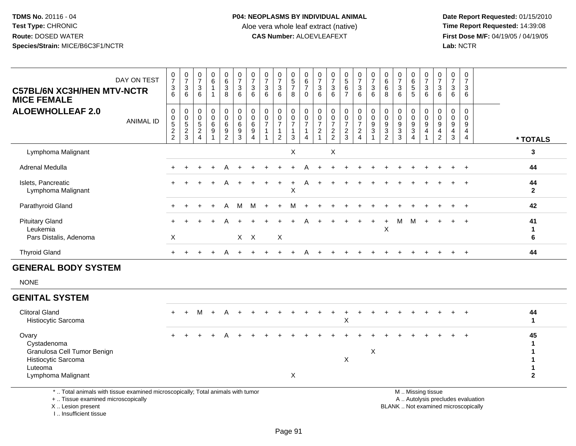**Date Report Requested:** 01/15/2010 **First Dose M/F:** 04/19/05 / 04/19/05<br>Lab: NCTR **Lab:** NCTR

| $\boldsymbol{0}$<br>$\frac{0}{7}$<br>$\begin{array}{c} 0 \\ 5 \\ 7 \end{array}$<br>0<br>$\begin{array}{c} 0 \\ 6 \end{array}$<br>$\frac{0}{7}$<br>$\frac{0}{7}$<br>$\frac{0}{7}$<br>0<br>0<br>0<br>$\frac{0}{7}$<br>$\frac{0}{7}$<br>$\frac{0}{7}$<br>0<br>$\frac{0}{7}$<br>0<br>$\begin{array}{c} 0 \\ 5 \end{array}$<br>$\frac{0}{7}$<br>$\frac{0}{7}$<br>0<br>$\frac{0}{7}$<br>0<br>DAY ON TEST<br>$\overline{7}$<br>$\overline{7}$<br>6<br>$\overline{7}$<br>$6\phantom{a}$<br>$\overline{7}$<br>$6\phantom{a}$<br>$\overline{7}$<br>6<br>$\mathbf{3}$<br>$6\phantom{1}$<br>$\mathbf{3}$<br>$\ensuremath{\mathsf{3}}$<br>$\sqrt{3}$<br>$\sqrt{3}$<br>$\overline{7}$<br>$\mathbf{3}$<br>$\sqrt{5}$<br>$\mathbf{3}$<br>$\ensuremath{\mathsf{3}}$<br>$\sqrt{3}$<br>$\mathbf{3}$<br>$\mathbf{3}$<br>$\sqrt{3}$<br>$\mathbf{3}$<br>$\,6\,$<br>3<br>3<br>$\mathbf{3}$<br>3<br>6<br>$6^{\circ}$<br>$6^{\circ}$<br>6<br>$6\phantom{1}$<br>6<br>$\overline{7}$<br>6<br>6<br>6<br>6<br>$\bf8$<br>6<br>6<br>8<br>6<br>8<br>$\mathbf 0$<br>6<br>5<br>6<br>6<br>$\mathbf{1}$<br>$\mathbf 0$<br>$\pmb{0}$<br>$\mathbf 0$<br>$\mathbf 0$<br>0<br>$\mathbf 0$<br>$\mathbf 0$<br>$\mathbf 0$<br>0<br>0<br>0<br>0<br>$\mathbf 0$<br>0<br>0<br>0<br>0<br>0<br>0<br>0<br>0<br>0<br>0<br>$\ddot{\mathbf{0}}$<br>$\mathbf 0$<br>$\mathbf 0$<br>$\mathbf 0$<br>$\mathbf 0$<br>$\mathbf 0$<br>$\mathsf{O}$<br>$\mathbf 0$<br>$0$<br>$5$<br>$2$<br>$2$<br>0<br>$\mathbf 0$<br>0<br>$\mathbf 0$<br>$\mathbf 0$<br>$\mathbf 0$<br>0<br>$\mathbf 0$<br>$\mathbf 0$<br>0<br>$\mathbf 0$<br>$\mathbf 0$<br>$\mathbf 0$<br>$\mathbf 0$<br><b>ANIMAL ID</b><br>$\overline{7}$<br>5<br>$\overline{7}$<br>$\boldsymbol{9}$<br>$\,$ 5 $\,$<br>6<br>6<br>$\overline{7}$<br>$\overline{7}$<br>$\overline{7}$<br>$\overline{7}$<br>$\overline{7}$<br>9<br>9<br>$9\,$<br>9<br>9<br>9<br>6<br>6<br>$\overline{7}$<br>9<br>$\frac{2}{1}$<br>$\frac{3}{2}$<br>$\boldsymbol{2}$<br>$\boldsymbol{2}$<br>$\boldsymbol{9}$<br>$\boldsymbol{9}$<br>$\overline{a}$<br>$\mathbf 3$<br>$\mathsf 3$<br>9<br>9<br>$\overline{a}$<br>$\frac{2}{3}$<br>$\mathbf{3}$<br>4<br>$\overline{4}$<br>$\mathbf{1}$<br>$\mathbf 1$<br>$\overline{1}$<br>4<br>4<br>3<br>3<br>$\overline{2}$<br>$\overline{2}$<br>$\overline{4}$<br>2<br>$\overline{4}$<br>$\overline{2}$<br>3<br>$\overline{4}$<br>3<br>$\overline{4}$<br>3<br>$\overline{4}$<br>1<br>1<br>4<br>1<br>* TOTALS<br>X<br>X<br>$\mathbf{3}$<br>44<br>$\ddot{}$<br>44<br>$\sf X$<br>$\mathbf{2}$<br>42<br>M<br>M<br>м<br>Α<br>$\ddot{}$<br>$\div$<br>41<br>м<br>м<br>$\div$<br>$\mathsf X$<br>1<br>$X$ $X$<br>X<br>X<br>6<br>44<br>$\ddot{}$<br>$\pm$<br>44<br>м<br>$+$<br>$+$<br>X<br>$\blacktriangleleft$<br>45<br>$\boldsymbol{\mathsf{X}}$<br>$\mathsf X$<br>$\boldsymbol{\mathsf{X}}$<br>$\overline{2}$<br>* Total onimals with tigaus oversined microscopically: Total onimals with tumor<br>M. Micripa tionup |                                                                                       |  |  |  |  |  |  |  |  |  |  |  |  |  |
|---------------------------------------------------------------------------------------------------------------------------------------------------------------------------------------------------------------------------------------------------------------------------------------------------------------------------------------------------------------------------------------------------------------------------------------------------------------------------------------------------------------------------------------------------------------------------------------------------------------------------------------------------------------------------------------------------------------------------------------------------------------------------------------------------------------------------------------------------------------------------------------------------------------------------------------------------------------------------------------------------------------------------------------------------------------------------------------------------------------------------------------------------------------------------------------------------------------------------------------------------------------------------------------------------------------------------------------------------------------------------------------------------------------------------------------------------------------------------------------------------------------------------------------------------------------------------------------------------------------------------------------------------------------------------------------------------------------------------------------------------------------------------------------------------------------------------------------------------------------------------------------------------------------------------------------------------------------------------------------------------------------------------------------------------------------------------------------------------------------------------------------------------------------------------------------------------------------------------------------------------------------------------------------------------------------------------------------------------------------------------------------------------------------------------------------------------------------------------------------------------------------------------------------------------------------------------------------------------------------------------------------------------------------------------------------------------------------------------------------------------------------------------------------------------------------------------------------------------------------------------------------------------------------------|---------------------------------------------------------------------------------------|--|--|--|--|--|--|--|--|--|--|--|--|--|
|                                                                                                                                                                                                                                                                                                                                                                                                                                                                                                                                                                                                                                                                                                                                                                                                                                                                                                                                                                                                                                                                                                                                                                                                                                                                                                                                                                                                                                                                                                                                                                                                                                                                                                                                                                                                                                                                                                                                                                                                                                                                                                                                                                                                                                                                                                                                                                                                                                                                                                                                                                                                                                                                                                                                                                                                                                                                                                                     | <b>C57BL/6N XC3H/HEN MTV-NCTR</b><br><b>MICE FEMALE</b>                               |  |  |  |  |  |  |  |  |  |  |  |  |  |
|                                                                                                                                                                                                                                                                                                                                                                                                                                                                                                                                                                                                                                                                                                                                                                                                                                                                                                                                                                                                                                                                                                                                                                                                                                                                                                                                                                                                                                                                                                                                                                                                                                                                                                                                                                                                                                                                                                                                                                                                                                                                                                                                                                                                                                                                                                                                                                                                                                                                                                                                                                                                                                                                                                                                                                                                                                                                                                                     | <b>ALOEWHOLLEAF 2.0</b>                                                               |  |  |  |  |  |  |  |  |  |  |  |  |  |
|                                                                                                                                                                                                                                                                                                                                                                                                                                                                                                                                                                                                                                                                                                                                                                                                                                                                                                                                                                                                                                                                                                                                                                                                                                                                                                                                                                                                                                                                                                                                                                                                                                                                                                                                                                                                                                                                                                                                                                                                                                                                                                                                                                                                                                                                                                                                                                                                                                                                                                                                                                                                                                                                                                                                                                                                                                                                                                                     | Lymphoma Malignant                                                                    |  |  |  |  |  |  |  |  |  |  |  |  |  |
|                                                                                                                                                                                                                                                                                                                                                                                                                                                                                                                                                                                                                                                                                                                                                                                                                                                                                                                                                                                                                                                                                                                                                                                                                                                                                                                                                                                                                                                                                                                                                                                                                                                                                                                                                                                                                                                                                                                                                                                                                                                                                                                                                                                                                                                                                                                                                                                                                                                                                                                                                                                                                                                                                                                                                                                                                                                                                                                     | Adrenal Medulla                                                                       |  |  |  |  |  |  |  |  |  |  |  |  |  |
|                                                                                                                                                                                                                                                                                                                                                                                                                                                                                                                                                                                                                                                                                                                                                                                                                                                                                                                                                                                                                                                                                                                                                                                                                                                                                                                                                                                                                                                                                                                                                                                                                                                                                                                                                                                                                                                                                                                                                                                                                                                                                                                                                                                                                                                                                                                                                                                                                                                                                                                                                                                                                                                                                                                                                                                                                                                                                                                     | Islets, Pancreatic<br>Lymphoma Malignant                                              |  |  |  |  |  |  |  |  |  |  |  |  |  |
|                                                                                                                                                                                                                                                                                                                                                                                                                                                                                                                                                                                                                                                                                                                                                                                                                                                                                                                                                                                                                                                                                                                                                                                                                                                                                                                                                                                                                                                                                                                                                                                                                                                                                                                                                                                                                                                                                                                                                                                                                                                                                                                                                                                                                                                                                                                                                                                                                                                                                                                                                                                                                                                                                                                                                                                                                                                                                                                     | Parathyroid Gland                                                                     |  |  |  |  |  |  |  |  |  |  |  |  |  |
|                                                                                                                                                                                                                                                                                                                                                                                                                                                                                                                                                                                                                                                                                                                                                                                                                                                                                                                                                                                                                                                                                                                                                                                                                                                                                                                                                                                                                                                                                                                                                                                                                                                                                                                                                                                                                                                                                                                                                                                                                                                                                                                                                                                                                                                                                                                                                                                                                                                                                                                                                                                                                                                                                                                                                                                                                                                                                                                     | <b>Pituitary Gland</b><br>Leukemia<br>Pars Distalis, Adenoma                          |  |  |  |  |  |  |  |  |  |  |  |  |  |
|                                                                                                                                                                                                                                                                                                                                                                                                                                                                                                                                                                                                                                                                                                                                                                                                                                                                                                                                                                                                                                                                                                                                                                                                                                                                                                                                                                                                                                                                                                                                                                                                                                                                                                                                                                                                                                                                                                                                                                                                                                                                                                                                                                                                                                                                                                                                                                                                                                                                                                                                                                                                                                                                                                                                                                                                                                                                                                                     | <b>Thyroid Gland</b>                                                                  |  |  |  |  |  |  |  |  |  |  |  |  |  |
|                                                                                                                                                                                                                                                                                                                                                                                                                                                                                                                                                                                                                                                                                                                                                                                                                                                                                                                                                                                                                                                                                                                                                                                                                                                                                                                                                                                                                                                                                                                                                                                                                                                                                                                                                                                                                                                                                                                                                                                                                                                                                                                                                                                                                                                                                                                                                                                                                                                                                                                                                                                                                                                                                                                                                                                                                                                                                                                     | <b>GENERAL BODY SYSTEM</b><br><b>NONE</b>                                             |  |  |  |  |  |  |  |  |  |  |  |  |  |
|                                                                                                                                                                                                                                                                                                                                                                                                                                                                                                                                                                                                                                                                                                                                                                                                                                                                                                                                                                                                                                                                                                                                                                                                                                                                                                                                                                                                                                                                                                                                                                                                                                                                                                                                                                                                                                                                                                                                                                                                                                                                                                                                                                                                                                                                                                                                                                                                                                                                                                                                                                                                                                                                                                                                                                                                                                                                                                                     | <b>GENITAL SYSTEM</b>                                                                 |  |  |  |  |  |  |  |  |  |  |  |  |  |
|                                                                                                                                                                                                                                                                                                                                                                                                                                                                                                                                                                                                                                                                                                                                                                                                                                                                                                                                                                                                                                                                                                                                                                                                                                                                                                                                                                                                                                                                                                                                                                                                                                                                                                                                                                                                                                                                                                                                                                                                                                                                                                                                                                                                                                                                                                                                                                                                                                                                                                                                                                                                                                                                                                                                                                                                                                                                                                                     | <b>Clitoral Gland</b><br>Histiocytic Sarcoma                                          |  |  |  |  |  |  |  |  |  |  |  |  |  |
|                                                                                                                                                                                                                                                                                                                                                                                                                                                                                                                                                                                                                                                                                                                                                                                                                                                                                                                                                                                                                                                                                                                                                                                                                                                                                                                                                                                                                                                                                                                                                                                                                                                                                                                                                                                                                                                                                                                                                                                                                                                                                                                                                                                                                                                                                                                                                                                                                                                                                                                                                                                                                                                                                                                                                                                                                                                                                                                     | Ovary<br>Cystadenoma<br>Granulosa Cell Tumor Benign<br>Histiocytic Sarcoma<br>Luteoma |  |  |  |  |  |  |  |  |  |  |  |  |  |
|                                                                                                                                                                                                                                                                                                                                                                                                                                                                                                                                                                                                                                                                                                                                                                                                                                                                                                                                                                                                                                                                                                                                                                                                                                                                                                                                                                                                                                                                                                                                                                                                                                                                                                                                                                                                                                                                                                                                                                                                                                                                                                                                                                                                                                                                                                                                                                                                                                                                                                                                                                                                                                                                                                                                                                                                                                                                                                                     | Lymphoma Malignant                                                                    |  |  |  |  |  |  |  |  |  |  |  |  |  |

\* .. Total animals with tissue examined microscopically; Total animals with tumor

+ .. Tissue examined microscopically

X .. Lesion present

I .. Insufficient tissue

M .. Missing tissue

y the contract of the contract of the contract of the contract of the contract of the contract of the contract of  $A$ . Autolysis precludes evaluation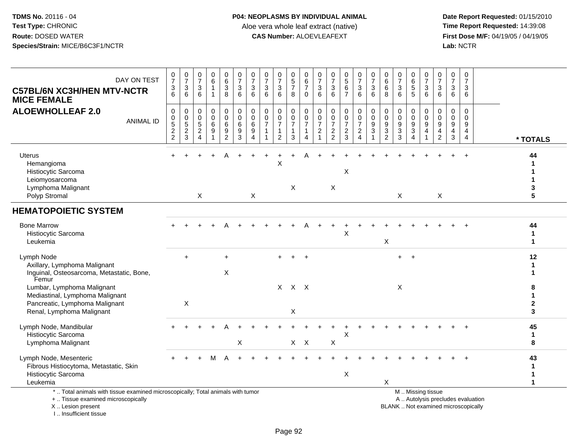**Date Report Requested:** 01/15/2010 **First Dose M/F:** 04/19/05 / 04/19/05<br>Lab: NCTR **Lab:** NCTR

| DAY ON TEST<br><b>C57BL/6N XC3H/HEN MTV-NCTR</b><br><b>MICE FEMALE</b>                                                                     | $\mathbf 0$<br>$\overline{7}$<br>3<br>$\overline{6}$   | $\frac{0}{7}$<br>$\mathbf{3}$<br>6 | $\frac{0}{7}$<br>$\sqrt{3}$<br>6                                                          | 0<br>6<br>$\mathbf{1}$           | 0<br>$\,6\,$<br>3<br>8                                      | $\boldsymbol{0}$<br>$\overline{7}$<br>$\sqrt{3}$<br>$6\phantom{a}$         | $\frac{0}{7}$<br>$\mathbf{3}$<br>6                       | $\frac{0}{7}$<br>$\sqrt{3}$<br>6                           | $\frac{0}{7}$<br>3<br>6                    | 0<br>$5\,$<br>$\overline{7}$<br>8                       | $\pmb{0}$<br>$\frac{6}{7}$<br>$\Omega$  | 0<br>$\overline{7}$<br>$\mathsf 3$<br>6    | $\frac{0}{7}$<br>$\mathbf{3}$<br>6                  | $\begin{array}{c} 0 \\ 5 \\ 6 \end{array}$<br>$\overline{7}$ | 0<br>$\boldsymbol{7}$<br>$\mathbf 3$<br>6           | $\pmb{0}$<br>$\overline{7}$<br>$\mathbf{3}$<br>6           | 0<br>$\,6\,$<br>6<br>8             | $\frac{0}{7}$<br>$\sqrt{3}$<br>6                        | 0<br>$^6$ 5<br>5                                          | 0<br>$\overline{7}$<br>3<br>6                                                                 | 0<br>$\overline{7}$<br>3<br>6                               | 0<br>$\overline{7}$<br>$\mathbf{3}$<br>6 | 0<br>$\overline{7}$<br>3<br>6                                     |                                                  |
|--------------------------------------------------------------------------------------------------------------------------------------------|--------------------------------------------------------|------------------------------------|-------------------------------------------------------------------------------------------|----------------------------------|-------------------------------------------------------------|----------------------------------------------------------------------------|----------------------------------------------------------|------------------------------------------------------------|--------------------------------------------|---------------------------------------------------------|-----------------------------------------|--------------------------------------------|-----------------------------------------------------|--------------------------------------------------------------|-----------------------------------------------------|------------------------------------------------------------|------------------------------------|---------------------------------------------------------|-----------------------------------------------------------|-----------------------------------------------------------------------------------------------|-------------------------------------------------------------|------------------------------------------|-------------------------------------------------------------------|--------------------------------------------------|
| <b>ALOEWHOLLEAF 2.0</b><br><b>ANIMAL ID</b>                                                                                                | $\pmb{0}$<br>$\pmb{0}$<br>$\mathbf 5$<br>$\frac{2}{2}$ | 0<br>$0,52$<br>3                   | $\boldsymbol{0}$<br>$\mathbf 0$<br>$\overline{5}$<br>$\sqrt{2}$<br>$\boldsymbol{\Lambda}$ | 0<br>$\mathbf 0$<br>$\,6\,$<br>9 | 0<br>$\mathbf 0$<br>6<br>$\boldsymbol{9}$<br>$\overline{2}$ | $\pmb{0}$<br>$\overline{0}$<br>$\,6\,$<br>$\boldsymbol{9}$<br>$\mathbf{3}$ | $\pmb{0}$<br>$\pmb{0}$<br>$\,6\,$<br>9<br>$\overline{4}$ | $\pmb{0}$<br>$\mathbf 0$<br>$\overline{7}$<br>$\mathbf{1}$ | 0<br>$\pmb{0}$<br>$\overline{7}$<br>1<br>2 | 0<br>$\mathbf 0$<br>$\overline{7}$<br>$\mathbf{1}$<br>3 | 0<br>$\frac{0}{7}$<br>$\mathbf{1}$<br>4 | 0<br>0<br>$\overline{7}$<br>$\overline{2}$ | 0<br>$\mathbf 0$<br>$\overline{7}$<br>$\frac{2}{2}$ | 0<br>$\pmb{0}$<br>$\overline{7}$<br>$\frac{2}{3}$            | 0<br>$\pmb{0}$<br>$\boldsymbol{7}$<br>$\frac{2}{4}$ | $\pmb{0}$<br>$\pmb{0}$<br>$\boldsymbol{9}$<br>$\mathbf{3}$ | 0<br>0<br>9<br>3<br>$\overline{2}$ | 0<br>$\pmb{0}$<br>$\boldsymbol{9}$<br>$\mathbf{3}$<br>3 | 0<br>0<br>$\boldsymbol{9}$<br>3<br>$\boldsymbol{\Lambda}$ | 0<br>0<br>$\boldsymbol{9}$<br>$\overline{4}$                                                  | 0<br>$\mathbf 0$<br>$\boldsymbol{9}$<br>4<br>$\overline{c}$ | 0<br>0<br>9<br>$\frac{4}{3}$             | $\pmb{0}$<br>$\mathbf 0$<br>9<br>$\overline{4}$<br>$\overline{4}$ | * TOTALS                                         |
| Uterus<br>Hemangioma<br>Histiocytic Sarcoma<br>Leiomyosarcoma<br>Lymphoma Malignant<br>Polyp Stromal                                       |                                                        |                                    | $\mathsf{X}$                                                                              |                                  |                                                             |                                                                            | X                                                        |                                                            | X                                          | X                                                       |                                         |                                            | $\mathsf X$                                         | X                                                            |                                                     |                                                            |                                    | X                                                       |                                                           |                                                                                               | $\boldsymbol{\mathsf{X}}$                                   |                                          |                                                                   | 44<br>3<br>5                                     |
| <b>HEMATOPOIETIC SYSTEM</b>                                                                                                                |                                                        |                                    |                                                                                           |                                  |                                                             |                                                                            |                                                          |                                                            |                                            |                                                         |                                         |                                            |                                                     |                                                              |                                                     |                                                            |                                    |                                                         |                                                           |                                                                                               |                                                             |                                          |                                                                   |                                                  |
| <b>Bone Marrow</b><br>Histiocytic Sarcoma<br>Leukemia                                                                                      |                                                        |                                    |                                                                                           |                                  |                                                             |                                                                            |                                                          |                                                            |                                            |                                                         |                                         |                                            |                                                     | X                                                            |                                                     |                                                            | X                                  |                                                         |                                                           |                                                                                               |                                                             |                                          |                                                                   | 44<br>$\mathbf 1$<br>$\mathbf{1}$                |
| Lymph Node<br>Axillary, Lymphoma Malignant<br>Inguinal, Osteosarcoma, Metastatic, Bone,<br>Femur                                           |                                                        | $+$                                |                                                                                           |                                  | $+$<br>X                                                    |                                                                            |                                                          |                                                            |                                            |                                                         | $\overline{+}$                          |                                            |                                                     |                                                              |                                                     |                                                            |                                    | $+$                                                     | $+$                                                       |                                                                                               |                                                             |                                          |                                                                   | 12<br>-1<br>1                                    |
| Lumbar, Lymphoma Malignant<br>Mediastinal, Lymphoma Malignant<br>Pancreatic, Lymphoma Malignant<br>Renal, Lymphoma Malignant               |                                                        | $\boldsymbol{\mathsf{X}}$          |                                                                                           |                                  |                                                             |                                                                            |                                                          |                                                            |                                            | $X$ $X$ $X$<br>X                                        |                                         |                                            |                                                     |                                                              |                                                     |                                                            |                                    | X                                                       |                                                           |                                                                                               |                                                             |                                          |                                                                   | 8<br>1<br>$\mathbf{2}$<br>3                      |
| Lymph Node, Mandibular<br>Histiocytic Sarcoma<br>Lymphoma Malignant                                                                        |                                                        |                                    |                                                                                           |                                  |                                                             | $\times$                                                                   |                                                          |                                                            |                                            | $X$ $X$                                                 |                                         |                                            | X                                                   | X                                                            |                                                     |                                                            |                                    |                                                         |                                                           |                                                                                               |                                                             |                                          |                                                                   | 45<br>1<br>8                                     |
| Lymph Node, Mesenteric<br>Fibrous Histiocytoma, Metastatic, Skin<br>Histiocytic Sarcoma<br>Leukemia                                        |                                                        |                                    |                                                                                           |                                  |                                                             |                                                                            |                                                          |                                                            |                                            |                                                         |                                         |                                            |                                                     | X                                                            |                                                     |                                                            | X                                  |                                                         |                                                           |                                                                                               |                                                             |                                          |                                                                   | 43<br>$\mathbf 1$<br>$\mathbf 1$<br>$\mathbf{1}$ |
| *  Total animals with tissue examined microscopically; Total animals with tumor<br>+  Tissue examined microscopically<br>X  Lesion present |                                                        |                                    |                                                                                           |                                  |                                                             |                                                                            |                                                          |                                                            |                                            |                                                         |                                         |                                            |                                                     |                                                              |                                                     |                                                            |                                    |                                                         |                                                           | M  Missing tissue<br>A  Autolysis precludes evaluation<br>BLANK  Not examined microscopically |                                                             |                                          |                                                                   |                                                  |

I .. Insufficient tissue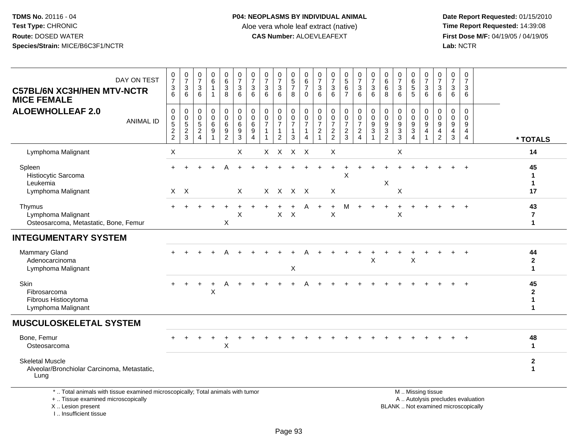I .. Insufficient tissue

| DAY ON TEST<br><b>C57BL/6N XC3H/HEN MTV-NCTR</b><br><b>MICE FEMALE</b>                                                                     | 0<br>$\overline{7}$<br>3<br>6                                                    | $\frac{0}{7}$<br>$\sqrt{3}$<br>6                                | $\frac{0}{7}$<br>$\ensuremath{\mathsf{3}}$<br>6                          | $_{6}^{\rm 0}$<br>$\mathbf{1}$<br>1                   | $\begin{array}{c} 0 \\ 6 \end{array}$<br>$\ensuremath{\mathsf{3}}$<br>8 | 0<br>$\overline{7}$<br>$\ensuremath{\mathsf{3}}$<br>6                | 0<br>$\overline{7}$<br>$\sqrt{3}$<br>6               | $\frac{0}{7}$<br>$\mathsf 3$<br>6                                        | $\frac{0}{7}$<br>$\mathbf{3}$<br>6                             | $\begin{array}{c} 0 \\ 5 \\ 7 \end{array}$<br>8                                           | 0<br>$6\phantom{a}$<br>$\overline{7}$<br>$\mathbf 0$    | 0<br>$\overline{7}$<br>$\ensuremath{\mathsf{3}}$<br>6                  | $\frac{0}{7}$<br>$\sqrt{3}$<br>6                          | $\begin{array}{c} 0 \\ 5 \end{array}$<br>$\,6\,$<br>$\overline{7}$ | $\frac{0}{7}$<br>$\mathbf{3}$<br>6                     | $\frac{0}{7}$<br>$\sqrt{3}$<br>6                           | $\begin{array}{c} 0 \\ 6 \end{array}$<br>$\,6\,$<br>8     | $\frac{0}{7}$<br>$\ensuremath{\mathsf{3}}$<br>6                     | 0<br>$6\phantom{a}$<br>$\mathbf 5$<br>5                    | 0<br>$\overline{7}$<br>$\ensuremath{\mathsf{3}}$<br>6 | $\frac{0}{7}$<br>3<br>6                                | 0<br>$\overline{7}$<br>$\mathbf{3}$<br>6                            | 0<br>$\overline{7}$<br>$\sqrt{3}$<br>6                     |                                            |
|--------------------------------------------------------------------------------------------------------------------------------------------|----------------------------------------------------------------------------------|-----------------------------------------------------------------|--------------------------------------------------------------------------|-------------------------------------------------------|-------------------------------------------------------------------------|----------------------------------------------------------------------|------------------------------------------------------|--------------------------------------------------------------------------|----------------------------------------------------------------|-------------------------------------------------------------------------------------------|---------------------------------------------------------|------------------------------------------------------------------------|-----------------------------------------------------------|--------------------------------------------------------------------|--------------------------------------------------------|------------------------------------------------------------|-----------------------------------------------------------|---------------------------------------------------------------------|------------------------------------------------------------|-------------------------------------------------------|--------------------------------------------------------|---------------------------------------------------------------------|------------------------------------------------------------|--------------------------------------------|
| <b>ALOEWHOLLEAF 2.0</b><br><b>ANIMAL ID</b>                                                                                                | $\pmb{0}$<br>$\mathbf 0$<br>$\overline{5}$<br>$\boldsymbol{2}$<br>$\overline{2}$ | $\mathbf 0$<br>$\mathbf 0$<br>$\overline{5}$<br>$\sqrt{2}$<br>3 | 0<br>$\mathbf 0$<br>$\overline{5}$<br>$\boldsymbol{2}$<br>$\overline{4}$ | 0<br>$\mathsf 0$<br>$6\overline{6}$<br>$\overline{9}$ | $\pmb{0}$<br>$\mathbf 0$<br>$6\overline{6}$<br>$9\,$<br>$\overline{2}$  | $\pmb{0}$<br>$\mathbf 0$<br>$6\phantom{1}6$<br>$\boldsymbol{9}$<br>3 | $\mathbf 0$<br>$\pmb{0}$<br>6<br>9<br>$\overline{4}$ | $\pmb{0}$<br>$\pmb{0}$<br>$\overline{7}$<br>$\mathbf{1}$<br>$\mathbf{1}$ | $\mathbf 0$<br>$\frac{0}{7}$<br>$\mathbf{1}$<br>$\overline{2}$ | $\pmb{0}$<br>$\begin{smallmatrix} 0\\7 \end{smallmatrix}$<br>$\mathbf{1}$<br>$\mathbf{3}$ | 0<br>$\mathsf 0$<br>$\overline{7}$<br>$\mathbf{1}$<br>4 | 0<br>$\mathbf 0$<br>$\overline{7}$<br>$\overline{c}$<br>$\overline{1}$ | $\pmb{0}$<br>$\pmb{0}$<br>$\overline{7}$<br>$\frac{2}{2}$ | 0<br>$\pmb{0}$<br>$\overline{7}$<br>$\overline{c}$<br>3            | 0<br>$\frac{0}{7}$<br>$\overline{c}$<br>$\overline{4}$ | $\pmb{0}$<br>$\pmb{0}$<br>$\overline{9}$<br>$\overline{3}$ | $\pmb{0}$<br>$\pmb{0}$<br>$\frac{9}{3}$<br>$\overline{2}$ | $\mathbf 0$<br>$\mathbf 0$<br>$\overline{9}$<br>$\overline{3}$<br>3 | 0<br>0<br>$\overline{9}$<br>$\mathbf{3}$<br>$\overline{4}$ | 0<br>$\pmb{0}$<br>$\overline{9}$<br>4<br>1            | $\mathbf 0$<br>$\mathbf 0$<br>9<br>4<br>$\overline{2}$ | $\mathbf 0$<br>$\mathbf 0$<br>$\boldsymbol{9}$<br>4<br>$\mathbf{3}$ | $\mathbf 0$<br>$\mathbf 0$<br>$9\,$<br>4<br>$\overline{4}$ | * TOTALS                                   |
| Lymphoma Malignant                                                                                                                         | $\boldsymbol{\mathsf{X}}$                                                        |                                                                 |                                                                          |                                                       |                                                                         | $\boldsymbol{\mathsf{X}}$                                            |                                                      |                                                                          | $X$ $X$                                                        | X X                                                                                       |                                                         |                                                                        | X                                                         |                                                                    |                                                        |                                                            |                                                           | X                                                                   |                                                            |                                                       |                                                        |                                                                     |                                                            | 14                                         |
| Spleen<br>Histiocytic Sarcoma<br>Leukemia<br>Lymphoma Malignant                                                                            |                                                                                  | $X$ $X$                                                         |                                                                          |                                                       |                                                                         | $\times$                                                             |                                                      |                                                                          | X X X X                                                        |                                                                                           |                                                         |                                                                        | X                                                         | X                                                                  |                                                        |                                                            | X                                                         | X                                                                   |                                                            |                                                       |                                                        |                                                                     |                                                            | 45<br>$\mathbf{1}$<br>$\mathbf{1}$<br>17   |
| Thymus<br>Lymphoma Malignant<br>Osteosarcoma, Metastatic, Bone, Femur                                                                      |                                                                                  |                                                                 |                                                                          |                                                       | X                                                                       | X                                                                    |                                                      |                                                                          | X                                                              | $\mathsf{X}$                                                                              |                                                         |                                                                        | $\ddot{}$<br>X                                            | M                                                                  | $+$                                                    |                                                            |                                                           | X                                                                   |                                                            |                                                       |                                                        |                                                                     |                                                            | 43<br>7<br>$\mathbf{1}$                    |
| <b>INTEGUMENTARY SYSTEM</b>                                                                                                                |                                                                                  |                                                                 |                                                                          |                                                       |                                                                         |                                                                      |                                                      |                                                                          |                                                                |                                                                                           |                                                         |                                                                        |                                                           |                                                                    |                                                        |                                                            |                                                           |                                                                     |                                                            |                                                       |                                                        |                                                                     |                                                            |                                            |
| <b>Mammary Gland</b><br>Adenocarcinoma<br>Lymphoma Malignant                                                                               |                                                                                  |                                                                 |                                                                          |                                                       |                                                                         |                                                                      |                                                      |                                                                          |                                                                | X                                                                                         |                                                         |                                                                        |                                                           |                                                                    |                                                        | X                                                          |                                                           |                                                                     | X                                                          |                                                       |                                                        |                                                                     | $\overline{1}$                                             | 44<br>$\mathbf{2}$<br>$\blacktriangleleft$ |
| Skin<br>Fibrosarcoma<br>Fibrous Histiocytoma<br>Lymphoma Malignant                                                                         |                                                                                  |                                                                 |                                                                          | $\ddot{}$<br>$\times$                                 |                                                                         |                                                                      |                                                      |                                                                          |                                                                |                                                                                           |                                                         |                                                                        |                                                           |                                                                    |                                                        |                                                            |                                                           |                                                                     |                                                            |                                                       |                                                        |                                                                     |                                                            | 45<br>$\mathbf{2}$<br>$\mathbf{1}$<br>1    |
| <b>MUSCULOSKELETAL SYSTEM</b>                                                                                                              |                                                                                  |                                                                 |                                                                          |                                                       |                                                                         |                                                                      |                                                      |                                                                          |                                                                |                                                                                           |                                                         |                                                                        |                                                           |                                                                    |                                                        |                                                            |                                                           |                                                                     |                                                            |                                                       |                                                        |                                                                     |                                                            |                                            |
| Bone, Femur<br>Osteosarcoma                                                                                                                |                                                                                  |                                                                 |                                                                          |                                                       | X                                                                       |                                                                      |                                                      |                                                                          |                                                                |                                                                                           |                                                         |                                                                        |                                                           |                                                                    |                                                        |                                                            |                                                           |                                                                     |                                                            |                                                       |                                                        |                                                                     |                                                            | 48<br>$\mathbf{1}$                         |
| <b>Skeletal Muscle</b><br>Alveolar/Bronchiolar Carcinoma, Metastatic,<br>Lung                                                              |                                                                                  |                                                                 |                                                                          |                                                       |                                                                         |                                                                      |                                                      |                                                                          |                                                                |                                                                                           |                                                         |                                                                        |                                                           |                                                                    |                                                        |                                                            |                                                           |                                                                     |                                                            |                                                       |                                                        |                                                                     |                                                            | $\mathbf{2}$<br>$\mathbf{1}$               |
| *  Total animals with tissue examined microscopically; Total animals with tumor<br>+  Tissue examined microscopically<br>X  Lesion present |                                                                                  |                                                                 |                                                                          |                                                       |                                                                         |                                                                      |                                                      |                                                                          |                                                                |                                                                                           |                                                         |                                                                        |                                                           |                                                                    |                                                        |                                                            |                                                           | BLANK  Not examined microscopically                                 |                                                            | M  Missing tissue                                     | A  Autolysis precludes evaluation                      |                                                                     |                                                            |                                            |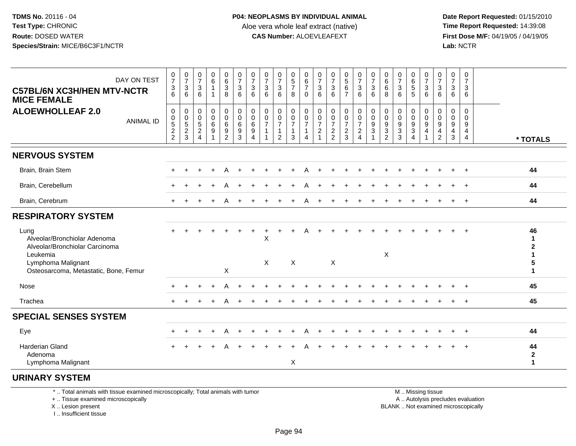**Date Report Requested:** 01/15/2010 **First Dose M/F:** 04/19/05 / 04/19/05<br>Lab: NCTR **Lab:** NCTR

| DAY ON TEST<br><b>C57BL/6N XC3H/HEN MTV-NCTR</b><br><b>MICE FEMALE</b>                                                                            | $\frac{0}{7}$<br>$\mathsf 3$<br>$\overline{6}$                                         | $\frac{0}{7}$<br>$\sqrt{3}$<br>6                                        | $\frac{0}{7}$<br>$\sqrt{3}$<br>6                                               | $\begin{array}{c} 0 \\ 6 \end{array}$<br>$\mathbf{1}$<br>$\mathbf{1}$ | $\begin{matrix} 0 \\ 6 \end{matrix}$<br>3<br>8                            | $\frac{0}{7}$<br>$\mathbf{3}$<br>6                                | $\frac{0}{7}$<br>3<br>6                                                     | 0<br>$\overline{7}$<br>$\sqrt{3}$<br>6 | $\frac{0}{7}$<br>$\mathbf 3$<br>6                                   | $\begin{array}{c} 0 \\ 5 \\ 7 \end{array}$<br>8                 | 0<br>$\,6$<br>$\overline{7}$<br>$\mathbf 0$                             | $\frac{0}{7}$<br>$\sqrt{3}$<br>6                   | $\frac{0}{7}$<br>$\mathbf{3}$<br>6                          | $\begin{array}{c} 0 \\ 5 \\ 6 \end{array}$<br>$\overline{7}$          | $\frac{0}{7}$<br>$\sqrt{3}$<br>$6\phantom{1}$                                      | $\frac{0}{7}$<br>$\mathbf{3}$<br>6                                       | 0<br>6<br>6<br>8                                                                              | $\frac{0}{7}$<br>$\sqrt{3}$<br>6                          | $\begin{array}{c} 0 \\ 6 \\ 5 \end{array}$<br>5                           | 0<br>$\overline{7}$<br>$\mathsf 3$<br>6        | $\frac{0}{7}$<br>$\mathbf{3}$<br>6                                   | $\pmb{0}$<br>$\overline{7}$<br>$\mathbf{3}$<br>6          | 0<br>$\overline{7}$<br>3<br>6             |                                    |
|---------------------------------------------------------------------------------------------------------------------------------------------------|----------------------------------------------------------------------------------------|-------------------------------------------------------------------------|--------------------------------------------------------------------------------|-----------------------------------------------------------------------|---------------------------------------------------------------------------|-------------------------------------------------------------------|-----------------------------------------------------------------------------|----------------------------------------|---------------------------------------------------------------------|-----------------------------------------------------------------|-------------------------------------------------------------------------|----------------------------------------------------|-------------------------------------------------------------|-----------------------------------------------------------------------|------------------------------------------------------------------------------------|--------------------------------------------------------------------------|-----------------------------------------------------------------------------------------------|-----------------------------------------------------------|---------------------------------------------------------------------------|------------------------------------------------|----------------------------------------------------------------------|-----------------------------------------------------------|-------------------------------------------|------------------------------------|
| <b>ALOEWHOLLEAF 2.0</b><br><b>ANIMAL ID</b>                                                                                                       | $\pmb{0}$<br>$\begin{array}{c} 0 \\ 5 \end{array}$<br>$\overline{2}$<br>$\overline{2}$ | $\,0\,$<br>$\begin{smallmatrix}0\0\5\end{smallmatrix}$<br>$\frac{2}{3}$ | $\mathbf 0$<br>$\mathbf 0$<br>$\sqrt{5}$<br>$\boldsymbol{2}$<br>$\overline{4}$ | $\mathbf 0$<br>0<br>$\,6\,$<br>9<br>$\overline{ }$                    | 0<br>$\mathsf{O}\xspace$<br>$\,6\,$<br>$\boldsymbol{9}$<br>$\overline{2}$ | $\pmb{0}$<br>$\pmb{0}$<br>$6\phantom{a}$<br>$\boldsymbol{9}$<br>3 | $\mathbf 0$<br>$\pmb{0}$<br>6<br>$\boldsymbol{9}$<br>$\boldsymbol{\Lambda}$ | 0<br>0<br>$\overline{7}$               | $\boldsymbol{0}$<br>$\frac{0}{7}$<br>$\mathbf{1}$<br>$\overline{2}$ | 0<br>$\mathsf{O}\xspace$<br>$\overline{7}$<br>$\mathbf{1}$<br>3 | $\pmb{0}$<br>$\begin{array}{c} 0 \\ 7 \end{array}$<br>$\mathbf{1}$<br>4 | 0<br>$\pmb{0}$<br>$\overline{7}$<br>$\overline{c}$ | $\mathbf 0$<br>$\pmb{0}$<br>$\overline{7}$<br>$\frac{2}{2}$ | $\mathbf 0$<br>$\begin{array}{c} 0 \\ 7 \end{array}$<br>$\frac{2}{3}$ | $\mathbf 0$<br>$\mathbf 0$<br>$\boldsymbol{7}$<br>$\overline{c}$<br>$\overline{4}$ | $\pmb{0}$<br>$\mathbf 0$<br>$\overline{9}$<br>$\sqrt{3}$<br>$\mathbf{1}$ | $\mathbf 0$<br>$\mathbf 0$<br>$\boldsymbol{9}$<br>$\ensuremath{\mathsf{3}}$<br>$\overline{2}$ | 0<br>$\pmb{0}$<br>$9\,$<br>$\ensuremath{\mathsf{3}}$<br>3 | 0<br>$\pmb{0}$<br>$\overline{9}$<br>$\ensuremath{\mathsf{3}}$<br>$\Delta$ | $\mathbf 0$<br>$\mathbf 0$<br>$\mathsf g$<br>4 | 0<br>$\pmb{0}$<br>$\overline{9}$<br>$\overline{4}$<br>$\overline{2}$ | $\mathbf 0$<br>0<br>9<br>$\overline{4}$<br>$\mathfrak{S}$ | $\mathbf 0$<br>$\mathbf 0$<br>9<br>4<br>4 | * TOTALS                           |
| <b>NERVOUS SYSTEM</b>                                                                                                                             |                                                                                        |                                                                         |                                                                                |                                                                       |                                                                           |                                                                   |                                                                             |                                        |                                                                     |                                                                 |                                                                         |                                                    |                                                             |                                                                       |                                                                                    |                                                                          |                                                                                               |                                                           |                                                                           |                                                |                                                                      |                                                           |                                           |                                    |
| Brain, Brain Stem                                                                                                                                 | $+$                                                                                    |                                                                         |                                                                                |                                                                       |                                                                           |                                                                   |                                                                             |                                        |                                                                     |                                                                 |                                                                         |                                                    |                                                             |                                                                       |                                                                                    |                                                                          |                                                                                               |                                                           |                                                                           |                                                |                                                                      |                                                           | $\overline{1}$                            | 44                                 |
| Brain, Cerebellum                                                                                                                                 |                                                                                        |                                                                         |                                                                                |                                                                       |                                                                           |                                                                   |                                                                             |                                        |                                                                     |                                                                 |                                                                         |                                                    |                                                             |                                                                       |                                                                                    |                                                                          |                                                                                               |                                                           |                                                                           |                                                |                                                                      |                                                           |                                           | 44                                 |
| Brain, Cerebrum                                                                                                                                   |                                                                                        |                                                                         |                                                                                |                                                                       |                                                                           |                                                                   |                                                                             |                                        |                                                                     |                                                                 |                                                                         |                                                    |                                                             |                                                                       |                                                                                    |                                                                          |                                                                                               |                                                           |                                                                           |                                                |                                                                      |                                                           |                                           | 44                                 |
| <b>RESPIRATORY SYSTEM</b>                                                                                                                         |                                                                                        |                                                                         |                                                                                |                                                                       |                                                                           |                                                                   |                                                                             |                                        |                                                                     |                                                                 |                                                                         |                                                    |                                                             |                                                                       |                                                                                    |                                                                          |                                                                                               |                                                           |                                                                           |                                                |                                                                      |                                                           |                                           |                                    |
| Lung<br>Alveolar/Bronchiolar Adenoma<br>Alveolar/Bronchiolar Carcinoma<br>Leukemia<br>Lymphoma Malignant<br>Osteosarcoma, Metastatic, Bone, Femur |                                                                                        |                                                                         |                                                                                |                                                                       | X                                                                         |                                                                   |                                                                             | X<br>$\boldsymbol{\mathsf{X}}$         |                                                                     | $\boldsymbol{\mathsf{X}}$                                       |                                                                         |                                                    | $\boldsymbol{\mathsf{X}}$                                   |                                                                       |                                                                                    |                                                                          | $\times$                                                                                      |                                                           |                                                                           |                                                |                                                                      |                                                           |                                           | 46<br>1<br>5<br>1                  |
| Nose                                                                                                                                              |                                                                                        |                                                                         |                                                                                |                                                                       |                                                                           |                                                                   |                                                                             |                                        |                                                                     |                                                                 |                                                                         |                                                    |                                                             |                                                                       |                                                                                    |                                                                          |                                                                                               |                                                           |                                                                           |                                                |                                                                      |                                                           |                                           | 45                                 |
| Trachea                                                                                                                                           | $+$                                                                                    |                                                                         |                                                                                |                                                                       |                                                                           |                                                                   |                                                                             |                                        |                                                                     |                                                                 |                                                                         |                                                    |                                                             |                                                                       |                                                                                    |                                                                          |                                                                                               |                                                           |                                                                           |                                                |                                                                      |                                                           |                                           | 45                                 |
| <b>SPECIAL SENSES SYSTEM</b>                                                                                                                      |                                                                                        |                                                                         |                                                                                |                                                                       |                                                                           |                                                                   |                                                                             |                                        |                                                                     |                                                                 |                                                                         |                                                    |                                                             |                                                                       |                                                                                    |                                                                          |                                                                                               |                                                           |                                                                           |                                                |                                                                      |                                                           |                                           |                                    |
| Eye                                                                                                                                               |                                                                                        |                                                                         |                                                                                |                                                                       | Α                                                                         |                                                                   |                                                                             |                                        |                                                                     |                                                                 |                                                                         |                                                    |                                                             |                                                                       |                                                                                    |                                                                          |                                                                                               |                                                           |                                                                           |                                                |                                                                      |                                                           |                                           | 44                                 |
| Harderian Gland<br>Adenoma                                                                                                                        |                                                                                        |                                                                         |                                                                                |                                                                       |                                                                           |                                                                   |                                                                             |                                        |                                                                     |                                                                 |                                                                         |                                                    |                                                             |                                                                       |                                                                                    |                                                                          |                                                                                               |                                                           |                                                                           |                                                |                                                                      |                                                           |                                           | 44<br>$\mathbf{2}$<br>$\mathbf{1}$ |

## **URINARY SYSTEM**

\* .. Total animals with tissue examined microscopically; Total animals with tumor

+ .. Tissue examined microscopically

X .. Lesion present

I .. Insufficient tissue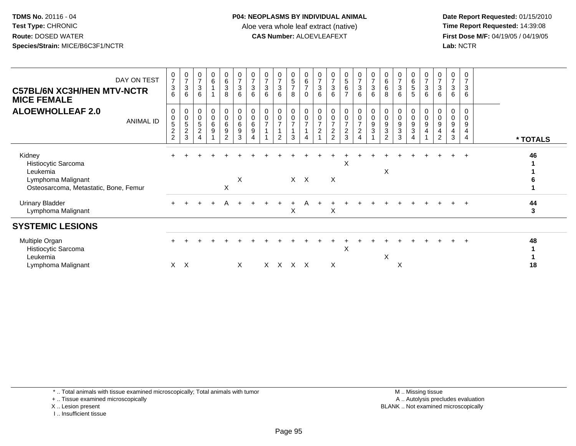**Date Report Requested:** 01/15/2010 **First Dose M/F:** 04/19/05 / 04/19/05<br>Lab: NCTR **Lab:** NCTR

| DAY ON TEST<br><b>C57BL/6N XC3H/HEN MTV-NCTR</b><br><b>MICE FEMALE</b>                                   | $\frac{0}{7}$<br>$\frac{3}{6}$                            | $\frac{0}{7}$<br>3<br>6                    | $\frac{0}{7}$<br>$\mathbf{3}$<br>6 | $\begin{array}{c} 0 \\ 6 \end{array}$             | $\begin{matrix} 0 \\ 6 \\ 3 \end{matrix}$<br>8  | $\frac{0}{7}$<br>$\mathbf{3}$<br>6      | $\frac{0}{7}$<br>$\mathbf{3}$<br>6 | $\frac{0}{7}$<br>$\sqrt{3}$<br>$6\phantom{1}$ | $\frac{0}{7}$<br>$\frac{3}{6}$                          | $\begin{array}{c} 0 \\ 5 \\ 7 \end{array}$<br>8 | $\begin{array}{c} 0 \\ 6 \\ 7 \end{array}$<br>$\mathbf 0$    | $\frac{0}{7}$<br>$\sqrt{3}$<br>6                | $\frac{0}{7}$<br>$\frac{3}{6}$                                    | $\begin{array}{c} 0 \\ 5 \\ 6 \end{array}$<br>$\overline{7}$ | $\frac{0}{7}$<br>6                                                            | $\frac{0}{7}$<br>$\frac{3}{6}$                                                     | $\begin{array}{c} 0 \\ 6 \end{array}$<br>$\,6\,$<br>8 | $\frac{0}{7}$<br>$\sqrt{3}$<br>6        | $\begin{matrix} 0 \\ 6 \end{matrix}$<br>$\begin{array}{c} 5 \\ 5 \end{array}$ | $\frac{0}{7}$<br>$\mathsf 3$<br>6                      | $\frac{0}{7}$<br>$\sqrt{3}$<br>6                            | 0<br>$\overline{7}$<br>3<br>6 | 0<br>3<br>6                             |          |
|----------------------------------------------------------------------------------------------------------|-----------------------------------------------------------|--------------------------------------------|------------------------------------|---------------------------------------------------|-------------------------------------------------|-----------------------------------------|------------------------------------|-----------------------------------------------|---------------------------------------------------------|-------------------------------------------------|--------------------------------------------------------------|-------------------------------------------------|-------------------------------------------------------------------|--------------------------------------------------------------|-------------------------------------------------------------------------------|------------------------------------------------------------------------------------|-------------------------------------------------------|-----------------------------------------|-------------------------------------------------------------------------------|--------------------------------------------------------|-------------------------------------------------------------|-------------------------------|-----------------------------------------|----------|
| <b>ALOEWHOLLEAF 2.0</b><br>ANIMAL ID                                                                     | 0<br>$\pmb{0}$<br>5<br>$\boldsymbol{2}$<br>$\overline{2}$ | 0<br>$\pmb{0}$<br>5<br>$\overline{c}$<br>3 | 0<br>5<br>$\overline{c}$           | $_{\rm 0}^{\rm 0}$<br>$\,6\,$<br>$\boldsymbol{9}$ | 0<br>$\overline{0}$<br>6<br>9<br>$\overline{2}$ | $\,0\,$<br>$\pmb{0}$<br>$\,6$<br>9<br>3 | 0<br>$\pmb{0}$<br>6<br>9           | $\pmb{0}$<br>$\overline{7}$                   | $\pmb{0}$<br>$\ddot{\mathbf{0}}$<br>$\overline{z}$<br>2 | 0<br>$\ddot{\mathbf{0}}$<br>$\overline{7}$<br>3 | $\begin{smallmatrix}0\\0\end{smallmatrix}$<br>$\overline{7}$ | $\mathbf 0$<br>$\overline{ }$<br>$\overline{c}$ | $\pmb{0}$<br>$\overline{7}$<br>$\boldsymbol{2}$<br>$\overline{2}$ | $_{\rm 0}^{\rm 0}$<br>$\overline{ }$<br>$\sqrt{2}$<br>3      | $\begin{matrix} 0 \\ 0 \\ 7 \end{matrix}$<br>$\overline{c}$<br>$\overline{4}$ | $\begin{smallmatrix} 0\\0 \end{smallmatrix}$<br>$\boldsymbol{9}$<br>$\overline{3}$ | $\mathbf 0$<br>9<br>3<br>$\overline{2}$               | $\pmb{0}$<br>$\boldsymbol{9}$<br>3<br>3 | $\pmb{0}$<br>$\boldsymbol{9}$<br>3                                            | 0<br>$\mathbf 0$<br>$\boldsymbol{9}$<br>$\overline{4}$ | 0<br>$\mathbf 0$<br>$\boldsymbol{9}$<br>4<br>$\overline{c}$ | 0<br>0<br>9<br>4<br>3         | $\Omega$<br>9<br>$\boldsymbol{\Lambda}$ | * TOTALS |
| Kidney<br>Histiocytic Sarcoma<br>Leukemia<br>Lymphoma Malignant<br>Osteosarcoma, Metastatic, Bone, Femur |                                                           |                                            |                                    |                                                   | X                                               | X                                       |                                    |                                               |                                                         |                                                 | $X$ $X$                                                      |                                                 | X                                                                 | Χ                                                            |                                                                               |                                                                                    | X                                                     |                                         |                                                                               |                                                        |                                                             |                               |                                         | 46       |
| <b>Urinary Bladder</b><br>Lymphoma Malignant                                                             |                                                           |                                            |                                    |                                                   | A                                               |                                         |                                    |                                               |                                                         | X                                               |                                                              |                                                 | X                                                                 |                                                              |                                                                               |                                                                                    |                                                       |                                         |                                                                               |                                                        |                                                             |                               |                                         | 44<br>3  |
| <b>SYSTEMIC LESIONS</b>                                                                                  |                                                           |                                            |                                    |                                                   |                                                 |                                         |                                    |                                               |                                                         |                                                 |                                                              |                                                 |                                                                   |                                                              |                                                                               |                                                                                    |                                                       |                                         |                                                                               |                                                        |                                                             |                               |                                         |          |
| Multiple Organ<br>Histiocytic Sarcoma<br>Leukemia<br>Lymphoma Malignant                                  | X.                                                        | $\mathsf{X}$                               |                                    |                                                   |                                                 | $\mathsf{X}$                            |                                    |                                               | $X$ $X$ $X$ $X$                                         |                                                 |                                                              |                                                 | X                                                                 | X                                                            |                                                                               |                                                                                    | $\mathsf X$                                           | X                                       |                                                                               |                                                        |                                                             |                               |                                         | 48<br>18 |

\* .. Total animals with tissue examined microscopically; Total animals with tumor

+ .. Tissue examined microscopically

X .. Lesion present

I .. Insufficient tissue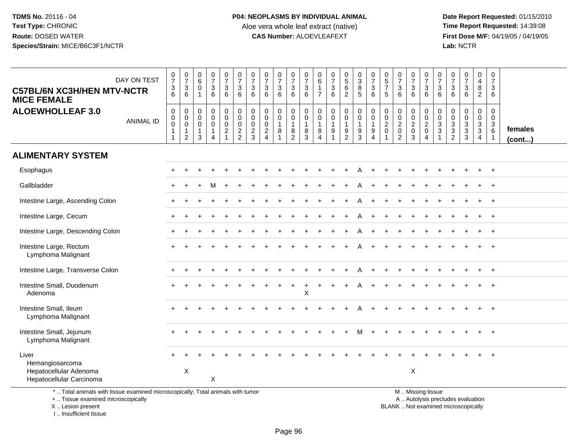**Date Report Requested:** 01/15/2010 **First Dose M/F:** 04/19/05 / 04/19/05<br>Lab: NCTR **Lab:** NCTR

| <b>C57BL/6N XC3H/HEN MTV-NCTR</b><br><b>MICE FEMALE</b>                         | DAY ON TEST      | $\begin{smallmatrix}0\\7\end{smallmatrix}$<br>$\ensuremath{\mathsf{3}}$<br>6 | $\frac{0}{7}$<br>$\mathbf{3}$<br>6                                      | $\begin{matrix} 0 \\ 6 \end{matrix}$<br>$\mathbf 0$<br>$\overline{1}$       | $\frac{0}{7}$<br>$\mathbf{3}$<br>6   | $\frac{0}{7}$<br>3<br>6                                                       | $\frac{0}{7}$<br>$\ensuremath{\mathsf{3}}$<br>6      | $\frac{0}{7}$<br>$\mathbf{3}$<br>$6\phantom{1}$        | $\frac{0}{7}$<br>$\mathsf 3$<br>6                                         | $\frac{0}{7}$<br>$\mathbf{3}$<br>6  | $\frac{0}{7}$<br>$\mathbf{3}$<br>6                                            | $\frac{0}{7}$<br>$\ensuremath{\mathsf{3}}$<br>6                     | 0<br>$\,6\,$<br>$\mathbf{1}$<br>$\overline{7}$      | $\frac{0}{7}$<br>$\ensuremath{\mathsf{3}}$<br>$6\phantom{1}6$                         | $\begin{array}{c} 0 \\ 5 \\ 6 \end{array}$<br>$\overline{2}$ | $_{3}^{\rm 0}$<br>8<br>5                                                     | $\frac{0}{7}$<br>3<br>6                         | $\begin{smallmatrix}0\0\5\end{smallmatrix}$<br>$\overline{7}$<br>5 | $\frac{0}{7}$<br>$\ensuremath{\mathsf{3}}$<br>6 | $\frac{0}{7}$<br>$\mathsf 3$<br>6                                         | $\frac{0}{7}$<br>$\mathsf 3$<br>6                       | $\frac{0}{7}$<br>$\mathbf{3}$<br>6                            | $\begin{array}{c} 0 \\ 7 \end{array}$<br>$\ensuremath{\mathsf{3}}$<br>6 | $\frac{0}{7}$<br>$\sqrt{3}$<br>$6\phantom{1}$                            | $\pmb{0}$<br>$\overline{\mathbf{4}}$<br>$\,8\,$<br>$\overline{2}$                   | $\mathbf 0$<br>$\overline{7}$<br>$\mathbf{3}$<br>6          |                         |
|---------------------------------------------------------------------------------|------------------|------------------------------------------------------------------------------|-------------------------------------------------------------------------|-----------------------------------------------------------------------------|--------------------------------------|-------------------------------------------------------------------------------|------------------------------------------------------|--------------------------------------------------------|---------------------------------------------------------------------------|-------------------------------------|-------------------------------------------------------------------------------|---------------------------------------------------------------------|-----------------------------------------------------|---------------------------------------------------------------------------------------|--------------------------------------------------------------|------------------------------------------------------------------------------|-------------------------------------------------|--------------------------------------------------------------------|-------------------------------------------------|---------------------------------------------------------------------------|---------------------------------------------------------|---------------------------------------------------------------|-------------------------------------------------------------------------|--------------------------------------------------------------------------|-------------------------------------------------------------------------------------|-------------------------------------------------------------|-------------------------|
| <b>ALOEWHOLLEAF 3.0</b>                                                         | <b>ANIMAL ID</b> | $\pmb{0}$<br>$\pmb{0}$<br>$\pmb{0}$<br>$\mathbf 1$<br>$\overline{1}$         | $\mathbf 0$<br>$\mathbf 0$<br>$\mathbf 0$<br>$\mathbf{1}$<br>$\sqrt{2}$ | $\mathbf 0$<br>$\mathbf 0$<br>$\overline{0}$<br>$\mathbf 1$<br>$\mathbf{3}$ | 0<br>$\mathbf 0$<br>$\mathbf 0$<br>4 | $\pmb{0}$<br>$\pmb{0}$<br>$\mathsf{O}\xspace$<br>$\sqrt{2}$<br>$\overline{1}$ | $\pmb{0}$<br>$\pmb{0}$<br>$\pmb{0}$<br>$\frac{2}{2}$ | $\pmb{0}$<br>$\pmb{0}$<br>$\mathbf 0$<br>$\frac{2}{3}$ | $\mathbf 0$<br>$\mathbf 0$<br>$\mathbf 0$<br>$\sqrt{2}$<br>$\overline{4}$ | 0<br>$\pmb{0}$<br>$\mathbf{1}$<br>8 | $\pmb{0}$<br>$\overline{0}$<br>$\begin{smallmatrix} 8 \\ 2 \end{smallmatrix}$ | $\pmb{0}$<br>$\mathbf 0$<br>$\mathbf{1}$<br>$\bf 8$<br>$\mathbf{3}$ | 0<br>0<br>$\mathbf{1}$<br>$\bf 8$<br>$\overline{4}$ | $\pmb{0}$<br>$\pmb{0}$<br>$\mathbf{1}$<br>$\boldsymbol{9}$<br>$\overline{\mathbf{1}}$ | $\mathbf 0$<br>$\mathbf 0$<br>$\mathbf{1}$<br>$\frac{9}{2}$  | $\mathbf 0$<br>$\pmb{0}$<br>$\mathbf{1}$<br>$\boldsymbol{9}$<br>$\mathbf{3}$ | 0<br>$\boldsymbol{0}$<br>$\mathbf{1}$<br>9<br>4 | $\pmb{0}$<br>$\pmb{0}$<br>$\boldsymbol{2}$<br>$\pmb{0}$            | $\mathsf 0$<br>$\frac{0}{2}$<br>$\overline{c}$  | $\mathbf 0$<br>$\mathsf 0$<br>$\overline{2}$<br>$\pmb{0}$<br>$\mathbf{3}$ | $\pmb{0}$<br>$\frac{0}{2}$<br>$\,0\,$<br>$\overline{4}$ | $\mathbf 0$<br>$\mathbf 0$<br>$\mathbf{3}$<br>$\sqrt{3}$<br>1 | 0<br>0<br>$\sqrt{3}$<br>$\ensuremath{\mathsf{3}}$<br>2                  | $\pmb{0}$<br>$\pmb{0}$<br>$\mathbf{3}$<br>$\ensuremath{\mathsf{3}}$<br>3 | $\boldsymbol{0}$<br>$\pmb{0}$<br>$\overline{3}$<br>$\overline{3}$<br>$\overline{4}$ | 0<br>$\mathbf 0$<br>$\mathbf{3}$<br>$\,6\,$<br>$\mathbf{1}$ | females<br>$($ cont $)$ |
| <b>ALIMENTARY SYSTEM</b>                                                        |                  |                                                                              |                                                                         |                                                                             |                                      |                                                                               |                                                      |                                                        |                                                                           |                                     |                                                                               |                                                                     |                                                     |                                                                                       |                                                              |                                                                              |                                                 |                                                                    |                                                 |                                                                           |                                                         |                                                               |                                                                         |                                                                          |                                                                                     |                                                             |                         |
| Esophagus                                                                       |                  |                                                                              |                                                                         |                                                                             |                                      |                                                                               |                                                      |                                                        |                                                                           |                                     |                                                                               |                                                                     |                                                     |                                                                                       |                                                              |                                                                              |                                                 |                                                                    |                                                 |                                                                           |                                                         |                                                               |                                                                         |                                                                          |                                                                                     | $+$                                                         |                         |
| Gallbladder                                                                     |                  |                                                                              |                                                                         |                                                                             |                                      |                                                                               |                                                      |                                                        |                                                                           |                                     |                                                                               |                                                                     |                                                     |                                                                                       |                                                              |                                                                              |                                                 |                                                                    |                                                 |                                                                           |                                                         |                                                               |                                                                         |                                                                          |                                                                                     |                                                             |                         |
| Intestine Large, Ascending Colon                                                |                  |                                                                              |                                                                         |                                                                             |                                      |                                                                               |                                                      |                                                        |                                                                           |                                     |                                                                               |                                                                     |                                                     |                                                                                       |                                                              |                                                                              |                                                 |                                                                    |                                                 |                                                                           |                                                         |                                                               |                                                                         |                                                                          |                                                                                     | $^{+}$                                                      |                         |
| Intestine Large, Cecum                                                          |                  |                                                                              |                                                                         |                                                                             |                                      |                                                                               |                                                      |                                                        |                                                                           |                                     |                                                                               |                                                                     |                                                     |                                                                                       |                                                              |                                                                              |                                                 |                                                                    |                                                 |                                                                           |                                                         |                                                               |                                                                         |                                                                          |                                                                                     | $\overline{+}$                                              |                         |
| Intestine Large, Descending Colon                                               |                  |                                                                              |                                                                         |                                                                             |                                      |                                                                               |                                                      |                                                        |                                                                           |                                     |                                                                               |                                                                     |                                                     |                                                                                       |                                                              |                                                                              |                                                 |                                                                    |                                                 |                                                                           |                                                         |                                                               |                                                                         |                                                                          |                                                                                     | $\overline{+}$                                              |                         |
| Intestine Large, Rectum<br>Lymphoma Malignant                                   |                  |                                                                              |                                                                         |                                                                             |                                      |                                                                               |                                                      |                                                        |                                                                           |                                     |                                                                               |                                                                     |                                                     |                                                                                       |                                                              |                                                                              |                                                 |                                                                    |                                                 |                                                                           |                                                         |                                                               |                                                                         |                                                                          |                                                                                     | $\ddot{+}$                                                  |                         |
| Intestine Large, Transverse Colon                                               |                  |                                                                              |                                                                         |                                                                             |                                      |                                                                               |                                                      |                                                        |                                                                           |                                     |                                                                               |                                                                     |                                                     |                                                                                       |                                                              |                                                                              |                                                 |                                                                    |                                                 |                                                                           |                                                         |                                                               |                                                                         |                                                                          |                                                                                     | $+$                                                         |                         |
| Intestine Small, Duodenum<br>Adenoma                                            |                  |                                                                              |                                                                         |                                                                             |                                      |                                                                               |                                                      |                                                        |                                                                           |                                     |                                                                               | Χ                                                                   |                                                     |                                                                                       |                                                              |                                                                              |                                                 |                                                                    |                                                 |                                                                           |                                                         |                                                               |                                                                         |                                                                          |                                                                                     |                                                             |                         |
| Intestine Small, Ileum<br>Lymphoma Malignant                                    |                  |                                                                              |                                                                         |                                                                             |                                      |                                                                               |                                                      |                                                        |                                                                           |                                     |                                                                               |                                                                     |                                                     |                                                                                       |                                                              |                                                                              |                                                 |                                                                    |                                                 |                                                                           |                                                         |                                                               |                                                                         |                                                                          |                                                                                     | $+$                                                         |                         |
| Intestine Small, Jejunum<br>Lymphoma Malignant                                  |                  |                                                                              |                                                                         |                                                                             |                                      |                                                                               |                                                      |                                                        |                                                                           |                                     |                                                                               |                                                                     |                                                     |                                                                                       |                                                              |                                                                              |                                                 |                                                                    |                                                 |                                                                           |                                                         |                                                               |                                                                         |                                                                          |                                                                                     | $\overline{+}$                                              |                         |
| Liver<br>Hemangiosarcoma<br>Hepatocellular Adenoma<br>Hepatocellular Carcinoma  |                  |                                                                              | $\boldsymbol{\mathsf{X}}$                                               |                                                                             | X                                    |                                                                               |                                                      |                                                        |                                                                           |                                     |                                                                               |                                                                     |                                                     |                                                                                       |                                                              |                                                                              |                                                 |                                                                    |                                                 | X                                                                         |                                                         |                                                               |                                                                         |                                                                          |                                                                                     | $^{+}$                                                      |                         |
| *  Total animals with tissue examined microscopically; Total animals with tumor |                  |                                                                              |                                                                         |                                                                             |                                      |                                                                               |                                                      |                                                        |                                                                           |                                     |                                                                               |                                                                     |                                                     |                                                                                       |                                                              |                                                                              |                                                 |                                                                    |                                                 |                                                                           | M  Missing tissue                                       |                                                               |                                                                         |                                                                          |                                                                                     |                                                             |                         |

Total animals with tissue examined microscopically; Total animals with tumor

+ .. Tissue examined microscopically

X .. Lesion present

I .. Insufficient tissue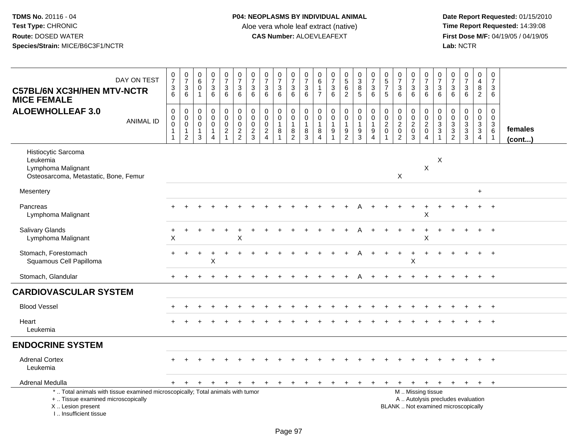| DAY ON TEST<br><b>C57BL/6N XC3H/HEN MTV-NCTR</b><br><b>MICE FEMALE</b>                                                                                              | $\frac{0}{7}$<br>$\frac{3}{6}$                                                | 0<br>$\overline{7}$<br>3<br>6                                                    | 0<br>6<br>$\mathsf{O}\xspace$<br>$\mathbf{1}$         | $\begin{smallmatrix}0\\7\end{smallmatrix}$<br>$\mathfrak{S}$<br>6       | $\frac{0}{7}$<br>3<br>6                                  | $\frac{0}{7}$<br>$\mathsf 3$<br>6                                | 0<br>$\overline{7}$<br>3<br>6                    | 0<br>$\overline{7}$<br>3<br>6                             | $\frac{0}{7}$<br>3<br>6                             | $\frac{0}{7}$<br>$\sqrt{3}$<br>6                       | 0<br>$\overline{7}$<br>$\sqrt{3}$<br>$\,6\,$                            | 0<br>6<br>$\mathbf{1}$<br>$\overline{7}$ | 0<br>$\overline{7}$<br>$\sqrt{3}$<br>6                               | $\begin{array}{c} 0 \\ 5 \end{array}$<br>$6\overline{6}$<br>$\overline{2}$ | 0<br>$\overline{3}$<br>8<br>$5\phantom{.0}$             | $\begin{smallmatrix}0\\7\end{smallmatrix}$<br>$\mathbf{3}$<br>6                          | $\begin{array}{c} 0 \\ 5 \end{array}$<br>$\overline{7}$<br>5 | $\begin{array}{c} 0 \\ 7 \end{array}$<br>$\sqrt{3}$<br>6    | 0<br>$\overline{7}$<br>3<br>6                                | 0<br>$\overline{7}$<br>$\mathsf 3$<br>6                                       | 0<br>$\overline{7}$<br>$\mathbf{3}$<br>6             | 0<br>$\overline{7}$<br>3<br>6                                  | $\frac{0}{7}$<br>$\mathbf{3}$<br>6                                       | $\pmb{0}$<br>4<br>8<br>$\overline{2}$                      | 0<br>$\overline{7}$<br>3<br>6                                                        |                   |
|---------------------------------------------------------------------------------------------------------------------------------------------------------------------|-------------------------------------------------------------------------------|----------------------------------------------------------------------------------|-------------------------------------------------------|-------------------------------------------------------------------------|----------------------------------------------------------|------------------------------------------------------------------|--------------------------------------------------|-----------------------------------------------------------|-----------------------------------------------------|--------------------------------------------------------|-------------------------------------------------------------------------|------------------------------------------|----------------------------------------------------------------------|----------------------------------------------------------------------------|---------------------------------------------------------|------------------------------------------------------------------------------------------|--------------------------------------------------------------|-------------------------------------------------------------|--------------------------------------------------------------|-------------------------------------------------------------------------------|------------------------------------------------------|----------------------------------------------------------------|--------------------------------------------------------------------------|------------------------------------------------------------|--------------------------------------------------------------------------------------|-------------------|
| <b>ALOEWHOLLEAF 3.0</b><br><b>ANIMAL ID</b>                                                                                                                         | $\begin{smallmatrix}0\\0\\0\end{smallmatrix}$<br>$\mathbf{1}$<br>$\mathbf{1}$ | $\mathbf 0$<br>$\boldsymbol{0}$<br>$\mathbf 0$<br>$\mathbf{1}$<br>$\overline{2}$ | 0<br>0<br>$\mathbf 0$<br>$\mathbf{1}$<br>$\mathbf{3}$ | 0<br>$\pmb{0}$<br>$\mathsf{O}\xspace$<br>$\mathbf{1}$<br>$\overline{4}$ | $\mathbf 0$<br>$\mathbf 0$<br>$\pmb{0}$<br>$\frac{2}{1}$ | $\mathbf 0$<br>$\ddot{\mathbf{0}}$<br>$\pmb{0}$<br>$\frac{2}{2}$ | 0<br>$\mathbf 0$<br>$\mathbf 0$<br>$\frac{2}{3}$ | $\pmb{0}$<br>$\overline{0}$<br>$\pmb{0}$<br>$\frac{2}{4}$ | 0<br>$\pmb{0}$<br>$\mathbf{1}$<br>8<br>$\mathbf{1}$ | 0<br>$\boldsymbol{0}$<br>$\mathbf{1}$<br>$\frac{8}{2}$ | $\mathbf 0$<br>$\mathbf 0$<br>$\mathbf{1}$<br>$\,8\,$<br>$\overline{3}$ | 0<br>0<br>$\overline{1}$<br>8<br>4       | 0<br>$\pmb{0}$<br>$\overline{1}$<br>$\boldsymbol{9}$<br>$\mathbf{1}$ | 0<br>$\mathbf 0$<br>$\mathbf{1}$<br>$\frac{9}{2}$                          | $\pmb{0}$<br>$\pmb{0}$<br>$\mathbf{1}$<br>$\frac{9}{3}$ | $\mathbf 0$<br>$\ddot{\mathbf{0}}$<br>$\mathbf{1}$<br>$\boldsymbol{9}$<br>$\overline{4}$ | 0<br>$\mathbf 0$<br>$\overline{c}$<br>$\pmb{0}$              | $\mathbf 0$<br>$\frac{0}{2}$<br>$\pmb{0}$<br>$\overline{2}$ | 0<br>$\mathsf{O}\xspace$<br>$\overline{c}$<br>$\pmb{0}$<br>3 | $\mathbf 0$<br>$\mathbf 0$<br>$\overline{c}$<br>$\mathbf 0$<br>$\overline{4}$ | 0<br>0<br>$\sqrt{3}$<br>$\mathbf{3}$<br>$\mathbf{1}$ | 0<br>$\mathsf 0$<br>$\ensuremath{\mathsf{3}}$<br>$\frac{3}{2}$ | 0<br>$\begin{array}{c} 0 \\ 3 \\ 3 \\ 3 \end{array}$                     | 0<br>$\overline{0}$<br>$\mathbf{3}$<br>3<br>$\overline{4}$ | $\mathbf 0$<br>$\mathbf 0$<br>$\ensuremath{\mathsf{3}}$<br>$\,6\,$<br>$\overline{1}$ | females<br>(cont) |
| Histiocytic Sarcoma<br>Leukemia<br>Lymphoma Malignant<br>Osteosarcoma, Metastatic, Bone, Femur                                                                      |                                                                               |                                                                                  |                                                       |                                                                         |                                                          |                                                                  |                                                  |                                                           |                                                     |                                                        |                                                                         |                                          |                                                                      |                                                                            |                                                         |                                                                                          |                                                              | X                                                           |                                                              | $\boldsymbol{\mathsf{X}}$                                                     | Χ                                                    |                                                                |                                                                          |                                                            |                                                                                      |                   |
| Mesentery                                                                                                                                                           |                                                                               |                                                                                  |                                                       |                                                                         |                                                          |                                                                  |                                                  |                                                           |                                                     |                                                        |                                                                         |                                          |                                                                      |                                                                            |                                                         |                                                                                          |                                                              |                                                             |                                                              |                                                                               |                                                      |                                                                |                                                                          | $\ddot{}$                                                  |                                                                                      |                   |
| Pancreas<br>Lymphoma Malignant                                                                                                                                      |                                                                               |                                                                                  |                                                       |                                                                         |                                                          |                                                                  |                                                  |                                                           |                                                     |                                                        |                                                                         |                                          |                                                                      |                                                                            |                                                         |                                                                                          |                                                              |                                                             |                                                              | Χ                                                                             |                                                      |                                                                |                                                                          |                                                            |                                                                                      |                   |
| <b>Salivary Glands</b><br>Lymphoma Malignant                                                                                                                        | X                                                                             |                                                                                  |                                                       |                                                                         |                                                          | X                                                                |                                                  |                                                           |                                                     |                                                        |                                                                         |                                          |                                                                      |                                                                            |                                                         |                                                                                          |                                                              |                                                             |                                                              | X                                                                             |                                                      |                                                                |                                                                          |                                                            | $\overline{+}$                                                                       |                   |
| Stomach, Forestomach<br>Squamous Cell Papilloma                                                                                                                     |                                                                               |                                                                                  |                                                       | X                                                                       |                                                          |                                                                  |                                                  |                                                           |                                                     |                                                        |                                                                         |                                          |                                                                      |                                                                            |                                                         |                                                                                          |                                                              |                                                             | +<br>X                                                       |                                                                               |                                                      |                                                                |                                                                          |                                                            | $\overline{+}$                                                                       |                   |
| Stomach, Glandular                                                                                                                                                  |                                                                               |                                                                                  |                                                       |                                                                         |                                                          |                                                                  |                                                  |                                                           |                                                     |                                                        |                                                                         |                                          |                                                                      |                                                                            |                                                         |                                                                                          |                                                              |                                                             |                                                              |                                                                               |                                                      |                                                                |                                                                          | $\ddot{}$                                                  | $+$                                                                                  |                   |
| <b>CARDIOVASCULAR SYSTEM</b>                                                                                                                                        |                                                                               |                                                                                  |                                                       |                                                                         |                                                          |                                                                  |                                                  |                                                           |                                                     |                                                        |                                                                         |                                          |                                                                      |                                                                            |                                                         |                                                                                          |                                                              |                                                             |                                                              |                                                                               |                                                      |                                                                |                                                                          |                                                            |                                                                                      |                   |
| <b>Blood Vessel</b>                                                                                                                                                 |                                                                               |                                                                                  |                                                       |                                                                         |                                                          |                                                                  |                                                  |                                                           |                                                     |                                                        |                                                                         |                                          |                                                                      |                                                                            |                                                         |                                                                                          |                                                              |                                                             |                                                              |                                                                               |                                                      |                                                                |                                                                          |                                                            |                                                                                      |                   |
| Heart<br>Leukemia                                                                                                                                                   |                                                                               |                                                                                  |                                                       |                                                                         |                                                          |                                                                  |                                                  |                                                           |                                                     |                                                        |                                                                         |                                          |                                                                      |                                                                            |                                                         |                                                                                          |                                                              |                                                             |                                                              |                                                                               |                                                      |                                                                |                                                                          |                                                            |                                                                                      |                   |
| <b>ENDOCRINE SYSTEM</b>                                                                                                                                             |                                                                               |                                                                                  |                                                       |                                                                         |                                                          |                                                                  |                                                  |                                                           |                                                     |                                                        |                                                                         |                                          |                                                                      |                                                                            |                                                         |                                                                                          |                                                              |                                                             |                                                              |                                                                               |                                                      |                                                                |                                                                          |                                                            |                                                                                      |                   |
| <b>Adrenal Cortex</b><br>Leukemia                                                                                                                                   |                                                                               |                                                                                  |                                                       |                                                                         |                                                          |                                                                  |                                                  |                                                           |                                                     |                                                        |                                                                         |                                          |                                                                      |                                                                            |                                                         |                                                                                          |                                                              |                                                             |                                                              |                                                                               |                                                      |                                                                |                                                                          |                                                            | $+$                                                                                  |                   |
| Adrenal Medulla                                                                                                                                                     | $+$                                                                           | $+$                                                                              | $+$                                                   | $+$                                                                     | $+$                                                      | $+$                                                              | $+$                                              | $+$                                                       | $+$                                                 | $+$                                                    | $+$                                                                     | $\ddot{}$                                | $\ddot{}$                                                            | $\ddot{}$                                                                  | $\ddot{}$                                               | $+$                                                                                      | $\ddot{}$                                                    | $\ddot{}$                                                   | $+$                                                          | $+$                                                                           | $+$                                                  | $+$                                                            | $+$                                                                      | $+$                                                        | $+$                                                                                  |                   |
| *  Total animals with tissue examined microscopically; Total animals with tumor<br>+  Tissue examined microscopically<br>X  Lesion present<br>I Insufficient tissue |                                                                               |                                                                                  |                                                       |                                                                         |                                                          |                                                                  |                                                  |                                                           |                                                     |                                                        |                                                                         |                                          |                                                                      |                                                                            |                                                         |                                                                                          |                                                              |                                                             |                                                              | M  Missing tissue                                                             |                                                      |                                                                | A  Autolysis precludes evaluation<br>BLANK  Not examined microscopically |                                                            |                                                                                      |                   |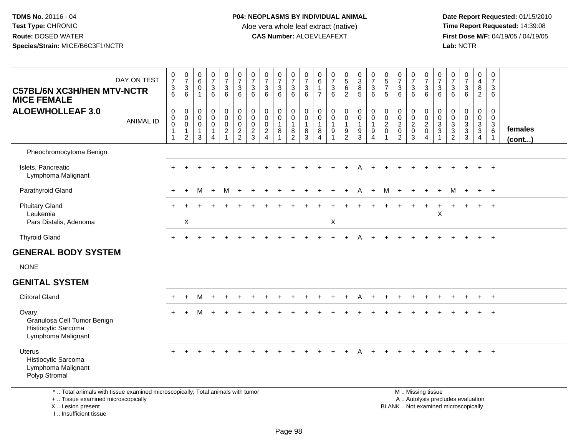**Date Report Requested:** 01/15/2010 **First Dose M/F:** 04/19/05 / 04/19/05<br>Lab: NCTR **Lab:** NCTR

| DAY ON TEST<br><b>C57BL/6N XC3H/HEN MTV-NCTR</b><br><b>MICE FEMALE</b>            | $\frac{0}{7}$<br>$\mathbf{3}$<br>6 | $\frac{0}{7}$<br>$\ensuremath{\mathsf{3}}$<br>$6\phantom{1}$   | $\begin{array}{c} 0 \\ 6 \end{array}$<br>$\mathbf 0$<br>$\mathbf{1}$ | 0<br>$\overline{7}$<br>$\mathbf{3}$<br>6                        | $\frac{0}{7}$<br>$\ensuremath{\mathsf{3}}$<br>$\,6\,$  | $\frac{0}{7}$<br>$\ensuremath{\mathsf{3}}$<br>6               | $\frac{0}{7}$<br>$\sqrt{3}$<br>$\,6\,$                      | $\frac{0}{7}$<br>$\mathbf{3}$<br>6                                                    | $\frac{0}{7}$<br>$\mathbf{3}$<br>6                                     | $\frac{0}{7}$<br>$\mathbf{3}$<br>6                      | $\frac{0}{7}$<br>3<br>6                                               | $\begin{array}{c} 0 \\ 6 \end{array}$<br>$\mathbf{1}$<br>$\overline{7}$ | 0<br>$\overline{7}$<br>$\mathbf{3}$<br>6               | $\begin{array}{c} 0 \\ 5 \\ 6 \end{array}$<br>$\overline{2}$ | $\begin{array}{c} 0 \\ 3 \\ 8 \end{array}$<br>$5\phantom{.0}$ | $\begin{array}{c} 0 \\ 7 \\ 3 \end{array}$<br>6                          | $\begin{array}{c} 0 \\ 5 \\ 7 \end{array}$<br>5              | $\begin{array}{c} 0 \\ 7 \\ 3 \end{array}$<br>6                                 | $\frac{0}{7}$<br>$\mathbf{3}$<br>6   | $\begin{array}{c} 0 \\ 7 \\ 3 \end{array}$<br>6                   | $\frac{0}{7}$<br>$\sqrt{3}$<br>$\,6\,$              | $\frac{0}{7}$<br>$\sqrt{3}$<br>$\,6\,$                  | $\begin{array}{c} 0 \\ 7 \\ 3 \end{array}$<br>6               | $\begin{smallmatrix}0\0\4\end{smallmatrix}$<br>8<br>$\overline{2}$ | $\frac{0}{7}$<br>$\mathbf{3}$<br>6                                            |                         |
|-----------------------------------------------------------------------------------|------------------------------------|----------------------------------------------------------------|----------------------------------------------------------------------|-----------------------------------------------------------------|--------------------------------------------------------|---------------------------------------------------------------|-------------------------------------------------------------|---------------------------------------------------------------------------------------|------------------------------------------------------------------------|---------------------------------------------------------|-----------------------------------------------------------------------|-------------------------------------------------------------------------|--------------------------------------------------------|--------------------------------------------------------------|---------------------------------------------------------------|--------------------------------------------------------------------------|--------------------------------------------------------------|---------------------------------------------------------------------------------|--------------------------------------|-------------------------------------------------------------------|-----------------------------------------------------|---------------------------------------------------------|---------------------------------------------------------------|--------------------------------------------------------------------|-------------------------------------------------------------------------------|-------------------------|
| <b>ALOEWHOLLEAF 3.0</b><br><b>ANIMAL ID</b>                                       | 0<br>0<br>$\pmb{0}$                | $\begin{smallmatrix}0\\0\\0\end{smallmatrix}$<br>$\frac{1}{2}$ | 0<br>$\overline{0}$<br>$\mathsf{O}\xspace$<br>$\mathbf{1}$<br>3      | $\pmb{0}$<br>$\mathbf 0$<br>0<br>$\mathbf{1}$<br>$\overline{4}$ | $_{\rm 0}^{\rm 0}$<br>$_{2}^{\rm 0}$<br>$\overline{1}$ | $\begin{smallmatrix} 0\\0 \end{smallmatrix}$<br>$\frac{0}{2}$ | $\begin{smallmatrix}0\\0\end{smallmatrix}$<br>$\frac{0}{2}$ | $\pmb{0}$<br>$\ddot{\mathbf{0}}$<br>$\mathbf 0$<br>$\boldsymbol{2}$<br>$\overline{4}$ | $\begin{smallmatrix} 0\\0 \end{smallmatrix}$<br>$\mathbf{1}$<br>8<br>1 | 0<br>$\mathbf 0$<br>$\mathbf{1}$<br>8<br>$\overline{2}$ | $\begin{smallmatrix}0\0\0\end{smallmatrix}$<br>$\mathbf{1}$<br>8<br>3 | $\pmb{0}$<br>$\ddot{\mathbf{0}}$<br>$\mathbf{1}$<br>8<br>$\overline{4}$ | $\mathsf{O}\xspace$<br>$\mathbf 0$<br>$\mathbf 1$<br>9 | $_{\rm 0}^{\rm 0}$<br>$\mathbf{1}$<br>$\frac{9}{2}$          | 0<br>$\overline{0}$<br>$\mathbf{1}$<br>$\boldsymbol{9}$<br>3  | $_{\rm 0}^{\rm 0}$<br>$\mathbf{1}$<br>$\boldsymbol{9}$<br>$\overline{4}$ | $\begin{smallmatrix} 0\\0 \end{smallmatrix}$<br>$^2_{\rm 0}$ | $\begin{smallmatrix} 0\\0 \end{smallmatrix}$<br>$\frac{2}{0}$<br>$\overline{2}$ | 0<br>$\bar{0}$<br>$\frac{2}{0}$<br>3 | $\begin{array}{c} 0 \\ 0 \\ 2 \\ 0 \end{array}$<br>$\overline{4}$ | $\boldsymbol{0}$<br>$\frac{0}{3}$<br>$\overline{1}$ | $\pmb{0}$<br>$\begin{array}{c} 0 \\ 3 \\ 2 \end{array}$ | $\begin{smallmatrix} 0\\0 \end{smallmatrix}$<br>$\frac{3}{3}$ | $\mathbf 0$<br>$\overline{0}$<br>$\frac{3}{3}$<br>$\overline{4}$   | $\begin{smallmatrix} 0\\0 \end{smallmatrix}$<br>$\frac{3}{6}$<br>$\mathbf{1}$ | females<br>$($ cont $)$ |
| Pheochromocytoma Benign                                                           |                                    |                                                                |                                                                      |                                                                 |                                                        |                                                               |                                                             |                                                                                       |                                                                        |                                                         |                                                                       |                                                                         |                                                        |                                                              |                                                               |                                                                          |                                                              |                                                                                 |                                      |                                                                   |                                                     |                                                         |                                                               |                                                                    |                                                                               |                         |
| Islets, Pancreatic<br>Lymphoma Malignant                                          |                                    |                                                                |                                                                      |                                                                 |                                                        |                                                               |                                                             |                                                                                       |                                                                        |                                                         |                                                                       |                                                                         |                                                        |                                                              |                                                               |                                                                          |                                                              |                                                                                 |                                      |                                                                   |                                                     |                                                         |                                                               |                                                                    | $\overline{+}$                                                                |                         |
| Parathyroid Gland                                                                 |                                    |                                                                | M                                                                    | $+$                                                             | м                                                      |                                                               |                                                             |                                                                                       |                                                                        |                                                         |                                                                       |                                                                         |                                                        |                                                              | Α                                                             | $\ddot{}$                                                                | м                                                            |                                                                                 |                                      |                                                                   |                                                     | M                                                       |                                                               | $\ddot{}$                                                          | $+$                                                                           |                         |
| <b>Pituitary Gland</b><br>Leukemia                                                |                                    |                                                                |                                                                      |                                                                 |                                                        |                                                               |                                                             |                                                                                       |                                                                        |                                                         |                                                                       |                                                                         |                                                        |                                                              |                                                               |                                                                          |                                                              |                                                                                 |                                      |                                                                   | $\mathsf X$                                         |                                                         |                                                               | $+$                                                                | $+$                                                                           |                         |
| Pars Distalis, Adenoma                                                            |                                    | Χ                                                              |                                                                      |                                                                 |                                                        |                                                               |                                                             |                                                                                       |                                                                        |                                                         |                                                                       |                                                                         | $\boldsymbol{\mathsf{X}}$                              |                                                              |                                                               |                                                                          |                                                              |                                                                                 |                                      |                                                                   |                                                     |                                                         |                                                               |                                                                    |                                                                               |                         |
| <b>Thyroid Gland</b>                                                              |                                    |                                                                |                                                                      |                                                                 |                                                        |                                                               |                                                             |                                                                                       |                                                                        |                                                         |                                                                       |                                                                         |                                                        |                                                              |                                                               |                                                                          |                                                              |                                                                                 |                                      |                                                                   |                                                     |                                                         |                                                               | $\ddot{}$                                                          | $+$                                                                           |                         |
| <b>GENERAL BODY SYSTEM</b>                                                        |                                    |                                                                |                                                                      |                                                                 |                                                        |                                                               |                                                             |                                                                                       |                                                                        |                                                         |                                                                       |                                                                         |                                                        |                                                              |                                                               |                                                                          |                                                              |                                                                                 |                                      |                                                                   |                                                     |                                                         |                                                               |                                                                    |                                                                               |                         |
| <b>NONE</b>                                                                       |                                    |                                                                |                                                                      |                                                                 |                                                        |                                                               |                                                             |                                                                                       |                                                                        |                                                         |                                                                       |                                                                         |                                                        |                                                              |                                                               |                                                                          |                                                              |                                                                                 |                                      |                                                                   |                                                     |                                                         |                                                               |                                                                    |                                                                               |                         |
| <b>GENITAL SYSTEM</b>                                                             |                                    |                                                                |                                                                      |                                                                 |                                                        |                                                               |                                                             |                                                                                       |                                                                        |                                                         |                                                                       |                                                                         |                                                        |                                                              |                                                               |                                                                          |                                                              |                                                                                 |                                      |                                                                   |                                                     |                                                         |                                                               |                                                                    |                                                                               |                         |
| <b>Clitoral Gland</b>                                                             |                                    |                                                                | м                                                                    |                                                                 |                                                        |                                                               |                                                             |                                                                                       |                                                                        |                                                         |                                                                       |                                                                         |                                                        |                                                              | А                                                             |                                                                          |                                                              |                                                                                 |                                      |                                                                   |                                                     |                                                         |                                                               |                                                                    | $\overline{+}$                                                                |                         |
| Ovary<br>Granulosa Cell Tumor Benign<br>Histiocytic Sarcoma<br>Lymphoma Malignant |                                    |                                                                |                                                                      |                                                                 |                                                        |                                                               |                                                             |                                                                                       |                                                                        |                                                         |                                                                       |                                                                         |                                                        |                                                              |                                                               |                                                                          |                                                              |                                                                                 |                                      |                                                                   |                                                     |                                                         |                                                               |                                                                    | $\overline{+}$                                                                |                         |
| Uterus<br>Histiocytic Sarcoma<br>Lymphoma Malignant<br>Polyp Stromal              | $\div$                             |                                                                |                                                                      |                                                                 |                                                        |                                                               |                                                             |                                                                                       |                                                                        |                                                         |                                                                       |                                                                         |                                                        |                                                              |                                                               |                                                                          |                                                              |                                                                                 |                                      |                                                                   |                                                     |                                                         |                                                               |                                                                    | $+$                                                                           |                         |

\* .. Total animals with tissue examined microscopically; Total animals with tumor

+ .. Tissue examined microscopically

X .. Lesion present

I .. Insufficient tissue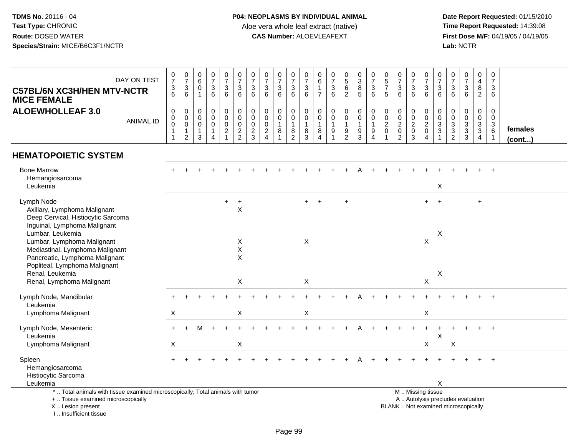| DAY ON TEST<br><b>C57BL/6N XC3H/HEN MTV-NCTR</b><br><b>MICE FEMALE</b>                                                                                                | $\mathbf 0$<br>$\overline{7}$<br>3<br>6                                     | $\frac{0}{7}$<br>$\mathbf{3}$<br>6                           | $\pmb{0}$<br>6<br>$\mathbf 0$<br>$\mathbf{1}$ | $\frac{0}{7}$<br>$\sqrt{3}$<br>6                             | $\begin{array}{c} 0 \\ 7 \end{array}$<br>$\sqrt{3}$<br>6 | 0<br>$\overline{7}$<br>$\mathsf 3$<br>6                  | 0<br>$\overline{7}$<br>3<br>6                    | $\frac{0}{7}$<br>$\sqrt{3}$<br>6                                 | $\frac{0}{7}$<br>3<br>6                             | $\frac{0}{7}$<br>$\sqrt{3}$<br>6                   | 0<br>$\overline{7}$<br>$\sqrt{3}$<br>6                                   | 0<br>6<br>$\mathbf{1}$<br>$\overline{7}$   | 0<br>$\overline{7}$<br>$\sqrt{3}$<br>6                                           | $0$<br>5<br>6<br>$\overline{2}$      | $\pmb{0}$<br>$\overline{3}$<br>8<br>5                                    | $\frac{0}{7}$<br>$\mathfrak{Z}$<br>6               | $\begin{array}{c} 0 \\ 5 \end{array}$<br>$\overline{7}$<br>$\sqrt{5}$       | 0<br>$\overline{7}$<br>$\sqrt{3}$<br>6                                | $\frac{0}{7}$<br>$\sqrt{3}$<br>6                   | 0<br>$\overline{7}$<br>$\mathbf{3}$<br>6       | 0<br>$\overline{7}$<br>3<br>6                                      | 0<br>$\overline{7}$<br>$\sqrt{3}$<br>6 | $\begin{smallmatrix}0\\7\end{smallmatrix}$<br>$\mathfrak{S}$<br>6        | $\pmb{0}$<br>$\overline{4}$<br>$\bf 8$<br>$\overline{2}$   | 0<br>$\overline{7}$<br>3<br>6                                                   |                   |
|-----------------------------------------------------------------------------------------------------------------------------------------------------------------------|-----------------------------------------------------------------------------|--------------------------------------------------------------|-----------------------------------------------|--------------------------------------------------------------|----------------------------------------------------------|----------------------------------------------------------|--------------------------------------------------|------------------------------------------------------------------|-----------------------------------------------------|----------------------------------------------------|--------------------------------------------------------------------------|--------------------------------------------|----------------------------------------------------------------------------------|--------------------------------------|--------------------------------------------------------------------------|----------------------------------------------------|-----------------------------------------------------------------------------|-----------------------------------------------------------------------|----------------------------------------------------|------------------------------------------------|--------------------------------------------------------------------|----------------------------------------|--------------------------------------------------------------------------|------------------------------------------------------------|---------------------------------------------------------------------------------|-------------------|
| <b>ALOEWHOLLEAF 3.0</b><br><b>ANIMAL ID</b>                                                                                                                           | $\mathbf 0$<br>$\mathbf 0$<br>$\mathbf 0$<br>$\overline{1}$<br>$\mathbf{1}$ | 0<br>$\pmb{0}$<br>$\mathsf{O}\xspace$<br>1<br>$\overline{c}$ | 0<br>0<br>$\mathbf 0$<br>$\mathbf{1}$<br>3    | $\mathbf 0$<br>$\pmb{0}$<br>$\pmb{0}$<br>1<br>$\overline{4}$ | $\mathbf 0$<br>$\pmb{0}$<br>$\pmb{0}$<br>$\frac{2}{1}$   | $\mathbf 0$<br>$\mathbf 0$<br>$\pmb{0}$<br>$\frac{2}{2}$ | 0<br>$\mathbf 0$<br>$\mathbf 0$<br>$\frac{2}{3}$ | $\mathbf 0$<br>$\ddot{\mathbf{0}}$<br>$\pmb{0}$<br>$\frac{2}{4}$ | 0<br>$\pmb{0}$<br>$\mathbf{1}$<br>8<br>$\mathbf{1}$ | 0<br>$\mathsf{O}$<br>$\mathbf{1}$<br>$\frac{8}{2}$ | $\mathbf 0$<br>$\mathbf 0$<br>$\overline{1}$<br>$\, 8$<br>$\overline{3}$ | 0<br>$\mathbf 0$<br>$\mathbf{1}$<br>8<br>4 | $\mathbf 0$<br>$\mathbf 0$<br>$\mathbf{1}$<br>$\boldsymbol{9}$<br>$\overline{1}$ | 0<br>$\pmb{0}$<br>1<br>$\frac{9}{2}$ | 0<br>$\mathbf 0$<br>$\overline{1}$<br>$\boldsymbol{9}$<br>$\overline{3}$ | $\mathbf 0$<br>$\pmb{0}$<br>$\mathbf{1}$<br>9<br>4 | $\mathbf 0$<br>$\mathbf 0$<br>$\overline{c}$<br>$\pmb{0}$<br>$\overline{1}$ | $\mathbf 0$<br>$\pmb{0}$<br>$\sqrt{2}$<br>$\pmb{0}$<br>$\overline{2}$ | 0<br>$\pmb{0}$<br>$\overline{c}$<br>$\pmb{0}$<br>3 | 0<br>$\pmb{0}$<br>$\sqrt{2}$<br>$\pmb{0}$<br>4 | 0<br>$\mathbf 0$<br>$\ensuremath{\mathsf{3}}$<br>3<br>$\mathbf{1}$ | 0<br>$\pmb{0}$<br>$\frac{3}{2}$        | 0<br>$\mathbf 0$<br>$\frac{3}{3}$                                        | 0<br>$\overline{0}$<br>$\overline{3}$<br>$\mathbf{3}$<br>4 | $\mathbf 0$<br>$\mathbf 0$<br>$\mathbf{3}$<br>$6\phantom{1}6$<br>$\overline{1}$ | females<br>(cont) |
| <b>HEMATOPOIETIC SYSTEM</b>                                                                                                                                           |                                                                             |                                                              |                                               |                                                              |                                                          |                                                          |                                                  |                                                                  |                                                     |                                                    |                                                                          |                                            |                                                                                  |                                      |                                                                          |                                                    |                                                                             |                                                                       |                                                    |                                                |                                                                    |                                        |                                                                          |                                                            |                                                                                 |                   |
| <b>Bone Marrow</b><br>Hemangiosarcoma<br>Leukemia                                                                                                                     |                                                                             |                                                              |                                               |                                                              |                                                          |                                                          |                                                  |                                                                  |                                                     |                                                    |                                                                          |                                            |                                                                                  |                                      |                                                                          |                                                    |                                                                             |                                                                       |                                                    |                                                | X                                                                  |                                        |                                                                          |                                                            |                                                                                 |                   |
| Lymph Node<br>Axillary, Lymphoma Malignant<br>Deep Cervical, Histiocytic Sarcoma<br>Inguinal, Lymphoma Malignant                                                      |                                                                             |                                                              |                                               |                                                              | $+$                                                      | $\ddot{}$<br>$\sf X$                                     |                                                  |                                                                  |                                                     |                                                    | $+$                                                                      | $+$                                        |                                                                                  | $\ddot{}$                            |                                                                          |                                                    |                                                                             |                                                                       |                                                    | $+$                                            | $+$                                                                |                                        |                                                                          | $\ddot{}$                                                  |                                                                                 |                   |
| Lumbar, Leukemia<br>Lumbar, Lymphoma Malignant<br>Mediastinal, Lymphoma Malignant<br>Pancreatic, Lymphoma Malignant<br>Popliteal, Lymphoma Malignant                  |                                                                             |                                                              |                                               |                                                              |                                                          | Χ<br>$\mathsf X$<br>X                                    |                                                  |                                                                  |                                                     |                                                    | X                                                                        |                                            |                                                                                  |                                      |                                                                          |                                                    |                                                                             |                                                                       |                                                    | $\boldsymbol{\mathsf{X}}$                      | X                                                                  |                                        |                                                                          |                                                            |                                                                                 |                   |
| Renal, Leukemia<br>Renal, Lymphoma Malignant                                                                                                                          |                                                                             |                                                              |                                               |                                                              |                                                          | X                                                        |                                                  |                                                                  |                                                     |                                                    | X                                                                        |                                            |                                                                                  |                                      |                                                                          |                                                    |                                                                             |                                                                       |                                                    | X                                              | X                                                                  |                                        |                                                                          |                                                            |                                                                                 |                   |
| Lymph Node, Mandibular<br>Leukemia                                                                                                                                    |                                                                             |                                                              |                                               |                                                              |                                                          |                                                          |                                                  |                                                                  |                                                     |                                                    |                                                                          |                                            |                                                                                  |                                      |                                                                          |                                                    |                                                                             |                                                                       |                                                    |                                                |                                                                    |                                        |                                                                          |                                                            |                                                                                 |                   |
| Lymphoma Malignant                                                                                                                                                    | $\mathsf{X}$                                                                |                                                              |                                               |                                                              |                                                          | X                                                        |                                                  |                                                                  |                                                     |                                                    | X                                                                        |                                            |                                                                                  |                                      |                                                                          |                                                    |                                                                             |                                                                       |                                                    | X                                              |                                                                    |                                        |                                                                          |                                                            |                                                                                 |                   |
| Lymph Node, Mesenteric<br>Leukemia                                                                                                                                    |                                                                             |                                                              |                                               |                                                              |                                                          |                                                          |                                                  |                                                                  |                                                     |                                                    |                                                                          |                                            |                                                                                  |                                      |                                                                          |                                                    |                                                                             |                                                                       |                                                    |                                                | X                                                                  |                                        |                                                                          |                                                            |                                                                                 |                   |
| Lymphoma Malignant                                                                                                                                                    | $\times$                                                                    |                                                              |                                               |                                                              |                                                          | X                                                        |                                                  |                                                                  |                                                     |                                                    |                                                                          |                                            |                                                                                  |                                      |                                                                          |                                                    |                                                                             |                                                                       |                                                    | X                                              |                                                                    | X                                      |                                                                          |                                                            |                                                                                 |                   |
| Spleen<br>Hemangiosarcoma<br>Histiocytic Sarcoma<br>Leukemia                                                                                                          |                                                                             |                                                              |                                               |                                                              |                                                          |                                                          |                                                  |                                                                  |                                                     |                                                    |                                                                          |                                            |                                                                                  |                                      |                                                                          |                                                    |                                                                             |                                                                       |                                                    |                                                | X                                                                  |                                        |                                                                          |                                                            | $+$                                                                             |                   |
| *  Total animals with tissue examined microscopically; Total animals with tumor<br>+  Tissue examined microscopically<br>X  Lesion present<br>I., Insufficient tissue |                                                                             |                                                              |                                               |                                                              |                                                          |                                                          |                                                  |                                                                  |                                                     |                                                    |                                                                          |                                            |                                                                                  |                                      |                                                                          |                                                    |                                                                             |                                                                       |                                                    | M  Missing tissue                              |                                                                    |                                        | A  Autolysis precludes evaluation<br>BLANK  Not examined microscopically |                                                            |                                                                                 |                   |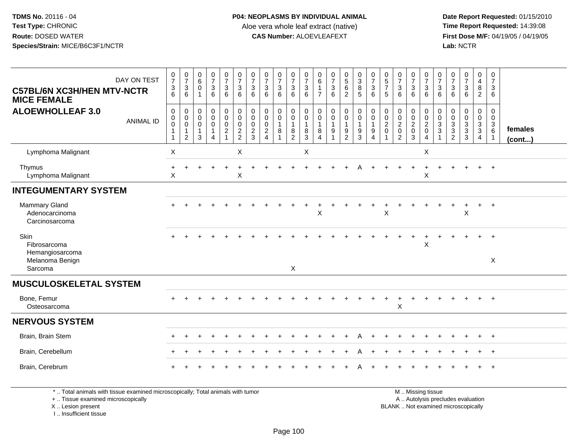**Date Report Requested:** 01/15/2010 **First Dose M/F:** 04/19/05 / 04/19/05<br>Lab: NCTR **Lab:** NCTR

| DAY ON TEST<br><b>C57BL/6N XC3H/HEN MTV-NCTR</b><br><b>MICE FEMALE</b> | $\frac{0}{7}$<br>3<br>6                                   | $\begin{array}{c} 0 \\ 7 \end{array}$<br>$\mathbf{3}$<br>$6\phantom{1}$ | $\begin{array}{c} 0 \\ 6 \end{array}$<br>$\mathbf 0$<br>$\mathbf{1}$ | $\frac{0}{7}$<br>$\sqrt{3}$<br>6                                                   | $\frac{0}{7}$<br>$\mathbf{3}$<br>6                                                                | $\frac{0}{7}$<br>$\mathbf{3}$<br>6                                                | $\frac{0}{7}$<br>3<br>6                                | $\frac{0}{7}$<br>$\mathsf 3$<br>6                                | $\frac{0}{7}$<br>$\mathbf{3}$<br>6                      | $\frac{0}{7}$<br>$\mathbf{3}$<br>6                    | $\frac{0}{7}$<br>$\mathbf{3}$<br>6                             | 0<br>$\,6\,$<br>$\overline{1}$<br>$\overline{7}$ | $\frac{0}{7}$<br>$\sqrt{3}$<br>6                    | $\begin{array}{c} 0 \\ 5 \end{array}$<br>$6\overline{6}$<br>2 | $\begin{array}{c} 0 \\ 3 \\ 8 \end{array}$<br>$\overline{5}$                                      | $\frac{0}{7}$<br>$\mathsf 3$<br>6                                              | $\begin{array}{c} 0 \\ 5 \\ 7 \end{array}$<br>5             | $\frac{0}{7}$<br>$\mathbf 3$<br>6                                | 0<br>$\overline{7}$<br>$\sqrt{3}$<br>6               | $\frac{0}{7}$<br>$\mathbf{3}$<br>6                 | $\frac{0}{7}$<br>$\mathbf{3}$<br>6                                   | $\frac{0}{7}$<br>$\sqrt{3}$<br>6                                  | $\frac{0}{7}$<br>$\sqrt{3}$<br>6                                                   | $\mathbf 0$<br>$\overline{4}$<br>$\bf 8$<br>$\overline{2}$    | $\pmb{0}$<br>$\overline{7}$<br>$\mathfrak{S}$<br>6                          |                   |
|------------------------------------------------------------------------|-----------------------------------------------------------|-------------------------------------------------------------------------|----------------------------------------------------------------------|------------------------------------------------------------------------------------|---------------------------------------------------------------------------------------------------|-----------------------------------------------------------------------------------|--------------------------------------------------------|------------------------------------------------------------------|---------------------------------------------------------|-------------------------------------------------------|----------------------------------------------------------------|--------------------------------------------------|-----------------------------------------------------|---------------------------------------------------------------|---------------------------------------------------------------------------------------------------|--------------------------------------------------------------------------------|-------------------------------------------------------------|------------------------------------------------------------------|------------------------------------------------------|----------------------------------------------------|----------------------------------------------------------------------|-------------------------------------------------------------------|------------------------------------------------------------------------------------|---------------------------------------------------------------|-----------------------------------------------------------------------------|-------------------|
| <b>ALOEWHOLLEAF 3.0</b><br><b>ANIMAL ID</b>                            | $\boldsymbol{0}$<br>$\mathbf 0$<br>0<br>$\mathbf{1}$<br>1 | $\mathbf 0$<br>$\mathbf 0$<br>$\mathbf 0$<br>1<br>$\overline{c}$        | $\pmb{0}$<br>$\mathbf 0$<br>$\mathbf 0$<br>$\mathbf{1}$<br>3         | $\mathsf 0$<br>$\mathsf{O}\xspace$<br>0<br>$\mathbf{1}$<br>$\overline{\mathbf{4}}$ | $\begin{smallmatrix}0\\0\end{smallmatrix}$<br>$\mathsf{O}\xspace$<br>$\sqrt{2}$<br>$\overline{1}$ | $\begin{smallmatrix} 0\\0 \end{smallmatrix}$<br>$\boldsymbol{0}$<br>$\frac{2}{2}$ | 0<br>$\mathbf 0$<br>$\mathbf 0$<br>$\overline{c}$<br>3 | $\pmb{0}$<br>$\mathsf{O}\xspace$<br>$\mathbf 0$<br>$\frac{2}{4}$ | $\mathsf{O}\xspace$<br>$\mathbf 0$<br>$\mathbf{1}$<br>8 | 0<br>$\pmb{0}$<br>$\mathbf{1}$<br>8<br>$\overline{2}$ | $\mathbf 0$<br>$\mathsf{O}\xspace$<br>$\overline{1}$<br>8<br>3 | 0<br>$\mathbf 0$<br>$\overline{1}$<br>8<br>4     | $\pmb{0}$<br>$\mathbf 0$<br>$\mathbf{1}$<br>9<br>-1 | $\mathbf 0$<br>$\mathbf 0$<br>$\boldsymbol{9}$<br>2           | $\begin{smallmatrix}0\0\0\end{smallmatrix}$<br>$\overline{1}$<br>$\boldsymbol{9}$<br>$\mathbf{3}$ | $\pmb{0}$<br>$\pmb{0}$<br>$\overline{1}$<br>$\boldsymbol{9}$<br>$\overline{4}$ | $\mathbf 0$<br>$\mathbf 0$<br>$\overline{2}$<br>$\mathbf 0$ | $\mathbf 0$<br>$\mathbf 0$<br>$\overline{2}$<br>$\mathbf 0$<br>2 | 0<br>$\pmb{0}$<br>$\boldsymbol{2}$<br>$\pmb{0}$<br>3 | 0<br>$\mathbf 0$<br>$\sqrt{2}$<br>$\mathbf 0$<br>4 | $\mathbf 0$<br>$\mathsf{O}\xspace$<br>$\mathbf{3}$<br>$\overline{3}$ | $\pmb{0}$<br>$\mathbf 0$<br>3<br>$\overline{3}$<br>$\overline{2}$ | $\pmb{0}$<br>$\mathsf{O}\xspace$<br>$\sqrt{3}$<br>$\overline{3}$<br>$\overline{3}$ | $\mathbf 0$<br>$\mathbf 0$<br>$\frac{3}{3}$<br>$\overline{4}$ | $\mathbf 0$<br>$\mathbf 0$<br>$\mathbf{3}$<br>$6^{\circ}$<br>$\overline{1}$ | females<br>(cont) |
| Lymphoma Malignant                                                     | $\mathsf X$                                               |                                                                         |                                                                      |                                                                                    |                                                                                                   | $\boldsymbol{\mathsf{X}}$                                                         |                                                        |                                                                  |                                                         |                                                       | X                                                              |                                                  |                                                     |                                                               |                                                                                                   |                                                                                |                                                             |                                                                  |                                                      | X                                                  |                                                                      |                                                                   |                                                                                    |                                                               |                                                                             |                   |
| Thymus<br>Lymphoma Malignant                                           | $\ddot{}$<br>X                                            | $\ddot{}$                                                               |                                                                      | $\overline{1}$                                                                     | $\ddot{}$                                                                                         | $\ddot{}$<br>$\times$                                                             |                                                        |                                                                  |                                                         |                                                       |                                                                |                                                  |                                                     |                                                               |                                                                                                   |                                                                                |                                                             |                                                                  | $\ddot{}$                                            | $\ddot{}$<br>$\mathsf X$                           | $\ddot{}$                                                            | $\pm$                                                             | $\div$                                                                             | $+$                                                           | $+$                                                                         |                   |
| <b>INTEGUMENTARY SYSTEM</b>                                            |                                                           |                                                                         |                                                                      |                                                                                    |                                                                                                   |                                                                                   |                                                        |                                                                  |                                                         |                                                       |                                                                |                                                  |                                                     |                                                               |                                                                                                   |                                                                                |                                                             |                                                                  |                                                      |                                                    |                                                                      |                                                                   |                                                                                    |                                                               |                                                                             |                   |
| <b>Mammary Gland</b><br>Adenocarcinoma<br>Carcinosarcoma               |                                                           |                                                                         |                                                                      |                                                                                    |                                                                                                   |                                                                                   |                                                        |                                                                  |                                                         |                                                       |                                                                | $\sf X$                                          |                                                     |                                                               |                                                                                                   |                                                                                | $\pmb{\times}$                                              |                                                                  |                                                      |                                                    |                                                                      |                                                                   | X                                                                                  |                                                               | $+$                                                                         |                   |
| Skin<br>Fibrosarcoma<br>Hemangiosarcoma<br>Melanoma Benign<br>Sarcoma  |                                                           |                                                                         |                                                                      |                                                                                    |                                                                                                   |                                                                                   |                                                        |                                                                  |                                                         | X                                                     |                                                                |                                                  |                                                     |                                                               |                                                                                                   |                                                                                |                                                             |                                                                  |                                                      | $\boldsymbol{\mathsf{X}}$                          |                                                                      |                                                                   |                                                                                    | ÷.                                                            | $+$<br>X                                                                    |                   |
| <b>MUSCULOSKELETAL SYSTEM</b>                                          |                                                           |                                                                         |                                                                      |                                                                                    |                                                                                                   |                                                                                   |                                                        |                                                                  |                                                         |                                                       |                                                                |                                                  |                                                     |                                                               |                                                                                                   |                                                                                |                                                             |                                                                  |                                                      |                                                    |                                                                      |                                                                   |                                                                                    |                                                               |                                                                             |                   |
| Bone, Femur<br>Osteosarcoma                                            |                                                           |                                                                         |                                                                      |                                                                                    |                                                                                                   |                                                                                   |                                                        |                                                                  |                                                         |                                                       |                                                                |                                                  |                                                     |                                                               |                                                                                                   |                                                                                |                                                             | $\boldsymbol{\mathsf{X}}$                                        |                                                      |                                                    |                                                                      |                                                                   |                                                                                    |                                                               | $^{+}$                                                                      |                   |
| <b>NERVOUS SYSTEM</b>                                                  |                                                           |                                                                         |                                                                      |                                                                                    |                                                                                                   |                                                                                   |                                                        |                                                                  |                                                         |                                                       |                                                                |                                                  |                                                     |                                                               |                                                                                                   |                                                                                |                                                             |                                                                  |                                                      |                                                    |                                                                      |                                                                   |                                                                                    |                                                               |                                                                             |                   |
| Brain, Brain Stem                                                      |                                                           |                                                                         |                                                                      |                                                                                    |                                                                                                   |                                                                                   |                                                        |                                                                  |                                                         |                                                       |                                                                |                                                  |                                                     |                                                               |                                                                                                   |                                                                                |                                                             |                                                                  |                                                      |                                                    |                                                                      |                                                                   |                                                                                    |                                                               | $+$                                                                         |                   |
| Brain, Cerebellum                                                      |                                                           |                                                                         |                                                                      |                                                                                    |                                                                                                   |                                                                                   |                                                        |                                                                  |                                                         |                                                       |                                                                |                                                  |                                                     | $\ddot{}$                                                     | A                                                                                                 | $\overline{+}$                                                                 |                                                             |                                                                  |                                                      |                                                    |                                                                      |                                                                   |                                                                                    | $+$                                                           | $+$                                                                         |                   |
| Brain, Cerebrum                                                        |                                                           |                                                                         |                                                                      |                                                                                    |                                                                                                   |                                                                                   |                                                        |                                                                  |                                                         |                                                       |                                                                |                                                  |                                                     |                                                               |                                                                                                   |                                                                                |                                                             |                                                                  |                                                      |                                                    |                                                                      |                                                                   |                                                                                    |                                                               | $+$                                                                         |                   |

\* .. Total animals with tissue examined microscopically; Total animals with tumor

+ .. Tissue examined microscopically

X .. Lesion present

I .. Insufficient tissue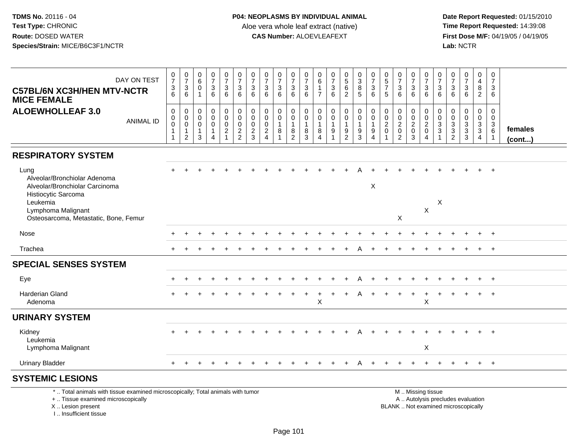| DAY ON TEST<br><b>C57BL/6N XC3H/HEN MTV-NCTR</b><br><b>MICE FEMALE</b>                                                                                                   | $\frac{0}{7}$<br>$\frac{3}{6}$ | $\frac{0}{7}$<br>6                                                             | 0<br>$\,6\,$<br>$\Omega$<br>$\mathbf{1}$                         | $\frac{0}{7}$<br>$\mathbf{3}$<br>6                                          | $\frac{0}{7}$<br>$\mathbf{3}$<br>6      | $\frac{0}{7}$<br>3<br>$6\phantom{1}$                     | $\frac{0}{7}$<br>3<br>$6\phantom{1}$                       | $\frac{0}{7}$<br>3<br>6      | $\begin{array}{c} 0 \\ 7 \end{array}$<br>$\sqrt{3}$<br>6              | $\frac{0}{7}$<br>$\mathbf{3}$<br>$\,6\,$                                             | $\frac{0}{7}$<br>$\sqrt{3}$<br>6                                        | 0<br>6<br>$\overline{7}$                  | $\begin{smallmatrix}0\\7\end{smallmatrix}$<br>$\mathbf{3}$<br>6                | $\begin{array}{c} 0 \\ 5 \\ 6 \end{array}$<br>$\overline{2}$ | $\begin{array}{c} 0 \\ 3 \\ 8 \end{array}$<br>$\overline{5}$ | $\frac{0}{7}$<br>$\sqrt{3}$<br>$\,6\,$                                             | 0<br>$\frac{5}{7}$<br>5                           | $\frac{0}{7}$<br>$\mathbf{3}$<br>6                                        | $\frac{0}{7}$<br>3<br>$6\phantom{1}$                   | $\begin{array}{c} 0 \\ 7 \\ 3 \end{array}$<br>$6^{\circ}$                                     | $\begin{smallmatrix}0\\7\end{smallmatrix}$<br>3<br>6 | 0<br>$\overline{7}$<br>$\mathbf{3}$<br>$6\phantom{1}$ | $\begin{smallmatrix}0\\7\end{smallmatrix}$<br>$\sqrt{3}$<br>6 | 0<br>$\overline{4}$<br>8<br>$\overline{2}$                | $\pmb{0}$<br>$\overline{7}$<br>3<br>6                             |                   |
|--------------------------------------------------------------------------------------------------------------------------------------------------------------------------|--------------------------------|--------------------------------------------------------------------------------|------------------------------------------------------------------|-----------------------------------------------------------------------------|-----------------------------------------|----------------------------------------------------------|------------------------------------------------------------|------------------------------|-----------------------------------------------------------------------|--------------------------------------------------------------------------------------|-------------------------------------------------------------------------|-------------------------------------------|--------------------------------------------------------------------------------|--------------------------------------------------------------|--------------------------------------------------------------|------------------------------------------------------------------------------------|---------------------------------------------------|---------------------------------------------------------------------------|--------------------------------------------------------|-----------------------------------------------------------------------------------------------|------------------------------------------------------|-------------------------------------------------------|---------------------------------------------------------------|-----------------------------------------------------------|-------------------------------------------------------------------|-------------------|
| <b>ALOEWHOLLEAF 3.0</b><br><b>ANIMAL ID</b>                                                                                                                              | 0<br>0<br>$\mathbf 0$          | $\mathbf 0$<br>$\pmb{0}$<br>$\overline{0}$<br>$\overline{1}$<br>$\overline{2}$ | $\mathbf 0$<br>$\mathbf 0$<br>$\mathbf 0$<br>$\overline{1}$<br>3 | $\mathbf 0$<br>$\mathbf 0$<br>$\mathbf 0$<br>$\mathbf{1}$<br>$\overline{4}$ | 0<br>$\mathbf 0$<br>0<br>$\overline{c}$ | $\mathbf 0$<br>$\mathbf 0$<br>$\pmb{0}$<br>$\frac{2}{2}$ | $\mathbf 0$<br>$\mathbf 0$<br>$\mathbf 0$<br>$\frac{2}{3}$ | 0<br>0<br>0<br>$\frac{2}{4}$ | $\pmb{0}$<br>$\pmb{0}$<br>$\overline{1}$<br>$\,8\,$<br>$\overline{1}$ | 0<br>$\mathbf 0$<br>$\overline{1}$<br>$\begin{smallmatrix} 8 \\ 2 \end{smallmatrix}$ | $\mathbf 0$<br>$\mathsf 0$<br>$\overline{1}$<br>$\bf 8$<br>$\mathbf{3}$ | $\mathbf 0$<br>$\mathbf 0$<br>1<br>8<br>4 | $\pmb{0}$<br>$\mathbf 0$<br>$\mathbf{1}$<br>$\boldsymbol{9}$<br>$\overline{1}$ | $\pmb{0}$<br>$\mathbf 0$<br>$\mathbf{1}$<br>$\frac{9}{2}$    | $\mathbf 0$<br>$\mathbf 0$<br>$\mathbf{1}$<br>$\frac{9}{3}$  | $\mathbf 0$<br>$\mathbf 0$<br>$\overline{1}$<br>$\boldsymbol{9}$<br>$\overline{4}$ | 0<br>$\mathbf 0$<br>$\overline{2}$<br>$\mathbf 0$ | $\pmb{0}$<br>$\pmb{0}$<br>$\boldsymbol{2}$<br>$\pmb{0}$<br>$\overline{2}$ | 0<br>$\mathbf 0$<br>$\overline{c}$<br>$\mathbf 0$<br>3 | $\pmb{0}$<br>$\frac{0}{2}$<br>$\overline{4}$                                                  | 0<br>$\mathbf 0$<br>3<br>3<br>$\mathbf{1}$           | 0<br>$\mathbf 0$<br>$\mathbf{3}$<br>$\frac{3}{2}$     | $\mathbf 0$<br>$\mathbf 0$<br>$\overline{3}$<br>$\frac{3}{3}$ | 0<br>$\mathbf 0$<br>3<br>$\overline{3}$<br>$\overline{4}$ | $\mathbf 0$<br>$\mathbf 0$<br>$\mathbf{3}$<br>6<br>$\overline{1}$ | females<br>(cont) |
| <b>RESPIRATORY SYSTEM</b>                                                                                                                                                |                                |                                                                                |                                                                  |                                                                             |                                         |                                                          |                                                            |                              |                                                                       |                                                                                      |                                                                         |                                           |                                                                                |                                                              |                                                              |                                                                                    |                                                   |                                                                           |                                                        |                                                                                               |                                                      |                                                       |                                                               |                                                           |                                                                   |                   |
| Lung<br>Alveolar/Bronchiolar Adenoma<br>Alveolar/Bronchiolar Carcinoma<br>Histiocytic Sarcoma<br>Leukemia<br>Lymphoma Malignant<br>Osteosarcoma, Metastatic, Bone, Femur |                                |                                                                                |                                                                  |                                                                             |                                         |                                                          |                                                            |                              |                                                                       |                                                                                      |                                                                         |                                           |                                                                                |                                                              |                                                              | $\boldsymbol{\mathsf{X}}$                                                          |                                                   | X                                                                         |                                                        | X                                                                                             | X                                                    |                                                       |                                                               |                                                           |                                                                   |                   |
| Nose                                                                                                                                                                     |                                |                                                                                |                                                                  |                                                                             |                                         |                                                          |                                                            |                              |                                                                       |                                                                                      |                                                                         |                                           |                                                                                |                                                              |                                                              |                                                                                    |                                                   |                                                                           |                                                        |                                                                                               |                                                      |                                                       |                                                               |                                                           |                                                                   |                   |
|                                                                                                                                                                          |                                |                                                                                |                                                                  |                                                                             |                                         |                                                          |                                                            |                              |                                                                       |                                                                                      |                                                                         |                                           |                                                                                |                                                              |                                                              |                                                                                    |                                                   |                                                                           |                                                        |                                                                                               |                                                      |                                                       |                                                               |                                                           |                                                                   |                   |
| Trachea                                                                                                                                                                  |                                |                                                                                |                                                                  |                                                                             |                                         |                                                          |                                                            |                              |                                                                       |                                                                                      |                                                                         |                                           |                                                                                |                                                              |                                                              |                                                                                    |                                                   |                                                                           |                                                        |                                                                                               |                                                      |                                                       |                                                               |                                                           | $+$                                                               |                   |
| <b>SPECIAL SENSES SYSTEM</b>                                                                                                                                             |                                |                                                                                |                                                                  |                                                                             |                                         |                                                          |                                                            |                              |                                                                       |                                                                                      |                                                                         |                                           |                                                                                |                                                              |                                                              |                                                                                    |                                                   |                                                                           |                                                        |                                                                                               |                                                      |                                                       |                                                               |                                                           |                                                                   |                   |
| Eye                                                                                                                                                                      |                                |                                                                                |                                                                  |                                                                             |                                         |                                                          |                                                            |                              |                                                                       |                                                                                      |                                                                         |                                           |                                                                                |                                                              |                                                              |                                                                                    |                                                   |                                                                           |                                                        |                                                                                               |                                                      |                                                       |                                                               |                                                           | $+$                                                               |                   |
| <b>Harderian Gland</b><br>Adenoma                                                                                                                                        |                                |                                                                                |                                                                  |                                                                             |                                         |                                                          |                                                            |                              |                                                                       |                                                                                      |                                                                         | $\mathsf X$                               |                                                                                |                                                              |                                                              |                                                                                    |                                                   |                                                                           |                                                        | X                                                                                             |                                                      |                                                       |                                                               |                                                           |                                                                   |                   |
| <b>URINARY SYSTEM</b>                                                                                                                                                    |                                |                                                                                |                                                                  |                                                                             |                                         |                                                          |                                                            |                              |                                                                       |                                                                                      |                                                                         |                                           |                                                                                |                                                              |                                                              |                                                                                    |                                                   |                                                                           |                                                        |                                                                                               |                                                      |                                                       |                                                               |                                                           |                                                                   |                   |
| Kidney<br>Leukemia<br>Lymphoma Malignant                                                                                                                                 |                                |                                                                                |                                                                  |                                                                             |                                         |                                                          |                                                            |                              |                                                                       |                                                                                      |                                                                         |                                           |                                                                                |                                                              |                                                              |                                                                                    |                                                   |                                                                           |                                                        | X                                                                                             |                                                      |                                                       |                                                               |                                                           | $+$                                                               |                   |
| <b>Urinary Bladder</b>                                                                                                                                                   | $\ddot{}$                      |                                                                                |                                                                  |                                                                             |                                         |                                                          |                                                            |                              |                                                                       |                                                                                      |                                                                         |                                           |                                                                                | $\pm$                                                        | A                                                            |                                                                                    |                                                   |                                                                           |                                                        |                                                                                               |                                                      |                                                       |                                                               | $+$                                                       | $+$                                                               |                   |
| <b>SYSTEMIC LESIONS</b>                                                                                                                                                  |                                |                                                                                |                                                                  |                                                                             |                                         |                                                          |                                                            |                              |                                                                       |                                                                                      |                                                                         |                                           |                                                                                |                                                              |                                                              |                                                                                    |                                                   |                                                                           |                                                        |                                                                                               |                                                      |                                                       |                                                               |                                                           |                                                                   |                   |
| *  Total animals with tissue examined microscopically; Total animals with tumor<br>+  Tissue examined microscopically<br>X  Lesion present<br>I., Insufficient tissue    |                                |                                                                                |                                                                  |                                                                             |                                         |                                                          |                                                            |                              |                                                                       |                                                                                      |                                                                         |                                           |                                                                                |                                                              |                                                              |                                                                                    |                                                   |                                                                           |                                                        | M  Missing tissue<br>A  Autolysis precludes evaluation<br>BLANK  Not examined microscopically |                                                      |                                                       |                                                               |                                                           |                                                                   |                   |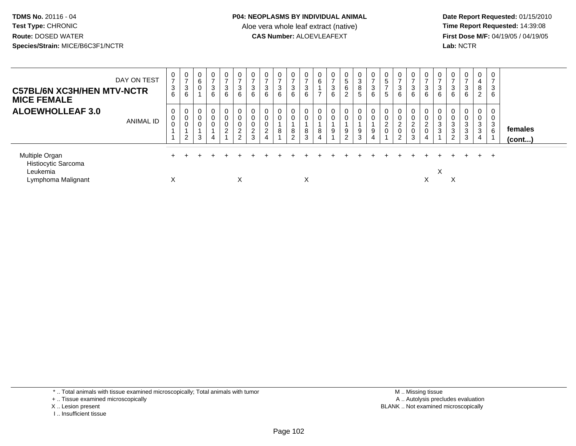**Date Report Requested:** 01/15/2010 **First Dose M/F:** 04/19/05 / 04/19/05<br>Lab: NCTR **Lab:** NCTR

| <b>C57BL/6N XC3H/HEN MTV-NCTR</b><br><b>MICE FEMALE</b>                 | DAY ON TEST      | 0<br>$\overline{7}$<br>$\mathbf{3}$<br>6 | 0<br>$\rightarrow$<br>3<br>6 | $\overline{0}$<br>6<br>$\mathbf 0$ | $\mathbf 0$<br>$\rightarrow$<br>3<br>6 | 0<br>3<br>6                  | 0<br>$\rightarrow$<br>$\mathbf{3}$<br>6             | 0<br>$\rightarrow$<br>3<br>6               | 0<br>$\rightarrow$<br>$\sim$<br>చ<br>6                             | 3<br>6 | $\mathbf 0$<br>$\rightarrow$<br>3<br>6             | 0<br>$\sim$<br>ు<br>6 | 0<br>6<br>$\overline{ }$ | 0<br>$\overline{ }$<br>$\mathbf{3}$<br>6 | 0<br>5<br>6<br>$\overline{2}$ | 0<br>3<br>8<br>$5\phantom{.0}$ | 0<br>$\rightarrow$<br>$\mathbf{3}$<br>$6\phantom{1}$ | U<br>5<br>5 | 0<br>$\overline{ }$<br>$\mathbf{3}$<br>6               | 0<br>$\overline{ }$<br>3<br>6      | 0<br>$\sim$<br>3<br>6                   | $\sim$<br>J.<br>6 | 0<br>3<br>6                                     | 0<br>$\rightarrow$<br>$\mathbf{3}$<br>6                           | $\overline{0}$<br>4<br>8<br>$\overline{2}$ | 0<br>$\overline{ }$<br>3<br>6             |                         |
|-------------------------------------------------------------------------|------------------|------------------------------------------|------------------------------|------------------------------------|----------------------------------------|------------------------------|-----------------------------------------------------|--------------------------------------------|--------------------------------------------------------------------|--------|----------------------------------------------------|-----------------------|--------------------------|------------------------------------------|-------------------------------|--------------------------------|------------------------------------------------------|-------------|--------------------------------------------------------|------------------------------------|-----------------------------------------|-------------------|-------------------------------------------------|-------------------------------------------------------------------|--------------------------------------------|-------------------------------------------|-------------------------|
| <b>ALOEWHOLLEAF 3.0</b>                                                 | <b>ANIMAL ID</b> | 0<br>0<br>0                              | 0<br>0<br>0<br>2             | $\overline{0}$<br>$\mathbf 0$<br>3 | 0<br>0<br>0                            | 0<br>0<br>$\mathcal{D}$<br>∠ | 0<br>0<br>$\mathbf 0$<br>$\overline{2}$<br>$\Omega$ | 0<br>0<br>$\pmb{0}$<br>$\overline{c}$<br>3 | 0<br>$\mathbf 0$<br>$\mathbf 0$<br>$\mathcal{D}$<br>$\overline{4}$ | 8      | $\mathbf{0}$<br>$\mathbf 0$<br>8<br>$\overline{2}$ | 0<br>0<br>8<br>3      | 0<br>0<br>8<br>4         | 0<br>$\mathbf 0$<br>$\boldsymbol{9}$     | 0<br>0<br>9<br>$\overline{2}$ | 9<br>3                         | 0<br>0<br>9<br>4                                     | ے<br>0      | 0<br>0<br>$\Omega$<br>∠<br>$\pmb{0}$<br>$\overline{2}$ | 0<br>0<br>$\overline{c}$<br>0<br>3 | 0<br>$\overline{2}$<br>$\mathbf 0$<br>4 | 3<br>3            | 0<br>$\sqrt{3}$<br>$\sqrt{3}$<br>$\overline{2}$ | 0<br>0<br>$\ensuremath{\mathsf{3}}$<br>$\sqrt{3}$<br>$\mathbf{3}$ | $\mathbf 0$<br>0<br>$\mathbf{3}$<br>3<br>4 | 0<br>0<br>$\mathbf{3}$<br>$6\phantom{1}6$ | females<br>$($ cont $)$ |
| Multiple Organ<br>Histiocytic Sarcoma<br>Leukemia<br>Lymphoma Malignant |                  | $\checkmark$<br>ㅅ                        |                              |                                    |                                        |                              | X                                                   |                                            |                                                                    |        |                                                    | $\checkmark$<br>⋏     |                          |                                          |                               |                                |                                                      |             |                                                        |                                    | ⋏                                       | X                 | X                                               |                                                                   |                                            | $+$                                       |                         |

\* .. Total animals with tissue examined microscopically; Total animals with tumor

+ .. Tissue examined microscopically

- X .. Lesion present
- I .. Insufficient tissue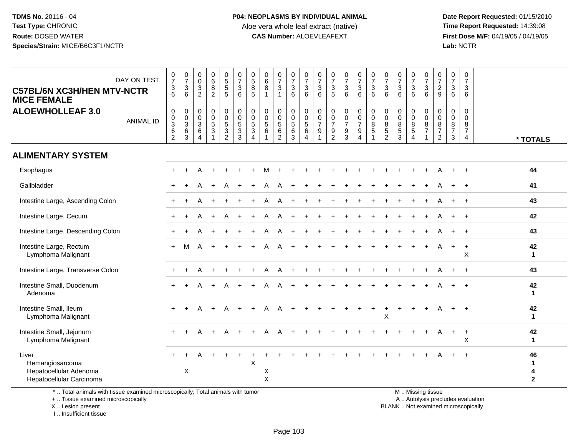**Date Report Requested:** 01/15/2010 **First Dose M/F:** 04/19/05 / 04/19/05<br>Lab: NCTR **Lab:** NCTR

| DAY ON TEST<br><b>C57BL/6N XC3H/HEN MTV-NCTR</b><br><b>MICE FEMALE</b><br><b>ALOEWHOLLEAF 3.0</b><br><b>ANIMAL ID</b>                                            | $\begin{array}{c} 0 \\ 7 \end{array}$<br>$\sqrt{3}$<br>6<br>$\boldsymbol{0}$<br>$_{3}^{\rm 0}$<br>$6\phantom{1}6$<br>$\overline{2}$ | $\frac{0}{7}$<br>$\mathbf{3}$<br>6<br>0<br>0<br>$\sqrt{3}$<br>$\,6$<br>3 | $\mathbf 0$<br>$\mathbf 0$<br>$\sqrt{3}$<br>2<br>$\mathbf 0$<br>$\mathbf 0$<br>3<br>6<br>$\boldsymbol{\Lambda}$ | $_{6}^{\rm 0}$<br>$\overline{8}$<br>$\overline{2}$<br>0<br>$\mathbf 0$<br>5<br>3<br>$\mathbf{1}$ | $\begin{array}{c} 0 \\ 5 \\ 5 \end{array}$<br>$\overline{5}$<br>0<br>$\mathsf{O}$<br>$\sqrt{5}$<br>3<br>$\overline{2}$ | $\begin{array}{c} 0 \\ 7 \end{array}$<br>$\sqrt{3}$<br>6<br>$\mathbf 0$<br>$\pmb{0}$<br>$\overline{5}$<br>$\mathbf{3}$<br>3 | $\begin{array}{c} 0 \\ 5 \\ 8 \end{array}$<br>5<br>0<br>$\mathbf 0$<br>$\sqrt{5}$<br>3<br>$\boldsymbol{\Lambda}$ | $\mathbf 0$<br>6<br>8<br>$\overline{1}$<br>$\mathbf 0$<br>$\mathbf 0$<br>$\sqrt{5}$<br>6<br>$\overline{1}$ | $\frac{0}{7}$<br>$\mathbf{3}$<br>0<br>$\mathbf 0$<br>5<br>$\,6\,$<br>$\overline{2}$ | 0<br>$\frac{5}{7}$<br>$\mathbf{3}$<br>6<br>$\mathbf 0$<br>$\pmb{0}$<br>$\sqrt{5}$<br>6<br>3 | $\frac{0}{7}$<br>$\mathbf{3}$<br>6<br>0<br>0<br>5<br>6<br>$\overline{4}$ | 0<br>$\overline{7}$<br>3<br>6<br>$\mathbf 0$<br>0<br>$\overline{7}$<br>9 | $\frac{0}{7}$<br>$\ensuremath{\mathsf{3}}$<br>5<br>$\mathbf 0$<br>$\pmb{0}$<br>$\overline{7}$<br>$\frac{9}{2}$ | $\begin{smallmatrix}0\\7\end{smallmatrix}$<br>$\mathbf{3}$<br>6<br>0<br>$\mathbf 0$<br>$\overline{7}$<br>9<br>3 | $\frac{0}{7}$<br>3<br>6<br>$\mathbf 0$<br>$\mathbf 0$<br>$\overline{7}$<br>9<br>$\overline{4}$ | $\frac{0}{7}$<br>3<br>6<br>0<br>$\mathbf 0$<br>8<br>5<br>1 | $\frac{0}{7}$<br>$\mathbf 3$<br>6<br>0<br>0<br>8<br>5<br>2 | $\begin{array}{c} 0 \\ 7 \end{array}$<br>$\ensuremath{\mathsf{3}}$<br>6<br>$\mathbf 0$<br>$\mathbf 0$<br>$\bf8$<br>$\sqrt{5}$<br>3 | $\frac{0}{7}$<br>$\frac{3}{6}$<br>0<br>0<br>$\bf 8$<br>$\sqrt{5}$<br>$\overline{4}$ | $\frac{0}{7}$<br>$\mathbf 3$<br>6<br>$\mathbf 0$<br>$\mathbf 0$<br>8<br>$\overline{7}$<br>$\mathbf{1}$ | 0<br>$\overline{7}$<br>$\overline{c}$<br>9<br>0<br>0<br>8<br>$\overline{7}$<br>$\overline{2}$ | $\frac{0}{7}$<br>3<br>6<br>$\mathbf 0$<br>$\mathbf 0$<br>8<br>$\overline{7}$<br>3 | $\pmb{0}$<br>$\overline{7}$<br>$\mathbf{3}$<br>6<br>$\mathbf 0$<br>$\mathbf 0$<br>8<br>$\overline{7}$<br>$\overline{4}$ | * TOTALS                                |
|------------------------------------------------------------------------------------------------------------------------------------------------------------------|-------------------------------------------------------------------------------------------------------------------------------------|--------------------------------------------------------------------------|-----------------------------------------------------------------------------------------------------------------|--------------------------------------------------------------------------------------------------|------------------------------------------------------------------------------------------------------------------------|-----------------------------------------------------------------------------------------------------------------------------|------------------------------------------------------------------------------------------------------------------|------------------------------------------------------------------------------------------------------------|-------------------------------------------------------------------------------------|---------------------------------------------------------------------------------------------|--------------------------------------------------------------------------|--------------------------------------------------------------------------|----------------------------------------------------------------------------------------------------------------|-----------------------------------------------------------------------------------------------------------------|------------------------------------------------------------------------------------------------|------------------------------------------------------------|------------------------------------------------------------|------------------------------------------------------------------------------------------------------------------------------------|-------------------------------------------------------------------------------------|--------------------------------------------------------------------------------------------------------|-----------------------------------------------------------------------------------------------|-----------------------------------------------------------------------------------|-------------------------------------------------------------------------------------------------------------------------|-----------------------------------------|
| <b>ALIMENTARY SYSTEM</b>                                                                                                                                         |                                                                                                                                     |                                                                          |                                                                                                                 |                                                                                                  |                                                                                                                        |                                                                                                                             |                                                                                                                  |                                                                                                            |                                                                                     |                                                                                             |                                                                          |                                                                          |                                                                                                                |                                                                                                                 |                                                                                                |                                                            |                                                            |                                                                                                                                    |                                                                                     |                                                                                                        |                                                                                               |                                                                                   |                                                                                                                         |                                         |
| Esophagus                                                                                                                                                        |                                                                                                                                     |                                                                          |                                                                                                                 |                                                                                                  |                                                                                                                        |                                                                                                                             |                                                                                                                  | м                                                                                                          |                                                                                     |                                                                                             |                                                                          |                                                                          |                                                                                                                |                                                                                                                 |                                                                                                |                                                            |                                                            |                                                                                                                                    |                                                                                     |                                                                                                        |                                                                                               |                                                                                   | $+$                                                                                                                     | 44                                      |
| Gallbladder                                                                                                                                                      |                                                                                                                                     |                                                                          |                                                                                                                 |                                                                                                  |                                                                                                                        |                                                                                                                             |                                                                                                                  |                                                                                                            |                                                                                     |                                                                                             |                                                                          |                                                                          |                                                                                                                |                                                                                                                 |                                                                                                |                                                            |                                                            |                                                                                                                                    |                                                                                     |                                                                                                        |                                                                                               |                                                                                   | $\overline{+}$                                                                                                          | 41                                      |
| Intestine Large, Ascending Colon                                                                                                                                 |                                                                                                                                     |                                                                          |                                                                                                                 |                                                                                                  |                                                                                                                        |                                                                                                                             |                                                                                                                  |                                                                                                            |                                                                                     |                                                                                             |                                                                          |                                                                          |                                                                                                                |                                                                                                                 |                                                                                                |                                                            |                                                            |                                                                                                                                    |                                                                                     |                                                                                                        |                                                                                               |                                                                                   | $\overline{+}$                                                                                                          | 43                                      |
| Intestine Large, Cecum                                                                                                                                           |                                                                                                                                     | $\ddot{}$                                                                |                                                                                                                 | $\ddot{}$                                                                                        | A                                                                                                                      |                                                                                                                             |                                                                                                                  | A                                                                                                          | A                                                                                   |                                                                                             |                                                                          |                                                                          |                                                                                                                |                                                                                                                 |                                                                                                |                                                            |                                                            |                                                                                                                                    |                                                                                     |                                                                                                        |                                                                                               |                                                                                   | $+$                                                                                                                     | 42                                      |
| Intestine Large, Descending Colon                                                                                                                                |                                                                                                                                     |                                                                          |                                                                                                                 |                                                                                                  |                                                                                                                        |                                                                                                                             |                                                                                                                  |                                                                                                            |                                                                                     |                                                                                             |                                                                          |                                                                          |                                                                                                                |                                                                                                                 |                                                                                                |                                                            |                                                            |                                                                                                                                    |                                                                                     |                                                                                                        |                                                                                               |                                                                                   | $+$                                                                                                                     | 43                                      |
| Intestine Large, Rectum<br>Lymphoma Malignant                                                                                                                    | $\ddot{}$                                                                                                                           | м                                                                        |                                                                                                                 |                                                                                                  |                                                                                                                        |                                                                                                                             |                                                                                                                  |                                                                                                            |                                                                                     |                                                                                             |                                                                          |                                                                          |                                                                                                                |                                                                                                                 |                                                                                                |                                                            |                                                            |                                                                                                                                    |                                                                                     | $+$                                                                                                    | A                                                                                             | $+$                                                                               | $+$<br>X                                                                                                                | 42<br>$\mathbf{1}$                      |
| Intestine Large, Transverse Colon                                                                                                                                |                                                                                                                                     |                                                                          |                                                                                                                 |                                                                                                  |                                                                                                                        |                                                                                                                             |                                                                                                                  |                                                                                                            |                                                                                     |                                                                                             |                                                                          |                                                                          |                                                                                                                |                                                                                                                 |                                                                                                |                                                            |                                                            |                                                                                                                                    |                                                                                     |                                                                                                        |                                                                                               |                                                                                   | $\ddot{+}$                                                                                                              | 43                                      |
| Intestine Small, Duodenum<br>Adenoma                                                                                                                             |                                                                                                                                     |                                                                          |                                                                                                                 |                                                                                                  |                                                                                                                        |                                                                                                                             |                                                                                                                  |                                                                                                            |                                                                                     |                                                                                             |                                                                          |                                                                          |                                                                                                                |                                                                                                                 |                                                                                                |                                                            |                                                            |                                                                                                                                    |                                                                                     |                                                                                                        |                                                                                               |                                                                                   |                                                                                                                         | 42<br>$\mathbf{1}$                      |
| Intestine Small, Ileum<br>Lymphoma Malignant                                                                                                                     | $\ddot{}$                                                                                                                           | $\div$                                                                   |                                                                                                                 |                                                                                                  |                                                                                                                        |                                                                                                                             |                                                                                                                  |                                                                                                            |                                                                                     |                                                                                             |                                                                          |                                                                          |                                                                                                                |                                                                                                                 |                                                                                                | $\ddot{}$                                                  | $\ddot{}$<br>х                                             | $\overline{1}$                                                                                                                     | $\ddot{}$                                                                           | $\ddot{}$                                                                                              |                                                                                               | $+$                                                                               | $\overline{+}$                                                                                                          | 42<br>$\mathbf 1$                       |
| Intestine Small, Jejunum<br>Lymphoma Malignant                                                                                                                   |                                                                                                                                     |                                                                          |                                                                                                                 |                                                                                                  |                                                                                                                        |                                                                                                                             |                                                                                                                  |                                                                                                            |                                                                                     |                                                                                             |                                                                          |                                                                          |                                                                                                                |                                                                                                                 |                                                                                                |                                                            |                                                            |                                                                                                                                    |                                                                                     |                                                                                                        | A                                                                                             | $+$                                                                               | $+$<br>X                                                                                                                | 42<br>$\mathbf{1}$                      |
| Liver<br>Hemangiosarcoma<br>Hepatocellular Adenoma<br>Hepatocellular Carcinoma<br>* Total animals with tissue examined microsconically: Total animals with tumor |                                                                                                                                     | $\times$                                                                 |                                                                                                                 |                                                                                                  |                                                                                                                        |                                                                                                                             | X                                                                                                                | X<br>$\pmb{\times}$                                                                                        |                                                                                     |                                                                                             |                                                                          |                                                                          |                                                                                                                |                                                                                                                 |                                                                                                |                                                            |                                                            |                                                                                                                                    |                                                                                     | M Miccinaticcup                                                                                        |                                                                                               |                                                                                   | $\overline{+}$                                                                                                          | 46<br>$\mathbf{1}$<br>4<br>$\mathbf{2}$ |

\* .. Total animals with tissue examined microscopically; Total animals with tumor

+ .. Tissue examined microscopically

 Lesion present BLANK .. Not examined microscopicallyX .. Lesion present

I .. Insufficient tissue

M .. Missing tissue

y the contract of the contract of the contract of the contract of the contract of the contract of the contract of  $A$ . Autolysis precludes evaluation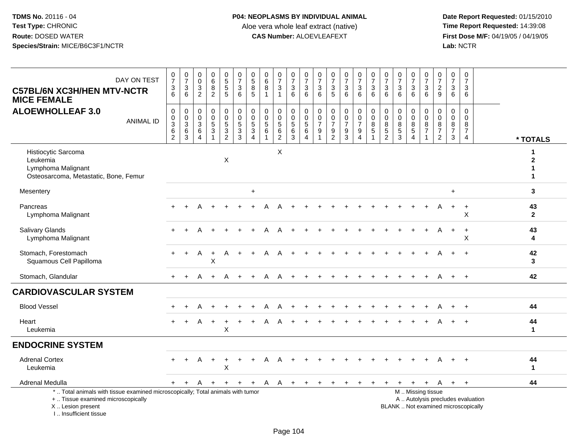**Date Report Requested:** 01/15/2010 **First Dose M/F:** 04/19/05 / 04/19/05<br>Lab: NCTR **Lab:** NCTR

| DAY ON TEST<br><b>C57BL/6N XC3H/HEN MTV-NCTR</b><br><b>MICE FEMALE</b>                                                                     | $\frac{0}{7}$<br>$\frac{3}{6}$               | $\frac{0}{7}$<br>$\frac{3}{6}$                                            | $\begin{smallmatrix} 0\\0 \end{smallmatrix}$<br>$\frac{3}{2}$ | $\begin{array}{c} 0 \\ 6 \end{array}$<br>$\bf 8$<br>$\overline{2}$ | $\begin{array}{c} 0 \\ 5 \\ 5 \end{array}$<br>$\overline{5}$ | $\frac{0}{7}$<br>$^3$ 6 | 0<br>5<br>5<br>5                                                  | $\pmb{0}$<br>$6\phantom{1}$<br>8<br>$\mathbf 1$ | $\frac{0}{7}$<br>$\mathbf{3}$<br>$\overline{1}$                             | $\frac{0}{7}$<br>$\mathsf 3$<br>$6\phantom{1}$ | $\frac{0}{7}$<br>$\sqrt{3}$<br>6                              | $\frac{0}{7}$<br>$\mathbf{3}$<br>6         | $\frac{0}{7}$<br>$\frac{3}{5}$                                                   | $\frac{0}{7}$<br>$\frac{3}{6}$                                   | $\frac{0}{7}$<br>$\frac{3}{6}$                                                  | $\frac{0}{7}$<br>$\mathbf{3}$<br>6                                          | $\frac{0}{7}$<br>3<br>$6\phantom{1}$                        | $\frac{0}{7}$<br>$\frac{3}{6}$                               | $\frac{0}{7}$<br>$\mathbf{3}$<br>$\overline{6}$                                | 0<br>$\overline{7}$<br>$\frac{3}{6}$ | $\frac{0}{7}$<br>$\frac{2}{9}$                 | $\pmb{0}$<br>$\overline{7}$<br>3<br>6                                    | $\mathbf 0$<br>$\overline{7}$<br>3<br>6             |                             |
|--------------------------------------------------------------------------------------------------------------------------------------------|----------------------------------------------|---------------------------------------------------------------------------|---------------------------------------------------------------|--------------------------------------------------------------------|--------------------------------------------------------------|-------------------------|-------------------------------------------------------------------|-------------------------------------------------|-----------------------------------------------------------------------------|------------------------------------------------|---------------------------------------------------------------|--------------------------------------------|----------------------------------------------------------------------------------|------------------------------------------------------------------|---------------------------------------------------------------------------------|-----------------------------------------------------------------------------|-------------------------------------------------------------|--------------------------------------------------------------|--------------------------------------------------------------------------------|--------------------------------------|------------------------------------------------|--------------------------------------------------------------------------|-----------------------------------------------------|-----------------------------|
| <b>ALOEWHOLLEAF 3.0</b><br><b>ANIMAL ID</b>                                                                                                | $\pmb{0}$<br>$\frac{0}{3}$<br>$\overline{2}$ | $\mathbf 0$<br>$\begin{array}{c} 0 \\ 3 \\ 6 \end{array}$<br>$\mathbf{3}$ | $\boldsymbol{0}$<br>$_{3}^{\rm 0}$<br>6<br>$\overline{4}$     | $\mathbf 0$<br>$\mathbf 0$<br>$\frac{5}{3}$<br>$\mathbf{1}$        | 0<br>$\ddot{\mathbf{0}}$<br>$\frac{5}{3}$<br>$\overline{2}$  | 0<br>0<br>5<br>3<br>3   | $\begin{array}{c} 0 \\ 0 \\ 5 \\ 3 \end{array}$<br>$\overline{4}$ | $\mathbf 0$<br>$\pmb{0}$<br>$\mathbf 5$<br>6    | $\boldsymbol{0}$<br>$\overline{0}$<br>$\overline{5}$<br>6<br>$\overline{2}$ | 0<br>$\mathbf 0$<br>$\frac{5}{6}$<br>3         | $\pmb{0}$<br>$\overline{0}$<br>$\overline{5}$<br>$\,6\,$<br>4 | 0<br>$\pmb{0}$<br>$\overline{7}$<br>9<br>1 | $\mathbf 0$<br>$\pmb{0}$<br>$\overline{7}$<br>$\boldsymbol{9}$<br>$\overline{2}$ | $\mathbf 0$<br>$\overline{0}$<br>$\overline{7}$<br>$\frac{9}{3}$ | $\begin{matrix} 0 \\ 0 \\ 7 \end{matrix}$<br>$\boldsymbol{9}$<br>$\overline{4}$ | $\begin{smallmatrix}0\\0\end{smallmatrix}$<br>$\frac{8}{5}$<br>$\mathbf{1}$ | 0<br>$\mathbf 0$<br>$\bf 8$<br>$\sqrt{5}$<br>$\overline{2}$ | $\pmb{0}$<br>$\ddot{\mathbf{0}}$<br>$\bf 8$<br>$\frac{5}{3}$ | $\mathbf 0$<br>$\ddot{\mathbf{0}}$<br>$\frac{8}{5}$<br>$\overline{\mathbf{4}}$ | 0<br>$\mathbf 0$<br>$\frac{8}{7}$    | $\pmb{0}$<br>$\mathbf 0$<br>$\frac{8}{7}$<br>2 | 0<br>$\mathbf 0$<br>$\bf 8$<br>$\overline{7}$<br>3                       | $\mathbf 0$<br>$\Omega$<br>8<br>$\overline{7}$<br>4 | * TOTALS                    |
| Histiocytic Sarcoma<br>Leukemia<br>Lymphoma Malignant<br>Osteosarcoma, Metastatic, Bone, Femur                                             |                                              |                                                                           |                                                               |                                                                    | X                                                            |                         |                                                                   |                                                 | $\boldsymbol{\mathsf{X}}$                                                   |                                                |                                                               |                                            |                                                                                  |                                                                  |                                                                                 |                                                                             |                                                             |                                                              |                                                                                |                                      |                                                |                                                                          |                                                     | 1<br>$\mathbf{2}$<br>1<br>1 |
| Mesentery                                                                                                                                  |                                              |                                                                           |                                                               |                                                                    |                                                              |                         | $\ddot{}$                                                         |                                                 |                                                                             |                                                |                                                               |                                            |                                                                                  |                                                                  |                                                                                 |                                                                             |                                                             |                                                              |                                                                                |                                      |                                                | $+$                                                                      |                                                     | $\mathbf{3}$                |
| Pancreas<br>Lymphoma Malignant                                                                                                             |                                              |                                                                           |                                                               |                                                                    |                                                              |                         |                                                                   |                                                 |                                                                             |                                                |                                                               |                                            |                                                                                  |                                                                  |                                                                                 |                                                                             |                                                             |                                                              |                                                                                |                                      |                                                |                                                                          | X                                                   | 43<br>$\mathbf{2}$          |
| <b>Salivary Glands</b><br>Lymphoma Malignant                                                                                               |                                              |                                                                           |                                                               |                                                                    |                                                              |                         |                                                                   |                                                 |                                                                             |                                                |                                                               |                                            |                                                                                  |                                                                  |                                                                                 |                                                                             |                                                             |                                                              |                                                                                |                                      |                                                | $\ddot{}$                                                                | $\ddot{}$<br>X                                      | 43<br>4                     |
| Stomach, Forestomach<br>Squamous Cell Papilloma                                                                                            |                                              |                                                                           | Α                                                             | $\ddot{}$<br>X                                                     | Α                                                            |                         |                                                                   |                                                 |                                                                             |                                                |                                                               |                                            |                                                                                  |                                                                  |                                                                                 |                                                                             |                                                             |                                                              |                                                                                |                                      |                                                |                                                                          |                                                     | 42<br>3                     |
| Stomach, Glandular                                                                                                                         | $+$                                          | $+$                                                                       | A                                                             | $+$                                                                | A                                                            | $+$                     | $\ddot{}$                                                         | A                                               | A                                                                           | $\ddot{}$                                      |                                                               |                                            |                                                                                  |                                                                  |                                                                                 |                                                                             |                                                             |                                                              |                                                                                |                                      | A                                              | $+$                                                                      | $\ddot{+}$                                          | 42                          |
| <b>CARDIOVASCULAR SYSTEM</b>                                                                                                               |                                              |                                                                           |                                                               |                                                                    |                                                              |                         |                                                                   |                                                 |                                                                             |                                                |                                                               |                                            |                                                                                  |                                                                  |                                                                                 |                                                                             |                                                             |                                                              |                                                                                |                                      |                                                |                                                                          |                                                     |                             |
| <b>Blood Vessel</b>                                                                                                                        |                                              |                                                                           |                                                               |                                                                    |                                                              |                         |                                                                   |                                                 |                                                                             |                                                |                                                               |                                            |                                                                                  |                                                                  |                                                                                 |                                                                             |                                                             |                                                              |                                                                                |                                      |                                                |                                                                          |                                                     | 44                          |
| Heart<br>Leukemia                                                                                                                          |                                              |                                                                           | A                                                             |                                                                    | $\ddot{}$<br>Χ                                               |                         |                                                                   |                                                 |                                                                             |                                                |                                                               |                                            |                                                                                  |                                                                  |                                                                                 |                                                                             |                                                             |                                                              |                                                                                |                                      |                                                |                                                                          |                                                     | 44<br>$\mathbf{1}$          |
| <b>ENDOCRINE SYSTEM</b>                                                                                                                    |                                              |                                                                           |                                                               |                                                                    |                                                              |                         |                                                                   |                                                 |                                                                             |                                                |                                                               |                                            |                                                                                  |                                                                  |                                                                                 |                                                                             |                                                             |                                                              |                                                                                |                                      |                                                |                                                                          |                                                     |                             |
| <b>Adrenal Cortex</b><br>Leukemia                                                                                                          | $+$                                          | $\div$                                                                    | A                                                             | $\ddot{}$                                                          | $\ddot{}$<br>Χ                                               |                         |                                                                   |                                                 |                                                                             |                                                |                                                               |                                            |                                                                                  |                                                                  |                                                                                 |                                                                             |                                                             |                                                              |                                                                                |                                      |                                                |                                                                          |                                                     | 44<br>$\mathbf{1}$          |
| Adrenal Medulla                                                                                                                            | $+$                                          | $\ddot{}$                                                                 | A                                                             | $+$                                                                | $+$                                                          | $+$                     | $+$                                                               | A                                               | A                                                                           | $+$                                            | $+$                                                           | $+$                                        | $+$                                                                              | $+$                                                              | $+$                                                                             | $\ddot{}$                                                                   | $\pm$                                                       | $+$                                                          | $+$                                                                            | $+$                                  | A                                              | $+$                                                                      | $+$                                                 | 44                          |
| *  Total animals with tissue examined microscopically; Total animals with tumor<br>+  Tissue examined microscopically<br>X  Lesion present |                                              |                                                                           |                                                               |                                                                    |                                                              |                         |                                                                   |                                                 |                                                                             |                                                |                                                               |                                            |                                                                                  |                                                                  |                                                                                 |                                                                             |                                                             | M  Missing tissue                                            |                                                                                |                                      |                                                | A  Autolysis precludes evaluation<br>BLANK  Not examined microscopically |                                                     |                             |

I .. Insufficient tissue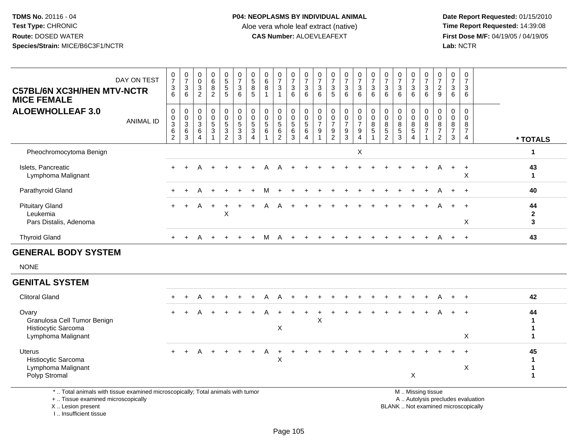**Date Report Requested:** 01/15/2010 **First Dose M/F:** 04/19/05 / 04/19/05<br>Lab: NCTR **Lab:** NCTR

| DAY ON TEST<br><b>C57BL/6N XC3H/HEN MTV-NCTR</b><br><b>MICE FEMALE</b>            | 0<br>$\overline{7}$<br>3<br>6                    | $\frac{0}{7}$<br>$\frac{3}{6}$                | $\begin{smallmatrix} 0\\0 \end{smallmatrix}$<br>$\mathbf{3}$<br>$\overline{2}$ | 0<br>$6^{\circ}$<br>$\bf 8$<br>$\overline{2}$ | 0<br>5<br>5<br>5      | $\frac{0}{7}$<br>$\frac{3}{6}$                                   | $\begin{array}{c} 0 \\ 5 \end{array}$<br>$\bf8$<br>$\overline{5}$              | $\begin{matrix} 0 \\ 6 \end{matrix}$<br>$\bar{8}$<br>$\mathbf{1}$ | $\frac{0}{7}$<br>$\overline{3}$<br>$\overline{1}$                     | $\frac{0}{7}$<br>$\ensuremath{\mathsf{3}}$<br>6          | $\frac{0}{7}$<br>$\ensuremath{\mathsf{3}}$<br>6                 | 0<br>$\overline{7}$<br>$\mathbf{3}$<br>6                           | $\frac{0}{7}$<br>$\sqrt{3}$<br>5                                         | $\frac{0}{7}$<br>3<br>6                                             | $\frac{0}{7}$<br>$\frac{3}{6}$                                                 | $\frac{0}{7}$<br>$\frac{3}{6}$                                                | $\frac{0}{7}$<br>$\mathsf 3$<br>6                             | $\frac{0}{7}$<br>$\ensuremath{\mathsf{3}}$<br>6                                            | $\frac{0}{7}$<br>$\overline{3}$<br>6                                | $\frac{0}{7}$<br>$\sqrt{3}$<br>6                              | 0<br>$\overline{7}$<br>$\boldsymbol{2}$<br>9                      | 0<br>$\overline{7}$<br>3<br>6                | 0<br>$\overline{7}$<br>3<br>6                            |                           |
|-----------------------------------------------------------------------------------|--------------------------------------------------|-----------------------------------------------|--------------------------------------------------------------------------------|-----------------------------------------------|-----------------------|------------------------------------------------------------------|--------------------------------------------------------------------------------|-------------------------------------------------------------------|-----------------------------------------------------------------------|----------------------------------------------------------|-----------------------------------------------------------------|--------------------------------------------------------------------|--------------------------------------------------------------------------|---------------------------------------------------------------------|--------------------------------------------------------------------------------|-------------------------------------------------------------------------------|---------------------------------------------------------------|--------------------------------------------------------------------------------------------|---------------------------------------------------------------------|---------------------------------------------------------------|-------------------------------------------------------------------|----------------------------------------------|----------------------------------------------------------|---------------------------|
| <b>ALOEWHOLLEAF 3.0</b><br><b>ANIMAL ID</b>                                       | 0<br>$\mathbf 0$<br>3<br>$\,6$<br>$\overline{2}$ | 0<br>$\frac{0}{3}$<br>$\,6$<br>$\mathfrak{Z}$ | $\pmb{0}$<br>$\mathbf 0$<br>$\mathbf{3}$<br>6<br>$\overline{4}$                | 0<br>$\mathbf 0$<br>$\sqrt{5}$<br>$\sqrt{3}$  | 0<br>0<br>5<br>3<br>2 | 0<br>$\mathbf 0$<br>$\sqrt{5}$<br>$\ensuremath{\mathsf{3}}$<br>3 | $\mathbf 0$<br>$\mathbf 0$<br>$\overline{5}$<br>$\ensuremath{\mathsf{3}}$<br>4 | 0<br>$\mathbf 0$<br>$\,$ 5 $\,$<br>6<br>1                         | $\mathbf 0$<br>$\mathbf 0$<br>$\sqrt{5}$<br>$\,6\,$<br>$\overline{c}$ | 0<br>$\begin{array}{c} 0 \\ 5 \end{array}$<br>$\,6$<br>3 | 0<br>$\mathbf 0$<br>$\overline{5}$<br>$\,6\,$<br>$\overline{4}$ | $\mathbf 0$<br>$\frac{0}{7}$<br>$\boldsymbol{9}$<br>$\overline{1}$ | 0<br>$\pmb{0}$<br>$\boldsymbol{7}$<br>$\boldsymbol{9}$<br>$\overline{2}$ | $\mathbf 0$<br>$\pmb{0}$<br>$\overline{7}$<br>$\boldsymbol{9}$<br>3 | $\begin{smallmatrix}0\0\0\end{smallmatrix}$<br>$\overline{7}$<br>$\frac{9}{4}$ | $\begin{smallmatrix} 0\\0 \end{smallmatrix}$<br>$\frac{8}{5}$<br>$\mathbf{1}$ | $_{\rm 0}^{\rm 0}$<br>$\bf 8$<br>$\sqrt{5}$<br>$\overline{c}$ | $\begin{smallmatrix} 0\\0 \end{smallmatrix}$<br>$\begin{array}{c} 8 \\ 5 \\ 3 \end{array}$ | $\pmb{0}$<br>$\mathbf 0$<br>$\bf 8$<br>$\sqrt{5}$<br>$\overline{4}$ | 0<br>$\mathbf 0$<br>$\bf 8$<br>$\overline{7}$<br>$\mathbf{1}$ | 0<br>$\mathbf 0$<br>$\bf 8$<br>$\boldsymbol{7}$<br>$\overline{2}$ | 0<br>$\mathbf 0$<br>8<br>$\overline{7}$<br>3 | 0<br>$\Omega$<br>8<br>$\boldsymbol{7}$<br>$\overline{4}$ | * TOTALS                  |
| Pheochromocytoma Benign                                                           |                                                  |                                               |                                                                                |                                               |                       |                                                                  |                                                                                |                                                                   |                                                                       |                                                          |                                                                 |                                                                    |                                                                          |                                                                     | X                                                                              |                                                                               |                                                               |                                                                                            |                                                                     |                                                               |                                                                   |                                              |                                                          | $\mathbf{1}$              |
| Islets, Pancreatic<br>Lymphoma Malignant                                          |                                                  |                                               |                                                                                |                                               |                       |                                                                  |                                                                                |                                                                   |                                                                       |                                                          |                                                                 |                                                                    |                                                                          |                                                                     |                                                                                |                                                                               |                                                               |                                                                                            |                                                                     |                                                               |                                                                   | $\ddot{}$                                    | X                                                        | 43<br>$\mathbf{1}$        |
| Parathyroid Gland                                                                 | $\div$                                           |                                               | A                                                                              |                                               |                       |                                                                  |                                                                                | м                                                                 |                                                                       |                                                          |                                                                 |                                                                    |                                                                          |                                                                     |                                                                                |                                                                               |                                                               |                                                                                            |                                                                     |                                                               |                                                                   | $\ddot{}$                                    | $\ddot{}$                                                | 40                        |
| <b>Pituitary Gland</b><br>Leukemia<br>Pars Distalis, Adenoma                      | $+$                                              | $+$                                           | A                                                                              | $\ddot{}$                                     | X                     |                                                                  |                                                                                | A                                                                 |                                                                       |                                                          |                                                                 |                                                                    |                                                                          |                                                                     |                                                                                |                                                                               |                                                               |                                                                                            |                                                                     |                                                               |                                                                   |                                              | X                                                        | 44<br>$\overline{2}$<br>3 |
| <b>Thyroid Gland</b>                                                              | $+$                                              | $+$                                           | A                                                                              | $\ddot{}$                                     | $\div$                | $+$                                                              | $+$                                                                            | M                                                                 | A                                                                     | $+$                                                      | $\ddot{}$                                                       |                                                                    |                                                                          |                                                                     |                                                                                |                                                                               |                                                               |                                                                                            | $\ddot{}$                                                           | $+$                                                           | A                                                                 | $+$                                          | $+$                                                      | 43                        |
| <b>GENERAL BODY SYSTEM</b>                                                        |                                                  |                                               |                                                                                |                                               |                       |                                                                  |                                                                                |                                                                   |                                                                       |                                                          |                                                                 |                                                                    |                                                                          |                                                                     |                                                                                |                                                                               |                                                               |                                                                                            |                                                                     |                                                               |                                                                   |                                              |                                                          |                           |
| <b>NONE</b>                                                                       |                                                  |                                               |                                                                                |                                               |                       |                                                                  |                                                                                |                                                                   |                                                                       |                                                          |                                                                 |                                                                    |                                                                          |                                                                     |                                                                                |                                                                               |                                                               |                                                                                            |                                                                     |                                                               |                                                                   |                                              |                                                          |                           |
| <b>GENITAL SYSTEM</b>                                                             |                                                  |                                               |                                                                                |                                               |                       |                                                                  |                                                                                |                                                                   |                                                                       |                                                          |                                                                 |                                                                    |                                                                          |                                                                     |                                                                                |                                                                               |                                                               |                                                                                            |                                                                     |                                                               |                                                                   |                                              |                                                          |                           |
| <b>Clitoral Gland</b>                                                             |                                                  |                                               | A                                                                              |                                               |                       |                                                                  |                                                                                | А                                                                 | Δ                                                                     |                                                          |                                                                 |                                                                    |                                                                          |                                                                     |                                                                                |                                                                               |                                                               |                                                                                            |                                                                     |                                                               |                                                                   |                                              | $\ddot{}$                                                | 42                        |
| Ovary<br>Granulosa Cell Tumor Benign<br>Histiocytic Sarcoma<br>Lymphoma Malignant |                                                  |                                               |                                                                                |                                               |                       |                                                                  |                                                                                |                                                                   | X                                                                     |                                                          |                                                                 | $\sf X$                                                            |                                                                          |                                                                     |                                                                                |                                                                               |                                                               |                                                                                            |                                                                     |                                                               |                                                                   |                                              | $\ddot{}$<br>X                                           | 44<br>-1<br>1<br>1        |
| <b>Uterus</b><br>Histiocytic Sarcoma<br>Lymphoma Malignant<br>Polyp Stromal       | $+$                                              |                                               | A                                                                              |                                               |                       |                                                                  |                                                                                | A                                                                 | $\ddot{}$<br>$\pmb{\times}$                                           |                                                          |                                                                 |                                                                    |                                                                          |                                                                     |                                                                                |                                                                               |                                                               |                                                                                            | X                                                                   |                                                               |                                                                   |                                              | X                                                        | 45                        |

\* .. Total animals with tissue examined microscopically; Total animals with tumor

+ .. Tissue examined microscopically

X .. Lesion present

I .. Insufficient tissue

M .. Missing tissue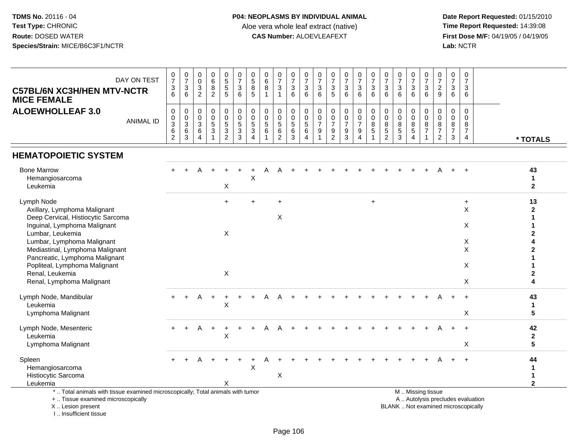**Date Report Requested:** 01/15/2010 **First Dose M/F:** 04/19/05 / 04/19/05<br>Lab: NCTR **Lab:** NCTR

| DAY ON TEST<br><b>C57BL/6N XC3H/HEN MTV-NCTR</b><br><b>MICE FEMALE</b>                                                                                                                                                                                                                                                   | $\begin{array}{c} 0 \\ 7 \end{array}$<br>$\frac{3}{6}$ | $\begin{array}{c} 0 \\ 7 \end{array}$<br>$\frac{3}{6}$    | $\pmb{0}$<br>$\mathbf 0$<br>$\sqrt{3}$<br>$\boldsymbol{2}$ | $\pmb{0}$<br>6<br>8<br>$\overline{c}$ | $\begin{array}{c} 0 \\ 5 \\ 5 \end{array}$<br>$\overline{5}$ | $\frac{0}{7}$<br>$\mathbf{3}$<br>$6^{\circ}$                     | $\begin{array}{c} 0 \\ 5 \end{array}$<br>$\bf 8$<br>$\overline{5}$       | $\begin{array}{c} 0 \\ 6 \end{array}$<br>8<br>$\overline{1}$ | $\frac{0}{7}$<br>$\mathbf{3}$<br>$\mathbf{1}$      | $\frac{0}{7}$<br>3<br>6                        | $\frac{0}{7}$<br>$\ensuremath{\mathsf{3}}$<br>6            | $\begin{array}{c} 0 \\ 7 \end{array}$<br>$\ensuremath{\mathsf{3}}$<br>$6\phantom{1}$ | $\begin{array}{c} 0 \\ 7 \end{array}$<br>$\ensuremath{\mathsf{3}}$<br>$\overline{5}$ | $\frac{0}{7}$<br>$\sqrt{3}$<br>6                          | $\begin{array}{c} 0 \\ 7 \end{array}$<br>$\sqrt{3}$<br>6  | $\frac{0}{7}$<br>$\mathbf{3}$<br>6               | $\frac{0}{7}$<br>$\mathbf{3}$<br>6                     | $\frac{0}{7}$<br>$\sqrt{3}$<br>6                           | $\begin{array}{c} 0 \\ 7 \end{array}$<br>$\frac{3}{6}$                              | $\frac{0}{7}$<br>$\sqrt{3}$<br>$6\phantom{1}$ | $\begin{array}{c} 0 \\ 7 \end{array}$<br>$\frac{2}{9}$       | $\frac{0}{7}$<br>3<br>6                                | $\mathbf 0$<br>$\overline{7}$<br>3<br>6              |                                   |                                    |
|--------------------------------------------------------------------------------------------------------------------------------------------------------------------------------------------------------------------------------------------------------------------------------------------------------------------------|--------------------------------------------------------|-----------------------------------------------------------|------------------------------------------------------------|---------------------------------------|--------------------------------------------------------------|------------------------------------------------------------------|--------------------------------------------------------------------------|--------------------------------------------------------------|----------------------------------------------------|------------------------------------------------|------------------------------------------------------------|--------------------------------------------------------------------------------------|--------------------------------------------------------------------------------------|-----------------------------------------------------------|-----------------------------------------------------------|--------------------------------------------------|--------------------------------------------------------|------------------------------------------------------------|-------------------------------------------------------------------------------------|-----------------------------------------------|--------------------------------------------------------------|--------------------------------------------------------|------------------------------------------------------|-----------------------------------|------------------------------------|
| <b>ALOEWHOLLEAF 3.0</b><br><b>ANIMAL ID</b>                                                                                                                                                                                                                                                                              | 0<br>0<br>$\mathbf{3}$<br>$\,6\,$<br>$\overline{2}$    | $\mathbf 0$<br>$\frac{0}{3}$<br>$\,6\,$<br>$\overline{3}$ | $\mathbf 0$<br>$\mathbf 0$<br>$\mathbf{3}$<br>6<br>4       | $\mathbf 0$<br>$\mathbf 0$<br>5<br>3  | 0<br>$\mathsf{O}$<br>$\frac{5}{3}$<br>$\overline{2}$         | $\boldsymbol{0}$<br>$\pmb{0}$<br>$\frac{5}{3}$<br>$\overline{3}$ | $\pmb{0}$<br>$\mathbf 0$<br>$\sqrt{5}$<br>$\mathbf{3}$<br>$\overline{4}$ | 0<br>$\mathbf 0$<br>$\sqrt{5}$<br>6                          | $\mathbf 0$<br>$\mathbf 0$<br>$\sqrt{5}$<br>6<br>2 | 0<br>$\mathbf 0$<br>$\sqrt{5}$<br>$\,6\,$<br>3 | 0<br>$\mathsf{O}\xspace$<br>$\overline{5}$<br>$\,6\,$<br>4 | 0<br>$\mathbf 0$<br>$\overline{7}$<br>$9\,$                                          | $\mathbf 0$<br>$\pmb{0}$<br>$\overline{7}$<br>9<br>2                                 | 0<br>$\mathbf 0$<br>$\overline{7}$<br>9<br>$\overline{3}$ | 0<br>$\pmb{0}$<br>$\overline{7}$<br>$\boldsymbol{9}$<br>4 | 0<br>$\mathsf{O}\xspace$<br>8<br>$\sqrt{5}$<br>1 | $\mathbf 0$<br>$\mathbf 0$<br>8<br>5<br>$\overline{2}$ | $\mathbf 0$<br>$\mathsf{O}\xspace$<br>8<br>$\sqrt{5}$<br>3 | 0<br>$\mathbf 0$<br>$\begin{array}{c} 8 \\ 5 \end{array}$<br>$\boldsymbol{\Lambda}$ | 0<br>0<br>$\bf 8$<br>$\overline{7}$           | $\mathbf 0$<br>$\mathbf 0$<br>$\bf 8$<br>$\overline{7}$<br>2 | $\mathbf 0$<br>$\mathbf 0$<br>8<br>$\overline{7}$<br>3 | $\Omega$<br>0<br>8<br>$\overline{7}$<br>4            |                                   | * TOTALS                           |
| <b>HEMATOPOIETIC SYSTEM</b>                                                                                                                                                                                                                                                                                              |                                                        |                                                           |                                                            |                                       |                                                              |                                                                  |                                                                          |                                                              |                                                    |                                                |                                                            |                                                                                      |                                                                                      |                                                           |                                                           |                                                  |                                                        |                                                            |                                                                                     |                                               |                                                              |                                                        |                                                      |                                   |                                    |
| <b>Bone Marrow</b><br>Hemangiosarcoma<br>Leukemia                                                                                                                                                                                                                                                                        |                                                        |                                                           |                                                            |                                       | X                                                            |                                                                  | X                                                                        |                                                              |                                                    |                                                |                                                            |                                                                                      |                                                                                      |                                                           |                                                           |                                                  |                                                        |                                                            |                                                                                     |                                               |                                                              |                                                        |                                                      |                                   | 43<br>$\mathbf 1$<br>$\mathbf{2}$  |
| Lymph Node<br>Axillary, Lymphoma Malignant<br>Deep Cervical, Histiocytic Sarcoma<br>Inguinal, Lymphoma Malignant<br>Lumbar, Leukemia<br>Lumbar, Lymphoma Malignant<br>Mediastinal, Lymphoma Malignant<br>Pancreatic, Lymphoma Malignant<br>Popliteal, Lymphoma Malignant<br>Renal, Leukemia<br>Renal, Lymphoma Malignant |                                                        |                                                           |                                                            |                                       | $+$<br>X<br>X                                                |                                                                  |                                                                          |                                                              | $\ddot{}$<br>X                                     |                                                |                                                            |                                                                                      |                                                                                      |                                                           |                                                           | $\ddot{}$                                        |                                                        |                                                            |                                                                                     |                                               |                                                              |                                                        | $\ddot{}$<br>$\pmb{\times}$<br>X<br>X<br>X<br>X<br>X |                                   | 13<br>$\mathbf{2}$<br>$\mathbf{2}$ |
| Lymph Node, Mandibular<br>Leukemia<br>Lymphoma Malignant                                                                                                                                                                                                                                                                 |                                                        |                                                           |                                                            |                                       | X                                                            |                                                                  |                                                                          |                                                              |                                                    |                                                |                                                            |                                                                                      |                                                                                      |                                                           |                                                           |                                                  |                                                        |                                                            |                                                                                     |                                               |                                                              |                                                        | X                                                    |                                   | 43<br>1<br>5                       |
| Lymph Node, Mesenteric<br>Leukemia<br>Lymphoma Malignant                                                                                                                                                                                                                                                                 |                                                        |                                                           |                                                            |                                       | $\sf X$                                                      |                                                                  |                                                                          |                                                              |                                                    |                                                |                                                            |                                                                                      |                                                                                      |                                                           |                                                           |                                                  |                                                        |                                                            |                                                                                     |                                               |                                                              |                                                        | $\ddot{}$<br>X                                       |                                   | 42<br>$\mathbf 2$<br>5             |
| Spleen<br>Hemangiosarcoma<br>Histiocytic Sarcoma<br>Leukemia                                                                                                                                                                                                                                                             |                                                        |                                                           |                                                            |                                       | Χ                                                            |                                                                  | $\sf X$                                                                  |                                                              | $\boldsymbol{\mathsf{X}}$                          |                                                |                                                            |                                                                                      |                                                                                      |                                                           |                                                           |                                                  |                                                        |                                                            |                                                                                     |                                               |                                                              |                                                        |                                                      |                                   | 44<br>1<br>1<br>$\overline{2}$     |
| *  Total animals with tissue examined microscopically; Total animals with tumor<br>+  Tissue examined microscopically                                                                                                                                                                                                    |                                                        |                                                           |                                                            |                                       |                                                              |                                                                  |                                                                          |                                                              |                                                    |                                                |                                                            |                                                                                      |                                                                                      |                                                           |                                                           |                                                  |                                                        |                                                            | M  Missing tissue                                                                   |                                               |                                                              |                                                        |                                                      | A  Autolysis precludes evaluation |                                    |

X .. Lesion present

I .. Insufficient tissue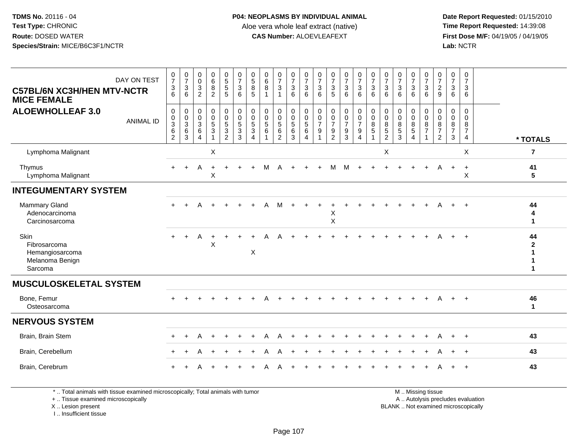**Date Report Requested:** 01/15/2010 **First Dose M/F:** 04/19/05 / 04/19/05<br>Lab: NCTR **Lab:** NCTR

| DAY ON TEST<br><b>C57BL/6N XC3H/HEN MTV-NCTR</b><br><b>MICE FEMALE</b> | $\frac{0}{7}$<br>$\ensuremath{\mathsf{3}}$<br>6             | $\begin{array}{c} 0 \\ 7 \end{array}$<br>3<br>6         | 0<br>0<br>3<br>$\overline{2}$                               | $\begin{matrix} 0 \\ 6 \\ 8 \end{matrix}$<br>$\overline{2}$                          | $\begin{array}{c} 0 \\ 5 \\ 5 \end{array}$<br>$\sqrt{5}$            | $\frac{0}{7}$<br>$\mathbf{3}$<br>6                    | $\begin{array}{c} 0 \\ 5 \\ 8 \end{array}$<br>$\sqrt{5}$                             | $\begin{array}{c} 0 \\ 6 \\ 8 \end{array}$<br>$\mathbf{1}$ | $\frac{0}{7}$<br>$\sqrt{3}$                                                      | $\begin{smallmatrix}0\\7\end{smallmatrix}$<br>$\ensuremath{\mathsf{3}}$<br>6 | $\frac{0}{7}$<br>$\sqrt{3}$<br>6                                    | $\frac{0}{7}$<br>3<br>6                 | $\frac{0}{7}$<br>$\mathbf{3}$<br>5                                     | $\frac{0}{7}$<br>$\mathbf 3$<br>6                                        | $\frac{0}{7}$<br>$\ensuremath{\mathsf{3}}$<br>6                        | $\frac{0}{7}$<br>$\mathbf 3$<br>6                                 | $\frac{0}{7}$<br>$\mathbf{3}$<br>6                            | $\frac{0}{7}$<br>$\mathbf{3}$<br>6                   | $\frac{0}{7}$<br>$\mathbf{3}$<br>6                                     | $\frac{0}{7}$<br>$\mathbf 3$<br>6               | $\frac{0}{7}$<br>$\sqrt{2}$<br>$9\,$                                                     | 0<br>$\overline{7}$<br>3<br>6                         | $\mathbf 0$<br>$\overline{7}$<br>3<br>6                          |                         |
|------------------------------------------------------------------------|-------------------------------------------------------------|---------------------------------------------------------|-------------------------------------------------------------|--------------------------------------------------------------------------------------|---------------------------------------------------------------------|-------------------------------------------------------|--------------------------------------------------------------------------------------|------------------------------------------------------------|----------------------------------------------------------------------------------|------------------------------------------------------------------------------|---------------------------------------------------------------------|-----------------------------------------|------------------------------------------------------------------------|--------------------------------------------------------------------------|------------------------------------------------------------------------|-------------------------------------------------------------------|---------------------------------------------------------------|------------------------------------------------------|------------------------------------------------------------------------|-------------------------------------------------|------------------------------------------------------------------------------------------|-------------------------------------------------------|------------------------------------------------------------------|-------------------------|
| <b>ALOEWHOLLEAF 3.0</b><br><b>ANIMAL ID</b>                            | $\pmb{0}$<br>$\mathbf 0$<br>$\frac{3}{6}$<br>$\overline{2}$ | 0<br>$\mathbf 0$<br>$\mathbf{3}$<br>$6\phantom{a}$<br>3 | 0<br>$\mathbf 0$<br>$\mathbf{3}$<br>$\,6$<br>$\overline{4}$ | $\mathbf 0$<br>$\mathsf{O}\xspace$<br>$\sqrt{5}$<br>$\overline{3}$<br>$\overline{1}$ | 0<br>$\mathbf 0$<br>$\overline{5}$<br>$\mathsf 3$<br>$\overline{2}$ | 0<br>$\mathbf 0$<br>$\overline{5}$<br>$\sqrt{3}$<br>3 | $\mathbf 0$<br>$\mathsf{O}\xspace$<br>$\sqrt{5}$<br>$\overline{3}$<br>$\overline{4}$ | 0<br>$\mathbf 0$<br>5<br>$\,6\,$<br>$\mathbf{1}$           | $\mathbf 0$<br>$\mathbf 0$<br>$\overline{5}$<br>$6\phantom{a}$<br>$\overline{2}$ | $\pmb{0}$<br>$\mathbf 0$<br>$\overline{5}$ 6<br>3                            | $\mathbf 0$<br>$\mathbf 0$<br>$\overline{5}$<br>6<br>$\overline{4}$ | 0<br>$\mathsf 0$<br>$\overline{7}$<br>9 | 0<br>$\pmb{0}$<br>$\overline{7}$<br>$\boldsymbol{9}$<br>$\overline{c}$ | $\boldsymbol{0}$<br>$\pmb{0}$<br>$\overline{7}$<br>$\boldsymbol{9}$<br>3 | $\mathbf 0$<br>$\overline{0}$<br>$\overline{7}$<br>9<br>$\overline{4}$ | $\pmb{0}$<br>$\mathbf 0$<br>8<br>$\overline{5}$<br>$\overline{1}$ | $\mathbf 0$<br>$\pmb{0}$<br>8<br>$\overline{5}$<br>$\sqrt{2}$ | $\pmb{0}$<br>$\mathbf 0$<br>8<br>$\overline{5}$<br>3 | $\mathbf 0$<br>$\overline{0}$<br>8<br>$\overline{5}$<br>$\overline{4}$ | 0<br>$\pmb{0}$<br>$\frac{8}{7}$<br>$\mathbf{1}$ | $\mathbf 0$<br>$\mathsf{O}\xspace$<br>$\overline{8}$<br>$\overline{7}$<br>$\overline{2}$ | 0<br>$\mathbf 0$<br>8<br>$\overline{7}$<br>$\sqrt{3}$ | $\mathbf 0$<br>$\Omega$<br>8<br>$\overline{7}$<br>$\overline{4}$ | * TOTALS                |
| Lymphoma Malignant                                                     |                                                             |                                                         |                                                             | X                                                                                    |                                                                     |                                                       |                                                                                      |                                                            |                                                                                  |                                                                              |                                                                     |                                         |                                                                        |                                                                          |                                                                        |                                                                   | $\boldsymbol{\mathsf{X}}$                                     |                                                      |                                                                        |                                                 |                                                                                          |                                                       | $\times$                                                         | $\overline{7}$          |
| Thymus<br>Lymphoma Malignant                                           |                                                             | $\ddot{}$                                               | A                                                           | X                                                                                    |                                                                     |                                                       |                                                                                      | м                                                          | Δ                                                                                |                                                                              |                                                                     |                                         | M                                                                      | M                                                                        |                                                                        |                                                                   |                                                               |                                                      |                                                                        | $\div$                                          | A                                                                                        | $\ddot{}$                                             | $+$<br>X                                                         | 41<br>$\sqrt{5}$        |
| <b>INTEGUMENTARY SYSTEM</b>                                            |                                                             |                                                         |                                                             |                                                                                      |                                                                     |                                                       |                                                                                      |                                                            |                                                                                  |                                                                              |                                                                     |                                         |                                                                        |                                                                          |                                                                        |                                                                   |                                                               |                                                      |                                                                        |                                                 |                                                                                          |                                                       |                                                                  |                         |
| <b>Mammary Gland</b><br>Adenocarcinoma<br>Carcinosarcoma               |                                                             |                                                         | Δ                                                           |                                                                                      |                                                                     |                                                       |                                                                                      | А                                                          | м                                                                                |                                                                              |                                                                     |                                         | X<br>$\sf X$                                                           |                                                                          |                                                                        |                                                                   |                                                               |                                                      |                                                                        |                                                 |                                                                                          | $+$                                                   | $\ddot{+}$                                                       | 44<br>4<br>$\mathbf{1}$ |
| Skin<br>Fibrosarcoma<br>Hemangiosarcoma<br>Melanoma Benign<br>Sarcoma  | $+$                                                         | $+$                                                     | Α                                                           | X                                                                                    |                                                                     |                                                       | X                                                                                    |                                                            |                                                                                  |                                                                              |                                                                     |                                         |                                                                        |                                                                          |                                                                        |                                                                   |                                                               |                                                      |                                                                        |                                                 |                                                                                          | $+$                                                   | $\ddot{+}$                                                       | 44                      |
| <b>MUSCULOSKELETAL SYSTEM</b>                                          |                                                             |                                                         |                                                             |                                                                                      |                                                                     |                                                       |                                                                                      |                                                            |                                                                                  |                                                                              |                                                                     |                                         |                                                                        |                                                                          |                                                                        |                                                                   |                                                               |                                                      |                                                                        |                                                 |                                                                                          |                                                       |                                                                  |                         |
| Bone, Femur<br>Osteosarcoma                                            |                                                             |                                                         |                                                             |                                                                                      |                                                                     |                                                       |                                                                                      |                                                            |                                                                                  |                                                                              |                                                                     |                                         |                                                                        |                                                                          |                                                                        |                                                                   |                                                               |                                                      |                                                                        |                                                 | A                                                                                        | $+$                                                   | $\ddot{}$                                                        | 46<br>$\mathbf{1}$      |
| <b>NERVOUS SYSTEM</b>                                                  |                                                             |                                                         |                                                             |                                                                                      |                                                                     |                                                       |                                                                                      |                                                            |                                                                                  |                                                                              |                                                                     |                                         |                                                                        |                                                                          |                                                                        |                                                                   |                                                               |                                                      |                                                                        |                                                 |                                                                                          |                                                       |                                                                  |                         |
| Brain, Brain Stem                                                      |                                                             | $\ddot{}$                                               | A                                                           |                                                                                      | $\ddot{}$                                                           |                                                       |                                                                                      | Α                                                          | Α                                                                                |                                                                              |                                                                     |                                         |                                                                        |                                                                          |                                                                        |                                                                   |                                                               |                                                      |                                                                        | $\ddot{}$                                       | A                                                                                        | $+$                                                   | $+$                                                              | 43                      |
| Brain, Cerebellum                                                      |                                                             | $\ddot{}$                                               | A                                                           | $\overline{+}$                                                                       | $\ddot{}$                                                           |                                                       |                                                                                      | А                                                          |                                                                                  |                                                                              |                                                                     |                                         |                                                                        |                                                                          |                                                                        |                                                                   |                                                               |                                                      |                                                                        | +                                               | A                                                                                        | $\ddot{}$                                             | $+$                                                              | 43                      |
| Brain, Cerebrum                                                        |                                                             |                                                         |                                                             |                                                                                      |                                                                     |                                                       |                                                                                      |                                                            |                                                                                  |                                                                              |                                                                     |                                         |                                                                        |                                                                          |                                                                        |                                                                   |                                                               |                                                      |                                                                        |                                                 |                                                                                          |                                                       |                                                                  | 43                      |

\* .. Total animals with tissue examined microscopically; Total animals with tumor

+ .. Tissue examined microscopically

X .. Lesion present

I .. Insufficient tissue

M .. Missing tissue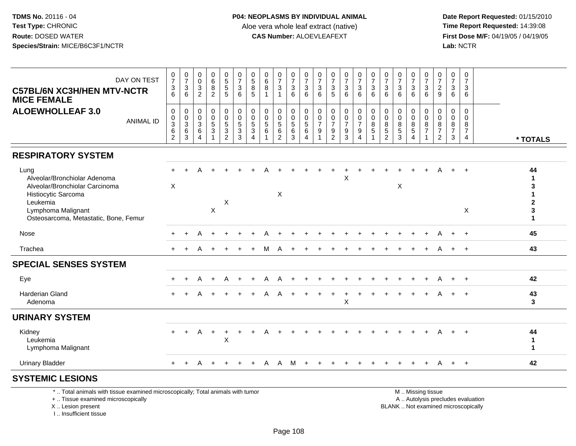**Date Report Requested:** 01/15/2010 **First Dose M/F:** 04/19/05 / 04/19/05<br>Lab: NCTR **Lab:** NCTR

| DAY ON TEST<br><b>C57BL/6N XC3H/HEN MTV-NCTR</b><br><b>MICE FEMALE</b>                                                                                                   | $\frac{0}{7}$<br>$\frac{3}{6}$                      | $\begin{array}{c} 0 \\ 7 \end{array}$<br>$\ensuremath{\mathsf{3}}$<br>6 | $\begin{smallmatrix} 0\\0 \end{smallmatrix}$<br>$\frac{3}{2}$ | $\begin{array}{c} 0 \\ 6 \end{array}$<br>$\overline{8}$<br>$\overline{2}$               | $\begin{array}{c} 0 \\ 5 \\ 5 \end{array}$<br>5 | $\frac{0}{7}$<br>$\sqrt{3}$<br>6                              | $\begin{array}{c} 0 \\ 5 \\ 8 \end{array}$<br>5                      | 0<br>6<br>8      | $\frac{0}{7}$<br>$\mathbf{3}$<br>$\overline{\mathbf{1}}$ | $\frac{0}{7}$<br>$\sqrt{3}$<br>6     | 0<br>$\overline{7}$<br>$\mathbf{3}$<br>6 | $\frac{0}{7}$<br>$\ensuremath{\mathsf{3}}$<br>6 | 0<br>$\overline{7}$<br>$\ensuremath{\mathsf{3}}$<br>5 | $\frac{0}{7}$<br>$\sqrt{3}$<br>6                                     | $\begin{array}{c} 0 \\ 7 \end{array}$<br>$\frac{3}{6}$                 | $\frac{0}{7}$<br>$\overline{3}$<br>6                          | $\begin{array}{c} 0 \\ 7 \end{array}$<br>3<br>6 | $\frac{0}{7}$<br>$\mathbf 3$<br>6        | $\begin{array}{c} 0 \\ 7 \end{array}$<br>3<br>6 | $\frac{0}{7}$<br>$\mathbf 3$<br>6 | 0<br>$\overline{7}$<br>$\frac{2}{9}$                             | 0<br>$\overline{7}$<br>3<br>6                | $\mathbf 0$<br>$\overline{7}$<br>3<br>6             |                                    |
|--------------------------------------------------------------------------------------------------------------------------------------------------------------------------|-----------------------------------------------------|-------------------------------------------------------------------------|---------------------------------------------------------------|-----------------------------------------------------------------------------------------|-------------------------------------------------|---------------------------------------------------------------|----------------------------------------------------------------------|------------------|----------------------------------------------------------|--------------------------------------|------------------------------------------|-------------------------------------------------|-------------------------------------------------------|----------------------------------------------------------------------|------------------------------------------------------------------------|---------------------------------------------------------------|-------------------------------------------------|------------------------------------------|-------------------------------------------------|-----------------------------------|------------------------------------------------------------------|----------------------------------------------|-----------------------------------------------------|------------------------------------|
| <b>ALOEWHOLLEAF 3.0</b><br><b>ANIMAL ID</b>                                                                                                                              | 0<br>0<br>$\mathfrak{S}$<br>$\,6$<br>$\overline{c}$ | 0<br>$\pmb{0}$<br>$\mathbf{3}$<br>$\,6\,$<br>$\mathbf{3}$               | 0<br>0<br>$\mathbf{3}$<br>$6\phantom{1}6$<br>4                | $\mathbf 0$<br>$\mathbf 0$<br>$\sqrt{5}$<br>$\ensuremath{\mathsf{3}}$<br>$\overline{1}$ | 0<br>0<br>5<br>3<br>$\overline{2}$              | 0<br>$\mathsf{O}\xspace$<br>$\overline{5}$<br>$\sqrt{3}$<br>3 | 0<br>$\mathbf 0$<br>5<br>$\ensuremath{\mathsf{3}}$<br>$\overline{4}$ | 0<br>0<br>5<br>6 | 0<br>$\mathbf 0$<br>$\sqrt{5}$<br>$\,6\,$<br>2           | 0<br>0<br>$\sqrt{5}$<br>$\,6\,$<br>3 | 0<br>$\mathbf 0$<br>5<br>6<br>4          | 0<br>0<br>$\overline{7}$<br>9                   | 0<br>0<br>$\overline{7}$<br>9<br>$\overline{2}$       | 0<br>$\pmb{0}$<br>$\overline{7}$<br>$\boldsymbol{9}$<br>$\mathbf{3}$ | 0<br>$\pmb{0}$<br>$\overline{7}$<br>$\boldsymbol{9}$<br>$\overline{4}$ | $\mathbf 0$<br>$\mathbf 0$<br>8<br>$\sqrt{5}$<br>$\mathbf{1}$ | 0<br>0<br>8<br>$\mathbf 5$<br>$\overline{c}$    | 0<br>$\mathbf 0$<br>8<br>$\sqrt{5}$<br>3 | 0<br>0<br>8<br>5<br>$\boldsymbol{\Lambda}$      | 0<br>0<br>8<br>$\overline{7}$     | $\Omega$<br>$\mathbf 0$<br>8<br>$\overline{7}$<br>$\overline{2}$ | $\mathbf 0$<br>0<br>8<br>$\overline{7}$<br>3 | $\mathbf 0$<br>$\Omega$<br>8<br>$\overline{7}$<br>4 | * TOTALS                           |
| <b>RESPIRATORY SYSTEM</b>                                                                                                                                                |                                                     |                                                                         |                                                               |                                                                                         |                                                 |                                                               |                                                                      |                  |                                                          |                                      |                                          |                                                 |                                                       |                                                                      |                                                                        |                                                               |                                                 |                                          |                                                 |                                   |                                                                  |                                              |                                                     |                                    |
| Lung<br>Alveolar/Bronchiolar Adenoma<br>Alveolar/Bronchiolar Carcinoma<br>Histiocytic Sarcoma<br>Leukemia<br>Lymphoma Malignant<br>Osteosarcoma, Metastatic, Bone, Femur | X                                                   |                                                                         |                                                               | $\pmb{\times}$                                                                          | X                                               |                                                               |                                                                      |                  | $\boldsymbol{\mathsf{X}}$                                |                                      |                                          |                                                 |                                                       | X                                                                    |                                                                        |                                                               |                                                 | X                                        |                                                 |                                   |                                                                  |                                              | $\div$<br>X                                         | 44<br>1<br>2<br>3<br>$\mathbf{1}$  |
| Nose                                                                                                                                                                     |                                                     |                                                                         |                                                               |                                                                                         |                                                 |                                                               |                                                                      |                  |                                                          |                                      |                                          |                                                 |                                                       |                                                                      |                                                                        |                                                               |                                                 |                                          |                                                 |                                   |                                                                  |                                              | $+$                                                 | 45                                 |
| Trachea                                                                                                                                                                  |                                                     |                                                                         |                                                               |                                                                                         |                                                 |                                                               |                                                                      |                  |                                                          |                                      |                                          |                                                 |                                                       |                                                                      |                                                                        |                                                               |                                                 |                                          |                                                 |                                   |                                                                  |                                              | $\ddot{+}$                                          | 43                                 |
| <b>SPECIAL SENSES SYSTEM</b>                                                                                                                                             |                                                     |                                                                         |                                                               |                                                                                         |                                                 |                                                               |                                                                      |                  |                                                          |                                      |                                          |                                                 |                                                       |                                                                      |                                                                        |                                                               |                                                 |                                          |                                                 |                                   |                                                                  |                                              |                                                     |                                    |
| Eye                                                                                                                                                                      |                                                     | $\div$                                                                  | A                                                             |                                                                                         | Α                                               |                                                               |                                                                      | А                |                                                          |                                      |                                          |                                                 |                                                       |                                                                      |                                                                        |                                                               |                                                 |                                          |                                                 |                                   |                                                                  |                                              | $\ddot{+}$                                          | 42                                 |
| Harderian Gland<br>Adenoma                                                                                                                                               |                                                     |                                                                         |                                                               |                                                                                         |                                                 |                                                               |                                                                      |                  |                                                          |                                      |                                          |                                                 |                                                       | X                                                                    |                                                                        |                                                               |                                                 |                                          |                                                 |                                   |                                                                  |                                              | $\ddot{+}$                                          | 43<br>3                            |
| <b>URINARY SYSTEM</b>                                                                                                                                                    |                                                     |                                                                         |                                                               |                                                                                         |                                                 |                                                               |                                                                      |                  |                                                          |                                      |                                          |                                                 |                                                       |                                                                      |                                                                        |                                                               |                                                 |                                          |                                                 |                                   |                                                                  |                                              |                                                     |                                    |
| Kidney<br>Leukemia<br>Lymphoma Malignant                                                                                                                                 | $+$                                                 | $+$                                                                     | Α                                                             | $\ddot{}$                                                                               | +<br>X                                          |                                                               |                                                                      |                  |                                                          |                                      |                                          |                                                 |                                                       |                                                                      |                                                                        |                                                               |                                                 |                                          |                                                 |                                   |                                                                  |                                              |                                                     | 44<br>$\mathbf{1}$<br>$\mathbf{1}$ |
| <b>Urinary Bladder</b>                                                                                                                                                   | $+$                                                 | $+$                                                                     | A                                                             | $\overline{+}$                                                                          | $\ddot{}$                                       | $+$                                                           | $+$                                                                  | A                | A                                                        | M                                    | $\overline{+}$                           |                                                 |                                                       |                                                                      |                                                                        |                                                               |                                                 |                                          | $\overline{+}$                                  | $+$                               | A                                                                |                                              | $+$ $+$                                             | 42                                 |
| <b>SYSTEMIC LESIONS</b>                                                                                                                                                  |                                                     |                                                                         |                                                               |                                                                                         |                                                 |                                                               |                                                                      |                  |                                                          |                                      |                                          |                                                 |                                                       |                                                                      |                                                                        |                                                               |                                                 |                                          |                                                 |                                   |                                                                  |                                              |                                                     |                                    |
| * Total animals with tissue examined microscopically: Total animals with tumor                                                                                           |                                                     |                                                                         |                                                               |                                                                                         |                                                 |                                                               |                                                                      |                  |                                                          |                                      |                                          |                                                 |                                                       |                                                                      |                                                                        |                                                               |                                                 |                                          |                                                 | M <sub>N</sub> iccing ticcup      |                                                                  |                                              |                                                     |                                    |

\* .. Total animals with tissue examined microscopically; Total animals with tumor

+ .. Tissue examined microscopically

X .. Lesion present

I .. Insufficient tissue

 M .. Missing tissuey the contract of the contract of the contract of the contract of the contract of the contract of the contract of  $A$ . Autolysis precludes evaluation